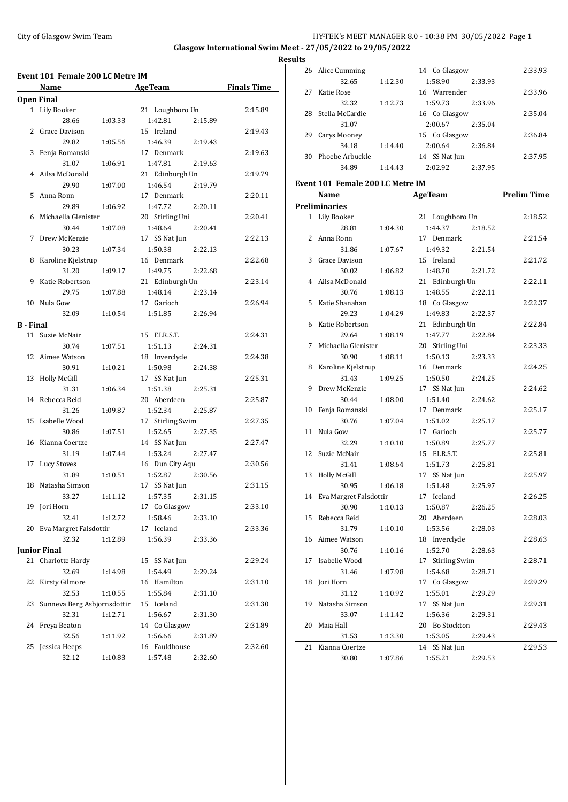# City of Glasgow Swim Team **HY-TEK's MEET MANAGER 8.0 - 10:38 PM 30/05/2022** Page 1 **Glasgow International Swim Meet - 27/05/2022 to 29/05/2022**

**Event 101 Female 200 LC Metre IM Name Age Team Finals Time Open Final** 1 Lily Booker 21 Loughboro Un 2:15.89 28.66 1:03.33 1:42.81 2:15.89 2 Grace Davison 15 Ireland 2:19.43 29.82 1:05.56 1:46.39 2:19.43 3 Fenja Romanski 17 Denmark 2:19.63 31.07 1:06.91 1:47.81 2:19.63 4 Ailsa McDonald 21 Edinburgh Un 2:19.79 29.90 1:07.00 1:46.54 2:19.79 5 Anna Ronn 17 Denmark 2:20.11 29.89 1:06.92 1:47.72 2:20.11 6 Michaella Glenister 20 Stirling Uni 2:20.41 30.44 1:07.08 1:48.64 2:20.41 7 Drew McKenzie 17 SS Nat Jun 2:22.13 30.23 1:07.34 1:50.38 2:22.13 8 Karoline Kjelstrup 16 Denmark 2:22.68 31.20 1:09.17 1:49.75 2:22.68 9 Katie Robertson 21 Edinburgh Un 2:23.14 29.75 1:07.88 1:48.14 2:23.14 10 Nula Gow 17 Garioch 2:26.94 32.09 1:10.54 1:51.85 2:26.94 **B - Final** 11 Suzie McNair 15 F.I.R.S.T. 2:24.31 30.74 1:07.51 1:51.13 2:24.31 12 Aimee Watson 18 Inverclyde 2:24.38 30.91 1:10.21 1:50.98 2:24.38 13 Holly McGill 17 SS Nat Jun 2:25.31 31.31 1:06.34 1:51.38 2:25.31 14 Rebecca Reid 20 Aberdeen 2:25.87 31.26 1:09.87 1:52.34 2:25.87 15 Isabelle Wood 17 Stirling Swim 2:27.35 30.86 1:07.51 1:52.65 2:27.35 16 Kianna Coertze 14 SS Nat Jun 2:27.47 31.19 1:07.44 1:53.24 2:27.47 17 Lucy Stoves 16 Dun City Aqu 2:30.56 31.89 1:10.51 1:52.87 2:30.56 18 Natasha Simson 17 SS Nat Jun 2:31.15 33.27 1:11.12 1:57.35 2:31.15 19 Jori Horn 17 Co Glasgow 2:33.10 32.41 1:12.72 1:58.46 2:33.10 20 Eva Margret Falsdottir 17 Iceland 2:33.36 32.32 1:12.89 1:56.39 2:33.36 **Junior Final** 21 Charlotte Hardy 15 SS Nat Jun 2:29.24 32.69 1:14.98 1:54.49 2:29.24 22 Kirsty Gilmore 16 Hamilton 2:31.10 32.53 1:10.55 1:55.84 2:31.10 23 Sunneva Berg Asbjornsdottir 15 Iceland 2:31.30 32.31 1:12.71 1:56.67 2:31.30 24 Freya Beaton 14 Co Glasgow 2:31.89 32.56 1:11.92 1:56.66 2:31.89 25 Jessica Heeps 16 Fauldhouse 2:32.60 32.12 1:10.83 1:57.48 2:32.60

| <b>Results</b> |                                  |         |                    |                    |
|----------------|----------------------------------|---------|--------------------|--------------------|
|                | 26 Alice Cumming                 |         | 14 Co Glasgow      | 2:33.93            |
|                | 32.65                            | 1:12.30 | 1:58.90<br>2:33.93 |                    |
|                | 27 Katie Rose                    |         | 16 Warrender       | 2:33.96            |
|                | 32.32                            | 1:12.73 | 1:59.73<br>2:33.96 |                    |
|                | 28 Stella McCardie               |         | 16 Co Glasgow      | 2:35.04            |
|                | 31.07                            |         | 2:00.67<br>2:35.04 |                    |
|                | 29 Carys Mooney                  |         | 15 Co Glasgow      | 2:36.84            |
|                | 34.18                            | 1:14.40 | 2:00.64<br>2:36.84 |                    |
|                | 30 Phoebe Arbuckle               |         | 14 SS Nat Jun      | 2:37.95            |
|                | 34.89                            | 1:14.43 | 2:02.92<br>2:37.95 |                    |
|                | Event 101 Female 200 LC Metre IM |         |                    |                    |
|                | Name                             |         | AgeTeam            | <b>Prelim Time</b> |
|                | <b>Preliminaries</b>             |         |                    |                    |
|                | 1 Lily Booker                    |         | 21 Loughboro Un    | 2:18.52            |
|                | 28.81                            | 1:04.30 | 1:44.37<br>2:18.52 |                    |
|                | 2 Anna Ronn                      |         | 17 Denmark         | 2:21.54            |
|                | 31.86                            | 1:07.67 | 1:49.32<br>2:21.54 |                    |
| 3              | Grace Davison                    |         | 15 Ireland         | 2:21.72            |
|                | 30.02                            | 1:06.82 | 1:48.70<br>2:21.72 |                    |
|                | 4 Ailsa McDonald                 |         | 21 Edinburgh Un    | 2:22.11            |
|                | 30.76                            | 1:08.13 | 1:48.55<br>2:22.11 |                    |
| 5              | Katie Shanahan                   |         | 18 Co Glasgow      | 2:22.37            |
|                |                                  |         |                    |                    |
|                | 29.23                            | 1:04.29 | 1:49.83<br>2:22.37 |                    |
|                | 6 Katie Robertson                |         | 21 Edinburgh Un    | 2:22.84            |
|                | 29.64                            | 1:08.19 | 1:47.77<br>2:22.84 |                    |
| 7              | Michaella Glenister              |         | 20 Stirling Uni    | 2:23.33            |
|                | 30.90                            | 1:08.11 | 1:50.13<br>2:23.33 |                    |
| 8              | Karoline Kjelstrup               |         | 16 Denmark         | 2:24.25            |
|                | 31.43                            | 1:09.25 | 1:50.50<br>2:24.25 |                    |
| 9              | Drew McKenzie                    |         | 17 SS Nat Jun      | 2:24.62            |
|                | 30.44                            | 1:08.00 | 1:51.40<br>2:24.62 |                    |
|                | 10 Fenja Romanski                |         | 17 Denmark         | 2:25.17            |
|                | 30.76                            | 1:07.04 | 1:51.02<br>2:25.17 |                    |
| 11             | Nula Gow                         |         | 17 Garioch         | 2:25.77            |
|                | 32.29                            | 1:10.10 | 1:50.89<br>2:25.77 |                    |
|                | 12 Suzie McNair                  |         | 15 F.I.R.S.T.      | 2:25.81            |
|                | 31.41                            | 1:08.64 | 1:51.73<br>2:25.81 |                    |
|                | 13 Holly McGill                  |         | 17 SS Nat Jun      | 2:25.97            |
|                | 30.95                            | 1:06.18 | 1:51.48<br>2:25.97 |                    |
|                | 14 Eva Margret Falsdottir        |         | 17 Iceland         | 2:26.25            |
|                | 30.90                            | 1:10.13 | 1:50.87<br>2:26.25 |                    |
| 15             | Rebecca Reid                     |         | 20 Aberdeen        | 2:28.03            |
|                | 31.79                            | 1:10.10 | 1:53.56<br>2:28.03 |                    |
|                |                                  |         |                    |                    |
|                | 16 Aimee Watson                  |         | 18 Inverclyde      | 2:28.63            |
|                | 30.76                            | 1:10.16 | 1:52.70<br>2:28.63 |                    |
| 17             | Isabelle Wood                    |         | 17 Stirling Swim   | 2:28.71            |
|                | 31.46                            | 1:07.98 | 1:54.68<br>2:28.71 |                    |
|                | 18 Jori Horn                     |         | 17 Co Glasgow      | 2:29.29            |
|                | 31.12                            | 1:10.92 | 1:55.01<br>2:29.29 |                    |
| 19             | Natasha Simson                   |         | 17 SS Nat Jun      | 2:29.31            |
|                | 33.07                            | 1:11.42 | 1:56.36<br>2:29.31 |                    |
|                | 20 Maia Hall                     |         | 20 Bo Stockton     | 2:29.43            |
|                | 31.53                            | 1:13.30 | 1:53.05<br>2:29.43 |                    |
| 21             | Kianna Coertze                   |         | 14 SS Nat Jun      | 2:29.53            |
|                | 30.80                            | 1:07.86 | 1:55.21<br>2:29.53 |                    |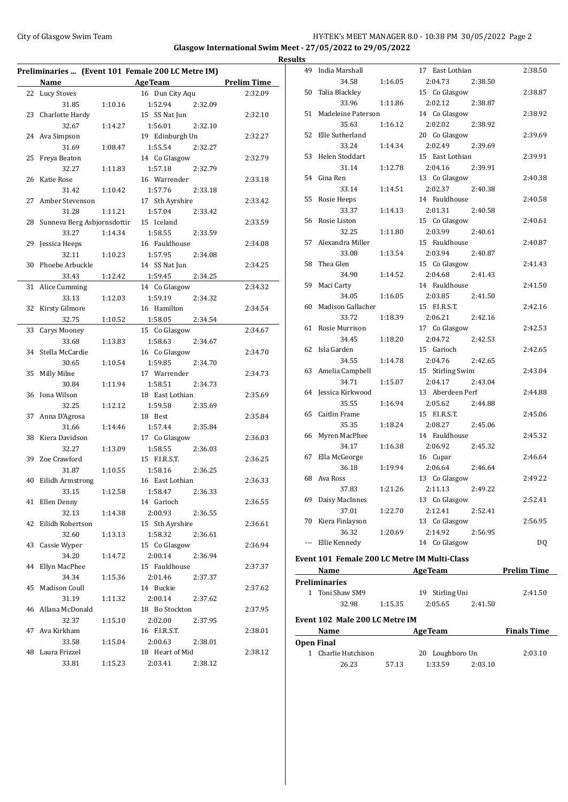# City of Glasgow Swim Team **HY-TEK's MEET MANAGER 8.0 - 10:38 PM 30/05/2022** Page 2 **Glasgow International Swim Meet - 27/05/2022 to 29/05/2022 Results**

 $\overline{\phantom{0}}$ 

|    | Preliminaries  (Event 101 Female 200 LC Metre IM) |         |                    |                    |  |  |  |
|----|---------------------------------------------------|---------|--------------------|--------------------|--|--|--|
|    | Name                                              |         | <b>AgeTeam</b>     | <b>Prelim Time</b> |  |  |  |
|    | 22 Lucy Stoves                                    |         | 16 Dun City Aqu    | 2:32.09            |  |  |  |
|    | 31.85                                             | 1:10.16 | 1:52.94<br>2:32.09 |                    |  |  |  |
| 23 | Charlotte Hardy                                   |         | 15 SS Nat Jun      | 2:32.10            |  |  |  |
|    | 32.67                                             | 1:14.27 | 1:56.01<br>2:32.10 |                    |  |  |  |
| 24 | Ava Simpson                                       |         | 19 Edinburgh Un    | 2:32.27            |  |  |  |
|    | 31.69                                             | 1:08.47 | 1:55.54<br>2:32.27 |                    |  |  |  |
| 25 | Freya Beaton                                      |         | 14 Co Glasgow      | 2:32.79            |  |  |  |
|    | 32.27                                             | 1:11.83 | 1:57.18<br>2:32.79 |                    |  |  |  |
| 26 | Katie Rose                                        |         | 16 Warrender       | 2:33.18            |  |  |  |
|    | 31.42                                             | 1:10.42 | 1:57.76<br>2:33.18 |                    |  |  |  |
| 27 | Amber Stevenson                                   |         | 17 Sth Ayrshire    | 2:33.42            |  |  |  |
|    | 31.28                                             | 1:11.21 | 1:57.04<br>2:33.42 |                    |  |  |  |
| 28 | Sunneva Berg Asbjornsdottir                       |         | 15 Iceland         | 2:33.59            |  |  |  |
|    | 33.27                                             | 1:14.34 | 1:58.55<br>2:33.59 |                    |  |  |  |
| 29 | Jessica Heeps                                     |         | 16 Fauldhouse      | 2:34.08            |  |  |  |
|    | 32.11                                             | 1:10.23 | 1:57.95<br>2:34.08 |                    |  |  |  |
| 30 | Phoebe Arbuckle                                   |         | 14 SS Nat Jun      | 2:34.25            |  |  |  |
|    | 33.43                                             | 1:12.42 | 1:59.45<br>2:34.25 |                    |  |  |  |
| 31 | Alice Cumming                                     |         | 14 Co Glasgow      | 2:34.32            |  |  |  |
|    | 33.13                                             | 1:12.03 | 1:59.19<br>2:34.32 |                    |  |  |  |
| 32 | Kirsty Gilmore                                    |         | 16 Hamilton        | 2:34.54            |  |  |  |
|    | 32.75                                             | 1:10.52 | 1:58.05<br>2:34.54 |                    |  |  |  |
| 33 | Carys Mooney                                      |         | 15 Co Glasgow      | 2:34.67            |  |  |  |
|    | 33.68                                             | 1:13.83 | 1:58.63<br>2:34.67 |                    |  |  |  |
| 34 | Stella McCardie                                   |         | 16 Co Glasgow      | 2:34.70            |  |  |  |
|    | 30.65                                             | 1:10.54 | 1:59.85<br>2:34.70 |                    |  |  |  |
| 35 | Milly Milne                                       |         | 17 Warrender       | 2:34.73            |  |  |  |
|    | 30.84                                             | 1:11.94 | 1:58.51<br>2:34.73 |                    |  |  |  |
| 36 | Iona Wilson                                       |         | 18 East Lothian    | 2:35.69            |  |  |  |
|    | 32.25                                             | 1:12.12 | 1:59.58<br>2:35.69 |                    |  |  |  |
| 37 | Anna D'Agrosa                                     |         | 18 Best            | 2:35.84            |  |  |  |
|    | 31.66                                             | 1:14.46 | 1:57.44<br>2:35.84 |                    |  |  |  |
| 38 | Kiera Davidson                                    |         | 17 Co Glasgow      | 2:36.03            |  |  |  |
|    | 32.27                                             | 1:13.09 | 1:58.55<br>2:36.03 |                    |  |  |  |
| 39 | Zoe Crawford                                      |         | 15 F.I.R.S.T.      | 2:36.25            |  |  |  |
|    | 31.87                                             | 1:10.55 | 1:58.16<br>2:36.25 |                    |  |  |  |
| 40 | Eilidh Armstrong                                  |         | 16 East Lothian    | 2:36.33            |  |  |  |
|    | 33.15                                             | 1:12.58 | 1:58.47<br>2:36.33 |                    |  |  |  |
|    | 41 Ellen Denny                                    |         | 14 Garioch         | 2:36.55            |  |  |  |
|    | 32.13                                             | 1:14.38 | 2:00.93<br>2:36.55 |                    |  |  |  |
| 42 | Eilidh Robertson                                  |         | 15 Sth Ayrshire    | 2:36.61            |  |  |  |
|    | 32.60                                             | 1:13.13 | 1:58.32<br>2:36.61 |                    |  |  |  |
| 43 | Cassie Wyper                                      |         | 15 Co Glasgow      | 2:36.94            |  |  |  |
|    | 34.20                                             | 1:14.72 | 2:00.14<br>2:36.94 |                    |  |  |  |
| 44 | Ellyn MacPhee                                     |         | 15 Fauldhouse      | 2:37.37            |  |  |  |
|    | 34.34                                             | 1:15.36 | 2:01.46<br>2:37.37 |                    |  |  |  |
| 45 | Madison Coull                                     |         | 14 Buckie          | 2:37.62            |  |  |  |
|    | 31.19                                             | 1:11.32 | 2:00.14<br>2:37.62 |                    |  |  |  |
|    | 46 Allana McDonald                                |         | 18 Bo Stockton     | 2:37.95            |  |  |  |
|    | 32.37                                             | 1:15.10 | 2:02.00<br>2:37.95 |                    |  |  |  |
| 47 | Ava Kirkham                                       |         | 16 F.I.R.S.T.      | 2:38.01            |  |  |  |
|    | 33.58                                             | 1:15.04 | 2:00.63<br>2:38.01 |                    |  |  |  |
| 48 | Laura Frizzel                                     |         | 18 Heart of Mid    | 2:38.12            |  |  |  |
|    | 33.81                                             | 1:15.23 | 2:03.41<br>2:38.12 |                    |  |  |  |

| uıts |                                |         |                                              |                              |
|------|--------------------------------|---------|----------------------------------------------|------------------------------|
| 49   | India Marshall                 |         | 17 East Lothian                              | 2:38.50                      |
|      | 34.58                          | 1:16.05 | 2:04.73<br>2:38.50                           |                              |
|      | 50 Talia Blackley              |         | 15 Co Glasgow                                | 2:38.87                      |
|      | 33.96                          | 1:11.86 | 2:02.12<br>2:38.87                           |                              |
|      | 51 Madeleine Paterson          |         | 14 Co Glasgow                                | 2:38.92                      |
|      | 35.63                          | 1:16.12 | 2:02.02<br>2:38.92                           |                              |
|      | 52 Elle Sutherland             |         | 20 Co Glasgow                                | 2:39.69                      |
|      | 33.24                          | 1:14.34 | 2:02.49<br>2:39.69                           |                              |
| 53   | Helen Stoddart                 |         | 15 East Lothian                              | 2:39.91                      |
|      | 31.14                          | 1:12.78 | 2:04.16<br>2:39.91                           |                              |
|      | 54 Gina Ren                    |         | 13 Co Glasgow                                | 2:40.38                      |
|      | 33.14                          | 1:14.51 | 2:02.37<br>2:40.38                           |                              |
|      | 55 Rosie Heeps                 |         | 14 Fauldhouse                                | 2:40.58                      |
|      | 33.37                          | 1:14.13 | 2:01.31<br>2:40.58                           |                              |
|      | 56 Rosie Liston                |         | 15 Co Glasgow                                | 2:40.61                      |
|      | 32.25                          | 1:11.80 | 2:03.99<br>2:40.61                           |                              |
| 57   | Alexandra Miller               |         | 15 Fauldhouse                                | 2:40.87                      |
|      | 33.08                          | 1:13.54 | 2:03.94<br>2:40.87                           |                              |
| 58   | Thea Glen                      |         | 15 Co Glasgow                                | 2:41.43                      |
|      | 34.90                          | 1:14.52 | 2:04.68<br>2:41.43                           |                              |
|      | 59 Maci Carty                  |         | 14 Fauldhouse                                | 2:41.50                      |
|      | 34.05                          | 1:16.05 | 2:03.85<br>2:41.50                           |                              |
| 60   | Madison Gallacher              |         | 15 F.I.R.S.T.                                | 2:42.16                      |
|      | 33.72                          | 1:18.39 | 2:06.21<br>2:42.16                           |                              |
|      | 61 Rosie Murrison              |         | 17 Co Glasgow                                | 2:42.53                      |
|      | 34.45                          | 1:18.20 | 2:04.72<br>2:42.53                           |                              |
|      | 62 Isla Garden                 |         | 15 Garioch                                   | 2:42.65                      |
|      | 34.55                          | 1:14.78 | 2:04.76<br>2:42.65                           |                              |
|      | 63 Amelia Campbell             |         | 15 Stirling Swim                             | 2:43.04                      |
|      | 34.71                          | 1:15.07 | 2:04.17<br>2:43.04                           |                              |
|      | 64 Jessica Kirkwood            |         | 13 Aberdeen Perf                             | 2:44.88                      |
|      | 35.55                          | 1:16.94 | 2:05.62<br>2:44.88                           |                              |
| 65   | Caitlin Frame                  |         | 15 F.I.R.S.T.                                | 2:45.06                      |
|      | 35.35                          | 1:18.24 | 2:08.27<br>2:45.06                           |                              |
| 66   | Myren MacPhee                  |         | 14 Fauldhouse                                | 2:45.32                      |
|      | 34.17                          | 1:16.38 | 2:06.92<br>2:45.32                           |                              |
| 67   | Ella McGeorge                  |         | 16 Cupar                                     | 2:46.64                      |
|      | 36.18                          | 1:19.94 | 2:06.64<br>2:46.64                           |                              |
|      | 68 Ava Ross                    |         | 13 Co Glasgow                                | 2:49.22                      |
|      | 37.83                          | 1:21.26 | 2:11.13<br>2:49.22                           |                              |
|      | 69 Daisy MacInnes              |         | 13 Co Glasgow                                | 2:52.41                      |
|      | 37.01                          | 1:22.70 | 2:12.41<br>2:52.41                           |                              |
|      | 70 Kiera Finlayson             |         | 13 Co Glasgow                                | 2:56.95                      |
|      | 36.32                          | 1:20.69 | 2:14.92<br>2:56.95                           |                              |
|      | --- Ellie Kennedy              |         | 14 Co Glasgow                                | DQ                           |
|      |                                |         | Event 101 Female 200 LC Metre IM Multi-Class |                              |
|      | Name                           |         | AgeTeam                                      | <b>Prelim Time</b>           |
|      | <b>Preliminaries</b>           |         |                                              |                              |
|      | 1 Toni Shaw SM9                |         | 19 Stirling Uni                              | 2:41.50                      |
|      | 32.98                          | 1:15.35 | 2:05.65<br>2:41.50                           |                              |
|      |                                |         |                                              |                              |
|      | Event 102 Male 200 LC Metre IM |         |                                              |                              |
|      | Name                           |         | <b>AgeTeam</b>                               | <b>Example 1</b> Finals Time |
|      | <b>Open Final</b>              |         |                                              |                              |

1 Charlie Hutchison 20 Loughboro Un 2:03.10 26.23 57.13 1:33.59 2:03.10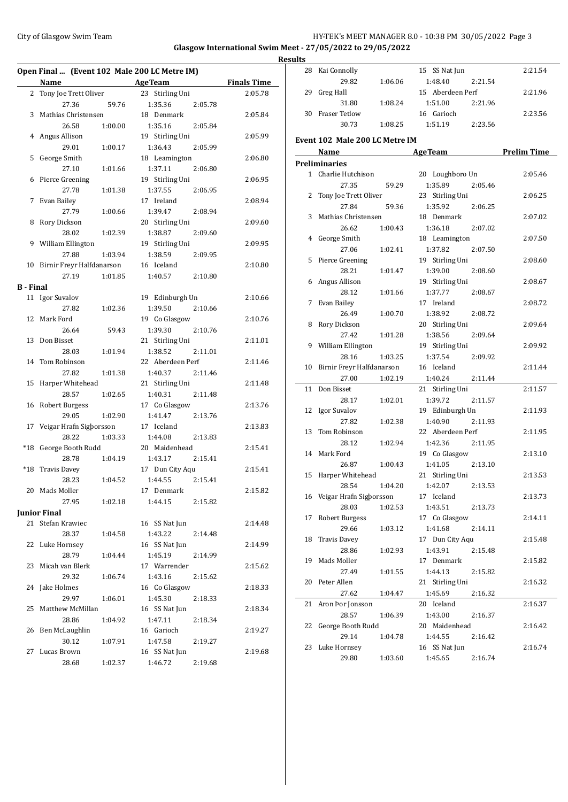### City of Glasgow Swim Team **HY-TEK's MEET MANAGER 8.0 - 10:38 PM 30/05/2022** Page 3 **Glasgow International Swim Meet - 27/05/2022 to 29/05/2022 Results**

**Open Final ... (Event 102 Male 200 LC Metre IM) Name Age Team Finals Time** 2 Tony Joe Trett Oliver 23 Stirling Uni 2:05.78 27.36 59.76 1:35.36 2:05.78 3 Mathias Christensen 18 Denmark 2:05.84 26.58 1:00.00 1:35.16 2:05.84 4 Angus Allison 19 Stirling Uni 2:05.99 29.01 1:00.17 1:36.43 2:05.99 5 George Smith 18 Leamington 2:06.80 27.10 1:01.66 1:37.11 2:06.80 6 Pierce Greening 19 Stirling Uni 2:06.95 27.78 1:01.38 1:37.55 2:06.95 7 Evan Bailey 17 Ireland 2:08.94 27.79 1:00.66 1:39.47 2:08.94 8 Rory Dickson 20 Stirling Uni 2:09.60 28.02 1:02.39 1:38.87 2:09.60 9 William Ellington 19 Stirling Uni 2:09.95 27.88 1:03.94 1:38.59 2:09.95 10 Birnir Freyr Halfdanarson 16 Iceland 2:10.80 27.19 1:01.85 1:40.57 2:10.80 **B - Final** 11 Igor Suvalov 19 Edinburgh Un 2:10.66 27.82 1:02.36 1:39.50 2:10.66 12 Mark Ford 19 Co Glasgow 2:10.76 26.64 59.43 1:39.30 2:10.76 13 Don Bisset 21 Stirling Uni 2:11.01 28.03 1:01.94 1:38.52 2:11.01 14 Tom Robinson 22 Aberdeen Perf 2:11.46 27.82 1:01.38 1:40.37 2:11.46 15 Harper Whitehead 21 Stirling Uni 2:11.48 28.57 1:02.65 1:40.31 2:11.48 16 Robert Burgess 17 Co Glasgow 2:13.76 29.05 1:02.90 1:41.47 2:13.76 17 Veigar Hrafn Sigþorsson 17 Iceland 2:13.83 28.22 1:03.33 1:44.08 2:13.83 \*18 George Booth Rudd 20 Maidenhead 2:15.41 28.78 1:04.19 1:43.17 2:15.41 \*18 Travis Davey 17 Dun City Aqu 2:15.41 28.23 1:04.52 1:44.55 2:15.41 20 Mads Moller 17 Denmark 2:15.82 27.95 1:02.18 1:44.15 2:15.82 **Junior Final** 21 Stefan Krawiec 16 SS Nat Jun 2:14.48 28.37 1:04.58 1:43.22 2:14.48 22 Luke Hornsey 16 SS Nat Jun 2:14.99 28.79 1:04.44 1:45.19 2:14.99 23 Micah van Blerk 17 Warrender 2:15.62 29.32 1:06.74 1:43.16 2:15.62 24 Jake Holmes 16 Co Glasgow 2:18.33 29.97 1:06.01 1:45.30 2:18.33 25 Matthew McMillan 16 SS Nat Jun 2:18.34 28.86 1:04.92 1:47.11 2:18.34 26 Ben McLaughlin 16 Garioch 2:19.27 30.12 1:07.91 1:47.58 2:19.27 27 Lucas Brown 16 SS Nat Jun 2:19.68 28.68 1:02.37 1:46.72 2:19.68

| <u>ILS</u>   |                                       |         |                  |         |                    |
|--------------|---------------------------------------|---------|------------------|---------|--------------------|
| 28           | Kai Connolly                          |         | 15 SS Nat Jun    |         | 2:21.54            |
|              | 29.82                                 | 1:06.06 | 1:48.40          | 2:21.54 |                    |
| 29           | Greg Hall                             |         | 15 Aberdeen Perf |         | 2:21.96            |
|              | 31.80                                 | 1:08.24 | 1:51.00          | 2:21.96 |                    |
|              | 30 Fraser Tetlow                      |         | 16 Garioch       |         | 2:23.56            |
|              | 30.73                                 | 1:08.25 | 1:51.19          | 2:23.56 |                    |
|              |                                       |         |                  |         |                    |
|              | <b>Event 102 Male 200 LC Metre IM</b> |         |                  |         |                    |
|              | Name                                  |         | Age Team         |         | <b>Prelim Time</b> |
|              | Preliminaries                         |         |                  |         |                    |
|              | 1 Charlie Hutchison                   |         | 20 Loughboro Un  |         | 2:05.46            |
|              | 27.35                                 | 59.29   | 1:35.89          | 2:05.46 |                    |
| $\mathbf{2}$ | Tony Joe Trett Oliver                 |         | 23 Stirling Uni  |         | 2:06.25            |
|              | 27.84                                 | 59.36   | 1:35.92          | 2:06.25 |                    |
| 3            | Mathias Christensen                   |         | 18 Denmark       |         | 2:07.02            |
|              | 26.62                                 | 1:00.43 | 1:36.18          | 2:07.02 |                    |
| 4            | George Smith                          |         | 18 Leamington    |         | 2:07.50            |
|              | 27.06                                 | 1:02.41 | 1:37.82          | 2:07.50 |                    |
| 5            | Pierce Greening                       |         | 19 Stirling Uni  |         | 2:08.60            |
|              | 28.21                                 | 1:01.47 | 1:39.00          | 2:08.60 |                    |
| 6            | Angus Allison                         |         | 19 Stirling Uni  |         | 2:08.67            |
|              | 28.12                                 | 1:01.66 | 1:37.77          | 2:08.67 |                    |
| 7            | Evan Bailey                           |         | 17 Ireland       |         | 2:08.72            |
|              | 26.49                                 | 1:00.70 | 1:38.92          | 2:08.72 |                    |
| 8            | Rory Dickson                          |         | 20 Stirling Uni  |         | 2:09.64            |
|              | 27.42                                 | 1:01.28 | 1:38.56          | 2:09.64 |                    |
| 9            | William Ellington                     |         | 19 Stirling Uni  |         | 2:09.92            |
|              | 28.16                                 | 1:03.25 | 1:37.54          | 2:09.92 |                    |
|              | 10 Birnir Freyr Halfdanarson          |         | 16 Iceland       |         | 2:11.44            |
|              | 27.00                                 | 1:02.19 | 1:40.24          | 2:11.44 |                    |
| 11           | Don Bisset                            |         | 21 Stirling Uni  |         | 2:11.57            |
|              | 28.17                                 | 1:02.01 | 1:39.72          | 2:11.57 |                    |
| 12           | Igor Suvalov                          |         | 19 Edinburgh Un  |         | 2:11.93            |
|              | 27.82                                 | 1:02.38 | 1:40.90          | 2:11.93 |                    |
| 13           | Tom Robinson                          |         | 22 Aberdeen Perf |         | 2:11.95            |
|              | 28.12                                 | 1:02.94 | 1:42.36          | 2:11.95 |                    |
|              | 14 Mark Ford                          |         | 19 Co Glasgow    |         | 2:13.10            |
|              | 26.87                                 | 1:00.43 | 1:41.05          | 2:13.10 |                    |
|              | 15 Harper Whitehead                   |         | 21 Stirling Uni  |         | 2:13.53            |
|              | 28.54                                 | 1:04.20 | 1:42.07 2:13.53  |         |                    |
|              | 16 Veigar Hrafn Sigborsson            |         | 17 Iceland       |         | 2:13.73            |
|              | 28.03                                 | 1:02.53 | 1:43.51          | 2:13.73 |                    |
| 17           | <b>Robert Burgess</b>                 |         | 17 Co Glasgow    |         | 2:14.11            |
|              | 29.66                                 | 1:03.12 | 1:41.68          | 2:14.11 |                    |
| 18           | <b>Travis Davey</b>                   |         | 17 Dun City Aqu  |         | 2:15.48            |
|              | 28.86                                 | 1:02.93 | 1:43.91          | 2:15.48 |                    |
|              |                                       |         |                  |         |                    |
| 19           | Mads Moller                           |         | 17 Denmark       |         | 2:15.82            |
|              | 27.49                                 | 1:01.55 | 1:44.13          | 2:15.82 |                    |
| 20           | Peter Allen                           |         | 21 Stirling Uni  |         | 2:16.32            |
|              | 27.62                                 | 1:04.47 | 1:45.69          | 2:16.32 |                    |
| 21           | Aron Þor Jonsson                      |         | 20 Iceland       |         | 2:16.37            |
|              | 28.57                                 | 1:06.39 | 1:43.00          | 2:16.37 |                    |
| 22           | George Booth Rudd                     |         | 20 Maidenhead    |         | 2:16.42            |
|              | 29.14                                 | 1:04.78 | 1:44.55          | 2:16.42 |                    |
| 23           | Luke Hornsey                          |         | 16 SS Nat Jun    |         | 2:16.74            |
|              | 29.80                                 | 1:03.60 | 1:45.65          | 2:16.74 |                    |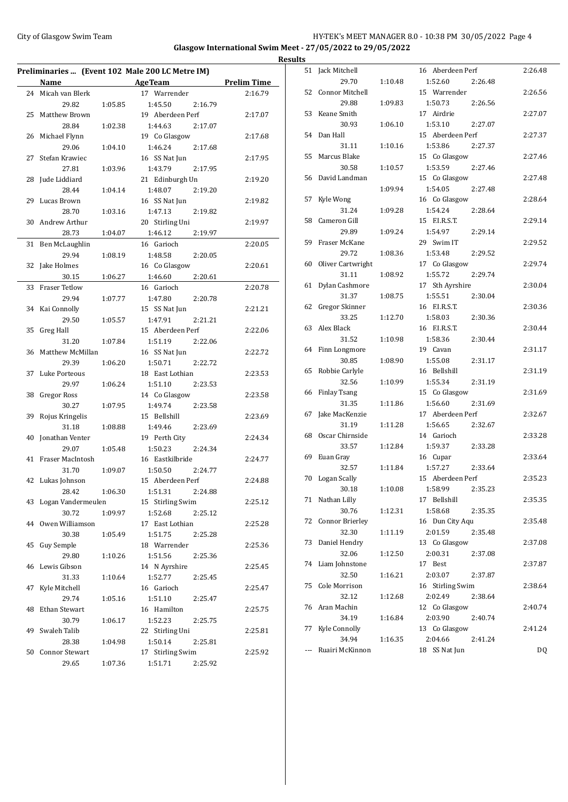# City of Glasgow Swim Team **HY-TEK's MEET MANAGER 8.0 - 10:38 PM 30/05/2022** Page 4 **Glasgow International Swim Meet - 27/05/2022 to 29/05/2022**

**Preliminaries ... (Event 102 Male 200 LC Metre IM) Name Age Team Prelim Time** 24 Micah van Blerk 17 Warrender 2:16.79 29.82 1:05.85 1:45.50 2:16.79 25 Matthew Brown 19 Aberdeen Perf 2:17.07 28.84 1:02.38 1:44.63 2:17.07 26 Michael Flynn 19 Co Glasgow 2:17.68 29.06 1:04.10 1:46.24 2:17.68 27 Stefan Krawiec 16 SS Nat Jun 2:17.95 27.81 1:03.96 1:43.79 2:17.95 28 Jude Liddiard 21 Edinburgh Un 2:19.20 28.44 1:04.14 1:48.07 2:19.20 29 Lucas Brown 16 SS Nat Jun 2:19.82 28.70 1:03.16 1:47.13 2:19.82 30 Andrew Arthur 20 Stirling Uni 2:19.97 28.73 1:04.07 1:46.12 2:19.97 31 Ben McLaughlin 16 Garioch 2:20.05 29.94 1:08.19 1:48.58 2:20.05 32 Jake Holmes 16 Co Glasgow 2:20.61 30.15 1:06.27 1:46.60 2:20.61 33 Fraser Tetlow 16 Garioch 2:20.78 29.94 1:07.77 1:47.80 2:20.78 34 Kai Connolly 15 SS Nat Jun 2:21.21 29.50 1:05.57 1:47.91 2:21.21 35 Greg Hall 15 Aberdeen Perf 2:22.06 31.20 1:07.84 1:51.19 2:22.06 36 Matthew McMillan 16 SS Nat Jun 2:22.72 29.39 1:06.20 1:50.71 2:22.72 37 Luke Porteous 18 East Lothian 2:23.53 29.97 1:06.24 1:51.10 2:23.53 38 Gregor Ross 14 Co Glasgow 2:23.58 30.27 1:07.95 1:49.74 2:23.58 39 Rojus Kringelis 15 Bellshill 2:23.69 31.18 1:08.88 1:49.46 2:23.69 40 Jonathan Venter 19 Perth City 2:24.34 29.07 1:05.48 1:50.23 2:24.34 41 Fraser MacIntosh 16 Eastkilbride 2:24.77 31.70 1:09.07 1:50.50 2:24.77 42 Lukas Johnson 15 Aberdeen Perf 2:24.88 28.42 1:06.30 1:51.31 2:24.88 43 Logan Vandermeulen 15 Stirling Swim 2:25.12 30.72 1:09.97 1:52.68 2:25.12 44 Owen Williamson 17 East Lothian 2:25.28 30.38 1:05.49 1:51.75 2:25.28 45 Guy Semple 18 Warrender 2:25.36 29.80 1:10.26 1:51.56 2:25.36 46 Lewis Gibson 14 N Ayrshire 2:25.45 31.33 1:10.64 1:52.77 2:25.45 47 Kyle Mitchell 16 Garioch 2:25.47 29.74 1:05.16 1:51.10 2:25.47 48 Ethan Stewart 16 Hamilton 2:25.75 30.79 1:06.17 1:52.23 2:25.75 49 Swaleh Talib 22 Stirling Uni 2:25.81 28.38 1:04.98 1:50.14 2:25.81 50 Connor Stewart 17 Stirling Swim 2:25.92 29.65 1:07.36 1:51.71 2:25.92

| <b>Results</b> |                      |         |                          |         |
|----------------|----------------------|---------|--------------------------|---------|
|                | 51 Jack Mitchell     |         | 16 Aberdeen Perf         | 2:26.48 |
|                | 29.70                | 1:10.48 | 1:52.60<br>2:26.48       |         |
|                | 52 Connor Mitchell   |         | 15 Warrender             | 2:26.56 |
|                | 29.88                | 1:09.83 | 1:50.73<br>2:26.56       |         |
|                | 53 Keane Smith       |         | 17 Airdrie               | 2:27.07 |
|                | 30.93                | 1:06.10 | 1:53.10<br>2:27.07       |         |
|                | 54 Dan Hall          |         | 15 Aberdeen Perf         | 2:27.37 |
|                | 31.11                | 1:10.16 | 1:53.86<br>2:27.37       |         |
|                | 55 Marcus Blake      |         | 15 Co Glasgow            | 2:27.46 |
|                | 30.58                | 1:10.57 | 1:53.59<br>2:27.46       |         |
|                | 56 David Landman     |         | 15 Co Glasgow            | 2:27.48 |
|                |                      | 1:09.94 | 1:54.05<br>2:27.48       |         |
| 57             | Kyle Wong            |         | 16 Co Glasgow            | 2:28.64 |
|                | 31.24                | 1:09.28 | 1:54.24<br>2:28.64       |         |
|                | 58 Cameron Gill      |         | 15 F.I.R.S.T.            | 2:29.14 |
|                | 29.89                | 1:09.24 | 1:54.97<br>2:29.14       |         |
|                | 59 Fraser McKane     |         | 29 Swim IT               | 2:29.52 |
|                | 29.72                | 1:08.36 | 1:53.48<br>2:29.52       |         |
|                | 60 Oliver Cartwright |         | 17 Co Glasgow            | 2:29.74 |
|                | 31.11                | 1:08.92 | 1:55.72<br>2:29.74       |         |
| 61             | Dylan Cashmore       |         | 17 Sth Ayrshire          | 2:30.04 |
|                | 31.37                | 1:08.75 | 1:55.51<br>2:30.04       |         |
| 62             | Gregor Skinner       |         | 16 F.I.R.S.T.            | 2:30.36 |
|                | 33.25                | 1:12.70 | 1:58.03<br>2:30.36       |         |
| 63             | Alex Black           |         | 16 F.I.R.S.T.            | 2:30.44 |
|                | 31.52                | 1:10.98 | 1:58.36<br>2:30.44       |         |
|                | 64 Finn Longmore     |         | 19 Cavan                 | 2:31.17 |
|                | 30.85                | 1:08.90 | 1:55.08<br>2:31.17       |         |
| 65             | Robbie Carlyle       |         | 16 Bellshill             | 2:31.19 |
|                | 32.56                | 1:10.99 | 1:55.34<br>2:31.19       |         |
|                | 66 Finlay Tsang      |         | 15 Co Glasgow            | 2:31.69 |
|                | 31.35                | 1:11.86 | 1:56.60<br>2:31.69       |         |
| 67             | Jake MacKenzie       |         | 17 Aberdeen Perf         | 2:32.67 |
|                | 31.19                | 1:11.28 | 1:56.65<br>2:32.67       |         |
|                | 68 Oscar Chirnside   |         | 14 Garioch               | 2:33.28 |
|                | 33.57                | 1:12.84 | 1:59.37<br>2:33.28       |         |
|                | 69 Euan Gray         |         | 16 Cupar                 | 2:33.64 |
|                | 32.57                | 1:11.84 | 1:57.27<br>2:33.64       |         |
|                | 70 Logan Scally      |         | 15 Aberdeen Perf         | 2:35.23 |
|                | 30.18                | 1:10.08 | 1:58.99<br>2:35.23       |         |
|                | 71 Nathan Lilly      |         | 17 Bellshill             | 2:35.35 |
|                | 30.76                | 1:12.31 | 1:58.68<br>2:35.35       |         |
|                | 72 Connor Brierley   |         | 16 Dun City Aqu          | 2:35.48 |
|                | 32.30                | 1:11.19 | 2:01.59<br>2:35.48       |         |
| 73             | Daniel Hendry        |         | 13 Co Glasgow            | 2:37.08 |
|                | 32.06                | 1:12.50 | 2:00.31<br>2:37.08       |         |
| 74             | Liam Johnstone       |         | 17 Best                  | 2:37.87 |
|                | 32.50                | 1:16.21 | 2:03.07<br>2:37.87       |         |
| 75             | Cole Morrison        |         | 16 Stirling Swim         | 2:38.64 |
|                | 32.12                | 1:12.68 | 2:02.49<br>2:38.64       |         |
| 76             | Aran Machin          |         | 12 Co Glasgow            | 2:40.74 |
|                | 34.19                |         | 2:03.90                  |         |
| 77             | Kyle Connolly        | 1:16.84 | 2:40.74<br>13 Co Glasgow | 2:41.24 |
|                |                      |         |                          |         |
|                | 34.94                | 1:16.35 | 2:04.66<br>2:41.24       |         |
|                | Ruairi McKinnon      |         | 18 SS Nat Jun            | DQ      |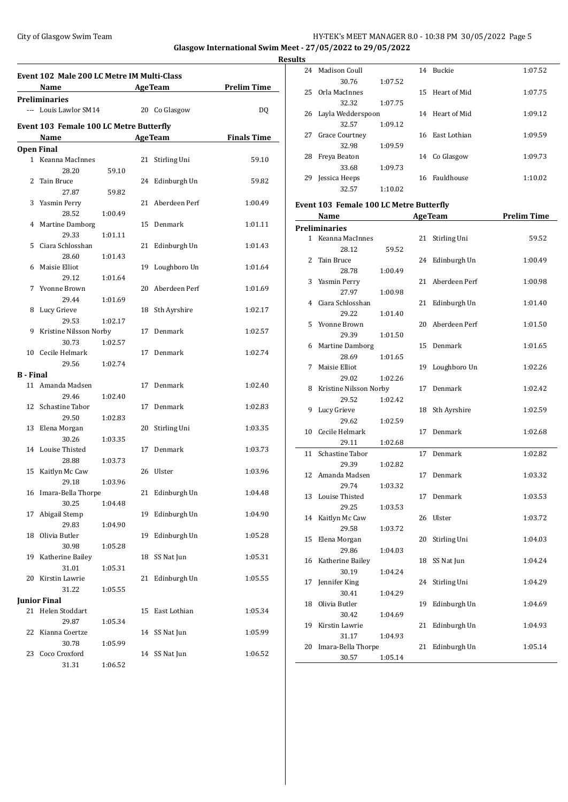# City of Glasgow Swim Team **HY-TEK's MEET MANAGER 8.0 - 10:38 PM 30/05/2022** Page 5 **Glasgow International Swim Meet - 27/05/2022 to 29/05/2022**

**Results Event 102 Male 200 LC Metre IM Multi-Class Name Age Team Prelim Time Preliminaries** --- Louis Lawlor SM14 20 Co Glasgow DQ **Event 103 Female 100 LC Metre Butterfly Name Age Team Finals Time Open Final** 1 Keanna MacInnes 21 Stirling Uni 59.10 28.20 59.10 2 Tain Bruce 24 Edinburgh Un 59.82 27.87 59.82 3 Yasmin Perry 21 Aberdeen Perf 1:00.49 28.52 1:00.49 4 Martine Damborg 15 Denmark 1:01.11 29.33 1:01.11 5 Ciara Schlosshan 21 Edinburgh Un 1:01.43 28.60 1:01.43 6 Maisie Elliot 19 Loughboro Un 1:01.64 29.12 1:01.64 7 Yvonne Brown 20 Aberdeen Perf 1:01.69 29.44 1:01.69 8 Lucy Grieve 18 Sth Ayrshire 1:02.17 29.53 1:02.17 9 Kristine Nilsson Norby 17 Denmark 1:02.57 30.73 1:02.57 10 Cecile Helmark 17 Denmark 1:02.74 29.56 1:02.74 **B - Final** 11 Amanda Madsen 17 Denmark 1:02.40 29.46 1:02.40 12 Schastine Tabor 17 Denmark 1:02.83 29.50 1:02.83 13 Elena Morgan 20 Stirling Uni 1:03.35 30.26 1:03.35 14 Louise Thisted 17 Denmark 1:03.73 28.88 1:03.73 15 Kaitlyn Mc Caw 26 Ulster 1:03.96 29.18 1:03.96 16 Imara-Bella Thorpe 21 Edinburgh Un 1:04.48 30.25 1:04.48 17 Abigail Stemp 19 Edinburgh Un 1:04.90 29.83 1:04.90 18 Olivia Butler 19 Edinburgh Un 1:05.28 30.98 1:05.28 19 Katherine Bailey 18 SS Nat Jun 1:05.31 31.01 1:05.31 20 Kirstin Lawrie 21 Edinburgh Un 1:05.55 31.22 1:05.55 **Junior Final** 21 Helen Stoddart 15 East Lothian 1:05.34 29.87 1:05.34 22 Kianna Coertze 14 SS Nat Jun 1:05.99 30.78 1:05.99 23 Coco Croxford 14 SS Nat Jun 1:06.52

31.31 1:06.52

| ◡   |                      |         |     |                 |         |
|-----|----------------------|---------|-----|-----------------|---------|
| 24  | Madison Coull        |         | 14  | <b>Buckie</b>   | 1:07.52 |
|     | 30.76                | 1:07.52 |     |                 |         |
| 25. | Orla MacInnes        |         | 15. | Heart of Mid    | 1:07.75 |
|     | 32.32                | 1:07.75 |     |                 |         |
|     | 26 Layla Wedderspoon |         |     | 14 Heart of Mid | 1:09.12 |
|     | 32.57                | 1:09.12 |     |                 |         |
| 27  | Grace Courtney       |         |     | 16 East Lothian | 1:09.59 |
|     | 32.98                | 1:09.59 |     |                 |         |
| 28  | Freya Beaton         |         | 14  | Co Glasgow      | 1:09.73 |
|     | 33.68                | 1:09.73 |     |                 |         |
| 29  | Jessica Heeps        |         | 16  | Fauldhouse      | 1:10.02 |
|     | 32.57                | 1:10.02 |     |                 |         |

### **Event 103 Female 100 LC Metre Butterfly**

|    | <u>Name</u>             |         |    | <b>AgeTeam</b> | <b>Prelim Time</b> |
|----|-------------------------|---------|----|----------------|--------------------|
|    | <b>Preliminaries</b>    |         |    |                |                    |
| 1  | Keanna MacInnes         |         | 21 | Stirling Uni   | 59.52              |
|    | 28.12                   | 59.52   |    |                |                    |
| 2  | <b>Tain Bruce</b>       |         | 24 | Edinburgh Un   | 1:00.49            |
|    | 28.78                   | 1:00.49 |    |                |                    |
| 3  | Yasmin Perry            |         | 21 | Aberdeen Perf  | 1:00.98            |
|    | 27.97                   | 1:00.98 |    |                |                    |
| 4  | Ciara Schlosshan        |         | 21 | Edinburgh Un   | 1:01.40            |
|    | 29.22                   | 1:01.40 |    |                |                    |
| 5  | Yvonne Brown            |         | 20 | Aberdeen Perf  | 1:01.50            |
|    | 29.39                   | 1:01.50 |    |                |                    |
| 6  | Martine Damborg         |         | 15 | Denmark        | 1:01.65            |
|    | 28.69                   | 1:01.65 |    |                |                    |
| 7  | Maisie Elliot           |         | 19 | Loughboro Un   | 1:02.26            |
|    | 29.02                   | 1:02.26 |    |                |                    |
| 8  | Kristine Nilsson Norby  |         | 17 | Denmark        | 1:02.42            |
|    | 29.52                   | 1:02.42 |    |                |                    |
| 9  | Lucy Grieve             |         | 18 | Sth Ayrshire   | 1:02.59            |
|    | 29.62                   | 1:02.59 |    |                |                    |
| 10 | Cecile Helmark          |         | 17 | Denmark        | 1:02.68            |
|    | 29.11                   | 1:02.68 |    |                |                    |
| 11 | <b>Schastine Tabor</b>  |         | 17 | Denmark        | 1:02.82            |
|    | 29.39                   | 1:02.82 |    |                |                    |
| 12 | Amanda Madsen           |         | 17 | Denmark        | 1:03.32            |
|    | 29.74                   | 1:03.32 |    |                |                    |
| 13 | Louise Thisted          |         | 17 | Denmark        | 1:03.53            |
|    | 29.25                   | 1:03.53 |    |                |                    |
| 14 | Kaitlyn Mc Caw          |         | 26 | Ulster         | 1:03.72            |
|    | 29.58                   | 1:03.72 |    |                |                    |
| 15 | Elena Morgan            |         | 20 | Stirling Uni   | 1:04.03            |
|    | 29.86                   | 1:04.03 |    |                |                    |
| 16 | Katherine Bailey        |         | 18 | SS Nat Jun     | 1:04.24            |
|    | 30.19                   | 1:04.24 |    |                |                    |
| 17 | Jennifer King           |         | 24 | Stirling Uni   | 1:04.29            |
|    | 30.41<br>Olivia Butler  | 1:04.29 |    |                |                    |
| 18 | 30.42                   |         | 19 | Edinburgh Un   | 1:04.69            |
|    |                         | 1:04.69 |    |                |                    |
| 19 | Kirstin Lawrie<br>31.17 |         | 21 | Edinburgh Un   | 1:04.93            |
| 20 | Imara-Bella Thorpe      | 1:04.93 | 21 | Edinburgh Un   | 1:05.14            |
|    | 30.57                   | 1:05.14 |    |                |                    |
|    |                         |         |    |                |                    |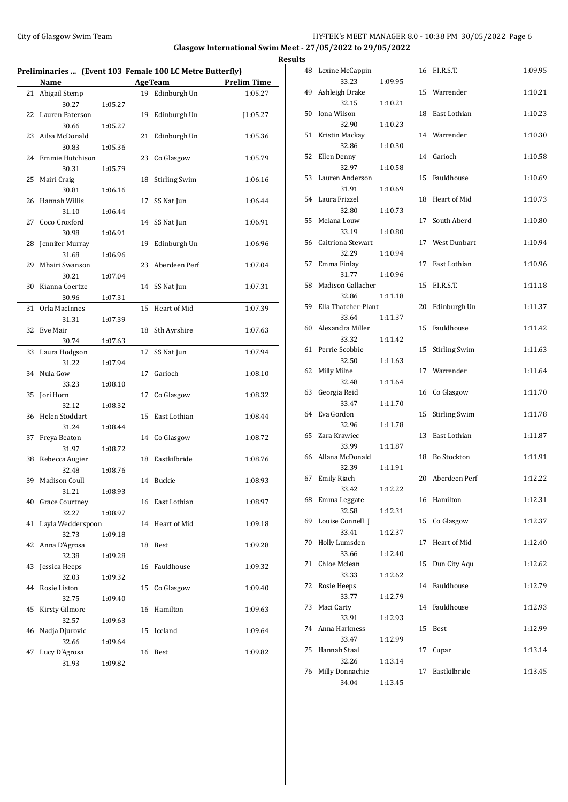# City of Glasgow Swim Team **HY-TEK's MEET MANAGER 8.0 - 10:38 PM 30/05/2022** Page 6 **Glasgow International Swim Meet - 27/05/2022 to 29/05/2022 Results**

|    | Preliminaries  (Event 103 Female 100 LC Metre Butterfly)<br>Name |         |    | <b>AgeTeam</b>       | <b>Prelim Time</b> |
|----|------------------------------------------------------------------|---------|----|----------------------|--------------------|
| 21 | Abigail Stemp                                                    |         |    | 19 Edinburgh Un      | 1:05.27            |
|    | 30.27                                                            | 1:05.27 |    |                      |                    |
| 22 |                                                                  |         |    | Edinburgh Un         |                    |
|    | Lauren Paterson                                                  |         | 19 |                      | J1:05.27           |
|    | 30.66                                                            | 1:05.27 |    |                      |                    |
| 23 | Ailsa McDonald                                                   |         | 21 | Edinburgh Un         | 1:05.36            |
|    | 30.83                                                            | 1:05.36 |    |                      |                    |
| 24 | Emmie Hutchison                                                  |         | 23 | Co Glasgow           | 1:05.79            |
|    | 30.31                                                            | 1:05.79 |    |                      |                    |
| 25 | Mairi Craig                                                      |         | 18 | <b>Stirling Swim</b> | 1:06.16            |
|    | 30.81                                                            | 1:06.16 |    |                      |                    |
| 26 | <b>Hannah Willis</b>                                             |         | 17 | SS Nat Jun           | 1:06.44            |
|    | 31.10                                                            | 1:06.44 |    |                      |                    |
| 27 | Coco Croxford                                                    |         | 14 | SS Nat Jun           | 1:06.91            |
|    | 30.98                                                            | 1:06.91 |    |                      |                    |
| 28 | Jennifer Murray                                                  |         | 19 | Edinburgh Un         | 1:06.96            |
|    | 31.68                                                            | 1:06.96 |    |                      |                    |
| 29 | Mhairi Swanson                                                   |         | 23 | Aberdeen Perf        | 1:07.04            |
|    | 30.21                                                            | 1:07.04 |    |                      |                    |
| 30 | Kianna Coertze                                                   |         | 14 | SS Nat Jun           | 1:07.31            |
|    | 30.96                                                            | 1:07.31 |    |                      |                    |
| 31 | Orla MacInnes                                                    |         | 15 | Heart of Mid         | 1:07.39            |
|    | 31.31                                                            | 1:07.39 |    |                      |                    |
| 32 | Eve Mair                                                         |         | 18 | Sth Ayrshire         | 1:07.63            |
|    | 30.74                                                            | 1:07.63 |    |                      |                    |
| 33 | Laura Hodgson                                                    |         | 17 | SS Nat Jun           | 1:07.94            |
|    | 31.22                                                            | 1:07.94 |    |                      |                    |
| 34 | Nula Gow                                                         |         | 17 | Garioch              | 1:08.10            |
|    | 33.23                                                            | 1:08.10 |    |                      |                    |
| 35 | Jori Horn                                                        |         | 17 | Co Glasgow           | 1:08.32            |
|    | 32.12                                                            | 1:08.32 |    |                      |                    |
| 36 | Helen Stoddart                                                   |         | 15 | East Lothian         | 1:08.44            |
|    | 31.24                                                            | 1:08.44 |    |                      |                    |
| 37 | Freya Beaton                                                     |         | 14 | Co Glasgow           | 1:08.72            |
|    | 31.97                                                            | 1:08.72 |    |                      |                    |
| 38 | Rebecca Augier                                                   |         | 18 | Eastkilbride         | 1:08.76            |
|    | 32.48                                                            | 1:08.76 |    |                      |                    |
| 39 | Madison Coull                                                    |         |    | 14 Buckie            | 1:08.93            |
|    | 31.21                                                            | 1:08.93 |    |                      |                    |
| 40 |                                                                  |         |    | 16 East Lothian      | 1:08.97            |
|    | Grace Courtney<br>32.27                                          | 1:08.97 |    |                      |                    |
| 41 |                                                                  |         |    | 14 Heart of Mid      |                    |
|    | Layla Wedderspoon<br>32.73                                       | 1:09.18 |    |                      | 1:09.18            |
|    |                                                                  |         |    |                      |                    |
| 42 | Anna D'Agrosa                                                    |         |    | 18 Best              | 1:09.28            |
|    | 32.38                                                            | 1:09.28 |    |                      |                    |
| 43 | Jessica Heeps                                                    |         | 16 | Fauldhouse           | 1:09.32            |
|    | 32.03                                                            | 1:09.32 |    |                      |                    |
| 44 | Rosie Liston                                                     |         | 15 | Co Glasgow           | 1:09.40            |
|    | 32.75                                                            | 1:09.40 |    |                      |                    |
| 45 | Kirsty Gilmore                                                   |         | 16 | Hamilton             | 1:09.63            |
|    | 32.57                                                            | 1:09.63 |    |                      |                    |
| 46 | Nadja Djurovic                                                   |         | 15 | Iceland              | 1:09.64            |
|    | 32.66                                                            | 1:09.64 |    |                      |                    |
| 47 | Lucy D'Agrosa                                                    |         |    | 16 Best              | 1:09.82            |
|    | 31.93                                                            | 1:09.82 |    |                      |                    |

|    | 48 Lexine McCappin           |         |    | 16 F.I.R.S.T.        | 1:09.95 |
|----|------------------------------|---------|----|----------------------|---------|
| 49 | 33.23<br>Ashleigh Drake      | 1:09.95 |    | 15 Warrender         | 1:10.21 |
| 50 | 32.15<br>Iona Wilson         | 1:10.21 | 18 | East Lothian         | 1:10.23 |
|    | 32.90                        | 1:10.23 |    |                      |         |
| 51 | Kristin Mackay<br>32.86      | 1:10.30 |    | 14 Warrender         | 1:10.30 |
| 52 | Ellen Denny                  |         | 14 | Garioch              | 1:10.58 |
| 53 | 32.97<br>Lauren Anderson     | 1:10.58 | 15 | Fauldhouse           | 1:10.69 |
|    | 31.91                        | 1:10.69 |    |                      |         |
| 54 | Laura Frizzel<br>32.80       | 1:10.73 |    | 18 Heart of Mid      | 1:10.73 |
| 55 | Melana Louw                  |         | 17 | South Aberd          | 1:10.80 |
| 56 | 33.19<br>Caitriona Stewart   | 1:10.80 | 17 | West Dunbart         | 1:10.94 |
|    | 32.29                        | 1:10.94 |    |                      |         |
| 57 | Emma Finlay<br>31.77         | 1:10.96 | 17 | East Lothian         | 1:10.96 |
| 58 | Madison Gallacher            |         | 15 | F.I.R.S.T.           | 1:11.18 |
| 59 | 32.86<br>Ella Thatcher-Plant | 1:11.18 | 20 | Edinburgh Un         | 1:11.37 |
|    | 33.64                        | 1:11.37 |    |                      |         |
| 60 | Alexandra Miller<br>33.32    | 1:11.42 | 15 | Fauldhouse           | 1:11.42 |
| 61 | Perrie Scobbie               |         | 15 | <b>Stirling Swim</b> | 1:11.63 |
| 62 | 32.50<br>Milly Milne         | 1:11.63 |    | 17 Warrender         | 1:11.64 |
|    | 32.48                        | 1:11.64 |    |                      |         |
| 63 | Georgia Reid<br>33.47        | 1:11.70 |    | 16 Co Glasgow        | 1:11.70 |
| 64 | Eva Gordon                   |         | 15 | <b>Stirling Swim</b> | 1:11.78 |
| 65 | 32.96<br>Zara Krawiec        | 1:11.78 | 13 | East Lothian         | 1:11.87 |
|    | 33.99                        | 1:11.87 |    |                      |         |
| 66 | Allana McDonald              | 1:11.91 | 18 | <b>Bo Stockton</b>   | 1:11.91 |
| 67 | 32.39<br>Emily Riach         |         | 20 | Aberdeen Perf        | 1:12.22 |
|    | 33.42                        | 1:12.22 |    |                      |         |
|    | 68 Emma Leggate<br>32.58     | 1:12.31 |    | 16 Hamilton          | 1:12.31 |
| 69 | Louise Connell J             |         | 15 | Co Glasgow           | 1:12.37 |
| 70 | 33.41<br>Holly Lumsden       | 1:12.37 | 17 | Heart of Mid         | 1:12.40 |
|    | 33.66                        | 1:12.40 |    |                      |         |
| 71 | Chloe Mclean<br>33.33        | 1:12.62 | 15 | Dun City Aqu         | 1:12.62 |
| 72 | Rosie Heeps                  |         | 14 | Fauldhouse           | 1:12.79 |
| 73 | 33.77<br>Maci Carty          | 1:12.79 | 14 | Fauldhouse           | 1:12.93 |
|    | 33.91                        | 1:12.93 |    |                      |         |
| 74 | Anna Harkness<br>33.47       | 1:12.99 | 15 | Best                 | 1:12.99 |
| 75 | Hannah Staal                 |         | 17 | Cupar                | 1:13.14 |
| 76 | 32.26<br>Milly Donnachie     | 1:13.14 | 17 | Eastkilbride         | 1:13.45 |
|    | 34.04                        | 1:13.45 |    |                      |         |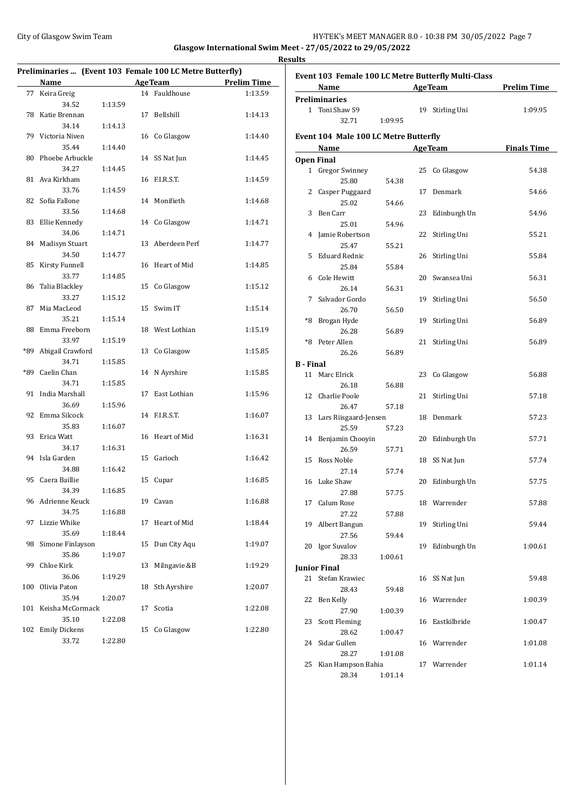## City of Glasgow Swim Team **HY-TEK's MEET MANAGER 8.0 - 10:38 PM 30/05/2022** Page 7 **Glasgow International Swim Meet - 27/05/2022 to 29/05/2022**

**Results**

**Preliminaries ... (Event 103 Female 100 LC Metre Butterfly) Name Age Team Prelim Time** 77 Keira Greig 14 Fauldhouse 1:13.59 34.52 1:13.59 78 Katie Brennan 17 Bellshill 1:14.13 34.14 1:14.13 79 Victoria Niven 16 Co Glasgow 1:14.40 35.44 1:14.40 80 Phoebe Arbuckle 14 SS Nat Jun 1:14.45 34.27 1:14.45 81 Ava Kirkham 16 F.I.R.S.T. 1:14.59 33.76 1:14.59 82 Sofia Fallone 14 Monifieth 1:14.68 33.56 1:14.68 83 Ellie Kennedy 14 Co Glasgow 1:14.71 34.06 1:14.71 84 Madisyn Stuart 13 Aberdeen Perf 1:14.77 34.50 1:14.77 85 Kirsty Funnell 16 Heart of Mid 1:14.85 33.77 1:14.85 86 Talia Blackley 15 Co Glasgow 1:15.12 33.27 1:15.12 87 Mia MacLeod 15 Swim IT 1:15.14 35.21 1:15.14 88 Emma Freeborn 18 West Lothian 1:15.19 33.97 1:15.19 \*89 Abigail Crawford 13 Co Glasgow 1:15.85 34.71 1:15.85 \*89 Caelin Chan 14 N Ayrshire 1:15.85 34.71 1:15.85 91 India Marshall 17 East Lothian 1:15.96 36.69 1:15.96 92 Emma Silcock 14 F.I.R.S.T. 1:16.07 35.83 1:16.07 93 Erica Watt 16 Heart of Mid 1:16.31 34.17 1:16.31 94 Isla Garden 15 Garioch 1:16.42 34.88 1:16.42 95 Caera Baillie 15 Cupar 1:16.85 34.39 1:16.85 96 Adrienne Keuck 19 Cavan 1:16.88 34.75 1:16.88 97 Lizzie Whike 17 Heart of Mid 1:18.44 35.69 1:18.44 98 Simone Finlayson 15 Dun City Aqu 1:19.07 35.86 1:19.07 99 Chloe Kirk 13 Milngavie &B 1:19.29 36.06 1:19.29 100 Olivia Paton 18 Sth Ayrshire 1:20.07 35.94 1:20.07 101 Keisha McCormack 17 Scotia 1:22.08 35.10 1:22.08 102 Emily Dickens 15 Co Glasgow 1:22.80 33.72 1:22.80

| Event 103 Female 100 LC Metre Butterfly Multi-Class |                                       |                                   |    |                 |                    |
|-----------------------------------------------------|---------------------------------------|-----------------------------------|----|-----------------|--------------------|
|                                                     | Name                                  | and the control of the control of |    | <b>AgeTeam</b>  | <b>Prelim Time</b> |
|                                                     | <b>Preliminaries</b>                  |                                   |    |                 |                    |
|                                                     | 1 Toni Shaw S9                        |                                   |    | 19 Stirling Uni | 1:09.95            |
|                                                     | 32.71                                 | 1:09.95                           |    |                 |                    |
|                                                     | Event 104 Male 100 LC Metre Butterfly |                                   |    |                 |                    |
|                                                     | Name                                  |                                   |    | <b>AgeTeam</b>  | <b>Finals Time</b> |
|                                                     | <b>Open Final</b>                     |                                   |    |                 |                    |
|                                                     | 1 Gregor Swinney                      |                                   | 25 | Co Glasgow      | 54.38              |
|                                                     | 25.80                                 | 54.38                             |    |                 |                    |
| 2                                                   |                                       |                                   | 17 | Denmark         | 54.66              |
|                                                     | Casper Puggaard<br>25.02              |                                   |    |                 |                    |
|                                                     |                                       | 54.66                             |    |                 |                    |
| 3                                                   | Ben Carr                              |                                   | 23 | Edinburgh Un    | 54.96              |
|                                                     | 25.01                                 | 54.96                             |    |                 |                    |
|                                                     | 4 Jamie Robertson                     |                                   | 22 | Stirling Uni    | 55.21              |
|                                                     | 25.47                                 | 55.21                             |    |                 |                    |
| 5.                                                  | Eduard Rednic                         |                                   | 26 | Stirling Uni    | 55.84              |
|                                                     | 25.84                                 | 55.84                             |    |                 |                    |
|                                                     | 6 Cole Hewitt                         |                                   |    | 20 Swansea Uni  | 56.31              |
|                                                     | 26.14                                 | 56.31                             |    |                 |                    |
| 7                                                   | Salvador Gordo                        |                                   | 19 | Stirling Uni    | 56.50              |
|                                                     | 26.70                                 | 56.50                             |    |                 |                    |
|                                                     | *8 Brogan Hyde                        |                                   | 19 | Stirling Uni    | 56.89              |
|                                                     | 26.28                                 | 56.89                             |    |                 |                    |
|                                                     | *8 Peter Allen                        |                                   | 21 | Stirling Uni    | 56.89              |
|                                                     | 26.26                                 | 56.89                             |    |                 |                    |
| <b>B</b> - Final                                    |                                       |                                   |    |                 |                    |
|                                                     | 11 Marc Elrick                        |                                   | 23 | Co Glasgow      | 56.88              |
|                                                     | 26.18                                 | 56.88                             |    |                 |                    |
|                                                     | 12 Charlie Poole                      |                                   | 21 | Stirling Uni    | 57.18              |
|                                                     | 26.47                                 | 57.18                             |    |                 |                    |
|                                                     | 13 Lars Riisgaard-Jensen              |                                   |    | 18 Denmark      | 57.23              |
|                                                     | 25.59                                 | 57.23                             |    |                 |                    |
|                                                     | 14 Benjamin Chooyin                   |                                   | 20 | Edinburgh Un    | 57.71              |
|                                                     | 26.59                                 | 57.71                             |    |                 |                    |
|                                                     | 15 Ross Noble                         |                                   | 18 | SS Nat Jun      | 57.74              |
|                                                     | 27.14                                 | 57.74                             |    |                 |                    |
|                                                     | 16 Luke Shaw                          |                                   | 20 | Edinburgh Un    | 57.75              |
|                                                     | 27.88                                 | 57.75                             |    |                 |                    |
|                                                     | 17 Calum Rose                         |                                   |    | 18 Warrender    | 57.88              |
|                                                     | 27.22                                 | 57.88                             |    |                 |                    |
|                                                     | 19 Albert Bangun                      |                                   | 19 | Stirling Uni    | 59.44              |
|                                                     | 27.56                                 | 59.44                             |    |                 |                    |
|                                                     |                                       |                                   |    | Edinburgh Un    |                    |
|                                                     | 20 Igor Suvalov                       |                                   | 19 |                 | 1:00.61            |
|                                                     | 28.33                                 | 1:00.61                           |    |                 |                    |
|                                                     | <b>Junior Final</b>                   |                                   |    |                 |                    |
|                                                     | 21 Stefan Krawiec                     |                                   | 16 | SS Nat Jun      | 59.48              |
|                                                     | 28.43                                 | 59.48                             |    |                 |                    |
| 22                                                  | Ben Kelly                             |                                   |    | 16 Warrender    | 1:00.39            |
|                                                     | 27.90                                 | 1:00.39                           |    |                 |                    |
| 23                                                  | <b>Scott Fleming</b>                  |                                   | 16 | Eastkilbride    | 1:00.47            |
|                                                     | 28.62                                 | 1:00.47                           |    |                 |                    |
| 24                                                  | Sidar Gullen                          |                                   |    | 16 Warrender    | 1:01.08            |
|                                                     | 28.27                                 | 1:01.08                           |    |                 |                    |
| 25                                                  | Kian Hampson Bahia                    |                                   |    | 17 Warrender    | 1:01.14            |
|                                                     | 28.34                                 | 1:01.14                           |    |                 |                    |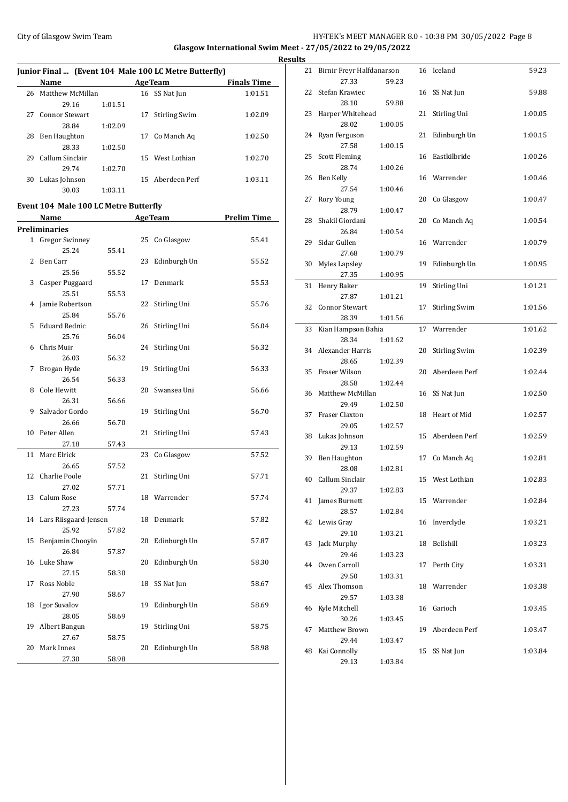# City of Glasgow Swim Team **HY-TEK's MEET MANAGER 8.0 - 10:38 PM 30/05/2022** Page 8 **Glasgow International Swim Meet - 27/05/2022 to 29/05/2022**

**Junior Final ... (Event 104 Male 100 LC Metre Butterfly) Name Age Team Finals Time** 26 Matthew McMillan 16 SS Nat Jun 1:01.51 29.16 1:01.51 27 Connor Stewart 17 Stirling Swim 1:02.09 28.84 1:02.09 28 Ben Haughton 17 Co Manch Aq 1:02.50 28.33 1:02.50 29 Callum Sinclair 15 West Lothian 1:02.70 29.74 1:02.70 30 Lukas Johnson 15 Aberdeen Perf 1:03.11 30.03 1:03.11

### **Event 104 Male 100 LC Metre Butterfly**

|              | Name                  |       |    | <b>AgeTeam</b> | <b>Prelim Time</b> |
|--------------|-----------------------|-------|----|----------------|--------------------|
|              | Preliminaries         |       |    |                |                    |
| $\mathbf{1}$ | <b>Gregor Swinney</b> |       | 25 | Co Glasgow     | 55.41              |
|              | 25.24                 | 55.41 |    |                |                    |
| 2            | Ben Carr              |       | 23 | Edinburgh Un   | 55.52              |
|              | 25.56                 | 55.52 |    |                |                    |
| 3            | Casper Puggaard       |       | 17 | Denmark        | 55.53              |
|              | 25.51                 | 55.53 |    |                |                    |
| 4            | Jamie Robertson       |       | 22 | Stirling Uni   | 55.76              |
|              | 25.84                 | 55.76 |    |                |                    |
| 5            | <b>Eduard Rednic</b>  |       | 26 | Stirling Uni   | 56.04              |
|              | 25.76                 | 56.04 |    |                |                    |
| 6            | Chris Muir            |       | 24 | Stirling Uni   | 56.32              |
|              | 26.03                 | 56.32 |    |                |                    |
| 7            | Brogan Hyde           |       | 19 | Stirling Uni   | 56.33              |
|              | 26.54                 | 56.33 |    |                |                    |
| 8            | Cole Hewitt           |       | 20 | Swansea Uni    | 56.66              |
|              | 26.31                 | 56.66 |    |                |                    |
| 9            | Salvador Gordo        |       | 19 | Stirling Uni   | 56.70              |
|              | 26.66                 | 56.70 |    |                |                    |
| 10           | Peter Allen           |       | 21 | Stirling Uni   | 57.43              |
|              | 27.18                 | 57.43 |    |                |                    |
| 11           | Marc Elrick           |       | 23 | Co Glasgow     | 57.52              |
|              | 26.65                 | 57.52 |    |                |                    |
| 12           | Charlie Poole         |       | 21 | Stirling Uni   | 57.71              |
|              | 27.02                 | 57.71 |    |                |                    |
| 13           | Calum Rose            |       | 18 | Warrender      | 57.74              |
|              | 27.23                 | 57.74 |    |                |                    |
| 14           | Lars Riisgaard-Jensen |       | 18 | Denmark        | 57.82              |
|              | 25.92                 | 57.82 |    |                |                    |
| 15           | Benjamin Chooyin      |       | 20 | Edinburgh Un   | 57.87              |
|              | 26.84                 | 57.87 |    |                |                    |
| 16           | Luke Shaw             |       | 20 | Edinburgh Un   | 58.30              |
|              | 27.15                 | 58.30 |    |                |                    |
| 17           | Ross Noble            |       | 18 | SS Nat Jun     | 58.67              |
|              | 27.90                 | 58.67 |    |                |                    |
| 18           | Igor Suvalov          |       | 19 | Edinburgh Un   | 58.69              |
|              | 28.05                 | 58.69 |    |                |                    |
| 19           | Albert Bangun         |       | 19 | Stirling Uni   | 58.75              |
|              | 27.67                 | 58.75 |    |                |                    |
| 20           | Mark Innes            |       | 20 | Edinburgh Un   | 58.98              |
|              | 27.30                 | 58.98 |    |                |                    |

 $\overline{\phantom{a}}$ 

|    | <b>Results</b> |                                       |         |    |                      |         |
|----|----------------|---------------------------------------|---------|----|----------------------|---------|
|    |                | 21 Birnir Freyr Halfdanarson<br>27.33 | 59.23   |    | 16 Iceland           | 59.23   |
| ŗ. |                | 22 Stefan Krawiec                     |         |    | 16 SS Nat Jun        | 59.88   |
|    |                | 28.10<br>23 Harper Whitehead          | 59.88   | 21 | Stirling Uni         | 1:00.05 |
|    |                | 28.02<br>24 Ryan Ferguson             | 1:00.05 | 21 | Edinburgh Un         | 1:00.15 |
|    |                | 27.58<br>25 Scott Fleming             | 1:00.15 | 16 | Eastkilbride         | 1:00.26 |
|    |                | 28.74<br>26 Ben Kelly                 | 1:00.26 |    | 16 Warrender         | 1:00.46 |
|    |                | 27.54<br>27 Rory Young                | 1:00.46 |    | 20 Co Glasgow        | 1:00.47 |
|    |                | 28.79<br>28 Shakil Giordani           | 1:00.47 | 20 | Co Manch Aq          | 1:00.54 |
|    |                | 26.84<br>29 Sidar Gullen              | 1:00.54 |    | 16 Warrender         | 1:00.79 |
|    |                | 27.68                                 | 1:00.79 |    |                      |         |
|    |                | 30 Myles Lapsley<br>27.35             | 1:00.95 | 19 | Edinburgh Un         | 1:00.95 |
|    | 31             | Henry Baker<br>27.87                  | 1:01.21 | 19 | Stirling Uni         | 1:01.21 |
|    |                | 32 Connor Stewart<br>28.39            | 1:01.56 | 17 | Stirling Swim        | 1:01.56 |
|    |                | 33 Kian Hampson Bahia<br>28.34        | 1:01.62 | 17 | Warrender            | 1:01.62 |
|    |                | 34 Alexander Harris<br>28.65          | 1:02.39 | 20 | <b>Stirling Swim</b> | 1:02.39 |
|    |                | 35 Fraser Wilson<br>28.58             | 1:02.44 | 20 | Aberdeen Perf        | 1:02.44 |
|    |                | 36 Matthew McMillan                   |         |    | 16 SS Nat Jun        | 1:02.50 |
|    |                | 29.49<br>37 Fraser Claxton            | 1:02.50 | 18 | Heart of Mid         | 1:02.57 |
|    |                | 29.05<br>38 Lukas Johnson             | 1:02.57 | 15 | Aberdeen Perf        | 1:02.59 |
|    |                | 29.13<br>39 Ben Haughton              | 1:02.59 | 17 | Co Manch Aq          | 1:02.81 |
|    |                | 28.08<br>40 Callum Sinclair           | 1:02.81 |    | 15 West Lothian      | 1:02.83 |
|    |                | 29.37<br>41 James Burnett             | 1:02.83 |    | 15 Warrender         | 1:02.84 |
|    |                | 28.57<br>42 Lewis Gray                | 1:02.84 | 16 | Inverclyde           | 1:03.21 |
|    | 43             | 29.10<br>Jack Murphy                  | 1:03.21 | 18 | Bellshill            | 1:03.23 |
|    |                | 29.46<br>44 Owen Carroll              | 1:03.23 | 17 | Perth City           | 1:03.31 |
|    |                | 29.50<br>45 Alex Thomson              | 1:03.31 |    | 18 Warrender         | 1:03.38 |
|    | 46             | 29.57<br>Kyle Mitchell                | 1:03.38 |    | 16 Garioch           | 1:03.45 |
|    | 47             | 30.26<br>Matthew Brown                | 1:03.45 | 19 | Aberdeen Perf        | 1:03.47 |
|    |                | 29.44<br>48 Kai Connolly              | 1:03.47 | 15 | SS Nat Jun           | 1:03.84 |
|    |                | 29.13                                 | 1:03.84 |    |                      |         |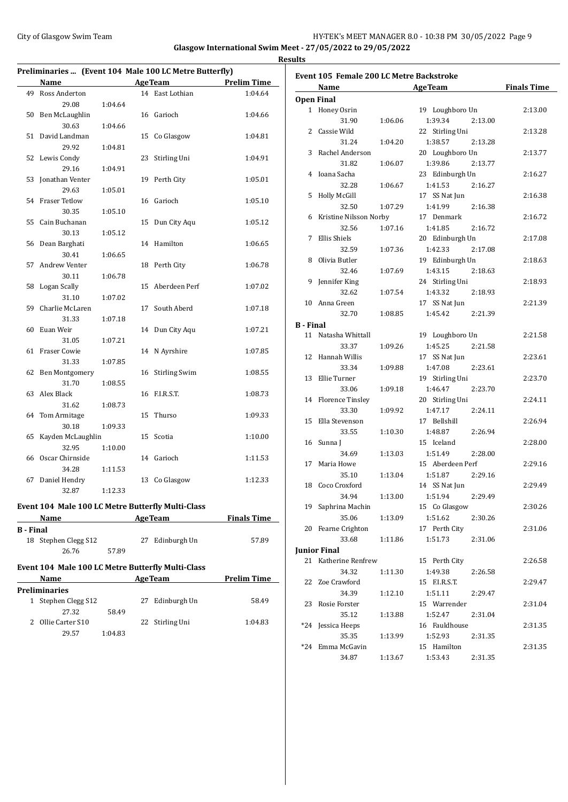## City of Glasgow Swim Team **HY-TEK's MEET MANAGER 8.0 - 10:38 PM 30/05/2022** Page 9 **Glasgow International Swim Meet - 27/05/2022 to 29/05/2022 Results**

| Preliminaries  (Event 104 Male 100 LC Metre Butterfly) |                                                                                                                                                                                                                               |         |    |                      |                    |
|--------------------------------------------------------|-------------------------------------------------------------------------------------------------------------------------------------------------------------------------------------------------------------------------------|---------|----|----------------------|--------------------|
|                                                        | Name                                                                                                                                                                                                                          |         |    | <b>AgeTeam</b>       | <b>Prelim Time</b> |
| 49                                                     | Ross Anderton                                                                                                                                                                                                                 |         |    | 14 East Lothian      | 1:04.64            |
|                                                        | 29.08                                                                                                                                                                                                                         | 1:04.64 |    |                      |                    |
| 50                                                     | Ben McLaughlin                                                                                                                                                                                                                |         |    | 16 Garioch           | 1:04.66            |
|                                                        | 30.63                                                                                                                                                                                                                         | 1:04.66 |    |                      |                    |
| 51                                                     | David Landman                                                                                                                                                                                                                 |         | 15 | Co Glasgow           | 1:04.81            |
|                                                        | 29.92                                                                                                                                                                                                                         | 1:04.81 |    |                      |                    |
| 52                                                     | Lewis Condy                                                                                                                                                                                                                   |         | 23 | Stirling Uni         | 1:04.91            |
|                                                        | 29.16                                                                                                                                                                                                                         | 1:04.91 |    |                      |                    |
| 53                                                     | Jonathan Venter                                                                                                                                                                                                               |         | 19 | Perth City           | 1:05.01            |
|                                                        | 29.63                                                                                                                                                                                                                         | 1:05.01 |    |                      |                    |
| 54                                                     | <b>Fraser Tetlow</b>                                                                                                                                                                                                          |         | 16 | Garioch              | 1:05.10            |
|                                                        | 30.35                                                                                                                                                                                                                         | 1:05.10 |    |                      |                    |
| 55                                                     | Cain Buchanan                                                                                                                                                                                                                 |         | 15 | Dun City Aqu         | 1:05.12            |
|                                                        | 30.13                                                                                                                                                                                                                         | 1:05.12 |    |                      |                    |
| 56                                                     | Dean Barghati                                                                                                                                                                                                                 |         | 14 | Hamilton             | 1:06.65            |
|                                                        | 30.41                                                                                                                                                                                                                         | 1:06.65 |    |                      |                    |
| 57                                                     | Andrew Venter                                                                                                                                                                                                                 |         | 18 | Perth City           | 1:06.78            |
|                                                        | 30.11                                                                                                                                                                                                                         | 1:06.78 |    |                      |                    |
| 58                                                     | Logan Scally                                                                                                                                                                                                                  |         | 15 | Aberdeen Perf        | 1:07.02            |
|                                                        | 31.10                                                                                                                                                                                                                         | 1:07.02 |    |                      |                    |
| 59                                                     | Charlie McLaren                                                                                                                                                                                                               |         | 17 | South Aberd          | 1:07.18            |
|                                                        | 31.33                                                                                                                                                                                                                         | 1:07.18 |    |                      |                    |
| 60                                                     | Euan Weir                                                                                                                                                                                                                     |         | 14 | Dun City Aqu         | 1:07.21            |
|                                                        | 31.05                                                                                                                                                                                                                         | 1:07.21 |    |                      |                    |
| 61                                                     | Fraser Cowie                                                                                                                                                                                                                  |         |    | 14 N Ayrshire        | 1:07.85            |
|                                                        | 31.33                                                                                                                                                                                                                         | 1:07.85 |    |                      |                    |
| 62                                                     | Ben Montgomery                                                                                                                                                                                                                |         | 16 | <b>Stirling Swim</b> | 1:08.55            |
|                                                        | 31.70                                                                                                                                                                                                                         | 1:08.55 |    |                      |                    |
| 63                                                     | Alex Black                                                                                                                                                                                                                    |         | 16 | F.I.R.S.T.           | 1:08.73            |
|                                                        | 31.62                                                                                                                                                                                                                         | 1:08.73 |    |                      |                    |
| 64                                                     | Tom Armitage                                                                                                                                                                                                                  |         | 15 | Thurso               | 1:09.33            |
|                                                        | 30.18                                                                                                                                                                                                                         | 1:09.33 |    |                      |                    |
| 65                                                     | Kayden McLaughlin                                                                                                                                                                                                             |         | 15 | Scotia               | 1:10.00            |
|                                                        | 32.95                                                                                                                                                                                                                         | 1:10.00 |    |                      |                    |
| 66                                                     | Oscar Chirnside                                                                                                                                                                                                               |         |    | 14 Garioch           | 1:11.53            |
|                                                        | 34.28                                                                                                                                                                                                                         | 1:11.53 |    |                      |                    |
| 67                                                     | Daniel Hendry                                                                                                                                                                                                                 |         |    | 13 Co Glasgow        | 1:12.33            |
|                                                        | 32.87                                                                                                                                                                                                                         | 1:12.33 |    |                      |                    |
|                                                        |                                                                                                                                                                                                                               |         |    |                      |                    |
|                                                        | Event 104 Male 100 LC Metre Butterfly Multi-Class                                                                                                                                                                             |         |    |                      |                    |
|                                                        | Name and the same of the same of the same of the same of the same of the same of the same of the same of the same of the same of the same of the same of the same of the same of the same of the same of the same of the same |         |    | <b>AgeTeam</b>       | <b>Finals Time</b> |
| <b>B</b> - Final                                       |                                                                                                                                                                                                                               |         |    |                      |                    |
| 18                                                     | Stephen Clegg S12                                                                                                                                                                                                             |         |    | 27 Edinburgh Un      | 57.89              |
|                                                        | 26.76                                                                                                                                                                                                                         | 57.89   |    |                      |                    |
|                                                        | Event 104 Male 100 LC Metre Butterfly Multi-Class                                                                                                                                                                             |         |    |                      |                    |
|                                                        | Name                                                                                                                                                                                                                          |         |    | AgeTeam              | <b>Prelim Time</b> |
|                                                        | <b>Preliminaries</b>                                                                                                                                                                                                          |         |    |                      |                    |
| 1                                                      | Stephen Clegg S12                                                                                                                                                                                                             |         |    | 27 Edinburgh Un      | 58.49              |
|                                                        | 27.32                                                                                                                                                                                                                         | 58.49   |    |                      |                    |
|                                                        | 2 Ollie Carter S10                                                                                                                                                                                                            |         | 22 | Stirling Uni         | 1:04.83            |
|                                                        | 29.57                                                                                                                                                                                                                         | 1:04.83 |    |                      |                    |

| <b>Event 105 Female 200 LC Metre Backstroke</b> |                        |         |                    |                    |
|-------------------------------------------------|------------------------|---------|--------------------|--------------------|
|                                                 | Name                   |         | <b>AgeTeam</b>     | <b>Finals Time</b> |
|                                                 | <b>Open Final</b>      |         |                    |                    |
|                                                 | 1 Honey Osrin          |         | 19 Loughboro Un    | 2:13.00            |
|                                                 | 31.90                  | 1:06.06 | 1:39.34<br>2:13.00 |                    |
| 2                                               | Cassie Wild            |         | 22 Stirling Uni    | 2:13.28            |
|                                                 | 31.24                  | 1:04.20 | 1:38.57<br>2:13.28 |                    |
| 3                                               | Rachel Anderson        |         | 20 Loughboro Un    | 2:13.77            |
|                                                 | 31.82                  | 1:06.07 | 1:39.86<br>2:13.77 |                    |
|                                                 | 4 Ioana Sacha          |         | 23 Edinburgh Un    | 2:16.27            |
|                                                 | 32.28                  | 1:06.67 | 1:41.53<br>2:16.27 |                    |
| 5                                               | Holly McGill           |         | 17 SS Nat Jun      | 2:16.38            |
|                                                 | 32.50                  | 1:07.29 | 1:41.99<br>2:16.38 |                    |
| 6                                               | Kristine Nilsson Norby |         | 17 Denmark         | 2:16.72            |
|                                                 | 32.56                  | 1:07.16 | 1:41.85<br>2:16.72 |                    |
| 7                                               | Ellis Shiels           |         | 20 Edinburgh Un    | 2:17.08            |
|                                                 | 32.59                  | 1:07.36 | 1:42.33<br>2:17.08 |                    |
| 8                                               | Olivia Butler          |         | 19 Edinburgh Un    | 2:18.63            |
|                                                 | 32.46                  | 1:07.69 | 1:43.15<br>2:18.63 |                    |
| 9                                               | Jennifer King          |         | 24 Stirling Uni    | 2:18.93            |
|                                                 | 32.62                  | 1:07.54 | 1:43.32<br>2:18.93 |                    |
|                                                 | 10 Anna Green          |         | 17 SS Nat Jun      | 2:21.39            |
|                                                 | 32.70                  | 1:08.85 | 1:45.42<br>2:21.39 |                    |
| <b>B</b> - Final                                |                        |         |                    |                    |
|                                                 | 11 Natasha Whittall    |         | 19 Loughboro Un    | 2:21.58            |
|                                                 | 33.37                  | 1:09.26 | 1:45.25<br>2:21.58 |                    |
|                                                 | 12 Hannah Willis       |         | 17 SS Nat Jun      | 2:23.61            |
|                                                 | 33.34                  | 1:09.88 | 1:47.08<br>2:23.61 |                    |
|                                                 | 13 Ellie Turner        |         | 19 Stirling Uni    | 2:23.70            |
|                                                 | 33.06                  | 1:09.18 | 1:46.47<br>2:23.70 |                    |
|                                                 | 14 Florence Tinsley    |         | 20 Stirling Uni    | 2:24.11            |
|                                                 | 33.30                  | 1:09.92 | 1:47.17<br>2:24.11 |                    |
|                                                 | 15 Ella Stevenson      |         | 17 Bellshill       | 2:26.94            |
|                                                 | 33.55                  | 1:10.30 | 1:48.87<br>2:26.94 |                    |
|                                                 | 16 Sunna J             |         | 15 Iceland         | 2:28.00            |
|                                                 | 34.69                  | 1:13.03 | 1:51.49<br>2:28.00 |                    |
|                                                 | 17 Maria Howe          |         | 15 Aberdeen Perf   | 2:29.16            |
|                                                 | 35.10                  | 1:13.04 | 1:51.87<br>2:29.16 |                    |
|                                                 | 18 Coco Croxford       |         | 14 SS Nat Jun      | 2:29.49            |
|                                                 | 34.94                  | 1:13.00 | 1:51.94<br>2:29.49 |                    |
|                                                 | 19 Saphrina Machin     |         | 15 Co Glasgow      | 2:30.26            |
|                                                 | 35.06                  | 1:13.09 | 1:51.62<br>2:30.26 |                    |
|                                                 | 20 Fearne Crighton     |         | 17 Perth City      | 2:31.06            |
|                                                 | 33.68                  | 1:11.86 | 1:51.73<br>2:31.06 |                    |
|                                                 | <b>Junior Final</b>    |         |                    |                    |
|                                                 | 21 Katherine Renfrew   |         | 15 Perth City      | 2:26.58            |
|                                                 | 34.32                  | 1:11.30 | 1:49.38<br>2:26.58 |                    |
|                                                 | 22 Zoe Crawford        |         | 15 F.I.R.S.T.      | 2:29.47            |
|                                                 | 34.39                  | 1:12.10 | 1:51.11<br>2:29.47 |                    |
|                                                 | 23 Rosie Forster       |         | 15 Warrender       | 2:31.04            |
|                                                 | 35.12                  | 1:13.88 | 1:52.47<br>2:31.04 |                    |
|                                                 | *24 Jessica Heeps      |         | 16 Fauldhouse      | 2:31.35            |
|                                                 | 35.35                  | 1:13.99 | 1:52.93<br>2:31.35 |                    |
|                                                 | *24 Emma McGavin       |         | 15 Hamilton        | 2:31.35            |
|                                                 | 34.87                  | 1:13.67 | 1:53.43<br>2:31.35 |                    |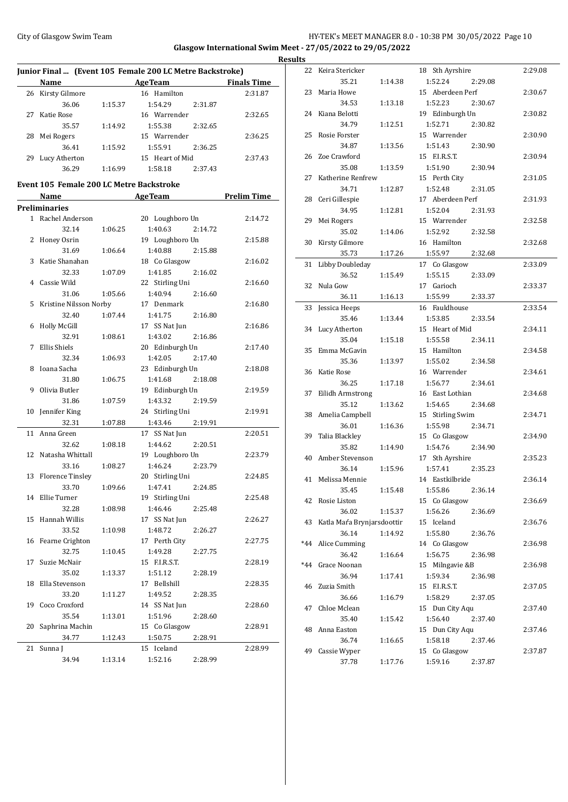## City of Glasgow Swim Team HY-TEK's MEET MANAGER 8.0 - 10:38 PM 30/05/2022 Page 10 **Glasgow International Swim Meet - 27/05/2022 to 29/05/2022 Results**

**Junior Final ... (Event 105 Female 200 LC Metre Backstroke) Name Age Team Finals Time** 26 Kirsty Gilmore 16 Hamilton 2:31.87 36.06 1:15.37 1:54.29 2:31.87 27 Katie Rose 16 Warrender 2:32.65 35.57 1:14.92 1:55.38 2:32.65 28 Mei Rogers 15 Warrender 2:36.25 36.41 1:15.92 1:55.91 2:36.25 29 Lucy Atherton 15 Heart of Mid 2:37.43 36.29 1:16.99 1:58.18 2:37.43

### **Event 105 Female 200 LC Metre Backstroke**

|                | <u>Name</u>             |         | <b>AgeTeam</b>     | <b>Prelim Time</b> |
|----------------|-------------------------|---------|--------------------|--------------------|
|                | Preliminaries           |         |                    |                    |
| $\mathbf{1}$   | Rachel Anderson         |         | 20 Loughboro Un    | 2:14.72            |
|                | 32.14                   | 1:06.25 | 1:40.63<br>2:14.72 |                    |
| 2              | Honey Osrin             |         | 19 Loughboro Un    | 2:15.88            |
|                | 31.69                   | 1:06.64 | 1:40.88<br>2:15.88 |                    |
| 3              | Katie Shanahan          |         | 18 Co Glasgow      | 2:16.02            |
|                | 32.33                   | 1:07.09 | 1:41.85<br>2:16.02 |                    |
| $\overline{4}$ | Cassie Wild             |         | 22 Stirling Uni    | 2:16.60            |
|                | 31.06                   | 1:05.66 | 1:40.94<br>2:16.60 |                    |
| 5              | Kristine Nilsson Norby  |         | 17 Denmark         | 2:16.80            |
|                | 32.40                   | 1:07.44 | 1:41.75<br>2:16.80 |                    |
| 6              | <b>Holly McGill</b>     |         | 17 SS Nat Jun      | 2:16.86            |
|                | 32.91                   | 1:08.61 | 1:43.02<br>2:16.86 |                    |
| 7              | Ellis Shiels            |         | 20 Edinburgh Un    | 2:17.40            |
|                | 32.34                   | 1:06.93 | 1:42.05<br>2:17.40 |                    |
| 8              | Ioana Sacha             |         | 23 Edinburgh Un    | 2:18.08            |
|                | 31.80                   | 1:06.75 | 1:41.68<br>2:18.08 |                    |
| 9              | Olivia Butler           |         | 19 Edinburgh Un    | 2:19.59            |
|                | 31.86                   | 1:07.59 | 1:43.32<br>2:19.59 |                    |
| 10             | Jennifer King           |         | 24 Stirling Uni    | 2:19.91            |
|                | 32.31                   | 1:07.88 | 1:43.46<br>2:19.91 |                    |
| 11             | Anna Green              |         | 17 SS Nat Jun      | 2:20.51            |
|                | 32.62                   | 1:08.18 | 1:44.62<br>2:20.51 |                    |
| 12             | Natasha Whittall        |         | 19 Loughboro Un    | 2:23.79            |
|                | 33.16                   | 1:08.27 | 1:46.24<br>2:23.79 |                    |
| 13             | <b>Florence Tinsley</b> |         | 20 Stirling Uni    | 2:24.85            |
|                | 33.70                   | 1:09.66 | 1:47.41<br>2:24.85 |                    |
| 14             | Ellie Turner            |         | 19 Stirling Uni    | 2:25.48            |
|                | 32.28                   | 1:08.98 | 1:46.46<br>2:25.48 |                    |
| 15             | Hannah Willis           |         | 17 SS Nat Jun      | 2:26.27            |
|                | 33.52                   | 1:10.98 | 1:48.72<br>2:26.27 |                    |
| 16             | Fearne Crighton         |         | 17 Perth City      | 2:27.75            |
|                | 32.75                   | 1:10.45 | 1:49.28<br>2:27.75 |                    |
| 17             | Suzie McNair            |         | 15 F.I.R.S.T.      | 2:28.19            |
|                | 35.02                   | 1:13.37 | 1:51.12<br>2:28.19 |                    |
| 18             | Ella Stevenson          |         | 17 Bellshill       | 2:28.35            |
|                | 33.20                   | 1:11.27 | 1:49.52<br>2:28.35 |                    |
| 19             | Coco Croxford           |         | 14 SS Nat Jun      | 2:28.60            |
|                | 35.54                   | 1:13.01 | 1:51.96<br>2:28.60 |                    |
| 20             | Saphrina Machin         |         | 15 Co Glasgow      | 2:28.91            |
|                | 34.77                   | 1:12.43 | 1:50.75<br>2:28.91 |                    |
| 21             | Sunna J                 |         | 15 Iceland         | 2:28.99            |
|                | 34.94                   | 1:13.14 | 1:52.16<br>2:28.99 |                    |

| 22    | Keira Stericker            |         | 18 Sth Ayrshire          |         | 2:29.08 |
|-------|----------------------------|---------|--------------------------|---------|---------|
|       | 35.21                      | 1:14.38 | 1:52.24                  | 2:29.08 |         |
| 23    | Maria Howe                 |         | 15 Aberdeen Perf         |         | 2:30.67 |
|       | 34.53                      | 1:13.18 | 1:52.23                  | 2:30.67 |         |
| 24    | Kiana Belotti              |         | 19 Edinburgh Un          |         | 2:30.82 |
|       | 34.79                      | 1:12.51 | 1:52.71                  | 2:30.82 |         |
| 25    | Rosie Forster              |         | 15 Warrender             |         | 2:30.90 |
|       | 34.87                      | 1:13.56 | 1:51.43                  | 2:30.90 |         |
| 26    | Zoe Crawford               |         | 15 F.I.R.S.T.            |         | 2:30.94 |
|       | 35.08                      | 1:13.59 | 1:51.90                  |         |         |
|       |                            |         |                          | 2:30.94 |         |
| 27    | Katherine Renfrew          |         | 15 Perth City            |         | 2:31.05 |
|       | 34.71                      | 1:12.87 | 1:52.48                  | 2:31.05 |         |
| 28    | Ceri Gillespie             |         | 17 Aberdeen Perf         |         | 2:31.93 |
|       | 34.95                      | 1:12.81 | 1:52.04                  | 2:31.93 |         |
| 29    | Mei Rogers                 |         | 15 Warrender             |         | 2:32.58 |
|       | 35.02                      | 1:14.06 | 1:52.92                  | 2:32.58 |         |
| 30    | Kirsty Gilmore             |         | 16 Hamilton              |         | 2:32.68 |
|       | 35.73                      | 1:17.26 | 1:55.97                  | 2:32.68 |         |
| 31    | Libby Doubleday            |         | 17 Co Glasgow            |         | 2:33.09 |
|       | 36.52                      | 1:15.49 | 1:55.15                  | 2:33.09 |         |
| 32    | Nula Gow                   |         | 17 Garioch               |         | 2:33.37 |
|       | 36.11                      | 1:16.13 | 1:55.99                  | 2:33.37 |         |
| 33    | Jessica Heeps              |         | 16 Fauldhouse            |         | 2:33.54 |
|       | 35.46                      | 1:13.44 | 1:53.85                  | 2:33.54 |         |
| 34    | Lucy Atherton              |         | 15 Heart of Mid          |         | 2:34.11 |
|       | 35.04                      | 1:15.18 | 1:55.58                  | 2:34.11 |         |
| 35    | Emma McGavin               |         | 15 Hamilton              |         | 2:34.58 |
|       | 35.36                      | 1:13.97 | 1:55.02                  | 2:34.58 |         |
|       |                            |         | 16 Warrender             |         |         |
| 36    | Katie Rose                 |         |                          |         | 2:34.61 |
|       | 36.25                      | 1:17.18 | 1:56.77                  | 2:34.61 |         |
| 37    | Eilidh Armstrong           |         | 16 East Lothian          |         | 2:34.68 |
|       | 35.12                      | 1:13.62 | 1:54.65                  | 2:34.68 |         |
|       | 38 Amelia Campbell         |         | 15 Stirling Swim         |         | 2:34.71 |
|       |                            | 1:16.36 | 1:55.98                  | 2:34.71 |         |
|       | 36.01                      |         |                          |         |         |
| 39    | Talia Blackley             |         | 15 Co Glasgow            |         | 2:34.90 |
|       | 35.82                      | 1:14.90 | 1:54.76                  | 2:34.90 |         |
|       | 40 Amber Stevenson         |         | 17 Sth Ayrshire          |         | 2:35.23 |
|       | 36.14                      | 1:15.96 | 1:57.41                  | 2:35.23 |         |
|       | 41 Melissa Mennie          |         | 14 Eastkilbride          |         | 2:36.14 |
|       | 35.45                      | 1:15.48 | 1:55.86 2:36.14          |         |         |
|       | 42 Rosie Liston            |         | 15 Co Glasgow            |         | 2:36.69 |
|       | 36.02                      | 1:15.37 | 1:56.26                  | 2:36.69 |         |
| 43    | Katla Mara Brynjarsdoottir |         | 15 Iceland               |         | 2:36.76 |
|       | 36.14                      | 1:14.92 | 1:55.80                  |         |         |
|       |                            |         |                          | 2:36.76 |         |
| $*44$ | Alice Cumming              |         | 14 Co Glasgow            |         | 2:36.98 |
|       | 36.42                      | 1:16.64 | 1:56.75                  | 2:36.98 |         |
| $*44$ | Grace Noonan               |         | 15 Milngavie &B          |         | 2:36.98 |
|       | 36.94                      | 1:17.41 | 1:59.34                  | 2:36.98 |         |
| 46    | Zuzia Smith                |         | 15 F.I.R.S.T.            |         | 2:37.05 |
|       | 36.66                      | 1:16.79 | 1:58.29                  | 2:37.05 |         |
| 47    | Chloe Mclean               |         | 15 Dun City Aqu          |         | 2:37.40 |
|       | 35.40                      | 1:15.42 | 1:56.40                  | 2:37.40 |         |
|       | 48 Anna Easton             |         | 15 Dun City Aqu          |         | 2:37.46 |
|       | 36.74                      | 1:16.65 | 1:58.18                  | 2:37.46 |         |
| 49    | Cassie Wyper<br>37.78      | 1:17.76 | 15 Co Glasgow<br>1:59.16 | 2:37.87 | 2:37.87 |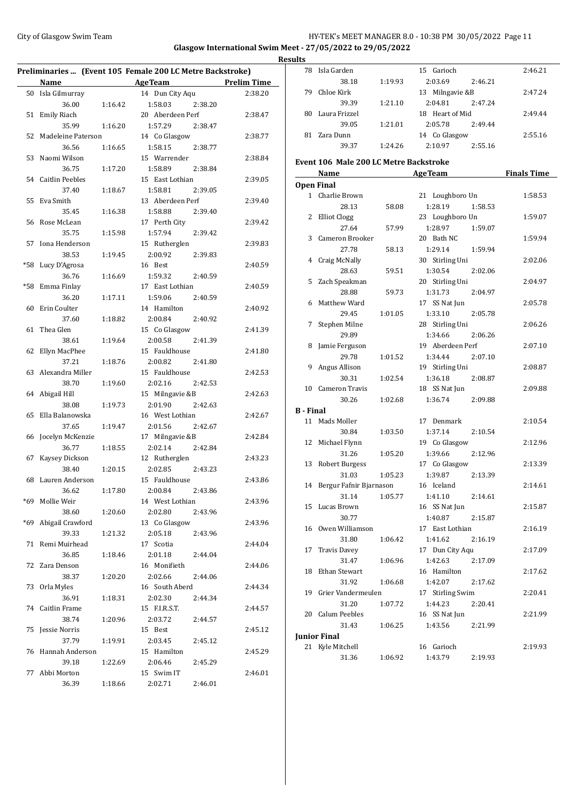## City of Glasgow Swim Team Team Frameters Music City of Glasgow Swim Team Frameters Music City of Glasgow Swim Team Frameters Music City of Glasgow Swim Team Frameters Music City of Glasgow Swim Team Frameters Music City of **Glasgow International Swim Meet - 27/05/2022 to 29/05/2022 Results**

| Preliminaries  (Event 105 Female 200 LC Metre Backstroke) |                        |         |                    |                    |
|-----------------------------------------------------------|------------------------|---------|--------------------|--------------------|
|                                                           | Name                   |         | <b>AgeTeam</b>     | <b>Prelim Time</b> |
|                                                           | 50 Isla Gilmurray      |         | 14 Dun City Aqu    | 2:38.20            |
|                                                           | 36.00                  | 1:16.42 | 1:58.03<br>2:38.20 |                    |
| 51                                                        | <b>Emily Riach</b>     |         | 20 Aberdeen Perf   | 2:38.47            |
|                                                           | 35.99                  | 1:16.20 | 1:57.29<br>2:38.47 |                    |
| 52                                                        | Madeleine Paterson     |         | 14 Co Glasgow      | 2:38.77            |
|                                                           | 36.56                  | 1:16.65 | 1:58.15<br>2:38.77 |                    |
| 53                                                        | Naomi Wilson           |         | 15 Warrender       | 2:38.84            |
|                                                           | 36.75                  | 1:17.20 | 1:58.89<br>2:38.84 |                    |
| 54                                                        | <b>Caitlin Peebles</b> |         | 15 East Lothian    | 2:39.05            |
|                                                           | 37.40                  | 1:18.67 | 1:58.81<br>2:39.05 |                    |
| 55                                                        | Eva Smith              |         | 13 Aberdeen Perf   | 2:39.40            |
|                                                           | 35.45                  | 1:16.38 | 1:58.88<br>2:39.40 |                    |
| 56                                                        | Rose McLean            |         | 17 Perth City      | 2:39.42            |
|                                                           | 35.75                  | 1:15.98 | 1:57.94<br>2:39.42 |                    |
| 57                                                        | Iona Henderson         |         | 15 Rutherglen      | 2:39.83            |
|                                                           | 38.53                  | 1:19.45 | 2:00.92<br>2:39.83 |                    |
| *58                                                       | Lucy D'Agrosa          |         | 16 Best            | 2:40.59            |
|                                                           | 36.76                  | 1:16.69 | 2:40.59<br>1:59.32 |                    |
| *58                                                       | Emma Finlay            |         | 17 East Lothian    | 2:40.59            |
|                                                           | 36.20                  | 1:17.11 | 1:59.06<br>2:40.59 |                    |
| 60                                                        | Erin Coulter           |         | 14 Hamilton        | 2:40.92            |
|                                                           | 37.60                  | 1:18.82 | 2:00.84<br>2:40.92 |                    |
| 61                                                        | Thea Glen              |         | 15 Co Glasgow      | 2:41.39            |
|                                                           | 38.61                  | 1:19.64 | 2:00.58<br>2:41.39 |                    |
| 62                                                        | Ellyn MacPhee          |         | 15 Fauldhouse      | 2:41.80            |
|                                                           | 37.21                  | 1:18.76 | 2:00.82<br>2:41.80 |                    |
| 63                                                        | Alexandra Miller       |         | 15 Fauldhouse      | 2:42.53            |
|                                                           | 38.70                  | 1:19.60 | 2:02.16<br>2:42.53 |                    |
| 64                                                        | Abigail Hill           |         | 15 Milngavie &B    | 2:42.63            |
|                                                           | 38.08                  | 1:19.73 | 2:01.90<br>2:42.63 |                    |
| 65                                                        | Ella Balanowska        |         | 16 West Lothian    | 2:42.67            |
|                                                           | 37.65                  | 1:19.47 | 2:01.56<br>2:42.67 |                    |
| 66                                                        | Jocelyn McKenzie       |         | 17 Milngavie &B    | 2:42.84            |
|                                                           | 36.77                  | 1:18.55 | 2:02.14<br>2:42.84 |                    |
| 67                                                        | Kaysey Dickson         |         | 12 Rutherglen      | 2:43.23            |
|                                                           | 38.40                  | 1:20.15 | 2:02.85<br>2:43.23 |                    |
| 68                                                        | Lauren Anderson        |         | 15 Fauldhouse      | 2:43.86            |
|                                                           | 36.62                  | 1:17.80 | 2:00.84<br>2:43.86 |                    |
|                                                           | *69 Mollie Weir        |         | 14 West Lothian    | 2:43.96            |
|                                                           | 38.60                  | 1:20.60 | 2:02.80<br>2:43.96 |                    |
| *69                                                       | Abigail Crawford       |         | 13 Co Glasgow      | 2:43.96            |
|                                                           | 39.33                  | 1:21.32 | 2:05.18<br>2:43.96 |                    |
| 71                                                        | Remi Muirhead          |         | 17 Scotia          | 2:44.04            |
|                                                           | 36.85                  | 1:18.46 | 2:01.18<br>2:44.04 |                    |
| 72                                                        | Zara Denson            |         | 16 Monifieth       | 2:44.06            |
|                                                           | 38.37                  | 1:20.20 | 2:02.66<br>2:44.06 |                    |
| 73                                                        | Orla Myles             |         | 16 South Aberd     | 2:44.34            |
|                                                           | 36.91                  | 1:18.31 | 2:02.30<br>2:44.34 |                    |
|                                                           | 74 Caitlin Frame       |         | 15 F.I.R.S.T.      | 2:44.57            |
|                                                           | 38.74                  | 1:20.96 | 2:03.72<br>2:44.57 |                    |
| 75                                                        | Jessie Norris          |         | 15 Best            | 2:45.12            |
|                                                           | 37.79                  | 1:19.91 | 2:03.45<br>2:45.12 |                    |
| 76                                                        | Hannah Anderson        |         | 15 Hamilton        | 2:45.29            |
|                                                           | 39.18                  | 1:22.69 | 2:06.46<br>2:45.29 |                    |
| 77                                                        | Abbi Morton            |         | 15 Swim IT         | 2:46.01            |
|                                                           | 36.39                  | 1:18.66 | 2:02.71<br>2:46.01 |                    |
|                                                           |                        |         |                    |                    |

|                  | 78 Isla Garden                          |                                | 15 Garioch                  |         | 2:46.21            |
|------------------|-----------------------------------------|--------------------------------|-----------------------------|---------|--------------------|
|                  | 38.18                                   | 1:19.93                        | 2:03.69                     | 2:46.21 |                    |
|                  | 79 Chloe Kirk                           |                                | 13 Milngavie &B             |         | 2:47.24            |
|                  | 39.39                                   | 1:21.10                        | 2:04.81                     | 2:47.24 |                    |
| 80               | Laura Frizzel                           |                                | 18 Heart of Mid             |         | 2:49.44            |
|                  | 39.05                                   | 1:21.01                        | 2:05.78                     | 2:49.44 |                    |
|                  | 81 Zara Dunn                            |                                | 14 Co Glasgow               |         | 2:55.16            |
|                  | 39.37                                   | 1:24.26                        | 2:10.97                     | 2:55.16 |                    |
|                  | Event 106 Male 200 LC Metre Backstroke  |                                |                             |         |                    |
|                  |                                         |                                |                             |         |                    |
|                  | Name                                    | <u> 1989 - Jan James James</u> | <b>AgeTeam</b>              |         | <b>Finals Time</b> |
|                  | <b>Open Final</b>                       |                                |                             |         |                    |
|                  | 1 Charlie Brown                         |                                | 21 Loughboro Un             |         | 1:58.53            |
|                  | 28.13                                   | 58.08                          | 1:28.19                     | 1:58.53 |                    |
|                  | 2 Elliot Clogg                          |                                | 23 Loughboro Un             |         | 1:59.07            |
|                  | 27.64                                   | 57.99                          | 1:28.97                     | 1:59.07 |                    |
|                  | 3 Cameron Brooker                       |                                | 20 Bath NC                  |         | 1:59.94            |
|                  | 27.78                                   | 58.13                          | 1:29.14                     | 1:59.94 |                    |
|                  | 4 Craig McNally                         |                                | 30 Stirling Uni             |         | 2:02.06            |
|                  | 28.63                                   | 59.51                          | 1:30.54                     | 2:02.06 |                    |
| 5                | Zach Speakman                           |                                | 20 Stirling Uni             |         | 2:04.97            |
|                  | 28.88                                   | 59.73                          | 1:31.73                     | 2:04.97 |                    |
| 6                | Matthew Ward                            |                                | 17 SS Nat Jun               |         | 2:05.78            |
|                  | 29.45                                   | 1:01.05                        | 1:33.10                     | 2:05.78 |                    |
| 7                | Stephen Milne                           |                                | 28 Stirling Uni             |         | 2:06.26            |
|                  | 29.89                                   |                                | 1:34.66                     | 2:06.26 |                    |
| 8                | Jamie Ferguson                          |                                | 19 Aberdeen Perf            |         | 2:07.10            |
|                  | 29.78                                   | 1:01.52                        | 1:34.44                     | 2:07.10 |                    |
|                  | 9 Angus Allison                         |                                | 19 Stirling Uni             |         | 2:08.87            |
|                  | 30.31                                   | 1:02.54                        | 1:36.18                     | 2:08.87 |                    |
|                  | 10 Cameron Travis                       |                                | 18 SS Nat Jun               |         | 2:09.88            |
|                  | 30.26                                   | 1:02.68                        | 1:36.74                     | 2:09.88 |                    |
| <b>B</b> - Final |                                         |                                |                             |         |                    |
|                  | 11 Mads Moller                          |                                | 17 Denmark                  |         | 2:10.54            |
|                  | 30.84                                   | 1:03.50                        | 1:37.14                     | 2:10.54 |                    |
|                  | 12 Michael Flynn                        |                                | 19 Co Glasgow               |         | 2:12.96            |
|                  | 31.26                                   | 1:05.20                        | 1:39.66                     | 2:12.96 |                    |
|                  | 13 Robert Burgess                       |                                | 17 Co Glasgow               |         | 2:13.39            |
|                  | 31.03                                   | 1:05.23                        | 1:39.87                     | 2:13.39 |                    |
|                  | 14 Bergur Fafnir Bjarnason              |                                | 16 Iceland                  |         | 2:14.61            |
|                  | 31.14                                   | 1:05.77                        | 1:41.10                     | 2:14.61 |                    |
|                  | 15 Lucas Brown                          |                                | 16 SS Nat Jun               |         | 2:15.87            |
|                  | 30.77                                   |                                | 1:40.87                     | 2:15.87 |                    |
|                  | 16 Owen Williamson                      |                                | 17 East Lothian             |         | 2:16.19            |
|                  | 31.80                                   | 1:06.42                        | 1:41.62                     | 2:16.19 |                    |
|                  | 17 Travis Davey                         |                                | 17 Dun City Aqu             |         | 2:17.09            |
|                  | 31.47<br><b>Ethan Stewart</b>           | 1:06.96                        | 1:42.63                     | 2:17.09 |                    |
| 18               | 31.92                                   |                                | 16 Hamilton                 |         | 2:17.62            |
| 19               | Grier Vandermeulen                      | 1:06.68                        | 1:42.07                     | 2:17.62 |                    |
|                  |                                         |                                | 17 Stirling Swim<br>1:44.23 |         | 2:20.41            |
|                  | 31.20<br>20 Calum Peebles               | 1:07.72                        | 16 SS Nat Jun               | 2:20.41 |                    |
|                  | 31.43                                   |                                |                             |         | 2:21.99            |
|                  |                                         | 1:06.25                        | 1:43.56                     | 2:21.99 |                    |
|                  | <b>Junior Final</b><br>21 Kyle Mitchell |                                |                             |         |                    |
|                  |                                         |                                | 16 Garioch                  |         | 2:19.93            |
|                  | 31.36                                   | 1:06.92                        | 1:43.79                     | 2:19.93 |                    |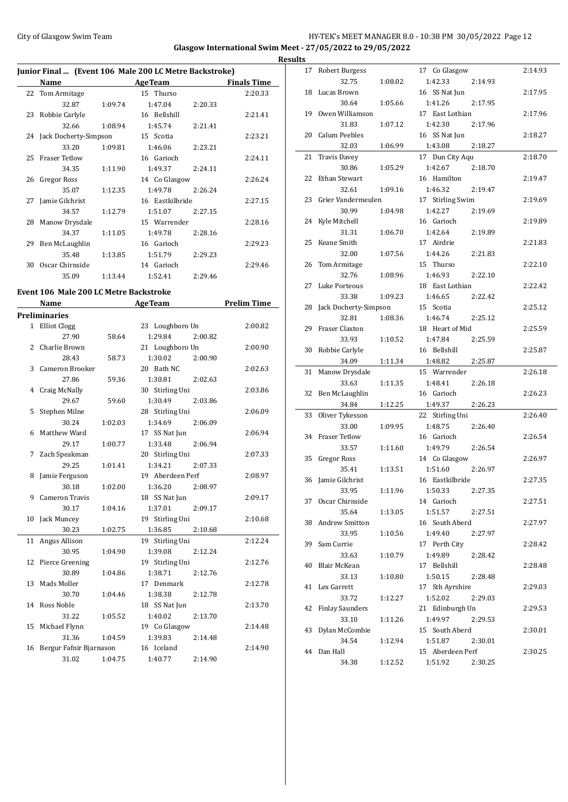$\overline{a}$ 

## City of Glasgow Swim Team **HY-TEK's MEET MANAGER 8.0 - 10:38 PM 30/05/2022** Page 12 **Glasgow International Swim Meet - 27/05/2022 to 29/05/2022 Results**

| Junior Final  (Event 106 Male 200 LC Metre Backstroke) |                          |         |                 |         |                    |
|--------------------------------------------------------|--------------------------|---------|-----------------|---------|--------------------|
|                                                        | Name                     |         | <b>AgeTeam</b>  |         | <b>Finals Time</b> |
|                                                        | 22 Tom Armitage          |         | 15 Thurso       |         | 2:20.33            |
|                                                        | 32.87                    | 1:09.74 | 1:47.04         | 2:20.33 |                    |
|                                                        | 23 Robbie Carlyle        |         | 16 Bellshill    |         | 2:21.41            |
|                                                        | 32.66                    | 1:08.94 | 1:45.74         | 2:21.41 |                    |
|                                                        | 24 Jack Docherty-Simpson |         | 15 Scotia       |         | 2:23.21            |
|                                                        | 33.20                    | 1:09.81 | 1:46.06         | 2:23.21 |                    |
|                                                        | 25 Fraser Tetlow         |         | 16 Garioch      |         | 2:24.11            |
|                                                        | 34.35                    | 1:11.90 | 1:49.37         | 2:24.11 |                    |
| 26                                                     | Gregor Ross              |         | 14 Co Glasgow   |         | 2:26.24            |
|                                                        | 35.07                    | 1:12.35 | 1:49.78         | 2:26.24 |                    |
| 27                                                     | Jamie Gilchrist          |         | 16 Eastkilbride |         | 2:27.15            |
|                                                        | 34.57                    | 1:12.79 | 1:51.07         | 2:27.15 |                    |
| 28                                                     | Manow Drysdale           |         | 15 Warrender    |         | 2:28.16            |
|                                                        | 34.37                    | 1:11.05 | 1:49.78         | 2:28.16 |                    |
| 29                                                     | Ben McLaughlin           |         | 16 Garioch      |         | 2:29.23            |
|                                                        | 35.48                    | 1:13.85 | 1:51.79         | 2:29.23 |                    |
| 30                                                     | Oscar Chirnside          |         | 14 Garioch      |         | 2:29.46            |
|                                                        | 35.09                    | 1:13.44 | 1:52.41         | 2:29.46 |                    |

## **Event 106 Male 200 LC Metre Backstroke**

|    | Name                    |         | <b>AgeTeam</b>     | <b>Prelim Time</b> |
|----|-------------------------|---------|--------------------|--------------------|
|    | <b>Preliminaries</b>    |         |                    |                    |
| 1  | <b>Elliot Clogg</b>     |         | 23 Loughboro Un    | 2:00.82            |
|    | 27.90                   | 58.64   | 1:29.84<br>2:00.82 |                    |
| 2  | Charlie Brown           |         | 21 Loughboro Un    | 2:00.90            |
|    | 28.43                   | 58.73   | 1:30.02<br>2:00.90 |                    |
| 3  | Cameron Brooker         |         | 20 Bath NC         | 2:02.63            |
|    | 27.86                   | 59.36   | 1:30.81<br>2:02.63 |                    |
| 4  | Craig McNally           |         | 30 Stirling Uni    | 2:03.86            |
|    | 29.67                   | 59.60   | 1:30.49<br>2:03.86 |                    |
| 5  | Stephen Milne           |         | 28 Stirling Uni    | 2:06.09            |
|    | 30.24                   | 1:02.03 | 1:34.69<br>2:06.09 |                    |
| 6  | Matthew Ward            |         | 17 SS Nat Jun      | 2:06.94            |
|    | 29.17                   | 1:00.77 | 1:33.48<br>2:06.94 |                    |
| 7  | Zach Speakman           |         | 20 Stirling Uni    | 2:07.33            |
|    | 29.25                   | 1:01.41 | 1:34.21<br>2:07.33 |                    |
| 8  | Jamie Ferguson          |         | 19 Aberdeen Perf   | 2:08.97            |
|    | 30.18                   | 1:02.00 | 1:36.20<br>2:08.97 |                    |
| 9  | <b>Cameron Travis</b>   |         | 18 SS Nat Jun      | 2:09.17            |
|    | 30.17                   | 1:04.16 | 1:37.01<br>2:09.17 |                    |
| 10 | Jack Muncey             |         | 19 Stirling Uni    | 2:10.68            |
|    | 30.23                   | 1:02.75 | 1:36.85<br>2:10.68 |                    |
| 11 | Angus Allison           |         | 19 Stirling Uni    | 2:12.24            |
|    | 30.95                   | 1:04.90 | 1:39.08<br>2:12.24 |                    |
| 12 | Pierce Greening         |         | 19 Stirling Uni    | 2:12.76            |
|    | 30.89                   | 1:04.86 | 1:38.71<br>2:12.76 |                    |
| 13 | Mads Moller             |         | 17 Denmark         | 2:12.78            |
|    | 30.70                   | 1:04.46 | 1:38.38<br>2:12.78 |                    |
| 14 | Ross Noble              |         | 18 SS Nat Jun      | 2:13.70            |
|    | 31.22                   | 1:05.52 | 1:40.02<br>2:13.70 |                    |
| 15 | Michael Flynn           |         | 19 Co Glasgow      | 2:14.48            |
|    | 31.36                   | 1:04.59 | 1:39.83<br>2:14.48 |                    |
| 16 | Bergur Fafnir Bjarnason |         | 16 Iceland         | 2:14.90            |
|    | 31.02                   | 1:04.75 | 1:40.77<br>2:14.90 |                    |
|    |                         |         |                    |                    |

| 17 | Robert Burgess         |         | 17 Co Glasgow    |         | 2:14.93 |
|----|------------------------|---------|------------------|---------|---------|
|    | 32.75                  | 1:08.02 | 1:42.33          | 2:14.93 |         |
|    | 18 Lucas Brown         |         | 16 SS Nat Jun    |         | 2:17.95 |
|    | 30.64                  | 1:05.66 | 1:41.26          | 2:17.95 |         |
|    | 19 Owen Williamson     |         | 17 East Lothian  |         | 2:17.96 |
|    | 31.83                  | 1:07.12 | 1:42.30          | 2:17.96 |         |
| 20 | Calum Peebles          |         | 16 SS Nat Jun    |         | 2:18.27 |
|    | 32.03                  | 1:06.99 | 1:43.08          | 2:18.27 |         |
| 21 | <b>Travis Davey</b>    |         | 17 Dun City Aqu  |         | 2:18.70 |
|    | 30.86                  | 1:05.29 | 1:42.67          | 2:18.70 |         |
| 22 | Ethan Stewart          |         | 16 Hamilton      |         | 2:19.47 |
|    | 32.61                  | 1:09.16 | 1:46.32          | 2:19.47 |         |
| 23 | Grier Vandermeulen     |         | 17 Stirling Swim |         | 2:19.69 |
|    | 30.99                  | 1:04.98 | 1:42.27          | 2:19.69 |         |
|    | 24 Kyle Mitchell       |         | 16 Garioch       |         | 2:19.89 |
|    | 31.31                  | 1:06.70 | 1:42.64          | 2:19.89 |         |
| 25 | Keane Smith            |         | 17 Airdrie       |         | 2:21.83 |
|    | 32.00                  | 1:07.56 | 1:44.26          | 2:21.83 |         |
| 26 | Tom Armitage           |         | 15 Thurso        |         | 2:22.10 |
|    | 32.76                  | 1:08.96 | 1:46.93          | 2:22.10 |         |
| 27 | Luke Porteous          |         | 18 East Lothian  |         | 2:22.42 |
|    | 33.38                  | 1:09.23 | 1:46.65          | 2:22.42 |         |
| 28 | Jack Docherty-Simpson  |         | 15 Scotia        |         | 2:25.12 |
|    | 32.81                  | 1:08.36 | 1:46.74          | 2:25.12 |         |
| 29 | Fraser Claxton         |         | 18 Heart of Mid  |         | 2:25.59 |
|    | 33.93                  | 1:10.52 | 1:47.84          | 2:25.59 |         |
| 30 | Robbie Carlyle         |         | 16 Bellshill     |         | 2:25.87 |
|    | 34.09                  | 1:11.34 | 1:48.82          | 2:25.87 |         |
| 31 | Manow Drysdale         |         | 15 Warrender     |         | 2:26.18 |
|    | 33.63                  | 1:11.35 | 1:48.41          | 2:26.18 |         |
| 32 | Ben McLaughlin         |         | 16 Garioch       |         | 2:26.23 |
|    | 34.84                  | 1:12.25 | 1:49.37          | 2:26.23 |         |
| 33 | Oliver Tykesson        |         | 22 Stirling Uni  |         | 2:26.40 |
|    |                        | 1:09.95 |                  |         |         |
|    | 33.00                  |         | 1:48.75          | 2:26.40 |         |
|    | 34 Fraser Tetlow       |         | 16 Garioch       |         | 2:26.54 |
|    | 33.57                  | 1:11.60 | 1:49.79          | 2:26.54 |         |
|    | 35 Gregor Ross         |         | 14 Co Glasgow    |         | 2:26.97 |
|    | 35.41                  | 1:13.51 | 1:51.60          | 2:26.97 |         |
|    | 36 Jamie Gilchrist     |         | 16 Eastkilbride  |         | 2:27.35 |
|    | 33.95                  | 1:11.96 | 1:50.33          | 2:27.35 |         |
|    | 37 Oscar Chirnside     |         | 14 Garioch       |         | 2:27.51 |
|    | 35.64                  | 1:13.05 | 1:51.57          | 2:27.51 |         |
|    | 38 Andrew Smitton      |         | 16 South Aberd   |         | 2:27.97 |
|    | 33.95                  | 1:10.56 | 1:49.40          | 2:27.97 |         |
| 39 | Sam Currie             |         | 17 Perth City    |         | 2:28.42 |
|    | 33.63                  | 1:10.79 | 1:49.89          | 2:28.42 |         |
| 40 | Blair McKean           |         | 17 Bellshill     |         | 2:28.48 |
|    | 33.13                  | 1:10.80 | 1:50.15          | 2:28.48 |         |
| 41 | Lex Garrett            |         | 17 Sth Ayrshire  |         | 2:29.03 |
|    | 33.72                  | 1:12.27 | 1:52.02          | 2:29.03 |         |
| 42 | <b>Finlay Saunders</b> |         | 21 Edinburgh Un  |         | 2:29.53 |
|    | 33.10                  | 1:11.26 | 1:49.97          | 2:29.53 |         |
| 43 | Dylan McCombie         |         | 15 South Aberd   |         | 2:30.01 |
|    | 34.54                  | 1:12.94 | 1:51.87          | 2:30.01 |         |
|    | 44 Dan Hall            |         | 15 Aberdeen Perf |         | 2:30.25 |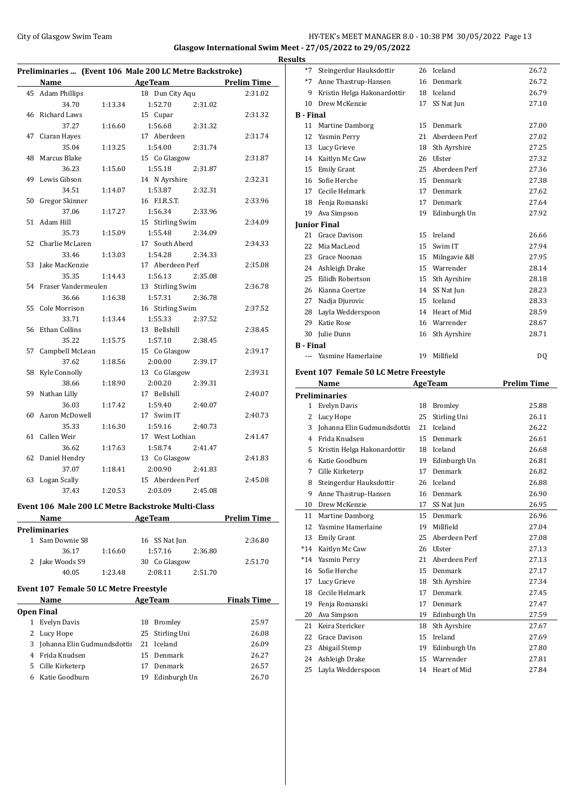$\overline{a}$ 

## City of Glasgow Swim Team Team Frameters Music City of Glasgow Swim Team Frameters 13 **Glasgow International Swim Meet - 27/05/2022 to 29/05/2022**

**Results**

| Preliminaries  (Event 106 Male 200 LC Metre Backstroke) |                      |         |                    |                    |  |
|---------------------------------------------------------|----------------------|---------|--------------------|--------------------|--|
|                                                         | Name                 |         | <b>AgeTeam</b>     | <b>Prelim Time</b> |  |
| 45                                                      | <b>Adam Phillips</b> |         | 18 Dun City Aqu    | 2:31.02            |  |
|                                                         | 34.70                | 1:13.34 | 1:52.70<br>2:31.02 |                    |  |
| 46                                                      | Richard Laws         |         | 15 Cupar           | 2:31.32            |  |
|                                                         | 37.27                | 1:16.60 | 1:56.68<br>2:31.32 |                    |  |
| 47                                                      | Ciaran Hayes         |         | 17 Aberdeen        | 2:31.74            |  |
|                                                         | 35.04                | 1:13.25 | 1:54.00<br>2:31.74 |                    |  |
| 48                                                      | Marcus Blake         |         | 15 Co Glasgow      | 2:31.87            |  |
|                                                         | 36.23                | 1:15.60 | 1:55.18<br>2:31.87 |                    |  |
| 49                                                      | Lewis Gibson         |         | 14 N Ayrshire      | 2:32.31            |  |
|                                                         | 34.51                | 1:14.07 | 1:53.87<br>2:32.31 |                    |  |
| 50                                                      | Gregor Skinner       |         | 16 F.I.R.S.T.      | 2:33.96            |  |
|                                                         | 37.06                | 1:17.27 | 1:56.34<br>2:33.96 |                    |  |
| 51                                                      | Adam Hill            |         | 15 Stirling Swim   | 2:34.09            |  |
|                                                         | 35.73                | 1:15.09 | 1:55.48<br>2:34.09 |                    |  |
| 52                                                      | Charlie McLaren      |         | 17 South Aberd     | 2:34.33            |  |
|                                                         | 33.46                | 1:13.03 | 1:54.28<br>2:34.33 |                    |  |
| 53                                                      | Jake MacKenzie       |         | 17 Aberdeen Perf   | 2:35.08            |  |
|                                                         | 35.35                | 1:14.43 | 1:56.13<br>2:35.08 |                    |  |
| 54                                                      | Fraser Vandermeulen  |         | 13 Stirling Swim   | 2:36.78            |  |
|                                                         | 36.66                | 1:16.38 | 1:57.31<br>2:36.78 |                    |  |
| 55                                                      | Cole Morrison        |         | 16 Stirling Swim   | 2:37.52            |  |
|                                                         | 33.71                | 1:13.44 | 1:55.33<br>2:37.52 |                    |  |
| 56                                                      | <b>Ethan Collins</b> |         | 13 Bellshill       | 2:38.45            |  |
|                                                         | 35.22                | 1:15.75 | 1:57.10<br>2:38.45 |                    |  |
| 57                                                      | Campbell McLean      |         | 15 Co Glasgow      | 2:39.17            |  |
|                                                         | 37.62                | 1:18.56 | 2:00.00<br>2:39.17 |                    |  |
| 58                                                      | Kyle Connolly        |         | 13 Co Glasgow      | 2:39.31            |  |
|                                                         | 38.66                | 1:18.90 | 2:00.20<br>2:39.31 |                    |  |
| 59                                                      | Nathan Lilly         |         | 17 Bellshill       | 2:40.07            |  |
|                                                         | 36.03                | 1:17.42 | 1:59.40<br>2:40.07 |                    |  |
| 60                                                      | Aaron McDowell       |         | 17 Swim IT         | 2:40.73            |  |
|                                                         | 35.33                | 1:16.30 | 1:59.16<br>2:40.73 |                    |  |
| 61                                                      | Callen Weir          |         | 17 West Lothian    | 2:41.47            |  |
|                                                         | 36.62                | 1:17.63 | 1:58.74<br>2:41.47 |                    |  |
| 62                                                      | Daniel Hendry        |         | 13 Co Glasgow      | 2:41.83            |  |
|                                                         | 37.07                | 1:18.41 | 2:00.90<br>2:41.83 |                    |  |
| 63                                                      | <b>Logan Scally</b>  |         | 15 Aberdeen Perf   | 2:45.08            |  |
|                                                         | 37.43                | 1:20.53 | 2:03.09<br>2:45.08 |                    |  |

### **Event 106 Male 200 LC Metre Backstroke Multi-Class**

| <b>Name</b>     |         | <b>AgeTeam</b> |         | <b>Prelim Time</b> |
|-----------------|---------|----------------|---------|--------------------|
| Preliminaries   |         |                |         |                    |
| 1 Sam Downie S8 |         | 16 SS Nat Jun  |         | 2:36.80            |
| 36.17           | 1:16.60 | 1:57.16        | 2:36.80 |                    |
| 2 Jake Woods S9 |         | 30 Co Glasgow  |         | 2:51.70            |
| 40.05           | 1:23.48 | 2:08.11        | 2:51.70 |                    |

## **Event 107 Female 50 LC Metre Freestyle**

|                   | Name                          |    | <b>AgeTeam</b>  | <b>Finals Time</b> |  |  |  |
|-------------------|-------------------------------|----|-----------------|--------------------|--|--|--|
| <b>Open Final</b> |                               |    |                 |                    |  |  |  |
| 1                 | Evelyn Davis                  | 18 | Bromley         | 25.97              |  |  |  |
| 2                 | Lucy Hope                     |    | 25 Stirling Uni | 26.08              |  |  |  |
|                   | 3 Johanna Elin Gudmundsdottii |    | 21 Iceland      | 26.09              |  |  |  |
|                   | 4 Frida Knudsen               |    | 15 Denmark      | 26.27              |  |  |  |
| 5.                | Cille Kirketerp               | 17 | Denmark         | 26.57              |  |  |  |
| 6                 | Katie Goodburn                | 19 | Edinburgh Un    | 26.70              |  |  |  |

| $*7$             | Steingerdur Hauksdottir     | 26  | Iceland       | 26.72 |
|------------------|-----------------------------|-----|---------------|-------|
| $*7$             | Anne Thastrup-Hansen        | 16  | Denmark       | 26.72 |
| 9                | Kristin Helga Hakonardottir | 18  | Iceland       | 26.79 |
| 10 <sup>1</sup>  | Drew McKenzie               | 17  | SS Nat Jun    | 27.10 |
| <b>B</b> - Final |                             |     |               |       |
| 11               | Martine Damborg             | 15  | Denmark       | 27.00 |
| 12               | Yasmin Perry                | 2.1 | Aberdeen Perf | 27.02 |
| 13               | Lucy Grieve                 | 18  | Sth Ayrshire  | 27.25 |
| 14               | Kaitlyn Mc Caw              | 26  | Ulster        | 27.32 |
| 15               | <b>Emily Grant</b>          | 25  | Aberdeen Perf | 27.36 |
| 16               | Sofie Herche                | 15  | Denmark       | 27.38 |
| 17               | Cecile Helmark              | 17  | Denmark       | 27.62 |
| 18               | Fenja Romanski              | 17  | Denmark       | 27.64 |
| 19               | Ava Simpson                 | 19  | Edinburgh Un  | 27.92 |
|                  | <b>Junior Final</b>         |     |               |       |
| 21               | Grace Davison               | 15  | Ireland       | 26.66 |
| 22               | Mia MacLeod                 | 15  | Swim IT       | 27.94 |
| 23               | Grace Noonan                | 15  | Milngavie &B  | 27.95 |
|                  | 24 Ashleigh Drake           | 15  | Warrender     | 28.14 |
| 25               | Eilidh Robertson            | 15  | Sth Ayrshire  | 28.18 |
| 26               | Kianna Coertze              | 14  | SS Nat Jun    | 28.23 |
| 27               | Nadja Djurovic              | 15  | Iceland       | 28.33 |
| 28               | Layla Wedderspoon           | 14  | Heart of Mid  | 28.59 |
| 29               | Katie Rose                  | 16  | Warrender     | 28.67 |
| 30               | Julie Dunn                  | 16  | Sth Ayrshire  | 28.71 |
| <b>B</b> - Final |                             |     |               |       |
|                  | Yasmine Hamerlaine          |     | 19 Millfield  | DQ    |

## **Event 107 Female 50 LC Metre Freestyle**

|                             | <b>Preliminaries</b><br>1 |               |                                   |  |  |  |  |  |  |
|-----------------------------|---------------------------|---------------|-----------------------------------|--|--|--|--|--|--|
|                             | 18                        | Bromley       | 25.88                             |  |  |  |  |  |  |
| Lucy Hope                   | 25                        | Stirling Uni  | 26.11                             |  |  |  |  |  |  |
| Johanna Elin Gudmundsdottii | 21                        | Iceland       | 26.22                             |  |  |  |  |  |  |
| Frida Knudsen               | 15                        | Denmark       | 26.61                             |  |  |  |  |  |  |
| Kristin Helga Hakonardottir | 18                        | Iceland       | 26.68                             |  |  |  |  |  |  |
| Katie Goodburn              |                           | Edinburgh Un  | 26.81                             |  |  |  |  |  |  |
| Cille Kirketerp             | 17                        | Denmark       | 26.82                             |  |  |  |  |  |  |
| Steingerdur Hauksdottir     | 26                        | Iceland       | 26.88                             |  |  |  |  |  |  |
| Anne Thastrup-Hansen        | 16                        | Denmark       | 26.90                             |  |  |  |  |  |  |
| Drew McKenzie               |                           | SS Nat Jun    | 26.95                             |  |  |  |  |  |  |
| Martine Damborg             |                           | Denmark       | 26.96                             |  |  |  |  |  |  |
| Yasmine Hamerlaine          | 19                        | Millfield     | 27.04                             |  |  |  |  |  |  |
| <b>Emily Grant</b>          | 25                        | Aberdeen Perf | 27.08                             |  |  |  |  |  |  |
| Kaitlyn Mc Caw              | 26                        | <b>Ulster</b> | 27.13                             |  |  |  |  |  |  |
| Yasmin Perry                | 21                        | Aberdeen Perf | 27.13                             |  |  |  |  |  |  |
| Sofie Herche                | 15                        | Denmark       | 27.17                             |  |  |  |  |  |  |
| Lucy Grieve                 | 18                        | Sth Ayrshire  | 27.34                             |  |  |  |  |  |  |
| Cecile Helmark              | 17                        | Denmark       | 27.45                             |  |  |  |  |  |  |
| Fenja Romanski              | 17                        | Denmark       | 27.47                             |  |  |  |  |  |  |
| Ava Simpson                 |                           | Edinburgh Un  | 27.59                             |  |  |  |  |  |  |
| Keira Stericker             | 18                        | Sth Ayrshire  | 27.67                             |  |  |  |  |  |  |
| Grace Davison               | 15                        | Ireland       | 27.69                             |  |  |  |  |  |  |
| Abigail Stemp               | 19                        | Edinburgh Un  | 27.80                             |  |  |  |  |  |  |
| Ashleigh Drake              | 15                        | Warrender     | 27.81                             |  |  |  |  |  |  |
| Layla Wedderspoon           | 14                        | Heart of Mid  | 27.84                             |  |  |  |  |  |  |
|                             | <b>Evelyn Davis</b>       |               | 19<br>17<br>15 <sup>2</sup><br>19 |  |  |  |  |  |  |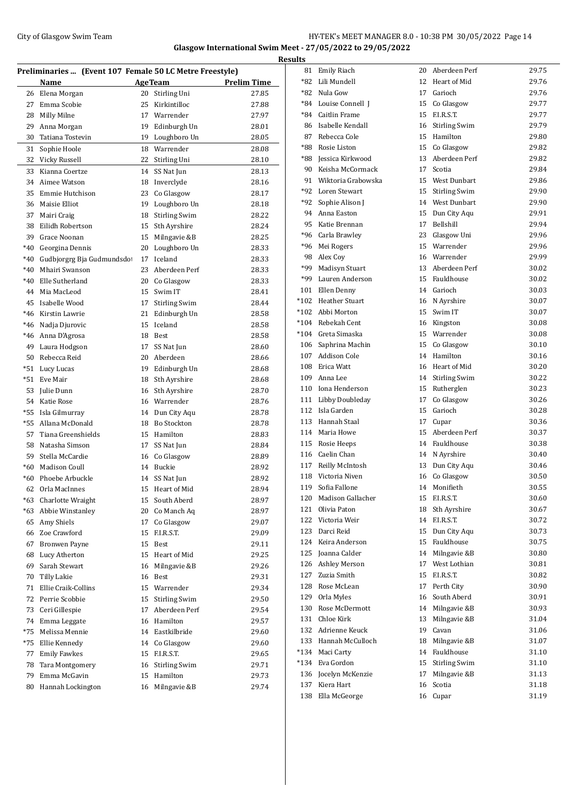# City of Glasgow Swim Team Team Feam Fermi States of Glasgow Swim Team Feam Fermi States of American States and HY-TEK's MEET MANAGER 8.0 - 10:38 PM 30/05/2022 Page 14 **Glasgow International Swim Meet - 27/05/2022 to 29/05/2022**

| Preliminaries  (Event 107 Female 50 LC Metre Freestyle) |                                       |                |                                       |                    |  |  |
|---------------------------------------------------------|---------------------------------------|----------------|---------------------------------------|--------------------|--|--|
|                                                         | Name                                  | <b>AgeTeam</b> |                                       | <b>Prelim Time</b> |  |  |
| 26                                                      | Elena Morgan                          | 20             | Stirling Uni                          | 27.85              |  |  |
| 27                                                      | Emma Scobie                           | 25             | Kirkintilloc                          | 27.88              |  |  |
| 28                                                      | Milly Milne                           |                | 17 Warrender                          | 27.97              |  |  |
| 29                                                      | Anna Morgan                           |                | 19 Edinburgh Un                       | 28.01              |  |  |
| 30                                                      | Tatiana Tostevin                      |                | 19 Loughboro Un                       | 28.05              |  |  |
| 31                                                      | Sophie Hoole                          |                | 18 Warrender                          | 28.08              |  |  |
| 32                                                      | Vicky Russell                         |                | 22 Stirling Uni                       | 28.10              |  |  |
| 33                                                      | Kianna Coertze                        | 14             | SS Nat Jun                            | 28.13              |  |  |
| 34                                                      | Aimee Watson                          |                | 18 Inverclyde                         | 28.16              |  |  |
| 35                                                      | Emmie Hutchison                       |                | 23 Co Glasgow                         | 28.17              |  |  |
| 36                                                      | Maisie Elliot                         | 19             | Loughboro Un                          | 28.18              |  |  |
| 37                                                      | Mairi Craig                           | 18             | <b>Stirling Swim</b>                  | 28.22              |  |  |
| 38                                                      | Eilidh Robertson                      | 15             | Sth Ayrshire                          | 28.24              |  |  |
| 39                                                      | Grace Noonan                          | 15             | Milngavie &B                          | 28.25              |  |  |
| $*40$                                                   | Georgina Dennis                       | 20             | Loughboro Un                          | 28.33              |  |  |
| $*40$                                                   | Gudbjorgrg Bja Gudmundsdo             | 17             | Iceland                               | 28.33              |  |  |
| $*40$                                                   | Mhairi Swanson                        | 23             | Aberdeen Perf                         | 28.33              |  |  |
| $*40$                                                   | Elle Sutherland                       |                | 20 Co Glasgow                         | 28.33              |  |  |
| 44                                                      | Mia MacLeod                           |                | 15 Swim IT                            | 28.41              |  |  |
| 45                                                      | Isabelle Wood                         |                | 17 Stirling Swim                      | 28.44              |  |  |
| $*46$                                                   | Kirstin Lawrie                        | 21             | Edinburgh Un                          | 28.58              |  |  |
| $*46$                                                   | Nadja Djurovic                        | 15             | Iceland                               | 28.58              |  |  |
| $*46$                                                   | Anna D'Agrosa                         | 18             | Best                                  | 28.58              |  |  |
| 49                                                      | Laura Hodgson                         | 17             | SS Nat Jun                            | 28.60              |  |  |
| 50                                                      | Rebecca Reid                          | 20             | Aberdeen                              | 28.66              |  |  |
| $*51$                                                   | Lucy Lucas                            |                | 19 Edinburgh Un                       | 28.68              |  |  |
| $*51$                                                   | Eve Mair                              |                | 18 Sth Ayrshire                       | 28.68              |  |  |
| 53                                                      | Julie Dunn                            |                | 16 Sth Ayrshire                       | 28.70              |  |  |
| 54                                                      | Katie Rose                            |                | 16 Warrender                          | 28.76              |  |  |
| $*55$<br>$*55$                                          | Isla Gilmurray                        |                | 14 Dun City Aqu<br><b>Bo Stockton</b> | 28.78              |  |  |
| 57                                                      | Allana McDonald<br>Tiana Greenshields | 18             | 15 Hamilton                           | 28.78<br>28.83     |  |  |
| 58                                                      | Natasha Simson                        | 17             | SS Nat Jun                            | 28.84              |  |  |
| 59                                                      | Stella McCardie                       |                | 16 Co Glasgow                         | 28.89              |  |  |
| $*60$                                                   | <b>Madison Coull</b>                  |                | 14 Buckie                             | 28.92              |  |  |
| $*60$                                                   | Phoebe Arbuckle                       | 14             | SS Nat Jun                            | 28.92              |  |  |
|                                                         | 62 Orla MacInnes                      |                | 15 Heart of Mid                       | 28.94              |  |  |
| *63                                                     | Charlotte Wraight                     | 15             | South Aberd                           | 28.97              |  |  |
| $*63$                                                   | Abbie Winstanley                      | 20             | Co Manch Aq                           | 28.97              |  |  |
| 65                                                      | Amy Shiels                            | 17             | Co Glasgow                            | 29.07              |  |  |
| 66                                                      | Zoe Crawford                          | 15             | F.I.R.S.T.                            | 29.09              |  |  |
| 67                                                      | Bronwen Payne                         | 15             | Best                                  | 29.11              |  |  |
| 68                                                      | Lucy Atherton                         | 15             | Heart of Mid                          | 29.25              |  |  |
| 69                                                      | Sarah Stewart                         | 16             | Milngavie &B                          | 29.26              |  |  |
| 70                                                      | Tilly Lakie                           | 16             | Best                                  | 29.31              |  |  |
| 71                                                      | Ellie Craik-Collins                   |                | 15 Warrender                          | 29.34              |  |  |
| 72                                                      | Perrie Scobbie                        | 15             | <b>Stirling Swim</b>                  | 29.50              |  |  |
| 73                                                      | Ceri Gillespie                        | 17             | Aberdeen Perf                         | 29.54              |  |  |
| 74                                                      | Emma Leggate                          | 16             | Hamilton                              | 29.57              |  |  |
| *75                                                     | Melissa Mennie                        |                | 14 Eastkilbride                       | 29.60              |  |  |
| *75                                                     | Ellie Kennedy                         | 14             | Co Glasgow                            | 29.60              |  |  |
| 77                                                      | <b>Emily Fawkes</b>                   | 15             | F.I.R.S.T.                            | 29.65              |  |  |
| 78                                                      | Tara Montgomery                       | 16             | <b>Stirling Swim</b>                  | 29.71              |  |  |
| 79                                                      | Emma McGavin                          | 15             | Hamilton                              | 29.73              |  |  |
| 80                                                      | Hannah Lockington                     | 16             | Milngavie &B                          | 29.74              |  |  |

| <b>Results</b> |     |                       |    |                  |       |  |  |
|----------------|-----|-----------------------|----|------------------|-------|--|--|
|                |     | 81 Emily Riach        |    | 20 Aberdeen Perf | 29.75 |  |  |
|                |     | *82 Lili Mundell      |    | 12 Heart of Mid  | 29.76 |  |  |
|                |     | *82 Nula Gow          |    | 17 Garioch       | 29.76 |  |  |
|                |     | *84 Louise Connell J  |    | 15 Co Glasgow    | 29.77 |  |  |
|                |     | *84 Caitlin Frame     |    | 15 F.I.R.S.T.    | 29.77 |  |  |
|                |     | 86 Isabelle Kendall   |    | 16 Stirling Swim | 29.79 |  |  |
|                |     | 87 Rebecca Cole       |    | 15 Hamilton      | 29.80 |  |  |
|                |     | *88 Rosie Liston      |    | 15 Co Glasgow    | 29.82 |  |  |
|                |     | *88 Jessica Kirkwood  |    | 13 Aberdeen Perf | 29.82 |  |  |
|                |     | 90 Keisha McCormack   |    | 17 Scotia        | 29.84 |  |  |
|                |     | 91 Wiktoria Grabowska |    | 15 West Dunbart  | 29.86 |  |  |
|                |     | *92 Loren Stewart     |    | 15 Stirling Swim | 29.90 |  |  |
|                |     | *92 Sophie Alison J   |    | 14 West Dunbart  | 29.90 |  |  |
|                |     | 94 Anna Easton        |    | 15 Dun City Aqu  | 29.91 |  |  |
|                |     | 95 Katie Brennan      |    | 17 Bellshill     | 29.94 |  |  |
|                |     | *96 Carla Brawley     |    | 23 Glasgow Uni   | 29.96 |  |  |
|                |     | *96 Mei Rogers        |    | 15 Warrender     | 29.96 |  |  |
|                |     | 98 Alex Coy           |    | 16 Warrender     | 29.99 |  |  |
|                |     | *99 Madisyn Stuart    |    | 13 Aberdeen Perf | 30.02 |  |  |
|                |     | *99 Lauren Anderson   |    | 15 Fauldhouse    | 30.02 |  |  |
|                |     | 101 Ellen Denny       |    | 14 Garioch       | 30.03 |  |  |
|                |     | *102 Heather Stuart   |    | 16 N Ayrshire    | 30.07 |  |  |
|                |     | *102 Abbi Morton      |    | 15 Swim IT       | 30.07 |  |  |
|                |     | *104 Rebekah Cent     |    | 16 Kingston      | 30.08 |  |  |
|                |     | *104 Greta Simaska    |    | 15 Warrender     | 30.08 |  |  |
|                |     | 106 Saphrina Machin   |    | 15 Co Glasgow    | 30.10 |  |  |
|                |     | 107 Addison Cole      |    | 14 Hamilton      | 30.16 |  |  |
|                |     | 108 Erica Watt        |    | 16 Heart of Mid  | 30.20 |  |  |
|                |     | 109 Anna Lee          |    | 14 Stirling Swim | 30.22 |  |  |
|                |     | 110 Iona Henderson    |    | 15 Rutherglen    | 30.23 |  |  |
|                |     | 111 Libby Doubleday   |    | 17 Co Glasgow    | 30.26 |  |  |
|                |     | 112 Isla Garden       |    | 15 Garioch       | 30.28 |  |  |
|                |     | 113 Hannah Staal      |    | 17 Cupar         | 30.36 |  |  |
|                |     | 114 Maria Howe        |    | 15 Aberdeen Perf | 30.37 |  |  |
|                |     | 115 Rosie Heeps       |    | 14 Fauldhouse    | 30.38 |  |  |
|                |     | 116 Caelin Chan       |    | 14 N Ayrshire    | 30.40 |  |  |
|                |     | 117 Reilly McIntosh   |    | 13 Dun City Aqu  | 30.46 |  |  |
|                |     | 118 Victoria Niven    |    | 16 Co Glasgow    | 30.50 |  |  |
|                |     | 119 Sofia Fallone     |    | 14 Monifieth     | 30.55 |  |  |
|                | 120 | Madison Gallacher     |    | 15 F.I.R.S.T.    | 30.60 |  |  |
|                |     | 121 Olivia Paton      | 18 | Sth Ayrshire     | 30.67 |  |  |
|                |     | 122 Victoria Weir     |    | 14 F.I.R.S.T.    | 30.72 |  |  |
|                |     | 123 Darci Reid        |    | 15 Dun City Aqu  | 30.73 |  |  |
|                |     | 124 Keira Anderson    |    | 15 Fauldhouse    | 30.75 |  |  |
|                |     | 125 Joanna Calder     |    | 14 Milngavie &B  | 30.80 |  |  |
|                |     | 126 Ashley Merson     |    | 17 West Lothian  | 30.81 |  |  |
|                |     | 127 Zuzia Smith       |    | 15 F.I.R.S.T.    | 30.82 |  |  |
|                |     | 128 Rose McLean       |    | 17 Perth City    | 30.90 |  |  |
|                |     | 129 Orla Myles        |    | 16 South Aberd   | 30.91 |  |  |
|                |     | 130 Rose McDermott    |    | 14 Milngavie &B  | 30.93 |  |  |
|                |     | 131 Chloe Kirk        |    | 13 Milngavie &B  | 31.04 |  |  |
|                |     | 132 Adrienne Keuck    |    | 19 Cavan         | 31.06 |  |  |
|                |     | 133 Hannah McCulloch  |    | 18 Milngavie &B  | 31.07 |  |  |
|                |     | *134 Maci Carty       |    | 14 Fauldhouse    | 31.10 |  |  |
|                |     | *134 Eva Gordon       |    | 15 Stirling Swim | 31.10 |  |  |
|                |     | 136 Jocelyn McKenzie  | 17 | Milngavie &B     | 31.13 |  |  |
|                | 137 | Kiera Hart            | 16 | Scotia           | 31.18 |  |  |
|                | 138 | Ella McGeorge         |    | 16 Cupar         | 31.19 |  |  |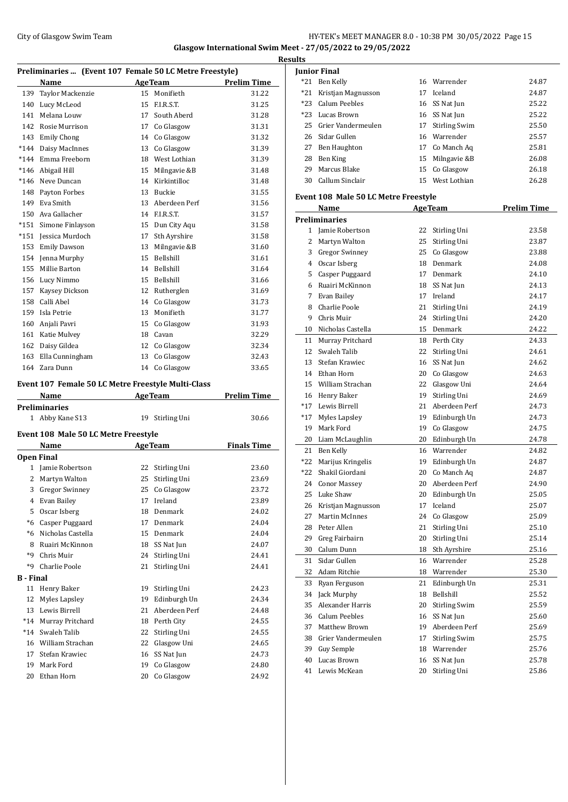## City of Glasgow Swim Team HY-TEK's MEET MANAGER 8.0 - 10:38 PM 30/05/2022 Page 15 **Glasgow International Swim Meet - 27/05/2022 to 29/05/2022**

**Results**

**Preliminaries ... (Event 107 Female 50 LC Metre Freestyle) Name Age Team Prelim Time**  Taylor Mackenzie 15 Monifieth 31.22 Lucy McLeod 15 F.I.R.S.T. 31.25 Melana Louw 17 South Aberd 31.28 Rosie Murrison 17 Co Glasgow 31.31 143 Emily Chong 14 Co Glasgow 31.32 \*144 Daisy MacInnes 13 Co Glasgow 31.39 \*144 Emma Freeborn 18 West Lothian 31.39 \*146 Abigail Hill 15 Milngavie &B 31.48 \*146 Neve Duncan 14 Kirkintilloc 31.48 Payton Forbes 13 Buckie 31.55 Eva Smith 13 Aberdeen Perf 31.56 Ava Gallacher 14 F.I.R.S.T. 31.57 \*151 Simone Finlayson 15 Dun City Aqu 31.58 \*151 Jessica Murdoch 17 Sth Ayrshire 31.58 153 Emily Dawson 13 Milngavie &B 31.60 Jenna Murphy 15 Bellshill 31.61 Millie Barton 14 Bellshill 31.64 Lucy Nimmo 15 Bellshill 31.66 Kaysey Dickson 12 Rutherglen 31.69 Calli Abel 14 Co Glasgow 31.73 Isla Petrie 13 Monifieth 31.77 Anjali Pavri 15 Co Glasgow 31.93 Katie Mulvey 18 Cavan 32.29 Daisy Gildea 12 Co Glasgow 32.34 Ella Cunningham 13 Co Glasgow 32.43 Zara Dunn 14 Co Glasgow 33.65 **Event 107 Female 50 LC Metre Freestyle Multi-Class Name Age Team Prelim Time Preliminaries** 1 Abby Kane S13 19 Stirling Uni 30.66 **Event 108 Male 50 LC Metre Freestyle Name Age Team Finals Time Open Final** Jamie Robertson 22 Stirling Uni 23.60 Martyn Walton 25 Stirling Uni 23.69 Gregor Swinney 25 Co Glasgow 23.72 Evan Bailey 17 Ireland 23.89 Oscar Isberg 18 Denmark 24.02 \*6 Casper Puggaard 17 Denmark 24.04 \*6 Nicholas Castella 15 Denmark 24.04 8 Ruairi McKinnon 18 SS Nat Jun 24.07 \*9 Chris Muir 24 Stirling Uni 24.41 \*9 Charlie Poole 21 Stirling Uni 24.41 **B - Final** 11 Henry Baker 19 Stirling Uni 24.23 Myles Lapsley 19 Edinburgh Un 24.34 Lewis Birrell 21 Aberdeen Perf 24.48 \*14 Murray Pritchard 18 Perth City 24.55 \*14 Swaleh Talib 22 Stirling Uni 24.55 William Strachan 22 Glasgow Uni 24.65 Stefan Krawiec 16 SS Nat Jun 24.73 Mark Ford 19 Co Glasgow 24.80 Ethan Horn 20 Co Glasgow 24.92

|       | Junior Final                                |    |                      |                    |
|-------|---------------------------------------------|----|----------------------|--------------------|
| $*21$ | Ben Kelly                                   |    | 16 Warrender         | 24.87              |
| *21   | Kristjan Magnusson                          | 17 | Iceland              | 24.87              |
| $*23$ | <b>Calum Peebles</b>                        |    | 16 SS Nat Jun        | 25.22              |
| $*23$ | Lucas Brown                                 |    | 16 SS Nat Jun        | 25.22              |
| 25    | Grier Vandermeulen                          |    | 17 Stirling Swim     | 25.50              |
| 26    | Sidar Gullen                                |    | 16 Warrender         | 25.57              |
| 27    | Ben Haughton                                |    | 17 Co Manch Aq       | 25.81              |
| 28    | Ben King                                    | 15 | Milngavie &B         | 26.08              |
| 29    | Marcus Blake                                | 15 | Co Glasgow           | 26.18              |
| 30    | Callum Sinclair                             |    | 15 West Lothian      | 26.28              |
|       | <b>Event 108 Male 50 LC Metre Freestyle</b> |    |                      |                    |
|       | Name                                        |    | <b>AgeTeam</b>       | <b>Prelim Time</b> |
|       | Preliminaries                               |    |                      |                    |
| 1     | Jamie Robertson                             | 22 | Stirling Uni         | 23.58              |
| 2     | Martyn Walton                               | 25 | Stirling Uni         | 23.87              |
| 3     | <b>Gregor Swinney</b>                       |    | 25 Co Glasgow        | 23.88              |
| 4     | Oscar Isberg                                |    | 18 Denmark           | 24.08              |
| 5     | Casper Puggaard                             |    | 17 Denmark           | 24.10              |
| 6     | Ruairi McKinnon                             |    | 18 SS Nat Jun        | 24.13              |
| 7     | Evan Bailey                                 |    | 17 Ireland           | 24.17              |
| 8     | Charlie Poole                               | 21 | Stirling Uni         | 24.19              |
| 9     | Chris Muir                                  |    | 24 Stirling Uni      | 24.20              |
| 10    | Nicholas Castella                           |    | 15 Denmark           | 24.22              |
| 11    | Murray Pritchard                            |    | 18 Perth City        | 24.33              |
| 12    | Swaleh Talib                                | 22 | Stirling Uni         | 24.61              |
| 13    | Stefan Krawiec                              | 16 | SS Nat Jun           | 24.62              |
| 14    | Ethan Horn                                  |    | 20 Co Glasgow        | 24.63              |
| 15    | William Strachan                            | 22 | Glasgow Uni          | 24.64              |
| 16    | Henry Baker                                 | 19 | Stirling Uni         | 24.69              |
| $*17$ | Lewis Birrell                               | 21 | Aberdeen Perf        | 24.73              |
| $*17$ | Myles Lapsley                               |    | 19 Edinburgh Un      | 24.73              |
| 19    | Mark Ford                                   | 19 | Co Glasgow           | 24.75              |
| 20    | Liam McLaughlin                             |    | 20 Edinburgh Un      | 24.78              |
| 21    | Ben Kelly                                   |    | 16 Warrender         | 24.82              |
| *22   | Marijus Kringelis                           |    | 19 Edinburgh Un      | 24.87              |
| *22   | Shakil Giordani                             |    | 20 Co Manch Aq       | 24.87              |
| 24    | <b>Conor Massey</b>                         | 20 | Aberdeen Perf        | 24.90              |
|       | 25 Luke Shaw                                |    | 20 Edinburgh Un      | 25.05              |
| 26    | Kristjan Magnusson                          | 17 | Iceland              | 25.07              |
| 27    | <b>Martin McInnes</b>                       | 24 | Co Glasgow           | 25.09              |
| 28    | Peter Allen                                 | 21 | Stirling Uni         | 25.10              |
| 29    | Greg Fairbairn                              | 20 | Stirling Uni         | 25.14              |
| 30    | Calum Dunn                                  | 18 | Sth Ayrshire         | 25.16              |
| 31    | Sidar Gullen                                | 16 | Warrender            | 25.28              |
| 32    | Adam Ritchie                                | 18 | Warrender            | 25.30              |
| 33    | Ryan Ferguson                               | 21 | Edinburgh Un         | 25.31              |
| 34    | Jack Murphy                                 | 18 | Bellshill            | 25.52              |
| 35    | Alexander Harris                            | 20 | <b>Stirling Swim</b> | 25.59              |
| 36    | <b>Calum Peebles</b>                        | 16 | SS Nat Jun           | 25.60              |
| 37    | Matthew Brown                               | 19 | Aberdeen Perf        | 25.69              |
| 38    | Grier Vandermeulen                          | 17 | <b>Stirling Swim</b> | 25.75              |
| 39    | Guy Semple                                  |    | 18 Warrender         | 25.76              |
| 40    | Lucas Brown                                 |    | 16 SS Nat Jun        | 25.78              |
| 41    | Lewis McKean                                | 20 | Stirling Uni         | 25.86              |
|       |                                             |    |                      |                    |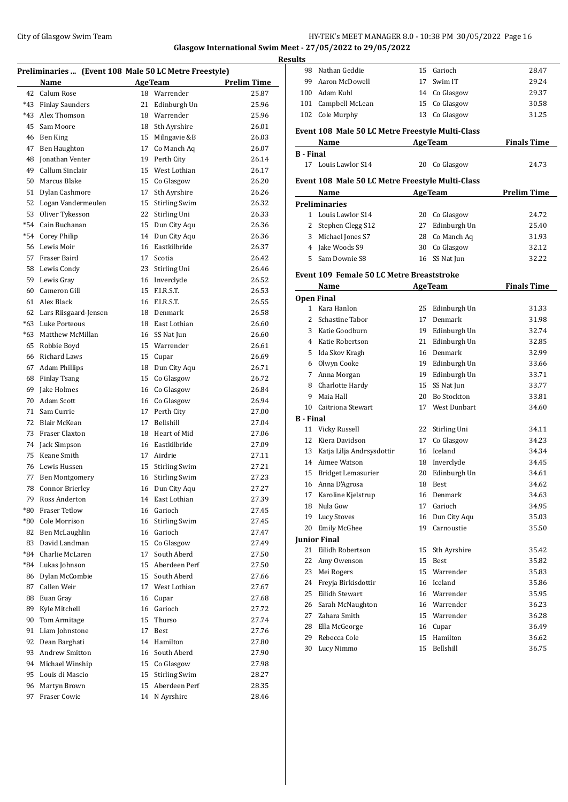## City of Glasgow Swim Team HY-TEK's MEET MANAGER 8.0 - 10:38 PM 30/05/2022 Page 16 **Glasgow International Swim Meet - 27/05/2022 to 29/05/2022**

**Preliminaries ... (Event 108 Male 50 LC Metre Freestyle) Name Age Team Prelim Time**  Calum Rose 18 Warrender 25.87 \*43 Finlay Saunders 21 Edinburgh Un 25.96 \*43 Alex Thomson 18 Warrender 25.96 Sam Moore 18 Sth Ayrshire 26.01 Ben King 15 Milngavie &B 26.03 Ben Haughton 17 Co Manch Aq 26.07 Jonathan Venter 19 Perth City 26.14 Callum Sinclair 15 West Lothian 26.17 Marcus Blake 15 Co Glasgow 26.20 Dylan Cashmore 17 Sth Ayrshire 26.26 Logan Vandermeulen 15 Stirling Swim 26.32 Oliver Tykesson 22 Stirling Uni 26.33 \*54 Cain Buchanan 15 Dun City Aqu 26.36 \*54 Corey Philip 14 Dun City Aqu 26.36 Lewis Moir 16 Eastkilbride 26.37 Fraser Baird 17 Scotia 26.42 Lewis Condy 23 Stirling Uni 26.46 Lewis Gray 16 Inverclyde 26.52 Cameron Gill 15 F.I.R.S.T. 26.53 Alex Black 16 F.I.R.S.T. 26.55 Lars Riisgaard-Jensen 18 Denmark 26.58 \*63 Luke Porteous 18 East Lothian 26.60 \*63 Matthew McMillan 16 SS Nat Jun 26.60 Robbie Boyd 15 Warrender 26.61 Richard Laws 15 Cupar 26.69 Adam Phillips 18 Dun City Aqu 26.71 Finlay Tsang 15 Co Glasgow 26.72 Jake Holmes 16 Co Glasgow 26.84 Adam Scott 16 Co Glasgow 26.94 Sam Currie 17 Perth City 27.00 Blair McKean 17 Bellshill 27.04 Fraser Claxton 18 Heart of Mid 27.06 Jack Simpson 16 Eastkilbride 27.09 Keane Smith 17 Airdrie 27.11 Lewis Hussen 15 Stirling Swim 27.21 Ben Montgomery 16 Stirling Swim 27.23 Connor Brierley 16 Dun City Aqu 27.27 Ross Anderton 14 East Lothian 27.39 \*80 Fraser Tetlow 16 Garioch 27.45 \*80 Cole Morrison 16 Stirling Swim 27.45 Ben McLaughlin 16 Garioch 27.47 83 David Landman 15 Co Glasgow 27.49 \*84 Charlie McLaren 17 South Aberd 27.50 \*84 Lukas Johnson 15 Aberdeen Perf 27.50 Dylan McCombie 15 South Aberd 27.66 87 Callen Weir 17 West Lothian 27.67 88 Euan Gray 16 Cupar 27.68 Kyle Mitchell 16 Garioch 27.72 Tom Armitage 15 Thurso 27.74 91 Liam Johnstone 17 Best 27.76 92 Dean Barghati 14 Hamilton 27.80 Andrew Smitton 16 South Aberd 27.90 Michael Winship 15 Co Glasgow 27.98 Louis di Mascio 15 Stirling Swim 28.27 Martyn Brown 15 Aberdeen Perf 28.35 Fraser Cowie 14 N Ayrshire 28.46

| <b>Results</b>   |                                                                            |    |                 |                    |
|------------------|----------------------------------------------------------------------------|----|-----------------|--------------------|
|                  | 98 Nathan Geddie                                                           |    | 15 Garioch      | 28.47              |
|                  | 99 Aaron McDowell                                                          | 17 | Swim IT         | 29.24              |
|                  | 100 Adam Kuhl                                                              |    | 14 Co Glasgow   | 29.37              |
|                  | 101 Campbell McLean                                                        |    | 15 Co Glasgow   | 30.58              |
|                  | 102 Cole Murphy                                                            |    | 13 Co Glasgow   | 31.25              |
|                  | Event 108 Male 50 LC Metre Freestyle Multi-Class<br><b>AgeTeam</b><br>Name |    |                 | <b>Finals Time</b> |
| <b>B</b> - Final |                                                                            |    |                 |                    |
|                  | 17 Louis Lawlor S14                                                        |    | 20 Co Glasgow   | 24.73              |
|                  |                                                                            |    |                 |                    |
|                  | Event 108 Male 50 LC Metre Freestyle Multi-Class<br>Name                   |    | <b>AgeTeam</b>  | <b>Prelim Time</b> |
|                  | <b>Preliminaries</b>                                                       |    |                 |                    |
|                  | 1 Louis Lawlor S14                                                         |    | 20 Co Glasgow   | 24.72              |
|                  | 2 Stephen Clegg S12                                                        |    | 27 Edinburgh Un | 25.40              |
|                  | 3 Michael Jones S7                                                         |    | 28 Co Manch Aq  | 31.93              |
|                  | 4 Jake Woods S9                                                            |    | 30 Co Glasgow   | 32.12              |
|                  | 5 Sam Downie S8                                                            |    | 16 SS Nat Jun   | 32.22              |
|                  |                                                                            |    |                 |                    |
|                  | <b>Event 109 Female 50 LC Metre Breaststroke</b><br>Name                   |    | Age Team        | <b>Finals Time</b> |
|                  | <b>Open Final</b>                                                          |    |                 |                    |
|                  | 1 Kara Hanlon                                                              |    | 25 Edinburgh Un | 31.33              |
|                  | 2 Schastine Tabor                                                          |    | 17 Denmark      | 31.98              |
|                  | 3 Katie Goodburn                                                           |    |                 | 32.74              |
|                  | 4 Katie Robertson                                                          |    | 19 Edinburgh Un |                    |
|                  |                                                                            |    | 21 Edinburgh Un | 32.85              |
|                  | 5 Ida Skov Kragh                                                           |    | 16 Denmark      | 32.99              |
|                  | 6 Olwyn Cooke                                                              |    | 19 Edinburgh Un | 33.66              |
|                  | 7 Anna Morgan                                                              |    | 19 Edinburgh Un | 33.71              |
|                  | 8 Charlotte Hardy                                                          |    | 15 SS Nat Jun   | 33.77              |
|                  | 9 Maia Hall                                                                |    | 20 Bo Stockton  | 33.81              |
|                  | 10 Caitriona Stewart                                                       |    | 17 West Dunbart | 34.60              |
| <b>B</b> - Final |                                                                            |    |                 |                    |
|                  | 11 Vicky Russell                                                           |    | 22 Stirling Uni | 34.11              |
|                  | 12 Kiera Davidson                                                          |    | 17 Co Glasgow   | 34.23              |
|                  | 13 Katja Lilja Andrsysdottir                                               |    | 16 Iceland      | 34.34              |
|                  | 14 Aimee Watson                                                            |    | 18 Inverclyde   | 34.45              |
|                  | 15 Bridget Lemasurier                                                      |    | 20 Edinburgh Un | 34.61              |
|                  | 16 Anna D'Agrosa                                                           |    | 18 Best         | 34.62              |
|                  | 17 Karoline Kjelstrup                                                      |    | 16 Denmark      | 34.63              |
|                  | 18 Nula Gow                                                                | 17 | Garioch         | 34.95              |
|                  | 19 Lucy Stoves                                                             |    | 16 Dun City Aqu | 35.03              |
|                  | 20 Emily McGhee                                                            | 19 | Carnoustie      | 35.50              |
|                  | <b>Junior Final</b>                                                        |    |                 |                    |
|                  | 21 Eilidh Robertson                                                        | 15 | Sth Ayrshire    | 35.42              |
| 22               | Amy Owenson                                                                | 15 | Best            | 35.82              |
|                  | 23 Mei Rogers                                                              | 15 | Warrender       | 35.83              |
|                  | 24 Freyja Birkisdottir                                                     | 16 | Iceland         | 35.86              |
|                  | 25 Eilidh Stewart                                                          |    | 16 Warrender    | 35.95              |
|                  | 26 Sarah McNaughton                                                        |    | 16 Warrender    | 36.23              |
|                  | 27 Zahara Smith                                                            |    | 15 Warrender    | 36.28              |
|                  | 28 Ella McGeorge                                                           |    | 16 Cupar        | 36.49              |
|                  | 29 Rebecca Cole                                                            | 15 | Hamilton        | 36.62              |
| 30               | Lucy Nimmo                                                                 | 15 | Bellshill       | 36.75              |
|                  |                                                                            |    |                 |                    |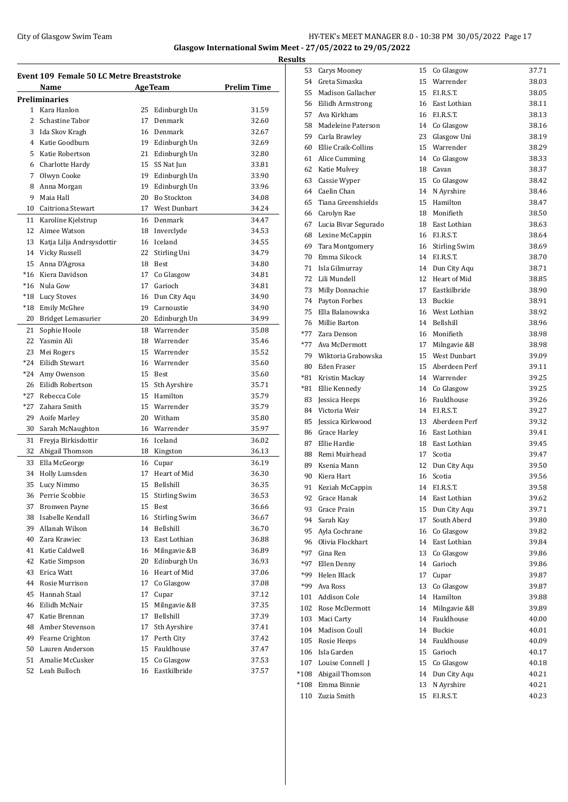## City of Glasgow Swim Team HY-TEK's MEET MANAGER 8.0 - 10:38 PM 30/05/2022 Page 17 **Glasgow International Swim Meet - 27/05/2022 to 29/05/2022**

**Event 109 Female 50 LC Metre Breaststroke Name Age Team Prelim Time Preliminaries** Kara Hanlon 25 Edinburgh Un 31.59 2 Schastine Tabor 17 Denmark 32.60 Ida Skov Kragh 16 Denmark 32.67 Katie Goodburn 19 Edinburgh Un 32.69 Katie Robertson 21 Edinburgh Un 32.80 Charlotte Hardy 15 SS Nat Jun 33.81 Olwyn Cooke 19 Edinburgh Un 33.90 8 Anna Morgan 19 Edinburgh Un 33.96 Maia Hall 20 Bo Stockton 34.08 Caitriona Stewart 17 West Dunbart 34.24 Karoline Kjelstrup 16 Denmark 34.47 Aimee Watson 18 Inverclyde 34.53 Katja Lilja Andrsysdottir 16 Iceland 34.55 Vicky Russell 22 Stirling Uni 34.79 Anna D'Agrosa 18 Best 34.80 \*16 Kiera Davidson 17 Co Glasgow 34.81 \*16 Nula Gow 17 Garioch 34.81 \*18 Lucy Stoves 16 Dun City Aqu 34.90 \*18 Emily McGhee 19 Carnoustie 34.90 Bridget Lemasurier 20 Edinburgh Un 34.99 21 Sophie Hoole 18 Warrender 35.08 Yasmin Ali 18 Warrender 35.46 Mei Rogers 15 Warrender 35.52 \*24 Eilidh Stewart 16 Warrender 35.60 \*24 Amy Owenson 15 Best 35.60 Eilidh Robertson 15 Sth Ayrshire 35.71 \*27 Rebecca Cole 15 Hamilton 35.79 \*27 Zahara Smith 15 Warrender 35.79 Aoife Marley 20 Witham 35.80 Sarah McNaughton 16 Warrender 35.97 Freyja Birkisdottir 16 Iceland 36.02 Abigail Thomson 18 Kingston 36.13 Ella McGeorge 16 Cupar 36.19 34 Holly Lumsden 17 Heart of Mid 36.30 Lucy Nimmo 15 Bellshill 36.35 Perrie Scobbie 15 Stirling Swim 36.53 37 Bronwen Payne 15 Best 36.66 Isabelle Kendall 16 Stirling Swim 36.67 Allanah Wilson 14 Bellshill 36.70 Zara Krawiec 13 East Lothian 36.88 Katie Caldwell 16 Milngavie &B 36.89 Katie Simpson 20 Edinburgh Un 36.93 Erica Watt 16 Heart of Mid 37.06 Rosie Murrison 17 Co Glasgow 37.08 Hannah Staal 17 Cupar 37.12 Eilidh McNair 15 Milngavie &B 37.35 Katie Brennan 17 Bellshill 37.39 Amber Stevenson 17 Sth Ayrshire 37.41 Fearne Crighton 17 Perth City 37.42 Lauren Anderson 15 Fauldhouse 37.47 Amalie McCusker 15 Co Glasgow 37.53 Leah Bulloch 16 Eastkilbride 37.57

|   | <b>Results</b> |                             |    |                               |                |
|---|----------------|-----------------------------|----|-------------------------------|----------------|
|   |                | 53 Carys Mooney             | 15 | Co Glasgow                    | 37.71          |
|   |                | 54 Greta Simaska            |    | 15 Warrender                  | 38.03          |
|   |                | 55 Madison Gallacher        | 15 | F.I.R.S.T.                    | 38.05          |
|   |                | 56 Eilidh Armstrong         |    | 16 East Lothian               | 38.11          |
|   | 57             | Ava Kirkham                 |    | 16 F.I.R.S.T.                 | 38.13          |
|   |                | 58 Madeleine Paterson       |    | 14 Co Glasgow                 | 38.16          |
|   |                | 59 Carla Brawley            | 23 | Glasgow Uni                   | 38.19          |
|   |                | 60 Ellie Craik-Collins      |    | 15 Warrender                  | 38.29          |
|   |                | 61 Alice Cumming            |    | 14 Co Glasgow                 | 38.33          |
|   |                | 62 Katie Mulvey             |    | 18 Cavan                      | 38.37          |
|   |                | 63 Cassie Wyper             |    | 15 Co Glasgow                 | 38.42          |
|   |                | 64 Caelin Chan              |    | 14 N Ayrshire                 | 38.46          |
|   | 65             | Tiana Greenshields          |    | 15 Hamilton                   | 38.47          |
|   |                | 66 Carolyn Rae              |    | 18 Monifieth                  | 38.50          |
|   |                | 67 Lucia Bivar Segurado     |    | 18 East Lothian               | 38.63          |
|   |                | 68 Lexine McCappin          |    | 16 F.I.R.S.T.                 | 38.64          |
|   |                | 69 Tara Montgomery          | 16 | <b>Stirling Swim</b>          | 38.69          |
|   |                | 70 Emma Silcock             | 14 | F.I.R.S.T.                    | 38.70          |
|   |                | 71 Isla Gilmurray           |    | 14 Dun City Aqu               | 38.71          |
|   |                | 72 Lili Mundell             | 12 | Heart of Mid                  | 38.85          |
|   |                | 73 Milly Donnachie          | 17 | Eastkilbride                  | 38.90          |
|   |                | 74 Payton Forbes            | 13 | Buckie                        | 38.91          |
|   |                | 75 Ella Balanowska          |    | 16 West Lothian               | 38.92          |
|   |                | 76 Millie Barton            |    | 14 Bellshill                  | 38.96          |
|   |                | *77 Zara Denson             |    | 16 Monifieth                  | 38.98          |
|   |                | *77 Ava McDermott           |    | 17 Milngavie &B               | 38.98          |
|   |                | 79 Wiktoria Grabowska       |    | 15 West Dunbart               | 39.09          |
|   |                | 80 Eden Fraser              |    | 15 Aberdeen Perf              | 39.11          |
|   |                | *81 Kristin Mackay          |    | 14 Warrender                  | 39.25          |
|   |                | *81 Ellie Kennedy           |    | 14 Co Glasgow                 | 39.25          |
|   |                | 83 Jessica Heeps            |    | 16 Fauldhouse                 | 39.26          |
|   |                | 84 Victoria Weir            |    | 14 F.I.R.S.T.                 | 39.27          |
|   |                | 85 Jessica Kirkwood         |    | 13 Aberdeen Perf              | 39.32          |
|   |                | 86 Grace Harley             |    | 16 East Lothian               | 39.41          |
|   |                | 87 Ellie Hardie             |    | 18 East Lothian               | 39.45          |
| ÷ |                | 88 Remi Muirhead            |    | 17 Scotia                     | 39.47          |
|   |                | 89 Ksenia Mann              | 12 | Dun City Aqu                  | 39.50          |
|   | 90             | Kiera Hart                  | 16 | Scotia                        | 39.56          |
|   | 91             | Keziah McCappin             | 14 | F.I.R.S.T.                    | 39.58          |
|   | 92             | Grace Hanak                 | 14 | East Lothian                  | 39.62          |
|   |                | 93 Grace Prain              | 15 | Dun City Aqu                  | 39.71          |
|   |                | 94 Sarah Kay                | 17 | South Aberd                   | 39.80          |
|   |                | 95 Ayla Cochrane            |    | 16 Co Glasgow                 | 39.82          |
|   | 96<br>*97      | Olivia Flockhart            |    | 14 East Lothian               | 39.84          |
|   |                | Gina Ren<br>*97 Ellen Denny | 13 | Co Glasgow<br>14 Garioch      | 39.86          |
|   |                | *99 Helen Black             | 17 |                               | 39.86          |
|   |                | *99 Ava Ross                | 13 | Cupar<br>Co Glasgow           | 39.87<br>39.87 |
|   |                | 101 Addison Cole            |    | 14 Hamilton                   | 39.88          |
|   |                | 102 Rose McDermott          |    |                               |                |
|   | 103            | Maci Carty                  | 14 | 14 Milngavie &B<br>Fauldhouse | 39.89<br>40.00 |
|   |                | 104 Madison Coull           |    | 14 Buckie                     | 40.01          |
|   |                | 105 Rosie Heeps             |    | 14 Fauldhouse                 | 40.09          |
|   |                | 106 Isla Garden             | 15 | Garioch                       | 40.17          |
|   |                | 107 Louise Connell J        | 15 | Co Glasgow                    | 40.18          |
|   |                | *108 Abigail Thomson        | 14 | Dun City Aqu                  | 40.21          |
|   | $^*108$        | Emma Binnie                 | 13 | N Ayrshire                    | 40.21          |
|   |                | 110 Zuzia Smith             | 15 | F.I.R.S.T.                    | 40.23          |
|   |                |                             |    |                               |                |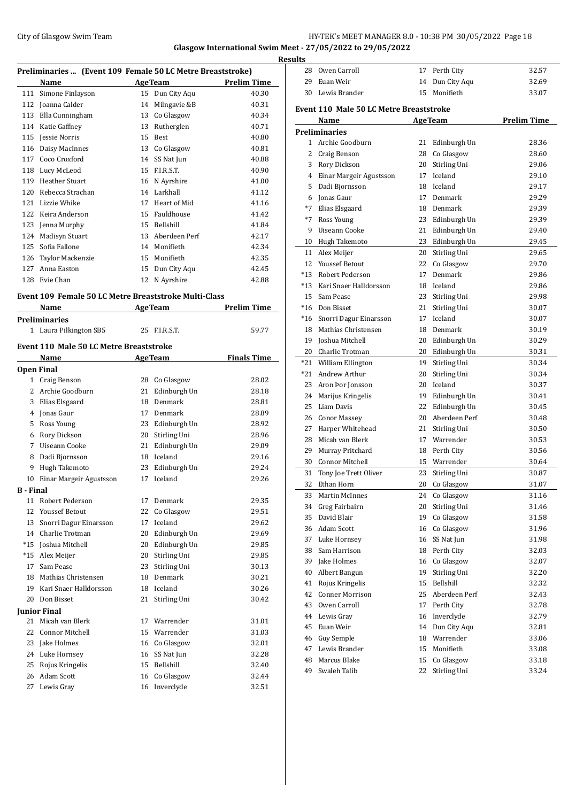# City of Glasgow Swim Team HY-TEK's MEET MANAGER 8.0 - 10:38 PM 30/05/2022 Page 18 **Glasgow International Swim Meet - 27/05/2022 to 29/05/2022**

**Preliminaries ... (Event 109 Female 50 LC Metre Breaststroke) Name Age Team Prelim Time** 111 Simone Finlayson 15 Dun City Aqu 40.30 Joanna Calder 14 Milngavie &B 40.31 Ella Cunningham 13 Co Glasgow 40.34 Katie Gaffney 13 Rutherglen 40.71 Jessie Norris 15 Best 40.80 Daisy MacInnes 13 Co Glasgow 40.81 117 Coco Croxford 14 SS Nat Jun 40.88 Lucy McLeod 15 F.I.R.S.T. 40.90 119 Heather Stuart 16 N Ayrshire 41.00 120 Rebecca Strachan 14 Larkhall 41.12 121 Lizzie Whike 17 Heart of Mid 41.16 122 Keira Anderson 15 Fauldhouse 122 Keira Anderson 123 Jenna Murphy 15 Bellshill 41.84 Madisyn Stuart 13 Aberdeen Perf 42.17 Sofia Fallone 14 Monifieth 42.34 Taylor Mackenzie 15 Monifieth 42.35 127 Anna Easton 15 Dun City Aqu 42.45 Evie Chan 12 N Ayrshire 42.88

### **Event 109 Female 50 LC Metre Breaststroke Multi-Class**

|                  | Name                                    |    | <b>AgeTeam</b>  | <b>Prelim Time</b> |
|------------------|-----------------------------------------|----|-----------------|--------------------|
|                  | <b>Preliminaries</b>                    |    |                 |                    |
|                  | 1 Laura Pilkington SB5                  | 25 | ELR.S.T.        | 59.77              |
|                  | Event 110 Male 50 LC Metre Breaststroke |    |                 |                    |
|                  | Name                                    |    | <b>AgeTeam</b>  | <b>Finals Time</b> |
|                  | <b>Open Final</b>                       |    |                 |                    |
| $\mathbf{1}$     | Craig Benson                            | 28 | Co Glasgow      | 28.02              |
| 2                | Archie Goodburn                         | 21 | Edinburgh Un    | 28.18              |
| 3                | Elias Elsgaard                          | 18 | Denmark         | 28.81              |
| 4                | Jonas Gaur                              |    | 17 Denmark      | 28.89              |
| 5                | Ross Young                              |    | 23 Edinburgh Un | 28.92              |
| 6                | Rory Dickson                            |    | 20 Stirling Uni | 28.96              |
| 7                | Uiseann Cooke                           |    | 21 Edinburgh Un | 29.09              |
| 8                | Dadi Bjornsson                          | 18 | Iceland         | 29.16              |
| 9                | Hugh Takemoto                           | 23 | Edinburgh Un    | 29.24              |
| 10               | Einar Margeir Agustsson                 | 17 | Iceland         | 29.26              |
| <b>B</b> - Final |                                         |    |                 |                    |
| 11               | Robert Pederson                         | 17 | Denmark         | 29.35              |
| 12               | <b>Youssef Betout</b>                   | 22 | Co Glasgow      | 29.51              |
| 13               | Snorri Dagur Einarsson                  | 17 | Iceland         | 29.62              |
| 14               | Charlie Trotman                         |    | 20 Edinburgh Un | 29.69              |
| $*15$            | Joshua Mitchell                         |    | 20 Edinburgh Un | 29.85              |
| $*15$            | Alex Meijer                             |    | 20 Stirling Uni | 29.85              |
| 17               | Sam Pease                               | 23 | Stirling Uni    | 30.13              |
| 18               | Mathias Christensen                     | 18 | Denmark         | 30.21              |
| 19               | Kari Snaer Halldorsson                  | 18 | Iceland         | 30.26              |
| 20               | Don Bisset                              | 21 | Stirling Uni    | 30.42              |
|                  | <b>Junior Final</b>                     |    |                 |                    |
| 21               | Micah van Blerk                         | 17 | Warrender       | 31.01              |
| 22               | <b>Connor Mitchell</b>                  |    | 15 Warrender    | 31.03              |
| 23               | Jake Holmes                             |    | 16 Co Glasgow   | 32.01              |
| 24               | Luke Hornsey                            | 16 | SS Nat Jun      | 32.28              |
| 25               | Rojus Kringelis                         |    | 15 Bellshill    | 32.40              |
| 26               | Adam Scott                              | 16 | Co Glasgow      | 32.44              |
| 27               | Lewis Gray                              |    | 16 Inverclyde   | 32.51              |
|                  |                                         |    |                 |                    |

| <b>Results</b> |                                         |          |                                  |                    |
|----------------|-----------------------------------------|----------|----------------------------------|--------------------|
|                | 28 Owen Carroll                         |          | 17 Perth City                    | 32.57              |
|                | 29 Euan Weir                            | 14       | Dun City Aqu                     | 32.69              |
| 30             | Lewis Brander                           | 15       | Monifieth                        | 33.07              |
|                |                                         |          |                                  |                    |
|                | Event 110 Male 50 LC Metre Breaststroke |          |                                  |                    |
|                | Name                                    |          | <b>AgeTeam</b>                   | <b>Prelim Time</b> |
|                | <b>Preliminaries</b>                    |          |                                  |                    |
|                | 1 Archie Goodburn                       | 21       | Edinburgh Un                     | 28.36              |
|                | 2 Craig Benson                          | 28       | Co Glasgow                       | 28.60              |
|                | 3 Rory Dickson                          | 20       | Stirling Uni                     | 29.06              |
|                | 4 Einar Margeir Agustsson               | 17       | Iceland                          | 29.10              |
|                | 5 Dadi Bjornsson                        | 18<br>17 | Iceland                          | 29.17              |
|                | 6 Jonas Gaur<br>*7 Elias Elsgaard       |          | Denmark                          | 29.29              |
|                |                                         |          | 18 Denmark                       | 29.39              |
|                | *7 Ross Young<br>9 Uiseann Cooke        |          | 23 Edinburgh Un                  | 29.39              |
|                |                                         |          | 21 Edinburgh Un                  | 29.40              |
|                | 10 Hugh Takemoto                        |          | 23 Edinburgh Un                  | 29.45              |
|                | 11 Alex Meijer<br>12 Youssef Betout     | 20       | Stirling Uni                     | 29.65              |
|                |                                         |          | 22 Co Glasgow                    | 29.70              |
|                | *13 Robert Pederson                     | 17       | Denmark                          | 29.86              |
|                | *13 Kari Snaer Halldorsson              |          | 18 Iceland                       | 29.86              |
|                | 15 Sam Pease                            | 23       | Stirling Uni                     | 29.98              |
|                | *16 Don Bisset                          | 21       | Stirling Uni                     | 30.07              |
|                | *16 Snorri Dagur Einarsson              | 17       | Iceland                          | 30.07              |
|                | 18 Mathias Christensen                  | 18       | Denmark                          | 30.19              |
|                | 19 Joshua Mitchell                      | 20       | Edinburgh Un                     | 30.29              |
|                | 20 Charlie Trotman                      |          | 20 Edinburgh Un                  | 30.31              |
|                | *21 William Ellington                   |          | 19 Stirling Uni                  | 30.34              |
|                | *21 Andrew Arthur                       | 20       | Stirling Uni                     | 30.34              |
|                | 23 Aron Þor Jonsson                     |          | 20 Iceland                       | 30.37              |
|                | 24 Marijus Kringelis                    |          | 19 Edinburgh Un                  | 30.41              |
|                | 25 Liam Davis                           | 22       | Edinburgh Un<br>20 Aberdeen Perf | 30.45              |
|                | 26 Conor Massey                         |          |                                  | 30.48              |
| 27<br>28       | Harper Whitehead<br>Micah van Blerk     | 21<br>17 | Stirling Uni<br>Warrender        | 30.50              |
|                |                                         |          |                                  | 30.53              |
| 29             | Murray Pritchard<br>30 Connor Mitchell  | 18<br>15 | Perth City<br>Warrender          | 30.56<br>30.64     |
|                |                                         |          |                                  |                    |
| 31             | Tony Joe Trett Oliver                   | 23       | Stirling Uni                     | 30.87              |
| 32             | Ethan Horn                              | 20       | Co Glasgow                       | 31.07              |
| 33             | Martin McInnes                          | 24       | Co Glasgow                       | 31.16<br>31.46     |
| 34<br>35       | Greg Fairbairn<br>David Blair           | 20<br>19 | Stirling Uni<br>Co Glasgow       |                    |
| 36             | Adam Scott                              | 16       |                                  | 31.58              |
| 37             |                                         | 16       | Co Glasgow<br>SS Nat Jun         | 31.96              |
| 38             | Luke Hornsey<br>Sam Harrison            | 18       | Perth City                       | 31.98<br>32.03     |
| 39             | Jake Holmes                             | 16       |                                  | 32.07              |
| 40             |                                         | 19       | Co Glasgow                       |                    |
| 41             | Albert Bangun<br>Rojus Kringelis        | 15       | Stirling Uni<br>Bellshill        | 32.20<br>32.32     |
| 42             | <b>Conner Morrison</b>                  | 25       | Aberdeen Perf                    |                    |
|                |                                         |          |                                  | 32.43              |
| 43             | Owen Carroll                            | 17       | Perth City                       | 32.78              |
| 44             | Lewis Gray                              | 16       | Inverclyde                       | 32.79              |
| 45             | Euan Weir                               | 14       | Dun City Aqu                     | 32.81              |
| 46             | Guy Semple                              | 18       | Warrender                        | 33.06              |
| 47             | Lewis Brander                           | 15       | Monifieth                        | 33.08              |
| 48             | Marcus Blake                            | 15       | Co Glasgow                       | 33.18              |
| 49             | Swaleh Talib                            | 22       | Stirling Uni                     | 33.24              |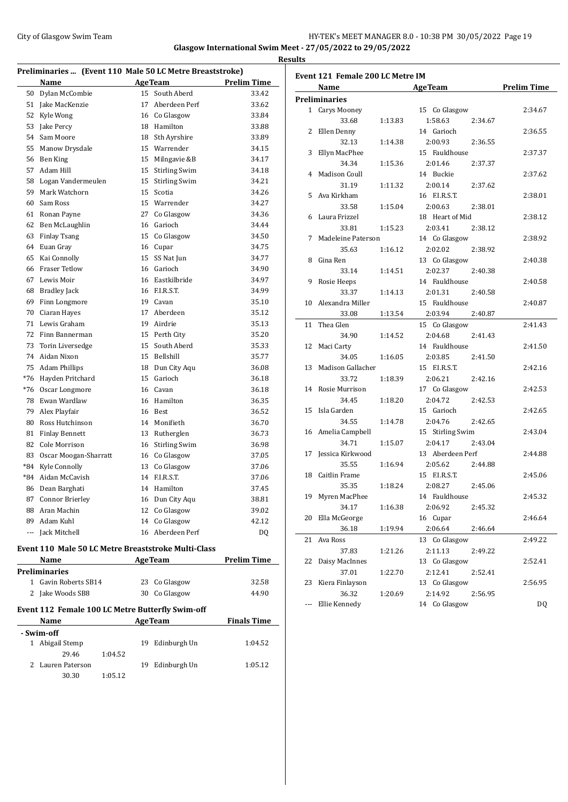## City of Glasgow Swim Team HY-TEK's MEET MANAGER 8.0 - 10:38 PM 30/05/2022 Page 19 **Glasgow International Swim Meet - 27/05/2022 to 29/05/2022**

**Results**

**Preliminaries ... (Event 110 Male 50 LC Metre Breaststroke) Name Age Team Prelim Time**  Dylan McCombie 15 South Aberd 33.42 Jake MacKenzie 17 Aberdeen Perf 33.62 Kyle Wong 16 Co Glasgow 33.84 Jake Percy 18 Hamilton 33.88 54 Sam Moore 18 Sth Ayrshire 33.89 Manow Drysdale 15 Warrender 34.15 Ben King 15 Milngavie &B 34.17 Adam Hill 15 Stirling Swim 34.18 Logan Vandermeulen 15 Stirling Swim 34.21 Mark Watchorn 15 Scotia 34.26 Sam Ross 15 Warrender 34.27 Ronan Payne 27 Co Glasgow 34.36 Ben McLaughlin 16 Garioch 34.44 Finlay Tsang 15 Co Glasgow 34.50 Euan Gray 16 Cupar 34.75 Kai Connolly 15 SS Nat Jun 34.77 Fraser Tetlow 16 Garioch 34.90 Lewis Moir 16 Eastkilbride 34.97 Bradley Jack 16 F.I.R.S.T. 34.99 Finn Longmore 19 Cavan 35.10 Ciaran Hayes 17 Aberdeen 35.12 Lewis Graham 19 Airdrie 35.13 Finn Bannerman 15 Perth City 35.20 Torin Liversedge 15 South Aberd 35.33 Aidan Nixon 15 Bellshill 35.77 Adam Phillips 18 Dun City Aqu 36.08 \*76 Hayden Pritchard 15 Garioch 36.18 \*76 Oscar Longmore 16 Cavan 36.18 Ewan Wardlaw 16 Hamilton 36.35 Alex Playfair 16 Best 36.52 Ross Hutchinson 14 Monifieth 36.70 81 Finlay Bennett 13 Rutherglen 36.73 82 Cole Morrison 16 Stirling Swim 36.98 Oscar Moogan-Sharratt 16 Co Glasgow 37.05 \*84 Kyle Connolly 13 Co Glasgow 37.06 \*84 Aidan McCavish 14 F.I.R.S.T. 37.06 Dean Barghati 14 Hamilton 37.45 Connor Brierley 16 Dun City Aqu 38.81 Aran Machin 12 Co Glasgow 39.02 89 Adam Kuhl 14 Co Glasgow 42.12 --- Jack Mitchell 16 Aberdeen Perf DQ **Event 110 Male 50 LC Metre Breaststroke Multi-Class Name Age Team Prelim Time Preliminaries** Gavin Roberts SB14 23 Co Glasgow 32.58 2 Jake Woods SB8 30 Co Glasgow 44.90 **Event 112 Female 100 LC Metre Butterfly Swim-off Name Age Team Finals Time - Swim-off** Abigail Stemp 19 Edinburgh Un 1:04.52 29.46 1:04.52

2 Lauren Paterson 19 Edinburgh Un 1:05.12

30.30 1:05.12

|    | Event 121 Female 200 LC Metre IM |         |                                     |                    |  |  |
|----|----------------------------------|---------|-------------------------------------|--------------------|--|--|
|    | Name                             |         | <b>AgeTeam</b>                      | <b>Prelim Time</b> |  |  |
|    | <b>Preliminaries</b>             |         |                                     |                    |  |  |
|    | 1 Carys Mooney                   |         | 15 Co Glasgow                       | 2:34.67            |  |  |
|    | 33.68                            | 1:13.83 | 1:58.63<br>2:34.67                  |                    |  |  |
|    | 2 Ellen Denny                    |         | 14 Garioch                          | 2:36.55            |  |  |
|    | 32.13                            | 1:14.38 | 2:00.93<br>2:36.55                  |                    |  |  |
| 3  | Ellyn MacPhee                    |         | 15 Fauldhouse                       | 2:37.37            |  |  |
|    | 34.34                            | 1:15.36 | 2:01.46<br>2:37.37                  |                    |  |  |
| 4  | Madison Coull                    |         | 14 Buckie                           | 2:37.62            |  |  |
|    | 31.19                            | 1:11.32 | 2:00.14<br>2:37.62                  |                    |  |  |
|    | 5 Ava Kirkham                    |         | 16 F.I.R.S.T.                       | 2:38.01            |  |  |
|    | 33.58                            | 1:15.04 | 2:00.63<br>2:38.01                  |                    |  |  |
| 6  | Laura Frizzel                    |         | 18 Heart of Mid                     | 2:38.12            |  |  |
|    | 33.81                            | 1:15.23 | 2:03.41<br>2:38.12                  |                    |  |  |
| 7  | Madeleine Paterson               |         | 14 Co Glasgow                       | 2:38.92            |  |  |
|    | 35.63                            | 1:16.12 | 2:02.02<br>2:38.92                  |                    |  |  |
| 8  | Gina Ren                         |         | 13 Co Glasgow                       | 2:40.38            |  |  |
|    |                                  |         |                                     |                    |  |  |
|    | 33.14                            | 1:14.51 | 2:02.37<br>2:40.38<br>14 Fauldhouse |                    |  |  |
| 9  | Rosie Heeps                      |         |                                     | 2:40.58            |  |  |
|    | 33.37                            | 1:14.13 | 2:01.31<br>2:40.58                  |                    |  |  |
| 10 | Alexandra Miller                 |         | 15 Fauldhouse                       | 2:40.87            |  |  |
|    | 33.08                            | 1:13.54 | 2:03.94<br>2:40.87                  |                    |  |  |
| 11 | Thea Glen                        |         | 15 Co Glasgow                       | 2:41.43            |  |  |
|    | 34.90                            | 1:14.52 | 2:04.68<br>2:41.43                  |                    |  |  |
| 12 | Maci Carty                       |         | 14 Fauldhouse                       | 2:41.50            |  |  |
|    | 34.05                            | 1:16.05 | 2:03.85<br>2:41.50                  |                    |  |  |
| 13 | Madison Gallacher                |         | 15 F.I.R.S.T.                       | 2:42.16            |  |  |
|    | 33.72                            | 1:18.39 | 2:06.21<br>2:42.16                  |                    |  |  |
|    | 14 Rosie Murrison                |         | 17 Co Glasgow                       | 2:42.53            |  |  |
|    | 34.45                            | 1:18.20 | 2:04.72<br>2:42.53                  |                    |  |  |
| 15 | Isla Garden                      |         | 15 Garioch                          | 2:42.65            |  |  |
|    | 34.55                            | 1:14.78 | 2:04.76<br>2:42.65                  |                    |  |  |
|    | 16 Amelia Campbell               |         | 15 Stirling Swim                    | 2:43.04            |  |  |
|    | 34.71                            | 1:15.07 | 2:04.17<br>2:43.04                  |                    |  |  |
| 17 | Jessica Kirkwood                 |         | 13 Aberdeen Perf                    | 2:44.88            |  |  |
|    | 35.55                            | 1:16.94 | 2:05.62<br>2:44.88                  |                    |  |  |
| 18 | Caitlin Frame                    |         | 15 F.I.R.S.T.                       | 2:45.06            |  |  |
|    | 35.35                            | 1:18.24 | 2:08.27<br>2:45.06                  |                    |  |  |
|    | 19 Myren MacPhee                 |         | 14 Fauldhouse                       | 2:45.32            |  |  |
|    | 34.17                            | 1:16.38 | 2:06.92<br>2:45.32                  |                    |  |  |
| 20 | Ella McGeorge                    |         | 16 Cupar                            | 2:46.64            |  |  |
|    | 36.18                            | 1:19.94 | 2:06.64<br>2:46.64                  |                    |  |  |
| 21 | Ava Ross                         |         | 13 Co Glasgow                       | 2:49.22            |  |  |
|    | 37.83                            | 1:21.26 | 2:11.13<br>2:49.22                  |                    |  |  |
| 22 | Daisy MacInnes                   |         | 13 Co Glasgow                       | 2:52.41            |  |  |
|    | 37.01                            | 1:22.70 | 2:12.41<br>2:52.41                  |                    |  |  |
| 23 | Kiera Finlayson                  |         | 13 Co Glasgow                       | 2:56.95            |  |  |
|    | 36.32                            | 1:20.69 | 2:14.92<br>2:56.95                  |                    |  |  |
|    | Ellie Kennedy                    |         | 14 Co Glasgow                       | DQ                 |  |  |
|    |                                  |         |                                     |                    |  |  |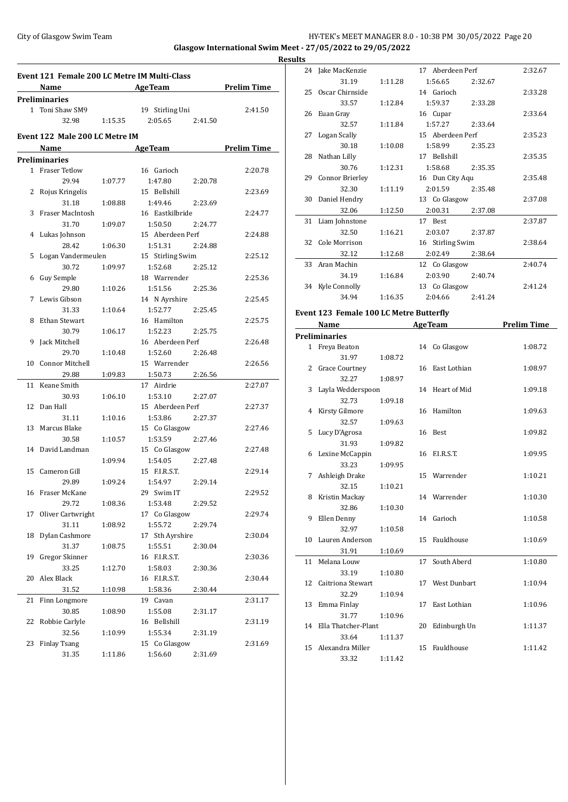### City of Glasgow Swim Team HY-TEK's MEET MANAGER 8.0 - 10:38 PM 30/05/2022 Page 20 **Glasgow International Swim Meet - 27/05/2022 to 29/05/2022 Results**

**Event 121 Female 200 LC Metre IM Multi-Class Name Age Team Prelim Time Preliminaries** 1 Toni Shaw SM9 19 Stirling Uni 2:41.50 32.98 1:15.35 2:05.65 2:41.50 **Event 122 Male 200 LC Metre IM Name Age Team Prelim Time Preliminaries** 1 Fraser Tetlow 16 Garioch 2:20.78 29.94 1:07.77 1:47.80 2:20.78 2 Rojus Kringelis 15 Bellshill 2:23.69 31.18 1:08.88 1:49.46 2:23.69 3 Fraser MacIntosh 16 Eastkilbride 2:24.77 31.70 1:09.07 1:50.50 2:24.77 4 Lukas Johnson 15 Aberdeen Perf 2:24.88 28.42 1:06.30 1:51.31 2:24.88 5 Logan Vandermeulen 15 Stirling Swim 2:25.12 30.72 1:09.97 1:52.68 2:25.12 6 Guy Semple 18 Warrender 2:25.36 29.80 1:10.26 1:51.56 2:25.36 7 Lewis Gibson 14 N Ayrshire 2:25.45 31.33 1:10.64 1:52.77 2:25.45 8 Ethan Stewart 16 Hamilton 2:25.75 30.79 1:06.17 1:52.23 2:25.75 9 Jack Mitchell 16 Aberdeen Perf 2:26.48 29.70 1:10.48 1:52.60 2:26.48 10 Connor Mitchell 15 Warrender 2:26.56 29.88 1:09.83 1:50.73 2:26.56 11 Keane Smith 17 Airdrie 2:27.07 30.93 1:06.10 1:53.10 2:27.07 12 Dan Hall 15 Aberdeen Perf 2:27.37 31.11 1:10.16 1:53.86 2:27.37 13 Marcus Blake 15 Co Glasgow 2:27.46 30.58 1:10.57 1:53.59 2:27.46 14 David Landman 15 Co Glasgow 2:27.48 1:09.94 1:54.05 2:27.48 15 Cameron Gill 15 F.I.R.S.T. 2:29.14 29.89 1:09.24 1:54.97 2:29.14 16 Fraser McKane 29 Swim IT 2:29.52 29.72 1:08.36 1:53.48 2:29.52 17 Oliver Cartwright 17 Co Glasgow 2:29.74 31.11 1:08.92 1:55.72 2:29.74 18 Dylan Cashmore 17 Sth Ayrshire 2:30.04 31.37 1:08.75 1:55.51 2:30.04 19 Gregor Skinner 16 F.I.R.S.T. 2:30.36 33.25 1:12.70 1:58.03 2:30.36 20 Alex Black 16 F.I.R.S.T. 2:30.44 31.52 1:10.98 1:58.36 2:30.44 21 Finn Longmore 19 Cavan 2:31.17 30.85 1:08.90 1:55.08 2:31.17 22 Robbie Carlyle 16 Bellshill 2:31.19 32.56 1:10.99 1:55.34 2:31.19 23 Finlay Tsang 15 Co Glasgow 2:31.69 31.35 1:11.86 1:56.60 2:31.69

|    | 24 Jake MacKenzie                              |         | 17 Aberdeen Perf   | 2:32.67 |
|----|------------------------------------------------|---------|--------------------|---------|
|    | 31.19                                          | 1:11.28 | 1:56.65<br>2:32.67 |         |
|    | 25 Oscar Chirnside                             |         | 14 Garioch         | 2:33.28 |
|    | 33.57                                          | 1:12.84 | 1:59.37<br>2:33.28 |         |
|    | 26 Euan Gray                                   |         | 16 Cupar           | 2:33.64 |
|    | 32.57                                          | 1:11.84 | 1:57.27<br>2:33.64 |         |
|    | 27 Logan Scally                                |         | 15 Aberdeen Perf   | 2:35.23 |
|    | 30.18                                          | 1:10.08 | 1:58.99<br>2:35.23 |         |
|    | 28 Nathan Lilly                                |         | 17 Bellshill       | 2:35.35 |
|    | 30.76                                          | 1:12.31 | 1:58.68<br>2:35.35 |         |
|    | 29 Connor Brierley                             |         | 16 Dun City Aqu    | 2:35.48 |
|    | 32.30                                          | 1:11.19 | 2:01.59<br>2:35.48 |         |
| 30 | Daniel Hendry                                  |         | 13 Co Glasgow      | 2:37.08 |
|    | 32.06                                          | 1:12.50 | 2:00.31<br>2:37.08 |         |
|    | 31 Liam Johnstone                              |         | 17 Best            | 2:37.87 |
|    | 32.50                                          | 1:16.21 | 2:03.07<br>2:37.87 |         |
|    | 32 Cole Morrison                               |         | 16 Stirling Swim   | 2:38.64 |
|    | 32.12                                          | 1:12.68 | 2:02.49<br>2:38.64 |         |
| 33 | Aran Machin                                    |         | 12 Co Glasgow      | 2:40.74 |
|    | 34.19                                          | 1:16.84 | 2:03.90<br>2:40.74 |         |
|    | 34 Kyle Connolly                               |         | 13 Co Glasgow      | 2:41.24 |
|    | 34.94                                          | 1:16.35 | 2:04.66<br>2:41.24 |         |
|    | <b>Event 123 Female 100 LC Metre Butterfly</b> |         |                    |         |

#### **Event 123 Female 100 LC Metre Butterfly Name Age Team Prelim Time**

|    | маше                  |         |    | две геаш        | гтении типе |
|----|-----------------------|---------|----|-----------------|-------------|
|    | Preliminaries         |         |    |                 |             |
|    | 1 Freya Beaton        |         |    | 14 Co Glasgow   | 1:08.72     |
|    | 31.97                 | 1:08.72 |    |                 |             |
| 2  | <b>Grace Courtney</b> |         |    | 16 East Lothian | 1:08.97     |
|    | 32.27                 | 1:08.97 |    |                 |             |
| 3  | Layla Wedderspoon     |         |    | 14 Heart of Mid | 1:09.18     |
|    | 32.73                 | 1:09.18 |    |                 |             |
| 4  | Kirsty Gilmore        |         |    | 16 Hamilton     | 1:09.63     |
|    | 32.57                 | 1:09.63 |    |                 |             |
| 5  | Lucy D'Agrosa         |         |    | 16 Best         | 1:09.82     |
|    | 31.93                 | 1:09.82 |    |                 |             |
| 6  | Lexine McCappin       |         |    | 16 F.I.R.S.T.   | 1:09.95     |
|    | 33.23                 | 1:09.95 |    |                 |             |
| 7  | Ashleigh Drake        |         |    | 15 Warrender    | 1:10.21     |
|    | 32.15                 | 1:10.21 |    |                 |             |
| 8  | Kristin Mackay        |         |    | 14 Warrender    | 1:10.30     |
|    | 32.86                 | 1:10.30 |    |                 |             |
| 9  | Ellen Denny           |         |    | 14 Garioch      | 1:10.58     |
|    | 32.97                 | 1:10.58 |    |                 |             |
| 10 | Lauren Anderson       |         |    | 15 Fauldhouse   | 1:10.69     |
|    | 31.91                 | 1:10.69 |    |                 |             |
| 11 | Melana Louw           |         | 17 | South Aberd     | 1:10.80     |
|    | 33.19                 | 1:10.80 |    |                 |             |
|    | 12 Caitriona Stewart  |         |    | 17 West Dunbart | 1:10.94     |
|    | 32.29                 | 1:10.94 |    |                 |             |
| 13 | Emma Finlay           |         | 17 | East Lothian    | 1:10.96     |
|    | 31.77                 | 1:10.96 |    |                 |             |
| 14 | Ella Thatcher-Plant   |         | 20 | Edinburgh Un    | 1:11.37     |
|    | 33.64                 | 1:11.37 |    |                 |             |
| 15 | Alexandra Miller      |         |    | 15 Fauldhouse   | 1:11.42     |
|    | 33.32                 | 1:11.42 |    |                 |             |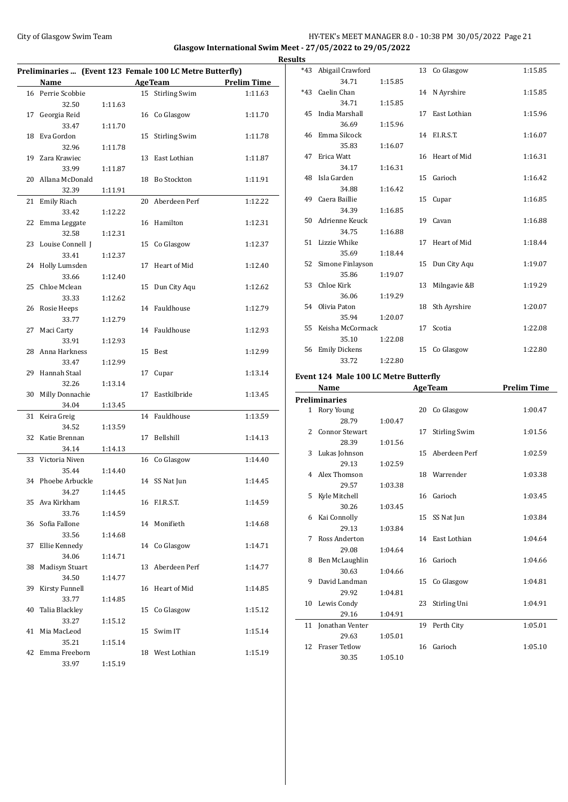# City of Glasgow Swim Team **HY-TEK's MEET MANAGER 8.0 - 10:38 PM 30/05/2022** Page 21 **Glasgow International Swim Meet - 27/05/2022 to 29/05/2022**

|    |                             |         |    | Preliminaries  (Event 123 Female 100 LC Metre Butterfly) |                    |
|----|-----------------------------|---------|----|----------------------------------------------------------|--------------------|
|    | Name                        |         |    | <b>AgeTeam</b>                                           | <b>Prelim Time</b> |
|    | 16 Perrie Scobbie           |         |    | 15 Stirling Swim                                         | 1:11.63            |
|    | 32.50                       | 1:11.63 |    |                                                          |                    |
| 17 | Georgia Reid                |         | 16 | Co Glasgow                                               | 1:11.70            |
|    | 33.47                       | 1:11.70 |    |                                                          |                    |
| 18 | Eva Gordon                  |         | 15 | <b>Stirling Swim</b>                                     | 1:11.78            |
|    | 32.96                       | 1:11.78 |    |                                                          |                    |
| 19 | Zara Krawiec                |         | 13 | East Lothian                                             | 1:11.87            |
|    | 33.99                       | 1:11.87 |    |                                                          |                    |
| 20 | Allana McDonald             |         | 18 | <b>Bo Stockton</b>                                       | 1:11.91            |
|    | 32.39                       | 1:11.91 |    |                                                          |                    |
| 21 | Emily Riach                 |         | 20 | Aberdeen Perf                                            | 1:12.22            |
|    | 33.42                       | 1:12.22 |    |                                                          |                    |
| 22 | Emma Leggate                |         | 16 | Hamilton                                                 | 1:12.31            |
|    | 32.58                       | 1:12.31 |    |                                                          |                    |
| 23 | Louise Connell J            |         | 15 | Co Glasgow                                               | 1:12.37            |
|    | 33.41                       | 1:12.37 |    |                                                          |                    |
| 24 | Holly Lumsden               |         | 17 | Heart of Mid                                             | 1:12.40            |
|    | 33.66                       | 1:12.40 |    |                                                          |                    |
| 25 | Chloe Mclean                |         | 15 | Dun City Aqu                                             | 1:12.62            |
|    | 33.33                       | 1:12.62 |    |                                                          |                    |
| 26 | Rosie Heeps                 |         | 14 | Fauldhouse                                               | 1:12.79            |
|    | 33.77                       | 1:12.79 |    |                                                          |                    |
| 27 | Maci Carty                  |         | 14 | Fauldhouse                                               | 1:12.93            |
|    | 33.91                       | 1:12.93 |    |                                                          |                    |
| 28 | Anna Harkness               |         | 15 | Best                                                     | 1:12.99            |
|    | 33.47                       | 1:12.99 |    |                                                          |                    |
| 29 | Hannah Staal                |         | 17 | Cupar                                                    | 1:13.14            |
|    | 32.26                       | 1:13.14 |    |                                                          |                    |
| 30 | Milly Donnachie             |         | 17 | Eastkilbride                                             | 1:13.45            |
|    | 34.04                       | 1:13.45 |    |                                                          |                    |
| 31 | Keira Greig                 |         | 14 | Fauldhouse                                               | 1:13.59            |
|    | 34.52                       | 1:13.59 |    |                                                          |                    |
| 32 | Katie Brennan               |         | 17 | Bellshill                                                | 1:14.13            |
|    | 34.14                       | 1:14.13 |    |                                                          |                    |
| 33 | Victoria Niven              | 1:14.40 | 16 | Co Glasgow                                               | 1:14.40            |
|    | 35.44<br>34 Phoebe Arbuckle |         |    | 14 SS Nat Jun                                            | 1:14.45            |
|    | 34.27                       | 1:14.45 |    |                                                          |                    |
|    | 35 Ava Kirkham              |         |    | 16 F.I.R.S.T.                                            | 1:14.59            |
|    | 33.76                       | 1:14.59 |    |                                                          |                    |
| 36 | Sofia Fallone               |         | 14 | Monifieth                                                | 1:14.68            |
|    | 33.56                       | 1:14.68 |    |                                                          |                    |
| 37 | Ellie Kennedy               |         |    | 14 Co Glasgow                                            | 1:14.71            |
|    | 34.06                       | 1:14.71 |    |                                                          |                    |
| 38 | <b>Madisyn Stuart</b>       |         | 13 | Aberdeen Perf                                            | 1:14.77            |
|    | 34.50                       | 1:14.77 |    |                                                          |                    |
| 39 | Kirsty Funnell              |         | 16 | Heart of Mid                                             | 1:14.85            |
|    | 33.77                       | 1:14.85 |    |                                                          |                    |
| 40 | Talia Blackley              |         | 15 | Co Glasgow                                               | 1:15.12            |
|    | 33.27                       | 1:15.12 |    |                                                          |                    |
| 41 | Mia MacLeod                 |         | 15 | Swim IT                                                  | 1:15.14            |
|    | 35.21                       | 1:15.14 |    |                                                          |                    |
| 42 | Emma Freeborn               |         |    | 18 West Lothian                                          | 1:15.19            |
|    | 33.97                       | 1:15.19 |    |                                                          |                    |

| <b>Results</b> |                        |         |    |                 |         |
|----------------|------------------------|---------|----|-----------------|---------|
|                | *43 Abigail Crawford   |         |    | 13 Co Glasgow   | 1:15.85 |
|                | 34.71                  | 1:15.85 |    |                 |         |
|                | *43 Caelin Chan        |         |    | 14 N Ayrshire   | 1:15.85 |
|                | 34.71                  | 1:15.85 |    |                 |         |
|                | 45 India Marshall      |         |    | 17 East Lothian | 1:15.96 |
|                | 36.69                  | 1:15.96 |    |                 |         |
|                | 46 Emma Silcock        |         |    | 14 F.I.R.S.T.   | 1:16.07 |
|                | 35.83                  | 1:16.07 |    |                 |         |
|                | 47 Erica Watt          |         |    | 16 Heart of Mid | 1:16.31 |
|                | 34.17                  | 1:16.31 |    |                 |         |
|                | 48 Isla Garden         |         |    | 15 Garioch      | 1:16.42 |
|                | 34.88                  | 1:16.42 |    |                 |         |
|                | 49 Caera Baillie       |         |    | 15 Cupar        | 1:16.85 |
|                | 34.39                  | 1:16.85 |    |                 |         |
|                | 50 Adrienne Keuck      |         |    | 19 Cavan        | 1:16.88 |
|                | 34.75                  | 1:16.88 |    |                 |         |
|                | 51 Lizzie Whike        |         |    | 17 Heart of Mid | 1:18.44 |
|                | 35.69                  | 1:18.44 |    |                 |         |
|                | 52 Simone Finlayson    |         |    | 15 Dun City Aqu | 1:19.07 |
|                | 35.86<br>53 Chloe Kirk | 1:19.07 |    | 13 Milngavie &B | 1:19.29 |
|                | 36.06                  | 1:19.29 |    |                 |         |
|                | 54 Olivia Paton        |         |    | 18 Sth Ayrshire | 1:20.07 |
|                | 35.94                  | 1:20.07 |    |                 |         |
|                | 55 Keisha McCormack    |         |    | 17 Scotia       | 1:22.08 |
|                | 35.10                  | 1:22.08 |    |                 |         |
|                | 56 Emily Dickens       |         | 15 | Co Glasgow      | 1:22.80 |
|                | 33.72                  | 1:22.80 |    |                 |         |
|                |                        |         |    |                 |         |

### **Event 124 Male 100 LC Metre Butterfly**

|                | Name                 |         |    | <b>AgeTeam</b>       | <b>Prelim Time</b> |
|----------------|----------------------|---------|----|----------------------|--------------------|
|                | Preliminaries        |         |    |                      |                    |
|                | 1 Rory Young         |         |    | 20 Co Glasgow        | 1:00.47            |
|                | 28.79                | 1:00.47 |    |                      |                    |
| $\overline{2}$ | Connor Stewart       |         | 17 | <b>Stirling Swim</b> | 1:01.56            |
|                | 28.39                | 1:01.56 |    |                      |                    |
| 3              | Lukas Johnson        |         |    | 15 Aberdeen Perf     | 1:02.59            |
|                | 29.13                | 1:02.59 |    |                      |                    |
|                | 4 Alex Thomson       |         |    | 18 Warrender         | 1:03.38            |
|                | 29.57                | 1:03.38 |    |                      |                    |
| 5.             | Kyle Mitchell        |         |    | 16 Garioch           | 1:03.45            |
|                | 30.26                | 1:03.45 |    |                      |                    |
| 6              | Kai Connolly         |         | 15 | SS Nat Jun           | 1:03.84            |
|                | 29.13                | 1:03.84 |    |                      |                    |
| 7              | Ross Anderton        |         |    | 14 East Lothian      | 1:04.64            |
|                | 29.08                | 1:04.64 |    |                      |                    |
| 8              | Ben McLaughlin       |         |    | 16 Garioch           | 1:04.66            |
|                | 30.63                | 1:04.66 |    |                      |                    |
| 9              | David Landman        |         |    | 15 Co Glasgow        | 1:04.81            |
|                | 29.92                | 1:04.81 |    |                      |                    |
| 10             | Lewis Condy          |         | 23 | Stirling Uni         | 1:04.91            |
|                | 29.16                | 1:04.91 |    |                      |                    |
|                | 11 Jonathan Venter   |         | 19 | Perth City           | 1:05.01            |
|                | 29.63                | 1:05.01 |    |                      |                    |
| 12             | <b>Fraser Tetlow</b> |         | 16 | Garioch              | 1:05.10            |
|                | 30.35                | 1:05.10 |    |                      |                    |
|                |                      |         |    |                      |                    |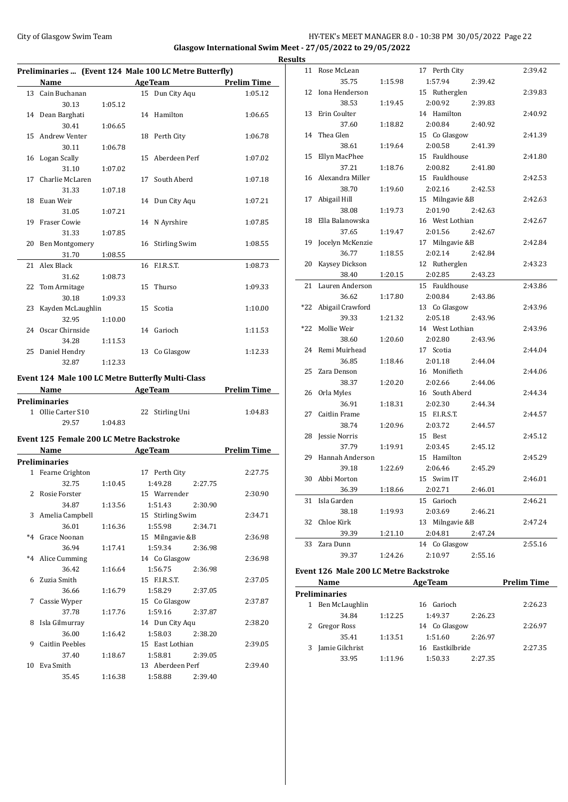# City of Glasgow Swim Team **HY-TEK's MEET MANAGER 8.0 - 10:38 PM 30/05/2022** Page 22 **Glasgow International Swim Meet - 27/05/2022 to 29/05/2022**

|    | Preliminaries  (Event 124 Male 100 LC Metre Butterfly) |         |                 |                  |                    |  |  |
|----|--------------------------------------------------------|---------|-----------------|------------------|--------------------|--|--|
|    | Name                                                   |         |                 | <b>AgeTeam</b>   | <b>Prelim Time</b> |  |  |
| 13 | Cain Buchanan                                          |         |                 | 15 Dun City Aqu  | 1:05.12            |  |  |
|    | 30.13                                                  | 1:05.12 |                 |                  |                    |  |  |
|    | 14 Dean Barghati                                       |         |                 | 14 Hamilton      | 1:06.65            |  |  |
|    | 30.41                                                  | 1:06.65 |                 |                  |                    |  |  |
| 15 | Andrew Venter                                          |         |                 | 18 Perth City    | 1:06.78            |  |  |
|    | 30.11                                                  | 1:06.78 |                 |                  |                    |  |  |
|    | 16 Logan Scally                                        |         |                 | 15 Aberdeen Perf | 1:07.02            |  |  |
|    | 31.10                                                  | 1:07.02 |                 |                  |                    |  |  |
| 17 | Charlie McLaren                                        |         | 17              | South Aberd      | 1:07.18            |  |  |
|    | 31.33                                                  | 1:07.18 |                 |                  |                    |  |  |
| 18 | Euan Weir                                              |         |                 | 14 Dun City Aqu  | 1:07.21            |  |  |
|    | 31.05                                                  | 1:07.21 |                 |                  |                    |  |  |
|    | 19 Fraser Cowie                                        |         |                 | 14 N Ayrshire    | 1:07.85            |  |  |
|    | 31.33                                                  | 1:07.85 |                 |                  |                    |  |  |
|    | 20 Ben Montgomery                                      |         |                 | 16 Stirling Swim | 1:08.55            |  |  |
|    | 31.70                                                  | 1:08.55 |                 |                  |                    |  |  |
|    | 21 Alex Black                                          |         |                 | 16 F.I.R.S.T.    | 1:08.73            |  |  |
|    | 31.62                                                  | 1:08.73 |                 |                  |                    |  |  |
|    | 22 Tom Armitage                                        |         | 15 <sup>7</sup> | Thurso           | 1:09.33            |  |  |
|    | 30.18                                                  | 1:09.33 |                 |                  |                    |  |  |
|    | 23 Kayden McLaughlin                                   |         |                 | 15 Scotia        | 1:10.00            |  |  |
|    | 32.95                                                  | 1:10.00 |                 |                  |                    |  |  |
|    | 24 Oscar Chirnside                                     |         |                 | 14 Garioch       | 1:11.53            |  |  |
|    | 34.28                                                  | 1:11.53 |                 |                  |                    |  |  |
|    | 25 Daniel Hendry                                       |         |                 | 13 Co Glasgow    | 1:12.33            |  |  |
|    | 32.87                                                  | 1:12.33 |                 |                  |                    |  |  |
|    |                                                        |         |                 |                  |                    |  |  |

# **Event 124 Male 100 LC Metre Butterfly Multi-Class**

| <b>Name</b>          |         | <b>AgeTeam</b>  | <b>Prelim Time</b> |
|----------------------|---------|-----------------|--------------------|
| <b>Preliminaries</b> |         |                 |                    |
| 1 Ollie Carter S10   |         | 22 Stirling Uni | 1:04.83            |
| 29.57                | 1:04.83 |                 |                    |

### **Event 125 Female 200 LC Metre Backstroke**

|    | Name                   |         | <b>AgeTeam</b>   |         | <b>Prelim Time</b> |
|----|------------------------|---------|------------------|---------|--------------------|
|    | <b>Preliminaries</b>   |         |                  |         |                    |
|    | 1 Fearne Crighton      |         | 17 Perth City    |         | 2:27.75            |
|    | 32.75                  | 1:10.45 | 1:49.28          | 2:27.75 |                    |
|    | 2 Rosie Forster        |         | 15 Warrender     |         | 2:30.90            |
|    | 34.87                  | 1:13.56 | 1:51.43          | 2:30.90 |                    |
|    | 3 Amelia Campbell      |         | 15 Stirling Swim |         | 2:34.71            |
|    | 36.01                  | 1:16.36 | 1:55.98          | 2:34.71 |                    |
|    | *4 Grace Noonan        |         | 15 Milngavie &B  |         | 2:36.98            |
|    | 36.94                  | 1:17.41 | 1:59.34          | 2:36.98 |                    |
|    | *4 Alice Cumming       |         | 14 Co Glasgow    |         | 2:36.98            |
|    | 36.42                  | 1:16.64 | 1:56.75          | 2:36.98 |                    |
|    | 6 Zuzia Smith          |         | 15 F.I.R.S.T.    |         | 2:37.05            |
|    | 36.66                  | 1:16.79 | 1:58.29          | 2:37.05 |                    |
| 7  | Cassie Wyper           |         | 15 Co Glasgow    |         | 2:37.87            |
|    | 37.78                  | 1:17.76 | 1:59.16          | 2:37.87 |                    |
| 8  | Isla Gilmurray         |         | 14 Dun City Aqu  |         | 2:38.20            |
|    | 36.00                  | 1:16.42 | 1:58.03          | 2:38.20 |                    |
| 9. | <b>Caitlin Peebles</b> |         | 15 East Lothian  |         | 2:39.05            |
|    | 37.40                  | 1:18.67 | 1:58.81          | 2:39.05 |                    |
|    | 10 Eva Smith           |         | 13 Aberdeen Perf |         | 2:39.40            |
|    | 35.45                  | 1:16.38 | 1:58.88          | 2:39.40 |                    |

| <b>Results</b> |                      |         |                    |         |
|----------------|----------------------|---------|--------------------|---------|
|                | 11 Rose McLean       |         | 17 Perth City      | 2:39.42 |
|                | 35.75                | 1:15.98 | 1:57.94<br>2:39.42 |         |
| 12             | Iona Henderson       |         | 15 Rutherglen      | 2:39.83 |
|                | 38.53                | 1:19.45 | 2:00.92<br>2:39.83 |         |
| 13             | Erin Coulter         |         | 14 Hamilton        | 2:40.92 |
|                | 37.60                | 1:18.82 | 2:00.84<br>2:40.92 |         |
|                | 14 Thea Glen         |         | 15 Co Glasgow      | 2:41.39 |
|                | 38.61                | 1:19.64 | 2:00.58<br>2:41.39 |         |
| 15             | Ellyn MacPhee        |         | 15 Fauldhouse      | 2:41.80 |
|                | 37.21                | 1:18.76 | 2:00.82<br>2:41.80 |         |
|                | 16 Alexandra Miller  |         | 15 Fauldhouse      | 2:42.53 |
|                | 38.70                | 1:19.60 | 2:02.16<br>2:42.53 |         |
| 17             | Abigail Hill         |         | 15 Milngavie &B    | 2:42.63 |
|                | 38.08                | 1:19.73 | 2:01.90<br>2:42.63 |         |
|                | 18 Ella Balanowska   |         | 16 West Lothian    | 2:42.67 |
|                | 37.65                | 1:19.47 | 2:01.56<br>2:42.67 |         |
| 19             | Jocelyn McKenzie     |         | 17 Milngavie &B    | 2:42.84 |
|                | 36.77                | 1:18.55 | 2:02.14<br>2:42.84 |         |
| 20             | Kaysey Dickson       |         | 12 Rutherglen      | 2:43.23 |
|                | 38.40                | 1:20.15 | 2:02.85<br>2:43.23 |         |
| 21             | Lauren Anderson      |         | 15 Fauldhouse      | 2:43.86 |
|                | 36.62                | 1:17.80 | 2:00.84<br>2:43.86 |         |
|                | *22 Abigail Crawford |         | 13 Co Glasgow      | 2:43.96 |
|                | 39.33                | 1:21.32 | 2:05.18<br>2:43.96 |         |
| *22            | Mollie Weir          |         | 14 West Lothian    | 2:43.96 |
|                | 38.60                | 1:20.60 | 2:02.80<br>2:43.96 |         |
|                | 24 Remi Muirhead     |         | 17 Scotia          | 2:44.04 |
|                | 36.85                | 1:18.46 | 2:01.18<br>2:44.04 |         |
| 25             | Zara Denson          |         | 16 Monifieth       | 2:44.06 |
|                | 38.37                | 1:20.20 | 2:02.66<br>2:44.06 |         |
|                | 26 Orla Myles        |         | 16 South Aberd     | 2:44.34 |
|                | 36.91                | 1:18.31 | 2:02.30<br>2:44.34 |         |
| 27             | Caitlin Frame        |         | 15 F.I.R.S.T.      | 2:44.57 |
|                | 38.74                | 1:20.96 | 2:03.72<br>2:44.57 |         |
|                | 28 Jessie Norris     |         | 15 Best            | 2:45.12 |
|                | 37.79                | 1:19.91 | 2:03.45<br>2:45.12 |         |
| 29             | Hannah Anderson      |         | 15 Hamilton        | 2:45.29 |
|                | 39.18                | 1:22.69 | 2:06.46<br>2:45.29 |         |
| 30             | Abbi Morton          |         | 15 Swim IT         | 2:46.01 |
|                | 36.39                | 1:18.66 | 2:02.71<br>2:46.01 |         |
| 31             | Isla Garden          |         | 15 Garioch         | 2:46.21 |
|                | 38.18                | 1:19.93 | 2:03.69<br>2:46.21 |         |
| 32             | Chloe Kirk           |         | 13 Milngavie &B    | 2:47.24 |
|                | 39.39                | 1:21.10 | 2:04.81<br>2:47.24 |         |
| 33             | Zara Dunn            |         | 14 Co Glasgow      | 2:55.16 |
|                | 39.37                | 1:24.26 | 2:10.97<br>2:55.16 |         |
|                |                      |         |                    |         |

# **Event 126 Male 200 LC Metre Backstroke**

|   | Name                 |         | <b>AgeTeam</b>  |         | <b>Prelim Time</b> |
|---|----------------------|---------|-----------------|---------|--------------------|
|   | <b>Preliminaries</b> |         |                 |         |                    |
| 1 | Ben McLaughlin       |         | 16 Garioch      |         | 2:26.23            |
|   | 34.84                | 1:12.25 | 1:49.37         | 2:26.23 |                    |
|   | Gregor Ross          |         | 14 Co Glasgow   |         | 2:26.97            |
|   | 35.41                | 1:13.51 | 1:51.60         | 2:26.97 |                    |
|   | Jamie Gilchrist      |         | 16 Eastkilbride |         | 2:27.35            |
|   | 33.95                | 1:11.96 | 1:50.33         | 2:27.35 |                    |
|   |                      |         |                 |         |                    |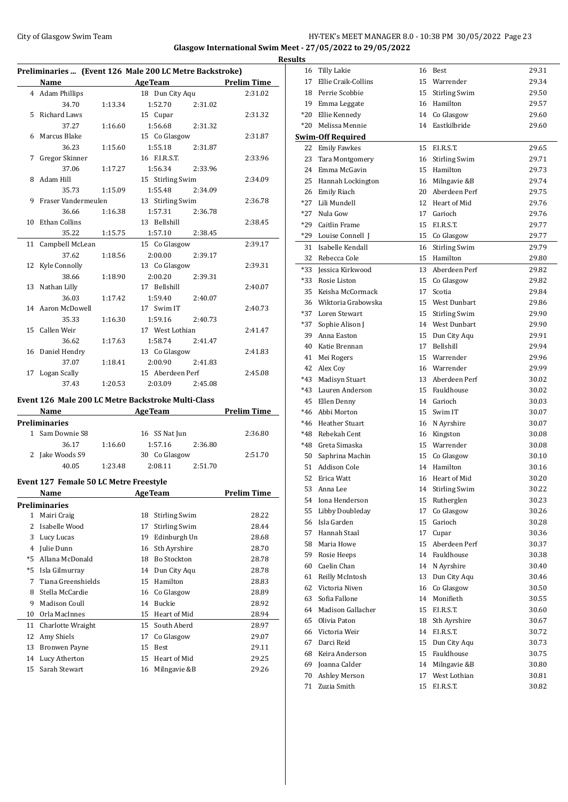# City of Glasgow Swim Team Team Feam Fermic Matter of the HY-TEK's MEET MANAGER 8.0 - 10:38 PM 30/05/2022 Page 23 **Glasgow International Swim Meet - 27/05/2022 to 29/05/2022**

|    |                                        |         | Preliminaries  (Event 126 Male 200 LC Metre Backstroke) |                    |
|----|----------------------------------------|---------|---------------------------------------------------------|--------------------|
|    |                                        |         | Name AgeTeam Prelim Time                                |                    |
|    | 4 Adam Phillips                        |         | 18 Dun City Aqu                                         | 2:31.02            |
|    | 34.70                                  | 1:13.34 | 1:52.70<br>2:31.02                                      |                    |
|    | 5 Richard Laws                         |         | 15 Cupar                                                | 2:31.32            |
|    | 37.27                                  | 1:16.60 | 1:56.68<br>2:31.32                                      |                    |
|    | 6 Marcus Blake                         |         | 15 Co Glasgow                                           | 2:31.87            |
|    | 36.23                                  | 1:15.60 | 1:55.18<br>2:31.87                                      |                    |
| 7  | Gregor Skinner                         |         | 16 F.I.R.S.T.                                           | 2:33.96            |
|    | 37.06                                  | 1:17.27 | 1:56.34<br>2:33.96                                      |                    |
|    | 8 Adam Hill                            |         | 15 Stirling Swim                                        | 2:34.09            |
|    | 35.73                                  | 1:15.09 | 1:55.48<br>2:34.09                                      |                    |
| 9  | Fraser Vandermeulen                    |         | 13 Stirling Swim                                        | 2:36.78            |
|    | 36.66                                  | 1:16.38 | 1:57.31<br>2:36.78                                      |                    |
| 10 | Ethan Collins                          |         | 13 Bellshill                                            | 2:38.45            |
|    | 35.22                                  | 1:15.75 | 1:57.10<br>2:38.45                                      |                    |
| 11 | Campbell McLean                        |         | 15 Co Glasgow                                           | 2:39.17            |
|    | 37.62                                  | 1:18.56 | 2:00.00<br>2:39.17                                      |                    |
| 12 | Kyle Connolly                          |         | 13 Co Glasgow                                           | 2:39.31            |
|    | 38.66                                  | 1:18.90 | 2:00.20<br>2:39.31                                      |                    |
|    | 13 Nathan Lilly                        |         | 17 Bellshill                                            | 2:40.07            |
|    | 36.03                                  | 1:17.42 | 1:59.40<br>2:40.07                                      |                    |
|    | 14 Aaron McDowell                      |         | 17 Swim IT                                              | 2:40.73            |
|    | 35.33                                  | 1:16.30 | 1:59.16<br>2:40.73                                      |                    |
|    | 15 Callen Weir                         |         | 17 West Lothian                                         | 2:41.47            |
|    | 36.62                                  | 1:17.63 | 1:58.74<br>2:41.47                                      |                    |
|    | 16 Daniel Hendry                       |         | 13 Co Glasgow                                           | 2:41.83            |
|    | 37.07                                  | 1:18.41 | 2:00.90<br>2:41.83                                      |                    |
|    | 17 Logan Scally                        |         | 15 Aberdeen Perf                                        | 2:45.08            |
|    | 37.43                                  | 1:20.53 | 2:03.09<br>2:45.08                                      |                    |
|    |                                        |         | Event 126 Male 200 LC Metre Backstroke Multi-Class      |                    |
|    | Name                                   |         | <b>Example 2018 Age Team</b>                            | <b>Prelim Time</b> |
|    | Preliminaries                          |         |                                                         |                    |
|    | 1 Sam Downie S8                        |         | 16 SS Nat Jun                                           | 2:36.80            |
|    | 36.17                                  | 1:16.60 | 1:57.16<br>2:36.80                                      |                    |
|    | 2 Jake Woods S9                        |         | 30 Co Glasgow                                           | 2:51.70            |
|    | 40.05                                  | 1:23.48 | 2:08.11<br>2:51.70                                      |                    |
|    |                                        |         |                                                         |                    |
|    | Event 127 Female 50 LC Metre Freestyle |         |                                                         |                    |
|    | <b>Name</b>                            |         | <b>AgeTeam</b>                                          | <b>Prelim Time</b> |
|    | <b>Preliminaries</b>                   |         |                                                         |                    |
|    | 1 Mairi Craig                          |         | 18 Stirling Swim                                        | 28.22              |

|      | erennunaries         |    |                      |       |
|------|----------------------|----|----------------------|-------|
| 1    | Mairi Craig          | 18 | <b>Stirling Swim</b> | 28.22 |
| 2    | Isabelle Wood        | 17 | <b>Stirling Swim</b> | 28.44 |
| 3    | Lucy Lucas           | 19 | Edinburgh Un         | 28.68 |
| 4    | Julie Dunn           | 16 | Sth Ayrshire         | 28.70 |
| $*5$ | Allana McDonald      | 18 | <b>Bo Stockton</b>   | 28.78 |
| $*5$ | Isla Gilmurray       |    | 14 Dun City Agu      | 28.78 |
| 7    | Tiana Greenshields   | 15 | Hamilton             | 28.83 |
| 8    | Stella McCardie      |    | 16 Co Glasgow        | 28.89 |
| 9    | Madison Coull        | 14 | <b>Buckie</b>        | 28.92 |
| 10   | Orla MacInnes        | 15 | Heart of Mid         | 28.94 |
| 11   | Charlotte Wraight    | 15 | South Aberd          | 28.97 |
| 12   | Amy Shiels           | 17 | Co Glasgow           | 29.07 |
| 13   | <b>Bronwen Payne</b> | 15 | Best                 | 29.11 |
| 14   | Lucy Atherton        | 15 | Heart of Mid         | 29.25 |
| 15   | Sarah Stewart        | 16 | Milngavie &B         | 29.26 |
|      |                      |    |                      |       |

| <b>Results</b> |                          |        |                      |       |
|----------------|--------------------------|--------|----------------------|-------|
|                | 16 Tilly Lakie           |        | 16 Best              | 29.31 |
| 17             | Ellie Craik-Collins      |        | 15 Warrender         | 29.34 |
|                | 18 Perrie Scobbie        | 15     | <b>Stirling Swim</b> | 29.50 |
|                | 19 Emma Leggate          |        | 16 Hamilton          | 29.57 |
| $*20$          | Ellie Kennedy            |        | 14 Co Glasgow        | 29.60 |
| $*20$          | Melissa Mennie           |        | 14 Eastkilbride      | 29.60 |
|                | <b>Swim-Off Required</b> |        |                      |       |
|                | 22 Emily Fawkes          |        | 15 F.I.R.S.T.        | 29.65 |
| 23             | Tara Montgomery          |        | 16 Stirling Swim     | 29.71 |
|                | 24 Emma McGavin          |        | 15 Hamilton          | 29.73 |
|                | 25 Hannah Lockington     |        | 16 Milngavie &B      | 29.74 |
|                | 26 Emily Riach           |        | 20 Aberdeen Perf     | 29.75 |
|                | *27 Lili Mundell         |        | 12 Heart of Mid      | 29.76 |
| $*27$          | Nula Gow                 |        | 17 Garioch           | 29.76 |
|                | *29 Caitlin Frame        |        | 15 F.I.R.S.T.        | 29.77 |
|                | *29 Louise Connell J     |        | 15 Co Glasgow        | 29.77 |
|                | 31 Isabelle Kendall      |        | 16 Stirling Swim     | 29.79 |
|                | 32 Rebecca Cole          |        | 15 Hamilton          |       |
|                |                          |        |                      | 29.80 |
|                | *33 Jessica Kirkwood     |        | 13 Aberdeen Perf     | 29.82 |
| *33            | Rosie Liston             |        | 15 Co Glasgow        | 29.82 |
| 35             | Keisha McCormack         | 17     | Scotia               | 29.84 |
|                | 36 Wiktoria Grabowska    |        | 15 West Dunbart      | 29.86 |
|                | *37 Loren Stewart        |        | 15 Stirling Swim     | 29.90 |
| *37            | Sophie Alison J          |        | 14 West Dunbart      | 29.90 |
| 39             | Anna Easton              |        | 15 Dun City Aqu      | 29.91 |
|                | 40 Katie Brennan         |        | 17 Bellshill         | 29.94 |
|                | 41 Mei Rogers            |        | 15 Warrender         | 29.96 |
|                | 42 Alex Coy              |        | 16 Warrender         | 29.99 |
|                | *43 Madisyn Stuart       |        | 13 Aberdeen Perf     | 30.02 |
|                | *43 Lauren Anderson      |        | 15 Fauldhouse        | 30.02 |
|                | 45 Ellen Denny           |        | 14 Garioch           | 30.03 |
|                | *46 Abbi Morton          |        | 15 Swim IT           | 30.07 |
|                | *46 Heather Stuart       |        | 16 N Ayrshire        | 30.07 |
|                | *48 Rebekah Cent         |        | 16 Kingston          | 30.08 |
|                | *48 Greta Simaska        |        | 15 Warrender         | 30.08 |
| 50             | Saphrina Machin          |        | 15 Co Glasgow        | 30.10 |
| 51             | <b>Addison Cole</b>      |        | 14 Hamilton          | 30.16 |
| 52             | Erica Watt               |        | 16 Heart of Mid      | 30.20 |
| 53             | Anna Lee                 | 14     | <b>Stirling Swim</b> | 30.22 |
| 54             | Iona Henderson           | 15     | Rutherglen           | 30.23 |
| 55             | Libby Doubleday          | $17\,$ | Co Glasgow           | 30.26 |
|                | 56 Isla Garden           | 15     | Garioch              | 30.28 |
| 57             | Hannah Staal             | 17     | Cupar                | 30.36 |
| 58             | Maria Howe               | 15     | Aberdeen Perf        | 30.37 |
| 59             | Rosie Heeps              |        | 14 Fauldhouse        | 30.38 |
|                | Caelin Chan              |        |                      |       |
| 60             |                          | 14     | N Ayrshire           | 30.40 |
| 61             | Reilly McIntosh          | 13     | Dun City Aqu         | 30.46 |
| 62             | Victoria Niven           | 16     | Co Glasgow           | 30.50 |
| 63             | Sofia Fallone            | 14     | Monifieth            | 30.55 |
| 64             | Madison Gallacher        | 15     | F.I.R.S.T.           | 30.60 |
| 65             | Olivia Paton             | 18     | Sth Ayrshire         | 30.67 |
|                | 66 Victoria Weir         | 14     | F.I.R.S.T.           | 30.72 |
| 67             | Darci Reid               | 15     | Dun City Aqu         | 30.73 |
| 68             | Keira Anderson           | 15     | Fauldhouse           | 30.75 |
| 69             | Joanna Calder            |        | 14 Milngavie &B      | 30.80 |
| 70             | Ashley Merson            | 17     | West Lothian         | 30.81 |
| 71             | Zuzia Smith              |        | 15 F.I.R.S.T.        | 30.82 |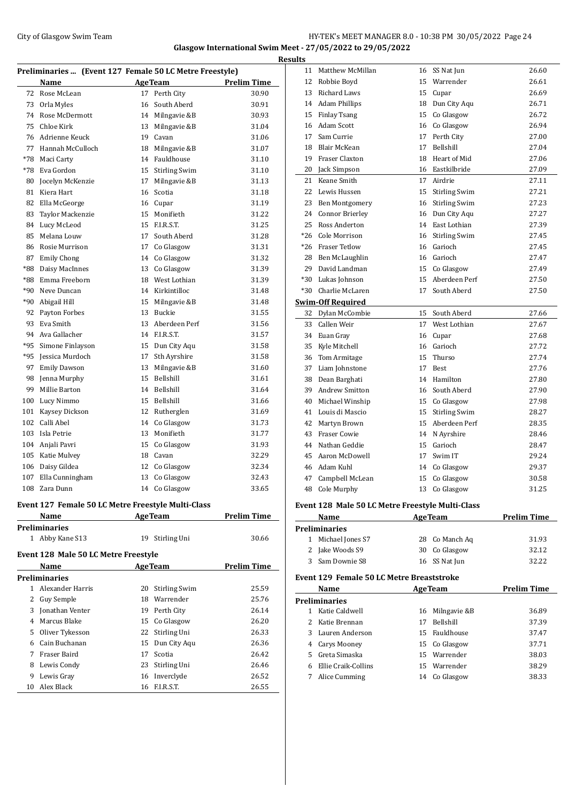# City of Glasgow Swim Team HY-TEK's MEET MANAGER 8.0 - 10:38 PM 30/05/2022 Page 24 **Glasgow International Swim Meet - 27/05/2022 to 29/05/2022**

| Preliminaries  (Event 127 Female 50 LC Metre Freestyle) |                     |    |                  |                    |  |  |
|---------------------------------------------------------|---------------------|----|------------------|--------------------|--|--|
|                                                         | Name                |    | <b>AgeTeam</b>   | <b>Prelim Time</b> |  |  |
| 72                                                      | Rose McLean         |    | 17 Perth City    | 30.90              |  |  |
| 73                                                      | Orla Myles          | 16 | South Aberd      | 30.91              |  |  |
| 74                                                      | Rose McDermott      |    | 14 Milngavie &B  | 30.93              |  |  |
| 75                                                      | Chloe Kirk          | 13 | Milngavie &B     | 31.04              |  |  |
| 76                                                      | Adrienne Keuck      | 19 | Cavan            | 31.06              |  |  |
| 77                                                      | Hannah McCulloch    | 18 | Milngavie &B     | 31.07              |  |  |
| $*78$                                                   | Maci Carty          |    | 14 Fauldhouse    | 31.10              |  |  |
| $*78$                                                   | Eva Gordon          |    | 15 Stirling Swim | 31.10              |  |  |
| 80                                                      | Jocelyn McKenzie    | 17 | Milngavie &B     | 31.13              |  |  |
| 81                                                      | Kiera Hart          | 16 | Scotia           | 31.18              |  |  |
| 82                                                      | Ella McGeorge       |    | 16 Cupar         | 31.19              |  |  |
| 83                                                      | Taylor Mackenzie    |    | 15 Monifieth     | 31.22              |  |  |
| 84                                                      | Lucy McLeod         |    | 15 F.I.R.S.T.    | 31.25              |  |  |
| 85                                                      | Melana Louw         | 17 | South Aberd      | 31.28              |  |  |
| 86                                                      | Rosie Murrison      | 17 | Co Glasgow       | 31.31              |  |  |
| 87                                                      | <b>Emily Chong</b>  |    | 14 Co Glasgow    | 31.32              |  |  |
| *88                                                     | Daisy MacInnes      |    | 13 Co Glasgow    | 31.39              |  |  |
| *88                                                     | Emma Freeborn       |    | 18 West Lothian  | 31.39              |  |  |
| $*90$                                                   | Neve Duncan         |    | 14 Kirkintilloc  | 31.48              |  |  |
| $*90$                                                   | Abigail Hill        |    | 15 Milngavie &B  | 31.48              |  |  |
| 92                                                      | Payton Forbes       | 13 | Buckie           | 31.55              |  |  |
| 93                                                      | Eva Smith           | 13 | Aberdeen Perf    | 31.56              |  |  |
| 94                                                      | Ava Gallacher       |    | 14 F.I.R.S.T.    | 31.57              |  |  |
| $*95$                                                   | Simone Finlayson    |    | 15 Dun City Aqu  | 31.58              |  |  |
| *95                                                     | Jessica Murdoch     | 17 | Sth Ayrshire     | 31.58              |  |  |
| 97                                                      | <b>Emily Dawson</b> | 13 | Milngavie &B     | 31.60              |  |  |
| 98                                                      | Jenna Murphy        | 15 | Bellshill        | 31.61              |  |  |
| 99                                                      | Millie Barton       | 14 | Bellshill        | 31.64              |  |  |
| 100                                                     | Lucy Nimmo          | 15 | Bellshill        | 31.66              |  |  |
| 101                                                     | Kaysey Dickson      |    | 12 Rutherglen    | 31.69              |  |  |
| 102                                                     | Calli Abel          |    | 14 Co Glasgow    | 31.73              |  |  |
| 103                                                     | Isla Petrie         |    | 13 Monifieth     | 31.77              |  |  |
| 104                                                     | Anjali Pavri        | 15 | Co Glasgow       | 31.93              |  |  |
| 105                                                     | Katie Mulvey        |    | 18 Cavan         | 32.29              |  |  |
| 106                                                     | Daisy Gildea        |    | 12 Co Glasgow    | 32.34              |  |  |
| 107                                                     | Ella Cunningham     | 13 | Co Glasgow       | 32.43              |  |  |
| 108                                                     | Zara Dunn           |    | 14 Co Glasgow    | 33.65              |  |  |

## **Event 127 Female 50 LC Metre Freestyle Multi-Class**

| <b>Name</b>     | <b>AgeTeam</b>  | <b>Prelim Time</b> |  |
|-----------------|-----------------|--------------------|--|
| Preliminaries   |                 |                    |  |
| 1 Abby Kane S13 | 19 Stirling Uni | 30.66              |  |

## **Event 128 Male 50 LC Metre Freestyle**

|    | Name             | <b>AgeTeam</b> |                      | <b>Prelim Time</b> |
|----|------------------|----------------|----------------------|--------------------|
|    | Preliminaries    |                |                      |                    |
|    | Alexander Harris | 20             | <b>Stirling Swim</b> | 25.59              |
| 2  | Guy Semple       | 18             | Warrender            | 25.76              |
| 3  | Jonathan Venter  | 19             | Perth City           | 26.14              |
| 4  | Marcus Blake     |                | 15 Co Glasgow        | 26.20              |
| 5. | Oliver Tykesson  |                | 22 Stirling Uni      | 26.33              |
| 6  | Cain Buchanan    |                | 15 Dun City Agu      | 26.36              |
|    | Fraser Baird     | 17             | Scotia               | 26.42              |
| 8  | Lewis Condy      | 23             | Stirling Uni         | 26.46              |
| 9  | Lewis Gray       |                | 16 Inverclyde        | 26.52              |
| 10 | Alex Black       | 16             | ELR.S.T.             | 26.55              |

| <b>Results</b> |                          |    |                  |       |
|----------------|--------------------------|----|------------------|-------|
|                | 11 Matthew McMillan      |    | 16 SS Nat Jun    | 26.60 |
| 12             | Robbie Boyd              |    | 15 Warrender     | 26.61 |
| 13             | Richard Laws             | 15 | Cupar            | 26.69 |
|                | 14 Adam Phillips         |    | 18 Dun City Aqu  | 26.71 |
| 15             | Finlay Tsang             |    | 15 Co Glasgow    | 26.72 |
|                | 16 Adam Scott            |    | 16 Co Glasgow    | 26.94 |
| 17             | Sam Currie               |    | 17 Perth City    | 27.00 |
| 18             | <b>Blair McKean</b>      | 17 | Bellshill        | 27.04 |
| 19             | Fraser Claxton           |    | 18 Heart of Mid  | 27.06 |
| 20             | Jack Simpson             |    | 16 Eastkilbride  | 27.09 |
| 21             | Keane Smith              |    | 17 Airdrie       | 27.11 |
|                | 22 Lewis Hussen          |    | 15 Stirling Swim | 27.21 |
|                | 23 Ben Montgomery        |    | 16 Stirling Swim | 27.23 |
|                | 24 Connor Brierley       |    | 16 Dun City Aqu  | 27.27 |
| 25             | Ross Anderton            |    | 14 East Lothian  | 27.39 |
|                | *26 Cole Morrison        |    | 16 Stirling Swim | 27.45 |
|                | *26 Fraser Tetlow        |    | 16 Garioch       | 27.45 |
|                | 28 Ben McLaughlin        |    | 16 Garioch       | 27.47 |
|                | 29 David Landman         |    | 15 Co Glasgow    | 27.49 |
|                | *30 Lukas Johnson        |    | 15 Aberdeen Perf | 27.50 |
| $*30$          | Charlie McLaren          | 17 | South Aberd      | 27.50 |
|                | <b>Swim-Off Required</b> |    |                  |       |
| 32             | Dylan McCombie           | 15 | South Aberd      | 27.66 |
| 33             | Callen Weir              |    | 17 West Lothian  | 27.67 |
| 34             | Euan Gray                |    | 16 Cupar         | 27.68 |
| 35             | Kyle Mitchell            |    | 16 Garioch       | 27.72 |
|                | 36 Tom Armitage          |    | 15 Thurso        | 27.74 |
| 37             | Liam Johnstone           | 17 | Best             | 27.76 |
|                | 38 Dean Barghati         |    | 14 Hamilton      | 27.80 |
|                | 39 Andrew Smitton        |    | 16 South Aberd   | 27.90 |
| 40             | Michael Winship          |    | 15 Co Glasgow    | 27.98 |
|                | 41 Louis di Mascio       |    | 15 Stirling Swim | 28.27 |
|                | 42 Martyn Brown          |    | 15 Aberdeen Perf | 28.35 |
| 43             | <b>Fraser Cowie</b>      |    | 14 N Ayrshire    | 28.46 |
| 44             | Nathan Geddie            |    | 15 Garioch       | 28.47 |
|                | 45 Aaron McDowell        | 17 | Swim IT          | 29.24 |
|                | 46 Adam Kuhl             |    | 14 Co Glasgow    | 29.37 |
| 47             | Campbell McLean          | 15 | Co Glasgow       | 30.58 |
| 48             | Cole Murphy              |    | 13 Co Glasgow    | 31.25 |
|                |                          |    |                  |       |

### **Event 128 Male 50 LC Metre Freestyle Multi-Class**

| Name |                      | <b>AgeTeam</b> | <b>Prelim Time</b> |
|------|----------------------|----------------|--------------------|
|      | <b>Preliminaries</b> |                |                    |
|      | 1 Michael Jones S7   | 28 Co Manch Ag | 31.93              |
|      | 2 Jake Woods S9      | 30 Co Glasgow  | 32.12              |
|      | 3 Sam Downie S8      | 16 SS Nat Jun  | 32.22              |

## **Event 129 Female 50 LC Metre Breaststroke**

| Name |                      |    | <b>AgeTeam</b>   | <b>Prelim Time</b> |
|------|----------------------|----|------------------|--------------------|
|      | <b>Preliminaries</b> |    |                  |                    |
|      | Katie Caldwell       |    | 16 Milngavie & B | 36.89              |
|      | 2 Katie Brennan      | 17 | <b>Bellshill</b> | 37.39              |
|      | 3 Lauren Anderson    |    | 15 Fauldhouse    | 37.47              |
|      | 4 Carys Mooney       |    | 15 Co Glasgow    | 37.71              |
|      | 5 Greta Simaska      |    | 15 Warrender     | 38.03              |
|      | Ellie Craik-Collins  |    | 15 Warrender     | 38.29              |
|      | Alice Cumming        | 14 | Co Glasgow       | 38.33              |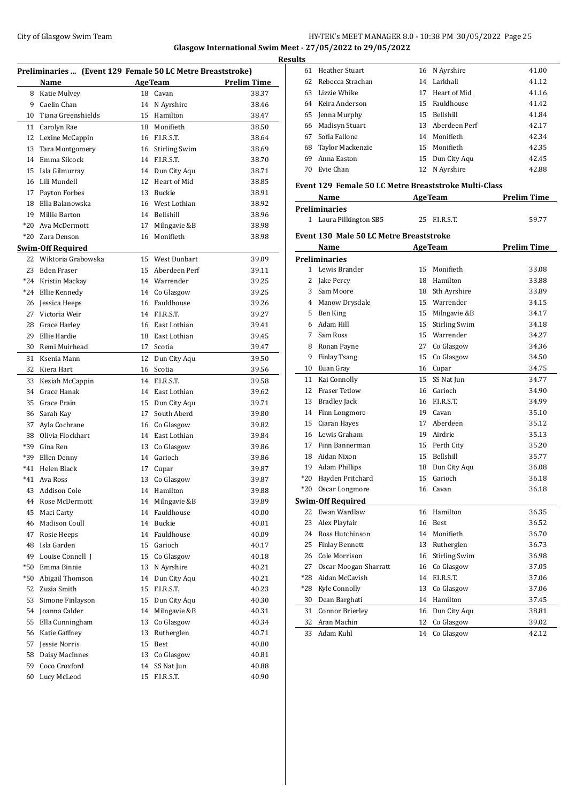# City of Glasgow Swim Team Team Feam Fermi States of City of Glasgow Swim Team Fermi States 25 **Glasgow International Swim Meet - 27/05/2022 to 29/05/2022**

|       | Preliminaries  (Event 129 Female 50 LC Metre Breaststroke) |    |                  |                    |
|-------|------------------------------------------------------------|----|------------------|--------------------|
|       | <b>Name</b>                                                |    | AgeTeam          | <b>Prelim Time</b> |
| 8     | Katie Mulvey                                               | 18 | Cavan            | 38.37              |
| 9     | Caelin Chan                                                |    | 14 N Ayrshire    | 38.46              |
| 10    | Tiana Greenshields                                         |    | 15 Hamilton      | 38.47              |
| 11    | Carolyn Rae                                                |    | 18 Monifieth     | 38.50              |
| 12    | Lexine McCappin                                            |    | 16 F.I.R.S.T.    | 38.64              |
| 13    | Tara Montgomery                                            |    | 16 Stirling Swim | 38.69              |
| 14    | Emma Silcock                                               |    | 14 F.I.R.S.T.    | 38.70              |
| 15    | Isla Gilmurray                                             |    | 14 Dun City Aqu  | 38.71              |
| 16    | Lili Mundell                                               |    | 12 Heart of Mid  | 38.85              |
| 17    | Payton Forbes                                              |    | 13 Buckie        | 38.91              |
| 18    | Ella Balanowska                                            |    | 16 West Lothian  | 38.92              |
| 19    | Millie Barton                                              |    | 14 Bellshill     | 38.96              |
| $*20$ | Ava McDermott                                              | 17 | Milngavie &B     | 38.98              |
| $*20$ | Zara Denson                                                | 16 | Monifieth        | 38.98              |
|       | <u>Swim-Off Required</u>                                   |    |                  |                    |
| 22    | Wiktoria Grabowska                                         |    | 15 West Dunbart  | 39.09              |
| 23    | Eden Fraser                                                |    | 15 Aberdeen Perf | 39.11              |
| *24   | Kristin Mackay                                             |    | 14 Warrender     | 39.25              |
| $*24$ | Ellie Kennedy                                              |    | 14 Co Glasgow    | 39.25              |
| 26    | Jessica Heeps                                              |    | 16 Fauldhouse    | 39.26              |
| 27    | Victoria Weir                                              |    | 14 F.I.R.S.T.    | 39.27              |
| 28    | Grace Harley                                               |    | 16 East Lothian  | 39.41              |
| 29    | Ellie Hardie                                               |    | 18 East Lothian  | 39.45              |
| 30    | Remi Muirhead                                              | 17 | Scotia           | 39.47              |
|       |                                                            |    |                  |                    |
| 31    | Ksenia Mann                                                | 12 | Dun City Aqu     | 39.50              |
| 32    | Kiera Hart                                                 | 16 | Scotia           | 39.56              |
| 33    | Keziah McCappin                                            | 14 | F.I.R.S.T.       | 39.58              |
| 34    | Grace Hanak                                                |    | 14 East Lothian  | 39.62              |
| 35    | Grace Prain                                                |    | 15 Dun City Aqu  | 39.71              |
| 36    | Sarah Kay                                                  | 17 | South Aberd      | 39.80              |
| 37    | Ayla Cochrane                                              |    | 16 Co Glasgow    | 39.82              |
| 38    | Olivia Flockhart                                           |    | 14 East Lothian  | 39.84              |
| *39   | Gina Ren                                                   |    | 13 Co Glasgow    | 39.86              |
| *39   | Ellen Denny                                                |    | 14 Garioch       | 39.86              |
| $*41$ | Helen Black                                                | 17 | Cupar            | 39.87              |
| $*41$ | Ava Ross                                                   | 13 | Co Glasgow       | 39.87              |
|       | 43 Addison Cole                                            |    | 14 Hamilton      | 39.88              |
| 44    | Rose McDermott                                             | 14 | Milngavie &B     | 39.89              |
| 45    | Maci Carty                                                 | 14 | Fauldhouse       | 40.00              |
| 46    | <b>Madison Coull</b>                                       | 14 | Buckie           | 40.01              |
| 47    | Rosie Heeps                                                | 14 | Fauldhouse       | 40.09              |
| 48    | Isla Garden                                                | 15 | Garioch          | 40.17              |
| 49    | Louise Connell J                                           | 15 | Co Glasgow       | 40.18              |
| *50   | Emma Binnie                                                | 13 | N Ayrshire       | 40.21              |
| *50   | Abigail Thomson                                            | 14 | Dun City Aqu     | 40.21              |
| 52    | Zuzia Smith                                                | 15 | F.I.R.S.T.       | 40.23              |
| 53    | Simone Finlayson                                           | 15 | Dun City Aqu     | 40.30              |
| 54    | Joanna Calder                                              | 14 | Milngavie &B     | 40.31              |
| 55    | Ella Cunningham                                            | 13 | Co Glasgow       | 40.34              |
| 56    | Katie Gaffney                                              | 13 | Rutherglen       | 40.71              |
| 57    | Jessie Norris                                              | 15 | Best             | 40.80              |
| 58    | Daisy MacInnes                                             | 13 | Co Glasgow       | 40.81              |
| 59    | Coco Croxford                                              | 14 | SS Nat Jun       | 40.88              |
| 60    | Lucy McLeod                                                | 15 | F.I.R.S.T.       | 40.90              |
|       |                                                            |    |                  |                    |

| <b>Results</b> |                     |    |                  |       |  |  |  |  |
|----------------|---------------------|----|------------------|-------|--|--|--|--|
|                | 61 Heather Stuart   |    | 16 N Avrshire    | 41.00 |  |  |  |  |
|                | 62 Rebecca Strachan |    | 14 Larkhall      | 41.12 |  |  |  |  |
|                | 63 Lizzie Whike     |    | 17 Heart of Mid  | 41.16 |  |  |  |  |
|                | 64 Keira Anderson   |    | 15 Fauldhouse    | 41.42 |  |  |  |  |
|                | 65 Jenna Murphy     |    | 15 Bellshill     | 41.84 |  |  |  |  |
|                | 66 Madisyn Stuart   |    | 13 Aberdeen Perf | 42.17 |  |  |  |  |
| 67             | Sofia Fallone       |    | 14 Monifieth     | 42.34 |  |  |  |  |
|                | 68 Taylor Mackenzie |    | 15 Monifieth     | 42.35 |  |  |  |  |
| 69.            | Anna Easton         |    | 15 Dun City Agu  | 42.45 |  |  |  |  |
|                | 70 Evie Chan        | 12 | N Avrshire       | 42.88 |  |  |  |  |
|                |                     |    |                  |       |  |  |  |  |

### **Event 129 Female 50 LC Metre Breaststroke Multi-Class**

| Name                   | <b>AgeTeam</b> | <b>Prelim Time</b> |  |
|------------------------|----------------|--------------------|--|
| <b>Preliminaries</b>   |                |                    |  |
| 1 Laura Pilkington SB5 | 25 F.I.R.S.T.  | 59.77              |  |

### **Event 130 Male 50 LC Metre Breaststroke**

|       | Name                     | <b>AgeTeam</b> |                      | <b>Prelim Time</b> |
|-------|--------------------------|----------------|----------------------|--------------------|
|       | <b>Preliminaries</b>     |                |                      |                    |
| 1     | Lewis Brander            | 15             | Monifieth            | 33.08              |
| 2     | Jake Percy               | 18             | Hamilton             | 33.88              |
| 3     | Sam Moore                | 18             | Sth Ayrshire         | 33.89              |
| 4     | Manow Drysdale           | 15             | Warrender            | 34.15              |
| 5     | Ben King                 | 15             | Milngavie &B         | 34.17              |
| 6.    | Adam Hill                | 15             | <b>Stirling Swim</b> | 34.18              |
| 7     | Sam Ross                 |                | 15 Warrender         | 34.27              |
| 8     | Ronan Payne              | 27             | Co Glasgow           | 34.36              |
| 9     | <b>Finlay Tsang</b>      | 15             | Co Glasgow           | 34.50              |
| 10    | Euan Gray                |                | 16 Cupar             | 34.75              |
| 11    | Kai Connolly             | 15             | SS Nat Jun           | 34.77              |
| 12    | <b>Fraser Tetlow</b>     | 16             | Garioch              | 34.90              |
| 13    | <b>Bradley Jack</b>      | 16             | F.I.R.S.T.           | 34.99              |
| 14    | Finn Longmore            | 19             | Cavan                | 35.10              |
| 15    | Ciaran Hayes             | 17             | Aberdeen             | 35.12              |
| 16    | Lewis Graham             | 19             | Airdrie              | 35.13              |
| 17    | Finn Bannerman           | 15             | Perth City           | 35.20              |
| 18    | Aidan Nixon              | 15             | <b>Bellshill</b>     | 35.77              |
| 19    | <b>Adam Phillips</b>     | 18             | Dun City Aqu         | 36.08              |
| $*20$ | Hayden Pritchard         | 15             | Garioch              | 36.18              |
| $*20$ | Oscar Longmore           | 16             | Cavan                | 36.18              |
|       | <b>Swim-Off Required</b> |                |                      |                    |
| 22    | Ewan Wardlaw             | 16             | Hamilton             | 36.35              |
| 23    | Alex Playfair            | 16             | <b>Rest</b>          | 36.52              |
| 24    | Ross Hutchinson          | 14             | Monifieth            | 36.70              |
| 25    | <b>Finlay Bennett</b>    | 13             | Rutherglen           | 36.73              |
| 26    | Cole Morrison            | 16             | <b>Stirling Swim</b> | 36.98              |
| 27    | Oscar Moogan-Sharratt    | 16             | Co Glasgow           | 37.05              |
| $*28$ | Aidan McCavish           | 14             | F.I.R.S.T.           | 37.06              |
| $*28$ | Kyle Connolly            | 13             | Co Glasgow           | 37.06              |
| 30    | Dean Barghati            | 14             | Hamilton             | 37.45              |
| 31    | Connor Brierley          |                | 16 Dun City Aqu      | 38.81              |
| 32    | Aran Machin              | 12             | Co Glasgow           | 39.02              |
| 33    | Adam Kuhl                | 14             | Co Glasgow           | 42.12              |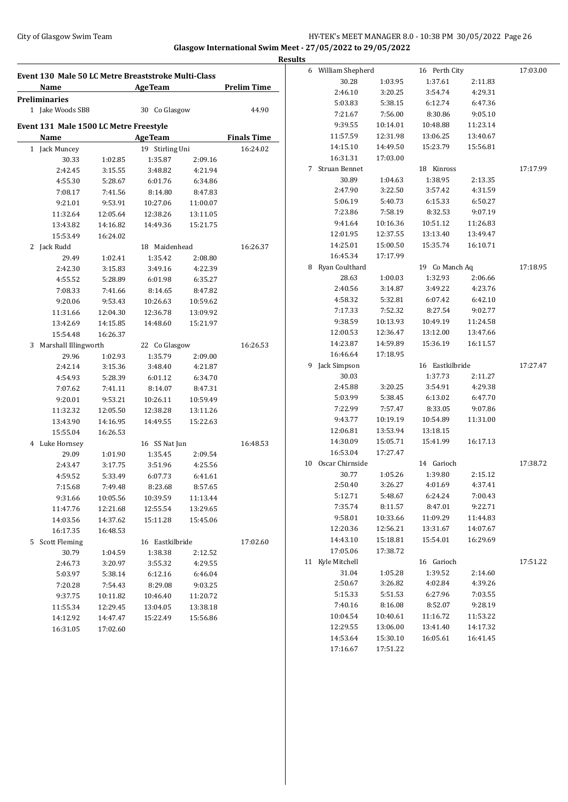## City of Glasgow Swim Team Team Feam Fermic Matter of the HY-TEK's MEET MANAGER 8.0 - 10:38 PM 30/05/2022 Page 26 **Glasgow International Swim Meet - 27/05/2022 to 29/05/2022 Results**

|                                                     |          |                 |          |                    | <b>Results</b>     |          |                 |          |          |
|-----------------------------------------------------|----------|-----------------|----------|--------------------|--------------------|----------|-----------------|----------|----------|
| Event 130 Male 50 LC Metre Breaststroke Multi-Class |          |                 |          |                    | 6 William Shepherd |          | 16 Perth City   |          | 17:03.00 |
| Name                                                |          | <b>AgeTeam</b>  |          | <b>Prelim Time</b> | 30.28              | 1:03.95  | 1:37.61         | 2:11.83  |          |
| <b>Preliminaries</b>                                |          |                 |          |                    | 2:46.10            | 3:20.25  | 3:54.74         | 4:29.31  |          |
| 1 Jake Woods SB8                                    |          | 30 Co Glasgow   |          | 44.90              | 5:03.83            | 5:38.15  | 6:12.74         | 6:47.36  |          |
|                                                     |          |                 |          |                    | 7:21.67            | 7:56.00  | 8:30.86         | 9:05.10  |          |
| Event 131 Male 1500 LC Metre Freestyle              |          |                 |          |                    | 9:39.55            | 10:14.01 | 10:48.88        | 11:23.14 |          |
| <b>Name</b>                                         |          | <b>AgeTeam</b>  |          | <b>Finals Time</b> | 11:57.59           | 12:31.98 | 13:06.25        | 13:40.67 |          |
| 1 Jack Muncey                                       |          | 19 Stirling Uni |          | 16:24.02           | 14:15.10           | 14:49.50 | 15:23.79        | 15:56.81 |          |
| 30.33                                               | 1:02.85  | 1:35.87         | 2:09.16  |                    | 16:31.31           | 17:03.00 |                 |          |          |
| 2:42.45                                             | 3:15.55  | 3:48.82         | 4:21.94  |                    | 7 Struan Bennet    |          | 18 Kinross      |          | 17:17.99 |
| 4:55.30                                             | 5:28.67  | 6:01.76         | 6:34.86  |                    | 30.89              | 1:04.63  | 1:38.95         | 2:13.35  |          |
| 7:08.17                                             | 7:41.56  | 8:14.80         | 8:47.83  |                    | 2:47.90            | 3:22.50  | 3:57.42         | 4:31.59  |          |
| 9:21.01                                             | 9:53.91  | 10:27.06        | 11:00.07 |                    | 5:06.19            | 5:40.73  | 6:15.33         | 6:50.27  |          |
| 11:32.64                                            | 12:05.64 | 12:38.26        | 13:11.05 |                    | 7:23.86            | 7:58.19  | 8:32.53         | 9:07.19  |          |
| 13:43.82                                            | 14:16.82 | 14:49.36        | 15:21.75 |                    | 9:41.64            | 10:16.36 | 10:51.12        | 11:26.83 |          |
| 15:53.49                                            | 16:24.02 |                 |          |                    | 12:01.95           | 12:37.55 | 13:13.40        | 13:49.47 |          |
| 2 Jack Rudd                                         |          | 18 Maidenhead   |          | 16:26.37           | 14:25.01           | 15:00.50 | 15:35.74        | 16:10.71 |          |
| 29.49                                               | 1:02.41  | 1:35.42         | 2:08.80  |                    | 16:45.34           | 17:17.99 |                 |          |          |
| 2:42.30                                             | 3:15.83  | 3:49.16         | 4:22.39  |                    | 8 Ryan Coulthard   |          | 19 Co Manch Aq  |          | 17:18.95 |
| 4:55.52                                             | 5:28.89  | 6:01.98         | 6:35.27  |                    | 28.63              | 1:00.03  | 1:32.93         | 2:06.66  |          |
| 7:08.33                                             | 7:41.66  | 8:14.65         | 8:47.82  |                    | 2:40.56            | 3:14.87  | 3:49.22         | 4:23.76  |          |
| 9:20.06                                             | 9:53.43  | 10:26.63        | 10:59.62 |                    | 4:58.32            | 5:32.81  | 6:07.42         | 6:42.10  |          |
| 11:31.66                                            | 12:04.30 | 12:36.78        | 13:09.92 |                    | 7:17.33            | 7:52.32  | 8:27.54         | 9:02.77  |          |
| 13:42.69                                            | 14:15.85 | 14:48.60        | 15:21.97 |                    | 9:38.59            | 10:13.93 | 10:49.19        | 11:24.58 |          |
| 15:54.48                                            | 16:26.37 |                 |          |                    | 12:00.53           | 12:36.47 | 13:12.00        | 13:47.66 |          |
| 3 Marshall Illingworth                              |          | 22 Co Glasgow   |          | 16:26.53           | 14:23.87           | 14:59.89 | 15:36.19        | 16:11.57 |          |
| 29.96                                               | 1:02.93  | 1:35.79         | 2:09.00  |                    | 16:46.64           | 17:18.95 |                 |          |          |
| 2:42.14                                             | 3:15.36  | 3:48.40         | 4:21.87  |                    | 9 Jack Simpson     |          | 16 Eastkilbride |          | 17:27.47 |
| 4:54.93                                             | 5:28.39  | 6:01.12         | 6:34.70  |                    | 30.03              |          | 1:37.73         | 2:11.27  |          |
| 7:07.62                                             | 7:41.11  | 8:14.07         | 8:47.31  |                    | 2:45.88            | 3:20.25  | 3:54.91         | 4:29.38  |          |
| 9:20.01                                             | 9:53.21  | 10:26.11        | 10:59.49 |                    | 5:03.99            | 5:38.45  | 6:13.02         | 6:47.70  |          |
| 11:32.32                                            | 12:05.50 | 12:38.28        | 13:11.26 |                    | 7:22.99            | 7:57.47  | 8:33.05         | 9:07.86  |          |
| 13:43.90                                            | 14:16.95 | 14:49.55        | 15:22.63 |                    | 9:43.77            | 10:19.19 | 10:54.89        | 11:31.00 |          |
| 15:55.04                                            | 16:26.53 |                 |          |                    | 12:06.81           | 13:53.94 | 13:18.15        |          |          |
| 4 Luke Hornsey                                      |          | 16 SS Nat Jun   |          | 16:48.53           | 14:30.09           | 15:05.71 | 15:41.99        | 16:17.13 |          |
| 29.09                                               | 1:01.90  | 1:35.45         | 2:09.54  |                    | 16:53.04           | 17:27.47 |                 |          |          |
| 2:43.47                                             | 3:17.75  | 3:51.96         | 4:25.56  |                    | 10 Oscar Chirnside |          | 14 Garioch      |          | 17:38.72 |
| 4:59.52                                             | 5:33.49  | 6:07.73         | 6:41.61  |                    | 30.77              | 1:05.26  | 1:39.80         | 2:15.12  |          |
| 7:15.68                                             | 7:49.48  | 8:23.68         | 8:57.65  |                    | 2:50.40            | 3:26.27  | 4:01.69         | 4:37.41  |          |
| 9:31.66                                             | 10:05.56 | 10:39.59        | 11:13.44 |                    | 5:12.71            | 5:48.67  | 6:24.24         | 7:00.43  |          |
| 11:47.76                                            | 12:21.68 | 12:55.54        | 13:29.65 |                    | 7:35.74            | 8:11.57  | 8:47.01         | 9:22.71  |          |
| 14:03.56                                            | 14:37.62 | 15:11.28        | 15:45.06 |                    | 9:58.01            | 10:33.66 | 11:09.29        | 11:44.83 |          |
| 16:17.35                                            | 16:48.53 |                 |          |                    | 12:20.36           | 12:56.21 | 13:31.67        | 14:07.67 |          |
| 5 Scott Fleming                                     |          | 16 Eastkilbride |          | 17:02.60           | 14:43.10           | 15:18.81 | 15:54.01        | 16:29.69 |          |
| 30.79                                               | 1:04.59  | 1:38.38         | 2:12.52  |                    | 17:05.06           | 17:38.72 |                 |          |          |
| 2:46.73                                             | 3:20.97  | 3:55.32         | 4:29.55  |                    | 11 Kyle Mitchell   |          | 16 Garioch      |          | 17:51.22 |
| 5:03.97                                             | 5:38.14  | 6:12.16         | 6:46.04  |                    | 31.04              | 1:05.28  | 1:39.52         | 2:14.60  |          |
| 7:20.28                                             | 7:54.43  | 8:29.08         | 9:03.25  |                    | 2:50.67            | 3:26.82  | 4:02.84         | 4:39.26  |          |
| 9:37.75                                             | 10:11.82 | 10:46.40        | 11:20.72 |                    | 5:15.33            | 5:51.53  | 6:27.96         | 7:03.55  |          |
| 11:55.34                                            | 12:29.45 | 13:04.05        | 13:38.18 |                    | 7:40.16            | 8:16.08  | 8:52.07         | 9:28.19  |          |
| 14:12.92                                            | 14:47.47 | 15:22.49        | 15:56.86 |                    | 10:04.54           | 10:40.61 | 11:16.72        | 11:53.22 |          |
| 16:31.05                                            | 17:02.60 |                 |          |                    | 12:29.55           | 13:06.00 | 13:41.40        | 14:17.32 |          |
|                                                     |          |                 |          |                    | 14:53.64           | 15:30.10 | 16:05.61        | 16:41.45 |          |
|                                                     |          |                 |          |                    | 17:16.67           | 17:51.22 |                 |          |          |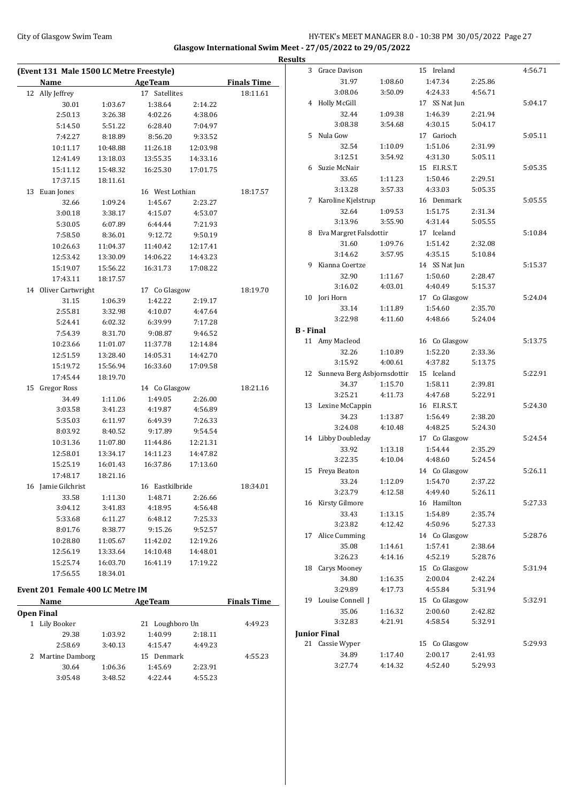# City of Glasgow Swim Team HY-TEK's MEET MANAGER 8.0 - 10:38 PM 30/05/2022 Page 27 **Glasgow International Swim Meet - 27/05/2022 to 29/05/2022**

**Results**

**(Event 131 Male 1500 LC Metre Freestyle) Name Age Team Finals Time** 12 Ally Jeffrey 17 Satellites 18:11.61 30.01 1:03.67 1:38.64 2:14.22 2:50.13 3:26.38 4:02.26 4:38.06 5:14.50 5:51.22 6:28.40 7:04.97 7:42.27 8:18.89 8:56.20 9:33.52 10:11.17 10:48.88 11:26.18 12:03.98 12:41.49 13:18.03 13:55.35 14:33.16 15:11.12 15:48.32 16:25.30 17:01.75 17:37.15 18:11.61 13 Euan Jones 16 West Lothian 18:17.57 32.66 1:09.24 1:45.67 2:23.27 3:00.18 3:38.17 4:15.07 4:53.07 5:30.05 6:07.89 6:44.44 7:21.93 7:58.50 8:36.01 9:12.72 9:50.19 10:26.63 11:04.37 11:40.42 12:17.41 12:53.42 13:30.09 14:06.22 14:43.23 15:19.07 15:56.22 16:31.73 17:08.22 17:43.11 18:17.57 14 Oliver Cartwright 17 Co Glasgow 18:19.70 31.15 1:06.39 1:42.22 2:19.17 2:55.81 3:32.98 4:10.07 4:47.64 5:24.41 6:02.32 6:39.99 7:17.28 7:54.39 8:31.70 9:08.87 9:46.52 10:23.66 11:01.07 11:37.78 12:14.84 12:51.59 13:28.40 14:05.31 14:42.70 15:19.72 15:56.94 16:33.60 17:09.58 17:45.44 18:19.70 15 Gregor Ross 14 Co Glasgow 18:21.16 34.49 1:11.06 1:49.05 2:26.00 3:03.58 3:41.23 4:19.87 4:56.89 5:35.03 6:11.97 6:49.39 7:26.33 8:03.92 8:40.52 9:17.89 9:54.54 10:31.36 11:07.80 11:44.86 12:21.31 12:58.01 13:34.17 14:11.23 14:47.82 15:25.19 16:01.43 16:37.86 17:13.60 17:48.17 18:21.16 16 Jamie Gilchrist 16 Eastkilbride 18:34.01 33.58 1:11.30 1:48.71 2:26.66 3:04.12 3:41.83 4:18.95 4:56.48 5:33.68 6:11.27 6:48.12 7:25.33 8:01.76 8:38.77 9:15.26 9:52.57 10:28.80 11:05.67 11:42.02 12:19.26 12:56.19 13:33.64 14:10.48 14:48.01 15:25.74 16:03.70 16:41.19 17:19.22 17:56.55 18:34.01 **Event 201 Female 400 LC Metre IM** 3 Grace Davison 15 Ireland 4:56.71 **B - Final**

## **Name Age Team Finals Time Open Final** 1 Lily Booker 21 Loughboro Un 4:49.23 29.38 1:03.92 1:40.99 2:18.11 2:58.69 3:40.13 4:15.47 4:49.23 2 Martine Damborg 15 Denmark 4:55.23 30.64 1:06.36 1:45.69 2:23.91 3:05.48 3:48.52 4:22.44 4:55.23

|                | Grace Davison               |         | тэ пекши      |         | 4.90.71 |
|----------------|-----------------------------|---------|---------------|---------|---------|
|                | 31.97                       | 1:08.60 | 1:47.34       | 2:25.86 |         |
|                | 3:08.06                     | 3:50.09 | 4:24.33       | 4:56.71 |         |
| $\overline{4}$ | <b>Holly McGill</b>         |         | 17 SS Nat Jun |         | 5:04.17 |
|                | 32.44                       | 1:09.38 | 1:46.39       | 2:21.94 |         |
|                | 3:08.38                     | 3:54.68 | 4:30.15       | 5:04.17 |         |
| 5              | Nula Gow                    |         | 17 Garioch    |         | 5:05.11 |
|                | 32.54                       | 1:10.09 | 1:51.06       | 2:31.99 |         |
|                | 3:12.51                     | 3:54.92 | 4:31.30       | 5:05.11 |         |
| 6              | Suzie McNair                |         | 15 F.I.R.S.T. |         | 5:05.35 |
|                | 33.65                       | 1:11.23 | 1:50.46       | 2:29.51 |         |
|                | 3:13.28                     | 3:57.33 | 4:33.03       | 5:05.35 |         |
| 7              | Karoline Kjelstrup          |         | 16 Denmark    |         | 5:05.55 |
|                | 32.64                       | 1:09.53 | 1:51.75       | 2:31.34 |         |
|                | 3:13.96                     | 3:55.90 | 4:31.44       | 5:05.55 |         |
| 8              | Eva Margret Falsdottir      |         | 17 Iceland    |         | 5:10.84 |
|                | 31.60                       | 1:09.76 | 1:51.42       | 2:32.08 |         |
|                | 3:14.62                     | 3:57.95 | 4:35.15       | 5:10.84 |         |
| 9              | Kianna Coertze              |         | 14 SS Nat Jun |         | 5:15.37 |
|                | 32.90                       | 1:11.67 | 1:50.60       | 2:28.47 |         |
|                | 3:16.02                     | 4:03.01 | 4:40.49       | 5:15.37 |         |
| 10             | Jori Horn                   |         | 17 Co Glasgow |         | 5:24.04 |
|                | 33.14                       | 1:11.89 | 1:54.60       | 2:35.70 |         |
|                | 3:22.98                     | 4:11.60 | 4:48.66       | 5:24.04 |         |
| B - Final      |                             |         |               |         |         |
| 11             | Amy Macleod                 |         | 16 Co Glasgow |         | 5:13.75 |
|                | 32.26                       | 1:10.89 | 1:52.20       | 2:33.36 |         |
|                | 3:15.92                     | 4:00.61 | 4:37.82       | 5:13.75 |         |
| 12             | Sunneva Berg Asbjornsdottir |         | 15 Iceland    |         | 5:22.91 |
|                | 34.37                       | 1:15.70 | 1:58.11       | 2:39.81 |         |
|                | 3:25.21                     | 4:11.73 | 4:47.68       | 5:22.91 |         |
| 13             | Lexine McCappin             |         | 16 F.I.R.S.T. |         | 5:24.30 |
|                | 34.23                       | 1:13.87 | 1:56.49       | 2:38.20 |         |
|                | 3:24.08                     | 4:10.48 | 4:48.25       | 5:24.30 |         |
| 14             | Libby Doubleday             |         | 17 Co Glasgow |         | 5:24.54 |
|                | 33.92                       | 1:13.18 | 1:54.44       | 2:35.29 |         |
|                | 3:22.35                     | 4:10.04 | 4:48.60       | 5:24.54 |         |
| 15             | Freya Beaton                |         | 14 Co Glasgow |         | 5:26.11 |
|                | 33.24                       | 1:12.09 | 1:54.70       | 2:37.22 |         |
|                | 3:23.79                     | 4:12.58 | 4:49.40       | 5:26.11 |         |
|                | 16 Kirsty Gilmore           |         | 16 Hamilton   |         | 5:27.33 |
|                | 33.43                       | 1:13.15 | 1:54.89       | 2:35.74 |         |
|                | 3:23.82                     | 4:12.42 | 4:50.96       | 5:27.33 |         |
| 17             | Alice Cumming               |         | 14 Co Glasgow |         | 5:28.76 |
|                | 35.08                       | 1:14.61 | 1:57.41       | 2:38.64 |         |
|                | 3:26.23                     | 4:14.16 | 4:52.19       | 5:28.76 |         |
|                | 18 Carys Mooney             |         | 15 Co Glasgow |         | 5:31.94 |
|                | 34.80                       | 1:16.35 | 2:00.04       | 2:42.24 |         |
|                | 3:29.89                     | 4:17.73 | 4:55.84       | 5:31.94 |         |
|                | 19 Louise Connell J         |         | 15 Co Glasgow |         | 5:32.91 |
|                | 35.06                       | 1:16.32 | 2:00.60       | 2:42.82 |         |
|                | 3:32.83                     | 4:21.91 | 4:58.54       | 5:32.91 |         |
|                | Junior Final                |         |               |         |         |
|                | 21 Cassie Wyper             |         | 15 Co Glasgow |         | 5:29.93 |
|                | 34.89                       | 1:17.40 | 2:00.17       | 2:41.93 |         |
|                | 3:27.74                     | 4:14.32 | 4:52.40       | 5:29.93 |         |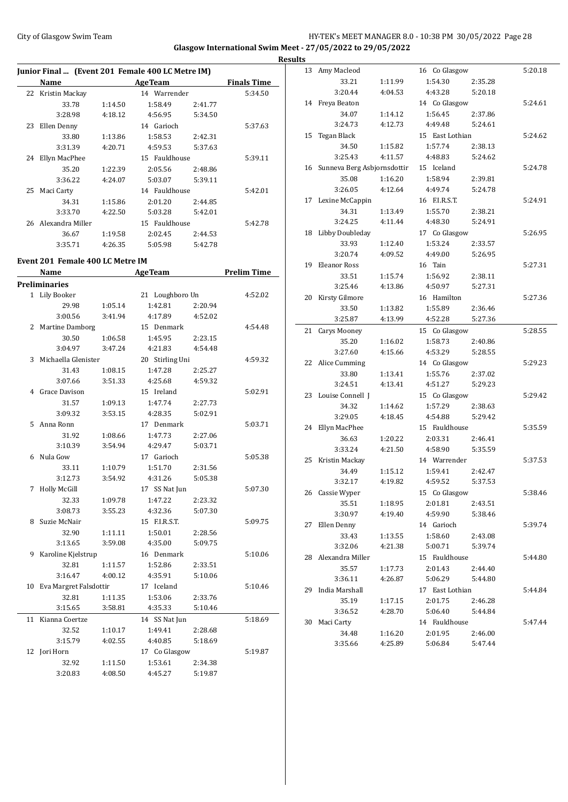# City of Glasgow Swim Team **HY-TEK's MEET MANAGER 8.0 - 10:38 PM 30/05/2022** Page 28 **Glasgow International Swim Meet - 27/05/2022 to 29/05/2022**

|                                                  |         |                 |         |                    | <b>Results</b> |                                |         |                 |         |         |
|--------------------------------------------------|---------|-----------------|---------|--------------------|----------------|--------------------------------|---------|-----------------|---------|---------|
| Junior Final  (Event 201 Female 400 LC Metre IM) |         |                 |         |                    |                | 13 Amy Macleod                 |         | 16 Co Glasgow   |         | 5:20.18 |
| Name                                             |         | <b>AgeTeam</b>  |         | <b>Finals Time</b> |                | 33.21                          | 1:11.99 | 1:54.30         | 2:35.28 |         |
| 22 Kristin Mackay                                |         | 14 Warrender    |         | 5:34.50            |                | 3:20.44                        | 4:04.53 | 4:43.28         | 5:20.18 |         |
| 33.78                                            | 1:14.50 | 1:58.49         | 2:41.77 |                    |                | 14 Freya Beaton                |         | 14 Co Glasgow   |         | 5:24.61 |
| 3:28.98                                          | 4:18.12 | 4:56.95         | 5:34.50 |                    |                | 34.07                          | 1:14.12 | 1:56.45         | 2:37.86 |         |
| 23 Ellen Denny                                   |         | 14 Garioch      |         | 5:37.63            |                | 3:24.73                        | 4:12.73 | 4:49.48         | 5:24.61 |         |
| 33.80                                            | 1:13.86 | 1:58.53         | 2:42.31 |                    |                | 15 Tegan Black                 |         | 15 East Lothian |         | 5:24.62 |
| 3:31.39                                          | 4:20.71 | 4:59.53         | 5:37.63 |                    |                | 34.50                          | 1:15.82 | 1:57.74         | 2:38.13 |         |
| 24 Ellyn MacPhee                                 |         | 15 Fauldhouse   |         | 5:39.11            |                | 3:25.43                        | 4:11.57 | 4:48.83         | 5:24.62 |         |
| 35.20                                            | 1:22.39 | 2:05.56         | 2:48.86 |                    |                | 16 Sunneva Berg Asbjornsdottir |         | 15 Iceland      |         | 5:24.78 |
| 3:36.22                                          | 4:24.07 | 5:03.07         | 5:39.11 |                    |                | 35.08                          | 1:16.20 | 1:58.94         | 2:39.81 |         |
| 25 Maci Carty                                    |         | 14 Fauldhouse   |         | 5:42.01            |                | 3:26.05                        | 4:12.64 | 4:49.74         | 5:24.78 |         |
| 34.31                                            | 1:15.86 | 2:01.20         | 2:44.85 |                    |                | 17 Lexine McCappin             |         | 16 F.I.R.S.T.   |         | 5:24.91 |
| 3:33.70                                          | 4:22.50 | 5:03.28         | 5:42.01 |                    |                | 34.31                          | 1:13.49 | 1:55.70         | 2:38.21 |         |
| 26 Alexandra Miller                              |         | 15 Fauldhouse   |         | 5:42.78            |                | 3:24.25                        | 4:11.44 | 4:48.30         | 5:24.91 |         |
| 36.67                                            | 1:19.58 | 2:02.45         | 2:44.53 |                    |                | 18 Libby Doubleday             |         | 17 Co Glasgow   |         | 5:26.95 |
| 3:35.71                                          | 4:26.35 | 5:05.98         | 5:42.78 |                    |                | 33.93                          | 1:12.40 | 1:53.24         | 2:33.57 |         |
|                                                  |         |                 |         |                    |                | 3:20.74                        | 4:09.52 | 4:49.00         | 5:26.95 |         |
| Event 201 Female 400 LC Metre IM                 |         |                 |         |                    |                | 19 Eleanor Ross                |         | 16 Tain         |         | 5:27.31 |
| Name                                             |         | AgeTeam         |         | <b>Prelim Time</b> |                | 33.51                          | 1:15.74 | 1:56.92         | 2:38.11 |         |
| <b>Preliminaries</b>                             |         |                 |         |                    |                | 3:25.46                        | 4:13.86 | 4:50.97         | 5:27.31 |         |
| 1 Lily Booker                                    |         | 21 Loughboro Un |         | 4:52.02            |                | 20 Kirsty Gilmore              |         | 16 Hamilton     |         | 5:27.36 |
| 29.98                                            | 1:05.14 | 1:42.81         | 2:20.94 |                    |                | 33.50                          | 1:13.82 | 1:55.89         | 2:36.46 |         |
| 3:00.56                                          | 3:41.94 | 4:17.89         | 4:52.02 |                    |                | 3:25.87                        | 4:13.99 | 4:52.28         | 5:27.36 |         |
| 2 Martine Damborg                                |         | 15 Denmark      |         | 4:54.48            |                | 21 Carys Mooney                |         | 15 Co Glasgow   |         | 5:28.55 |
| 30.50                                            | 1:06.58 | 1:45.95         | 2:23.15 |                    |                | 35.20                          | 1:16.02 | 1:58.73         | 2:40.86 |         |
| 3:04.97                                          | 3:47.24 | 4:21.83         | 4:54.48 |                    |                | 3:27.60                        | 4:15.66 | 4:53.29         | 5:28.55 |         |
| 3 Michaella Glenister                            |         | 20 Stirling Uni |         | 4:59.32            |                | 22 Alice Cumming               |         | 14 Co Glasgow   |         | 5:29.23 |
| 31.43                                            | 1:08.15 | 1:47.28         | 2:25.27 |                    |                | 33.80                          | 1:13.41 | 1:55.76         | 2:37.02 |         |
| 3:07.66                                          | 3:51.33 | 4:25.68         | 4:59.32 |                    |                | 3:24.51                        | 4:13.41 | 4:51.27         | 5:29.23 |         |
| 4 Grace Davison                                  |         | 15 Ireland      |         | 5:02.91            |                | 23 Louise Connell J            |         | 15 Co Glasgow   |         | 5:29.42 |
| 31.57                                            | 1:09.13 | 1:47.74         | 2:27.73 |                    |                | 34.32                          | 1:14.62 | 1:57.29         | 2:38.63 |         |
| 3:09.32                                          | 3:53.15 | 4:28.35         | 5:02.91 |                    |                | 3:29.05                        | 4:18.45 | 4:54.88         | 5:29.42 |         |
| 5 Anna Ronn                                      |         | 17 Denmark      |         | 5:03.71            |                | 24 Ellyn MacPhee               |         | 15 Fauldhouse   |         | 5:35.59 |
| 31.92                                            | 1:08.66 | 1:47.73         | 2:27.06 |                    |                | 36.63                          | 1:20.22 | 2:03.31         | 2:46.41 |         |
| 3:10.39                                          | 3:54.94 | 4:29.47         | 5:03.71 |                    |                | 3:33.24                        | 4:21.50 | 4:58.90         | 5:35.59 |         |
| 6 Nula Gow                                       |         | 17 Garioch      |         | 5:05.38            |                | 25 Kristin Mackay              |         | 14 Warrender    |         | 5:37.53 |
| 33.11                                            | 1:10.79 | 1:51.70         | 2:31.56 |                    |                | 34.49                          | 1:15.12 | 1:59.41         | 2:42.47 |         |
| 3:12.73                                          | 3:54.92 | 4:31.26         | 5:05.38 |                    |                | 3:32.17                        | 4:19.82 | 4:59.52         | 5:37.53 |         |
| 7 Holly McGill                                   |         | 17 SS Nat Jun   |         | 5:07.30            |                | 26 Cassie Wyper                |         | 15 Co Glasgow   |         | 5:38.46 |
| 32.33                                            | 1:09.78 | 1:47.22         | 2:23.32 |                    |                | 35.51                          | 1:18.95 | 2:01.81         | 2:43.51 |         |
| 3:08.73                                          | 3:55.23 | 4:32.36         | 5:07.30 |                    |                | 3:30.97                        | 4:19.40 | 4:59.90         | 5:38.46 |         |
| 8 Suzie McNair                                   |         | 15 F.I.R.S.T.   |         | 5:09.75            |                | 27 Ellen Denny                 |         | 14 Garioch      |         | 5:39.74 |
| 32.90                                            | 1:11.11 | 1:50.01         | 2:28.56 |                    |                | 33.43                          | 1:13.55 | 1:58.60         | 2:43.08 |         |
| 3:13.65                                          | 3:59.08 | 4:35.00         | 5:09.75 |                    |                | 3:32.06                        | 4:21.38 | 5:00.71         | 5:39.74 |         |
| 9 Karoline Kjelstrup                             |         | 16 Denmark      |         | 5:10.06            |                | 28 Alexandra Miller            |         | 15 Fauldhouse   |         | 5:44.80 |
| 32.81                                            | 1:11.57 | 1:52.86         | 2:33.51 |                    |                | 35.57                          | 1:17.73 | 2:01.43         | 2:44.40 |         |
| 3:16.47                                          | 4:00.12 | 4:35.91         | 5:10.06 |                    |                | 3:36.11                        | 4:26.87 | 5:06.29         | 5:44.80 |         |
| 10 Eva Margret Falsdottir                        |         | 17 Iceland      |         | 5:10.46            |                | 29 India Marshall              |         | 17 East Lothian |         | 5:44.84 |
| 32.81                                            | 1:11.35 | 1:53.06         | 2:33.76 |                    |                | 35.19                          | 1:17.15 | 2:01.75         | 2:46.28 |         |
| 3:15.65                                          | 3:58.81 | 4:35.33         | 5:10.46 |                    |                | 3:36.52                        | 4:28.70 | 5:06.40         | 5:44.84 |         |
| 11 Kianna Coertze                                |         | 14 SS Nat Jun   |         | 5:18.69            |                | 30 Maci Carty                  |         | 14 Fauldhouse   |         | 5:47.44 |
| 32.52                                            | 1:10.17 | 1:49.41         | 2:28.68 |                    |                | 34.48                          | 1:16.20 | 2:01.95         | 2:46.00 |         |
| 3:15.79                                          | 4:02.55 | 4:40.85         | 5:18.69 |                    |                | 3:35.66                        | 4:25.89 | 5:06.84         | 5:47.44 |         |
| 12 Jori Horn                                     |         | 17 Co Glasgow   |         | 5:19.87            |                |                                |         |                 |         |         |
| 32.92                                            | 1:11.50 | 1:53.61         | 2:34.38 |                    |                |                                |         |                 |         |         |
| 3:20.83                                          | 4:08.50 | 4:45.27         | 5:19.87 |                    |                |                                |         |                 |         |         |
|                                                  |         |                 |         |                    |                |                                |         |                 |         |         |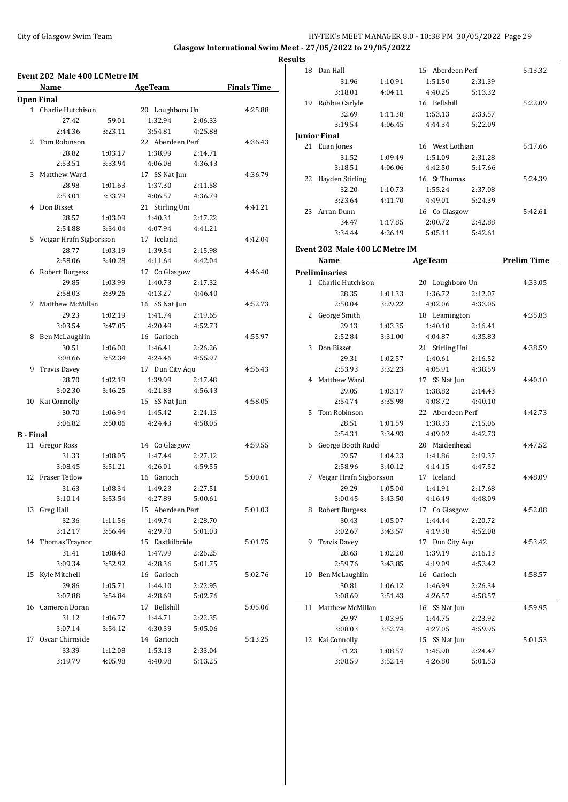## City of Glasgow Swim Team HY-TEK's MEET MANAGER 8.0 - 10:38 PM 30/05/2022 Page 29 **Glasgow International Swim Meet - 27/05/2022 to 29/05/2022**

**Results**

**Event 202 Male 400 LC Metre IM Name Age Team Finals Time Open Final** 1 Charlie Hutchison 20 Loughboro Un 4:25.88 27.42 59.01 1:32.94 2:06.33 2:44.36 3:23.11 3:54.81 4:25.88 2 Tom Robinson 22 Aberdeen Perf 4:36.43 28.82 1:03.17 1:38.99 2:14.71 2:53.51 3:33.94 4:06.08 4:36.43 3 Matthew Ward 17 SS Nat Jun 4:36.79 28.98 1:01.63 1:37.30 2:11.58 2:53.01 3:33.79 4:06.57 4:36.79 4 Don Bisset 21 Stirling Uni 4:41.21 28.57 1:03.09 1:40.31 2:17.22 2:54.88 3:34.04 4:07.94 4:41.21 5 Veigar Hrafn Sigþorsson 17 Iceland 4:42.04 28.77 1:03.19 1:39.54 2:15.98 2:58.06 3:40.28 4:11.64 4:42.04 6 Robert Burgess 17 Co Glasgow 4:46.40 29.85 1:03.99 1:40.73 2:17.32 2:58.03 3:39.26 4:13.27 4:46.40 7 Matthew McMillan 16 SS Nat Jun 4:52.73 29.23 1:02.19 1:41.74 2:19.65 3:03.54 3:47.05 4:20.49 4:52.73 8 Ben McLaughlin 16 Garioch 4:55.97 30.51 1:06.00 1:46.41 2:26.26 3:08.66 3:52.34 4:24.46 4:55.97 9 Travis Davey 17 Dun City Aqu 4:56.43 28.70 1:02.19 1:39.99 2:17.48 3:02.30 3:46.25 4:21.83 4:56.43 10 Kai Connolly 15 SS Nat Jun 4:58.05 30.70 1:06.94 1:45.42 2:24.13 3:06.82 3:50.06 4:24.43 4:58.05 **B - Final** 11 Gregor Ross 14 Co Glasgow 4:59.55 31.33 1:08.05 1:47.44 2:27.12 3:08.45 3:51.21 4:26.01 4:59.55 12 Fraser Tetlow 16 Garioch 5:00.61 31.63 1:08.34 1:49.23 2:27.51 3:10.14 3:53.54 4:27.89 5:00.61 13 Greg Hall 15 Aberdeen Perf 5:01.03 32.36 1:11.56 1:49.74 2:28.70 3:12.17 3:56.44 4:29.70 5:01.03 14 Thomas Traynor 15 Eastkilbride 5:01.75 31.41 1:08.40 1:47.99 2:26.25 3:09.34 3:52.92 4:28.36 5:01.75 15 Kyle Mitchell 16 Garioch 5:02.76 29.86 1:05.71 1:44.10 2:22.95 3:07.88 3:54.84 4:28.69 5:02.76 16 Cameron Doran 17 Bellshill 5:05.06 31.12 1:06.77 1:44.71 2:22.35 3:07.14 3:54.12 4:30.39 5:05.06 17 Oscar Chirnside 14 Garioch 5:13.25 33.39 1:12.08 1:53.13 2:33.04 3:19.79 4:05.98 4:40.98 5:13.25

|    | 31.96                          | 1:10.91 | 1:51.50          | 2:31.39 |                    |
|----|--------------------------------|---------|------------------|---------|--------------------|
|    | 3:18.01                        | 4:04.11 | 4:40.25          | 5:13.32 |                    |
|    | 19 Robbie Carlyle              |         | 16 Bellshill     |         | 5:22.09            |
|    | 32.69                          | 1:11.38 | 1:53.13          | 2:33.57 |                    |
|    | 3:19.54                        | 4:06.45 | 4:44.34          | 5:22.09 |                    |
|    | <b>Junior Final</b>            |         |                  |         |                    |
|    | 21 Euan Jones                  |         | 16 West Lothian  |         | 5:17.66            |
|    | 31.52                          | 1:09.49 | 1:51.09          | 2:31.28 |                    |
|    | 3:18.51                        | 4:06.06 | 4:42.50          | 5:17.66 |                    |
|    | 22 Hayden Stirling             |         | 16 St Thomas     |         | 5:24.39            |
|    | 32.20                          | 1:10.73 | 1:55.24          | 2:37.08 |                    |
|    | 3:23.64                        | 4:11.70 | 4:49.01          | 5:24.39 |                    |
|    | 23 Arran Dunn                  |         | 16 Co Glasgow    |         | 5:42.61            |
|    | 34.47                          | 1:17.85 | 2:00.72          | 2:42.88 |                    |
|    | 3:34.44                        | 4:26.19 | 5:05.11          | 5:42.61 |                    |
|    |                                |         |                  |         |                    |
|    | Event 202 Male 400 LC Metre IM |         |                  |         |                    |
|    | Name                           |         | <b>AgeTeam</b>   |         | <b>Prelim Time</b> |
|    | <b>Preliminaries</b>           |         |                  |         |                    |
|    | 1 Charlie Hutchison            |         | 20 Loughboro Un  |         | 4:33.05            |
|    | 28.35                          | 1:01.33 | 1:36.72          | 2:12.07 |                    |
|    | 2:50.04                        | 3:29.22 | 4:02.06          | 4:33.05 |                    |
| 2  | George Smith                   |         | 18 Leamington    |         | 4:35.83            |
|    | 29.13                          | 1:03.35 | 1:40.10          | 2:16.41 |                    |
|    | 2:52.84                        | 3:31.00 | 4:04.87          | 4:35.83 |                    |
| 3  | Don Bisset                     |         | 21 Stirling Uni  |         | 4:38.59            |
|    | 29.31                          | 1:02.57 | 1:40.61          | 2:16.52 |                    |
|    | 2:53.93                        | 3:32.23 | 4:05.91          | 4:38.59 |                    |
|    | 4 Matthew Ward                 |         | 17 SS Nat Jun    |         | 4:40.10            |
|    | 29.05                          | 1:03.17 | 1:38.82          | 2:14.43 |                    |
|    | 2:54.74                        | 3:35.98 | 4:08.72          | 4:40.10 |                    |
| 5. | Tom Robinson                   |         | 22 Aberdeen Perf |         | 4:42.73            |
|    | 28.51                          | 1:01.59 | 1:38.33          | 2:15.06 |                    |
|    | 2:54.31                        | 3:34.93 | 4:09.02          | 4:42.73 |                    |
| 6  | George Booth Rudd              |         | 20 Maidenhead    |         | 4:47.52            |
|    | 29.57                          | 1:04.23 | 1:41.86          | 2:19.37 |                    |
|    | 2:58.96                        | 3:40.12 | 4:14.15          | 4:47.52 |                    |
| 7  | Veigar Hrafn Sigborsson        |         | 17 Iceland       |         | 4:48.09            |
|    | 29.29                          | 1:05.00 | 1:41.91          | 2:17.68 |                    |
|    | 3:00.45                        | 3:43.50 | 4:16.49          | 4:48.09 |                    |
| 8  | <b>Robert Burgess</b>          |         | 17 Co Glasgow    |         | 4:52.08            |
|    | 30.43                          | 1:05.07 | 1:44.44          | 2:20.72 |                    |
|    | 3:02.67                        | 3:43.57 | 4:19.38          | 4:52.08 |                    |
| 9  | <b>Travis Davey</b>            |         | 17 Dun City Aqu  |         | 4:53.42            |
|    | 28.63                          | 1:02.20 | 1:39.19          | 2:16.13 |                    |
|    | 2:59.76                        | 3:43.85 | 4:19.09          | 4:53.42 |                    |
| 10 | Ben McLaughlin                 |         | 16 Garioch       |         | 4:58.57            |
|    | 30.81                          | 1:06.12 | 1:46.99          | 2:26.34 |                    |
|    | 3:08.69                        | 3:51.43 | 4:26.57          | 4:58.57 |                    |
| 11 | Matthew McMillan               |         | 16 SS Nat Jun    |         | 4:59.95            |
|    | 29.97                          | 1:03.95 | 1:44.75          | 2:23.92 |                    |
|    | 3:08.03                        | 3:52.74 | 4:27.05          | 4:59.95 |                    |
| 12 | Kai Connolly                   |         | 15 SS Nat Jun    |         | 5:01.53            |
|    | 31.23                          | 1:08.57 | 1:45.98          | 2:24.47 |                    |
|    | 3:08.59                        | 3:52.14 | 4:26.80          | 5:01.53 |                    |
|    |                                |         |                  |         |                    |

18 Dan Hall 15 Aberdeen Perf 5:13.32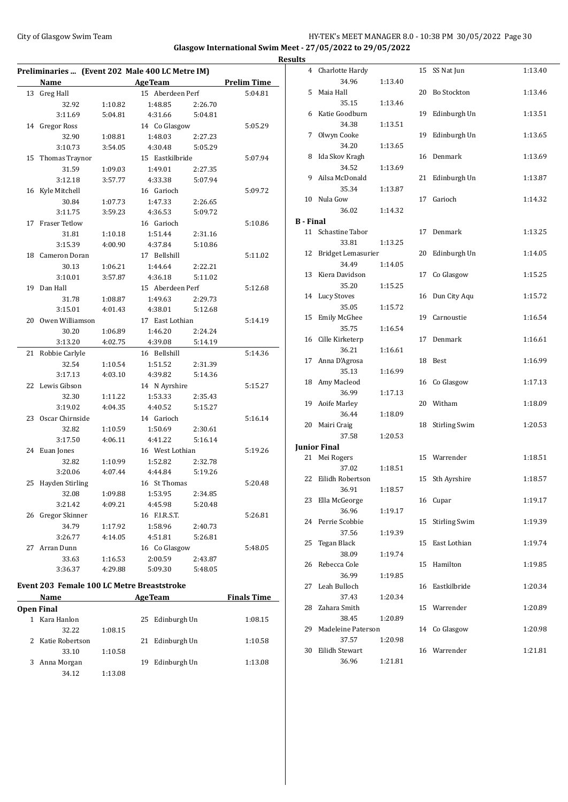## City of Glasgow Swim Team Team Team Fermic Management of the HY-TEK's MEET MANAGER 8.0 - 10:38 PM 30/05/2022 Page 30 **Glasgow International Swim Meet - 27/05/2022 to 29/05/2022 Results**

| Preliminaries  (Event 202 Male 400 LC Metre IM) |                  |         |                  |         |                    |  |  |
|-------------------------------------------------|------------------|---------|------------------|---------|--------------------|--|--|
|                                                 | <b>Name</b>      |         | <b>AgeTeam</b>   |         | <b>Prelim Time</b> |  |  |
| 13                                              | <b>Greg Hall</b> |         | 15 Aberdeen Perf |         | 5:04.81            |  |  |
|                                                 | 32.92            | 1:10.82 | 1:48.85          | 2:26.70 |                    |  |  |
|                                                 | 3:11.69          | 5:04.81 | 4:31.66          | 5:04.81 |                    |  |  |
|                                                 | 14 Gregor Ross   |         | 14 Co Glasgow    |         | 5:05.29            |  |  |
|                                                 | 32.90            | 1:08.81 | 1:48.03          | 2:27.23 |                    |  |  |
|                                                 | 3:10.73          | 3:54.05 | 4:30.48          | 5:05.29 |                    |  |  |
| 15                                              | Thomas Traynor   |         | 15 Eastkilbride  |         | 5:07.94            |  |  |
|                                                 | 31.59            | 1:09.03 | 1:49.01          | 2:27.35 |                    |  |  |
|                                                 | 3:12.18          | 3:57.77 | 4:33.38          | 5:07.94 |                    |  |  |
|                                                 | 16 Kyle Mitchell |         | 16 Garioch       |         | 5:09.72            |  |  |
|                                                 | 30.84            | 1:07.73 | 1:47.33          | 2:26.65 |                    |  |  |
|                                                 | 3:11.75          | 3:59.23 | 4:36.53          | 5:09.72 |                    |  |  |
| 17                                              | Fraser Tetlow    |         | 16 Garioch       |         | 5:10.86            |  |  |
|                                                 | 31.81            | 1:10.18 | 1:51.44          | 2:31.16 |                    |  |  |
|                                                 | 3:15.39          | 4:00.90 | 4:37.84          | 5:10.86 |                    |  |  |
| 18                                              | Cameron Doran    |         | 17 Bellshill     |         | 5:11.02            |  |  |
|                                                 | 30.13            | 1:06.21 | 1:44.64          | 2:22.21 |                    |  |  |
|                                                 | 3:10.01          | 3:57.87 | 4:36.18          | 5:11.02 |                    |  |  |
| 19                                              | Dan Hall         |         | 15 Aberdeen Perf |         | 5:12.68            |  |  |
|                                                 | 31.78            | 1:08.87 | 1:49.63          | 2:29.73 |                    |  |  |
|                                                 | 3:15.01          | 4:01.43 | 4:38.01          | 5:12.68 |                    |  |  |
| 20                                              | Owen Williamson  |         | 17 East Lothian  |         | 5:14.19            |  |  |
|                                                 | 30.20            | 1:06.89 | 1:46.20          | 2:24.24 |                    |  |  |
|                                                 | 3:13.20          | 4:02.75 | 4:39.08          | 5:14.19 |                    |  |  |
| 21                                              | Robbie Carlyle   |         | 16 Bellshill     |         | 5:14.36            |  |  |
|                                                 | 32.54            | 1:10.54 | 1:51.52          | 2:31.39 |                    |  |  |
|                                                 | 3:17.13          | 4:03.10 | 4:39.82          | 5:14.36 |                    |  |  |
| 22                                              | Lewis Gibson     |         | 14 N Ayrshire    |         | 5:15.27            |  |  |
|                                                 | 32.30            | 1:11.22 | 1:53.33          | 2:35.43 |                    |  |  |
|                                                 | 3:19.02          | 4:04.35 | 4:40.52          | 5:15.27 |                    |  |  |
| 23                                              | Oscar Chirnside  |         | 14 Garioch       |         | 5:16.14            |  |  |
|                                                 | 32.82            | 1:10.59 | 1:50.69          | 2:30.61 |                    |  |  |
|                                                 | 3:17.50          | 4:06.11 | 4:41.22          | 5:16.14 |                    |  |  |
|                                                 | 24 Euan Jones    |         | 16 West Lothian  |         | 5:19.26            |  |  |
|                                                 | 32.82            | 1:10.99 | 1:52.82          | 2:32.78 |                    |  |  |
|                                                 | 3:20.06          | 4:07.44 | 4:44.84          | 5:19.26 |                    |  |  |
| 25                                              | Hayden Stirling  |         | 16 St Thomas     |         | 5:20.48            |  |  |
|                                                 | 32.08            | 1:09.88 | 1:53.95          | 2:34.85 |                    |  |  |
|                                                 | 3:21.42          | 4:09.21 | 4:45.98          | 5:20.48 |                    |  |  |
| 26                                              | Gregor Skinner   |         | 16 F.I.R.S.T.    |         | 5:26.81            |  |  |
|                                                 | 34.79            | 1:17.92 | 1:58.96          | 2:40.73 |                    |  |  |
|                                                 | 3:26.77          | 4:14.05 | 4:51.81          | 5:26.81 |                    |  |  |
| 27                                              | Arran Dunn       |         | 16 Co Glasgow    |         | 5:48.05            |  |  |
|                                                 | 33.63            | 1:16.53 | 2:00.59          | 2:43.87 |                    |  |  |
|                                                 | 3:36.37          | 4:29.88 | 5:09.30          | 5:48.05 |                    |  |  |
|                                                 |                  |         |                  |         |                    |  |  |

# **Event 203 Female 100 LC Metre Breaststroke**

| <b>Name</b> |                   |         |    | <b>AgeTeam</b>  | <b>Finals Time</b> |  |
|-------------|-------------------|---------|----|-----------------|--------------------|--|
|             | <b>Open Final</b> |         |    |                 |                    |  |
|             | Kara Hanlon       |         |    | 25 Edinburgh Un | 1:08.15            |  |
|             | 32.22             | 1:08.15 |    |                 |                    |  |
|             | 2 Katie Robertson |         |    | 21 Edinburgh Un | 1:10.58            |  |
|             | 33.10             | 1:10.58 |    |                 |                    |  |
| 3           | Anna Morgan       |         | 19 | Edinburgh Un    | 1:13.08            |  |
|             | 34.12             | 1:13.08 |    |                 |                    |  |
|             |                   |         |    |                 |                    |  |

| ults             |                           |         |    |                      |         |
|------------------|---------------------------|---------|----|----------------------|---------|
|                  | 4 Charlotte Hardy         |         |    | 15 SS Nat Jun        | 1:13.40 |
|                  | 34.96                     | 1:13.40 |    |                      |         |
| 5                | Maia Hall                 |         |    | 20 Bo Stockton       | 1:13.46 |
|                  | 35.15                     | 1:13.46 |    |                      |         |
| 6                | Katie Goodburn            |         | 19 | Edinburgh Un         | 1:13.51 |
|                  | 34.38                     | 1:13.51 |    |                      |         |
| 7                | Olwyn Cooke               |         | 19 | Edinburgh Un         | 1:13.65 |
|                  | 34.20                     | 1:13.65 |    | Denmark              |         |
| 8                | Ida Skov Kragh            |         | 16 |                      | 1:13.69 |
| 9                | 34.52<br>Ailsa McDonald   | 1:13.69 | 21 | Edinburgh Un         |         |
|                  | 35.34                     | 1:13.87 |    |                      | 1:13.87 |
|                  | 10 Nula Gow               |         | 17 | Garioch              | 1:14.32 |
|                  | 36.02                     | 1:14.32 |    |                      |         |
| <b>B</b> - Final |                           |         |    |                      |         |
|                  | 11 Schastine Tabor        |         | 17 | Denmark              | 1:13.25 |
|                  | 33.81                     | 1:13.25 |    |                      |         |
| 12               | Bridget Lemasurier        |         | 20 | Edinburgh Un         | 1:14.05 |
|                  | 34.49                     | 1:14.05 |    |                      |         |
| 13               | Kiera Davidson            |         | 17 | Co Glasgow           | 1:15.25 |
|                  | 35.20                     | 1:15.25 |    |                      |         |
|                  | 14 Lucy Stoves            |         |    | 16 Dun City Aqu      | 1:15.72 |
|                  | 35.05                     | 1:15.72 |    |                      |         |
| 15               | <b>Emily McGhee</b>       |         |    | 19 Carnoustie        | 1:16.54 |
|                  | 35.75                     | 1:16.54 |    |                      |         |
|                  | 16 Cille Kirketerp        |         | 17 | Denmark              | 1:16.61 |
|                  | 36.21                     | 1:16.61 |    |                      |         |
|                  | 17 Anna D'Agrosa          |         | 18 | Best                 | 1:16.99 |
|                  | 35.13                     | 1:16.99 |    |                      |         |
|                  | 18 Amy Macleod            |         |    | 16 Co Glasgow        | 1:17.13 |
|                  | 36.99                     | 1:17.13 |    |                      |         |
| 19               | Aoife Marley              |         |    | 20 Witham            | 1:18.09 |
|                  | 36.44                     | 1:18.09 |    |                      |         |
| 20               | Mairi Craig               |         | 18 | <b>Stirling Swim</b> | 1:20.53 |
|                  | 37.58                     | 1:20.53 |    |                      |         |
|                  | <b>Junior Final</b>       |         |    |                      |         |
|                  | 21 Mei Rogers             |         |    | 15 Warrender         | 1:18.51 |
| 22               | 37.02<br>Eilidh Robertson | 1:18.51 |    |                      | 1:18.57 |
|                  | 36.91                     | 1:18.57 | 15 | Sth Ayrshire         |         |
| 23               | Ella McGeorge             |         |    | 16 Cupar             | 1:19.17 |
|                  | 36.96                     | 1:19.17 |    |                      |         |
| 24               | Perrie Scobbie            |         | 15 | <b>Stirling Swim</b> | 1:19.39 |
|                  | 37.56                     | 1:19.39 |    |                      |         |
| 25               | Tegan Black               |         | 15 | East Lothian         | 1:19.74 |
|                  | 38.09                     | 1:19.74 |    |                      |         |
| 26               | Rebecca Cole              |         | 15 | Hamilton             | 1:19.85 |
|                  | 36.99                     | 1:19.85 |    |                      |         |
| 27               | Leah Bulloch              |         | 16 | Eastkilbride         | 1:20.34 |
|                  | 37.43                     | 1:20.34 |    |                      |         |
| 28               | Zahara Smith              |         | 15 | Warrender            | 1:20.89 |
|                  | 38.45                     | 1:20.89 |    |                      |         |
| 29               | Madeleine Paterson        |         |    | 14 Co Glasgow        | 1:20.98 |
|                  | 37.57                     | 1:20.98 |    |                      |         |
| 30               | Eilidh Stewart            |         |    | 16 Warrender         | 1:21.81 |
|                  | 36.96                     | 1:21.81 |    |                      |         |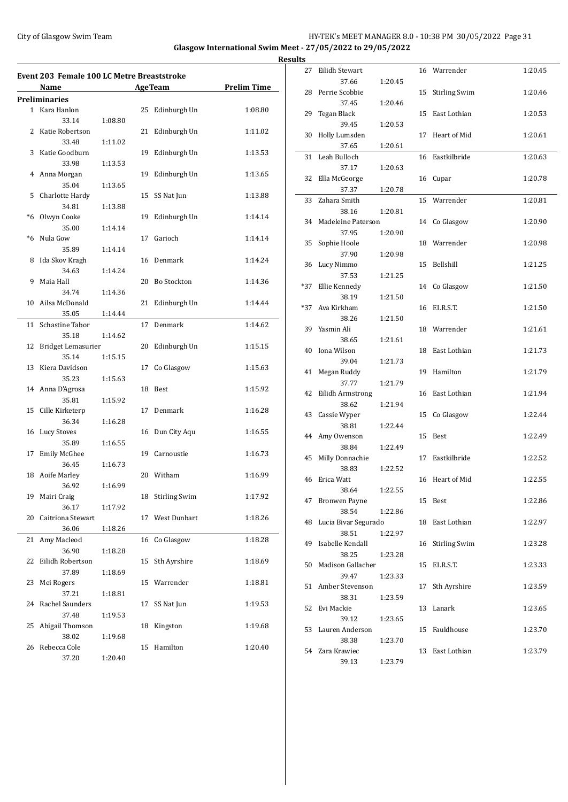### City of Glasgow Swim Team HY-TEK's MEET MANAGER 8.0 - 10:38 PM 30/05/2022 Page 31 **Glasgow International Swim Meet - 27/05/2022 to 29/05/2022 Result**

 $\overline{\phantom{0}}$ 

**Event 203 Female 100 LC Metre Breaststroke Name Age Team Prelim Time Preliminaries** 1 Kara Hanlon 25 Edinburgh Un 1:08.80 33.14 1:08.80 2 Katie Robertson 21 Edinburgh Un 1:11.02 33.48 1:11.02 3 Katie Goodburn 19 Edinburgh Un 1:13.53 33.98 1:13.53 4 Anna Morgan 19 Edinburgh Un 1:13.65 35.04 1:13.65 5 Charlotte Hardy 15 SS Nat Jun 1:13.88 34.81 1:13.88 \*6 Olwyn Cooke 19 Edinburgh Un 1:14.14 35.00 1:14.14 \*6 Nula Gow 17 Garioch 1:14.14 35.89 1:14.14 8 Ida Skov Kragh 16 Denmark 1:14.24 34.63 1:14.24 9 Maia Hall 20 Bo Stockton 1:14.36 34.74 1:14.36 10 Ailsa McDonald 21 Edinburgh Un 1:14.44 35.05 1:14.44 11 Schastine Tabor 17 Denmark 1:14.62 35.18 1:14.62 12 Bridget Lemasurier 20 Edinburgh Un 1:15.15 35.14 1:15.15 13 Kiera Davidson 17 Co Glasgow 1:15.63 35.23 1:15.63 14 Anna D'Agrosa 18 Best 1:15.92 35.81 1:15.92 15 Cille Kirketerp 17 Denmark 1:16.28 36.34 1:16.28 16 Lucy Stoves 16 Dun City Aqu 1:16.55 35.89 1:16.55 17 Emily McGhee 19 Carnoustie 1:16.73 36.45 1:16.73 18 Aoife Marley 20 Witham 1:16.99 36.92 1:16.99 19 Mairi Craig 18 Stirling Swim 1:17.92 36.17 1:17.92 20 Caitriona Stewart 17 West Dunbart 1:18.26 36.06 1:18.26 21 Amy Macleod 16 Co Glasgow 1:18.28 36.90 1:18.28 22 Eilidh Robertson 15 Sth Ayrshire 1:18.69 37.89 1:18.69 23 Mei Rogers 15 Warrender 1:18.81 37.21 1:18.81 24 Rachel Saunders 17 SS Nat Jun 1:19.53 37.48 1:19.53 25 Abigail Thomson 18 Kingston 1:19.68 38.02 1:19.68 26 Rebecca Cole 15 Hamilton 1:20.40 37.20 1:20.40

| ts  |                          |         |    |                      |         |
|-----|--------------------------|---------|----|----------------------|---------|
| 27  | Eilidh Stewart           |         | 16 | Warrender            | 1:20.45 |
| 28  | 37.66<br>Perrie Scobbie  | 1:20.45 | 15 | <b>Stirling Swim</b> | 1:20.46 |
|     | 37.45                    | 1:20.46 |    |                      |         |
| 29  | Tegan Black              |         | 15 | East Lothian         | 1:20.53 |
|     | 39.45                    | 1:20.53 |    |                      |         |
| 30  | Holly Lumsden            |         | 17 | Heart of Mid         | 1:20.61 |
|     | 37.65                    | 1:20.61 |    |                      |         |
| 31  | Leah Bulloch             |         | 16 | Eastkilbride         | 1:20.63 |
|     | 37.17                    | 1:20.63 |    |                      |         |
| 32  | Ella McGeorge            |         | 16 | Cupar                | 1:20.78 |
|     | 37.37<br>Zahara Smith    | 1:20.78 |    |                      |         |
| 33  | 38.16                    | 1:20.81 | 15 | Warrender            | 1:20.81 |
| 34  | Madeleine Paterson       |         | 14 | Co Glasgow           | 1:20.90 |
|     | 37.95                    | 1:20.90 |    |                      |         |
| 35  | Sophie Hoole             |         | 18 | Warrender            | 1:20.98 |
|     | 37.90                    | 1:20.98 |    |                      |         |
| 36  | Lucy Nimmo               |         | 15 | Bellshill            | 1:21.25 |
|     | 37.53                    | 1:21.25 |    |                      |         |
| *37 | Ellie Kennedy            |         | 14 | Co Glasgow           | 1:21.50 |
|     | 38.19                    | 1:21.50 |    |                      |         |
| *37 | Ava Kirkham              |         | 16 | F.I.R.S.T.           | 1:21.50 |
|     | 38.26                    | 1:21.50 |    |                      |         |
| 39  | Yasmin Ali               |         | 18 | Warrender            | 1:21.61 |
|     | 38.65                    | 1:21.61 |    |                      |         |
| 40  | Iona Wilson              |         | 18 | East Lothian         | 1:21.73 |
|     | 39.04                    | 1:21.73 |    |                      |         |
| 41  | Megan Ruddy              |         | 19 | Hamilton             | 1:21.79 |
|     | 37.77                    | 1:21.79 |    |                      |         |
| 42  | Eilidh Armstrong         |         | 16 | East Lothian         | 1:21.94 |
|     | 38.62                    | 1:21.94 |    |                      |         |
| 43  | Cassie Wyper             |         | 15 | Co Glasgow           | 1:22.44 |
| 44  | 38.81<br>Amy Owenson     | 1:22.44 | 15 | Best                 | 1:22.49 |
|     | 38.84                    | 1:22.49 |    |                      |         |
| 45  | Milly Donnachie          |         | 17 | Eastkilbride         | 1:22.52 |
|     | 38.83                    | 1:22.52 |    |                      |         |
| 46  | Erica Watt               |         | 16 | Heart of Mid         | 1:22.55 |
|     | 38.64                    | 1:22.55 |    |                      |         |
| 47  | <b>Bronwen Payne</b>     |         |    | 15 Best              | 1:22.86 |
|     | 38.54                    | 1:22.86 |    |                      |         |
| 48  | Lucia Bivar Segurado     |         | 18 | East Lothian         | 1:22.97 |
|     | 38.51                    | 1:22.97 |    |                      |         |
| 49  | Isabelle Kendall         |         | 16 | <b>Stirling Swim</b> | 1:23.28 |
|     | 38.25                    | 1:23.28 |    |                      |         |
| 50  | Madison Gallacher        |         | 15 | F.I.R.S.T.           | 1:23.33 |
|     | 39.47                    | 1:23.33 |    |                      |         |
| 51  | Amber Stevenson          |         | 17 | Sth Ayrshire         | 1:23.59 |
|     | 38.31                    | 1:23.59 |    |                      |         |
| 52  | Evi Mackie               |         | 13 | Lanark               | 1:23.65 |
| 53  | 39.12<br>Lauren Anderson | 1:23.65 | 15 | Fauldhouse           | 1:23.70 |
|     | 38.38                    | 1:23.70 |    |                      |         |
|     | 54 Zara Krawiec          |         | 13 | East Lothian         | 1:23.79 |
|     | 39.13                    | 1:23.79 |    |                      |         |
|     |                          |         |    |                      |         |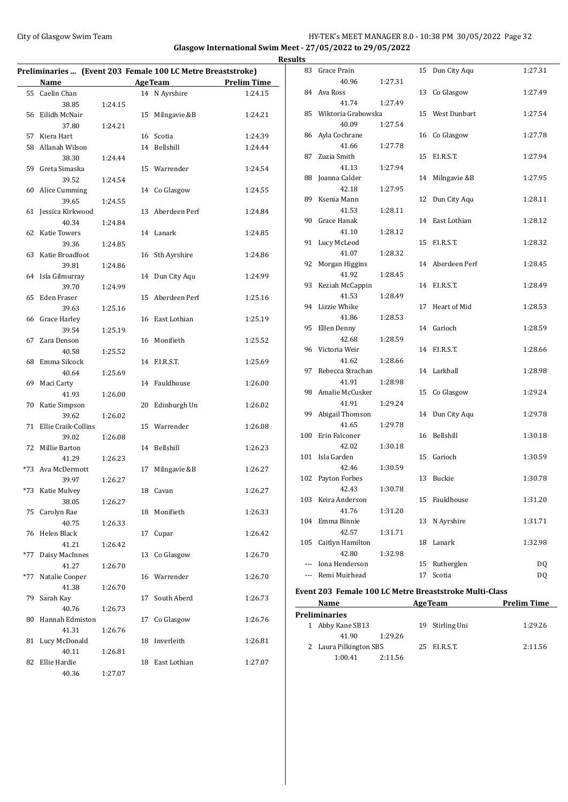# City of Glasgow Swim Team **HY-TEK's MEET MANAGER 8.0 - 10:38 PM 30/05/2022** Page 32 **Glasgow International Swim Meet - 27/05/2022 to 29/05/2022**

|     | Preliminaries  (Event 203 Female 100 LC Metre Breaststroke) |         |    |                  |                                       |
|-----|-------------------------------------------------------------|---------|----|------------------|---------------------------------------|
|     | Name                                                        |         |    |                  | <b>Example 2 Age Team</b> Prelim Time |
|     | 55 Caelin Chan                                              |         |    | 14 N Ayrshire    | 1:24.15                               |
|     | 38.85                                                       | 1:24.15 |    |                  |                                       |
|     | 56 Eilidh McNair                                            |         |    | 15 Milngavie &B  | 1:24.21                               |
|     | 37.80                                                       | 1:24.21 |    |                  |                                       |
|     | 57 Kiera Hart                                               |         |    | 16 Scotia        | 1:24.39                               |
|     | 58 Allanah Wilson                                           |         |    | 14 Bellshill     | 1:24.44                               |
|     | 38.30                                                       | 1:24.44 |    |                  |                                       |
|     | 59 Greta Simaska                                            |         |    | 15 Warrender     | 1:24.54                               |
|     | 39.52                                                       | 1:24.54 |    |                  |                                       |
|     | 60 Alice Cumming                                            |         |    | 14 Co Glasgow    | 1:24.55                               |
|     | 39.65                                                       | 1:24.55 |    |                  |                                       |
|     | 61 Jessica Kirkwood                                         |         |    | 13 Aberdeen Perf | 1:24.84                               |
|     | 40.34                                                       | 1:24.84 |    |                  |                                       |
|     | 62 Katie Towers                                             |         |    | 14 Lanark        | 1:24.85                               |
|     | 39.36                                                       | 1:24.85 |    |                  |                                       |
|     | 63 Katie Broadfoot                                          |         |    | 16 Sth Ayrshire  | 1:24.86                               |
|     | 39.81                                                       | 1:24.86 |    |                  |                                       |
|     | 64 Isla Gilmurray                                           |         |    | 14 Dun City Aqu  | 1:24.99                               |
|     | 39.70                                                       | 1:24.99 |    |                  |                                       |
|     | 65 Eden Fraser                                              |         |    | 15 Aberdeen Perf | 1:25.16                               |
|     | 39.63                                                       | 1:25.16 |    |                  |                                       |
|     | 66 Grace Harley                                             |         |    | 16 East Lothian  | 1:25.19                               |
|     | 39.54                                                       | 1:25.19 |    |                  |                                       |
|     | 67 Zara Denson                                              |         |    | 16 Monifieth     | 1:25.52                               |
|     | 40.58                                                       | 1:25.52 |    |                  |                                       |
|     | 68 Emma Silcock                                             |         |    | 14 F.I.R.S.T.    | 1:25.69                               |
|     | 40.64                                                       | 1:25.69 |    |                  |                                       |
|     | 69 Maci Carty                                               |         |    | 14 Fauldhouse    | 1:26.00                               |
|     | 41.93                                                       | 1:26.00 |    |                  |                                       |
|     | 70 Katie Simpson                                            |         |    | 20 Edinburgh Un  | 1:26.02                               |
|     | 39.62                                                       | 1:26.02 |    |                  |                                       |
|     | 71 Ellie Craik-Collins                                      |         |    | 15 Warrender     | 1:26.08                               |
|     | 39.02                                                       | 1:26.08 |    |                  |                                       |
|     | 72 Millie Barton                                            |         |    | 14 Bellshill     | 1:26.23                               |
|     | 41.29                                                       | 1:26.23 |    |                  |                                       |
|     | *73 Ava McDermott                                           |         |    | 17 Milngavie &B  | 1:26.27                               |
|     | 39.97                                                       | 1:26.27 |    |                  |                                       |
|     | *73 Katie Mulvey                                            |         |    | 18 Cavan         | 1:26.27                               |
|     | 38.05                                                       | 1:26.27 |    |                  |                                       |
|     | 75 Carolyn Rae                                              |         |    | 18 Monifieth     | 1:26.33                               |
|     | 40.75                                                       | 1:26.33 |    |                  |                                       |
| 76  | Helen Black                                                 |         | 17 | Cupar            | 1:26.42                               |
|     | 41.21                                                       |         |    |                  |                                       |
|     |                                                             | 1:26.42 |    |                  |                                       |
| *77 | Daisy MacInnes                                              |         |    | 13 Co Glasgow    | 1:26.70                               |
|     | 41.27                                                       | 1:26.70 |    |                  |                                       |
| *77 | Natalie Cooper                                              |         |    | 16 Warrender     | 1:26.70                               |
|     | 41.38                                                       | 1:26.70 |    |                  |                                       |
|     | 79 Sarah Kay                                                |         |    | 17 South Aberd   | 1:26.73                               |
|     | 40.76                                                       | 1:26.73 |    |                  |                                       |
| 80  | Hannah Edmiston                                             |         | 17 | Co Glasgow       | 1:26.76                               |
|     | 41.31                                                       | 1:26.76 |    |                  |                                       |
|     | 81 Lucy McDonald                                            |         |    | 18 Inverleith    | 1:26.81                               |
|     | 40.11                                                       | 1:26.81 |    |                  |                                       |
| 82  | Ellie Hardie                                                |         |    | 18 East Lothian  | 1:27.07                               |
|     | 40.36                                                       | 1:27.07 |    |                  |                                       |

|   | <b>Results</b> |                          |         |    |                  |         |
|---|----------------|--------------------------|---------|----|------------------|---------|
|   |                | 83 Grace Prain           |         |    | 15 Dun City Aqu  | 1:27.31 |
| - |                | 40.96                    | 1:27.31 |    |                  |         |
|   |                | 84 Ava Ross              |         |    | 13 Co Glasgow    | 1:27.49 |
|   |                | 41.74                    | 1:27.49 |    |                  |         |
|   |                | 85 Wiktoria Grabowska    |         |    | 15 West Dunbart  | 1:27.54 |
|   |                | 40.09                    | 1:27.54 |    |                  |         |
|   |                | 86 Ayla Cochrane         |         |    | 16 Co Glasgow    | 1:27.78 |
|   |                | 41.66                    | 1:27.78 |    |                  |         |
|   |                | 87 Zuzia Smith           |         |    | 15 F.I.R.S.T.    | 1:27.94 |
|   |                | 41.13                    | 1:27.94 |    |                  |         |
|   | 88             | Joanna Calder            |         |    | 14 Milngavie &B  | 1:27.95 |
|   |                | 42.18                    | 1:27.95 |    |                  |         |
|   |                | 89 Ksenia Mann           |         |    | 12 Dun City Aqu  | 1:28.11 |
|   |                | 41.53                    | 1:28.11 |    |                  |         |
|   |                | 90 Grace Hanak           |         |    | 14 East Lothian  | 1:28.12 |
|   |                | 41.10                    | 1:28.12 |    |                  |         |
|   |                | 91 Lucy McLeod           |         |    | 15 F.I.R.S.T.    | 1:28.32 |
|   |                | 41.07                    | 1:28.32 |    |                  |         |
|   | 92             | Morgan Higgins           |         |    | 14 Aberdeen Perf | 1:28.45 |
|   |                | 41.92                    | 1:28.45 |    | 14 F.I.R.S.T.    |         |
|   | 93             | Keziah McCappin          |         |    |                  | 1:28.49 |
|   |                | 41.53<br>94 Lizzie Whike | 1:28.49 |    | 17 Heart of Mid  | 1:28.53 |
|   |                | 41.86                    | 1:28.53 |    |                  |         |
|   | 95             | Ellen Denny              |         |    | 14 Garioch       | 1:28.59 |
|   |                | 42.68                    | 1:28.59 |    |                  |         |
|   |                | 96 Victoria Weir         |         |    | 14 F.I.R.S.T.    | 1:28.66 |
|   |                | 41.62                    | 1:28.66 |    |                  |         |
|   |                | 97 Rebecca Strachan      |         |    | 14 Larkhall      | 1:28.98 |
|   |                | 41.91                    | 1:28.98 |    |                  |         |
|   |                | 98 Amalie McCusker       |         |    | 15 Co Glasgow    | 1:29.24 |
|   |                | 41.91                    | 1:29.24 |    |                  |         |
|   | 99             | Abigail Thomson          |         |    | 14 Dun City Aqu  | 1:29.78 |
|   |                | 41.65                    | 1:29.78 |    |                  |         |
|   | 100            | Erin Falconer            |         |    | 16 Bellshill     | 1:30.18 |
|   |                | 42.02                    | 1:30.18 |    |                  |         |
|   |                | 101 Isla Garden          |         |    | 15 Garioch       | 1:30.59 |
|   |                | 42.46                    | 1:30.59 |    |                  |         |
|   |                | 102 Payton Forbes        |         |    | 13 Buckie        | 1:30.78 |
|   |                | 42.43                    | 1:30.78 |    |                  |         |
|   | 103            | Keira Anderson           |         |    | 15 Fauldhouse    | 1:31.20 |
|   |                | 41.76                    | 1:31.20 |    |                  |         |
|   | 104            | Emma Binnie              |         | 13 | N Avrshire       | 1:31.71 |
|   |                | 42.57                    | 1:31.71 |    |                  |         |
|   | 105            | Caitlyn Hamilton         |         | 18 | Lanark           | 1:32.98 |
|   |                | 42.80                    | 1:32.98 |    |                  |         |
|   |                | --- Iona Henderson       |         | 15 | Rutherglen       | DQ      |
|   |                | Remi Muirhead            |         | 17 | Scotia           | DQ      |
|   |                |                          |         |    |                  |         |

# **Event 203 Female 100 LC Metre Breaststroke Multi-Class**

| Name |                        |         | <b>AgeTeam</b>  | <b>Prelim Time</b> |  |
|------|------------------------|---------|-----------------|--------------------|--|
|      | <b>Preliminaries</b>   |         |                 |                    |  |
|      | 1 Abby Kane SB13       |         | 19 Stirling Uni | 1:29.26            |  |
|      | 41.90                  | 1:29.26 |                 |                    |  |
|      | 2 Laura Pilkington SB5 |         | 25 F.I.R.S.T.   | 2:11.56            |  |
|      | 1:00.41                | 2:11.56 |                 |                    |  |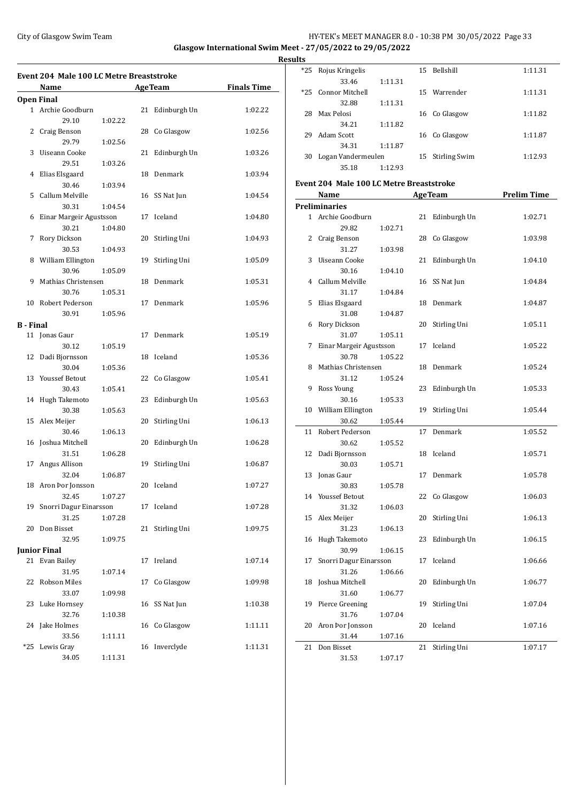# City of Glasgow Swim Team **HY-TEK's MEET MANAGER 8.0 - 10:38 PM 30/05/2022** Page 33 **Glasgow International Swim Meet - 27/05/2022 to 29/05/2022**

**Results**

|                   | Event 204 Male 100 LC Metre Breaststroke<br>Name |         |    | <b>AgeTeam</b> | <b>Finals Time</b> |
|-------------------|--------------------------------------------------|---------|----|----------------|--------------------|
| <b>Open Final</b> |                                                  |         |    |                |                    |
|                   | 1 Archie Goodburn                                |         | 21 | Edinburgh Un   | 1:02.22            |
|                   | 29.10                                            | 1:02.22 |    |                |                    |
|                   | 2 Craig Benson                                   |         |    | 28 Co Glasgow  | 1:02.56            |
|                   | 29.79                                            | 1:02.56 |    |                |                    |
| 3                 | Uiseann Cooke                                    |         | 21 | Edinburgh Un   | 1:03.26            |
|                   | 29.51                                            | 1:03.26 |    |                |                    |
| 4                 | Elias Elsgaard                                   |         | 18 | Denmark        | 1:03.94            |
|                   | 30.46                                            | 1:03.94 |    |                |                    |
| 5                 | Callum Melville                                  |         |    | 16 SS Nat Jun  | 1:04.54            |
|                   | 30.31                                            | 1:04.54 |    |                |                    |
| 6                 | Einar Margeir Agustsson                          |         | 17 | Iceland        | 1:04.80            |
|                   | 30.21                                            | 1:04.80 |    |                |                    |
| 7                 | Rory Dickson                                     |         | 20 | Stirling Uni   | 1:04.93            |
|                   | 30.53                                            | 1:04.93 |    |                |                    |
| 8                 | William Ellington                                |         | 19 | Stirling Uni   | 1:05.09            |
|                   | 30.96                                            | 1:05.09 |    |                |                    |
| 9                 | Mathias Christensen                              |         | 18 | Denmark        | 1:05.31            |
|                   | 30.76                                            | 1:05.31 |    |                |                    |
|                   | 10 Robert Pederson                               |         | 17 | Denmark        | 1:05.96            |
|                   | 30.91                                            | 1:05.96 |    |                |                    |
| B - Final         |                                                  |         |    |                |                    |
|                   | 11 Jonas Gaur                                    |         | 17 | Denmark        | 1:05.19            |
|                   | 30.12                                            | 1:05.19 |    |                |                    |
| 12                | Dadi Bjornsson                                   |         | 18 | Iceland        | 1:05.36            |
|                   | 30.04                                            | 1:05.36 |    |                |                    |
|                   | 13 Youssef Betout                                |         |    | 22 Co Glasgow  | 1:05.41            |
|                   | 30.43                                            | 1:05.41 |    |                |                    |
| 14                | Hugh Takemoto                                    |         | 23 | Edinburgh Un   | 1:05.63            |
|                   | 30.38                                            | 1:05.63 |    |                |                    |
| 15                | Alex Meijer                                      |         | 20 | Stirling Uni   | 1:06.13            |
|                   | 30.46                                            | 1:06.13 |    |                |                    |
| 16                | Joshua Mitchell                                  |         | 20 | Edinburgh Un   | 1:06.28            |
|                   | 31.51                                            | 1:06.28 |    |                |                    |
| 17                | Angus Allison                                    |         | 19 | Stirling Uni   | 1:06.87            |
|                   | 32.04                                            | 1:06.87 |    |                |                    |
|                   | 18 Aron Þor Jonsson                              |         |    | 20 Iceland     | 1:07.27            |
|                   | 32.45                                            | 1:07.27 |    |                |                    |
| 19                | Snorri Dagur Einarsson                           |         | 17 | Iceland        | 1:07.28            |
|                   | 31.25                                            | 1:07.28 |    |                |                    |
| 20                | Don Bisset                                       |         | 21 | Stirling Uni   | 1:09.75            |
|                   | 32.95                                            | 1:09.75 |    |                |                    |
|                   | <b>Junior Final</b>                              |         |    |                |                    |
|                   | 21 Evan Bailey                                   |         | 17 | Ireland        | 1:07.14            |
|                   | 31.95                                            | 1:07.14 |    |                |                    |
| 22                | Robson Miles                                     |         | 17 | Co Glasgow     | 1:09.98            |
|                   | 33.07                                            | 1:09.98 |    |                |                    |
| 23                | Luke Hornsey                                     |         | 16 | SS Nat Jun     | 1:10.38            |
|                   | 32.76                                            | 1:10.38 |    |                |                    |
| 24                | Jake Holmes                                      |         | 16 | Co Glasgow     | 1:11.11            |
|                   | 33.56                                            | 1:11.11 |    |                |                    |
| *25               | Lewis Gray                                       |         | 16 | Inverclyde     | 1:11.31            |
|                   | 34.05                                            | 1:11.31 |    |                |                    |

| เร    |                    |         |    |                  |         |
|-------|--------------------|---------|----|------------------|---------|
| $*25$ | Rojus Kringelis    |         | 15 | <b>Bellshill</b> | 1:11.31 |
|       | 33.46              | 1:11.31 |    |                  |         |
| $*25$ | Connor Mitchell    |         |    | 15 Warrender     | 1:11.31 |
|       | 32.88              | 1:11.31 |    |                  |         |
| 28    | Max Pelosi         |         |    | 16 Co Glasgow    | 1:11.82 |
|       | 34.21              | 1:11.82 |    |                  |         |
| 29    | Adam Scott         |         |    | 16 Co Glasgow    | 1:11.87 |
|       | 34.31              | 1:11.87 |    |                  |         |
| 30    | Logan Vandermeulen |         | 15 | Stirling Swim    | 1:12.93 |
|       | 35.18              | 1:12.93 |    |                  |         |

# **Event 204 Male 100 LC Metre Breaststroke**

|                | <u>Name</u>             |         |    | <b>AgeTeam</b> | <b>Prelim Time</b> |
|----------------|-------------------------|---------|----|----------------|--------------------|
|                | <b>Preliminaries</b>    |         |    |                |                    |
| $\mathbf{1}$   | Archie Goodburn         |         | 21 | Edinburgh Un   | 1:02.71            |
|                | 29.82                   | 1:02.71 |    |                |                    |
| 2              | Craig Benson            |         | 28 | Co Glasgow     | 1:03.98            |
|                | 31.27                   | 1:03.98 |    |                |                    |
| 3              | Uiseann Cooke           |         | 21 | Edinburgh Un   | 1:04.10            |
|                | 30.16                   | 1:04.10 |    |                |                    |
| $\overline{4}$ | Callum Melville         |         | 16 | SS Nat Jun     | 1:04.84            |
|                | 31.17                   | 1:04.84 |    |                |                    |
| 5              | Elias Elsgaard          |         | 18 | Denmark        | 1:04.87            |
|                | 31.08                   | 1:04.87 |    |                |                    |
| 6              | Rory Dickson            |         | 20 | Stirling Uni   | 1:05.11            |
|                | 31.07                   | 1:05.11 |    |                |                    |
| 7              | Einar Margeir Agustsson |         | 17 | Iceland        | 1:05.22            |
|                | 30.78                   | 1:05.22 |    |                |                    |
| 8              | Mathias Christensen     |         | 18 | Denmark        | 1:05.24            |
|                | 31.12                   | 1:05.24 |    |                |                    |
| 9              | Ross Young              |         | 23 | Edinburgh Un   | 1:05.33            |
|                | 30.16                   | 1:05.33 |    |                |                    |
| 10             | William Ellington       |         | 19 | Stirling Uni   | 1:05.44            |
|                | 30.62                   | 1:05.44 |    |                |                    |
| 11             | Robert Pederson         |         | 17 | Denmark        | 1:05.52            |
|                | 30.62                   | 1:05.52 |    |                |                    |
| 12             | Dadi Bjornsson          |         | 18 | Iceland        | 1:05.71            |
|                | 30.03                   | 1:05.71 |    |                |                    |
| 13             | Jonas Gaur              |         | 17 | Denmark        | 1:05.78            |
|                | 30.83                   | 1:05.78 |    |                |                    |
| 14             | <b>Youssef Betout</b>   |         | 22 | Co Glasgow     | 1:06.03            |
|                | 31.32                   | 1:06.03 |    |                |                    |
| 15             | Alex Meijer             |         | 20 | Stirling Uni   | 1:06.13            |
|                | 31.23                   | 1:06.13 |    |                |                    |
| 16             | Hugh Takemoto           |         | 23 | Edinburgh Un   | 1:06.15            |
|                | 30.99                   | 1:06.15 |    |                |                    |
| 17             | Snorri Dagur Einarsson  |         | 17 | Iceland        | 1:06.66            |
|                | 31.26                   | 1:06.66 |    |                |                    |
| 18             | Joshua Mitchell         |         | 20 | Edinburgh Un   | 1:06.77            |
|                | 31.60                   | 1:06.77 |    |                |                    |
| 19             | Pierce Greening         |         | 19 | Stirling Uni   | 1:07.04            |
|                | 31.76                   | 1:07.04 |    |                |                    |
| 20             | Aron Þor Jonsson        |         | 20 | Iceland        | 1:07.16            |
|                | 31.44                   | 1:07.16 |    |                |                    |
| 21             | Don Bisset              |         | 21 | Stirling Uni   | 1:07.17            |
|                | 31.53                   | 1:07.17 |    |                |                    |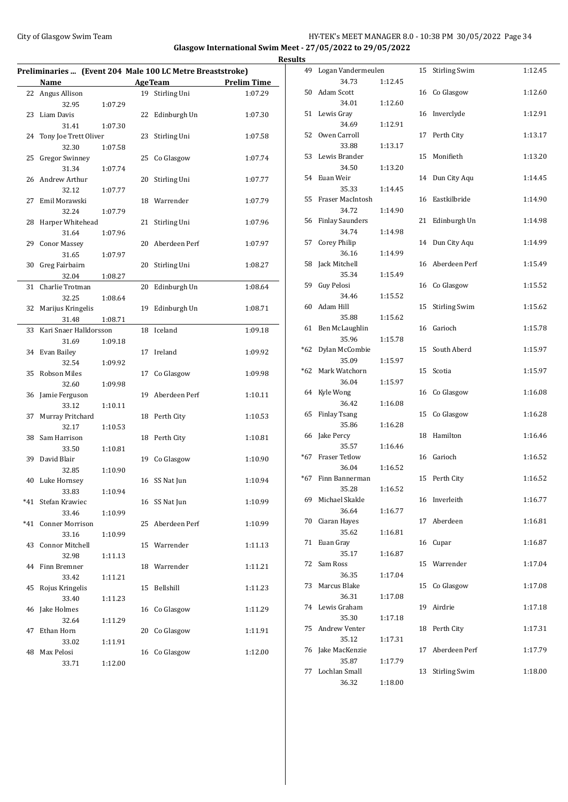# City of Glasgow Swim Team HY-TEK's MEET MANAGER 8.0 - 10:38 PM 30/05/2022 Page 34 **Glasgow International Swim Meet - 27/05/2022 to 29/05/2022 Results**

| Preliminaries  (Event 204 Male 100 LC Metre Breaststroke) |                           |         |    |                 |                    |  |  |
|-----------------------------------------------------------|---------------------------|---------|----|-----------------|--------------------|--|--|
|                                                           | Name                      |         |    | <b>AgeTeam</b>  | <b>Prelim Time</b> |  |  |
| 22                                                        | Angus Allison             |         |    | 19 Stirling Uni | 1:07.29            |  |  |
|                                                           | 32.95                     | 1:07.29 |    |                 |                    |  |  |
| 23                                                        | Liam Davis                |         | 22 | Edinburgh Un    | 1:07.30            |  |  |
|                                                           | 31.41                     | 1:07.30 |    |                 |                    |  |  |
| 24                                                        | Tony Joe Trett Oliver     |         | 23 | Stirling Uni    | 1:07.58            |  |  |
|                                                           | 32.30                     | 1:07.58 |    |                 |                    |  |  |
| 25                                                        | <b>Gregor Swinney</b>     |         | 25 | Co Glasgow      | 1:07.74            |  |  |
|                                                           | 31.34                     | 1:07.74 |    |                 |                    |  |  |
| 26                                                        | Andrew Arthur             |         | 20 | Stirling Uni    | 1:07.77            |  |  |
|                                                           | 32.12                     | 1:07.77 |    |                 |                    |  |  |
| 27                                                        | Emil Morawski             |         | 18 | Warrender       | 1:07.79            |  |  |
|                                                           | 32.24                     | 1:07.79 |    |                 |                    |  |  |
| 28                                                        | Harper Whitehead          |         | 21 | Stirling Uni    | 1:07.96            |  |  |
|                                                           | 31.64                     | 1:07.96 |    |                 |                    |  |  |
| 29                                                        | <b>Conor Massey</b>       |         | 20 | Aberdeen Perf   | 1:07.97            |  |  |
|                                                           | 31.65                     | 1:07.97 |    |                 |                    |  |  |
| 30                                                        | Greg Fairbairn            |         | 20 | Stirling Uni    | 1:08.27            |  |  |
|                                                           | 32.04                     | 1:08.27 |    |                 |                    |  |  |
| 31                                                        | Charlie Trotman           |         | 20 | Edinburgh Un    | 1:08.64            |  |  |
|                                                           | 32.25                     | 1:08.64 |    |                 |                    |  |  |
| 32                                                        | Marijus Kringelis         |         | 19 | Edinburgh Un    | 1:08.71            |  |  |
|                                                           | 31.48                     | 1:08.71 |    |                 |                    |  |  |
| 33                                                        | Kari Snaer Halldorsson    |         | 18 | Iceland         | 1:09.18            |  |  |
|                                                           | 31.69                     | 1:09.18 |    |                 |                    |  |  |
| 34                                                        | Evan Bailey               |         | 17 | Ireland         | 1:09.92            |  |  |
|                                                           | 32.54                     | 1:09.92 |    |                 |                    |  |  |
| 35                                                        | <b>Robson Miles</b>       |         | 17 | Co Glasgow      | 1:09.98            |  |  |
|                                                           | 32.60                     | 1:09.98 |    |                 |                    |  |  |
| 36                                                        | Jamie Ferguson            |         | 19 | Aberdeen Perf   | 1:10.11            |  |  |
|                                                           | 33.12                     | 1:10.11 |    |                 |                    |  |  |
| 37                                                        | Murray Pritchard<br>32.17 | 1:10.53 | 18 | Perth City      | 1:10.53            |  |  |
| 38                                                        | Sam Harrison              |         | 18 | Perth City      | 1:10.81            |  |  |
|                                                           | 33.50                     | 1:10.81 |    |                 |                    |  |  |
| 39                                                        | David Blair               |         | 19 | Co Glasgow      | 1:10.90            |  |  |
|                                                           | 32.85                     | 1:10.90 |    |                 |                    |  |  |
| 40                                                        | Luke Hornsey              |         |    | 16 SS Nat Jun   | 1:10.94            |  |  |
|                                                           | 33.83                     | 1:10.94 |    |                 |                    |  |  |
|                                                           | *41 Stefan Krawiec        |         |    | 16 SS Nat Jun   | 1:10.99            |  |  |
|                                                           | 33.46                     | 1:10.99 |    |                 |                    |  |  |
| *41                                                       | <b>Conner Morrison</b>    |         | 25 | Aberdeen Perf   | 1:10.99            |  |  |
|                                                           | 33.16                     | 1:10.99 |    |                 |                    |  |  |
| 43                                                        | <b>Connor Mitchell</b>    |         |    | 15 Warrender    | 1:11.13            |  |  |
|                                                           | 32.98                     | 1:11.13 |    |                 |                    |  |  |
| 44                                                        | Finn Bremner              |         |    | 18 Warrender    | 1:11.21            |  |  |
|                                                           | 33.42                     | 1:11.21 |    |                 |                    |  |  |
| 45                                                        | Rojus Kringelis           |         | 15 | Bellshill       | 1:11.23            |  |  |
|                                                           | 33.40                     | 1:11.23 |    |                 |                    |  |  |
| 46                                                        | Jake Holmes               |         | 16 | Co Glasgow      | 1:11.29            |  |  |
|                                                           | 32.64                     | 1:11.29 |    |                 |                    |  |  |
| 47                                                        | Ethan Horn                |         | 20 | Co Glasgow      | 1:11.91            |  |  |
|                                                           | 33.02                     | 1:11.91 |    |                 |                    |  |  |
| 48                                                        | Max Pelosi                |         | 16 | Co Glasgow      | 1:12.00            |  |  |
|                                                           | 33.71                     | 1:12.00 |    |                 |                    |  |  |
|                                                           |                           |         |    |                 |                    |  |  |

| <u>s</u> |                        |         |    |                      |         |
|----------|------------------------|---------|----|----------------------|---------|
| 49       | Logan Vandermeulen     |         | 15 | <b>Stirling Swim</b> | 1:12.45 |
|          | 34.73                  | 1:12.45 |    |                      |         |
| 50       | Adam Scott             |         | 16 | Co Glasgow           | 1:12.60 |
|          | 34.01                  | 1:12.60 |    |                      |         |
| 51       | Lewis Gray             |         | 16 | Inverclyde           | 1:12.91 |
|          | 34.69                  | 1:12.91 |    |                      |         |
| 52       | Owen Carroll           |         | 17 | Perth City           | 1:13.17 |
|          | 33.88                  | 1:13.17 |    |                      |         |
| 53       | Lewis Brander          |         | 15 | Monifieth            | 1:13.20 |
|          | 34.50                  | 1:13.20 |    |                      |         |
| 54       | Euan Weir              |         | 14 | Dun City Aqu         | 1:14.45 |
|          | 35.33                  | 1:14.45 |    |                      |         |
| 55       | Fraser MacIntosh       |         | 16 | Eastkilbride         | 1:14.90 |
|          | 34.72                  | 1:14.90 |    |                      |         |
| 56       | <b>Finlay Saunders</b> |         | 21 | Edinburgh Un         | 1:14.98 |
|          | 34.74                  | 1:14.98 |    |                      |         |
| 57       | <b>Corey Philip</b>    |         | 14 |                      | 1:14.99 |
|          | 36.16                  |         |    | Dun City Aqu         |         |
|          |                        | 1:14.99 |    |                      |         |
| 58       | Jack Mitchell          |         | 16 | Aberdeen Perf        | 1:15.49 |
|          | 35.34                  | 1:15.49 |    |                      |         |
| 59       | Guy Pelosi             |         | 16 | Co Glasgow           | 1:15.52 |
|          | 34.46                  | 1:15.52 |    |                      |         |
| 60       | Adam Hill              |         | 15 | <b>Stirling Swim</b> | 1:15.62 |
|          | 35.88                  | 1:15.62 |    |                      |         |
| 61       | Ben McLaughlin         |         | 16 | Garioch              | 1:15.78 |
|          | 35.96                  | 1:15.78 |    |                      |         |
| *62      | Dylan McCombie         |         | 15 | South Aberd          | 1:15.97 |
|          | 35.09                  | 1:15.97 |    |                      |         |
| $*62$    | Mark Watchorn          |         | 15 | Scotia               | 1:15.97 |
|          | 36.04                  | 1:15.97 |    |                      |         |
| 64       | Kyle Wong              |         | 16 | Co Glasgow           | 1:16.08 |
|          | 36.42                  | 1:16.08 |    |                      |         |
| 65       | <b>Finlay Tsang</b>    |         | 15 | Co Glasgow           | 1:16.28 |
|          | 35.86                  | 1:16.28 |    |                      |         |
| 66       | Jake Percy             |         | 18 | Hamilton             | 1:16.46 |
|          | 35.57                  | 1:16.46 |    |                      |         |
| *67      | <b>Fraser Tetlow</b>   |         | 16 | Garioch              | 1:16.52 |
|          | 36.04                  | 1:16.52 |    |                      |         |
| $*67$    | Finn Bannerman         |         | 15 | Perth City           | 1:16.52 |
|          | 35.28                  | 1:16.52 |    |                      |         |
| 69       | Michael Skakle         |         |    | 16 Inverleith        | 1:16.77 |
|          | 36.64                  | 1:16.77 |    |                      |         |
| 70       | Ciaran Hayes           |         | 17 | Aberdeen             | 1:16.81 |
|          | 35.62                  | 1:16.81 |    |                      |         |
| 71       | Euan Gray              |         | 16 | Cupar                | 1:16.87 |
|          | 35.17                  | 1:16.87 |    |                      |         |
| 72       | Sam Ross               |         | 15 | Warrender            | 1:17.04 |
|          | 36.35                  | 1:17.04 |    |                      |         |
| 73       | Marcus Blake           |         | 15 | Co Glasgow           | 1:17.08 |
|          | 36.31                  | 1:17.08 |    |                      |         |
| 74       | Lewis Graham           |         | 19 | Airdrie              | 1:17.18 |
|          | 35.30                  |         |    |                      |         |
| 75       | Andrew Venter          | 1:17.18 |    | Perth City           |         |
|          |                        |         | 18 |                      | 1:17.31 |
|          | 35.12                  | 1:17.31 |    |                      |         |
| 76       | Jake MacKenzie         |         | 17 | Aberdeen Perf        | 1:17.79 |
|          | 35.87                  | 1:17.79 |    |                      |         |
| 77       | Lochlan Small          |         | 13 | <b>Stirling Swim</b> | 1:18.00 |
|          | 36.32                  | 1:18.00 |    |                      |         |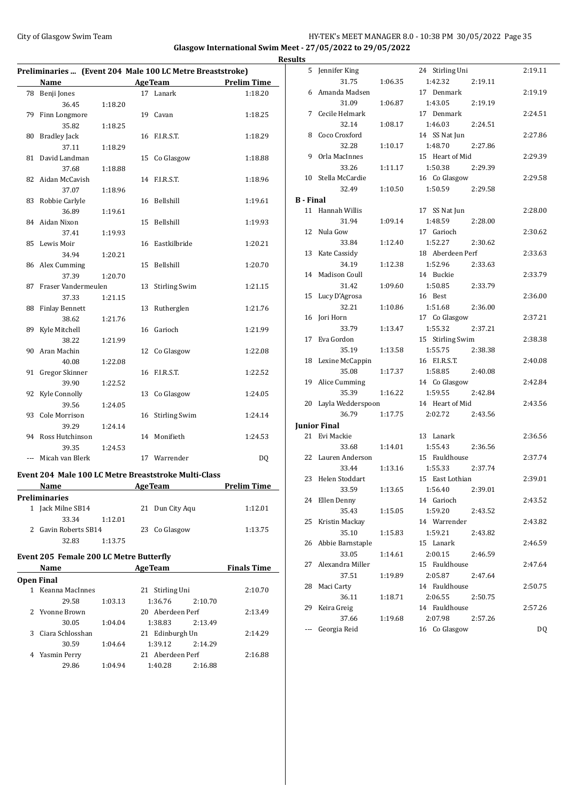# City of Glasgow Swim Team HY-TEK's MEET MANAGER 8.0 - 10:38 PM 30/05/2022 Page 35 **Glasgow International Swim Meet - 27/05/2022 to 29/05/2022**

**Results**

| Preliminaries  (Event 204 Male 100 LC Metre Breaststroke)                                    |                                                      |         |    |                      |                    |  |  |
|----------------------------------------------------------------------------------------------|------------------------------------------------------|---------|----|----------------------|--------------------|--|--|
|                                                                                              | Name                                                 |         |    | AgeTeam              | <b>Prelim Time</b> |  |  |
| 78                                                                                           | Benji Jones                                          |         |    | 17 Lanark            | 1:18.20            |  |  |
|                                                                                              | 36.45                                                | 1:18.20 |    |                      |                    |  |  |
| 79                                                                                           | Finn Longmore                                        |         |    | 19 Cavan             | 1:18.25            |  |  |
|                                                                                              | 35.82                                                | 1:18.25 |    |                      |                    |  |  |
| 80                                                                                           | <b>Bradley Jack</b>                                  |         |    | 16 F.I.R.S.T.        | 1:18.29            |  |  |
|                                                                                              | 37.11                                                | 1:18.29 |    |                      |                    |  |  |
| 81                                                                                           | David Landman                                        |         | 15 | Co Glasgow           | 1:18.88            |  |  |
|                                                                                              | 37.68                                                | 1:18.88 |    |                      |                    |  |  |
| 82                                                                                           | Aidan McCavish                                       |         |    | 14 F.I.R.S.T.        | 1:18.96            |  |  |
|                                                                                              | 37.07                                                | 1:18.96 |    |                      |                    |  |  |
| 83                                                                                           | Robbie Carlyle                                       |         |    | 16 Bellshill         | 1:19.61            |  |  |
|                                                                                              | 36.89                                                | 1:19.61 |    |                      |                    |  |  |
| 84                                                                                           | Aidan Nixon                                          |         |    | 15 Bellshill         | 1:19.93            |  |  |
|                                                                                              | 37.41                                                | 1:19.93 |    |                      |                    |  |  |
| 85                                                                                           | Lewis Moir                                           |         |    | 16 Eastkilbride      | 1:20.21            |  |  |
|                                                                                              | 34.94                                                | 1:20.21 |    |                      |                    |  |  |
| 86                                                                                           | Alex Cumming                                         |         |    | 15 Bellshill         | 1:20.70            |  |  |
|                                                                                              | 37.39                                                | 1:20.70 |    |                      |                    |  |  |
| 87                                                                                           | Fraser Vandermeulen                                  |         | 13 | <b>Stirling Swim</b> | 1:21.15            |  |  |
|                                                                                              | 37.33                                                | 1:21.15 |    |                      |                    |  |  |
| 88                                                                                           | <b>Finlay Bennett</b>                                |         | 13 | Rutherglen           | 1:21.76            |  |  |
|                                                                                              | 38.62                                                | 1:21.76 |    |                      |                    |  |  |
| 89                                                                                           | Kyle Mitchell                                        |         | 16 | Garioch              | 1:21.99            |  |  |
|                                                                                              | 38.22                                                | 1:21.99 |    |                      |                    |  |  |
| 90                                                                                           | Aran Machin                                          |         |    | 12 Co Glasgow        | 1:22.08            |  |  |
|                                                                                              | 40.08                                                | 1:22.08 |    |                      |                    |  |  |
| 91                                                                                           | Gregor Skinner                                       |         | 16 | F.I.R.S.T.           | 1:22.52            |  |  |
|                                                                                              | 39.90                                                | 1:22.52 |    |                      |                    |  |  |
| 92                                                                                           | Kyle Connolly                                        |         | 13 | Co Glasgow           | 1:24.05            |  |  |
|                                                                                              | 39.56                                                | 1:24.05 |    |                      |                    |  |  |
| 93                                                                                           | Cole Morrison                                        |         | 16 | <b>Stirling Swim</b> | 1:24.14            |  |  |
|                                                                                              | 39.29                                                | 1:24.14 |    |                      |                    |  |  |
| 94                                                                                           | Ross Hutchinson                                      |         |    | 14 Monifieth         | 1:24.53            |  |  |
|                                                                                              | 39.35                                                | 1:24.53 |    |                      |                    |  |  |
| ---                                                                                          | Micah van Blerk                                      |         |    | 17 Warrender         | DQ                 |  |  |
|                                                                                              |                                                      |         |    |                      |                    |  |  |
|                                                                                              | Event 204 Male 100 LC Metre Breaststroke Multi-Class |         |    |                      |                    |  |  |
|                                                                                              | Name                                                 |         |    | <b>AgeTeam</b>       | <b>Prelim Time</b> |  |  |
|                                                                                              | Preliminaries                                        |         |    |                      |                    |  |  |
|                                                                                              | 1 Jack Milne SB14                                    |         |    | 21 Dun City Aqu      | 1:12.01            |  |  |
|                                                                                              | 33.34                                                | 1:12.01 |    |                      |                    |  |  |
|                                                                                              | 2 Gavin Roberts SB14                                 |         |    | 23 Co Glasgow        | 1:13.75            |  |  |
|                                                                                              | 32.83                                                | 1:13.75 |    |                      |                    |  |  |
| <b>Event 205 Female 200 LC Metre Butterfly</b>                                               |                                                      |         |    |                      |                    |  |  |
| <b>AgeTeam</b><br><b>Finals Time</b><br>Name<br>the control of the control of the control of |                                                      |         |    |                      |                    |  |  |
|                                                                                              | <b>Open Final</b>                                    |         |    |                      |                    |  |  |
|                                                                                              | 1 Keanna MacInnes                                    |         |    | 21 Stirling Uni      | 2:10.70            |  |  |
|                                                                                              | 29.58                                                | 1:03.13 |    | 1:36.76              | 2:10.70            |  |  |
|                                                                                              | 2 Yvonne Brown                                       |         |    | 20 Aberdeen Perf     | 2:13.49            |  |  |
|                                                                                              | 30.05 1:04.04 1:38.83 2:13.49                        |         |    |                      |                    |  |  |

3 Ciara Schlosshan 21 Edinburgh Un 2:14.29 30.59 1:04.64 1:39.12 2:14.29 4 Yasmin Perry 21 Aberdeen Perf 2:16.88 29.86 1:04.94 1:40.28 2:16.88

5 Jennifer King 24 Stirling Uni 2:19.11 31.75 1:06.35 1:42.32 2:19.11 6 Amanda Madsen 17 Denmark 2:19.19 31.09 1:06.87 1:43.05 2:19.19 7 Cecile Helmark 17 Denmark 2:24.51 32.14 1:08.17 1:46.03 2:24.51 8 Coco Croxford 14 SS Nat Jun 2:27.86 32.28 1:10.17 1:48.70 2:27.86 9 Orla MacInnes 15 Heart of Mid 2:29.39 33.26 1:11.17 1:50.38 2:29.39 10 Stella McCardie 16 Co Glasgow 2:29.58 32.49 1:10.50 1:50.59 2:29.58 **B - Final** 11 Hannah Willis 17 SS Nat Jun 2:28.00 31.94 1:09.14 1:48.59 2:28.00 12 Nula Gow 17 Garioch 2:30.62 33.84 1:12.40 1:52.27 2:30.62 13 Kate Cassidy 18 Aberdeen Perf 2:33.63 34.19 1:12.38 1:52.96 2:33.63 14 Madison Coull 14 Buckie 2:33.79 31.42 1:09.60 1:50.85 2:33.79 15 Lucy D'Agrosa 16 Best 2:36.00 32.21 1:10.86 1:51.68 2:36.00 16 Jori Horn 17 Co Glasgow 2:37.21 33.79 1:13.47 1:55.32 2:37.21 17 Eva Gordon 15 Stirling Swim 2:38.38 35.19 1:13.58 1:55.75 2:38.38 18 Lexine McCappin 16 F.I.R.S.T. 2:40.08 35.08 1:17.37 1:58.85 2:40.08 19 Alice Cumming 14 Co Glasgow 2:42.84 35.39 1:16.22 1:59.55 2:42.84 20 Layla Wedderspoon 14 Heart of Mid 2:43.56 36.79 1:17.75 2:02.72 2:43.56 **Junior Final** 21 Evi Mackie 13 Lanark 2:36.56 33.68 1:14.01 1:55.43 2:36.56 22 Lauren Anderson 15 Fauldhouse 2:37.74 33.44 1:13.16 1:55.33 2:37.74 23 Helen Stoddart 15 East Lothian 2:39.01 33.59 1:13.65 1:56.40 2:39.01 24 Ellen Denny 14 Garioch 2:43.52 35.43 1:15.05 1:59.20 2:43.52 25 Kristin Mackay 14 Warrender 2:43.82 35.10 1:15.83 1:59.21 2:43.82 26 Abbie Barnstaple 15 Lanark 2:46.59 33.05 1:14.61 2:00.15 2:46.59 27 Alexandra Miller 15 Fauldhouse 2:47.64 37.51 1:19.89 2:05.87 2:47.64 28 Maci Carty 14 Fauldhouse 2:50.75 36.11 1:18.71 2:06.55 2:50.75 29 Keira Greig 14 Fauldhouse 2:57.26 37.66 1:19.68 2:07.98 2:57.26 --- Georgia Reid 16 Co Glasgow DQ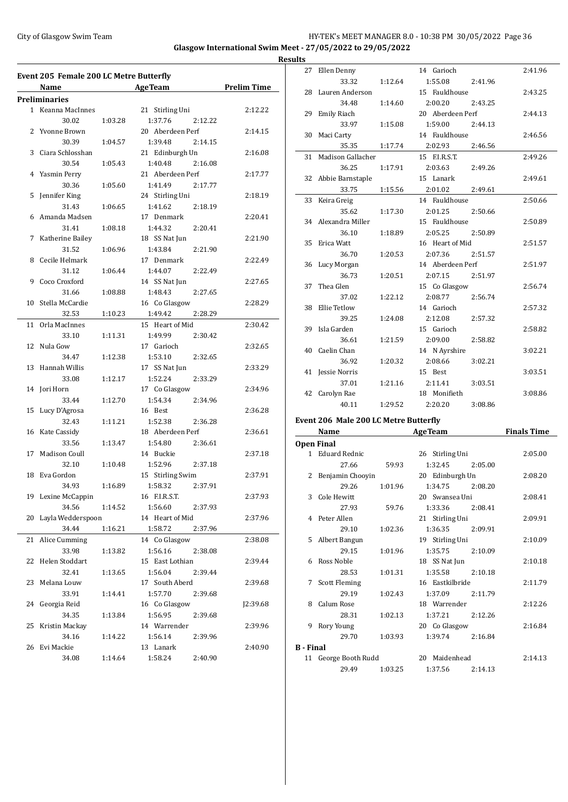### City of Glasgow Swim Team HY-TEK's MEET MANAGER 8.0 - 10:38 PM 30/05/2022 Page 36 **Glasgow International Swim Meet - 27/05/2022 to 29/05/2022 Result**

**Event 205 Female 200 LC Metre Butterfly Name Age Team Prelim Time Preliminaries** 1 Keanna MacInnes 21 Stirling Uni 2:12.22 30.02 1:03.28 1:37.76 2:12.22 2 Yvonne Brown 20 Aberdeen Perf 2:14.15 30.39 1:04.57 1:39.48 2:14.15 3 Ciara Schlosshan 21 Edinburgh Un 2:16.08 30.54 1:05.43 1:40.48 2:16.08 4 Yasmin Perry 21 Aberdeen Perf 2:17.77 30.36 1:05.60 1:41.49 2:17.77 5 Jennifer King 24 Stirling Uni 2:18.19 31.43 1:06.65 1:41.62 2:18.19 6 Amanda Madsen 17 Denmark 2:20.41 31.41 1:08.18 1:44.32 2:20.41 7 Katherine Bailey 18 SS Nat Jun 2:21.90 31.52 1:06.96 1:43.84 2:21.90 8 Cecile Helmark 17 Denmark 2:22.49 31.12 1:06.44 1:44.07 2:22.49 9 Coco Croxford 14 SS Nat Jun 2:27.65 31.66 1:08.88 1:48.43 2:27.65 10 Stella McCardie 16 Co Glasgow 2:28.29 32.53 1:10.23 1:49.42 2:28.29 11 Orla MacInnes 15 Heart of Mid 2:30.42 33.10 1:11.31 1:49.99 2:30.42 12 Nula Gow 17 Garioch 2:32.65 34.47 1:12.38 1:53.10 2:32.65 13 Hannah Willis 17 SS Nat Jun 2:33.29 33.08 1:12.17 1:52.24 2:33.29 14 Jori Horn 17 Co Glasgow 2:34.96 33.44 1:12.70 1:54.34 2:34.96 15 Lucy D'Agrosa 16 Best 2:36.28 32.43 1:11.21 1:52.38 2:36.28 16 Kate Cassidy 18 Aberdeen Perf 2:36.61 33.56 1:13.47 1:54.80 2:36.61 17 Madison Coull 14 Buckie 2:37.18 32.10 1:10.48 1:52.96 2:37.18 18 Eva Gordon 15 Stirling Swim 2:37.91 34.93 1:16.89 1:58.32 2:37.91 19 Lexine McCappin 16 F.I.R.S.T. 2:37.93 34.56 1:14.52 1:56.60 2:37.93 20 Layla Wedderspoon 14 Heart of Mid 2:37.96 34.44 1:16.21 1:58.72 2:37.96 21 Alice Cumming 14 Co Glasgow 2:38.08 33.98 1:13.82 1:56.16 2:38.08 22 Helen Stoddart 15 East Lothian 2:39.44 32.41 1:13.65 1:56.04 2:39.44 23 Melana Louw 17 South Aberd 2:39.68 33.91 1:14.41 1:57.70 2:39.68 24 Georgia Reid 16 Co Glasgow J2:39.68 34.35 1:13.84 1:56.95 2:39.68 25 Kristin Mackay 14 Warrender 2:39.96 34.16 1:14.22 1:56.14 2:39.96 26 Evi Mackie 13 Lanark 2:40.90 34.08 1:14.64 1:58.24 2:40.90

| <u>ILS</u>                            |                           |         |                    |         |  |  |  |
|---------------------------------------|---------------------------|---------|--------------------|---------|--|--|--|
| 27                                    | Ellen Denny               |         | 14 Garioch         | 2:41.96 |  |  |  |
|                                       | 33.32                     | 1:12.64 | 1:55.08<br>2:41.96 |         |  |  |  |
| 28                                    | Lauren Anderson           |         | 15 Fauldhouse      | 2:43.25 |  |  |  |
|                                       | 34.48                     | 1:14.60 | 2:00.20<br>2:43.25 |         |  |  |  |
| 29                                    | <b>Emily Riach</b>        |         | 20 Aberdeen Perf   | 2:44.13 |  |  |  |
|                                       | 33.97                     | 1:15.08 | 1:59.00<br>2:44.13 |         |  |  |  |
| 30                                    | Maci Carty                |         | 14 Fauldhouse      | 2:46.56 |  |  |  |
|                                       | 35.35                     | 1:17.74 | 2:02.93<br>2:46.56 |         |  |  |  |
| 31                                    | <b>Madison Gallacher</b>  |         | 15 F.I.R.S.T.      | 2:49.26 |  |  |  |
|                                       | 36.25                     | 1:17.91 | 2:03.63<br>2:49.26 |         |  |  |  |
| 32                                    | Abbie Barnstaple          |         | 15 Lanark          | 2:49.61 |  |  |  |
|                                       | 33.75                     | 1:15.56 | 2:01.02<br>2:49.61 |         |  |  |  |
| 33                                    | Keira Greig               |         | 14 Fauldhouse      | 2:50.66 |  |  |  |
|                                       | 35.62                     | 1:17.30 | 2:01.25<br>2:50.66 |         |  |  |  |
| 34                                    | Alexandra Miller          |         | 15 Fauldhouse      | 2:50.89 |  |  |  |
|                                       | 36.10                     | 1:18.89 | 2:05.25<br>2:50.89 |         |  |  |  |
| 35                                    | Erica Watt                |         | 16 Heart of Mid    | 2:51.57 |  |  |  |
|                                       | 36.70                     | 1:20.53 | 2:07.36<br>2:51.57 |         |  |  |  |
| 36                                    | Lucy Morgan               |         | 14 Aberdeen Perf   | 2:51.97 |  |  |  |
|                                       | 36.73                     | 1:20.51 | 2:07.15<br>2:51.97 |         |  |  |  |
| 37                                    | Thea Glen                 |         | 15 Co Glasgow      | 2:56.74 |  |  |  |
|                                       | 37.02                     | 1:22.12 | 2:08.77<br>2:56.74 |         |  |  |  |
| 38                                    | Ellie Tetlow              |         | 14 Garioch         | 2:57.32 |  |  |  |
|                                       | 39.25                     | 1:24.08 | 2:12.08<br>2:57.32 |         |  |  |  |
| 39                                    | Isla Garden               |         | 15 Garioch         | 2:58.82 |  |  |  |
|                                       | 36.61                     | 1:21.59 | 2:09.00<br>2:58.82 |         |  |  |  |
| 40                                    | Caelin Chan               |         | 14 N Ayrshire      | 3:02.21 |  |  |  |
|                                       | 36.92                     | 1:20.32 | 2:08.66<br>3:02.21 |         |  |  |  |
| 41                                    | <b>Jessie Norris</b>      |         | 15 Best            | 3:03.51 |  |  |  |
|                                       | 37.01                     | 1:21.16 | 2:11.41<br>3:03.51 |         |  |  |  |
| 42                                    | Carolyn Rae               |         | 18 Monifieth       | 3:08.86 |  |  |  |
|                                       | 40.11                     | 1:29.52 | 2:20.20<br>3:08.86 |         |  |  |  |
| Event 206 Male 200 LC Metre Butterfly |                           |         |                    |         |  |  |  |
|                                       | <b>Finals Time</b>        |         |                    |         |  |  |  |
|                                       | Name<br><b>Open Final</b> |         | <b>AgeTeam</b>     |         |  |  |  |
| $\mathbf{1}$                          | <b>Eduard Rednic</b>      |         | 26 Stirling Uni    | 2:05.00 |  |  |  |
|                                       | 27.66                     | 59.93   | 1:32.45<br>2:05.00 |         |  |  |  |
| 2                                     | Benjamin Chooyin          |         | 20 Edinburgh Un    | 2:08.20 |  |  |  |
|                                       | 29.26                     | 1:01.96 | 1:34.75<br>2:08.20 |         |  |  |  |
|                                       |                           |         |                    |         |  |  |  |

|                  | 5 Albert Bangun      |                 | 19 Stirling Uni | 2:10.09 |         |
|------------------|----------------------|-----------------|-----------------|---------|---------|
|                  | 29.15                | 1:01.96         | 1:35.75         | 2:10.09 |         |
| 6                | Ross Noble           |                 | 18 SS Nat Jun   |         | 2:10.18 |
|                  | 28.53                | 1:01.31         | 1:35.58         | 2:10.18 |         |
|                  | 7 Scott Fleming      | 16 Eastkilbride |                 |         | 2:11.79 |
|                  | 29.19                | 1:02.43         | 1:37.09         | 2:11.79 |         |
| 8                | Calum Rose           |                 | 18 Warrender    | 2:12.26 |         |
|                  | 28.31                | 1:02.13         | 1:37.21         | 2:12.26 |         |
| 9                | Rory Young           |                 | 20 Co Glasgow   |         | 2:16.84 |
|                  | 29.70                | 1:03.93         | 1:39.74         | 2:16.84 |         |
| <b>B</b> - Final |                      |                 |                 |         |         |
|                  | 11 George Booth Rudd |                 | 20 Maidenhead   |         | 2:14.13 |
|                  | 29.49                | 1:03.25         | 1:37.56         | 2:14.13 |         |

3 Cole Hewitt 20 Swansea Uni 2:08.41 27.93 59.76 1:33.36 2:08.41 4 Peter Allen 21 Stirling Uni 2:09.91 29.10 1:02.36 1:36.35 2:09.91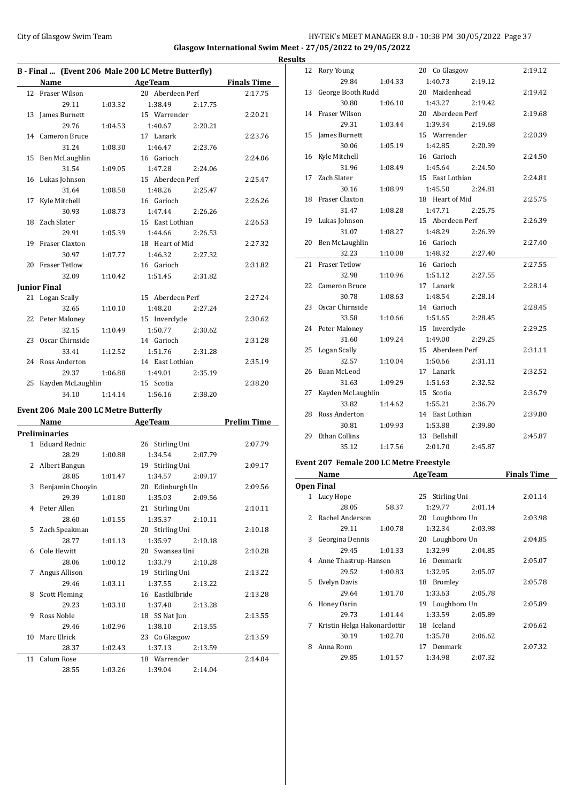## City of Glasgow Swim Team Team Frameters Music City of Glasgow Swim Team Frameters Music City of Glasgow Swim Team Frameters Music City of Glasgow Swim Team Frameters Music City of Glasgow Swim Team Frameters Music City of **Glasgow International Swim Meet - 27/05/2022 to 29/05/2022**

|    |                     |         | B - Final  (Event 206 Male 200 LC Metre Butterfly) |                    |
|----|---------------------|---------|----------------------------------------------------|--------------------|
|    | Name                |         | <b>Example 2.1 Age Team</b>                        | <b>Finals Time</b> |
|    | 12 Fraser Wilson    |         | 20 Aberdeen Perf                                   | 2:17.75            |
|    | 29.11               | 1:03.32 | 1:38.49 2:17.75                                    |                    |
|    | 13 James Burnett    |         | 15 Warrender                                       | 2:20.21            |
|    | 29.76               | 1:04.53 | 1:40.67<br>2:20.21                                 |                    |
|    | 14 Cameron Bruce    |         | 17 Lanark                                          | 2:23.76            |
|    | 31.24               | 1:08.30 | 1:46.47<br>2:23.76                                 |                    |
|    | 15 Ben McLaughlin   |         | 16 Garioch                                         | 2:24.06            |
|    | 31.54               | 1:09.05 | 1:47.28<br>2:24.06                                 |                    |
|    | 16 Lukas Johnson    |         | 15 Aberdeen Perf                                   | 2:25.47            |
|    | 31.64               | 1:08.58 | 1:48.26<br>2:25.47                                 |                    |
| 17 | Kyle Mitchell       |         | 16 Garioch                                         | 2:26.26            |
|    | 30.93               | 1:08.73 | 1:47.44 2:26.26                                    |                    |
|    | 18 Zach Slater      |         | 15 East Lothian                                    | 2:26.53            |
|    | 29.91               | 1:05.39 | 1:44.66 2:26.53                                    |                    |
|    | 19 Fraser Claxton   |         | 18 Heart of Mid                                    | 2:27.32            |
|    | 30.97               | 1:07.77 | 1:46.32<br>2:27.32                                 |                    |
|    | 20 Fraser Tetlow    |         | 16 Garioch                                         | 2:31.82            |
|    | 32.09               | 1:10.42 | 1:51.45 2:31.82                                    |                    |
|    | <b>Junior Final</b> |         |                                                    |                    |
|    | 21 Logan Scally     |         | 15 Aberdeen Perf                                   | 2:27.24            |
|    | 32.65               | 1:10.10 | 1:48.20<br>2:27.24                                 |                    |
|    | 22 Peter Maloney    |         | 15 Inverclyde                                      | 2:30.62            |
|    | 32.15               | 1:10.49 | 1:50.77<br>2:30.62                                 |                    |
|    | 23 Oscar Chirnside  |         | 14 Garioch                                         | 2:31.28            |
|    | 33.41               | 1:12.52 | 1:51.76<br>2:31.28                                 |                    |
|    | 24 Ross Anderton    |         | 14 East Lothian                                    | 2:35.19            |
|    | 29.37               | 1:06.88 | 1:49.01<br>2:35.19                                 |                    |
| 25 | Kayden McLaughlin   |         | 15 Scotia                                          | 2:38.20            |
|    | 34.10               | 1:14.14 | 1:56.16<br>2:38.20                                 |                    |

## **Event 206 Male 200 LC Metre Butterfly<br>Name AgeTeam**

|   | Name                 |         | <b>AgeTeam</b>     | <b>Prelim Time</b> |
|---|----------------------|---------|--------------------|--------------------|
|   | Preliminaries        |         |                    |                    |
|   |                      |         |                    |                    |
|   | 1 Eduard Rednic      |         | 26 Stirling Uni    | 2:07.79            |
|   | 28.29                | 1:00.88 | 1:34.54<br>2:07.79 |                    |
|   | 2 Albert Bangun      |         | 19 Stirling Uni    | 2:09.17            |
|   | 28.85                | 1:01.47 | 1:34.57<br>2:09.17 |                    |
| 3 | Benjamin Chooyin     |         | 20 Edinburgh Un    | 2:09.56            |
|   | 29.39                | 1:01.80 | 1:35.03<br>2:09.56 |                    |
|   | 4 Peter Allen        |         | 21 Stirling Uni    | 2:10.11            |
|   | 28.60                | 1:01.55 | 1:35.37<br>2:10.11 |                    |
|   | 5 Zach Speakman      |         | 20 Stirling Uni    | 2:10.18            |
|   | 28.77                | 1:01.13 | 1:35.97 2:10.18    |                    |
|   | 6 Cole Hewitt        |         | 20 Swansea Uni     | 2:10.28            |
|   | 28.06                | 1:00.12 | 1:33.79<br>2:10.28 |                    |
| 7 | Angus Allison        |         | 19 Stirling Uni    | 2:13.22            |
|   | 29.46                | 1:03.11 | 1:37.55 2:13.22    |                    |
| 8 | <b>Scott Fleming</b> |         | 16 Eastkilbride    | 2:13.28            |
|   | 29.23                | 1:03.10 | 1:37.40<br>2:13.28 |                    |
| 9 | Ross Noble           |         | 18 SS Nat Jun      | 2:13.55            |
|   | 29.46                | 1:02.96 | 1:38.10<br>2:13.55 |                    |
|   | 10 Marc Elrick       |         | 23 Co Glasgow      | 2:13.59            |
|   | 28.37                | 1:02.43 | 1:37.13<br>2:13.59 |                    |
|   | 11 Calum Rose        |         | 18 Warrender       | 2:14.04            |
|   | 28.55                | 1:03.26 | 1:39.04<br>2:14.04 |                    |

| <b>Results</b> |                      |         |                  |         |         |
|----------------|----------------------|---------|------------------|---------|---------|
| 12             | Rory Young           |         | 20 Co Glasgow    |         | 2:19.12 |
|                | 29.84                | 1:04.33 | 1:40.73          | 2:19.12 |         |
| 13             | George Booth Rudd    |         | 20 Maidenhead    |         | 2:19.42 |
|                | 30.80                | 1:06.10 | 1:43.27          | 2:19.42 |         |
|                | 14 Fraser Wilson     |         | 20 Aberdeen Perf |         | 2:19.68 |
|                | 29.31                | 1:03.44 | 1:39.34          | 2:19.68 |         |
| 15             | James Burnett        |         | 15 Warrender     |         | 2:20.39 |
|                | 30.06                | 1:05.19 | 1:42.85          | 2:20.39 |         |
|                | 16 Kyle Mitchell     |         | 16 Garioch       |         | 2:24.50 |
|                | 31.96                | 1:08.49 | 1:45.64          | 2:24.50 |         |
| 17             | Zach Slater          |         | 15 East Lothian  |         | 2:24.81 |
|                | 30.16                | 1:08.99 | 1:45.50          | 2:24.81 |         |
| 18             | Fraser Claxton       |         | 18 Heart of Mid  |         | 2:25.75 |
|                | 31.47                | 1:08.28 | 1:47.71          | 2:25.75 |         |
|                | 19 Lukas Johnson     |         | 15 Aberdeen Perf |         | 2:26.39 |
|                | 31.07                | 1:08.27 | 1:48.29          | 2:26.39 |         |
| 20             | Ben McLaughlin       |         | 16 Garioch       |         | 2:27.40 |
|                | 32.23                | 1:10.08 | 1:48.32          | 2:27.40 |         |
| 21             | Fraser Tetlow        |         | 16 Garioch       |         | 2:27.55 |
|                | 32.98                | 1:10.96 | 1:51.12          | 2:27.55 |         |
| 22             | Cameron Bruce        |         | 17 Lanark        |         | 2:28.14 |
|                | 30.78                | 1:08.63 | 1:48.54          | 2:28.14 |         |
| 23             | Oscar Chirnside      |         | 14 Garioch       |         | 2:28.45 |
|                | 33.58                | 1:10.66 | 1:51.65          | 2:28.45 |         |
|                | 24 Peter Maloney     |         | 15 Inverclyde    |         | 2:29.25 |
|                | 31.60                | 1:09.24 | 1:49.00          | 2:29.25 |         |
| 25             | Logan Scally         |         | 15 Aberdeen Perf |         | 2:31.11 |
|                | 32.57                | 1:10.04 | 1:50.66          | 2:31.11 |         |
| 26             | Euan McLeod          |         | 17 Lanark        |         | 2:32.52 |
|                | 31.63                | 1:09.29 | 1:51.63          | 2:32.52 |         |
| 27             | Kayden McLaughlin    |         | 15 Scotia        |         | 2:36.79 |
|                | 33.82                | 1:14.62 | 1:55.21          | 2:36.79 |         |
| 28             | Ross Anderton        |         | 14 East Lothian  |         | 2:39.80 |
|                | 30.81                | 1:09.93 | 1:53.88          | 2:39.80 |         |
| 29             | <b>Ethan Collins</b> |         | 13 Bellshill     |         | 2:45.87 |
|                | 35.12                | 1:17.56 | 2:01.70          | 2:45.87 |         |

## **Event 207 Female 200 LC Metre Freestyle**

|               | Name                        |         | <b>AgeTeam</b>  |         | <b>Finals Time</b> |
|---------------|-----------------------------|---------|-----------------|---------|--------------------|
|               | <b>Open Final</b>           |         |                 |         |                    |
| 1             | Lucy Hope                   |         | 25 Stirling Uni |         | 2:01.14            |
|               | 28.05                       | 58.37   | 1:29.77         | 2:01.14 |                    |
| $\mathcal{L}$ | Rachel Anderson             |         | 20 Loughboro Un |         | 2:03.98            |
|               | 29.11                       | 1:00.78 | 1:32.34         | 2:03.98 |                    |
| 3             | Georgina Dennis             |         | 20 Loughboro Un |         | 2:04.85            |
|               | 29.45                       | 1:01.33 | 1:32.99         | 2:04.85 |                    |
| 4             | Anne Thastrup-Hansen        |         | 16 Denmark      |         | 2:05.07            |
|               | 29.52                       | 1:00.83 | 1:32.95         | 2:05.07 |                    |
| 5.            | Evelyn Davis                |         | 18 Bromley      |         | 2:05.78            |
|               | 29.64                       | 1:01.70 | 1:33.63         | 2:05.78 |                    |
| 6             | Honey Osrin                 |         | 19 Loughboro Un |         | 2:05.89            |
|               | 29.73                       | 1:01.44 | 1:33.59         | 2:05.89 |                    |
| 7             | Kristin Helga Hakonardottir |         | 18 Iceland      |         | 2:06.62            |
|               | 30.19                       | 1:02.70 | 1:35.78         | 2:06.62 |                    |
| 8             | Anna Ronn                   |         | Denmark<br>17   |         | 2:07.32            |
|               | 29.85                       | 1:01.57 | 1:34.98         | 2:07.32 |                    |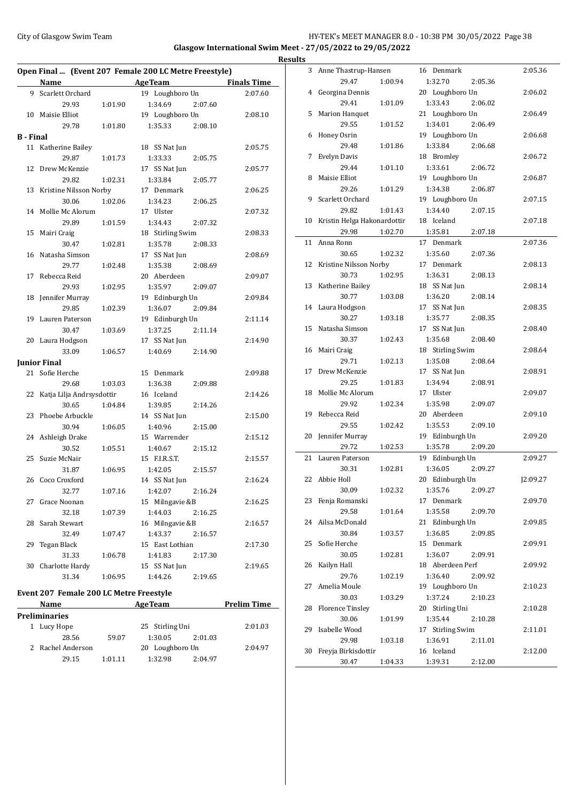## City of Glasgow Swim Team **HY-TEK's MEET MANAGER 8.0 - 10:38 PM 30/05/2022** Page 38 **Glasgow International Swim Meet - 27/05/2022 to 29/05/2022**

 $\overline{a}$ 

|           | Open Final  (Event 207 Female 200 LC Metre Freestyle) |         |                    |                    |  |  |  |
|-----------|-------------------------------------------------------|---------|--------------------|--------------------|--|--|--|
|           | Name                                                  |         | <b>AgeTeam</b>     | <b>Finals Time</b> |  |  |  |
|           | 9 Scarlett Orchard                                    |         | 19 Loughboro Un    | 2:07.60            |  |  |  |
|           | 29.93                                                 | 1:01.90 | 1:34.69<br>2:07.60 |                    |  |  |  |
| 10        | Maisie Elliot                                         |         | 19 Loughboro Un    | 2:08.10            |  |  |  |
|           | 29.78                                                 | 1:01.80 | 1:35.33<br>2:08.10 |                    |  |  |  |
| B - Final |                                                       |         |                    |                    |  |  |  |
|           | 11 Katherine Bailey                                   |         | 18 SS Nat Jun      | 2:05.75            |  |  |  |
|           | 29.87                                                 | 1:01.73 | 1:33.33<br>2:05.75 |                    |  |  |  |
| 12        | Drew McKenzie                                         |         | 17 SS Nat Jun      | 2:05.77            |  |  |  |
|           | 29.82                                                 | 1:02.31 | 1:33.84<br>2:05.77 |                    |  |  |  |
| 13        | Kristine Nilsson Norby                                |         | 17 Denmark         | 2:06.25            |  |  |  |
|           | 30.06                                                 | 1:02.06 | 1:34.23<br>2:06.25 |                    |  |  |  |
| 14        | Mollie Mc Alorum                                      |         | 17 Ulster          | 2:07.32            |  |  |  |
|           | 29.89                                                 | 1:01.59 | 1:34.43<br>2:07.32 |                    |  |  |  |
| 15        | Mairi Craig                                           |         | 18 Stirling Swim   | 2:08.33            |  |  |  |
|           | 30.47                                                 | 1:02.81 | 1:35.78<br>2:08.33 |                    |  |  |  |
| 16        | Natasha Simson                                        |         | 17 SS Nat Jun      | 2:08.69            |  |  |  |
|           | 29.77                                                 | 1:02.48 | 1:35.38<br>2:08.69 |                    |  |  |  |
| 17        | Rebecca Reid                                          |         | 20 Aberdeen        | 2:09.07            |  |  |  |
|           | 29.93                                                 | 1:02.95 | 1:35.97<br>2:09.07 |                    |  |  |  |
| 18        | Jennifer Murray                                       |         | 19 Edinburgh Un    | 2:09.84            |  |  |  |
|           | 29.85                                                 | 1:02.39 | 1:36.07<br>2:09.84 |                    |  |  |  |
| 19        | Lauren Paterson                                       |         | 19 Edinburgh Un    | 2:11.14            |  |  |  |
|           | 30.47                                                 | 1:03.69 | 1:37.25<br>2:11.14 |                    |  |  |  |
| 20        | Laura Hodgson                                         |         | 17 SS Nat Jun      | 2:14.90            |  |  |  |
|           | 33.09                                                 | 1:06.57 | 1:40.69<br>2:14.90 |                    |  |  |  |
|           | <b>Junior Final</b>                                   |         |                    |                    |  |  |  |
|           | 21 Sofie Herche                                       |         | 15 Denmark         | 2:09.88            |  |  |  |
|           | 29.68                                                 | 1:03.03 | 1:36.38<br>2:09.88 |                    |  |  |  |
| 22        | Katja Lilja Andrsysdottir                             |         | 16 Iceland         | 2:14.26            |  |  |  |
|           | 30.65                                                 | 1:04.84 | 1:39.85<br>2:14.26 |                    |  |  |  |
| 23        | Phoebe Arbuckle                                       |         | 14 SS Nat Jun      | 2:15.00            |  |  |  |
|           | 30.94                                                 | 1:06.05 | 1:40.96<br>2:15.00 |                    |  |  |  |
|           | 24 Ashleigh Drake                                     |         | 15 Warrender       | 2:15.12            |  |  |  |
|           | 30.52                                                 | 1:05.51 | 1:40.67<br>2:15.12 |                    |  |  |  |
| 25        | Suzie McNair                                          |         | 15 F.I.R.S.T.      | 2:15.57            |  |  |  |
|           | 31.87                                                 | 1:06.95 | 1:42.05<br>2:15.57 |                    |  |  |  |
| 26        | Coco Croxford                                         |         | 14 SS Nat Jun      | 2:16.24            |  |  |  |
|           | 32.77                                                 | 1:07.16 | 2:16.24<br>1:42.07 |                    |  |  |  |
| 27        | Grace Noonan                                          |         | 15 Milngavie &B    | 2:16.25            |  |  |  |
|           | 32.18                                                 | 1:07.39 | 1:44.03<br>2:16.25 |                    |  |  |  |
| 28        | Sarah Stewart                                         |         | 16 Milngavie &B    | 2:16.57            |  |  |  |
|           | 32.49                                                 | 1:07.47 | 1:43.37<br>2:16.57 |                    |  |  |  |
| 29        | Tegan Black                                           |         | 15 East Lothian    | 2:17.30            |  |  |  |
|           | 31.33                                                 | 1:06.78 | 1:41.83<br>2:17.30 |                    |  |  |  |
| 30        | Charlotte Hardy                                       |         | 15 SS Nat Jun      | 2:19.65            |  |  |  |
|           | 31.34                                                 | 1:06.95 | 1:44.26<br>2:19.65 |                    |  |  |  |
|           |                                                       |         |                    |                    |  |  |  |

## **Event 207 Female 200 LC Metre Freestyle**

| <b>Name</b>          |         | <b>AgeTeam</b>  |         | <b>Prelim Time</b> |
|----------------------|---------|-----------------|---------|--------------------|
| <b>Preliminaries</b> |         |                 |         |                    |
| Lucy Hope            |         | 25 Stirling Uni |         | 2:01.03            |
| 28.56                | 59.07   | 1:30.05         | 2:01.03 |                    |
| 2 Rachel Anderson    |         | 20 Loughboro Un |         | 2:04.97            |
| 29.15                | 1:01.11 | 1:32.98         | 2:04.97 |                    |

| <b>Results</b> |                             |         |                  |         |          |
|----------------|-----------------------------|---------|------------------|---------|----------|
|                | 3 Anne Thastrup-Hansen      |         | 16 Denmark       |         | 2:05.36  |
|                | 29.47                       | 1:00.94 | 1:32.70          | 2:05.36 |          |
| 4              | Georgina Dennis             |         | 20 Loughboro Un  |         | 2:06.02  |
|                | 29.41                       | 1:01.09 | 1:33.43          | 2:06.02 |          |
| 5              | Marion Hanquet              |         | 21 Loughboro Un  |         | 2:06.49  |
|                | 29.55                       | 1:01.52 | 1:34.01          | 2:06.49 |          |
| 6              | Honey Osrin                 |         | 19 Loughboro Un  |         | 2:06.68  |
|                | 29.48                       | 1:01.86 | 1:33.84          | 2:06.68 |          |
| 7              | Evelyn Davis                |         | 18 Bromley       |         | 2:06.72  |
|                | 29.44                       | 1:01.10 | 1:33.61          | 2:06.72 |          |
| 8              | Maisie Elliot               |         | 19 Loughboro Un  |         | 2:06.87  |
|                | 29.26                       | 1:01.29 | 1:34.38          | 2:06.87 |          |
| 9              | Scarlett Orchard            |         | 19 Loughboro Un  |         | 2:07.15  |
|                | 29.82                       | 1:01.43 | 1:34.40          | 2:07.15 |          |
| 10             | Kristin Helga Hakonardottir |         | 18 Iceland       |         | 2:07.18  |
|                | 29.98                       | 1:02.70 | 1:35.81          | 2:07.18 |          |
| 11             | Anna Ronn                   |         | 17 Denmark       |         | 2:07.36  |
|                | 30.65                       | 1:02.32 | 1:35.60          | 2:07.36 |          |
| 12             | Kristine Nilsson Norby      |         | 17 Denmark       |         | 2:08.13  |
|                | 30.73                       | 1:02.95 | 1:36.31          | 2:08.13 |          |
| 13             | Katherine Bailey            |         | 18 SS Nat Jun    |         | 2:08.14  |
|                | 30.77                       | 1:03.08 | 1:36.20          | 2:08.14 |          |
|                | 14 Laura Hodgson            |         | 17 SS Nat Jun    |         | 2:08.35  |
|                | 30.27                       | 1:03.18 | 1:35.77          | 2:08.35 |          |
| 15             | Natasha Simson              |         | 17 SS Nat Jun    |         | 2:08.40  |
|                | 30.37                       | 1:02.43 | 1:35.68          | 2:08.40 |          |
|                | 16 Mairi Craig              |         | 18 Stirling Swim |         | 2:08.64  |
|                | 29.71                       | 1:02.13 | 1:35.08          | 2:08.64 |          |
| 17             | Drew McKenzie               |         | 17 SS Nat Jun    |         | 2:08.91  |
|                | 29.25                       | 1:01.83 | 1:34.94          | 2:08.91 |          |
| 18             | Mollie Mc Alorum            |         | 17 Ulster        |         | 2:09.07  |
|                | 29.92                       | 1:02.34 | 1:35.98          | 2:09.07 |          |
| 19             | Rebecca Reid                |         | 20 Aberdeen      |         | 2:09.10  |
|                | 29.55                       | 1:02.42 | 1:35.53          | 2:09.10 |          |
| 20             | Jennifer Murray             |         | 19 Edinburgh Un  |         | 2:09.20  |
|                | 29.72                       | 1:02.53 | 1:35.78          | 2:09.20 |          |
| 21             | Lauren Paterson             |         | 19 Edinburgh Un  |         | 2:09.27  |
|                | 30.31                       | 1:02.81 | 1:36.05          | 2:09.27 |          |
|                | 22 Abbie Holl               |         | 20 Edinburgh Un  |         | I2:09.27 |
|                | 30.09                       | 1:02.32 | 1:35.76          | 2:09.27 |          |
|                | 23 Fenja Romanski           |         | 17 Denmark       |         | 2:09.70  |
|                | 29.58                       | 1:01.64 | 1:35.58          | 2:09.70 |          |
| 24             | Ailsa McDonald              |         | 21 Edinburgh Un  |         | 2:09.85  |
|                | 30.84                       | 1:03.57 | 1:36.85          | 2:09.85 |          |
| 25             | Sofie Herche                |         | 15 Denmark       |         | 2:09.91  |
|                | 30.05                       | 1:02.81 | 1:36.07          | 2:09.91 |          |
| 26             | Kailyn Hall                 |         | 18 Aberdeen Perf |         | 2:09.92  |
|                | 29.76                       | 1:02.19 | 1:36.40          | 2:09.92 |          |
| 27             | Amelia Moule                |         | 19 Loughboro Un  |         | 2:10.23  |
|                | 30.03                       | 1:03.29 | 1:37.24          | 2:10.23 |          |
| 28             | <b>Florence Tinsley</b>     |         | 20 Stirling Uni  |         | 2:10.28  |
|                | 30.06                       | 1:01.99 | 1:35.44          | 2:10.28 |          |
| 29             | Isabelle Wood               |         | 17 Stirling Swim |         | 2:11.01  |
|                | 29.98                       | 1:03.18 | 1:36.91          | 2:11.01 |          |
| 30             | Freyja Birkisdottir         |         | 16 Iceland       |         | 2:12.00  |
|                | 30.47                       | 1:04.33 | 1:39.31          | 2:12.00 |          |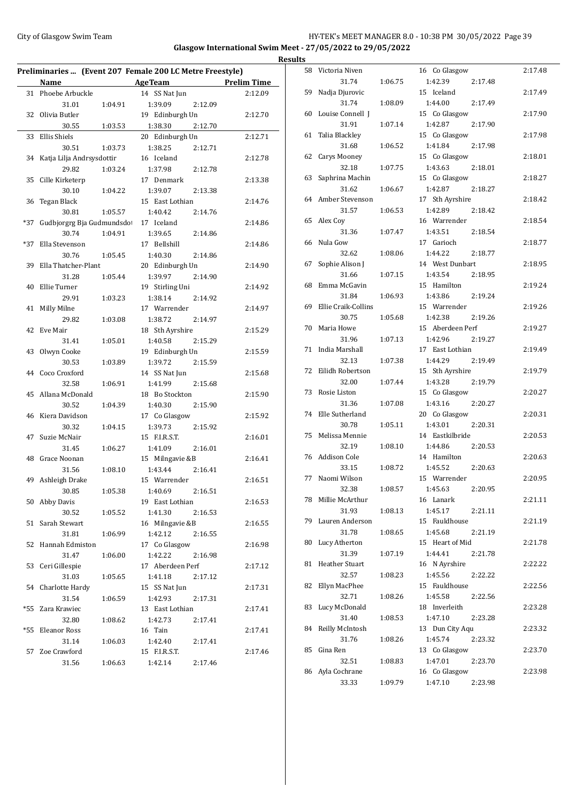## City of Glasgow Swim Team **HY-TEK's MEET MANAGER 8.0 - 10:38 PM 30/05/2022** Page 39 **Glasgow International Swim Meet - 27/05/2022 to 29/05/2022 Results**

|     | Preliminaries  (Event 207 Female 200 LC Metre Freestyle) |         |                                                |         |         |  |  |
|-----|----------------------------------------------------------|---------|------------------------------------------------|---------|---------|--|--|
|     | Name                                                     |         | <b>Example 2018</b> AgeTeam <b>Prelim Time</b> |         |         |  |  |
| 31  | Phoebe Arbuckle                                          |         | 14 SS Nat Jun                                  |         | 2:12.09 |  |  |
|     | 31.01                                                    | 1:04.91 | 1:39.09                                        | 2:12.09 |         |  |  |
| 32  | Olivia Butler                                            |         | 19 Edinburgh Un                                |         | 2:12.70 |  |  |
|     | 30.55                                                    | 1:03.53 | 1:38.30                                        | 2:12.70 |         |  |  |
| 33  | Ellis Shiels                                             |         | 20 Edinburgh Un                                |         | 2:12.71 |  |  |
|     | 30.51                                                    | 1:03.73 | 1:38.25                                        | 2:12.71 |         |  |  |
| 34  | Katja Lilja Andrsysdottir                                |         | 16 Iceland                                     |         | 2:12.78 |  |  |
|     | 29.82                                                    | 1:03.24 | 1:37.98                                        | 2:12.78 |         |  |  |
| 35  | Cille Kirketerp                                          |         | 17 Denmark                                     |         | 2:13.38 |  |  |
|     | 30.10                                                    | 1:04.22 | 1:39.07                                        | 2:13.38 |         |  |  |
| 36  | Tegan Black                                              |         | 15 East Lothian                                |         | 2:14.76 |  |  |
|     | 30.81                                                    | 1:05.57 | 1:40.42                                        | 2:14.76 |         |  |  |
| *37 | Gudbjorgrg Bja Gudmundsdot                               |         | 17 Iceland                                     |         | 2:14.86 |  |  |
|     | 30.74                                                    | 1:04.91 | 1:39.65                                        | 2:14.86 |         |  |  |
| *37 | Ella Stevenson                                           |         | 17 Bellshill                                   |         | 2:14.86 |  |  |
|     | 30.76                                                    | 1:05.45 | 1:40.30                                        | 2:14.86 |         |  |  |
| 39  | Ella Thatcher-Plant                                      |         | 20 Edinburgh Un                                |         | 2:14.90 |  |  |
|     | 31.28                                                    | 1:05.44 | 1:39.97                                        | 2:14.90 |         |  |  |
| 40  | Ellie Turner                                             |         | 19 Stirling Uni                                |         | 2:14.92 |  |  |
|     |                                                          |         |                                                |         |         |  |  |
|     | 29.91                                                    | 1:03.23 | 1:38.14                                        | 2:14.92 |         |  |  |
| 41  | Milly Milne                                              |         | 17 Warrender                                   |         | 2:14.97 |  |  |
|     | 29.82                                                    | 1:03.08 | 1:38.72                                        | 2:14.97 |         |  |  |
| 42  | Eve Mair                                                 |         | 18 Sth Ayrshire                                |         | 2:15.29 |  |  |
|     | 31.41                                                    | 1:05.01 | 1:40.58                                        | 2:15.29 |         |  |  |
| 43  | Olwyn Cooke                                              |         | 19 Edinburgh Un                                |         | 2:15.59 |  |  |
|     | 30.53                                                    | 1:03.89 | 1:39.72                                        | 2:15.59 |         |  |  |
| 44  | Coco Croxford                                            |         | 14 SS Nat Jun                                  |         | 2:15.68 |  |  |
|     | 32.58                                                    | 1:06.91 | 1:41.99                                        | 2:15.68 |         |  |  |
| 45  | Allana McDonald                                          |         | 18 Bo Stockton                                 |         | 2:15.90 |  |  |
|     | 30.52                                                    | 1:04.39 | 1:40.30                                        | 2:15.90 |         |  |  |
| 46  | Kiera Davidson                                           |         | 17 Co Glasgow                                  |         | 2:15.92 |  |  |
|     | 30.32                                                    | 1:04.15 | 1:39.73                                        | 2:15.92 |         |  |  |
| 47  | Suzie McNair                                             |         | 15 F.I.R.S.T.                                  |         | 2:16.01 |  |  |
|     | 31.45                                                    | 1:06.27 | 1:41.09                                        | 2:16.01 |         |  |  |
| 48  | Grace Noonan                                             |         | 15 Milngavie &B                                |         | 2:16.41 |  |  |
|     | 31.56                                                    | 1:08.10 | 1:43.44                                        | 2:16.41 |         |  |  |
| 49  | Ashleigh Drake                                           |         | 15 Warrender                                   |         | 2:16.51 |  |  |
|     | 30.85                                                    | 1:05.38 | 1:40.69 2:16.51                                |         |         |  |  |
|     | 50 Abby Davis                                            |         | 19 East Lothian                                |         | 2:16.53 |  |  |
|     | 30.52                                                    | 1:05.52 | 1:41.30                                        | 2:16.53 |         |  |  |
| 51  | Sarah Stewart                                            |         | 16 Milngavie &B                                |         | 2:16.55 |  |  |
|     | 31.81                                                    | 1:06.99 | 1:42.12                                        | 2:16.55 |         |  |  |
| 52  | Hannah Edmiston                                          |         | 17 Co Glasgow                                  |         | 2:16.98 |  |  |
|     | 31.47                                                    | 1:06.00 | 1:42.22                                        | 2:16.98 |         |  |  |
| 53  | Ceri Gillespie                                           |         | 17 Aberdeen Perf                               |         | 2:17.12 |  |  |
|     | 31.03                                                    | 1:05.65 | 1:41.18                                        | 2:17.12 |         |  |  |
| 54  | Charlotte Hardy                                          |         | 15 SS Nat Jun                                  |         | 2:17.31 |  |  |
|     | 31.54                                                    | 1:06.59 | 1:42.93                                        | 2:17.31 |         |  |  |
| *55 | Zara Krawiec                                             |         | 13 East Lothian                                |         | 2:17.41 |  |  |
|     | 32.80                                                    | 1:08.62 | 1:42.73                                        | 2:17.41 |         |  |  |
| *55 | <b>Eleanor Ross</b>                                      |         | 16 Tain                                        |         | 2:17.41 |  |  |
|     | 31.14                                                    | 1:06.03 | 1:42.40                                        | 2:17.41 |         |  |  |
| 57  | Zoe Crawford                                             |         | 15 F.I.R.S.T.                                  |         | 2:17.46 |  |  |
|     | 31.56                                                    | 1:06.63 | 1:42.14                                        | 2:17.46 |         |  |  |
|     |                                                          |         |                                                |         |         |  |  |

|    | 58 Victoria Niven     |         | 16 Co Glasgow      | 2:17.48 |
|----|-----------------------|---------|--------------------|---------|
|    | 31.74                 | 1:06.75 | 1:42.39<br>2:17.48 |         |
| 59 | Nadja Djurovic        |         | 15 Iceland         | 2:17.49 |
|    | 31.74                 | 1:08.09 | 1:44.00<br>2:17.49 |         |
| 60 | Louise Connell I      |         | 15 Co Glasgow      | 2:17.90 |
|    | 31.91                 | 1:07.14 | 1:42.87<br>2:17.90 |         |
| 61 | Talia Blackley        |         | 15 Co Glasgow      | 2:17.98 |
|    | 31.68                 | 1:06.52 | 1:41.84<br>2:17.98 |         |
| 62 | Carys Mooney          |         | 15 Co Glasgow      | 2:18.01 |
|    | 32.18                 | 1:07.75 | 1:43.63<br>2:18.01 |         |
| 63 | Saphrina Machin       |         | 15 Co Glasgow      | 2:18.27 |
|    | 31.62                 | 1:06.67 | 1:42.87<br>2:18.27 |         |
| 64 | Amber Stevenson       |         | 17 Sth Ayrshire    | 2:18.42 |
|    | 31.57                 |         | 1:42.89<br>2:18.42 |         |
|    |                       | 1:06.53 |                    |         |
| 65 | Alex Coy              |         | 16 Warrender       | 2:18.54 |
|    | 31.36                 | 1:07.47 | 1:43.51<br>2:18.54 |         |
| 66 | Nula Gow              |         | 17 Garioch         | 2:18.77 |
|    | 32.62                 | 1:08.06 | 1:44.22<br>2:18.77 |         |
| 67 | Sophie Alison J       |         | 14 West Dunbart    | 2:18.95 |
|    | 31.66                 | 1:07.15 | 1:43.54<br>2:18.95 |         |
| 68 | Emma McGavin          |         | 15 Hamilton        | 2:19.24 |
|    | 31.84                 | 1:06.93 | 1:43.86<br>2:19.24 |         |
| 69 | Ellie Craik-Collins   |         | 15 Warrender       | 2:19.26 |
|    | 30.75                 | 1:05.68 | 1:42.38<br>2:19.26 |         |
| 70 | Maria Howe            |         | 15 Aberdeen Perf   | 2:19.27 |
|    | 31.96                 | 1:07.13 | 1:42.96<br>2:19.27 |         |
| 71 | India Marshall        |         | 17 East Lothian    | 2:19.49 |
|    | 32.13                 | 1:07.38 | 1:44.29<br>2:19.49 |         |
| 72 | Eilidh Robertson      |         | 15 Sth Ayrshire    | 2:19.79 |
|    | 32.00                 | 1:07.44 | 1:43.28<br>2:19.79 |         |
| 73 | Rosie Liston          |         | 15 Co Glasgow      | 2:20.27 |
|    | 31.36                 | 1:07.08 | 1:43.16<br>2:20.27 |         |
| 74 | Elle Sutherland       |         | 20 Co Glasgow      | 2:20.31 |
|    | 30.78                 | 1:05.11 | 1:43.01<br>2:20.31 |         |
| 75 | Melissa Mennie        |         | 14 Eastkilbride    | 2:20.53 |
|    | 32.19                 | 1:08.10 | 1:44.86<br>2:20.53 |         |
|    | 76 Addison Cole       |         | 14 Hamilton        | 2:20.63 |
|    | 33.15                 | 1:08.72 | 1:45.52<br>2:20.63 |         |
| 77 | Naomi Wilson          |         | 15 Warrender       | 2:20.95 |
|    | 32.38                 | 1:08.57 | 1:45.63<br>2:20.95 |         |
| 78 | Millie McArthur       |         | 16 Lanark          | 2:21.11 |
|    | 31.93                 | 1:08.13 | 1:45.17<br>2:21.11 |         |
| 79 | Lauren Anderson       |         | 15 Fauldhouse      | 2:21.19 |
|    | 31.78                 | 1:08.65 | 1:45.68<br>2:21.19 |         |
| 80 | Lucy Atherton         |         | 15 Heart of Mid    | 2:21.78 |
|    | 31.39                 | 1:07.19 | 1:44.41<br>2:21.78 |         |
| 81 | <b>Heather Stuart</b> |         | 16 N Ayrshire      | 2:22.22 |
|    | 32.57                 | 1:08.23 | 1:45.56<br>2:22.22 |         |
| 82 | Ellyn MacPhee         |         | 15 Fauldhouse      | 2:22.56 |
|    | 32.71                 | 1:08.26 | 1:45.58<br>2:22.56 |         |
| 83 | Lucy McDonald         |         | 18 Inverleith      | 2:23.28 |
|    | 31.40                 | 1:08.53 | 1:47.10<br>2:23.28 |         |
| 84 | Reilly McIntosh       |         | 13 Dun City Aqu    | 2:23.32 |
|    | 31.76                 | 1:08.26 | 1:45.74<br>2:23.32 |         |
| 85 | Gina Ren              |         | 13 Co Glasgow      | 2:23.70 |
|    | 32.51                 | 1:08.83 | 1:47.01<br>2:23.70 |         |
| 86 | Ayla Cochrane         |         | 16 Co Glasgow      | 2:23.98 |
|    | 33.33                 | 1:09.79 | 1:47.10<br>2:23.98 |         |
|    |                       |         |                    |         |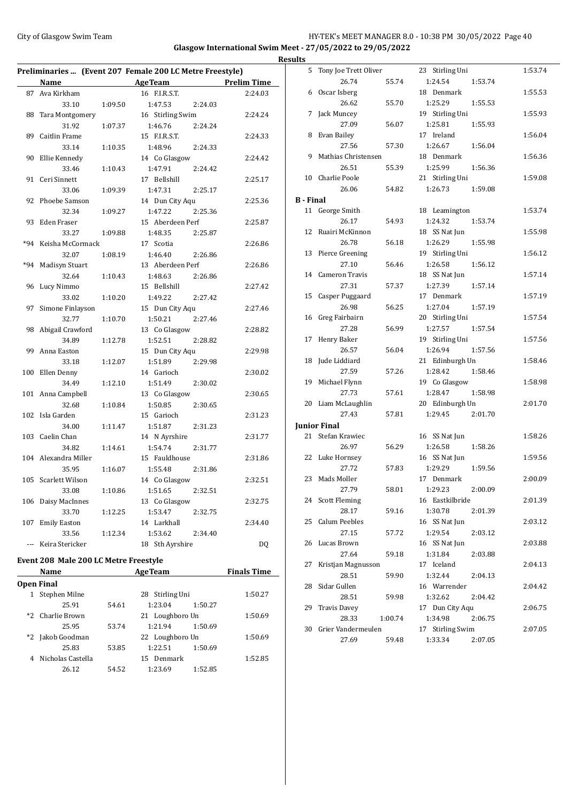### City of Glasgow Swim Team **HY-TEK's MEET MANAGER 8.0 - 10:38 PM 30/05/2022** Page 40 **Glasgow International Swim Meet - 27/05/2022 to 29/05/2022 Results**

| Preliminaries  (Event 207 Female 200 LC Metre Freestyle) |                      |         |                    |                    |  |  |
|----------------------------------------------------------|----------------------|---------|--------------------|--------------------|--|--|
|                                                          | Name                 |         | <b>AgeTeam</b>     | <b>Prelim Time</b> |  |  |
| 87                                                       | Ava Kirkham          |         | 16 F.I.R.S.T.      | 2:24.03            |  |  |
|                                                          | 33.10                | 1:09.50 | 1:47.53<br>2:24.03 |                    |  |  |
| 88                                                       | Tara Montgomery      |         | 16 Stirling Swim   | 2:24.24            |  |  |
|                                                          | 31.92                | 1:07.37 | 1:46.76<br>2:24.24 |                    |  |  |
| 89                                                       | Caitlin Frame        |         | 15 F.I.R.S.T.      | 2:24.33            |  |  |
|                                                          | 33.14                | 1:10.35 | 1:48.96<br>2:24.33 |                    |  |  |
| 90                                                       | Ellie Kennedy        |         | 14 Co Glasgow      | 2:24.42            |  |  |
|                                                          | 33.46                | 1:10.43 | 1:47.91<br>2:24.42 |                    |  |  |
| 91                                                       | Ceri Sinnett         |         | 17 Bellshill       | 2:25.17            |  |  |
|                                                          | 33.06                | 1:09.39 | 1:47.31<br>2:25.17 |                    |  |  |
| 92                                                       | Phoebe Samson        |         | 14 Dun City Aqu    | 2:25.36            |  |  |
|                                                          | 32.34                | 1:09.27 | 1:47.22<br>2:25.36 |                    |  |  |
| 93                                                       | Eden Fraser          |         | 15 Aberdeen Perf   | 2:25.87            |  |  |
|                                                          | 33.27                | 1:09.88 | 1:48.35<br>2:25.87 |                    |  |  |
| $*94$                                                    | Keisha McCormack     |         | 17 Scotia          | 2:26.86            |  |  |
|                                                          | 32.07                | 1:08.19 | 1:46.40<br>2:26.86 |                    |  |  |
| $*94$                                                    | Madisyn Stuart       |         | 13 Aberdeen Perf   | 2:26.86            |  |  |
|                                                          | 32.64                | 1:10.43 | 1:48.63<br>2:26.86 |                    |  |  |
| 96                                                       | Lucy Nimmo           |         | 15 Bellshill       | 2:27.42            |  |  |
|                                                          | 33.02                | 1:10.20 | 1:49.22<br>2:27.42 |                    |  |  |
| 97                                                       | Simone Finlayson     |         | 15 Dun City Aqu    | 2:27.46            |  |  |
|                                                          | 32.77                | 1:10.70 | 1:50.21<br>2:27.46 |                    |  |  |
| 98                                                       | Abigail Crawford     |         | 13 Co Glasgow      | 2:28.82            |  |  |
|                                                          | 34.89                | 1:12.78 | 1:52.51<br>2:28.82 |                    |  |  |
| 99                                                       | Anna Easton          |         | 15 Dun City Aqu    | 2:29.98            |  |  |
|                                                          | 33.18                | 1:12.07 | 1:51.89<br>2:29.98 |                    |  |  |
| 100                                                      | Ellen Denny          |         | 14 Garioch         | 2:30.02            |  |  |
|                                                          | 34.49                | 1:12.10 | 1:51.49<br>2:30.02 |                    |  |  |
| 101                                                      | Anna Campbell        |         | 13 Co Glasgow      | 2:30.65            |  |  |
|                                                          | 32.68                | 1:10.84 | 1:50.85<br>2:30.65 |                    |  |  |
| 102                                                      | Isla Garden          |         | 15 Garioch         | 2:31.23            |  |  |
|                                                          | 34.00                | 1:11.47 | 1:51.87<br>2:31.23 |                    |  |  |
| 103                                                      | Caelin Chan          |         | 14 N Ayrshire      | 2:31.77            |  |  |
|                                                          | 34.82                | 1:14.61 | 1:54.74<br>2:31.77 |                    |  |  |
|                                                          | 104 Alexandra Miller |         | 15 Fauldhouse      | 2:31.86            |  |  |
|                                                          | 35.95                | 1:16.07 | 1:55.48<br>2:31.86 |                    |  |  |
| 105                                                      | Scarlett Wilson      |         | 14 Co Glasgow      | 2:32.51            |  |  |
|                                                          | 33.08                | 1:10.86 | 1:51.65<br>2:32.51 |                    |  |  |
| 106                                                      | Daisy MacInnes       |         | 13 Co Glasgow      | 2:32.75            |  |  |
|                                                          | 33.70                | 1:12.25 | 1:53.47<br>2:32.75 |                    |  |  |
| 107                                                      | <b>Emily Easton</b>  |         | 14 Larkhall        | 2:34.40            |  |  |
|                                                          | 33.56                | 1:12.34 | 1:53.62<br>2:34.40 |                    |  |  |
|                                                          | --- Keira Stericker  |         | 18 Sth Ayrshire    | DQ                 |  |  |

# **Event 208 Male 200 LC Metre Freestyle**

|      | Name              |       | <b>AgeTeam</b>     |         | <b>Finals Time</b> |
|------|-------------------|-------|--------------------|---------|--------------------|
|      | <b>Open Final</b> |       |                    |         |                    |
|      | Stephen Milne     |       | Stirling Uni<br>28 |         | 1:50.27            |
|      | 25.91             | 54.61 | 1:23.04            | 1:50.27 |                    |
|      | *2 Charlie Brown  |       | 21 Loughboro Un    |         | 1:50.69            |
|      | 25.95             | 53.74 | 1:21.94            | 1:50.69 |                    |
| $*2$ | Jakob Goodman     |       | 22 Loughboro Un    |         | 1:50.69            |
|      | 25.83             | 53.85 | 1:22.51            | 1:50.69 |                    |
|      | Nicholas Castella |       | 15 Denmark         |         | 1:52.85            |
|      | 26.12             | 54.52 | 1:23.69            | 1:52.85 |                    |
|      |                   |       |                    |         |                    |

| 5                | Tony Joe Trett Oliver |         | 23 Stirling Uni  |         | 1:53.74 |
|------------------|-----------------------|---------|------------------|---------|---------|
|                  | 26.74                 | 55.74   | 1:24.54          | 1:53.74 |         |
| 6                | Oscar Isberg          |         | 18 Denmark       |         | 1:55.53 |
|                  | 26.62                 | 55.70   | 1:25.29          | 1:55.53 |         |
|                  | 7 Jack Muncey         |         | 19 Stirling Uni  |         | 1:55.93 |
|                  | 27.09                 | 56.07   | 1:25.81          | 1:55.93 |         |
|                  | 8 Evan Bailey         |         | 17 Ireland       |         | 1:56.04 |
|                  | 27.56                 | 57.30   | 1:26.67          | 1:56.04 |         |
|                  | 9 Mathias Christensen |         | 18 Denmark       |         | 1:56.36 |
|                  | 26.51                 | 55.39   | 1:25.99          | 1:56.36 |         |
|                  | 10 Charlie Poole      |         | 21 Stirling Uni  |         | 1:59.08 |
|                  | 26.06                 | 54.82   | 1:26.73          | 1:59.08 |         |
| <b>B</b> - Final |                       |         |                  |         |         |
|                  |                       |         |                  |         |         |
|                  | 11 George Smith       |         | 18 Leamington    |         | 1:53.74 |
|                  | 26.17                 | 54.93   | 1:24.32          | 1:53.74 |         |
| 12               | Ruairi McKinnon       |         | 18 SS Nat Jun    |         | 1:55.98 |
|                  | 26.78                 | 56.18   | 1:26.29          | 1:55.98 |         |
|                  | 13 Pierce Greening    |         | 19 Stirling Uni  |         | 1:56.12 |
|                  | 27.10                 | 56.46   | 1:26.58          | 1:56.12 |         |
|                  | 14 Cameron Travis     |         | 18 SS Nat Jun    |         | 1:57.14 |
|                  | 27.31                 | 57.37   | 1:27.39          | 1:57.14 |         |
|                  | 15 Casper Puggaard    |         | 17 Denmark       |         | 1:57.19 |
|                  | 26.98                 | 56.25   | 1:27.04          | 1:57.19 |         |
|                  | 16 Greg Fairbairn     |         | 20 Stirling Uni  |         | 1:57.54 |
|                  | 27.28                 | 56.99   | 1:27.57          | 1:57.54 |         |
| 17               | Henry Baker           |         | 19 Stirling Uni  |         | 1:57.56 |
|                  | 26.57                 | 56.04   | 1:26.94          | 1:57.56 |         |
| 18               | Jude Liddiard         |         | 21 Edinburgh Un  |         | 1:58.46 |
|                  | 27.59                 | 57.26   | 1:28.42          | 1:58.46 |         |
|                  | 19 Michael Flynn      |         | 19 Co Glasgow    |         | 1:58.98 |
|                  | 27.73                 | 57.61   | 1:28.47          | 1:58.98 |         |
|                  | 20 Liam McLaughlin    |         | 20 Edinburgh Un  |         | 2:01.70 |
|                  | 27.43                 | 57.81   | 1:29.45          | 2:01.70 |         |
|                  | <b>Junior Final</b>   |         |                  |         |         |
|                  | 21 Stefan Krawiec     |         | 16 SS Nat Jun    |         | 1:58.26 |
|                  | 26.97                 | 56.29   | 1:26.58          | 1:58.26 |         |
|                  | 22 Luke Hornsey       |         | 16 SS Nat Jun    |         | 1:59.56 |
|                  | 27.72                 | 57.83   | 1:29.29          | 1:59.56 |         |
| 23               | Mads Moller           |         | 17 Denmark       |         | 2:00.09 |
|                  | 27.79                 | 58.01   | 1:29.23          | 2:00.09 |         |
| 24               | <b>Scott Fleming</b>  |         | 16 Eastkilbride  |         | 2:01.39 |
|                  | 28.17                 |         |                  |         |         |
|                  |                       | 59.16   | 1:30.78          | 2:01.39 |         |
| 25               | Calum Peebles         |         | 16 SS Nat Jun    |         | 2:03.12 |
|                  | 27.15                 | 57.72   | 1:29.54          | 2:03.12 |         |
| 26               | Lucas Brown           |         | 16 SS Nat Jun    |         | 2:03.88 |
|                  | 27.64                 | 59.18   | 1:31.84          | 2:03.88 |         |
| 27               | Kristjan Magnusson    |         | 17 Iceland       |         | 2:04.13 |
|                  | 28.51                 | 59.90   | 1:32.44          | 2:04.13 |         |
| 28               | Sidar Gullen          |         | 16 Warrender     |         | 2:04.42 |
|                  | 28.51                 | 59.98   | 1:32.62          | 2:04.42 |         |
| 29               | <b>Travis Davey</b>   |         | 17 Dun City Aqu  |         | 2:06.75 |
|                  | 28.33                 | 1:00.74 | 1:34.98          | 2:06.75 |         |
| 30               | Grier Vandermeulen    |         | 17 Stirling Swim |         | 2:07.05 |
|                  | 27.69                 | 59.48   | 1:33.34          | 2:07.05 |         |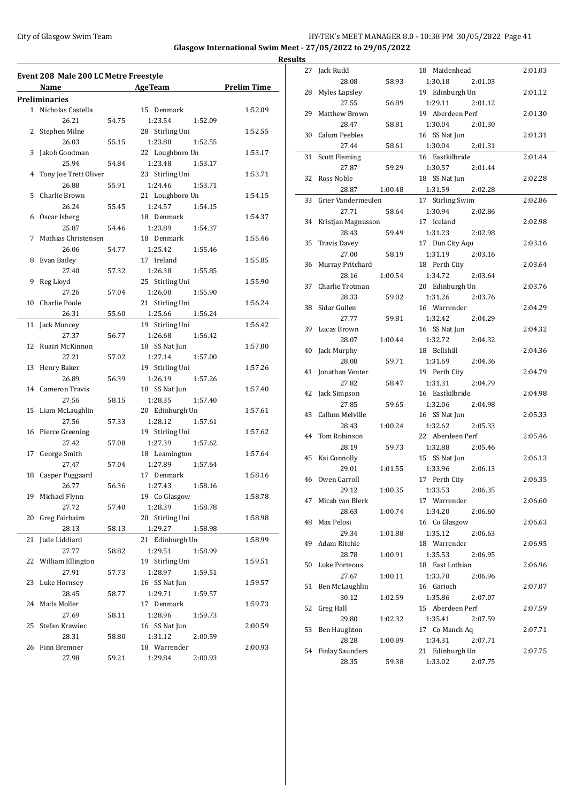#### City of Glasgow Swim Team HY-TEK's MEET MANAGER 8.0 - 10:38 PM 30/05/2022 Page 41 **Glasgow International Swim Meet - 27/05/2022 to 29/05/2022 Results**

**Event 208 Male 200 LC Metre Freestyle Name Age Team Prelim Time Preliminaries** 1 Nicholas Castella 15 Denmark 1:52.09 26.21 54.75 1:23.54 1:52.09 2 Stephen Milne 28 Stirling Uni 1:52.55 26.03 55.15 1:23.80 1:52.55 3 Jakob Goodman 22 Loughboro Un 1:53.17 25.94 54.84 1:23.48 1:53.17 4 Tony Joe Trett Oliver 23 Stirling Uni 1:53.71 26.88 55.91 1:24.46 1:53.71 5 Charlie Brown 21 Loughboro Un 1:54.15 26.24 55.45 1:24.57 1:54.15 6 Oscar Isberg 18 Denmark 1:54.37 25.87 54.46 1:23.89 1:54.37 7 Mathias Christensen 18 Denmark 1:55.46 26.06 54.77 1:25.42 1:55.46 8 Evan Bailey 17 Ireland 1:55.85 27.40 57.32 1:26.38 1:55.85 9 Reg Lloyd 25 Stirling Uni 1:55.90 27.26 57.04 1:26.08 1:55.90 10 Charlie Poole 21 Stirling Uni 1:56.24 26.31 55.60 1:25.66 1:56.24 11 Jack Muncey 19 Stirling Uni 1:56.42 27.37 56.77 1:26.68 1:56.42 12 Ruairi McKinnon 18 SS Nat Jun 1:57.00 27.21 57.02 1:27.14 1:57.00 13 Henry Baker 19 Stirling Uni 1:57.26 26.89 56.39 1:26.19 1:57.26 14 Cameron Travis 18 SS Nat Jun 1:57.40 27.56 58.15 1:28.35 1:57.40 15 Liam McLaughlin 20 Edinburgh Un 1:57.61 27.56 57.33 1:28.12 1:57.61 16 Pierce Greening 19 Stirling Uni 1:57.62 27.42 57.08 1:27.39 1:57.62 17 George Smith 18 Leamington 1:57.64 27.47 57.04 1:27.89 1:57.64 18 Casper Puggaard 17 Denmark 1:58.16 26.77 56.36 1:27.43 1:58.16 19 Michael Flynn 19 Co Glasgow 1:58.78 27.72 57.40 1:28.39 1:58.78 20 Greg Fairbairn 20 Stirling Uni 1:58.98 28.13 58.13 1:29.27 1:58.98 21 Jude Liddiard 21 Edinburgh Un 1:58.99 27.77 58.82 1:29.51 1:58.99 22 William Ellington 19 Stirling Uni 1:59.51 27.91 57.73 1:28.97 1:59.51 23 Luke Hornsey 16 SS Nat Jun 1:59.57 28.45 58.77 1:29.71 1:59.57 24 Mads Moller 17 Denmark 1:59.73 27.69 58.11 1:28.96 1:59.73 25 Stefan Krawiec 16 SS Nat Jun 2:00.59 28.31 58.80 1:31.12 2:00.59 26 Finn Bremner 18 Warrender 2:00.93 27.98 59.21 1:29.84 2:00.93

| 27 | Jack Rudd              |         | 18 Maidenhead      | 2:01.03 |
|----|------------------------|---------|--------------------|---------|
|    | 28.08                  | 58.93   | 1:30.18<br>2:01.03 |         |
| 28 | Myles Lapsley          |         | 19 Edinburgh Un    | 2:01.12 |
|    | 27.55                  | 56.89   | 1:29.11<br>2:01.12 |         |
| 29 | Matthew Brown          |         | 19 Aberdeen Perf   | 2:01.30 |
|    | 28.47                  | 58.81   | 1:30.04<br>2:01.30 |         |
| 30 | Calum Peebles          |         | 16 SS Nat Jun      | 2:01.31 |
|    | 27.44                  | 58.61   | 1:30.04<br>2:01.31 |         |
| 31 | <b>Scott Fleming</b>   |         | 16 Eastkilbride    | 2:01.44 |
|    | 27.87                  | 59.29   | 1:30.57<br>2:01.44 |         |
| 32 | Ross Noble             |         | 18 SS Nat Jun      | 2:02.28 |
|    | 28.87                  | 1:00.48 | 1:31.59<br>2:02.28 |         |
| 33 | Grier Vandermeulen     |         | 17 Stirling Swim   | 2:02.86 |
|    | 27.71                  | 58.64   | 1:30.94<br>2:02.86 |         |
| 34 | Kristjan Magnusson     |         | 17 Iceland         | 2:02.98 |
|    | 28.43                  | 59.49   | 1:31.23<br>2:02.98 |         |
| 35 | <b>Travis Davey</b>    |         | 17 Dun City Aqu    | 2:03.16 |
|    | 27.00                  | 58.19   | 1:31.19<br>2:03.16 |         |
| 36 | Murray Pritchard       |         | 18 Perth City      | 2:03.64 |
|    | 28.16                  | 1:00.54 | 1:34.72<br>2:03.64 |         |
| 37 | Charlie Trotman        |         | 20 Edinburgh Un    | 2:03.76 |
|    | 28.33                  | 59.02   | 1:31.26<br>2:03.76 |         |
| 38 | Sidar Gullen           |         | 16 Warrender       | 2:04.29 |
|    | 27.77                  | 59.81   | 1:32.42<br>2:04.29 |         |
| 39 | Lucas Brown            |         | 16 SS Nat Jun      | 2:04.32 |
|    | 28.07                  | 1:00.44 | 1:32.72<br>2:04.32 |         |
| 40 | Jack Murphy            |         | 18 Bellshill       | 2:04.36 |
|    | 28.08                  | 59.71   | 1:31.69<br>2:04.36 |         |
| 41 | <b>Ionathan Venter</b> |         | 19 Perth City      | 2:04.79 |
|    | 27.82                  | 58.47   | 1:31.31<br>2:04.79 |         |
| 42 | Jack Simpson           |         | 16 Eastkilbride    | 2:04.98 |
|    | 27.85                  | 59.65   | 1:32.06<br>2:04.98 |         |
| 43 | Callum Melville        |         | 16 SS Nat Jun      | 2:05.33 |
|    | 28.43                  | 1:00.24 | 1:32.62<br>2:05.33 |         |
| 44 | Tom Robinson           |         | 22 Aberdeen Perf   | 2:05.46 |
|    | 28.19                  | 59.73   | 1:32.88<br>2:05.46 |         |
| 45 | Kai Connolly           |         | 15 SS Nat Jun      | 2:06.13 |
|    | 29.01                  | 1:01.55 | 1:33.96<br>2:06.13 |         |
|    | 46 Owen Carroll        |         | 17 Perth City      | 2:06.35 |
|    | 29.12                  | 1:00.35 | 1:33.53<br>2:06.35 |         |
| 47 | Micah van Blerk        |         | 17 Warrender       | 2:06.60 |
|    | 28.63                  | 1:00.74 | 1:34.20<br>2:06.60 |         |
| 48 | Max Pelosi             |         | 16 Co Glasgow      | 2:06.63 |
|    | 29.34                  | 1:01.88 | 1:35.12<br>2:06.63 |         |
| 49 | Adam Ritchie           |         | 18 Warrender       | 2:06.95 |
|    | 28.78                  | 1:00.91 | 1:35.53<br>2:06.95 |         |
| 50 | Luke Porteous          |         | 18 East Lothian    | 2:06.96 |
|    | 27.67                  | 1:00.11 | 1:33.70<br>2:06.96 |         |
| 51 | Ben McLaughlin         |         | 16 Garioch         | 2:07.07 |
|    | 30.12                  | 1:02.59 | 1:35.86<br>2:07.07 |         |
| 52 | <b>Greg Hall</b>       |         | 15 Aberdeen Perf   | 2:07.59 |
|    | 29.80                  | 1:02.32 | 1:35.41<br>2:07.59 |         |
| 53 | Ben Haughton           |         | 17 Co Manch Aq     | 2:07.71 |
|    | 28.28                  | 1:00.89 | 1:34.31<br>2:07.71 |         |
| 54 | <b>Finlay Saunders</b> |         | 21 Edinburgh Un    | 2:07.75 |
|    | 28.35                  | 59.38   | 1:33.02<br>2:07.75 |         |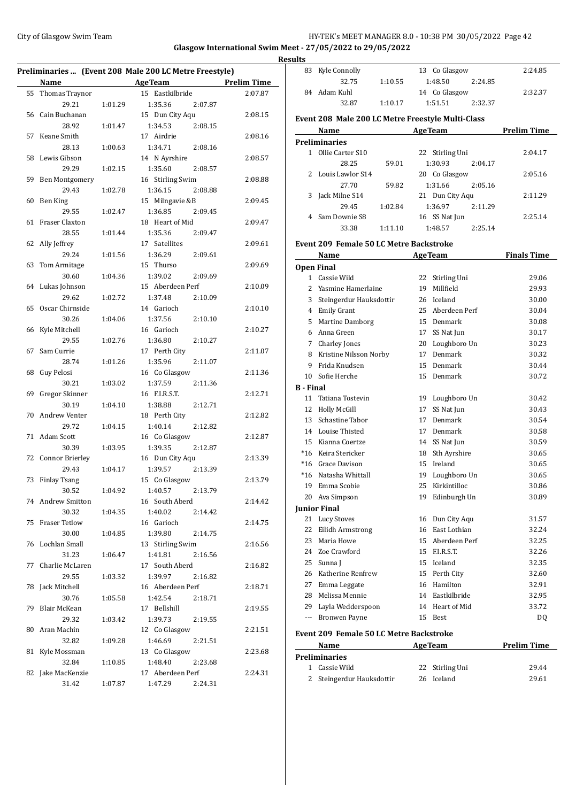## City of Glasgow Swim Team Team Feam Fermion City of Glasgow Swim Team Feam Fermion City of Glasgow Swim Team Feam Fermion City of Glasgow Swim Team Fermion City of Glasgow Swim Team Fermion City of Glasgow Swim Team Fermio **Glasgow International Swim Meet - 27/05/2022 to 29/05/2022**

**Results**

|    | Name                   |         | Preliminaries  (Event 208 Male 200 LC Metre Freestyle)<br><b>AgeTeam</b> | <b>Prelim Time</b> |
|----|------------------------|---------|--------------------------------------------------------------------------|--------------------|
|    |                        |         | 15 Eastkilbride                                                          |                    |
| 55 | Thomas Traynor         |         |                                                                          | 2:07.87            |
|    | 29.21                  | 1:01.29 | 1:35.36<br>2:07.87                                                       |                    |
| 56 | Cain Buchanan          |         | 15 Dun City Aqu                                                          | 2:08.15            |
|    | 28.92                  | 1:01.47 | 1:34.53<br>2:08.15                                                       |                    |
| 57 | Keane Smith            |         | 17 Airdrie                                                               | 2:08.16            |
|    | 28.13                  | 1:00.63 | 1:34.71<br>2:08.16                                                       |                    |
| 58 | Lewis Gibson           |         | 14 N Ayrshire                                                            | 2:08.57            |
|    | 29.29                  | 1:02.15 | 1:35.60<br>2:08.57                                                       |                    |
| 59 | <b>Ben Montgomery</b>  |         | 16 Stirling Swim                                                         | 2:08.88            |
|    | 29.43                  | 1:02.78 | 1:36.15<br>2:08.88                                                       |                    |
| 60 | Ben King               |         | 15 Milngavie &B                                                          | 2:09.45            |
|    | 29.55                  | 1:02.47 | 1:36.85<br>2:09.45                                                       |                    |
| 61 | Fraser Claxton         |         | 18 Heart of Mid                                                          | 2:09.47            |
|    | 28.55                  | 1:01.44 | 1:35.36<br>2:09.47                                                       |                    |
| 62 | Ally Jeffrey           |         | 17 Satellites                                                            | 2:09.61            |
|    | 29.24                  | 1:01.56 | 1:36.29<br>2:09.61                                                       |                    |
| 63 | Tom Armitage           |         | 15 Thurso                                                                | 2:09.69            |
|    | 30.60                  | 1:04.36 | 1:39.02<br>2:09.69                                                       |                    |
| 64 | Lukas Johnson          |         | 15 Aberdeen Perf                                                         | 2:10.09            |
|    | 29.62                  | 1:02.72 | 1:37.48<br>2:10.09                                                       |                    |
| 65 | Oscar Chirnside        |         | 14 Garioch                                                               | 2:10.10            |
|    | 30.26                  | 1:04.06 | 1:37.56<br>2:10.10                                                       |                    |
| 66 | Kyle Mitchell          |         | 16 Garioch                                                               | 2:10.27            |
|    | 29.55                  | 1:02.76 | 1:36.80<br>2:10.27                                                       |                    |
| 67 | Sam Currie             |         | 17 Perth City                                                            | 2:11.07            |
|    | 28.74                  | 1:01.26 | 1:35.96<br>2:11.07                                                       |                    |
| 68 | Guy Pelosi             |         | 16 Co Glasgow                                                            | 2:11.36            |
|    | 30.21                  | 1:03.02 | 1:37.59<br>2:11.36                                                       |                    |
| 69 | Gregor Skinner         |         | 16 F.I.R.S.T.                                                            | 2:12.71            |
|    | 30.19                  | 1:04.10 | 1:38.88<br>2:12.71                                                       |                    |
| 70 | Andrew Venter          |         | 18 Perth City                                                            | 2:12.82            |
|    | 29.72                  | 1:04.15 | 1:40.14<br>2:12.82                                                       |                    |
| 71 | <b>Adam Scott</b>      |         | 16 Co Glasgow                                                            | 2:12.87            |
|    | 30.39                  | 1:03.95 | 1:39.35<br>2:12.87                                                       |                    |
| 72 | <b>Connor Brierley</b> |         | 16 Dun City Aqu                                                          | 2:13.39            |
|    | 29.43                  | 1:04.17 | 1:39.57<br>2:13.39                                                       |                    |
| 73 | <b>Finlay Tsang</b>    |         | 15 Co Glasgow                                                            | 2:13.79            |
|    | 30.52                  | 1:04.92 | 1:40.57<br>2:13.79                                                       |                    |
|    | 74 Andrew Smitton      |         | 16 South Aberd                                                           | 2:14.42            |
|    | 30.32                  | 1:04.35 | 1:40.02<br>2:14.42                                                       |                    |
| 75 | <b>Fraser Tetlow</b>   |         | 16 Garioch                                                               | 2:14.75            |
|    | 30.00                  | 1:04.85 | 1:39.80<br>2:14.75                                                       |                    |
| 76 | Lochlan Small          |         | 13 Stirling Swim                                                         | 2:16.56            |
|    | 31.23                  | 1:06.47 | 1:41.81<br>2:16.56                                                       |                    |
|    | Charlie McLaren        |         | 17 South Aberd                                                           |                    |
| 77 |                        |         |                                                                          | 2:16.82            |
|    | 29.55                  | 1:03.32 | 1:39.97<br>2:16.82                                                       |                    |
| 78 | Jack Mitchell          |         | 16 Aberdeen Perf                                                         | 2:18.71            |
|    | 30.76                  | 1:05.58 | 1:42.54<br>2:18.71                                                       |                    |
| 79 | Blair McKean           |         | 17 Bellshill                                                             | 2:19.55            |
|    | 29.32                  | 1:03.42 | 1:39.73<br>2:19.55                                                       |                    |
| 80 | Aran Machin            |         | 12 Co Glasgow                                                            | 2:21.51            |
|    | 32.82                  | 1:09.28 | 1:46.69<br>2:21.51                                                       |                    |
| 81 | Kyle Mossman           |         | 13 Co Glasgow                                                            | 2:23.68            |
|    | 32.84                  | 1:10.85 | 1:48.40<br>2:23.68                                                       |                    |
| 82 | Jake MacKenzie         |         | 17 Aberdeen Perf                                                         | 2:24.31            |
|    | 31.42                  | 1:07.87 | 1:47.29<br>2:24.31                                                       |                    |

| 83               | Kyle Connolly                                     |         |    | 13 Co Glasgow                | 2:24.85            |
|------------------|---------------------------------------------------|---------|----|------------------------------|--------------------|
|                  | 32.75                                             | 1:10.55 |    | 1:48.50<br>2:24.85           |                    |
| 84               | Adam Kuhl                                         |         |    | 14 Co Glasgow                | 2:32.37            |
|                  | 32.87                                             | 1:10.17 |    | 1:51.51<br>2:32.37           |                    |
|                  | Event 208 Male 200 LC Metre Freestyle Multi-Class |         |    |                              |                    |
|                  | Name                                              |         |    | <b>Example 2018 Age Team</b> | <b>Prelim Time</b> |
|                  | <b>Preliminaries</b>                              |         |    |                              |                    |
|                  | 1 Ollie Carter S10                                |         |    | 22 Stirling Uni              | 2:04.17            |
|                  | 28.25                                             | 59.01   |    | 1:30.93<br>2:04.17           |                    |
|                  | 2 Louis Lawlor S14                                |         |    | 20 Co Glasgow                | 2:05.16            |
|                  | 27.70                                             | 59.82   |    | 1:31.66<br>2:05.16           |                    |
| 3                | Jack Milne S14                                    |         |    | 21 Dun City Aqu              | 2:11.29            |
|                  | 29.45                                             | 1:02.84 |    | 1:36.97<br>2:11.29           |                    |
| 4                | Sam Downie S8                                     |         |    | 16 SS Nat Jun                | 2:25.14            |
|                  | 33.38                                             | 1:11.10 |    | 1:48.57<br>2:25.14           |                    |
|                  | <b>Event 209 Female 50 LC Metre Backstroke</b>    |         |    |                              |                    |
|                  | Name                                              |         |    | <b>AgeTeam</b>               | <b>Finals Time</b> |
|                  | <b>Open Final</b>                                 |         |    |                              |                    |
|                  | 1 Cassie Wild                                     |         |    | 22 Stirling Uni              | 29.06              |
|                  | 2 Yasmine Hamerlaine                              |         |    | 19 Millfield                 | 29.93              |
|                  | 3 Steingerdur Hauksdottir                         |         |    | 26 Iceland                   | 30.00              |
|                  | 4 Emily Grant                                     |         |    | 25 Aberdeen Perf             | 30.04              |
|                  | 5 Martine Damborg                                 |         |    | 15 Denmark                   | 30.08              |
|                  | 6 Anna Green                                      |         |    | 17 SS Nat Jun                | 30.17              |
|                  | 7 Charley Jones                                   |         |    | 20 Loughboro Un              | 30.23              |
|                  | 8 Kristine Nilsson Norby                          |         |    | 17 Denmark                   | 30.32              |
|                  | 9 Frida Knudsen                                   |         |    | 15 Denmark                   | 30.44              |
|                  | 10 Sofie Herche                                   |         |    | 15 Denmark                   | 30.72              |
| <b>B</b> - Final |                                                   |         |    |                              |                    |
| 11               | Tatiana Tostevin                                  |         |    | 19 Loughboro Un              | 30.42              |
|                  | 12 Holly McGill                                   |         |    | 17 SS Nat Jun                | 30.43              |
|                  | 13 Schastine Tabor                                |         |    | 17 Denmark                   | 30.54              |
|                  | 14 Louise Thisted                                 |         |    | 17 Denmark                   | 30.58              |
|                  | 15 Kianna Coertze                                 |         |    | 14 SS Nat Jun                | 30.59              |
|                  | *16 Keira Stericker                               |         |    | 18 Sth Ayrshire              | 30.65              |
|                  | *16 Grace Davison                                 |         |    | 15 Ireland                   | 30.65              |
|                  | *16 Natasha Whittall                              |         |    | 19 Loughboro Un              | 30.65              |
|                  | 19 Emma Scobie                                    |         |    | 25 Kirkintilloc              | 30.86              |
|                  | 20 Ava Simpson                                    |         | 19 | Edinburgh Un                 | 30.89              |
|                  | <b>Junior Final</b>                               |         |    |                              |                    |
|                  | 21 Lucy Stoves                                    |         |    | 16 Dun City Aqu              | 31.57              |
| 22               | Eilidh Armstrong                                  |         |    | 16 East Lothian              | 32.24              |
|                  | 23 Maria Howe                                     |         |    | 15 Aberdeen Perf             | 32.25              |
|                  | 24 Zoe Crawford                                   |         |    | 15 F.I.R.S.T.                | 32.26              |
|                  | 25 Sunna J                                        |         |    | 15 Iceland                   | 32.35              |
|                  | 26 Katherine Renfrew                              |         |    | 15 Perth City                | 32.60              |
|                  | 27 Emma Leggate                                   |         |    | 16 Hamilton                  | 32.91              |
|                  | 28 Melissa Mennie                                 |         |    | 14 Eastkilbride              | 32.95              |
|                  | 29 Layla Wedderspoon                              |         |    | 14 Heart of Mid              | 33.72              |
|                  | --- Bronwen Payne                                 |         |    | 15 Best                      | DQ                 |
|                  | <b>Event 209 Female 50 LC Metre Backstroke</b>    |         |    |                              |                    |
|                  | Name                                              |         |    | <b>AgeTeam</b>               | <b>Prelim Time</b> |
|                  | <b>Preliminaries</b>                              |         |    |                              |                    |
| 1                | Cassie Wild                                       |         | 22 | Stirling Uni                 | 29.44              |

| 1 Cassie Wild             | 22 Stirling Uni | 29.44 |
|---------------------------|-----------------|-------|
| 2 Steingerdur Hauksdottir | 26 Iceland      | 29.61 |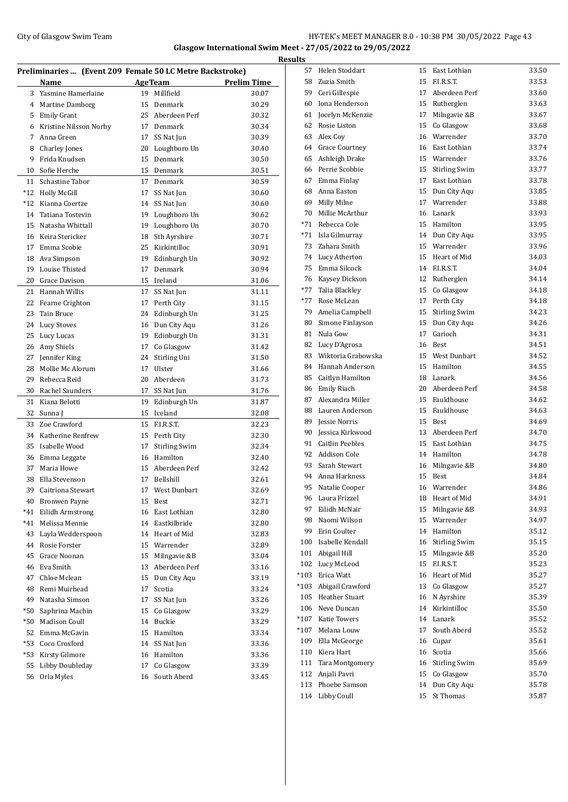## City of Glasgow Swim Team Team Frameters Music City of Glasgow Swim Team Frameters 10:38 PM 30/05/2022 Page 43 **Glasgow International Swim Meet - 27/05/2022 to 29/05/2022**

| Preliminaries  (Event 209 Female 50 LC Metre Backstroke) |                        |    |                      |                    |  |  |  |
|----------------------------------------------------------|------------------------|----|----------------------|--------------------|--|--|--|
|                                                          | Name                   |    | <b>AgeTeam</b>       | <b>Prelim Time</b> |  |  |  |
| 3                                                        | Yasmine Hamerlaine     | 19 | Millfield            | 30.07              |  |  |  |
| 4                                                        | <b>Martine Damborg</b> |    | 15 Denmark           | 30.29              |  |  |  |
| 5                                                        | <b>Emily Grant</b>     |    | 25 Aberdeen Perf     | 30.32              |  |  |  |
| 6                                                        | Kristine Nilsson Norby | 17 | Denmark              | 30.34              |  |  |  |
| 7                                                        | Anna Green             | 17 | SS Nat Jun           | 30.39              |  |  |  |
| 8                                                        | Charley Jones          | 20 | Loughboro Un         | 30.40              |  |  |  |
| 9                                                        | Frida Knudsen          | 15 | Denmark              | 30.50              |  |  |  |
| 10                                                       | Sofie Herche           | 15 | Denmark              | 30.51              |  |  |  |
| 11                                                       | Schastine Tabor        | 17 | Denmark              | 30.59              |  |  |  |
| $*12$                                                    | <b>Holly McGill</b>    | 17 | SS Nat Jun           | 30.60              |  |  |  |
| $*12$                                                    | Kianna Coertze         |    | 14 SS Nat Jun        | 30.60              |  |  |  |
| 14                                                       | Tatiana Tostevin       | 19 | Loughboro Un         | 30.62              |  |  |  |
| 15                                                       | Natasha Whittall       | 19 | Loughboro Un         | 30.70              |  |  |  |
| 16                                                       | Keira Stericker        | 18 | Sth Ayrshire         | 30.71              |  |  |  |
| 17                                                       | Emma Scobie            |    | 25 Kirkintilloc      | 30.91              |  |  |  |
| 18                                                       | Ava Simpson            | 19 | Edinburgh Un         | 30.92              |  |  |  |
| 19                                                       | Louise Thisted         | 17 | Denmark              | 30.94              |  |  |  |
| 20                                                       | Grace Davison          |    | 15 Ireland           | 31.06              |  |  |  |
| 21                                                       | Hannah Willis          | 17 | SS Nat Jun           | 31.11              |  |  |  |
| 22                                                       | Fearne Crighton        |    | 17 Perth City        | 31.15              |  |  |  |
| 23                                                       | Tain Bruce             |    | 24 Edinburgh Un      | 31.25              |  |  |  |
| 24                                                       | <b>Lucy Stoves</b>     | 16 | Dun City Aqu         | 31.26              |  |  |  |
| 25                                                       | Lucy Lucas             | 19 | Edinburgh Un         | 31.31              |  |  |  |
| 26                                                       | Amy Shiels             | 17 | Co Glasgow           | 31.42              |  |  |  |
| 27                                                       | Jennifer King          | 24 | Stirling Uni         | 31.50              |  |  |  |
| 28                                                       | Mollie Mc Alorum       | 17 | Ulster               | 31.66              |  |  |  |
| 29                                                       | Rebecca Reid           | 20 | Aberdeen             | 31.73              |  |  |  |
| 30                                                       | Rachel Saunders        | 17 | SS Nat Jun           | 31.76              |  |  |  |
| 31                                                       | Kiana Belotti          | 19 | Edinburgh Un         | 31.87              |  |  |  |
| 32                                                       | Sunna J                | 15 | Iceland              | 32.08              |  |  |  |
| 33                                                       | Zoe Crawford           | 15 | F.I.R.S.T.           | 32.23              |  |  |  |
| 34                                                       | Katherine Renfrew      | 15 | Perth City           | 32.30              |  |  |  |
| 35                                                       | Isabelle Wood          | 17 | <b>Stirling Swim</b> | 32.34              |  |  |  |
| 36                                                       | Emma Leggate           | 16 | Hamilton             | 32.40              |  |  |  |
| 37                                                       | Maria Howe             | 15 | Aberdeen Perf        | 32.42              |  |  |  |
| 38                                                       | Ella Stevenson         | 17 | Bellshill            | 32.61              |  |  |  |
| 39                                                       | Caitriona Stewart      | 17 | West Dunbart         | 32.69              |  |  |  |
| 40                                                       | <b>Bronwen Payne</b>   | 15 | Best                 | 32.71              |  |  |  |
| $*41$                                                    | Eilidh Armstrong       | 16 | East Lothian         | 32.80              |  |  |  |
| $*41$                                                    | Melissa Mennie         | 14 | Eastkilbride         | 32.80              |  |  |  |
| 43                                                       | Layla Wedderspoon      |    | 14 Heart of Mid      | 32.83              |  |  |  |
| 44                                                       | Rosie Forster          |    | 15 Warrender         | 32.89              |  |  |  |
| 45                                                       | Grace Noonan           | 15 | Milngavie &B         | 33.04              |  |  |  |
| 46                                                       | Eva Smith              | 13 | Aberdeen Perf        | 33.16              |  |  |  |
| 47                                                       | Chloe Mclean           | 15 | Dun City Aqu         | 33.19              |  |  |  |
| 48                                                       | Remi Muirhead          | 17 | Scotia               | 33.24              |  |  |  |
| 49                                                       | Natasha Simson         | 17 | SS Nat Jun           | 33.26              |  |  |  |
| $*50$                                                    | Saphrina Machin        | 15 | Co Glasgow           | 33.29              |  |  |  |
| *50                                                      | <b>Madison Coull</b>   | 14 | Buckie               | 33.29              |  |  |  |
| 52                                                       | Emma McGavin           | 15 | Hamilton             | 33.34              |  |  |  |
| $*53$                                                    | Coco Croxford          | 14 | SS Nat Jun           | 33.36              |  |  |  |
| *53                                                      | <b>Kirsty Gilmore</b>  |    | 16 Hamilton          | 33.36              |  |  |  |
| 55                                                       | Libby Doubleday        | 17 | Co Glasgow           | 33.39              |  |  |  |
| 56                                                       | Orla Myles             | 16 | South Aberd          | 33.45              |  |  |  |
|                                                          |                        |    |                      |                    |  |  |  |

|   | <b>Results</b> |                       |    |                  |       |
|---|----------------|-----------------------|----|------------------|-------|
|   | 57             | Helen Stoddart        |    | 15 East Lothian  | 33.50 |
|   |                | 58 Zuzia Smith        |    | 15 F.I.R.S.T.    | 33.53 |
|   |                | 59 Ceri Gillespie     |    | 17 Aberdeen Perf | 33.60 |
|   |                | 60 Iona Henderson     |    | 15 Rutherglen    | 33.63 |
|   | 61             | Jocelyn McKenzie      | 17 | Milngavie &B     | 33.67 |
|   |                | 62 Rosie Liston       | 15 | Co Glasgow       | 33.68 |
|   |                | 63 Alex Coy           |    | 16 Warrender     | 33.70 |
|   |                | 64 Grace Courtney     |    | 16 East Lothian  | 33.74 |
|   |                | 65 Ashleigh Drake     |    | 15 Warrender     | 33.76 |
|   |                | 66 Perrie Scobbie     |    | 15 Stirling Swim | 33.77 |
|   |                | 67 Emma Finlay        |    | 17 East Lothian  | 33.78 |
|   |                | 68 Anna Easton        |    | 15 Dun City Aqu  | 33.85 |
|   |                | 69 Milly Milne        |    | 17 Warrender     | 33.88 |
|   |                | 70 Millie McArthur    |    | 16 Lanark        | 33.93 |
|   |                | *71 Rebecca Cole      |    | 15 Hamilton      | 33.95 |
|   |                | *71 Isla Gilmurray    |    | 14 Dun City Aqu  | 33.95 |
|   |                | 73 Zahara Smith       |    | 15 Warrender     | 33.96 |
|   |                | 74 Lucy Atherton      |    | 15 Heart of Mid  | 34.03 |
|   |                | 75 Emma Silcock       |    | 14 F.I.R.S.T.    | 34.04 |
|   |                | 76 Kaysey Dickson     |    | 12 Rutherglen    | 34.14 |
|   |                | *77 Talia Blackley    |    | 15 Co Glasgow    | 34.18 |
|   |                | *77 Rose McLean       |    | 17 Perth City    | 34.18 |
|   |                | 79 Amelia Campbell    |    | 15 Stirling Swim | 34.23 |
|   |                | 80 Simone Finlayson   |    | 15 Dun City Aqu  | 34.26 |
|   |                | 81 Nula Gow           |    | 17 Garioch       | 34.31 |
|   |                | 82 Lucy D'Agrosa      |    | 16 Best          | 34.51 |
|   |                | 83 Wiktoria Grabowska |    | 15 West Dunbart  | 34.52 |
|   |                | 84 Hannah Anderson    |    | 15 Hamilton      | 34.55 |
|   |                | 85 Caitlyn Hamilton   |    | 18 Lanark        | 34.56 |
|   |                | 86 Emily Riach        |    | 20 Aberdeen Perf | 34.58 |
|   |                | 87 Alexandra Miller   |    | 15 Fauldhouse    | 34.62 |
|   |                | 88 Lauren Anderson    |    | 15 Fauldhouse    | 34.63 |
| - |                | 89 Jessie Norris      |    | 15 Best          | 34.69 |
|   |                | 90 Jessica Kirkwood   |    | 13 Aberdeen Perf | 34.70 |
|   |                | 91 Caitlin Peebles    |    | 15 East Lothian  | 34.75 |
|   |                | 92 Addison Cole       |    | 14 Hamilton      | 34.78 |
|   |                | 93 Sarah Stewart      | 16 | Milngavie &B     | 34.80 |
|   | 94             | Anna Harkness         | 15 | Best             | 34.84 |
|   | 95             | Natalie Cooper        | 16 | Warrender        | 34.86 |
|   |                | 96 Laura Frizzel      |    | 18 Heart of Mid  | 34.91 |
|   | 97             | Eilidh McNair         |    | 15 Milngavie &B  | 34.93 |
|   |                | 98 Naomi Wilson       |    | 15 Warrender     | 34.97 |
|   |                | 99 Erin Coulter       |    | 14 Hamilton      | 35.12 |
|   |                | 100 Isabelle Kendall  |    | 16 Stirling Swim | 35.15 |
|   |                | 101 Abigail Hill      |    | 15 Milngavie &B  | 35.20 |
|   |                | 102 Lucy McLeod       |    | 15 F.I.R.S.T.    | 35.23 |
|   |                | *103 Erica Watt       |    | 16 Heart of Mid  | 35.27 |
|   |                | *103 Abigail Crawford |    | 13 Co Glasgow    | 35.27 |
|   |                | 105 Heather Stuart    |    | 16 N Ayrshire    | 35.39 |
|   |                | 106 Neve Duncan       |    | 14 Kirkintilloc  | 35.50 |
|   |                | *107 Katie Towers     |    | 14 Lanark        | 35.52 |
|   |                | *107 Melana Louw      |    | 17 South Aberd   | 35.52 |
|   |                |                       |    |                  |       |
|   |                | 109 Ella McGeorge     |    | 16 Cupar         | 35.61 |
|   |                | 110 Kiera Hart        | 16 | Scotia           | 35.66 |
|   |                | 111 Tara Montgomery   |    | 16 Stirling Swim | 35.69 |
|   | 112            | Anjali Pavri          |    | 15 Co Glasgow    | 35.70 |
|   | 113            | Phoebe Samson         |    | 14 Dun City Aqu  | 35.78 |
|   |                | 114 Libby Coull       | 15 | St Thomas        | 35.87 |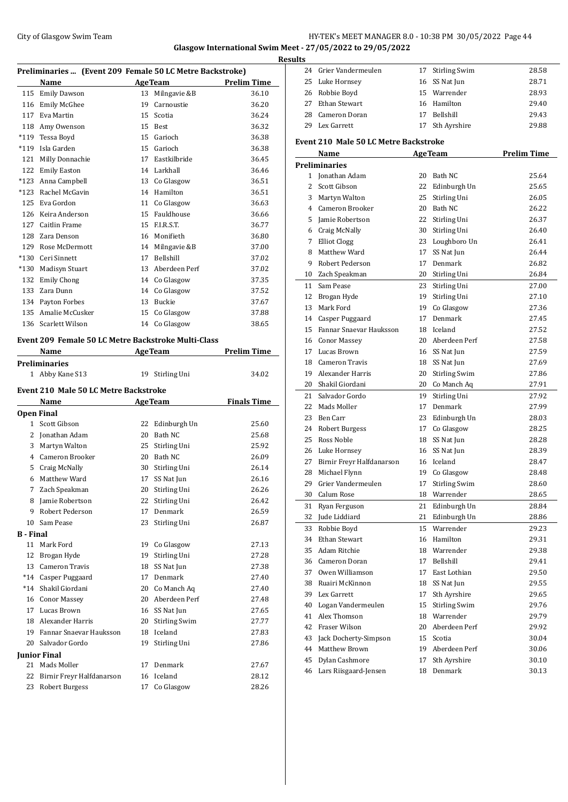## City of Glasgow Swim Team Team Frameters Music City of Glasgow Swim Team Frameters Music City of Glasgow Swim Team Frameters Music City of Glasgow Swim Team Frameters Music City of Glasgow Swim Team Frameters Music City of **Glasgow International Swim Meet - 27/05/2022 to 29/05/2022**

| Preliminaries  (Event 209 Female 50 LC Metre Backstroke) |                                                     |    |                      |                    |  |  |  |
|----------------------------------------------------------|-----------------------------------------------------|----|----------------------|--------------------|--|--|--|
|                                                          | Name                                                |    | <b>AgeTeam</b>       | <b>Prelim Time</b> |  |  |  |
| 115                                                      | <b>Emily Dawson</b>                                 | 13 | Milngavie &B         | 36.10              |  |  |  |
| 116                                                      | Emily McGhee                                        | 19 | Carnoustie           | 36.20              |  |  |  |
| 117                                                      | Eva Martin                                          | 15 | Scotia               | 36.24              |  |  |  |
| 118                                                      | Amy Owenson                                         | 15 | Best                 | 36.32              |  |  |  |
| $*119$                                                   | Tessa Boyd                                          | 15 | Garioch              | 36.38              |  |  |  |
| $*119$                                                   | Isla Garden                                         | 15 | Garioch              | 36.38              |  |  |  |
| 121                                                      | Milly Donnachie                                     | 17 | Eastkilbride         | 36.45              |  |  |  |
| 122                                                      | Emily Easton                                        |    | 14 Larkhall          | 36.46              |  |  |  |
| $*123$                                                   | Anna Campbell                                       |    | 13 Co Glasgow        | 36.51              |  |  |  |
|                                                          | *123 Rachel McGavin                                 |    | 14 Hamilton          | 36.51              |  |  |  |
| 125                                                      | Eva Gordon                                          | 11 | Co Glasgow           | 36.63              |  |  |  |
| 126                                                      | Keira Anderson                                      |    | 15 Fauldhouse        | 36.66              |  |  |  |
| 127                                                      | Caitlin Frame                                       |    | 15 F.I.R.S.T.        | 36.77              |  |  |  |
| 128                                                      | Zara Denson                                         |    | 16 Monifieth         | 36.80              |  |  |  |
| 129                                                      | Rose McDermott                                      | 14 | Milngavie &B         | 37.00              |  |  |  |
| $*130$                                                   | Ceri Sinnett                                        | 17 | Bellshill            | 37.02              |  |  |  |
| $*130$                                                   | <b>Madisyn Stuart</b>                               |    | 13 Aberdeen Perf     | 37.02              |  |  |  |
| 132                                                      | <b>Emily Chong</b>                                  |    | 14 Co Glasgow        | 37.35              |  |  |  |
| 133                                                      | Zara Dunn                                           |    | 14 Co Glasgow        | 37.52              |  |  |  |
|                                                          | 134 Payton Forbes                                   |    | 13 Buckie            | 37.67              |  |  |  |
| 135                                                      | Amalie McCusker                                     | 15 | Co Glasgow           | 37.88              |  |  |  |
|                                                          | 136 Scarlett Wilson                                 | 14 | Co Glasgow           | 38.65              |  |  |  |
|                                                          |                                                     |    |                      |                    |  |  |  |
|                                                          | Event 209 Female 50 LC Metre Backstroke Multi-Class |    |                      |                    |  |  |  |
|                                                          | Name                                                |    | <b>AgeTeam</b>       | <b>Prelim Time</b> |  |  |  |
|                                                          | Preliminaries<br>1 Abby Kane S13                    | 19 | Stirling Uni         | 34.02              |  |  |  |
|                                                          |                                                     |    |                      |                    |  |  |  |
|                                                          | <b>Event 210 Male 50 LC Metre Backstroke</b>        |    |                      |                    |  |  |  |
|                                                          | Name                                                |    | <b>AgeTeam</b>       | <b>Finals Time</b> |  |  |  |
|                                                          | <b>Open Final</b>                                   |    |                      |                    |  |  |  |
| $\mathbf{1}$                                             | Scott Gibson                                        | 22 | Edinburgh Un         | 25.60              |  |  |  |
| 2                                                        | Jonathan Adam                                       | 20 | Bath NC              | 25.68              |  |  |  |
| 3                                                        | Martyn Walton                                       | 25 | Stirling Uni         | 25.92              |  |  |  |
| 4                                                        | Cameron Brooker                                     |    | 20 Bath NC           | 26.09              |  |  |  |
| 5                                                        | Craig McNally                                       |    | 30 Stirling Uni      | 26.14              |  |  |  |
| 6                                                        | Matthew Ward                                        | 17 | SS Nat Jun           | 26.16              |  |  |  |
|                                                          | 7 Zach Speakman                                     |    | 20 Stirling Uni      | 26.26              |  |  |  |
| 8                                                        | Jamie Robertson                                     | 22 | Stirling Uni         | 26.42              |  |  |  |
| 9                                                        | Robert Pederson                                     | 17 | Denmark              | 26.59              |  |  |  |
| 10                                                       | Sam Pease                                           | 23 | Stirling Uni         | 26.87              |  |  |  |
| B - Final                                                |                                                     |    |                      |                    |  |  |  |
| 11                                                       | Mark Ford                                           | 19 | Co Glasgow           | 27.13              |  |  |  |
| 12                                                       | Brogan Hyde                                         | 19 | Stirling Uni         | 27.28              |  |  |  |
| 13                                                       | Cameron Travis                                      | 18 | SS Nat Jun           | 27.38              |  |  |  |
| $*14$                                                    | Casper Puggaard                                     | 17 | Denmark              | 27.40              |  |  |  |
| $*14$                                                    | Shakil Giordani                                     |    | 20 Co Manch Aq       | 27.40              |  |  |  |
| 16                                                       | <b>Conor Massey</b>                                 |    | 20 Aberdeen Perf     | 27.48              |  |  |  |
| 17                                                       | Lucas Brown                                         |    | 16 SS Nat Jun        | 27.65              |  |  |  |
| 18                                                       | Alexander Harris                                    | 20 | <b>Stirling Swim</b> | 27.77              |  |  |  |
| 19                                                       | Fannar Snaevar Hauksson                             |    | 18 Iceland           | 27.83              |  |  |  |
| 20                                                       | Salvador Gordo                                      | 19 | Stirling Uni         | 27.86              |  |  |  |
|                                                          | Junior Final                                        |    |                      |                    |  |  |  |
| 21                                                       | Mads Moller                                         | 17 | Denmark              | 27.67              |  |  |  |
|                                                          | 22 - Birnir Freyr Halfdanarson                      |    | 16 Iceland           | 28.12              |  |  |  |

| 21 Mads Moller               | 17 Denmark    | 27.67 |
|------------------------------|---------------|-------|
| 22 Birnir Freyr Halfdanarson | 16 Iceland    | 28.12 |
| 23 Robert Burgess            | 17 Co Glasgow | 28.26 |

| <b>Results</b> |                                              |          |                                  |                    |
|----------------|----------------------------------------------|----------|----------------------------------|--------------------|
|                | 24 Grier Vandermeulen                        |          | 17 Stirling Swim                 | 28.58              |
|                | 25 Luke Hornsey                              |          | 16 SS Nat Jun                    | 28.71              |
|                | 26 Robbie Boyd                               |          | 15 Warrender                     | 28.93              |
|                | 27 Ethan Stewart                             |          | 16 Hamilton                      | 29.40              |
| 28             | Cameron Doran                                |          | 17 Bellshill                     | 29.43              |
| 29             | Lex Garrett                                  | 17       | Sth Ayrshire                     | 29.88              |
|                |                                              |          |                                  |                    |
|                | <b>Event 210 Male 50 LC Metre Backstroke</b> |          |                                  |                    |
|                | Name                                         |          | <b>AgeTeam</b>                   | <b>Prelim Time</b> |
|                | <b>Preliminaries</b>                         |          |                                  | 25.64              |
| 2              | 1 Jonathan Adam                              |          | 20 Bath NC                       |                    |
|                | Scott Gibson                                 |          | 22 Edinburgh Un                  | 25.65              |
|                | 3 Martyn Walton                              | 25       | Stirling Uni<br>20 Bath NC       | 26.05<br>26.22     |
|                | 4 Cameron Brooker                            |          |                                  | 26.37              |
|                | 5 Jamie Robertson                            |          | 22 Stirling Uni                  |                    |
|                | 6 Craig McNally                              |          | 30 Stirling Uni                  | 26.40              |
|                | 7 Elliot Clogg<br>8 Matthew Ward             |          | 23 Loughboro Un                  | 26.41              |
| 9              | Robert Pederson                              |          | 17 SS Nat Jun<br>17 Denmark      | 26.44              |
|                |                                              |          |                                  | 26.82              |
|                | 10 Zach Speakman                             |          | 20 Stirling Uni                  | 26.84              |
|                | 11 Sam Pease                                 |          | 23 Stirling Uni                  | 27.00              |
|                | 12 Brogan Hyde                               | 19       | Stirling Uni                     | 27.10              |
|                | 13 Mark Ford                                 |          | 19 Co Glasgow                    | 27.36              |
|                | 14 Casper Puggaard                           |          | 17 Denmark                       | 27.45              |
|                | 15 Fannar Snaevar Hauksson                   |          | 18 Iceland                       | 27.52              |
|                | 16 Conor Massey                              |          | 20 Aberdeen Perf                 | 27.58              |
|                | 17 Lucas Brown                               |          | 16 SS Nat Jun                    | 27.59              |
|                | 18 Cameron Travis<br>19 Alexander Harris     |          | 18 SS Nat Jun                    | 27.69              |
|                | 20 Shakil Giordani                           |          | 20 Stirling Swim                 | 27.86<br>27.91     |
|                |                                              |          | 20 Co Manch Aq                   |                    |
| 21             | Salvador Gordo                               |          | 19 Stirling Uni                  | 27.92              |
| 23             | 22 Mads Moller<br>Ben Carr                   |          | 17 Denmark                       | 27.99              |
|                | 24 Robert Burgess                            |          | 23 Edinburgh Un<br>17 Co Glasgow | 28.03<br>28.25     |
|                | 25 Ross Noble                                |          | 18 SS Nat Jun                    |                    |
|                |                                              |          |                                  | 28.28              |
| 27             | 26 Luke Hornsey<br>Birnir Freyr Halfdanarson |          | 16 SS Nat Jun<br>16 Iceland      | 28.39<br>28.47     |
| 28             |                                              |          |                                  |                    |
|                | Michael Flynn                                | 19       | Co Glasgow                       | 28.48              |
| 29<br>30       | Grier Vandermeulen                           | 17<br>18 | Stirling Swim<br>Warrender       | 28.60              |
|                | Calum Rose                                   | 21       | Edinburgh Un                     | 28.65              |
| 31             | Ryan Ferguson                                |          |                                  | 28.84              |
| 32             | Jude Liddiard                                | 21       | Edinburgh Un                     | 28.86              |
| 33             | Robbie Boyd                                  | 15       | Warrender                        | 29.23              |
| 34             | Ethan Stewart                                |          | 16 Hamilton                      | 29.31              |
| 35             | Adam Ritchie                                 |          | 18 Warrender                     | 29.38              |
|                | 36 Cameron Doran                             |          | 17 Bellshill                     | 29.41              |
| 37             | Owen Williamson                              | 17       | East Lothian                     | 29.50              |
| 38             | Ruairi McKinnon                              | 18       | SS Nat Jun                       | 29.55              |
| 39             | Lex Garrett                                  | 17       | Sth Ayrshire                     | 29.65              |
| 40             | Logan Vandermeulen                           | 15       | <b>Stirling Swim</b>             | 29.76              |
| 41             | Alex Thomson                                 | 18       | Warrender                        | 29.79              |
| 42             | Fraser Wilson                                |          | 20 Aberdeen Perf                 | 29.92              |
| 43             | Jack Docherty-Simpson                        | 15       | Scotia                           | 30.04              |
| 44             | Matthew Brown                                | 19       | Aberdeen Perf                    | 30.06              |
| 45             | Dylan Cashmore                               | 17       | Sth Ayrshire                     | 30.10              |
| 46             | Lars Riisgaard-Jensen                        | 18       | Denmark                          | 30.13              |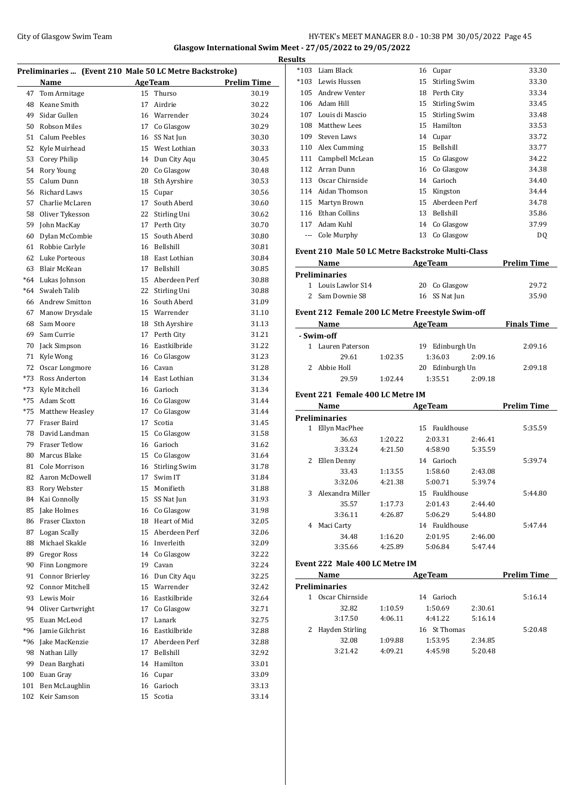## City of Glasgow Swim Team Team Frameters Music City of Glasgow Swim Team Frameters Music City of Glasgow Swim Team Frameters Music City of Glasgow Swim Team Frameters Music City of Glasgow Swim Team Frameters Music City of **Glasgow International Swim Meet - 27/05/2022 to 29/05/2022**

 $\overline{\phantom{0}}$ 

|       | Preliminaries  (Event 210 Male 50 LC Metre Backstroke) |    |                |                    |
|-------|--------------------------------------------------------|----|----------------|--------------------|
|       | Name                                                   |    | <b>AgeTeam</b> | <b>Prelim Time</b> |
| 47    | Tom Armitage                                           | 15 | Thurso         | 30.19              |
| 48    | Keane Smith                                            | 17 | Airdrie        | 30.22              |
| 49    | Sidar Gullen                                           |    | 16 Warrender   | 30.24              |
| 50    | <b>Robson Miles</b>                                    |    | 17 Co Glasgow  | 30.29              |
| 51    | Calum Peebles                                          | 16 | SS Nat Jun     | 30.30              |
| 52    | Kyle Muirhead                                          | 15 | West Lothian   | 30.33              |
| 53    | Corey Philip                                           | 14 | Dun City Agu   | 30.45              |
| 54    | Rory Young                                             | 20 | Co Glasgow     | 30.48              |
| 55    | Calum Dunn                                             | 18 | Sth Ayrshire   | 30.53              |
| 56    | <b>Richard Laws</b>                                    | 15 | Cupar          | 30.56              |
| 57    | Charlie McLaren                                        | 17 | South Aberd    | 30.60              |
| 58    | Oliver Tykesson                                        | 22 | Stirling Uni   | 30.62              |
| 59    | John MacKay                                            | 17 | Perth City     | 30.70              |
| 60    | Dylan McCombie                                         | 15 | South Aberd    | 30.80              |
| 61    | Robbie Carlyle                                         | 16 | Bellshill      | 30.81              |
| 62    | Luke Porteous                                          | 18 | East Lothian   | 30.84              |
| 63    | Blair McKean                                           | 17 | Bellshill      | 30.85              |
| $*64$ | Lukas Johnson                                          | 15 | Aberdeen Perf  | 30.88              |
| $*64$ | Swaleh Talib                                           | 22 | Stirling Uni   | 30.88              |
| 66    | <b>Andrew Smitton</b>                                  | 16 | South Aberd    | 31.09              |
| 67    | Manow Drysdale                                         | 15 | Warrender      | 31.10              |
| 68    | Sam Moore                                              | 18 | Sth Ayrshire   | 31.13              |
| 69    | Sam Currie                                             | 17 | Perth City     | 31.21              |
| 70    | Jack Simpson                                           | 16 | Eastkilbride   | 31.22              |
| 71    | Kyle Wong                                              | 16 | Co Glasgow     | 31.23              |
| 72    | Oscar Longmore                                         | 16 | Cavan          | 31.28              |
| *73   | Ross Anderton                                          | 14 | East Lothian   | 31.34              |
| *73   | Kyle Mitchell                                          | 16 | Garioch        | 31.34              |
| *75   | Adam Scott                                             | 16 | Co Glasgow     | 31.44              |
| *75   | Matthew Heasley                                        | 17 | Co Glasgow     | 31.44              |
| 77    | Fraser Baird                                           | 17 | Scotia         | 31.45              |
| 78    | David Landman                                          | 15 | Co Glasgow     | 31.58              |
|       | 79 Fraser Tetlow                                       | 16 | Garioch        | 31.62              |
| 80    | Marcus Blake                                           | 15 | Co Glasgow     | 31.64              |
| 81    | Cole Morrison                                          | 16 | Stirling Swim  | 31.78              |
| 82    | Aaron McDowell                                         | 17 | Swim IT        | 31.84              |
| 83    | Rory Webster                                           | 15 | Monifieth      | 31.88              |
| 84    | Kai Connolly                                           | 15 | SS Nat Jun     | 31.93              |
| 85    | Jake Holmes                                            | 16 | Co Glasgow     | 31.98              |
| 86    | Fraser Claxton                                         | 18 | Heart of Mid   | 32.05              |
| 87    | Logan Scally                                           | 15 | Aberdeen Perf  | 32.06              |
| 88    | Michael Skakle                                         | 16 | Inverleith     | 32.09              |
| 89    | Gregor Ross                                            | 14 | Co Glasgow     | 32.22              |
| 90    | Finn Longmore                                          | 19 | Cavan          | 32.24              |
| 91    | <b>Connor Brierley</b>                                 | 16 | Dun City Aqu   | 32.25              |
| 92    | Connor Mitchell                                        | 15 | Warrender      | 32.42              |
| 93    | Lewis Moir                                             | 16 | Eastkilbride   | 32.64              |
| 94    | Oliver Cartwright                                      | 17 | Co Glasgow     | 32.71              |
| 95    | Euan McLeod                                            | 17 | Lanark         | 32.75              |
| *96   | Jamie Gilchrist                                        | 16 | Eastkilbride   | 32.88              |
| *96   | Jake MacKenzie                                         | 17 | Aberdeen Perf  | 32.88              |
| 98    | Nathan Lilly                                           | 17 | Bellshill      | 32.92              |
| 99    | Dean Barghati                                          | 14 | Hamilton       | 33.01              |
| 100   | Euan Gray                                              | 16 | Cupar          | 33.09              |
| 101   | Ben McLaughlin                                         | 16 | Garioch        | 33.13              |
| 102   | Keir Samson                                            | 15 | Scotia         | 33.14              |
|       |                                                        |    |                |                    |

| *103 Liam Black                                   |               | 16 Cupar                                      |         | 33.30              |
|---------------------------------------------------|---------------|-----------------------------------------------|---------|--------------------|
| *103 Lewis Hussen                                 |               | 15 Stirling Swim                              |         | 33.30              |
| 105 Andrew Venter                                 |               | 18 Perth City                                 |         | 33.34              |
| 106 Adam Hill                                     |               | 15 Stirling Swim                              |         | 33.45              |
| 107 Louis di Mascio                               |               | 15 Stirling Swim                              |         | 33.48              |
| 108 Matthew Lees                                  |               | 15 Hamilton                                   |         | 33.53              |
| 109 Steven Laws                                   |               | 14 Cupar                                      |         | 33.72              |
| 110 Alex Cumming                                  |               | 15 Bellshill                                  |         | 33.77              |
| 111 Campbell McLean                               |               | 15 Co Glasgow                                 |         | 34.22              |
| 112 Arran Dunn                                    |               | 16 Co Glasgow                                 |         | 34.38              |
| 113 Oscar Chirnside                               |               | 14 Garioch                                    |         | 34.40              |
| 114 Aidan Thomson                                 |               | 15 Kingston                                   |         | 34.44              |
| 115 Martyn Brown                                  |               | 15 Aberdeen Perf                              |         | 34.78              |
| 116 Ethan Collins                                 |               | 13 Bellshill                                  |         | 35.86              |
| 117 Adam Kuhl                                     |               | 14 Co Glasgow                                 |         | 37.99              |
| --- Cole Murphy                                   |               | 13 Co Glasgow                                 |         | DQ                 |
| Event 210 Male 50 LC Metre Backstroke Multi-Class |               |                                               |         |                    |
| Name                                              |               | <b>Example 2018 Age Team</b>                  |         | <b>Prelim Time</b> |
| <b>Preliminaries</b>                              |               |                                               |         |                    |
| 1 Louis Lawlor S14                                |               | 20 Co Glasgow                                 |         | 29.72              |
| 2 Sam Downie S8                                   |               | 16 SS Nat Jun                                 |         | 35.90              |
| Event 212 Female 200 LC Metre Freestyle Swim-off  |               |                                               |         |                    |
| Name AgeTeam Finals Time                          |               |                                               |         |                    |
| - Swim-off                                        |               |                                               |         |                    |
| 1 Lauren Paterson                                 |               | 19 Edinburgh Un                               |         | 2:09.16            |
| 29.61 1:02.35                                     |               | 1:36.03                                       | 2:09.16 |                    |
| 2 Abbie Holl                                      |               | 20 Edinburgh Un                               |         | 2:09.18            |
| 29.59                                             | 1:02.44       | 1:35.51                                       | 2:09.18 |                    |
| Event 221 Female 400 LC Metre IM                  |               |                                               |         |                    |
| Name                                              |               | <u>AgeTeam AgeTeam</u>                        |         | <b>Prelim Time</b> |
| <b>Preliminaries</b>                              |               |                                               |         |                    |
| 1 Ellyn MacPhee                                   |               |                                               |         |                    |
|                                                   |               | 15 Fauldhouse                                 |         | 5:35.59            |
| 36.63                                             | 1:20.22       | 2:03.31                                       | 2:46.41 |                    |
| 3:33.24                                           | 4:21.50       | 4:58.90                                       | 5:35.59 |                    |
| 2 Ellen Denny                                     |               | 14 Garioch                                    |         | 5:39.74            |
| 33.43                                             | 1:13.55       | 1:58.60                                       | 2:43.08 |                    |
| 3:32.06                                           | 4:21.38       | 5:00.71                                       | 5:39.74 |                    |
| 3 Alexandra Miller                                |               | 15 Fauldhouse                                 |         |                    |
| 35.57                                             | 1:17.73       | 2:01.43                                       | 2:44.40 |                    |
|                                                   |               | $3:36.11$ $4:26.87$ $5:06.29$ $5:44.80$       |         |                    |
| 4 Maci Carty                                      |               | 14 Fauldhouse                                 |         | 5:44.80<br>5:47.44 |
|                                                   | 34.48 1:16.20 | 2:01.95                                       | 2:46.00 |                    |
|                                                   |               | 3:35.66 4:25.89 5:06.84 5:47.44               |         |                    |
| Event 222 Male 400 LC Metre IM                    |               |                                               |         |                    |
| Name                                              |               | AgeTeam Prelim Time                           |         |                    |
| <b>Preliminaries</b>                              |               |                                               |         |                    |
| 1 Oscar Chirnside                                 |               | 14 Garioch                                    |         |                    |
| 32.82                                             | 1:10.59       | 1:50.69 2:30.61                               |         |                    |
| 3:17.50                                           | 4:06.11       | 4:41.22                                       | 5:16.14 |                    |
| 2 Hayden Stirling                                 |               | 16 St Thomas                                  |         |                    |
| 32.08                                             | 1:09.88       | 1:53.95<br>3:21.42  4:09.21  4:45.98  5:20.48 | 2:34.85 | 5:16.14<br>5:20.48 |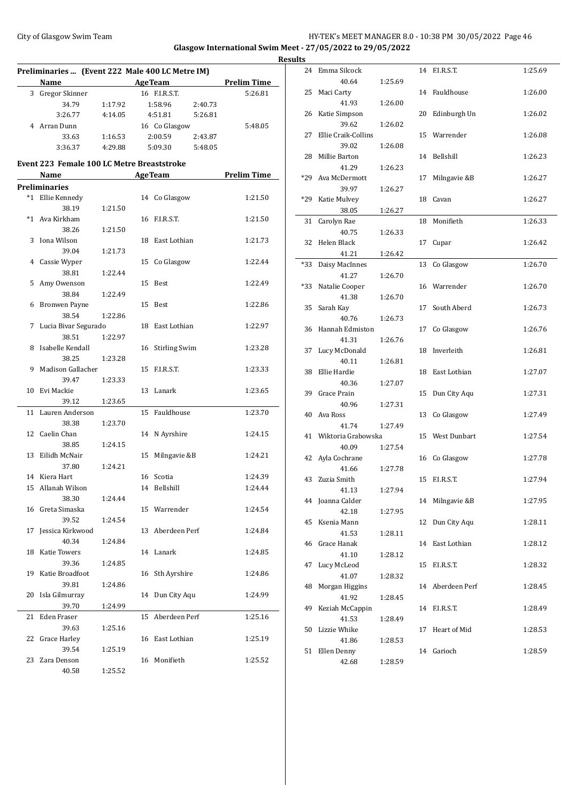## City of Glasgow Swim Team Team Feam Fermi Management School HY-TEK's MEET MANAGER 8.0 - 10:38 PM 30/05/2022 Page 46 **Glasgow International Swim Meet - 27/05/2022 to 29/05/2022**

|      | Preliminaries  (Event 222 Male 400 LC Metre IM)<br>Name |                                         |    | <b>AgeTeam</b>       |         | <b>Prelim Time</b> |
|------|---------------------------------------------------------|-----------------------------------------|----|----------------------|---------|--------------------|
|      |                                                         | <u> 1980 - Johann Barbara, martxa a</u> |    |                      |         |                    |
|      | 3 Gregor Skinner                                        |                                         |    | 16 F.I.R.S.T.        |         | 5:26.81            |
|      | 34.79                                                   | 1:17.92                                 |    | 1:58.96              | 2:40.73 |                    |
|      | 3:26.77                                                 | 4:14.05                                 |    | 4:51.81              | 5:26.81 |                    |
|      | 4 Arran Dunn                                            |                                         |    | 16 Co Glasgow        |         | 5:48.05            |
|      | 33.63                                                   | 1:16.53                                 |    | 2:00.59              | 2:43.87 |                    |
|      | 3:36.37                                                 | 4:29.88                                 |    | 5:09.30              | 5:48.05 |                    |
|      | <b>Event 223 Female 100 LC Metre Breaststroke</b>       |                                         |    |                      |         |                    |
|      | Name                                                    |                                         |    | AgeTeam              |         | <b>Prelim Time</b> |
|      | <b>Preliminaries</b>                                    |                                         |    |                      |         |                    |
|      | *1 Ellie Kennedy                                        |                                         |    | 14 Co Glasgow        |         | 1:21.50            |
|      | 38.19                                                   | 1:21.50                                 |    |                      |         |                    |
| $*1$ | Ava Kirkham                                             |                                         | 16 | F.I.R.S.T.           |         | 1:21.50            |
|      | 38.26                                                   | 1:21.50                                 |    |                      |         |                    |
| 3    | Iona Wilson                                             |                                         |    | 18 East Lothian      |         | 1:21.73            |
|      | 39.04                                                   | 1:21.73                                 |    |                      |         |                    |
|      | 4 Cassie Wyper                                          |                                         | 15 | Co Glasgow           |         | 1:22.44            |
|      | 38.81                                                   | 1:22.44                                 |    |                      |         |                    |
| 5    | Amy Owenson                                             |                                         | 15 | Best                 |         | 1:22.49            |
|      | 38.84                                                   | 1:22.49                                 |    |                      |         |                    |
| 6    | <b>Bronwen Payne</b>                                    |                                         | 15 | Best                 |         | 1:22.86            |
|      | 38.54                                                   | 1:22.86                                 |    |                      |         |                    |
| 7    | Lucia Bivar Segurado                                    |                                         |    | 18 East Lothian      |         | 1:22.97            |
|      | 38.51                                                   | 1:22.97                                 |    |                      |         |                    |
| 8    | Isabelle Kendall                                        |                                         | 16 | <b>Stirling Swim</b> |         | 1:23.28            |
|      | 38.25                                                   | 1:23.28                                 |    |                      |         |                    |
| 9    | Madison Gallacher                                       |                                         | 15 | F.I.R.S.T.           |         | 1:23.33            |
|      | 39.47                                                   | 1:23.33                                 |    |                      |         |                    |
| 10   | Evi Mackie                                              |                                         | 13 | Lanark               |         | 1:23.65            |
|      | 39.12                                                   | 1:23.65                                 |    |                      |         |                    |
| 11   | Lauren Anderson                                         |                                         | 15 | Fauldhouse           |         | 1:23.70            |
|      |                                                         |                                         |    |                      |         |                    |
|      | 38.38                                                   | 1:23.70                                 |    |                      |         |                    |
|      | 12 Caelin Chan                                          |                                         |    | 14 N Ayrshire        |         | 1:24.15            |
|      | 38.85                                                   | 1:24.15                                 |    |                      |         |                    |
| 13   | Eilidh McNair                                           |                                         | 15 | Milngavie &B         |         | 1:24.21            |
|      | 37.80                                                   | 1:24.21                                 |    |                      |         |                    |
|      | 14 Kiera Hart                                           |                                         |    | 16 Scotia            |         | 1:24.39            |
|      | 15 Allanah Wilson                                       |                                         |    | 14 Bellshill         |         | 1:24.44            |
|      | 38.30                                                   | 1:24.44                                 |    |                      |         |                    |
| 16   | Greta Simaska                                           |                                         | 15 | Warrender            |         | 1:24.54            |
|      | 39.52                                                   | 1:24.54                                 |    |                      |         |                    |
| 17   | Jessica Kirkwood                                        |                                         | 13 | Aberdeen Perf        |         | 1:24.84            |
|      | 40.34                                                   | 1:24.84                                 |    |                      |         |                    |
| 18   | Katie Towers                                            |                                         |    | 14 Lanark            |         | 1:24.85            |
|      | 39.36                                                   | 1:24.85                                 |    |                      |         |                    |
| 19   | Katie Broadfoot                                         |                                         | 16 | Sth Ayrshire         |         | 1:24.86            |
|      | 39.81                                                   | 1:24.86                                 |    |                      |         |                    |
| 20   | Isla Gilmurray                                          |                                         |    | 14 Dun City Aqu      |         | 1:24.99            |
|      | 39.70                                                   | 1:24.99                                 |    |                      |         |                    |
| 21   | Eden Fraser                                             |                                         |    | 15 Aberdeen Perf     |         | 1:25.16            |
|      | 39.63                                                   | 1:25.16                                 |    |                      |         |                    |
| 22   | Grace Harley                                            |                                         |    | 16 East Lothian      |         | 1:25.19            |
|      | 39.54                                                   | 1:25.19                                 |    |                      |         |                    |
| 23   | Zara Denson                                             |                                         | 16 | Monifieth            |         | 1:25.52            |
|      | 40.58                                                   | 1:25.52                                 |    |                      |         |                    |

|    | <b>Results</b> |                           |         |    |                  |         |
|----|----------------|---------------------------|---------|----|------------------|---------|
|    |                | 24 Emma Silcock           |         |    | 14 F.I.R.S.T.    | 1:25.69 |
| ī. |                | 40.64                     | 1:25.69 |    |                  |         |
|    | 25             | Maci Carty                |         |    | 14 Fauldhouse    | 1:26.00 |
|    |                | 41.93                     | 1:26.00 |    |                  |         |
|    |                | 26 Katie Simpson          |         |    | 20 Edinburgh Un  | 1:26.02 |
|    |                | 39.62                     | 1:26.02 |    |                  |         |
|    | 27             | Ellie Craik-Collins       |         |    | 15 Warrender     | 1:26.08 |
|    |                | 39.02                     | 1:26.08 |    |                  |         |
|    | 28             | Millie Barton             |         |    | 14 Bellshill     | 1:26.23 |
|    |                | 41.29                     | 1:26.23 |    |                  |         |
|    |                | *29 Ava McDermott         |         | 17 | Milngavie &B     | 1:26.27 |
|    |                | 39.97                     | 1:26.27 |    |                  |         |
|    | *29            | Katie Mulvey              |         |    | 18 Cavan         | 1:26.27 |
|    |                | 38.05                     | 1:26.27 |    |                  |         |
|    | 31             | Carolyn Rae               |         |    | 18 Monifieth     | 1:26.33 |
|    | 32             | 40.75<br>Helen Black      | 1:26.33 |    |                  |         |
|    |                | 41.21                     |         |    | 17 Cupar         | 1:26.42 |
|    | *33            |                           | 1:26.42 | 13 | Co Glasgow       | 1:26.70 |
|    |                | Daisy MacInnes<br>41.27   | 1:26.70 |    |                  |         |
|    | *33            | Natalie Cooper            |         |    | 16 Warrender     | 1:26.70 |
|    |                | 41.38                     | 1:26.70 |    |                  |         |
|    | 35             | Sarah Kay                 |         | 17 | South Aberd      | 1:26.73 |
|    |                | 40.76                     | 1:26.73 |    |                  |         |
|    |                | 36 Hannah Edmiston        |         | 17 | Co Glasgow       | 1:26.76 |
|    |                | 41.31                     | 1:26.76 |    |                  |         |
|    | 37             | Lucy McDonald             |         |    | 18 Inverleith    | 1:26.81 |
|    |                | 40.11                     | 1:26.81 |    |                  |         |
|    | 38             | Ellie Hardie              |         |    | 18 East Lothian  | 1:27.07 |
|    |                | 40.36                     | 1:27.07 |    |                  |         |
|    |                | 39 Grace Prain            |         | 15 | Dun City Aqu     | 1:27.31 |
|    |                | 40.96                     | 1:27.31 |    |                  |         |
|    | 40             | Ava Ross                  |         | 13 | Co Glasgow       | 1:27.49 |
|    |                | 41.74                     | 1:27.49 |    |                  |         |
|    |                | 41 Wiktoria Grabowska     |         |    | 15 West Dunbart  | 1:27.54 |
|    |                | 40.09                     | 1:27.54 |    |                  |         |
|    |                | 42 Ayla Cochrane          |         |    | 16 Co Glasgow    | 1:27.78 |
|    |                | 41.66                     | 1:27.78 |    |                  |         |
|    |                | 43 Zuzia Smith            |         |    | 15 F.I.R.S.T.    | 1:27.94 |
|    |                | 41.13<br>44 Joanna Calder | 1:27.94 |    | 14 Milngavie &B  | 1:27.95 |
|    |                | 42.18                     | 1:27.95 |    |                  |         |
|    | 45             | Ksenia Mann               |         |    | 12 Dun City Agu  | 1:28.11 |
|    |                | 41.53                     | 1:28.11 |    |                  |         |
|    |                | 46 Grace Hanak            |         |    | 14 East Lothian  | 1:28.12 |
|    |                | 41.10                     | 1:28.12 |    |                  |         |
|    | 47             | Lucy McLeod               |         | 15 | F.I.R.S.T.       | 1:28.32 |
|    |                | 41.07                     | 1:28.32 |    |                  |         |
|    | 48             | Morgan Higgins            |         |    | 14 Aberdeen Perf | 1:28.45 |
|    |                | 41.92                     | 1:28.45 |    |                  |         |
|    | 49             | Keziah McCappin           |         |    | 14 F.I.R.S.T.    | 1:28.49 |
|    |                | 41.53                     | 1:28.49 |    |                  |         |
|    | 50             | Lizzie Whike              |         | 17 | Heart of Mid     | 1:28.53 |
|    |                | 41.86                     | 1:28.53 |    |                  |         |
|    |                | 51 Ellen Denny            |         | 14 | Garioch          | 1:28.59 |
|    |                | 42.68                     | 1:28.59 |    |                  |         |
|    |                |                           |         |    |                  |         |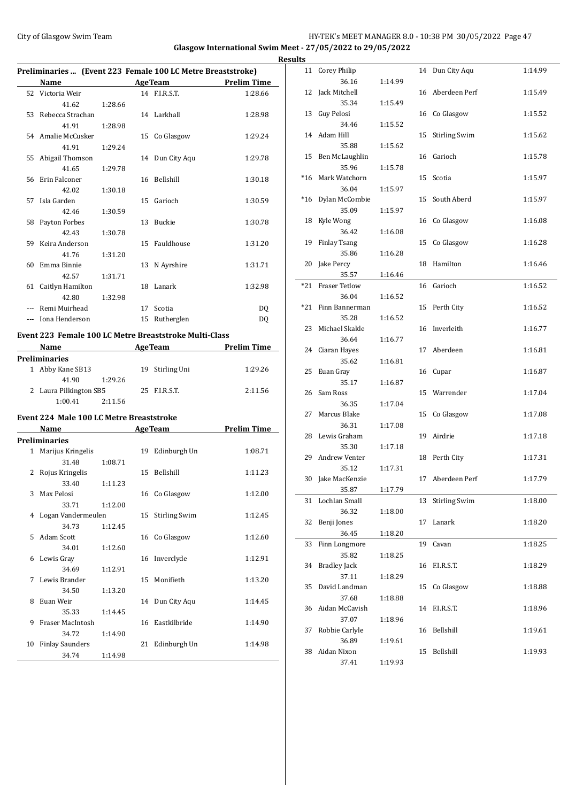## City of Glasgow Swim Team Team Frameters Music City of Glasgow Swim Team Frameters Music City of Glasgow Swim Team Frameters Music City of Glasgow Swim Team Frameters Music City of Glasgow Swim Team Frameters Music City of **Glasgow International Swim Meet - 27/05/2022 to 29/05/2022**

|              | Preliminaries  (Event 223 Female 100 LC Metre Breaststroke) |         |    |                      |                          |
|--------------|-------------------------------------------------------------|---------|----|----------------------|--------------------------|
|              | Name AgeTeam                                                |         |    |                      | <b>Prelim Time</b>       |
|              | 52 Victoria Weir                                            |         |    | 14 F.I.R.S.T.        | 1:28.66                  |
|              | 41.62                                                       | 1:28.66 |    |                      |                          |
| 53           | Rebecca Strachan                                            |         |    | 14 Larkhall          | 1:28.98                  |
|              | 41.91                                                       | 1:28.98 |    |                      |                          |
|              | 54 Amalie McCusker                                          |         |    | 15 Co Glasgow        | 1:29.24                  |
|              | 41.91                                                       | 1:29.24 |    |                      |                          |
| 55           | Abigail Thomson                                             |         |    | 14 Dun City Aqu      | 1:29.78                  |
|              | 41.65                                                       | 1:29.78 |    |                      |                          |
| 56           | Erin Falconer                                               |         |    | 16 Bellshill         | 1:30.18                  |
|              | 42.02                                                       | 1:30.18 |    |                      |                          |
| 57           | Isla Garden                                                 |         |    | 15 Garioch           | 1:30.59                  |
|              | 42.46                                                       | 1:30.59 |    |                      |                          |
| 58           | Payton Forbes                                               |         |    | 13 Buckie            | 1:30.78                  |
|              | 42.43                                                       | 1:30.78 |    |                      |                          |
| 59           | Keira Anderson                                              |         |    | 15 Fauldhouse        | 1:31.20                  |
|              | 41.76                                                       | 1:31.20 |    |                      |                          |
| 60           | Emma Binnie                                                 |         |    | 13 N Ayrshire        | 1:31.71                  |
|              | 42.57                                                       | 1:31.71 |    |                      |                          |
| 61           | Caitlyn Hamilton                                            |         |    | 18 Lanark            | 1:32.98                  |
|              | 42.80                                                       | 1:32.98 |    |                      |                          |
|              | --- Remi Muirhead                                           |         |    | 17 Scotia            | DQ                       |
|              | --- Iona Henderson                                          |         |    | 15 Rutherglen        | DQ                       |
|              |                                                             |         |    |                      |                          |
|              | Event 223 Female 100 LC Metre Breaststroke Multi-Class      |         |    |                      |                          |
|              |                                                             |         |    |                      | Name AgeTeam Prelim Time |
|              | <b>Preliminaries</b>                                        |         |    |                      |                          |
|              | 1 Abby Kane SB13                                            |         |    | 19 Stirling Uni      | 1:29.26                  |
|              | 41.90                                                       | 1:29.26 |    |                      |                          |
|              | 2 Laura Pilkington SB5                                      |         |    | 25 F.I.R.S.T.        | 2:11.56                  |
|              | 1:00.41                                                     | 2:11.56 |    |                      |                          |
|              | Event 224 Male 100 LC Metre Breaststroke                    |         |    |                      |                          |
|              | Name <u>_____________</u>                                   |         |    | <b>AgeTeam</b>       | <b>Prelim Time</b>       |
|              | <b>Preliminaries</b>                                        |         |    |                      |                          |
| $\mathbf{1}$ | Marijus Kringelis                                           |         |    | 19 Edinburgh Un      | 1:08.71                  |
|              | 31.48                                                       | 1:08.71 |    |                      |                          |
| 2            | Rojus Kringelis                                             |         |    | 15 Bellshill         | 1:11.23                  |
|              | 33.40                                                       | 1:11.23 |    |                      |                          |
| 3            | Max Pelosi                                                  |         |    | 16 Co Glasgow        | 1:12.00                  |
|              | 33.71                                                       | 1:12.00 |    |                      |                          |
| 4            | Logan Vandermeulen                                          |         | 15 | <b>Stirling Swim</b> | 1:12.45                  |
|              | 34.73                                                       | 1:12.45 |    |                      |                          |
| 5            | <b>Adam Scott</b>                                           |         | 16 | Co Glasgow           | 1:12.60                  |
|              | 34.01                                                       | 1:12.60 |    |                      |                          |
| 6            | Lewis Gray                                                  |         | 16 | Inverclyde           | 1:12.91                  |
|              | 34.69                                                       | 1:12.91 |    |                      |                          |
| 7            | Lewis Brander                                               |         | 15 | Monifieth            | 1:13.20                  |
|              | 34.50                                                       | 1:13.20 |    |                      |                          |
| 8            | Euan Weir                                                   |         | 14 | Dun City Aqu         | 1:14.45                  |
|              | 35.33                                                       | 1:14.45 |    |                      |                          |
| 9            | Fraser MacIntosh                                            |         |    | 16 Eastkilbride      | 1:14.90                  |
|              | 34.72                                                       | 1:14.90 |    |                      |                          |

10 Finlay Saunders 21 Edinburgh Un 1:14.98

34.74 1:14.98

|   | <b>Results</b> |                          |         |    |                      |         |
|---|----------------|--------------------------|---------|----|----------------------|---------|
|   |                | 11 Corey Philip          |         |    | 14 Dun City Aqu      | 1:14.99 |
| - |                | 36.16                    | 1:14.99 |    |                      |         |
|   | 12             | Jack Mitchell            |         |    | 16 Aberdeen Perf     | 1:15.49 |
|   |                | 35.34                    | 1:15.49 |    |                      |         |
|   | 13             | Guy Pelosi               |         |    | 16 Co Glasgow        | 1:15.52 |
|   |                | 34.46                    | 1:15.52 |    |                      |         |
|   |                | 14 Adam Hill             |         | 15 | <b>Stirling Swim</b> | 1:15.62 |
|   |                | 35.88                    | 1:15.62 |    |                      |         |
|   | 15             | Ben McLaughlin           |         |    | 16 Garioch           | 1:15.78 |
|   |                | 35.96                    | 1:15.78 |    |                      |         |
|   |                | *16 Mark Watchorn        |         |    | 15 Scotia            | 1:15.97 |
|   |                | 36.04                    | 1:15.97 |    |                      |         |
|   | *16            | Dylan McCombie           |         | 15 | South Aberd          | 1:15.97 |
|   |                | 35.09                    | 1:15.97 |    |                      |         |
|   | 18             | Kyle Wong                |         |    | 16 Co Glasgow        | 1:16.08 |
|   |                | 36.42                    | 1:16.08 |    |                      |         |
|   | 19             | <b>Finlay Tsang</b>      |         | 15 | Co Glasgow           | 1:16.28 |
|   |                | 35.86                    | 1:16.28 |    |                      |         |
|   | 20             | Jake Percy               |         |    | 18 Hamilton          | 1:16.46 |
|   |                | 35.57                    | 1:16.46 |    |                      |         |
|   | $*21$          | <b>Fraser Tetlow</b>     |         |    | 16 Garioch           | 1:16.52 |
|   |                | 36.04                    | 1:16.52 |    |                      |         |
|   | $*21$          | Finn Bannerman           |         |    | 15 Perth City        | 1:16.52 |
|   |                | 35.28                    | 1:16.52 |    |                      |         |
|   | 23             | Michael Skakle           |         |    | 16 Inverleith        | 1:16.77 |
|   |                | 36.64                    | 1:16.77 |    | 17 Aberdeen          | 1:16.81 |
|   |                | 24 Ciaran Hayes<br>35.62 | 1:16.81 |    |                      |         |
|   | 25             | Euan Gray                |         |    | 16 Cupar             | 1:16.87 |
|   |                | 35.17                    | 1:16.87 |    |                      |         |
|   |                | 26 Sam Ross              |         |    | 15 Warrender         | 1:17.04 |
|   |                | 36.35                    | 1:17.04 |    |                      |         |
|   | 27             | Marcus Blake             |         |    | 15 Co Glasgow        | 1:17.08 |
|   |                | 36.31                    | 1:17.08 |    |                      |         |
|   | 28             | Lewis Graham             |         |    | 19 Airdrie           | 1:17.18 |
|   |                | 35.30                    | 1:17.18 |    |                      |         |
|   | 29             | Andrew Venter            |         |    | 18 Perth City        | 1:17.31 |
|   |                | 35.12                    | 1:17.31 |    |                      |         |
|   |                | 30 Jake MacKenzie        |         |    | 17 Aberdeen Perf     | 1:17.79 |
|   |                | 35.87                    | 1:17.79 |    |                      |         |
|   | 31             | Lochlan Small            |         | 13 | <b>Stirling Swim</b> | 1:18.00 |
|   |                | 36.32                    | 1:18.00 |    |                      |         |
|   | 32             | Benji Jones              |         | 17 | Lanark               | 1:18.20 |
|   |                | 36.45                    | 1:18.20 |    |                      |         |
|   | 33             | Finn Longmore            |         | 19 | Cavan                | 1:18.25 |
|   |                | 35.82                    | 1:18.25 |    |                      |         |
|   | 34             | <b>Bradley Jack</b>      |         | 16 | F.I.R.S.T.           | 1:18.29 |
|   |                | 37.11                    | 1:18.29 |    |                      |         |
|   | 35             | David Landman            |         | 15 | Co Glasgow           | 1:18.88 |
|   |                | 37.68                    | 1:18.88 |    |                      |         |
|   | 36             | Aidan McCavish           |         | 14 | F.I.R.S.T.           | 1:18.96 |
|   |                | 37.07                    | 1:18.96 |    |                      |         |
|   | 37             | Robbie Carlyle           |         |    | 16 Bellshill         | 1:19.61 |
|   |                | 36.89                    | 1:19.61 |    |                      |         |
|   | 38             | Aidan Nixon              |         | 15 | Bellshill            | 1:19.93 |
|   |                | 37.41                    | 1:19.93 |    |                      |         |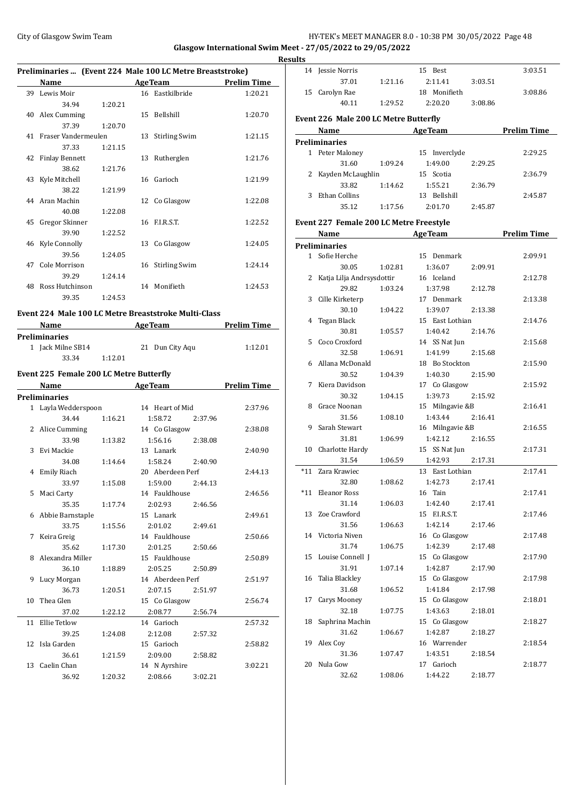#### City of Glasgow Swim Team HY-TEK's MEET MANAGER 8.0 - 10:38 PM 30/05/2022 Page 48 **Glasgow International Swim Meet - 27/05/2022 to 29/05/2022**

#### **Preliminaries ... (Event 224 Male 100 LC Metre Breaststroke) Name Age Team Prelim Time** 39 Lewis Moir 16 Eastkilbride 1:20.21 34.94 1:20.21 40 Alex Cumming 15 Bellshill 1:20.70 37.39 1:20.70 41 Fraser Vandermeulen 13 Stirling Swim 1:21.15 37.33 1:21.15 42 Finlay Bennett 13 Rutherglen 1:21.76 38.62 1:21.76 43 Kyle Mitchell 16 Garioch 1:21.99 38.22 1:21.99 44 Aran Machin 12 Co Glasgow 1:22.08 40.08 1:22.08 45 Gregor Skinner 16 F.I.R.S.T. 1:22.52 39.90 1:22.52 46 Kyle Connolly 13 Co Glasgow 1:24.05 39.56 1:24.05 47 Cole Morrison 16 Stirling Swim 1:24.14 39.29 1:24.14 48 Ross Hutchinson 14 Monifieth 1:24.53 39.35 1:24.53

#### **Event 224 Male 100 LC Metre Breaststroke Multi-Class**

| <b>Name</b>          |         | <b>AgeTeam</b>  | <b>Prelim Time</b> |  |
|----------------------|---------|-----------------|--------------------|--|
| <b>Preliminaries</b> |         |                 |                    |  |
| 1 Jack Milne SB14    |         | 21 Dun City Agu | 1:12.01            |  |
| 33.34                | 1:12.01 |                 |                    |  |

#### **Event 225 Female 200 LC Metre Butterfly**

|    | Name                 |         | <b>AgeTeam</b>     | <b>Prelim Time</b> |
|----|----------------------|---------|--------------------|--------------------|
|    | <b>Preliminaries</b> |         |                    |                    |
|    | 1 Layla Wedderspoon  |         | 14 Heart of Mid    | 2:37.96            |
|    | 34.44                | 1:16.21 | 1:58.72<br>2:37.96 |                    |
|    | 2 Alice Cumming      |         | 14 Co Glasgow      | 2:38.08            |
|    | 33.98                | 1:13.82 | 1:56.16<br>2:38.08 |                    |
| 3  | Evi Mackie           |         | 13 Lanark          | 2:40.90            |
|    | 34.08                | 1:14.64 | 1:58.24<br>2:40.90 |                    |
| 4  | <b>Emily Riach</b>   |         | 20 Aberdeen Perf   | 2:44.13            |
|    | 33.97                | 1:15.08 | 1:59.00<br>2:44.13 |                    |
| 5  | Maci Carty           |         | 14 Fauldhouse      | 2:46.56            |
|    | 35.35                | 1:17.74 | 2:02.93<br>2:46.56 |                    |
| 6  | Abbie Barnstaple     |         | 15 Lanark          | 2:49.61            |
|    | 33.75                | 1:15.56 | 2:01.02<br>2:49.61 |                    |
| 7  | Keira Greig          |         | 14 Fauldhouse      | 2:50.66            |
|    | 35.62                | 1:17.30 | 2:01.25<br>2:50.66 |                    |
| 8  | Alexandra Miller     |         | 15 Fauldhouse      | 2:50.89            |
|    | 36.10                | 1:18.89 | 2:05.25<br>2:50.89 |                    |
| 9  | Lucy Morgan          |         | 14 Aberdeen Perf   | 2:51.97            |
|    | 36.73                | 1:20.51 | 2:07.15<br>2:51.97 |                    |
| 10 | Thea Glen            |         | 15 Co Glasgow      | 2:56.74            |
|    | 37.02                | 1:22.12 | 2:08.77<br>2:56.74 |                    |
|    | 11 Ellie Tetlow      |         | 14 Garioch         | 2:57.32            |
|    | 39.25                | 1:24.08 | 2:12.08<br>2:57.32 |                    |
|    | 12 Isla Garden       |         | 15 Garioch         | 2:58.82            |
|    | 36.61                | 1:21.59 | 2:09.00<br>2:58.82 |                    |
| 13 | Caelin Chan          |         | 14 N Ayrshire      | 3:02.21            |
|    | 36.92                | 1:20.32 | 2:08.66<br>3:02.21 |                    |

| <b>Results</b> |                                                                     |         |                                       |         |         |
|----------------|---------------------------------------------------------------------|---------|---------------------------------------|---------|---------|
|                | 14 Jessie Norris                                                    |         | 15 Best                               |         | 3:03.51 |
|                | 37.01                                                               | 1:21.16 | 2:11.41                               | 3:03.51 |         |
|                | 15 Carolyn Rae                                                      |         | 18 Monifieth                          |         | 3:08.86 |
|                | 40.11                                                               | 1:29.52 | 2:20.20                               | 3:08.86 |         |
|                | Event 226 Male 200 LC Metre Butterfly                               |         |                                       |         |         |
|                | Name                                                                |         | <b>Example 2 Age Team</b> Prelim Time |         |         |
|                | <b>Preliminaries</b>                                                |         |                                       |         |         |
|                | 1 Peter Maloney                                                     |         | 15 Inverclyde                         |         | 2:29.25 |
|                | 31.60                                                               | 1:09.24 | 1:49.00                               | 2:29.25 |         |
|                | 2 Kayden McLaughlin                                                 |         | 15 Scotia                             |         | 2:36.79 |
|                | 33.82 1:14.62                                                       |         | 1:55.21                               | 2:36.79 |         |
|                | 3 Ethan Collins                                                     |         | 13 Bellshill                          |         | 2:45.87 |
|                | 35.12                                                               | 1:17.56 | 2:01.70                               | 2:45.87 |         |
|                |                                                                     |         |                                       |         |         |
|                | Event 227 Female 200 LC Metre Freestyle<br>Name AgeTeam Prelim Time |         |                                       |         |         |
|                | <b>Preliminaries</b>                                                |         |                                       |         |         |
|                | 1 Sofie Herche                                                      |         | 15 Denmark                            |         | 2:09.91 |
|                | 30.05                                                               | 1:02.81 | 1:36.07                               | 2:09.91 |         |
|                | 2 Katja Lilja Andrsysdottir                                         |         | 16 Iceland                            |         | 2:12.78 |
|                | 29.82                                                               | 1:03.24 | 1:37.98                               | 2:12.78 |         |
|                | 3 Cille Kirketerp                                                   |         | 17 Denmark                            |         | 2:13.38 |
|                | 30.10                                                               | 1:04.22 | 1:39.07                               | 2:13.38 |         |
|                | 4 Tegan Black                                                       |         | 15 East Lothian                       |         | 2:14.76 |
|                | 30.81                                                               | 1:05.57 | 1:40.42                               | 2:14.76 |         |
|                | 5 Coco Croxford                                                     |         | 14 SS Nat Jun                         |         | 2:15.68 |
|                | 32.58                                                               | 1:06.91 | 1:41.99                               | 2:15.68 |         |
|                | 6 Allana McDonald                                                   |         | 18 Bo Stockton                        |         | 2:15.90 |
|                | 30.52                                                               | 1:04.39 | 1:40.30                               | 2:15.90 |         |
|                | 7 Kiera Davidson                                                    |         | 17 Co Glasgow                         |         | 2:15.92 |
|                | 30.32                                                               | 1:04.15 | 1:39.73                               | 2:15.92 |         |
|                | 8 Grace Noonan                                                      |         |                                       |         | 2:16.41 |
|                | 31.56                                                               | 1:08.10 | 15 Milngavie &B<br>1:43.44            | 2:16.41 |         |
|                | 9 Sarah Stewart                                                     |         | 16 Milngavie &B                       |         | 2:16.55 |
|                | 31.81                                                               | 1:06.99 | 1:42.12                               | 2:16.55 |         |
|                | 10 Charlotte Hardy                                                  |         | 15 SS Nat Jun                         |         | 2:17.31 |
|                | 31.54                                                               | 1:06.59 | 1:42.93                               | 2:17.31 |         |
|                | *11 Zara Krawiec                                                    |         | 13 East Lothian                       |         | 2:17.41 |
|                | 32.80                                                               | 1:08.62 | 1:42.73 2:17.41                       |         |         |
|                | *11 Eleanor Ross                                                    |         | 16 Tain                               |         | 2:17.41 |
|                | 31.14                                                               | 1:06.03 | 1:42.40                               | 2:17.41 |         |
|                | 13 Zoe Crawford                                                     |         | 15 F.I.R.S.T.                         |         | 2:17.46 |
|                | 31.56                                                               | 1:06.63 | 1:42.14                               | 2:17.46 |         |
|                | 14 Victoria Niven                                                   |         | 16 Co Glasgow                         |         | 2:17.48 |
|                | 31.74                                                               | 1:06.75 | 1:42.39                               | 2:17.48 |         |
|                | 15 Louise Connell J                                                 |         | 15 Co Glasgow                         |         | 2:17.90 |
|                | 31.91                                                               | 1:07.14 | 1:42.87                               | 2:17.90 |         |
|                | 16 Talia Blackley                                                   |         | 15 Co Glasgow                         |         | 2:17.98 |
|                | 31.68                                                               | 1:06.52 | 1:41.84                               | 2:17.98 |         |
|                | 17 Carys Mooney                                                     |         | 15 Co Glasgow                         |         | 2:18.01 |
|                | 32.18                                                               | 1:07.75 | 1:43.63                               | 2:18.01 |         |
| 18             | Saphrina Machin                                                     |         | 15 Co Glasgow                         |         | 2:18.27 |
|                | 31.62                                                               | 1:06.67 | 1:42.87                               | 2:18.27 |         |
|                | 19 Alex Coy                                                         |         | 16 Warrender                          |         | 2:18.54 |
|                | 31.36                                                               |         | 1:43.51                               |         |         |
|                | 20 Nula Gow                                                         | 1:07.47 | 17 Garioch                            | 2:18.54 | 2:18.77 |
|                | 32.62                                                               |         |                                       |         |         |
|                |                                                                     | 1:08.06 | 1:44.22                               | 2:18.77 |         |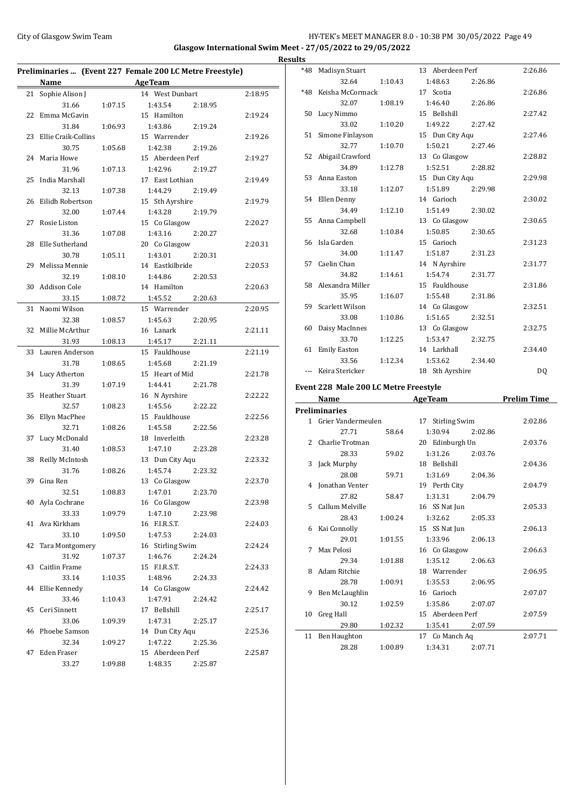## City of Glasgow Swim Team Team Frameters Music City of Glasgow Swim Team Frameters Music City of Glasgow Swim Team Frameters Music City of Glasgow Swim Team Frameters Music City of Glasgow Swim Team Frameters Music City of **Glasgow International Swim Meet - 27/05/2022 to 29/05/2022 Results**

| Preliminaries  (Event 227 Female 200 LC Metre Freestyle) |                       |         |                    |         |  |  |
|----------------------------------------------------------|-----------------------|---------|--------------------|---------|--|--|
|                                                          | Name                  |         | <b>AgeTeam</b>     |         |  |  |
| 21                                                       | Sophie Alison J       |         | 14 West Dunbart    | 2:18.95 |  |  |
|                                                          | 31.66                 | 1:07.15 | 1:43.54<br>2:18.95 |         |  |  |
| 22                                                       | Emma McGavin          |         | 15 Hamilton        | 2:19.24 |  |  |
|                                                          | 31.84                 | 1:06.93 | 1:43.86<br>2:19.24 |         |  |  |
| 23                                                       | Ellie Craik-Collins   |         | 15 Warrender       | 2:19.26 |  |  |
|                                                          | 30.75                 | 1:05.68 | 1:42.38<br>2:19.26 |         |  |  |
| 24                                                       | Maria Howe            |         | 15 Aberdeen Perf   | 2:19.27 |  |  |
|                                                          | 31.96                 | 1:07.13 | 1:42.96<br>2:19.27 |         |  |  |
| 25                                                       | India Marshall        |         | 17 East Lothian    | 2:19.49 |  |  |
|                                                          | 32.13                 | 1:07.38 | 1:44.29<br>2:19.49 |         |  |  |
| 26                                                       | Eilidh Robertson      |         | 15 Sth Ayrshire    | 2:19.79 |  |  |
|                                                          | 32.00                 | 1:07.44 | 1:43.28<br>2:19.79 |         |  |  |
| 27                                                       | Rosie Liston          |         | 15 Co Glasgow      | 2:20.27 |  |  |
|                                                          | 31.36                 | 1:07.08 | 1:43.16<br>2:20.27 |         |  |  |
| 28                                                       | Elle Sutherland       |         | 20 Co Glasgow      | 2:20.31 |  |  |
|                                                          | 30.78                 | 1:05.11 | 1:43.01<br>2:20.31 |         |  |  |
| 29                                                       | Melissa Mennie        |         | 14 Eastkilbride    | 2:20.53 |  |  |
|                                                          | 32.19                 | 1:08.10 | 1:44.86<br>2:20.53 |         |  |  |
| 30                                                       | <b>Addison Cole</b>   |         | 14 Hamilton        | 2:20.63 |  |  |
|                                                          | 33.15                 | 1:08.72 | 1:45.52<br>2:20.63 |         |  |  |
| 31                                                       | Naomi Wilson          |         | 15 Warrender       | 2:20.95 |  |  |
|                                                          | 32.38                 | 1:08.57 | 1:45.63<br>2:20.95 |         |  |  |
| 32                                                       | Millie McArthur       |         | 16 Lanark          | 2:21.11 |  |  |
|                                                          | 31.93                 | 1:08.13 | 1:45.17<br>2:21.11 |         |  |  |
| 33                                                       | Lauren Anderson       |         | 15 Fauldhouse      | 2:21.19 |  |  |
|                                                          | 31.78                 | 1:08.65 | 1:45.68<br>2:21.19 |         |  |  |
|                                                          | 34 Lucy Atherton      |         | 15 Heart of Mid    | 2:21.78 |  |  |
|                                                          | 31.39                 | 1:07.19 | 1:44.41<br>2:21.78 |         |  |  |
| 35                                                       | <b>Heather Stuart</b> |         | 16 N Ayrshire      | 2:22.22 |  |  |
|                                                          | 32.57                 | 1:08.23 | 1:45.56<br>2:22.22 |         |  |  |
| 36                                                       | Ellyn MacPhee         |         | 15 Fauldhouse      | 2:22.56 |  |  |
|                                                          | 32.71                 | 1:08.26 | 1:45.58<br>2:22.56 |         |  |  |
| 37                                                       | Lucy McDonald         |         | 18 Inverleith      | 2:23.28 |  |  |
|                                                          | 31.40                 | 1:08.53 | 1:47.10<br>2:23.28 |         |  |  |
| 38                                                       | Reilly McIntosh       |         | 13 Dun City Aqu    | 2:23.32 |  |  |
|                                                          | 31.76                 | 1:08.26 | 1:45.74<br>2:23.32 |         |  |  |
| 39                                                       | Gina Ren              |         | 13 Co Glasgow      | 2:23.70 |  |  |
|                                                          | 32.51                 | 1:08.83 | 1:47.01<br>2:23.70 |         |  |  |
|                                                          | 40 Ayla Cochrane      |         | 16 Co Glasgow      | 2:23.98 |  |  |
|                                                          | 33.33                 | 1:09.79 | 1:47.10<br>2:23.98 |         |  |  |
| 41                                                       | Ava Kirkham           |         | 16 F.I.R.S.T.      | 2:24.03 |  |  |
|                                                          | 33.10                 | 1:09.50 | 1:47.53<br>2:24.03 |         |  |  |
| 42                                                       | Tara Montgomery       |         | 16 Stirling Swim   | 2:24.24 |  |  |
|                                                          | 31.92                 | 1:07.37 | 1:46.76<br>2:24.24 |         |  |  |
| 43                                                       | Caitlin Frame         |         | 15 F.I.R.S.T.      | 2:24.33 |  |  |
|                                                          | 33.14                 | 1:10.35 | 1:48.96<br>2:24.33 |         |  |  |
|                                                          | 44 Ellie Kennedy      |         | 14 Co Glasgow      | 2:24.42 |  |  |
|                                                          | 33.46                 | 1:10.43 | 1:47.91<br>2:24.42 |         |  |  |
| 45                                                       | Ceri Sinnett          |         | 17 Bellshill       | 2:25.17 |  |  |
|                                                          | 33.06                 | 1:09.39 | 1:47.31<br>2:25.17 |         |  |  |
| 46                                                       | Phoebe Samson         |         | 14 Dun City Aqu    | 2:25.36 |  |  |
|                                                          | 32.34                 | 1:09.27 | 1:47.22<br>2:25.36 |         |  |  |
| 47                                                       | Eden Fraser           |         | 15 Aberdeen Perf   | 2:25.87 |  |  |
|                                                          | 33.27                 | 1:09.88 | 1:48.35<br>2:25.87 |         |  |  |

| ILS   |                                              |         |                    |                    |
|-------|----------------------------------------------|---------|--------------------|--------------------|
| $*48$ | Madisyn Stuart                               |         | 13 Aberdeen Perf   | 2:26.86            |
|       | 32.64                                        | 1:10.43 | 1:48.63<br>2:26.86 |                    |
| $*48$ | Keisha McCormack                             |         | 17 Scotia          | 2:26.86            |
|       | 32.07                                        | 1:08.19 | 1:46.40<br>2:26.86 |                    |
|       | 50 Lucy Nimmo                                |         | 15 Bellshill       | 2:27.42            |
|       | 33.02                                        | 1:10.20 | 1:49.22<br>2:27.42 |                    |
| 51    | Simone Finlayson                             |         | 15 Dun City Aqu    | 2:27.46            |
|       | 32.77                                        | 1:10.70 | 1:50.21<br>2:27.46 |                    |
| 52    | Abigail Crawford                             |         | 13 Co Glasgow      | 2:28.82            |
|       | 34.89                                        | 1:12.78 | 1:52.51<br>2:28.82 |                    |
|       | 53 Anna Easton                               |         | 15 Dun City Aqu    | 2:29.98            |
|       | 33.18                                        | 1:12.07 | 1:51.89<br>2:29.98 |                    |
|       | 54 Ellen Denny                               |         | 14 Garioch         | 2:30.02            |
|       | 34.49                                        | 1:12.10 | 1:51.49<br>2:30.02 |                    |
|       | 55 Anna Campbell                             |         | 13 Co Glasgow      | 2:30.65            |
|       | 32.68                                        | 1:10.84 | 1:50.85<br>2:30.65 |                    |
|       | 56 Isla Garden                               |         | 15 Garioch         | 2:31.23            |
|       | 34.00                                        | 1:11.47 | 1:51.87<br>2:31.23 |                    |
|       | 57 Caelin Chan                               |         | 14 N Ayrshire      | 2:31.77            |
|       | 34.82                                        | 1:14.61 | 1:54.74<br>2:31.77 |                    |
|       | 58 Alexandra Miller                          |         | 15 Fauldhouse      | 2:31.86            |
|       | 35.95                                        | 1:16.07 | 1:55.48<br>2:31.86 |                    |
|       | 59 Scarlett Wilson                           |         | 14 Co Glasgow      | 2:32.51            |
|       | 33.08                                        | 1:10.86 | 1:51.65<br>2:32.51 |                    |
| 60    | Daisy MacInnes                               |         | 13 Co Glasgow      | 2:32.75            |
|       | 33.70                                        | 1:12.25 | 1:53.47<br>2:32.75 |                    |
| 61    | <b>Emily Easton</b>                          |         | 14 Larkhall        | 2:34.40            |
|       | 33.56                                        | 1:12.34 | 1:53.62<br>2:34.40 |                    |
|       | --- Keira Stericker                          |         | 18 Sth Ayrshire    | DQ                 |
|       | <b>Event 228 Male 200 LC Metre Freestyle</b> |         |                    |                    |
|       | Name                                         |         | <b>AgeTeam</b>     | <b>Prelim Time</b> |
|       | <b>Preliminaries</b>                         |         |                    |                    |

|                      | Name                 |         | де геаш                    | rienni rime |  |  |  |  |  |
|----------------------|----------------------|---------|----------------------------|-------------|--|--|--|--|--|
| <b>Preliminaries</b> |                      |         |                            |             |  |  |  |  |  |
|                      | 1 Grier Vandermeulen |         | 17<br><b>Stirling Swim</b> | 2:02.86     |  |  |  |  |  |
|                      | 27.71                | 58.64   | 1:30.94<br>2:02.86         |             |  |  |  |  |  |
|                      | 2 Charlie Trotman    |         | 20 Edinburgh Un            | 2:03.76     |  |  |  |  |  |
|                      | 28.33                | 59.02   | 1:31.26<br>2:03.76         |             |  |  |  |  |  |
|                      | 3 Jack Murphy        |         | 18 Bellshill               | 2:04.36     |  |  |  |  |  |
|                      | 28.08                | 59.71   | 1:31.69<br>2:04.36         |             |  |  |  |  |  |
|                      | 4 Jonathan Venter    |         | 19 Perth City              | 2:04.79     |  |  |  |  |  |
|                      | 27.82                | 58.47   | 1:31.31<br>2:04.79         |             |  |  |  |  |  |
|                      | 5 Callum Melville    |         | 16 SS Nat Jun              | 2:05.33     |  |  |  |  |  |
|                      | 28.43                | 1:00.24 | 1:32.62<br>2:05.33         |             |  |  |  |  |  |
|                      | 6 Kai Connolly       |         | 15 SS Nat Jun              | 2:06.13     |  |  |  |  |  |
|                      | 29.01                | 1:01.55 | 1:33.96<br>2:06.13         |             |  |  |  |  |  |
| 7                    | Max Pelosi           |         | 16 Co Glasgow              | 2:06.63     |  |  |  |  |  |
|                      | 29.34                | 1:01.88 | 1:35.12<br>2:06.63         |             |  |  |  |  |  |
|                      | 8 Adam Ritchie       |         | 18 Warrender               | 2:06.95     |  |  |  |  |  |
|                      | 28.78                | 1:00.91 | 1:35.53<br>2:06.95         |             |  |  |  |  |  |
|                      | 9 Ben McLaughlin     |         | 16 Garioch                 | 2:07.07     |  |  |  |  |  |
|                      | 30.12                | 1:02.59 | 1:35.86<br>2:07.07         |             |  |  |  |  |  |
| 10                   | Greg Hall            |         | 15 Aberdeen Perf           | 2:07.59     |  |  |  |  |  |
|                      | 29.80                | 1:02.32 | 1:35.41<br>2:07.59         |             |  |  |  |  |  |
|                      | 11 Ben Haughton      |         | 17 Co Manch Aq             | 2:07.71     |  |  |  |  |  |
|                      | 28.28                | 1:00.89 | 1:34.31<br>2:07.71         |             |  |  |  |  |  |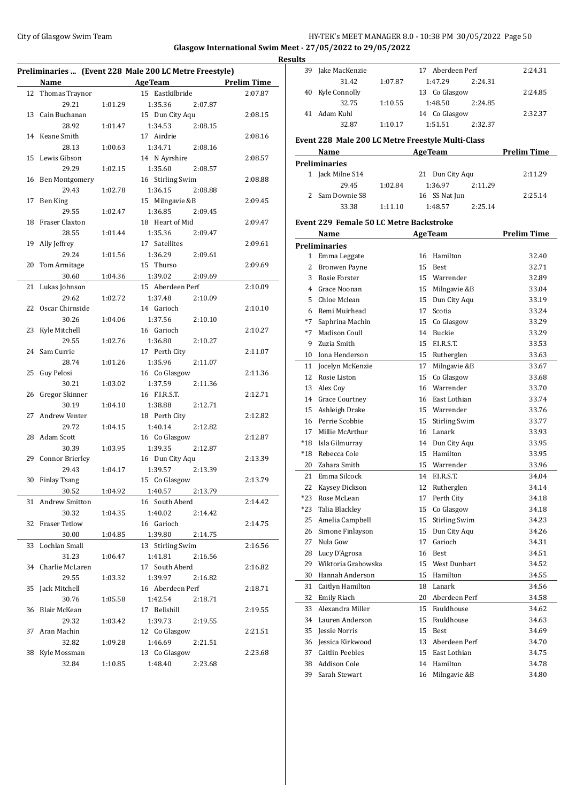## City of Glasgow Swim Team **HY-TEK's MEET MANAGER 8.0 - 10:38 PM 30/05/2022** Page 50 **Glasgow International Swim Meet - 27/05/2022 to 29/05/2022**

|    |                        |         | Preliminaries  (Event 228 Male 200 LC Metre Freestyle) |                    |
|----|------------------------|---------|--------------------------------------------------------|--------------------|
|    | Name                   |         | <b>AgeTeam</b>                                         | <b>Prelim Time</b> |
| 12 | Thomas Traynor         |         | 15 Eastkilbride                                        | 2:07.87            |
|    | 29.21                  | 1:01.29 | 1:35.36<br>2:07.87                                     |                    |
| 13 | Cain Buchanan          |         | 15 Dun City Aqu                                        | 2:08.15            |
|    | 28.92                  | 1:01.47 | 1:34.53<br>2:08.15                                     |                    |
|    | 14 Keane Smith         |         | 17 Airdrie                                             | 2:08.16            |
|    | 28.13                  | 1:00.63 | 2:08.16<br>1:34.71                                     |                    |
|    | 15 Lewis Gibson        |         | 14 N Ayrshire                                          | 2:08.57            |
|    | 29.29                  | 1:02.15 | 1:35.60<br>2:08.57                                     |                    |
|    | 16 Ben Montgomery      |         | 16 Stirling Swim                                       | 2:08.88            |
|    | 29.43                  | 1:02.78 | 1:36.15<br>2:08.88                                     |                    |
| 17 | Ben King               |         | 15 Milngavie &B                                        | 2:09.45            |
|    | 29.55                  | 1:02.47 | 1:36.85<br>2:09.45                                     |                    |
| 18 | Fraser Claxton         |         | 18 Heart of Mid                                        | 2:09.47            |
|    | 28.55                  | 1:01.44 | 1:35.36<br>2:09.47                                     |                    |
| 19 | Ally Jeffrey           |         | 17 Satellites                                          | 2:09.61            |
|    | 29.24                  | 1:01.56 | 1:36.29<br>2:09.61                                     |                    |
| 20 | Tom Armitage           |         | 15 Thurso                                              | 2:09.69            |
|    | 30.60                  | 1:04.36 | 1:39.02<br>2:09.69                                     |                    |
| 21 | Lukas Johnson          |         | 15 Aberdeen Perf                                       | 2:10.09            |
|    | 29.62                  |         | 1:37.48<br>2:10.09                                     |                    |
| 22 | Oscar Chirnside        | 1:02.72 | 14 Garioch                                             | 2:10.10            |
|    |                        |         | 1:37.56                                                |                    |
|    | 30.26                  | 1:04.06 | 2:10.10                                                |                    |
| 23 | Kyle Mitchell          |         | 16 Garioch                                             | 2:10.27            |
|    | 29.55                  | 1:02.76 | 1:36.80<br>2:10.27                                     |                    |
| 24 | Sam Currie             |         | 17 Perth City                                          | 2:11.07            |
|    | 28.74                  | 1:01.26 | 1:35.96<br>2:11.07                                     |                    |
| 25 | Guy Pelosi             |         | 16 Co Glasgow                                          | 2:11.36            |
|    | 30.21                  | 1:03.02 | 1:37.59<br>2:11.36                                     |                    |
| 26 | Gregor Skinner         |         | 16 F.I.R.S.T.                                          | 2:12.71            |
|    | 30.19                  | 1:04.10 | 1:38.88<br>2:12.71                                     |                    |
| 27 | Andrew Venter          |         | 18 Perth City                                          | 2:12.82            |
|    | 29.72                  | 1:04.15 | 1:40.14<br>2:12.82                                     |                    |
| 28 | Adam Scott             |         | 16 Co Glasgow                                          | 2:12.87            |
|    | 30.39                  | 1:03.95 | 1:39.35<br>2:12.87                                     |                    |
| 29 | <b>Connor Brierley</b> |         | 16 Dun City Aqu                                        | 2:13.39            |
|    | 29.43                  | 1:04.17 | 1:39.57<br>2:13.39                                     |                    |
| 30 | <b>Finlay Tsang</b>    |         | 15 Co Glasgow                                          | 2:13.79            |
|    | 30.52                  | 1:04.92 | 1:40.57<br>2:13.79                                     |                    |
|    | 31 Andrew Smitton      |         | 16 South Aberd                                         | 2:14.42            |
|    | 30.32                  | 1:04.35 | 1:40.02<br>2:14.42                                     |                    |
| 32 | <b>Fraser Tetlow</b>   |         | 16 Garioch                                             | 2:14.75            |
|    | 30.00                  | 1:04.85 | 1:39.80<br>2:14.75                                     |                    |
| 33 | Lochlan Small          |         | 13 Stirling Swim                                       | 2:16.56            |
|    | 31.23                  | 1:06.47 | 1:41.81<br>2:16.56                                     |                    |
| 34 | Charlie McLaren        |         | 17 South Aberd                                         | 2:16.82            |
|    | 29.55                  | 1:03.32 | 1:39.97<br>2:16.82                                     |                    |
| 35 | Jack Mitchell          |         | 16 Aberdeen Perf                                       | 2:18.71            |
|    | 30.76                  | 1:05.58 | 1:42.54<br>2:18.71                                     |                    |
| 36 | Blair McKean           |         | 17 Bellshill                                           | 2:19.55            |
|    | 29.32                  | 1:03.42 | 1:39.73<br>2:19.55                                     |                    |
| 37 | Aran Machin            |         | 12 Co Glasgow                                          | 2:21.51            |
|    | 32.82                  | 1:09.28 | 1:46.69<br>2:21.51                                     |                    |
|    | 38 Kyle Mossman        |         | 13 Co Glasgow                                          | 2:23.68            |
|    | 32.84                  | 1:10.85 | 1:48.40<br>2:23.68                                     |                    |

| <b>Results</b> |                                                   |         |    |                      |         |                    |
|----------------|---------------------------------------------------|---------|----|----------------------|---------|--------------------|
|                | 39 Jake MacKenzie                                 |         |    | 17 Aberdeen Perf     |         | 2:24.31            |
|                | 31.42                                             | 1:07.87 |    | 1:47.29              | 2:24.31 |                    |
|                | 40 Kyle Connolly                                  |         |    | 13 Co Glasgow        |         | 2:24.85            |
|                | 32.75                                             | 1:10.55 |    | 1:48.50              | 2:24.85 |                    |
|                | 41 Adam Kuhl                                      |         |    | 14 Co Glasgow        |         | 2:32.37            |
|                | 32.87                                             | 1:10.17 |    | 1:51.51              | 2:32.37 |                    |
|                | Event 228 Male 200 LC Metre Freestyle Multi-Class |         |    |                      |         |                    |
|                | Name                                              |         |    | <b>Age Team</b>      |         | <b>Prelim Time</b> |
|                | <b>Preliminaries</b>                              |         |    |                      |         |                    |
|                | 1 Jack Milne S14                                  |         |    | 21 Dun City Aqu      |         | 2:11.29            |
|                | 29.45                                             | 1:02.84 |    | 1:36.97              | 2:11.29 |                    |
|                | 2 Sam Downie S8                                   |         |    | 16 SS Nat Jun        |         | 2:25.14            |
|                | 33.38                                             | 1:11.10 |    | 1:48.57              | 2:25.14 |                    |
|                |                                                   |         |    |                      |         |                    |
|                | <b>Event 229 Female 50 LC Metre Backstroke</b>    |         |    |                      |         |                    |
|                | Name AgeTeam                                      |         |    |                      |         | <b>Prelim Time</b> |
|                | <b>Preliminaries</b>                              |         |    |                      |         |                    |
|                | 1 Emma Leggate                                    |         |    | 16 Hamilton          |         | 32.40              |
|                | 2 Bronwen Payne                                   |         |    | 15 Rest              |         | 32.71              |
|                | 3 Rosie Forster                                   |         |    | 15 Warrender         |         | 32.89              |
|                | 4 Grace Noonan                                    |         |    | 15 Milngavie &B      |         | 33.04              |
|                | 5 Chloe Mclean                                    |         |    | 15 Dun City Aqu      |         | 33.19              |
|                | 6 Remi Muirhead                                   |         |    | 17 Scotia            |         | 33.24              |
|                | *7 Saphrina Machin                                |         |    | 15 Co Glasgow        |         | 33.29              |
|                | *7 Madison Coull                                  |         |    | 14 Buckie            |         | 33.29              |
|                | 9 Zuzia Smith                                     |         |    | 15 F.I.R.S.T.        |         | 33.53              |
|                | 10 Iona Henderson                                 |         |    | 15 Rutherglen        |         | 33.63              |
|                | 11 Jocelyn McKenzie                               |         |    | 17 Milngavie &B      |         | 33.67              |
|                | 12 Rosie Liston                                   |         |    | 15 Co Glasgow        |         | 33.68              |
|                | 13 Alex Coy                                       |         |    | 16 Warrender         |         | 33.70              |
|                | 14 Grace Courtney                                 |         |    | 16 East Lothian      |         | 33.74              |
|                | 15 Ashleigh Drake                                 |         |    | 15 Warrender         |         | 33.76              |
|                | 16 Perrie Scobbie                                 |         |    | 15 Stirling Swim     |         | 33.77              |
|                | 17 Millie McArthur                                |         |    | 16 Lanark            |         | 33.93              |
|                | *18 Isla Gilmurray                                |         |    | 14 Dun City Aqu      |         | 33.95              |
|                | *18 Rebecca Cole                                  |         |    | 15 Hamilton          |         | 33.95              |
|                | 20 Zahara Smith                                   |         |    | 15 Warrender         |         | 33.96              |
|                | 21 Emma Silcock                                   |         |    | 14 F.I.R.S.T.        |         | 34.04              |
| 22             | Kaysey Dickson                                    |         |    | 12 Rutherglen        |         | 34.14              |
|                | *23 Rose McLean                                   |         | 17 | Perth City           |         | 34.18              |
|                | *23 Talia Blackley                                |         | 15 | Co Glasgow           |         | 34.18              |
|                | 25 Amelia Campbell                                |         | 15 | <b>Stirling Swim</b> |         | 34.23              |
|                | 26 Simone Finlayson                               |         | 15 | Dun City Aqu         |         | 34.26              |
| 27             | Nula Gow                                          |         | 17 | Garioch              |         | 34.31              |
|                | 28 Lucy D'Agrosa                                  |         |    | 16 Best              |         | 34.51              |
|                | 29 Wiktoria Grabowska                             |         | 15 | <b>West Dunbart</b>  |         | 34.52              |
| 30             | Hannah Anderson                                   |         | 15 | Hamilton             |         | 34.55              |
|                | 31 Caitlyn Hamilton                               |         | 18 | Lanark               |         | 34.56              |
|                | 32 Emily Riach                                    |         | 20 | Aberdeen Perf        |         | 34.58              |
| 33             | Alexandra Miller                                  |         |    | 15 Fauldhouse        |         | 34.62              |
|                | 34 Lauren Anderson                                |         | 15 | Fauldhouse           |         | 34.63              |
| 35             | Jessie Norris                                     |         | 15 | Best                 |         | 34.69              |
|                | 36 Jessica Kirkwood                               |         | 13 | Aberdeen Perf        |         | 34.70              |
| 37             | <b>Caitlin Peebles</b>                            |         | 15 | East Lothian         |         | 34.75              |
| 38             | Addison Cole                                      |         | 14 | Hamilton             |         | 34.78              |
| 39             | Sarah Stewart                                     |         | 16 | Milngavie &B         |         | 34.80              |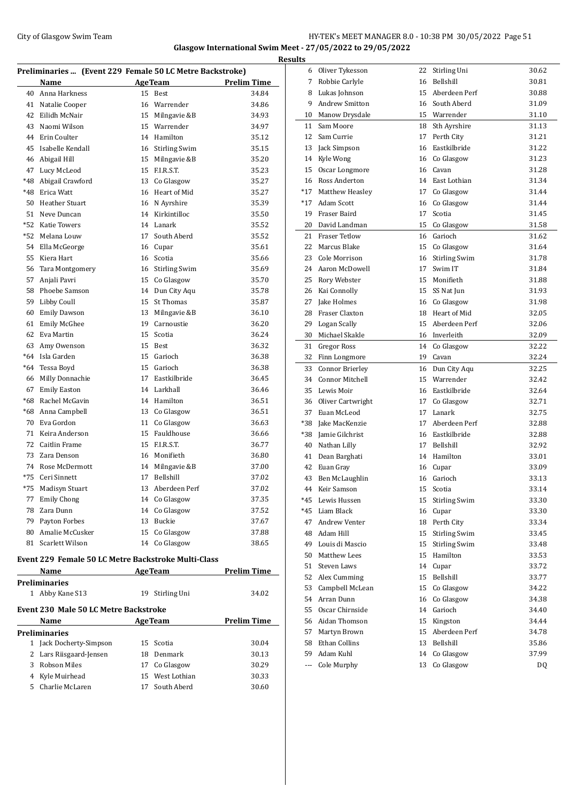## City of Glasgow Swim Team **HY-TEK's MEET MANAGER 8.0 - 10:38 PM 30/05/2022** Page 51 **Glasgow International Swim Meet - 27/05/2022 to 29/05/2022**

| Preliminaries  (Event 229 Female 50 LC Metre Backstroke) |                       |    |                      |                    |  |  |  |
|----------------------------------------------------------|-----------------------|----|----------------------|--------------------|--|--|--|
|                                                          | Name                  |    | <b>AgeTeam</b>       | <b>Prelim Time</b> |  |  |  |
| 40                                                       | Anna Harkness         | 15 | Best                 | 34.84              |  |  |  |
| 41                                                       | Natalie Cooper        |    | 16 Warrender         | 34.86              |  |  |  |
| 42                                                       | Eilidh McNair         | 15 | Milngavie &B         | 34.93              |  |  |  |
| 43                                                       | Naomi Wilson          | 15 | Warrender            | 34.97              |  |  |  |
| 44                                                       | Erin Coulter          |    | 14 Hamilton          | 35.12              |  |  |  |
| 45                                                       | Isabelle Kendall      |    | 16 Stirling Swim     | 35.15              |  |  |  |
| 46                                                       | Abigail Hill          |    | 15 Milngavie &B      | 35.20              |  |  |  |
| 47                                                       | Lucy McLeod           |    | 15 F.I.R.S.T.        | 35.23              |  |  |  |
| $*48$                                                    | Abigail Crawford      |    | 13 Co Glasgow        | 35.27              |  |  |  |
| $*48$                                                    | Erica Watt            | 16 | Heart of Mid         | 35.27              |  |  |  |
| 50                                                       | <b>Heather Stuart</b> |    | 16 N Ayrshire        | 35.39              |  |  |  |
| 51                                                       | Neve Duncan           |    | 14 Kirkintilloc      | 35.50              |  |  |  |
| $*52$                                                    | <b>Katie Towers</b>   | 14 | Lanark               | 35.52              |  |  |  |
| $*52$                                                    | Melana Louw           | 17 | South Aberd          | 35.52              |  |  |  |
| 54                                                       | Ella McGeorge         |    | 16 Cupar             | 35.61              |  |  |  |
| 55                                                       | Kiera Hart            | 16 | Scotia               | 35.66              |  |  |  |
| 56                                                       | Tara Montgomery       | 16 | <b>Stirling Swim</b> | 35.69              |  |  |  |
| 57                                                       | Anjali Pavri          |    | 15 Co Glasgow        | 35.70              |  |  |  |
| 58                                                       | Phoebe Samson         |    | 14 Dun City Aqu      | 35.78              |  |  |  |
| 59                                                       | Libby Coull           | 15 | St Thomas            | 35.87              |  |  |  |
| 60                                                       | <b>Emily Dawson</b>   |    | 13 Milngavie &B      | 36.10              |  |  |  |
| 61                                                       | <b>Emily McGhee</b>   | 19 | Carnoustie           | 36.20              |  |  |  |
| 62                                                       | Eva Martin            | 15 | Scotia               | 36.24              |  |  |  |
| 63                                                       | Amy Owenson           | 15 | Best                 | 36.32              |  |  |  |
| $*64$                                                    | Isla Garden           | 15 | Garioch              | 36.38              |  |  |  |
| $*64$                                                    | Tessa Boyd            | 15 | Garioch              | 36.38              |  |  |  |
| 66                                                       | Milly Donnachie       | 17 | Eastkilbride         | 36.45              |  |  |  |
| 67                                                       | <b>Emily Easton</b>   |    | 14 Larkhall          | 36.46              |  |  |  |
| $*68$                                                    | Rachel McGavin        |    | 14 Hamilton          | 36.51              |  |  |  |
| $*68$                                                    | Anna Campbell         | 13 | Co Glasgow           | 36.51              |  |  |  |
| 70                                                       | Eva Gordon            | 11 | Co Glasgow           | 36.63              |  |  |  |
| 71                                                       | Keira Anderson        | 15 | Fauldhouse           | 36.66              |  |  |  |
| 72                                                       | Caitlin Frame         | 15 | F.I.R.S.T.           | 36.77              |  |  |  |
| 73                                                       | Zara Denson           |    | 16 Monifieth         | 36.80              |  |  |  |
| 74                                                       | Rose McDermott        | 14 | Milngavie &B         | 37.00              |  |  |  |
| $*75$                                                    | Ceri Sinnett          | 17 | Bellshill            | 37.02              |  |  |  |
| $*75$                                                    | Madisyn Stuart        | 13 | Aberdeen Perf        | 37.02              |  |  |  |
| 77                                                       | <b>Emily Chong</b>    |    | 14 Co Glasgow        | 37.35              |  |  |  |
| 78                                                       | Zara Dunn             |    | 14 Co Glasgow        | 37.52              |  |  |  |
| 79                                                       | Payton Forbes         | 13 | Buckie               | 37.67              |  |  |  |
| 80                                                       | Amalie McCusker       | 15 | Co Glasgow           | 37.88              |  |  |  |
| 81                                                       | Scarlett Wilson       | 14 | Co Glasgow           | 38.65              |  |  |  |

## **Event 229 Female 50 LC Metre Backstroke Multi-Class**

|                                              | Name                  |     | <b>AgeTeam</b>  | Prelim Time |  |  |  |
|----------------------------------------------|-----------------------|-----|-----------------|-------------|--|--|--|
| Preliminaries                                |                       |     |                 |             |  |  |  |
| 1                                            | Abby Kane S13         | 19  | Stirling Uni    | 34.02       |  |  |  |
| <b>Event 230 Male 50 LC Metre Backstroke</b> |                       |     |                 |             |  |  |  |
|                                              | Name                  |     | <b>AgeTeam</b>  | Prelim Time |  |  |  |
| Preliminaries                                |                       |     |                 |             |  |  |  |
|                                              | Jack Docherty-Simpson | 15. | Scotia          | 30.04       |  |  |  |
|                                              | Lars Riisgaard-Jensen |     | 18 Denmark      | 30.13       |  |  |  |
| 3                                            | Robson Miles          | 17  | Co Glasgow      | 30.29       |  |  |  |
| 4                                            | Kyle Muirhead         |     | 15 West Lothian | 30.33       |  |  |  |
| 5.                                           | Charlie McLaren       | 17  | South Aberd     | 30.60       |  |  |  |
|                                              |                       |     |                 |             |  |  |  |

| <b>Results</b> |                                        |          |                                  |                |
|----------------|----------------------------------------|----------|----------------------------------|----------------|
|                | 6 Oliver Tykesson                      |          | 22 Stirling Uni                  | 30.62          |
| 7              | Robbie Carlyle                         |          | 16 Bellshill                     | 30.81          |
|                | 8 Lukas Johnson                        |          | 15 Aberdeen Perf                 | 30.88          |
| 9              | <b>Andrew Smitton</b>                  |          | 16 South Aberd                   | 31.09          |
| 10             | Manow Drysdale                         |          | 15 Warrender                     | 31.10          |
| 11             | Sam Moore                              |          | 18 Sth Ayrshire                  | 31.13          |
| 12             | Sam Currie                             | 17       | Perth City                       | 31.21          |
| 13             | Jack Simpson                           |          | 16 Eastkilbride                  | 31.22          |
| 14             | Kyle Wong                              |          | 16 Co Glasgow                    | 31.23          |
| 15             | Oscar Longmore                         |          | 16 Cavan                         | 31.28          |
|                | 16 Ross Anderton                       |          | 14 East Lothian                  | 31.34          |
|                | *17 Matthew Heasley                    |          | 17 Co Glasgow                    | 31.44          |
|                | *17 Adam Scott                         |          | 16 Co Glasgow                    | 31.44          |
| 19             | Fraser Baird                           | 17       | Scotia                           | 31.45          |
| 20             | David Landman                          | 15       | Co Glasgow                       | 31.58          |
| 21             | <b>Fraser Tetlow</b>                   |          | 16 Garioch                       | 31.62          |
| 22             | Marcus Blake                           |          | 15 Co Glasgow                    | 31.64          |
| 23             | Cole Morrison                          |          | 16 Stirling Swim                 | 31.78          |
| 24             | Aaron McDowell                         | 17       | Swim IT                          | 31.84          |
| 25             | Rory Webster                           |          | 15 Monifieth                     | 31.88          |
|                | 26 Kai Connolly                        |          | 15 SS Nat Jun                    | 31.93          |
| 27             | Jake Holmes                            |          | 16 Co Glasgow                    | 31.98          |
|                | 28 Fraser Claxton                      |          | 18 Heart of Mid                  | 32.05          |
| 29             | Logan Scally                           |          | 15 Aberdeen Perf                 | 32.06          |
| 30             | Michael Skakle                         |          | 16 Inverleith                    | 32.09          |
| 31             | Gregor Ross                            |          | 14 Co Glasgow                    | 32.22          |
|                | 32 Finn Longmore                       |          | 19 Cavan                         | 32.24          |
| 33             | Connor Brierley                        |          | 16 Dun City Aqu                  | 32.25          |
|                | 34 Connor Mitchell                     |          | 15 Warrender                     | 32.42          |
|                | 35 Lewis Moir                          |          | 16 Eastkilbride                  | 32.64          |
|                | 36 Oliver Cartwright                   |          | 17 Co Glasgow                    | 32.71          |
| 37             | Euan McLeod                            |          | 17 Lanark                        | 32.75          |
| $*38$          | <b>Jake MacKenzie</b>                  | 17       | Aberdeen Perf                    | 32.88          |
|                | *38 Jamie Gilchrist                    |          | 16 Eastkilbride                  | 32.88          |
|                | 40 Nathan Lilly                        | 17       | Bellshill                        | 32.92          |
|                | 41 Dean Barghati                       |          | 14 Hamilton                      | 33.01          |
| 42             | Euan Gray                              | 16       | Cupar                            | 33.09          |
| 43             | Ben McLaughlin                         |          | 16 Garioch                       | 33.13          |
| 44             | Keir Samson                            | 15       | Scotia                           | 33.14          |
| *45            | Lewis Hussen                           | 15       | <b>Stirling Swim</b>             | 33.30          |
|                | *45 Liam Black                         | 16       | Cupar                            | 33.30          |
| 47             | <b>Andrew Venter</b>                   |          | 18 Perth City                    | 33.34          |
|                | 48 Adam Hill                           | 15       | <b>Stirling Swim</b>             | 33.45          |
| 49<br>50       | Louis di Mascio<br><b>Matthew Lees</b> | 15<br>15 | <b>Stirling Swim</b><br>Hamilton | 33.48          |
| 51             | <b>Steven Laws</b>                     | 14       | Cupar                            | 33.53<br>33.72 |
| 52             | Alex Cumming                           | 15       | Bellshill                        | 33.77          |
| 53             | Campbell McLean                        | 15       | Co Glasgow                       | 34.22          |
| 54             | Arran Dunn                             | 16       | Co Glasgow                       | 34.38          |
| 55             | Oscar Chirnside                        |          | 14 Garioch                       | 34.40          |
|                | 56 Aidan Thomson                       | 15       | Kingston                         | 34.44          |
| 57             | Martyn Brown                           |          | 15 Aberdeen Perf                 | 34.78          |
|                | 58 Ethan Collins                       |          | 13 Bellshill                     | 35.86          |
|                | 59 Adam Kuhl                           |          | 14 Co Glasgow                    | 37.99          |
| ---            | Cole Murphy                            | 13       | Co Glasgow                       | DQ             |
|                |                                        |          |                                  |                |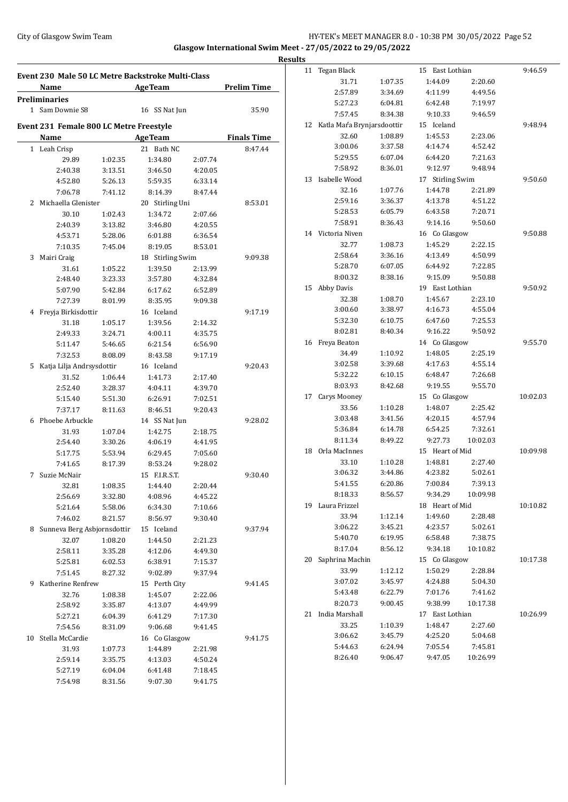### City of Glasgow Swim Team HY-TEK's MEET MANAGER 8.0 - 10:38 PM 30/05/2022 Page 52 **Glasgow International Swim Meet - 27/05/2022 to 29/05/2022**

**Results Event 230 Male 50 LC Metre Backstroke Multi-Class Name Age Team Prelim Time Preliminaries** 1 Sam Downie S8 16 SS Nat Jun 35.90 **Event 231 Female 800 LC Metre Freestyle Name Age Team Finals Time** 1 Leah Crisp 21 Bath NC 8:47.44 29.89 1:02.35 1:34.80 2:07.74 2:40.38 3:13.51 3:46.50 4:20.05 4:52.80 5:26.13 5:59.35 6:33.14 7:06.78 7:41.12 8:14.39 8:47.44 2 Michaella Glenister 20 Stirling Uni 8:53.01 30.10 1:02.43 1:34.72 2:07.66 2:40.39 3:13.82 3:46.80 4:20.55 4:53.71 5:28.06 6:01.88 6:36.54 7:10.35 7:45.04 8:19.05 8:53.01 3 Mairi Craig 18 Stirling Swim 9:09.38 31.61 1:05.22 1:39.50 2:13.99 2:48.40 3:23.33 3:57.80 4:32.84 5:07.90 5:42.84 6:17.62 6:52.89 7:27.39 8:01.99 8:35.95 9:09.38 4 Freyja Birkisdottir 16 Iceland 9:17.19 31.18 1:05.17 1:39.56 2:14.32 2:49.33 3:24.71 4:00.11 4:35.75 5:11.47 5:46.65 6:21.54 6:56.90 7:32.53 8:08.09 8:43.58 9:17.19 5 Katja Lilja Andrsysdottir 16 Iceland 9:20.43 31.52 1:06.44 1:41.73 2:17.40 2:52.40 3:28.37 4:04.11 4:39.70 5:15.40 5:51.30 6:26.91 7:02.51 7:37.17 8:11.63 8:46.51 9:20.43 6 Phoebe Arbuckle 14 SS Nat Jun 9:28.02 31.93 1:07.04 1:42.75 2:18.75 2:54.40 3:30.26 4:06.19 4:41.95 5:17.75 5:53.94 6:29.45 7:05.60 7:41.65 8:17.39 8:53.24 9:28.02 7 Suzie McNair 15 F.I.R.S.T. 9:30.40 32.81 1:08.35 1:44.40 2:20.44 2:56.69 3:32.80 4:08.96 4:45.22 5:21.64 5:58.06 6:34.30 7:10.66 7:46.02 8:21.57 8:56.97 9:30.40 8 Sunneva Berg Asbjornsdottir 15 Iceland 9:37.94 32.07 1:08.20 1:44.50 2:21.23 2:58.11 3:35.28 4:12.06 4:49.30 5:25.81 6:02.53 6:38.91 7:15.37 7:51.45 8:27.32 9:02.89 9:37.94 9 Katherine Renfrew 15 Perth City 9:41.45 32.76 1:08.38 1:45.07 2:22.06 2:58.92 3:35.87 4:13.07 4:49.99 5:27.21 6:04.39 6:41.29 7:17.30 7:54.56 8:31.09 9:06.68 9:41.45 10 Stella McCardie 16 Co Glasgow 9:41.75 31.93 1:07.73 1:44.89 2:21.98 2:59.14 3:35.75 4:13.03 4:50.24 5:27.19 6:04.04 6:41.48 7:18.45 7:54.98 8:31.56 9:07.30 9:41.75

| 11 | Tegan Black                |         | 15 East Lothian            |          | 9:46.59  |
|----|----------------------------|---------|----------------------------|----------|----------|
|    | 31.71                      | 1:07.35 | 1:44.09                    | 2:20.60  |          |
|    | 2:57.89                    | 3:34.69 | 4:11.99                    | 4:49.56  |          |
|    | 5:27.23                    | 6:04.81 | 6:42.48                    | 7:19.97  |          |
|    | 7:57.45                    | 8:34.38 | 9:10.33                    | 9:46.59  |          |
| 12 | Katla Maŕa Brynjarsdoottir |         | 15 Iceland                 |          | 9:48.94  |
|    | 32.60                      | 1:08.89 | 1:45.53                    | 2:23.06  |          |
|    | 3:00.06                    | 3:37.58 | 4:14.74                    | 4:52.42  |          |
|    | 5:29.55                    | 6:07.04 | 6:44.20                    | 7:21.63  |          |
|    | 7:58.92                    | 8:36.01 | 9:12.97                    | 9:48.94  |          |
| 13 | Isabelle Wood              |         | <b>Stirling Swim</b><br>17 |          | 9:50.60  |
|    | 32.16                      | 1:07.76 | 1:44.78                    | 2:21.89  |          |
|    | 2:59.16                    | 3:36.37 | 4:13.78                    | 4:51.22  |          |
|    | 5:28.53                    | 6:05.79 | 6:43.58                    | 7:20.71  |          |
|    | 7:58.91                    | 8:36.43 | 9:14.16                    | 9:50.60  |          |
| 14 | Victoria Niven             |         | 16 Co Glasgow              |          | 9:50.88  |
|    | 32.77                      | 1:08.73 | 1:45.29                    | 2:22.15  |          |
|    | 2:58.64                    | 3:36.16 | 4:13.49                    | 4:50.99  |          |
|    | 5:28.70                    | 6:07.05 | 6:44.92                    | 7:22.85  |          |
|    | 8:00.32                    | 8:38.16 | 9:15.09                    | 9:50.88  |          |
| 15 | Abby Davis                 |         | 19 East Lothian            |          | 9:50.92  |
|    | 32.38                      | 1:08.70 | 1:45.67                    | 2:23.10  |          |
|    | 3:00.60                    | 3:38.97 | 4:16.73                    | 4:55.04  |          |
|    | 5:32.30                    | 6:10.75 | 6:47.60                    | 7:25.53  |          |
|    | 8:02.81                    | 8:40.34 | 9:16.22                    | 9:50.92  |          |
| 16 | Freya Beaton               |         | Co Glasgow<br>14           |          | 9:55.70  |
|    | 34.49                      | 1:10.92 | 1:48.05                    | 2:25.19  |          |
|    | 3:02.58                    | 3:39.68 | 4:17.63                    | 4:55.14  |          |
|    | 5:32.22                    | 6:10.15 | 6:48.47                    | 7:26.68  |          |
|    | 8:03.93                    | 8:42.68 | 9:19.55                    | 9:55.70  |          |
| 17 | Carys Mooney               |         | Co Glasgow<br>15           |          | 10:02.03 |
|    | 33.56                      | 1:10.28 | 1:48.07                    | 2:25.42  |          |
|    | 3:03.48                    | 3:41.56 | 4:20.15                    | 4:57.94  |          |
|    | 5:36.84                    | 6:14.78 | 6:54.25                    | 7:32.61  |          |
|    | 8:11.34                    | 8:49.22 | 9:27.73                    | 10:02.03 |          |
| 18 | Orla MacInnes              |         | 15 Heart of Mid            |          | 10:09.98 |
|    | 33.10                      | 1:10.28 | 1:48.81                    | 2:27.40  |          |
|    | 3:06.32                    | 3:44.86 | 4:23.82                    | 5:02.61  |          |
|    | 5:41.55                    | 6:20.86 | 7:00.84                    | 7:39.13  |          |
|    | 8:18.33                    | 8:56.57 | 9:34.29                    | 10:09.98 |          |
| 19 | Laura Frizzel              |         | 18 Heart of Mid            |          | 10:10.82 |
|    | 33.94                      | 1:12.14 | 1:49.60                    | 2:28.48  |          |
|    | 3:06.22                    | 3:45.21 | 4:23.57                    | 5:02.61  |          |
|    | 5:40.70                    | 6:19.95 | 6:58.48                    | 7:38.75  |          |
|    | 8:17.04                    | 8:56.12 | 9:34.18                    | 10:10.82 |          |
| 20 | Saphrina Machin            |         | 15 Co Glasgow              |          | 10:17.38 |
|    | 33.99                      | 1:12.12 | 1:50.29                    | 2:28.84  |          |
|    | 3:07.02                    | 3:45.97 | 4:24.88                    | 5:04.30  |          |
|    | 5:43.48                    | 6:22.79 | 7:01.76                    | 7:41.62  |          |
|    | 8:20.73                    | 9:00.45 | 9:38.99                    | 10:17.38 |          |
| 21 | India Marshall             |         | East Lothian<br>17         |          | 10:26.99 |
|    | 33.25                      | 1:10.39 | 1:48.47                    | 2:27.60  |          |
|    | 3:06.62                    | 3:45.79 | 4:25.20                    | 5:04.68  |          |
|    | 5:44.63                    | 6:24.94 | 7:05.54                    | 7:45.81  |          |
|    | 8:26.40                    | 9:06.47 | 9:47.05                    | 10:26.99 |          |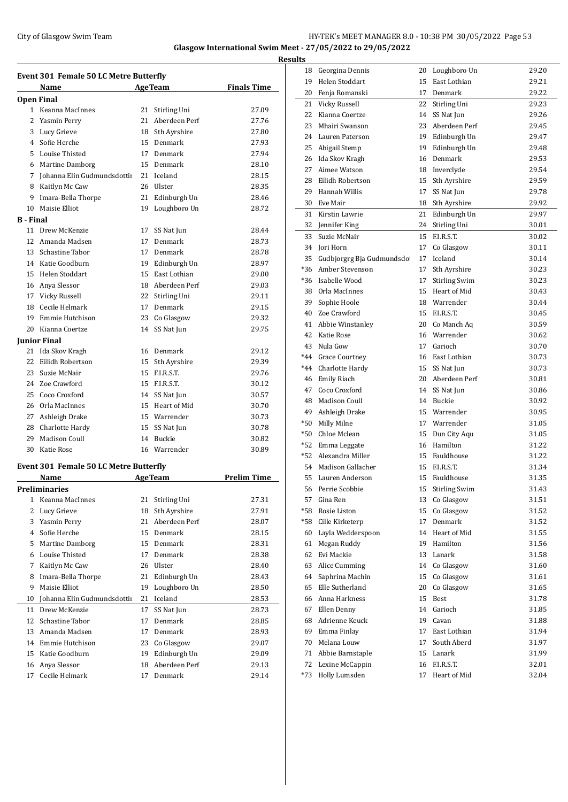## City of Glasgow Swim Team HY-TEK's MEET MANAGER 8.0 - 10:38 PM 30/05/2022 Page 53 **Glasgow International Swim Meet - 27/05/2022 to 29/05/2022**

**Event 301 Female 50 LC Metre Butterfly Name Age Team Finals Time Open Final** Keanna MacInnes 21 Stirling Uni 27.09 Yasmin Perry 21 Aberdeen Perf 27.76 Lucy Grieve 18 Sth Ayrshire 27.80 Sofie Herche 15 Denmark 27.93 Louise Thisted 17 Denmark 27.94 Martine Damborg 15 Denmark 28.10 Johanna Elin Gudmundsdottir 21 Iceland 28.15 8 Kaitlyn Mc Caw 26 Ulster 28.35 Imara-Bella Thorpe 21 Edinburgh Un 28.46 Maisie Elliot 19 Loughboro Un 28.72 **B - Final** Drew McKenzie 17 SS Nat Jun 28.44 Amanda Madsen 17 Denmark 28.73 Schastine Tabor 17 Denmark 28.78 Katie Goodburn 19 Edinburgh Un 28.97 Helen Stoddart 15 East Lothian 29.00 Anya Slessor 18 Aberdeen Perf 29.03 Vicky Russell 22 Stirling Uni 29.11 Cecile Helmark 17 Denmark 29.15 Emmie Hutchison 23 Co Glasgow 29.32 Kianna Coertze 14 SS Nat Jun 29.75 **Junior Final** Ida Skov Kragh 16 Denmark 29.12 Eilidh Robertson 15 Sth Ayrshire 29.39 23 Suzie McNair 15 F.I.R.S.T. 29.76 Zoe Crawford 15 F.I.R.S.T. 30.12 25 Coco Croxford 14 SS Nat Jun 30.57 26 Orla MacInnes 15 Heart of Mid 30.70 Ashleigh Drake 15 Warrender 30.73 28 Charlotte Hardy 15 SS Nat Jun 30.78 29 Madison Coull 14 Buckie 30.82 Katie Rose 16 Warrender 30.89 **Event 301 Female 50 LC Metre Butterfly Name Age Team Prelim Time Preliminaries** Keanna MacInnes 21 Stirling Uni 27.31 2 Lucy Grieve 18 Sth Ayrshire 27.91 Yasmin Perry 21 Aberdeen Perf 28.07 Sofie Herche 15 Denmark 28.15 Martine Damborg 15 Denmark 28.31 Louise Thisted 17 Denmark 28.38 Kaitlyn Mc Caw 26 Ulster 28.40 Imara-Bella Thorpe 21 Edinburgh Un 28.43 9 Maisie Elliot 19 Loughboro Un 28.50 Johanna Elin Gudmundsdottir 21 Iceland 28.53 11 Drew McKenzie 17 SS Nat Jun 28.73 12 Schastine Tabor 17 Denmark 28.85 Amanda Madsen 17 Denmark 28.93 Emmie Hutchison 23 Co Glasgow 29.07 Katie Goodburn 19 Edinburgh Un 29.09 Anya Slessor 18 Aberdeen Perf 29.13

Cecile Helmark 17 Denmark 29.14

| <b>Results</b> |                                 |          |                           |                |
|----------------|---------------------------------|----------|---------------------------|----------------|
|                | 18 Georgina Dennis              |          | 20 Loughboro Un           | 29.20          |
| 19             | Helen Stoddart                  | 15       | East Lothian              | 29.21          |
| 20             | Fenja Romanski                  | 17       | Denmark                   | 29.22          |
| 21             | Vicky Russell                   | 22       | Stirling Uni              | 29.23          |
| 22             | Kianna Coertze                  | 14       | SS Nat Jun                | 29.26          |
| 23             | Mhairi Swanson                  |          | 23 Aberdeen Perf          | 29.45          |
|                | 24 Lauren Paterson              |          | 19 Edinburgh Un           | 29.47          |
| 25             | Abigail Stemp                   | 19       | Edinburgh Un              | 29.48          |
|                | 26 Ida Skov Kragh               | 16       | Denmark                   | 29.53          |
|                | 27 Aimee Watson                 |          | 18 Inverclyde             | 29.54          |
| 28             | Eilidh Robertson                | 15       | Sth Ayrshire              | 29.59          |
| 29             | Hannah Willis                   | 17       | SS Nat Jun                | 29.78          |
|                | 30 Eve Mair                     | 18       | Sth Ayrshire              | 29.92          |
| 31             | Kirstin Lawrie                  | 21       | Edinburgh Un              | 29.97          |
|                | 32 Jennifer King                | 24       | Stirling Uni              | 30.01          |
|                | 33 Suzie McNair                 | 15       | F.I.R.S.T.                | 30.02          |
|                | 34 Jori Horn                    | 17       | Co Glasgow                | 30.11          |
| 35             | Gudbjorgrg Bja Gudmundsdo       | 17       | Iceland                   | 30.14          |
| *36            | Amber Stevenson                 | 17       | Sth Ayrshire              | 30.23          |
| *36            | Isabelle Wood                   | 17       | Stirling Swim             | 30.23          |
|                | 38 Orla MacInnes                | 15       | Heart of Mid              | 30.43          |
| 39             | Sophie Hoole                    |          | 18 Warrender              | 30.44          |
|                | 40 Zoe Crawford                 | 15       | F.I.R.S.T.                | 30.45          |
|                | 41 Abbie Winstanley             |          | 20 Co Manch Aq            | 30.59          |
|                | 42 Katie Rose                   |          | 16 Warrender              | 30.62          |
|                | 43 Nula Gow                     | 17       | Garioch                   | 30.70          |
|                | *44 Grace Courtney              |          | 16 East Lothian           | 30.73          |
|                | *44 Charlotte Hardy             |          | 15 SS Nat Jun             | 30.73          |
|                | 46 Emily Riach                  |          | 20 Aberdeen Perf          | 30.81          |
|                | 47 Coco Croxford                | 14       | SS Nat Jun                | 30.86          |
|                | 48 Madison Coull                |          | 14 Buckie                 | 30.92          |
| 49             | Ashleigh Drake                  | 15       | Warrender<br>17 Warrender | 30.95          |
| *50            | Milly Milne<br>*50 Chloe Mclean |          | Dun City Aqu              | 31.05          |
|                | *52 Emma Leggate                | 15<br>16 | Hamilton                  | 31.05<br>31.22 |
|                | *52 Alexandra Miller            | 15       | Fauldhouse                | 31.22          |
| 54             | Madison Gallacher               | 15       | F.I.R.S.T.                | 31.34          |
| 55             | Lauren Anderson                 | 15       | Fauldhouse                | 31.35          |
| 56             | Perrie Scobbie                  | 15       | <b>Stirling Swim</b>      | 31.43          |
| 57             | Gina Ren                        | 13       | Co Glasgow                | 31.51          |
| *58            | Rosie Liston                    | 15       | Co Glasgow                | 31.52          |
| *58            | Cille Kirketerp                 | 17       | Denmark                   | 31.52          |
| 60             | Layla Wedderspoon               | 14       | Heart of Mid              | 31.55          |
| 61             | Megan Ruddy                     | 19       | Hamilton                  | 31.56          |
| 62             | Evi Mackie                      | 13       | Lanark                    | 31.58          |
| 63             | Alice Cumming                   | 14       | Co Glasgow                | 31.60          |
| 64             | Saphrina Machin                 | 15       | Co Glasgow                | 31.61          |
| 65             | Elle Sutherland                 | 20       | Co Glasgow                | 31.65          |
| 66             | Anna Harkness                   | 15       | Best                      | 31.78          |
| 67             | Ellen Denny                     | 14       | Garioch                   | 31.85          |
|                | 68 Adrienne Keuck               | 19       | Cavan                     | 31.88          |
|                | 69 Emma Finlay                  | 17       | East Lothian              | 31.94          |
|                | 70 Melana Louw                  | 17       | South Aberd               | 31.97          |
|                | 71 Abbie Barnstaple             | 15       | Lanark                    | 31.99          |
|                | 72 Lexine McCappin              | 16       | F.I.R.S.T.                | 32.01          |
|                | *73 Holly Lumsden               |          | 17 Heart of Mid           | 32.04          |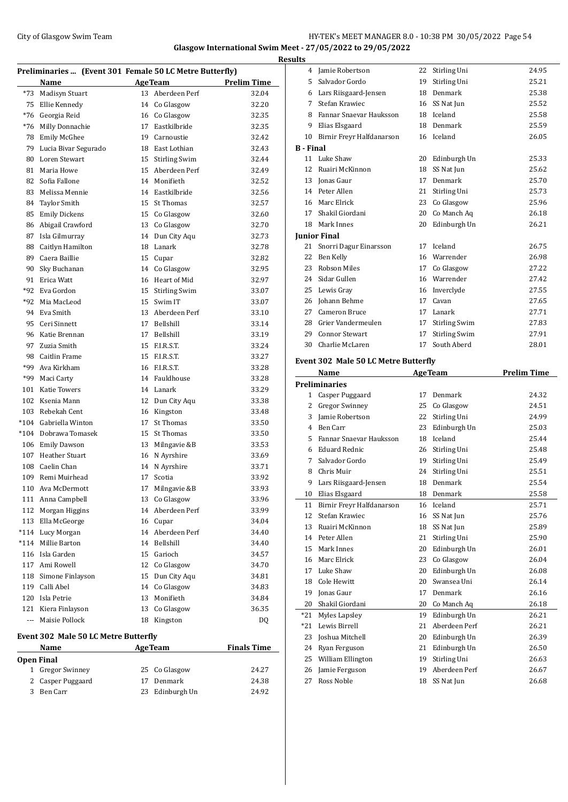#### City of Glasgow Swim Team HY-TEK's MEET MANAGER 8.0 - 10:38 PM 30/05/2022 Page 54 **Glasgow International Swim Meet - 27/05/2022 to 29/05/2022**

**Preliminaries ... (Event 301 Female 50 LC Metre Butterfly) Name Age Team Prelim Time** \*73 Madisyn Stuart 13 Aberdeen Perf 32.04 Ellie Kennedy 14 Co Glasgow 32.20 \*76 Georgia Reid 16 Co Glasgow 32.35 \*76 Milly Donnachie 17 Eastkilbride 32.35 Emily McGhee 19 Carnoustie 32.42 Lucia Bivar Segurado 18 East Lothian 32.43 Loren Stewart 15 Stirling Swim 32.44 Maria Howe 15 Aberdeen Perf 32.49 Sofia Fallone 14 Monifieth 32.52 Melissa Mennie 14 Eastkilbride 32.56 84 Taylor Smith 15 St Thomas 32.57 Emily Dickens 15 Co Glasgow 32.60 86 Abigail Crawford 13 Co Glasgow 32.70 Isla Gilmurray 14 Dun City Aqu 32.73 Caitlyn Hamilton 18 Lanark 32.78 89 Caera Baillie 15 Cupar 15 22.82 Sky Buchanan 14 Co Glasgow 32.95 91 Erica Watt 16 Heart of Mid 32.97 \*92 Eva Gordon 15 Stirling Swim 33.07 \*92 Mia MacLeod 15 Swim IT 33.07 Eva Smith 13 Aberdeen Perf 33.10 Ceri Sinnett 17 Bellshill 33.14 Katie Brennan 17 Bellshill 33.19 Zuzia Smith 15 F.I.R.S.T. 33.24 Caitlin Frame 15 F.I.R.S.T. 33.27 \*99 Ava Kirkham 16 F.I.R.S.T. 33.28 \*99 Maci Carty 14 Fauldhouse 33.28 Katie Towers 14 Lanark 33.29 Ksenia Mann 12 Dun City Aqu 33.38 Rebekah Cent 16 Kingston 33.48 \*104 Gabriella Winton 17 St Thomas 33.50 \*104 Dobrawa Tomasek 15 St Thomas 33.50 106 Emily Dawson 13 Milngavie &B 33.53 Heather Stuart 16 N Ayrshire 33.69 108 Caelin Chan 14 N Ayrshire 33.71 Remi Muirhead 17 Scotia 33.92 Ava McDermott 17 Milngavie &B 33.93 111 Anna Campbell 13 Co Glasgow 33.96 Morgan Higgins 14 Aberdeen Perf 33.99 Ella McGeorge 16 Cupar 34.04 \*114 Lucy Morgan 14 Aberdeen Perf 34.40 \*114 Millie Barton 14 Bellshill 34.40 Isla Garden 15 Garioch 34.57 117 Ami Rowell 12 Co Glasgow 34.70 118 Simone Finlayson 15 Dun City Aqu 34.81 119 Calli Abel 14 Co Glasgow 34.83 Isla Petrie 13 Monifieth 34.84 Kiera Finlayson 13 Co Glasgow 36.35 --- Maisie Pollock 18 Kingston DQ **Event 302 Male 50 LC Metre Butterfly**

## **Name Age Team Finals Time**

 $\overline{\phantom{a}}$ 

| Open Final |                   |    |                 |       |  |  |
|------------|-------------------|----|-----------------|-------|--|--|
|            | 1 Gregor Swinney  |    | 25 Co Glasgow   | 24.27 |  |  |
|            | 2 Casper Puggaard | 17 | Denmark         | 24.38 |  |  |
|            | 3 Ben Carr        |    | 23 Edinburgh Un | 24.92 |  |  |

| <b>Results</b>   |                           |    |                      |       |
|------------------|---------------------------|----|----------------------|-------|
| 4                | Jamie Robertson           | 22 | Stirling Uni         | 24.95 |
| 5                | Salvador Gordo            | 19 | Stirling Uni         | 25.21 |
| 6                | Lars Riisgaard-Jensen     | 18 | Denmark              | 25.38 |
| 7                | Stefan Krawiec            | 16 | SS Nat Jun           | 25.52 |
| 8                | Fannar Snaevar Hauksson   | 18 | Iceland              | 25.58 |
| 9                | Elias Elsgaard            | 18 | Denmark              | 25.59 |
| 10               | Birnir Freyr Halfdanarson | 16 | Iceland              | 26.05 |
| <b>B</b> - Final |                           |    |                      |       |
|                  | 11 Luke Shaw              | 20 | Edinburgh Un         | 25.33 |
| 12               | Ruairi McKinnon           | 18 | SS Nat Jun           | 25.62 |
| 13               | Jonas Gaur                | 17 | Denmark              | 25.70 |
|                  | 14 Peter Allen            | 21 | Stirling Uni         | 25.73 |
|                  | 16 Marc Elrick            | 23 | Co Glasgow           | 25.96 |
| 17               | Shakil Giordani           | 20 | Co Manch Aq          | 26.18 |
| 18               | Mark Innes                | 20 | Edinburgh Un         | 26.21 |
|                  | <b>Junior Final</b>       |    |                      |       |
| 21               | Snorri Dagur Einarsson    | 17 | Iceland              | 26.75 |
| 22               | Ben Kelly                 | 16 | Warrender            | 26.98 |
| 23               | <b>Robson Miles</b>       | 17 | Co Glasgow           | 27.22 |
| 24               | Sidar Gullen              | 16 | Warrender            | 27.42 |
| 25               | Lewis Gray                | 16 | Inverclyde           | 27.55 |
| 26               | Johann Behme              | 17 | Cavan                | 27.65 |
| 27               | Cameron Bruce             | 17 | Lanark               | 27.71 |
| 28               | Grier Vandermeulen        | 17 | <b>Stirling Swim</b> | 27.83 |
| 29               | <b>Connor Stewart</b>     | 17 | <b>Stirling Swim</b> | 27.91 |
| 30               | Charlie McLaren           | 17 | South Aberd          | 28.01 |
|                  |                           |    |                      |       |

#### **Event 302 Male 50 LC Metre Butterfly**

|                | <b>Name</b>               |    | <b>AgeTeam</b> | <b>Prelim Time</b> |
|----------------|---------------------------|----|----------------|--------------------|
|                | <b>Preliminaries</b>      |    |                |                    |
| 1              | Casper Puggaard           | 17 | Denmark        | 24.32              |
| $\overline{2}$ | <b>Gregor Swinney</b>     | 25 | Co Glasgow     | 24.51              |
| 3              | Jamie Robertson           | 22 | Stirling Uni   | 24.99              |
| 4              | Ben Carr                  | 23 | Edinburgh Un   | 25.03              |
| 5              | Fannar Snaevar Hauksson   | 18 | Iceland        | 25.44              |
| 6              | <b>Eduard Rednic</b>      | 26 | Stirling Uni   | 25.48              |
| 7              | Salvador Gordo            | 19 | Stirling Uni   | 25.49              |
| 8              | Chris Muir                | 24 | Stirling Uni   | 25.51              |
| 9              | Lars Riisgaard-Jensen     | 18 | Denmark        | 25.54              |
| 10             | Elias Elsgaard            | 18 | Denmark        | 25.58              |
| 11             | Birnir Freyr Halfdanarson | 16 | Iceland        | 25.71              |
| 12             | Stefan Krawiec            | 16 | SS Nat Jun     | 25.76              |
| 13             | Ruairi McKinnon           | 18 | SS Nat Jun     | 25.89              |
| 14             | Peter Allen               | 21 | Stirling Uni   | 25.90              |
| 15             | Mark Innes                | 20 | Edinburgh Un   | 26.01              |
| 16             | Marc Elrick               | 23 | Co Glasgow     | 26.04              |
| 17             | Luke Shaw                 | 20 | Edinburgh Un   | 26.08              |
| 18             | Cole Hewitt               | 20 | Swansea Uni    | 26.14              |
| 19             | Jonas Gaur                | 17 | Denmark        | 26.16              |
| 20             | Shakil Giordani           | 20 | Co Manch Aq    | 26.18              |
| $*21$          | Myles Lapsley             | 19 | Edinburgh Un   | 26.21              |
| $*21$          | Lewis Birrell             | 21 | Aberdeen Perf  | 26.21              |
| 23             | Joshua Mitchell           | 20 | Edinburgh Un   | 26.39              |
| 24             | Ryan Ferguson             | 21 | Edinburgh Un   | 26.50              |
| 25             | William Ellington         | 19 | Stirling Uni   | 26.63              |
| 26             | Jamie Ferguson            | 19 | Aberdeen Perf  | 26.67              |
| 27             | Ross Noble                | 18 | SS Nat Jun     | 26.68              |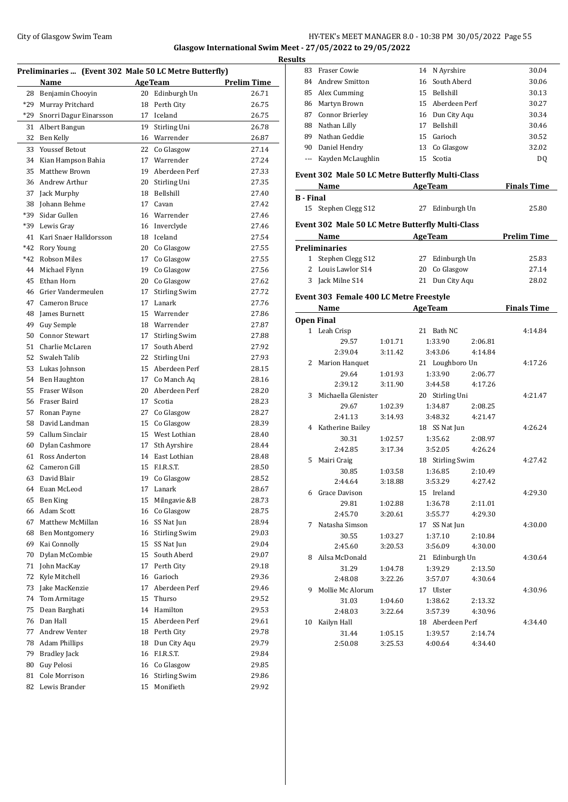## City of Glasgow Swim Team Team Frameters Music City of Glasgow Swim Team Frameters Superson City of Glasgow Swim Team Frameters Superson City of Glasgow Swim Team Frameters Superson City of Glasgow Swim Team Frameters Supe **Glasgow International Swim Meet - 27/05/2022 to 29/05/2022**

|          | Preliminaries  (Event 302 Male 50 LC Metre Butterfly) |                  |                                  |                    |  |  |
|----------|-------------------------------------------------------|------------------|----------------------------------|--------------------|--|--|
|          | Name                                                  |                  | <b>AgeTeam</b>                   | <b>Prelim Time</b> |  |  |
| 28       | Benjamin Chooyin                                      |                  | 20 Edinburgh Un                  | 26.71              |  |  |
| *29      | Murray Pritchard                                      | 18               | Perth City                       | 26.75              |  |  |
| *29      | Snorri Dagur Einarsson                                | 17               | Iceland                          | 26.75              |  |  |
| 31       | Albert Bangun                                         | 19               | Stirling Uni                     | 26.78              |  |  |
| 32       | Ben Kelly                                             |                  | 16 Warrender                     | 26.87              |  |  |
| 33       | <b>Youssef Betout</b>                                 | 22               | Co Glasgow                       | 27.14              |  |  |
| 34       | Kian Hampson Bahia                                    | 17               | Warrender                        | 27.24              |  |  |
| 35       | <b>Matthew Brown</b>                                  | 19               | Aberdeen Perf                    | 27.33              |  |  |
| 36       | Andrew Arthur                                         | 20               | Stirling Uni                     | 27.35              |  |  |
| 37       | Jack Murphy                                           | 18               | Bellshill                        | 27.40              |  |  |
| 38       | Johann Behme                                          | 17               | Cavan                            | 27.42              |  |  |
| *39      | Sidar Gullen                                          |                  | 16 Warrender                     | 27.46              |  |  |
| *39      | Lewis Gray                                            | 16               | Inverclyde                       | 27.46              |  |  |
| 41       | Kari Snaer Halldorsson                                | 18               | Iceland                          | 27.54              |  |  |
| $*42$    | Rory Young                                            |                  | 20 Co Glasgow                    | 27.55              |  |  |
| *42      | <b>Robson Miles</b>                                   |                  | 17 Co Glasgow                    | 27.55              |  |  |
| 44       | Michael Flynn                                         | 19               | Co Glasgow                       | 27.56              |  |  |
| 45       | Ethan Horn                                            | 20               | Co Glasgow                       | 27.62              |  |  |
| 46       | Grier Vandermeulen                                    | 17               | <b>Stirling Swim</b>             | 27.72              |  |  |
| 47       | Cameron Bruce                                         | 17               | Lanark                           | 27.76              |  |  |
| 48       | James Burnett                                         | 15 <sup>15</sup> | Warrender                        | 27.86              |  |  |
| 49       | Guy Semple                                            |                  | 18 Warrender                     | 27.87              |  |  |
| 50       | <b>Connor Stewart</b>                                 | 17               | <b>Stirling Swim</b>             | 27.88              |  |  |
| 51       | Charlie McLaren                                       | 17               | South Aberd                      | 27.92              |  |  |
| 52       | Swaleh Talib                                          |                  | 22 Stirling Uni                  | 27.93              |  |  |
| 53       | Lukas Johnson                                         |                  | 15 Aberdeen Perf                 | 28.15              |  |  |
| 54       | Ben Haughton                                          |                  | 17 Co Manch Aq                   | 28.16              |  |  |
| 55       | <b>Fraser Wilson</b>                                  | 20               | Aberdeen Perf                    | 28.20              |  |  |
| 56       | Fraser Baird                                          | 17               | Scotia                           | 28.23              |  |  |
| 57       | Ronan Payne                                           | 27               | Co Glasgow                       | 28.27              |  |  |
| 58       | David Landman                                         | 15               | Co Glasgow                       | 28.39              |  |  |
| 59       | Callum Sinclair                                       | 15               | West Lothian                     | 28.40              |  |  |
| 60       | Dylan Cashmore                                        | 17               | Sth Ayrshire                     | 28.44<br>28.48     |  |  |
| 61<br>62 | Ross Anderton<br>Cameron Gill                         |                  | 14 East Lothian<br>15 F.I.R.S.T. |                    |  |  |
| 63       | David Blair                                           | 19               | Co Glasgow                       | 28.50<br>28.52     |  |  |
| 64       | Euan McLeod                                           | 17               | Lanark                           | 28.67              |  |  |
| 65       | Ben King                                              | 15               | Milngavie &B                     | 28.73              |  |  |
| 66       | Adam Scott                                            |                  | 16 Co Glasgow                    | 28.75              |  |  |
| 67       | Matthew McMillan                                      |                  | 16 SS Nat Jun                    | 28.94              |  |  |
| 68       | Ben Montgomery                                        | 16               | <b>Stirling Swim</b>             | 29.03              |  |  |
| 69       | Kai Connolly                                          | 15               | SS Nat Jun                       | 29.04              |  |  |
| 70       | Dylan McCombie                                        | 15               | South Aberd                      | 29.07              |  |  |
| 71       | John MacKay                                           | 17               | Perth City                       | 29.18              |  |  |
| 72       | Kyle Mitchell                                         | 16               | Garioch                          | 29.36              |  |  |
| 73       | Jake MacKenzie                                        | 17               | Aberdeen Perf                    | 29.46              |  |  |
| 74       | Tom Armitage                                          | 15               | Thurso                           | 29.52              |  |  |
| 75       | Dean Barghati                                         | 14               | Hamilton                         | 29.53              |  |  |
| 76       | Dan Hall                                              |                  | 15 Aberdeen Perf                 | 29.61              |  |  |
| 77       | Andrew Venter                                         |                  | 18 Perth City                    | 29.78              |  |  |
| 78       | <b>Adam Phillips</b>                                  | 18               | Dun City Aqu                     | 29.79              |  |  |
| 79       | <b>Bradley Jack</b>                                   | 16               | F.I.R.S.T.                       | 29.84              |  |  |
| 80       | Guy Pelosi                                            | 16               | Co Glasgow                       | 29.85              |  |  |
| 81       | Cole Morrison                                         | 16               | <b>Stirling Swim</b>             | 29.86              |  |  |
| 82       | Lewis Brander                                         | 15               | Monifieth                        | 29.92              |  |  |
|          |                                                       |                  |                                  |                    |  |  |

|  | <b>Results</b> |                    |    |                  |                |  |  |
|--|----------------|--------------------|----|------------------|----------------|--|--|
|  | 83             | Fraser Cowie       |    | 14 N Avrshire    | 30.04          |  |  |
|  |                | 84 Andrew Smitton  |    | 16 South Aberd   | 30.06          |  |  |
|  |                | 85 Alex Cumming    | 15 | Bellshill        | 30.13          |  |  |
|  |                | 86 Martyn Brown    |    | 15 Aberdeen Perf | 30.27          |  |  |
|  |                | 87 Connor Brierley |    | 16 Dun City Agu  | 30.34          |  |  |
|  | 88             | Nathan Lilly       | 17 | Bellshill        | 30.46          |  |  |
|  | 89.            | Nathan Geddie      |    | 15 Garioch       | 30.52          |  |  |
|  | 90             | Daniel Hendry      | 13 | Co Glasgow       | 32.02          |  |  |
|  |                | Kayden McLaughlin  |    | 15 Scotia        | D <sub>0</sub> |  |  |
|  |                |                    |    |                  |                |  |  |

#### **Event 302 Male 50 LC Metre Butterfly Multi-Class**

| Name                 | <b>AgeTeam</b>  | <b>Finals Time</b> |
|----------------------|-----------------|--------------------|
| B - Final            |                 |                    |
| 15 Stephen Clegg S12 | 27 Edinburgh Un | 25.80              |

#### **Event 302 Male 50 LC Metre Butterfly Multi-Class**

| Name |                      | <b>AgeTeam</b>  | <b>Prelim Time</b> |
|------|----------------------|-----------------|--------------------|
|      | <b>Preliminaries</b> |                 |                    |
|      | 1 Stephen Clegg S12  | 27 Edinburgh Un | 25.83              |
|      | 2 Louis Lawlor S14   | 20 Co Glasgow   | 27.14              |
| 3    | Jack Milne S14       | 21 Dun City Agu | 28.02              |

#### **Event 303 Female 400 LC Metre Freestyle**

|    | Name                  |         | <b>AgeTeam</b>   |         | <b>Finals Time</b> |
|----|-----------------------|---------|------------------|---------|--------------------|
|    | <b>Open Final</b>     |         |                  |         |                    |
|    | 1 Leah Crisp          |         | 21 Bath NC       |         | 4:14.84            |
|    | 29.57                 | 1:01.71 | 1:33.90          | 2:06.81 |                    |
|    | 2:39.04               | 3:11.42 | 3:43.06          | 4:14.84 |                    |
| 2  | <b>Marion Hanquet</b> |         | 21 Loughboro Un  |         | 4:17.26            |
|    | 29.64                 | 1:01.93 | 1:33.90          | 2:06.77 |                    |
|    | 2:39.12               | 3:11.90 | 3:44.58          | 4:17.26 |                    |
| 3  | Michaella Glenister   |         | 20 Stirling Uni  |         | 4:21.47            |
|    | 29.67                 | 1:02.39 | 1:34.87          | 2:08.25 |                    |
|    | 2:41.13               | 3:14.93 | 3:48.32          | 4:21.47 |                    |
|    | 4 Katherine Bailey    |         | 18 SS Nat Jun    |         | 4:26.24            |
|    | 30.31                 | 1:02.57 | 1:35.62          | 2:08.97 |                    |
|    | 2:42.85               | 3:17.34 | 3:52.05          | 4:26.24 |                    |
| 5  | Mairi Craig           |         | 18 Stirling Swim |         | 4:27.42            |
|    | 30.85                 | 1:03.58 | 1:36.85          | 2:10.49 |                    |
|    | 2:44.64               | 3:18.88 | 3:53.29          | 4:27.42 |                    |
| 6  | Grace Davison         |         | 15 Ireland       |         | 4:29.30            |
|    | 29.81                 | 1:02.88 | 1:36.78          | 2:11.01 |                    |
|    | 2:45.70               | 3:20.61 | 3:55.77          | 4:29.30 |                    |
| 7  | Natasha Simson        |         | 17 SS Nat Jun    |         | 4:30.00            |
|    | 30.55                 | 1:03.27 | 1:37.10          | 2:10.84 |                    |
|    | 2:45.60               | 3:20.53 | 3:56.09          | 4:30.00 |                    |
| 8  | Ailsa McDonald        |         | 21 Edinburgh Un  |         | 4:30.64            |
|    | 31.29                 | 1:04.78 | 1:39.29          | 2:13.50 |                    |
|    | 2:48.08               | 3:22.26 | 3:57.07          | 4:30.64 |                    |
| 9  | Mollie Mc Alorum      |         | 17 Ulster        |         | 4:30.96            |
|    | 31.03                 | 1:04.60 | 1:38.62          | 2:13.32 |                    |
|    | 2:48.03               | 3:22.64 | 3:57.39          | 4:30.96 |                    |
| 10 | Kailyn Hall           |         | 18 Aberdeen Perf |         | 4:34.40            |
|    | 31.44                 | 1:05.15 | 1:39.57          | 2:14.74 |                    |
|    | 2:50.08               | 3:25.53 | 4:00.64          | 4:34.40 |                    |
|    |                       |         |                  |         |                    |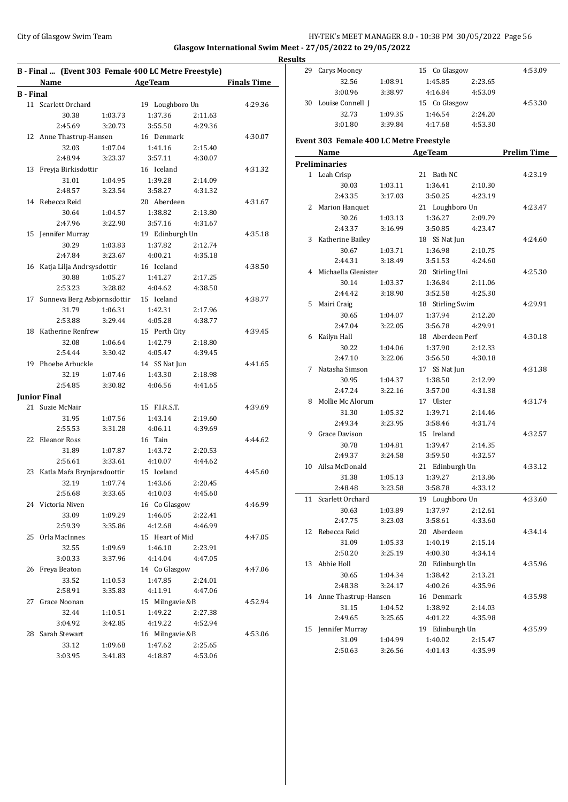## City of Glasgow Swim Team Team Feam Fermic Management of the HY-TEK's MEET MANAGER 8.0 - 10:38 PM 30/05/2022 Page 56 **Glasgow International Swim Meet - 27/05/2022 to 29/05/2022**

| 15 Co Glasgow<br>29 Carys Mooney<br>B - Final  (Event 303 Female 400 LC Metre Freestyle)<br>1:08.91<br>1:45.85<br>2:23.65<br><b>Finals Time</b><br>32.56<br><b>AgeTeam</b><br>Name<br>3:00.96<br>3:38.97<br>4:16.84<br>4:53.09<br><b>B</b> - Final<br>30 Louise Connell J<br>15 Co Glasgow<br>11 Scarlett Orchard<br>19 Loughboro Un<br>4:29.36<br>1:09.35<br>2:24.20<br>32.73<br>1:46.54<br>30.38<br>1:03.73<br>1:37.36<br>2:11.63<br>3:01.80<br>3:39.84<br>4:17.68<br>4:53.30<br>2:45.69<br>3:55.50<br>3:20.73<br>4:29.36<br>12 Anne Thastrup-Hansen<br>16 Denmark<br>4:30.07<br>Event 303 Female 400 LC Metre Freestyle<br>32.03<br>1:07.04<br>1:41.16<br>2:15.40<br><b>AgeTeam</b><br>Name<br>2:48.94<br>3:23.37<br>3:57.11<br>4:30.07<br><b>Preliminaries</b><br>4:31.32<br>13 Freyja Birkisdottir<br>16 Iceland<br>1 Leah Crisp<br>21 Bath NC<br>31.01<br>1:04.95<br>1:39.28<br>2:14.09<br>2:10.30<br>30.03<br>1:03.11<br>1:36.41<br>2:48.57<br>3:58.27<br>4:31.32<br>3:23.54<br>2:43.35<br>3:17.03<br>3:50.25<br>4:23.19<br>14 Rebecca Reid<br>20 Aberdeen<br>4:31.67<br>2 Marion Hanquet<br>21 Loughboro Un<br>1:38.82<br>2:13.80<br>30.64<br>1:04.57<br>30.26<br>1:03.13<br>1:36.27<br>2:09.79<br>2:47.96<br>3:22.90<br>3:57.16<br>4:31.67<br>2:43.37<br>3:16.99<br>3:50.85<br>4:23.47<br>15 Jennifer Murray<br>19 Edinburgh Un<br>4:35.18<br>3 Katherine Bailey<br>18 SS Nat Jun<br>30.29<br>1:03.83<br>1:37.82<br>2:12.74<br>30.67<br>1:03.71<br>1:36.98<br>2:10.75<br>2:47.84<br>3:23.67<br>4:00.21<br>4:35.18<br>3:51.53<br>2:44.31<br>3:18.49<br>4:24.60<br>16 Katja Lilja Andrsysdottir<br>16 Iceland<br>4:38.50<br>4 Michaella Glenister<br>20 Stirling Uni<br>30.88<br>1:05.27<br>1:41.27<br>2:17.25<br>30.14<br>1:03.37<br>1:36.84<br>2:11.06<br>2:53.23<br>3:28.82<br>4:04.62<br>4:38.50<br>4:25.30<br>2:44.42<br>3:18.90<br>3:52.58<br>17 Sunneva Berg Asbjornsdottir<br>15 Iceland<br>4:38.77<br>5 Mairi Craig<br>18 Stirling Swim | 4:53.09            |
|---------------------------------------------------------------------------------------------------------------------------------------------------------------------------------------------------------------------------------------------------------------------------------------------------------------------------------------------------------------------------------------------------------------------------------------------------------------------------------------------------------------------------------------------------------------------------------------------------------------------------------------------------------------------------------------------------------------------------------------------------------------------------------------------------------------------------------------------------------------------------------------------------------------------------------------------------------------------------------------------------------------------------------------------------------------------------------------------------------------------------------------------------------------------------------------------------------------------------------------------------------------------------------------------------------------------------------------------------------------------------------------------------------------------------------------------------------------------------------------------------------------------------------------------------------------------------------------------------------------------------------------------------------------------------------------------------------------------------------------------------------------------------------------------------------------------------------------------------------------------------------------------------------------------------------------------------------|--------------------|
|                                                                                                                                                                                                                                                                                                                                                                                                                                                                                                                                                                                                                                                                                                                                                                                                                                                                                                                                                                                                                                                                                                                                                                                                                                                                                                                                                                                                                                                                                                                                                                                                                                                                                                                                                                                                                                                                                                                                                         |                    |
|                                                                                                                                                                                                                                                                                                                                                                                                                                                                                                                                                                                                                                                                                                                                                                                                                                                                                                                                                                                                                                                                                                                                                                                                                                                                                                                                                                                                                                                                                                                                                                                                                                                                                                                                                                                                                                                                                                                                                         |                    |
|                                                                                                                                                                                                                                                                                                                                                                                                                                                                                                                                                                                                                                                                                                                                                                                                                                                                                                                                                                                                                                                                                                                                                                                                                                                                                                                                                                                                                                                                                                                                                                                                                                                                                                                                                                                                                                                                                                                                                         |                    |
|                                                                                                                                                                                                                                                                                                                                                                                                                                                                                                                                                                                                                                                                                                                                                                                                                                                                                                                                                                                                                                                                                                                                                                                                                                                                                                                                                                                                                                                                                                                                                                                                                                                                                                                                                                                                                                                                                                                                                         | 4:53.30            |
|                                                                                                                                                                                                                                                                                                                                                                                                                                                                                                                                                                                                                                                                                                                                                                                                                                                                                                                                                                                                                                                                                                                                                                                                                                                                                                                                                                                                                                                                                                                                                                                                                                                                                                                                                                                                                                                                                                                                                         |                    |
|                                                                                                                                                                                                                                                                                                                                                                                                                                                                                                                                                                                                                                                                                                                                                                                                                                                                                                                                                                                                                                                                                                                                                                                                                                                                                                                                                                                                                                                                                                                                                                                                                                                                                                                                                                                                                                                                                                                                                         |                    |
|                                                                                                                                                                                                                                                                                                                                                                                                                                                                                                                                                                                                                                                                                                                                                                                                                                                                                                                                                                                                                                                                                                                                                                                                                                                                                                                                                                                                                                                                                                                                                                                                                                                                                                                                                                                                                                                                                                                                                         |                    |
|                                                                                                                                                                                                                                                                                                                                                                                                                                                                                                                                                                                                                                                                                                                                                                                                                                                                                                                                                                                                                                                                                                                                                                                                                                                                                                                                                                                                                                                                                                                                                                                                                                                                                                                                                                                                                                                                                                                                                         | <b>Prelim Time</b> |
|                                                                                                                                                                                                                                                                                                                                                                                                                                                                                                                                                                                                                                                                                                                                                                                                                                                                                                                                                                                                                                                                                                                                                                                                                                                                                                                                                                                                                                                                                                                                                                                                                                                                                                                                                                                                                                                                                                                                                         |                    |
|                                                                                                                                                                                                                                                                                                                                                                                                                                                                                                                                                                                                                                                                                                                                                                                                                                                                                                                                                                                                                                                                                                                                                                                                                                                                                                                                                                                                                                                                                                                                                                                                                                                                                                                                                                                                                                                                                                                                                         | 4:23.19            |
|                                                                                                                                                                                                                                                                                                                                                                                                                                                                                                                                                                                                                                                                                                                                                                                                                                                                                                                                                                                                                                                                                                                                                                                                                                                                                                                                                                                                                                                                                                                                                                                                                                                                                                                                                                                                                                                                                                                                                         |                    |
|                                                                                                                                                                                                                                                                                                                                                                                                                                                                                                                                                                                                                                                                                                                                                                                                                                                                                                                                                                                                                                                                                                                                                                                                                                                                                                                                                                                                                                                                                                                                                                                                                                                                                                                                                                                                                                                                                                                                                         |                    |
|                                                                                                                                                                                                                                                                                                                                                                                                                                                                                                                                                                                                                                                                                                                                                                                                                                                                                                                                                                                                                                                                                                                                                                                                                                                                                                                                                                                                                                                                                                                                                                                                                                                                                                                                                                                                                                                                                                                                                         | 4:23.47            |
|                                                                                                                                                                                                                                                                                                                                                                                                                                                                                                                                                                                                                                                                                                                                                                                                                                                                                                                                                                                                                                                                                                                                                                                                                                                                                                                                                                                                                                                                                                                                                                                                                                                                                                                                                                                                                                                                                                                                                         |                    |
|                                                                                                                                                                                                                                                                                                                                                                                                                                                                                                                                                                                                                                                                                                                                                                                                                                                                                                                                                                                                                                                                                                                                                                                                                                                                                                                                                                                                                                                                                                                                                                                                                                                                                                                                                                                                                                                                                                                                                         |                    |
|                                                                                                                                                                                                                                                                                                                                                                                                                                                                                                                                                                                                                                                                                                                                                                                                                                                                                                                                                                                                                                                                                                                                                                                                                                                                                                                                                                                                                                                                                                                                                                                                                                                                                                                                                                                                                                                                                                                                                         | 4:24.60            |
|                                                                                                                                                                                                                                                                                                                                                                                                                                                                                                                                                                                                                                                                                                                                                                                                                                                                                                                                                                                                                                                                                                                                                                                                                                                                                                                                                                                                                                                                                                                                                                                                                                                                                                                                                                                                                                                                                                                                                         |                    |
|                                                                                                                                                                                                                                                                                                                                                                                                                                                                                                                                                                                                                                                                                                                                                                                                                                                                                                                                                                                                                                                                                                                                                                                                                                                                                                                                                                                                                                                                                                                                                                                                                                                                                                                                                                                                                                                                                                                                                         |                    |
|                                                                                                                                                                                                                                                                                                                                                                                                                                                                                                                                                                                                                                                                                                                                                                                                                                                                                                                                                                                                                                                                                                                                                                                                                                                                                                                                                                                                                                                                                                                                                                                                                                                                                                                                                                                                                                                                                                                                                         | 4:25.30            |
|                                                                                                                                                                                                                                                                                                                                                                                                                                                                                                                                                                                                                                                                                                                                                                                                                                                                                                                                                                                                                                                                                                                                                                                                                                                                                                                                                                                                                                                                                                                                                                                                                                                                                                                                                                                                                                                                                                                                                         |                    |
|                                                                                                                                                                                                                                                                                                                                                                                                                                                                                                                                                                                                                                                                                                                                                                                                                                                                                                                                                                                                                                                                                                                                                                                                                                                                                                                                                                                                                                                                                                                                                                                                                                                                                                                                                                                                                                                                                                                                                         |                    |
|                                                                                                                                                                                                                                                                                                                                                                                                                                                                                                                                                                                                                                                                                                                                                                                                                                                                                                                                                                                                                                                                                                                                                                                                                                                                                                                                                                                                                                                                                                                                                                                                                                                                                                                                                                                                                                                                                                                                                         | 4:29.91            |
| 31.79<br>1:42.31<br>2:17.96<br>1:06.31<br>1:04.07<br>1:37.94<br>2:12.20<br>30.65                                                                                                                                                                                                                                                                                                                                                                                                                                                                                                                                                                                                                                                                                                                                                                                                                                                                                                                                                                                                                                                                                                                                                                                                                                                                                                                                                                                                                                                                                                                                                                                                                                                                                                                                                                                                                                                                        |                    |
| 2:53.88<br>3:29.44<br>4:05.28<br>4:38.77<br>2:47.04<br>3:22.05<br>3:56.78<br>4:29.91                                                                                                                                                                                                                                                                                                                                                                                                                                                                                                                                                                                                                                                                                                                                                                                                                                                                                                                                                                                                                                                                                                                                                                                                                                                                                                                                                                                                                                                                                                                                                                                                                                                                                                                                                                                                                                                                    |                    |
| 18 Katherine Renfrew<br>15 Perth City<br>4:39.45<br>6 Kailyn Hall<br>18 Aberdeen Perf                                                                                                                                                                                                                                                                                                                                                                                                                                                                                                                                                                                                                                                                                                                                                                                                                                                                                                                                                                                                                                                                                                                                                                                                                                                                                                                                                                                                                                                                                                                                                                                                                                                                                                                                                                                                                                                                   | 4:30.18            |
| 32.08<br>1:06.64<br>1:42.79<br>2:18.80<br>1:37.90<br>2:12.33<br>30.22<br>1:04.06                                                                                                                                                                                                                                                                                                                                                                                                                                                                                                                                                                                                                                                                                                                                                                                                                                                                                                                                                                                                                                                                                                                                                                                                                                                                                                                                                                                                                                                                                                                                                                                                                                                                                                                                                                                                                                                                        |                    |
| 2:54.44<br>3:30.42<br>4:05.47<br>4:39.45<br>2:47.10<br>3:22.06<br>4:30.18<br>3:56.50                                                                                                                                                                                                                                                                                                                                                                                                                                                                                                                                                                                                                                                                                                                                                                                                                                                                                                                                                                                                                                                                                                                                                                                                                                                                                                                                                                                                                                                                                                                                                                                                                                                                                                                                                                                                                                                                    |                    |
| 19 Phoebe Arbuckle<br>14 SS Nat Jun<br>4:41.65<br>7 Natasha Simson<br>17 SS Nat Jun                                                                                                                                                                                                                                                                                                                                                                                                                                                                                                                                                                                                                                                                                                                                                                                                                                                                                                                                                                                                                                                                                                                                                                                                                                                                                                                                                                                                                                                                                                                                                                                                                                                                                                                                                                                                                                                                     | 4:31.38            |
| 32.19<br>1:07.46<br>1:43.30<br>2:18.98<br>30.95<br>1:04.37<br>1:38.50<br>2:12.99                                                                                                                                                                                                                                                                                                                                                                                                                                                                                                                                                                                                                                                                                                                                                                                                                                                                                                                                                                                                                                                                                                                                                                                                                                                                                                                                                                                                                                                                                                                                                                                                                                                                                                                                                                                                                                                                        |                    |
| 2:54.85<br>3:30.82<br>4:06.56<br>4:41.65<br>2:47.24<br>3:57.00<br>3:22.16<br>4:31.38                                                                                                                                                                                                                                                                                                                                                                                                                                                                                                                                                                                                                                                                                                                                                                                                                                                                                                                                                                                                                                                                                                                                                                                                                                                                                                                                                                                                                                                                                                                                                                                                                                                                                                                                                                                                                                                                    |                    |
| <b>Junior Final</b><br>8 Mollie Mc Alorum<br>17 Ulster                                                                                                                                                                                                                                                                                                                                                                                                                                                                                                                                                                                                                                                                                                                                                                                                                                                                                                                                                                                                                                                                                                                                                                                                                                                                                                                                                                                                                                                                                                                                                                                                                                                                                                                                                                                                                                                                                                  | 4:31.74            |
| 21 Suzie McNair<br>15 F.I.R.S.T.<br>4:39.69<br>31.30<br>1:05.32<br>1:39.71<br>2:14.46                                                                                                                                                                                                                                                                                                                                                                                                                                                                                                                                                                                                                                                                                                                                                                                                                                                                                                                                                                                                                                                                                                                                                                                                                                                                                                                                                                                                                                                                                                                                                                                                                                                                                                                                                                                                                                                                   |                    |
| 1:07.56<br>1:43.14<br>31.95<br>2:19.60<br>2:49.34<br>3:23.95<br>3:58.46<br>4:31.74                                                                                                                                                                                                                                                                                                                                                                                                                                                                                                                                                                                                                                                                                                                                                                                                                                                                                                                                                                                                                                                                                                                                                                                                                                                                                                                                                                                                                                                                                                                                                                                                                                                                                                                                                                                                                                                                      |                    |
| 2:55.53<br>4:39.69<br>3:31.28<br>4:06.11<br>9 Grace Davison<br>15 Ireland                                                                                                                                                                                                                                                                                                                                                                                                                                                                                                                                                                                                                                                                                                                                                                                                                                                                                                                                                                                                                                                                                                                                                                                                                                                                                                                                                                                                                                                                                                                                                                                                                                                                                                                                                                                                                                                                               | 4:32.57            |
| 22 Eleanor Ross<br>16 Tain<br>4:44.62<br>1:04.81<br>1:39.47<br>2:14.35<br>30.78                                                                                                                                                                                                                                                                                                                                                                                                                                                                                                                                                                                                                                                                                                                                                                                                                                                                                                                                                                                                                                                                                                                                                                                                                                                                                                                                                                                                                                                                                                                                                                                                                                                                                                                                                                                                                                                                         |                    |
| 31.89<br>1:43.72<br>2:20.53<br>1:07.87<br>3:59.50<br>2:49.37<br>3:24.58<br>4:32.57                                                                                                                                                                                                                                                                                                                                                                                                                                                                                                                                                                                                                                                                                                                                                                                                                                                                                                                                                                                                                                                                                                                                                                                                                                                                                                                                                                                                                                                                                                                                                                                                                                                                                                                                                                                                                                                                      |                    |
| 3:33.61<br>4:10.07<br>2:56.61<br>4:44.62<br>10 Ailsa McDonald<br>21 Edinburgh Un                                                                                                                                                                                                                                                                                                                                                                                                                                                                                                                                                                                                                                                                                                                                                                                                                                                                                                                                                                                                                                                                                                                                                                                                                                                                                                                                                                                                                                                                                                                                                                                                                                                                                                                                                                                                                                                                        | 4:33.12            |
| 23 Katla Maŕa Brynjarsdoottir<br>15 Iceland<br>4:45.60<br>1:05.13<br>2:13.86<br>31.38<br>1:39.27                                                                                                                                                                                                                                                                                                                                                                                                                                                                                                                                                                                                                                                                                                                                                                                                                                                                                                                                                                                                                                                                                                                                                                                                                                                                                                                                                                                                                                                                                                                                                                                                                                                                                                                                                                                                                                                        |                    |
| 2:20.45<br>32.19<br>1:07.74<br>1:43.66<br>3:23.58<br>3:58.78<br>4:33.12<br>2:48.48                                                                                                                                                                                                                                                                                                                                                                                                                                                                                                                                                                                                                                                                                                                                                                                                                                                                                                                                                                                                                                                                                                                                                                                                                                                                                                                                                                                                                                                                                                                                                                                                                                                                                                                                                                                                                                                                      |                    |
| 2:56.68<br>3:33.65<br>4:10.03<br>4:45.60<br>11 Scarlett Orchard<br>19 Loughboro Un                                                                                                                                                                                                                                                                                                                                                                                                                                                                                                                                                                                                                                                                                                                                                                                                                                                                                                                                                                                                                                                                                                                                                                                                                                                                                                                                                                                                                                                                                                                                                                                                                                                                                                                                                                                                                                                                      | 4:33.60            |
| 24 Victoria Niven<br>16 Co Glasgow<br>4:46.99<br>30.63<br>1:03.89<br>1:37.97<br>2:12.61                                                                                                                                                                                                                                                                                                                                                                                                                                                                                                                                                                                                                                                                                                                                                                                                                                                                                                                                                                                                                                                                                                                                                                                                                                                                                                                                                                                                                                                                                                                                                                                                                                                                                                                                                                                                                                                                 |                    |
| 33.09<br>1:09.29<br>1:46.05<br>2:22.41<br>2:47.75<br>3:23.03<br>3:58.61<br>4:33.60                                                                                                                                                                                                                                                                                                                                                                                                                                                                                                                                                                                                                                                                                                                                                                                                                                                                                                                                                                                                                                                                                                                                                                                                                                                                                                                                                                                                                                                                                                                                                                                                                                                                                                                                                                                                                                                                      |                    |
| 2:59.39<br>3:35.86<br>4:12.68<br>4:46.99<br>12 Rebecca Reid<br>20 Aberdeen                                                                                                                                                                                                                                                                                                                                                                                                                                                                                                                                                                                                                                                                                                                                                                                                                                                                                                                                                                                                                                                                                                                                                                                                                                                                                                                                                                                                                                                                                                                                                                                                                                                                                                                                                                                                                                                                              | 4:34.14            |
| 15 Heart of Mid<br>4:47.05<br>25 Orla MacInnes<br>1:05.33<br>1:40.19<br>2:15.14<br>31.09                                                                                                                                                                                                                                                                                                                                                                                                                                                                                                                                                                                                                                                                                                                                                                                                                                                                                                                                                                                                                                                                                                                                                                                                                                                                                                                                                                                                                                                                                                                                                                                                                                                                                                                                                                                                                                                                |                    |
| 32.55<br>1:46.10<br>2:23.91<br>1:09.69<br>4:00.30<br>2:50.20<br>3:25.19<br>4:34.14                                                                                                                                                                                                                                                                                                                                                                                                                                                                                                                                                                                                                                                                                                                                                                                                                                                                                                                                                                                                                                                                                                                                                                                                                                                                                                                                                                                                                                                                                                                                                                                                                                                                                                                                                                                                                                                                      |                    |
| 3:00.33<br>3:37.96<br>4:14.04<br>4:47.05<br>20 Edinburgh Un<br>13 Abbie Holl                                                                                                                                                                                                                                                                                                                                                                                                                                                                                                                                                                                                                                                                                                                                                                                                                                                                                                                                                                                                                                                                                                                                                                                                                                                                                                                                                                                                                                                                                                                                                                                                                                                                                                                                                                                                                                                                            | 4:35.96            |
| 26 Freya Beaton<br>14 Co Glasgow<br>4:47.06<br>1:04.34<br>1:38.42<br>2:13.21<br>30.65                                                                                                                                                                                                                                                                                                                                                                                                                                                                                                                                                                                                                                                                                                                                                                                                                                                                                                                                                                                                                                                                                                                                                                                                                                                                                                                                                                                                                                                                                                                                                                                                                                                                                                                                                                                                                                                                   |                    |
| 33.52<br>1:10.53<br>1:47.85<br>2:24.01<br>4:00.26<br>2:48.38<br>3:24.17<br>4:35.96                                                                                                                                                                                                                                                                                                                                                                                                                                                                                                                                                                                                                                                                                                                                                                                                                                                                                                                                                                                                                                                                                                                                                                                                                                                                                                                                                                                                                                                                                                                                                                                                                                                                                                                                                                                                                                                                      |                    |
| 2:58.91<br>4:11.91<br>3:35.83<br>4:47.06<br>14 Anne Thastrup-Hansen<br>16 Denmark                                                                                                                                                                                                                                                                                                                                                                                                                                                                                                                                                                                                                                                                                                                                                                                                                                                                                                                                                                                                                                                                                                                                                                                                                                                                                                                                                                                                                                                                                                                                                                                                                                                                                                                                                                                                                                                                       | 4:35.98            |
| 27 Grace Noonan<br>15 Milngavie &B<br>4:52.94<br>1:38.92<br>31.15<br>1:04.52<br>2:14.03                                                                                                                                                                                                                                                                                                                                                                                                                                                                                                                                                                                                                                                                                                                                                                                                                                                                                                                                                                                                                                                                                                                                                                                                                                                                                                                                                                                                                                                                                                                                                                                                                                                                                                                                                                                                                                                                 |                    |
| 32.44<br>1:10.51<br>1:49.22<br>2:27.38<br>2:49.65<br>4:01.22<br>3:25.65<br>4:35.98                                                                                                                                                                                                                                                                                                                                                                                                                                                                                                                                                                                                                                                                                                                                                                                                                                                                                                                                                                                                                                                                                                                                                                                                                                                                                                                                                                                                                                                                                                                                                                                                                                                                                                                                                                                                                                                                      |                    |
| 3:04.92<br>3:42.85<br>4:19.22<br>4:52.94<br>15 Jennifer Murray<br>19 Edinburgh Un                                                                                                                                                                                                                                                                                                                                                                                                                                                                                                                                                                                                                                                                                                                                                                                                                                                                                                                                                                                                                                                                                                                                                                                                                                                                                                                                                                                                                                                                                                                                                                                                                                                                                                                                                                                                                                                                       | 4:35.99            |
| 28 Sarah Stewart<br>16 Milngavie &B<br>4:53.06<br>31.09                                                                                                                                                                                                                                                                                                                                                                                                                                                                                                                                                                                                                                                                                                                                                                                                                                                                                                                                                                                                                                                                                                                                                                                                                                                                                                                                                                                                                                                                                                                                                                                                                                                                                                                                                                                                                                                                                                 |                    |
| 1:04.99<br>1:40.02<br>2:15.47<br>33.12<br>1:09.68<br>1:47.62<br>2:25.65<br>2:50.63<br>3:26.56<br>4:35.99<br>4:01.43                                                                                                                                                                                                                                                                                                                                                                                                                                                                                                                                                                                                                                                                                                                                                                                                                                                                                                                                                                                                                                                                                                                                                                                                                                                                                                                                                                                                                                                                                                                                                                                                                                                                                                                                                                                                                                     |                    |
| 3:03.95<br>4:18.87<br>4:53.06<br>3:41.83                                                                                                                                                                                                                                                                                                                                                                                                                                                                                                                                                                                                                                                                                                                                                                                                                                                                                                                                                                                                                                                                                                                                                                                                                                                                                                                                                                                                                                                                                                                                                                                                                                                                                                                                                                                                                                                                                                                |                    |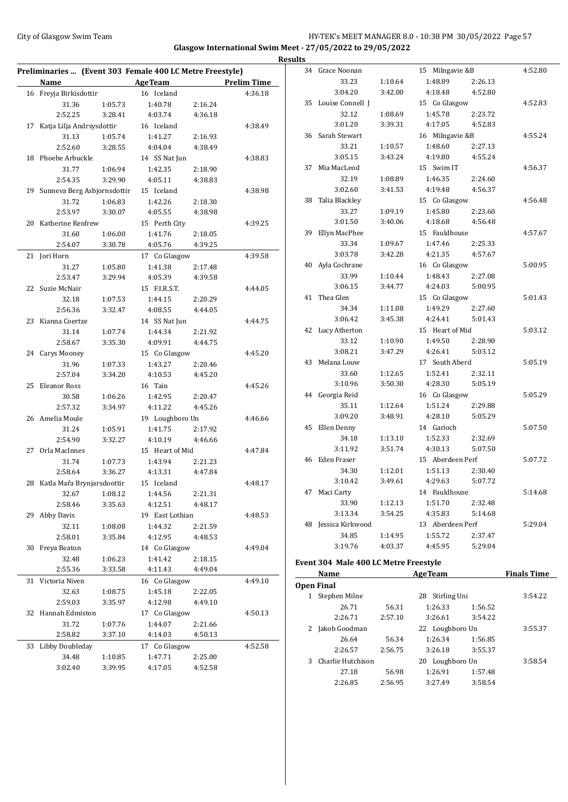## City of Glasgow Swim Team **HY-TEK's MEET MANAGER 8.0 - 10:38 PM 30/05/2022** Page 57 **Glasgow International Swim Meet - 27/05/2022 to 29/05/2022**

|    | Preliminaries  (Event 303 Female 400 LC Metre Freestyle) |                    |                                      |                    |         |
|----|----------------------------------------------------------|--------------------|--------------------------------------|--------------------|---------|
|    | <b>Name</b>                                              |                    | <b>Example 2 AgeTeam</b> Prelim Time |                    |         |
|    | 16 Freyja Birkisdottir                                   |                    | 16 Iceland                           |                    | 4:36.18 |
|    | 31.36                                                    | 1:05.73            | 1:40.78                              | 2:16.24            |         |
|    | 2:52.25                                                  | 3:28.41            | 4:03.74                              | 4:36.18            |         |
| 17 | Katja Lilja Andrsysdottir                                |                    | 16 Iceland                           |                    | 4:38.49 |
|    | 31.13                                                    | 1:05.74            | 1:41.27                              | 2:16.93            |         |
|    | 2:52.60                                                  | 3:28.55            | 4:04.04                              | 4:38.49            |         |
|    | 18 Phoebe Arbuckle                                       |                    | 14 SS Nat Jun                        |                    | 4:38.83 |
|    | 31.77                                                    | 1:06.94            | 1:42.35                              | 2:18.90            |         |
|    | 2:54.35                                                  | 3:29.90            | 4:05.11                              | 4:38.83            |         |
|    | 19 Sunneva Berg Asbjornsdottir                           |                    | 15 Iceland                           |                    | 4:38.98 |
|    | 31.72                                                    | 1:06.83            | 1:42.26                              | 2:18.30            |         |
|    | 2:53.97                                                  | 3:30.07            | 4:05.55                              | 4:38.98            |         |
|    | 20 Katherine Renfrew                                     |                    | 15 Perth City                        |                    | 4:39.25 |
|    | 31.60                                                    | 1:06.00            | 1:41.76                              | 2:18.05            |         |
|    | 2:54.07                                                  | 3:30.78            | 4:05.76                              | 4:39.25            |         |
|    | 21 Jori Horn                                             |                    | 17 Co Glasgow                        |                    | 4:39.58 |
|    | 31.27                                                    | 1:05.80            | 1:41.38                              | 2:17.48            |         |
|    | 2:53.47                                                  | 3:29.94            | 4:05.39                              | 4:39.58            |         |
|    | 22 Suzie McNair                                          |                    | 15 F.I.R.S.T.                        |                    | 4:44.05 |
|    | 32.18                                                    | 1:07.53            | 1:44.15                              | 2:20.29            |         |
|    | 2:56.36                                                  | 3:32.47            | 4:08.55                              | 4:44.05            |         |
|    | 23 Kianna Coertze                                        |                    | 14 SS Nat Jun                        |                    | 4:44.75 |
|    | 31.14<br>2:58.67                                         | 1:07.74<br>3:35.30 | 1:44.34<br>4:09.91                   | 2:21.92<br>4:44.75 |         |
|    | 24 Carys Mooney                                          |                    | 15 Co Glasgow                        |                    | 4:45.20 |
|    | 31.96                                                    | 1:07.33            | 1:43.27                              | 2:20.46            |         |
|    | 2:57.04                                                  | 3:34.20            | 4:10.53                              | 4:45.20            |         |
|    | 25 Eleanor Ross                                          |                    | 16 Tain                              |                    | 4:45.26 |
|    | 30.58                                                    | 1:06.26            | 1:42.95                              | 2:20.47            |         |
|    | 2:57.32                                                  | 3:34.97            | 4:11.22                              | 4:45.26            |         |
|    | 26 Amelia Moule                                          |                    | 19 Loughboro Un                      |                    | 4:46.66 |
|    | 31.24                                                    | 1:05.91            | 1:41.75                              | 2:17.92            |         |
|    | 2:54.90                                                  | 3:32.27            | 4:10.19                              | 4:46.66            |         |
|    | 27 Orla MacInnes                                         |                    | 15 Heart of Mid                      |                    | 4:47.84 |
|    | 31.74                                                    | 1:07.73            | 1:43.94                              | 2:21.23            |         |
|    | 2:58.64                                                  | 3:36.27            | 4:13.31                              | 4:47.84            |         |
|    | 28 Katla Maŕa Brynjarsdoottir                            |                    | 15 Iceland                           |                    | 4:48.17 |
|    | 32.67                                                    | 1:08.12            | 1:44.56                              | 2:21.31            |         |
|    | 2:58.46                                                  | 3:35.63            | 4:12.51                              | 4:48.17            |         |
|    | 29 Abby Davis                                            |                    | 19 East Lothian                      |                    | 4:48.53 |
|    | 32.11                                                    | 1:08.08            | 1:44.32                              | 2:21.59            |         |
|    | 2:58.01                                                  | 3:35.84            | 4:12.95                              | 4:48.53            |         |
| 30 | Freya Beaton                                             |                    | 14 Co Glasgow                        |                    | 4:49.04 |
|    | 32.48                                                    | 1:06.23            | 1:41.42                              | 2:18.15            |         |
|    | 2:55.36                                                  | 3:33.58            | 4:11.43                              | 4:49.04            |         |
| 31 | Victoria Niven                                           |                    | 16 Co Glasgow                        |                    | 4:49.10 |
|    | 32.63                                                    | 1:08.75            | 1:45.18                              | 2:22.05            |         |
|    | 2:59.03                                                  | 3:35.97            | 4:12.98                              | 4:49.10            |         |
|    | 32 Hannah Edmiston                                       |                    | 17 Co Glasgow                        |                    | 4:50.13 |
|    | 31.72                                                    | 1:07.76            | 1:44.07                              | 2:21.66            |         |
|    | 2:58.82                                                  | 3:37.10            | 4:14.03                              | 4:50.13            |         |
| 33 | Libby Doubleday                                          |                    | 17 Co Glasgow                        |                    | 4:52.58 |
|    |                                                          |                    |                                      |                    |         |
|    | 34.48                                                    | 1:10.85            | 1:47.71                              | 2:25.00            |         |

| 34 | Grace Noonan     |         | Milngavie &B<br>15 |         | 4:52.80 |
|----|------------------|---------|--------------------|---------|---------|
|    | 33.23            | 1:10.64 | 1:48.89            | 2:26.13 |         |
|    | 3:04.20          | 3:42.00 | 4:18.48            | 4:52.80 |         |
|    |                  |         |                    |         | 4:52.83 |
| 35 | Louise Connell J |         | 15 Co Glasgow      |         |         |
|    | 32.12            | 1:08.69 | 1:45.78            | 2:23.72 |         |
|    | 3:01.20          | 3:39.31 | 4:17.05            | 4:52.83 |         |
| 36 | Sarah Stewart    |         | 16 Milngavie &B    |         | 4:55.24 |
|    | 33.21            | 1:10.57 | 1:48.60            | 2:27.13 |         |
|    | 3:05.15          | 3:43.24 | 4:19.80            | 4:55.24 |         |
| 37 | Mia MacLeod      |         | 15 Swim IT         |         | 4:56.37 |
|    | 32.19            | 1:08.89 | 1:46.35            | 2:24.60 |         |
|    | 3:02.60          | 3:41.53 | 4:19.48            | 4:56.37 |         |
| 38 | Talia Blackley   |         | 15 Co Glasgow      |         | 4:56.48 |
|    | 33.27            | 1:09.19 | 1:45.80            | 2:23.60 |         |
|    | 3:01.50          | 3:40.06 | 4:18.68            | 4:56.48 |         |
| 39 | Ellyn MacPhee    |         | 15 Fauldhouse      |         | 4:57.67 |
|    | 33.34            | 1:09.67 | 1:47.46            | 2:25.33 |         |
|    | 3:03.78          | 3:42.28 | 4:21.35            | 4:57.67 |         |
|    | 40 Ayla Cochrane |         | 16 Co Glasgow      |         | 5:00.95 |
|    | 33.99            | 1:10.44 | 1:48.43            | 2:27.08 |         |
|    | 3:06.15          | 3:44.77 | 4:24.03            | 5:00.95 |         |
| 41 | Thea Glen        |         | 15 Co Glasgow      |         | 5:01.43 |
|    | 34.34            | 1:11.08 | 1:49.29            | 2:27.60 |         |
|    | 3:06.42          | 3:45.38 | 4:24.41            | 5:01.43 |         |
| 42 | Lucy Atherton    |         | 15 Heart of Mid    |         | 5:03.12 |
|    | 33.12            | 1:10.90 | 1:49.50            | 2:28.90 |         |
|    | 3:08.21          | 3:47.29 | 4:26.41            | 5:03.12 |         |
| 43 | Melana Louw      |         | 17 South Aberd     |         | 5:05.19 |
|    | 33.60            | 1:12.65 | 1:52.41            | 2:32.11 |         |
|    | 3:10.96          | 3:50.30 | 4:28.30            | 5:05.19 |         |
|    | 44 Georgia Reid  |         | 16 Co Glasgow      |         | 5:05.29 |
|    | 35.11            | 1:12.64 | 1:51.24            | 2:29.88 |         |
|    | 3:09.20          | 3:48.91 | 4:28.10            | 5:05.29 |         |
| 45 | Ellen Denny      |         | 14 Garioch         |         | 5:07.50 |
|    | 34.18            | 1:13.10 | 1:52.33            | 2:32.69 |         |
|    | 3:11.92          | 3:51.74 | 4:30.13            | 5:07.50 |         |
| 46 | Eden Fraser      |         | 15 Aberdeen Perf   |         | 5:07.72 |
|    | 34.30            | 1:12.01 | 1:51.13            | 2:30.40 |         |
|    | 3:10.42          | 3:49.61 | 4:29.63            | 5:07.72 |         |
| 47 | Maci Carty       |         | 14 Fauldhouse      |         | 5:14.68 |
|    | 33.90            | 1:12.13 | 1:51.70            | 2:32.48 |         |
|    | 3:13.34          | 3:54.25 | 4:35.83            | 5:14.68 |         |
| 48 | Jessica Kirkwood |         | 13 Aberdeen Perf   |         | 5:29.04 |
|    | 34.85            | 1:14.95 | 1:55.72            | 2:37.47 |         |
|    | 3:19.76          | 4:03.37 | 4:45.95            | 5:29.04 |         |
|    |                  |         |                    |         |         |

## **Event 304 Male 400 LC Metre Freestyle**

|   | Name              |         | <b>AgeTeam</b>     |         |         |  |  |
|---|-------------------|---------|--------------------|---------|---------|--|--|
|   | Open Final        |         |                    |         |         |  |  |
|   | Stephen Milne     |         | Stirling Uni<br>28 |         | 3:54.22 |  |  |
|   | 26.71             | 56.31   | 1:26.33            | 1:56.52 |         |  |  |
|   | 2:26.71           | 2:57.10 | 3:26.61            | 3:54.22 |         |  |  |
|   | Jakob Goodman     |         | 22 Loughboro Un    |         | 3:55.37 |  |  |
|   | 26.64             | 56.34   | 1:26.34            | 1:56.85 |         |  |  |
|   | 2:26.57           | 2:56.75 | 3:26.18            | 3:55.37 |         |  |  |
| 3 | Charlie Hutchison |         | Loughboro Un<br>20 |         | 3:58.54 |  |  |
|   | 27.18             | 56.98   | 1:26.91            | 1:57.48 |         |  |  |
|   | 2:26.85           | 2:56.95 | 3:27.49            | 3:58.54 |         |  |  |
|   |                   |         |                    |         |         |  |  |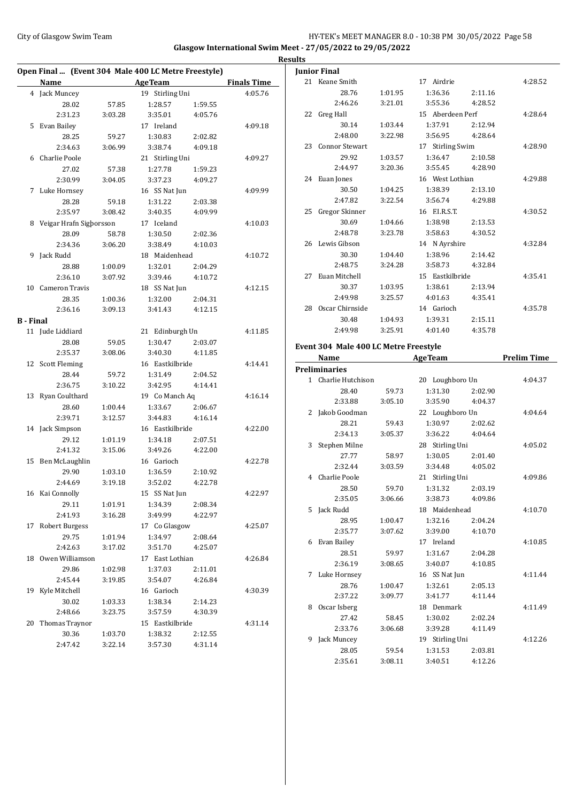## City of Glasgow Swim Team **HY-TEK's MEET MANAGER 8.0 - 10:38 PM 30/05/2022** Page 58 **Glasgow International Swim Meet - 27/05/2022 to 29/05/2022**

|                  | Open Final  (Event 304 Male 400 LC Metre Freestyle) |         |                    |                    |                              | Jun            |
|------------------|-----------------------------------------------------|---------|--------------------|--------------------|------------------------------|----------------|
|                  | Name AgeTeam                                        |         |                    |                    | <b>Example 3 Finals Time</b> | 2              |
|                  | 4 Jack Muncey                                       |         | 19 Stirling Uni    |                    | 4:05.76                      |                |
|                  | 28.02                                               | 57.85   | 1:28.57            | 1:59.55            |                              |                |
|                  | 2:31.23                                             | 3:03.28 | 3:35.01            | 4:05.76            |                              | 2              |
|                  | 5 Evan Bailey                                       |         | 17 Ireland         |                    | 4:09.18                      |                |
|                  | 28.25                                               | 59.27   | 1:30.83            | 2:02.82            |                              |                |
|                  | 2:34.63                                             | 3:06.99 | 3:38.74            | 4:09.18            |                              | 2              |
|                  | 6 Charlie Poole                                     |         | 21 Stirling Uni    |                    | 4:09.27                      |                |
|                  | 27.02                                               | 57.38   | 1:27.78            | 1:59.23            |                              |                |
|                  | 2:30.99                                             | 3:04.05 | 3:37.23            | 4:09.27            |                              | 2              |
|                  | 7 Luke Hornsey                                      |         | 16 SS Nat Jun      |                    | 4:09.99                      |                |
|                  | 28.28                                               | 59.18   | 1:31.22            | 2:03.38            |                              |                |
|                  | 2:35.97                                             | 3:08.42 | 3:40.35            | 4:09.99            |                              | 2              |
|                  | 8 Veigar Hrafn Sigborsson                           |         | 17 Iceland         |                    | 4:10.03                      |                |
|                  | 28.09                                               | 58.78   | 1:30.50            | 2:02.36            |                              |                |
|                  | 2:34.36                                             | 3:06.20 | 3:38.49            | 4:10.03            |                              | 2              |
|                  | 9 Jack Rudd                                         |         | 18 Maidenhead      |                    | 4:10.72                      |                |
|                  | 28.88                                               | 1:00.09 | 1:32.01            | 2:04.29            |                              |                |
|                  | 2:36.10                                             | 3:07.92 | 3:39.46            | 4:10.72            |                              | $\overline{2}$ |
|                  | 10 Cameron Travis                                   |         | 18 SS Nat Jun      |                    | 4:12.15                      |                |
|                  | 28.35                                               | 1:00.36 | 1:32.00            | 2:04.31            |                              |                |
|                  | 2:36.16                                             | 3:09.13 | 3:41.43            | 4:12.15            |                              | 2              |
| <b>B</b> - Final |                                                     |         |                    |                    |                              |                |
|                  | 11 Jude Liddiard                                    |         | 21 Edinburgh Un    |                    | 4:11.85                      |                |
|                  | 28.08                                               | 59.05   | 1:30.47            | 2:03.07            |                              |                |
|                  | 2:35.37                                             | 3:08.06 | 3:40.30            | 4:11.85            |                              | Eve            |
|                  | 12 Scott Fleming                                    |         | 16 Eastkilbride    |                    | 4:14.41                      |                |
|                  | 28.44                                               | 59.72   | 1:31.49            | 2:04.52            |                              | Pre            |
|                  | 2:36.75                                             | 3:10.22 | 3:42.95            | 4:14.41            |                              |                |
|                  | 13 Ryan Coulthard                                   |         | 19 Co Manch Aq     |                    | 4:16.14                      |                |
|                  | 28.60                                               | 1:00.44 | 1:33.67            | 2:06.67            |                              |                |
|                  | 2:39.71                                             | 3:12.57 | 3:44.83            | 4:16.14            |                              |                |
|                  | 14 Jack Simpson                                     |         | 16 Eastkilbride    |                    | 4:22.00                      |                |
|                  | 29.12                                               | 1:01.19 | 1:34.18            | 2:07.51            |                              |                |
|                  | 2:41.32                                             | 3:15.06 | 3:49.26            | 4:22.00            |                              |                |
|                  |                                                     |         | 16 Garioch         |                    | 4:22.78                      |                |
|                  | 15 Ben McLaughlin                                   |         |                    |                    |                              |                |
|                  | 29.90                                               | 1:03.10 | 1:36.59<br>3:52.02 | 2:10.92<br>4:22.78 |                              |                |
|                  | 2:44.69                                             | 3:19.18 |                    |                    |                              |                |
|                  | 16 Kai Connolly                                     |         | 15 SS Nat Jun      |                    | 4:22.97                      |                |
|                  | 29.11                                               | 1:01.91 | 1:34.39            | 2:08.34            |                              |                |
|                  | 2:41.93                                             | 3:16.28 | 3:49.99            | 4:22.97            |                              |                |
| 17               | <b>Robert Burgess</b>                               |         | 17 Co Glasgow      |                    | 4:25.07                      |                |
|                  | 29.75                                               | 1:01.94 | 1:34.97            | 2:08.64            |                              |                |
|                  | 2:42.63                                             | 3:17.02 | 3:51.70            | 4:25.07            |                              |                |
|                  | 18 Owen Williamson                                  |         | 17 East Lothian    |                    | 4:26.84                      |                |
|                  | 29.86                                               | 1:02.98 | 1:37.03            | 2:11.01            |                              |                |
|                  | 2:45.44                                             | 3:19.85 | 3:54.07            | 4:26.84            |                              |                |
|                  | 19 Kyle Mitchell                                    |         | 16 Garioch         |                    | 4:30.39                      |                |
|                  | 30.02                                               | 1:03.33 | 1:38.34            | 2:14.23            |                              |                |
|                  | 2:48.66                                             | 3:23.75 | 3:57.59            | 4:30.39            |                              |                |
| 20               | Thomas Traynor                                      |         | 15 Eastkilbride    |                    | 4:31.14                      |                |
|                  | 30.36                                               | 1:03.70 | 1:38.32            | 2:12.55            |                              |                |
|                  | 2:47.42                                             | 3:22.14 | 3:57.30            | 4:31.14            |                              |                |

|    | <b>Junior Final</b>                   |         |                  |         |                    |
|----|---------------------------------------|---------|------------------|---------|--------------------|
|    | 21 Keane Smith                        |         | 17 Airdrie       |         | 4:28.52            |
|    | 28.76                                 | 1:01.95 | 1:36.36          | 2:11.16 |                    |
|    | 2:46.26                               | 3:21.01 | 3:55.36          | 4:28.52 |                    |
|    | 22 Greg Hall                          |         | 15 Aberdeen Perf |         | 4:28.64            |
|    | 30.14                                 | 1:03.44 | 1:37.91          | 2:12.94 |                    |
|    | 2:48.00                               | 3:22.98 | 3:56.95          | 4:28.64 |                    |
| 23 | <b>Connor Stewart</b>                 |         | 17 Stirling Swim |         | 4:28.90            |
|    | 29.92                                 | 1:03.57 | 1:36.47          | 2:10.58 |                    |
|    | 2:44.97                               | 3:20.36 | 3:55.45          | 4:28.90 |                    |
|    | 24 Euan Jones                         |         | 16 West Lothian  |         | 4:29.88            |
|    | 30.50                                 | 1:04.25 | 1:38.39          | 2:13.10 |                    |
|    | 2:47.82                               | 3:22.54 | 3:56.74          | 4:29.88 |                    |
|    | 25 Gregor Skinner                     |         | 16 F.I.R.S.T.    |         | 4:30.52            |
|    | 30.69                                 | 1:04.66 | 1:38.98          | 2:13.53 |                    |
|    | 2:48.78                               | 3:23.78 | 3:58.63          | 4:30.52 |                    |
|    | 26 Lewis Gibson                       |         | 14 N Ayrshire    |         | 4:32.84            |
|    | 30.30                                 | 1:04.40 | 1:38.96          | 2:14.42 |                    |
|    | 2:48.75                               | 3:24.28 | 3:58.73          | 4:32.84 |                    |
| 27 | Euan Mitchell                         |         | 15 Eastkilbride  |         | 4:35.41            |
|    | 30.37                                 | 1:03.95 | 1:38.61          | 2:13.94 |                    |
|    | 2:49.98                               | 3:25.57 | 4:01.63          | 4:35.41 |                    |
|    | 28 Oscar Chirnside                    |         | 14 Garioch       |         | 4:35.78            |
|    | 30.48                                 | 1:04.93 | 1:39.31          | 2:15.11 |                    |
|    | 2:49.98                               | 3:25.91 | 4:01.40          | 4:35.78 |                    |
|    |                                       |         |                  |         |                    |
|    | Event 304 Male 400 LC Metre Freestyle |         |                  |         |                    |
|    | Name                                  |         | <b>AgeTeam</b>   |         | <b>Prelim Time</b> |
|    |                                       |         |                  |         |                    |
|    | <b>Preliminaries</b>                  |         |                  |         |                    |
|    | 1 Charlie Hutchison                   |         | 20 Loughboro Un  |         | 4:04.37            |
|    | 28.40                                 | 59.73   | 1:31.30          | 2:02.90 |                    |
|    | 2:33.88                               | 3:05.10 | 3:35.90          | 4:04.37 |                    |
|    | 2 Jakob Goodman                       |         | 22 Loughboro Un  |         | 4:04.64            |
|    | 28.21                                 | 59.43   | 1:30.97          | 2:02.62 |                    |
|    | 2:34.13                               | 3:05.37 | 3:36.22          | 4:04.64 |                    |
| 3  | Stephen Milne                         |         | 28 Stirling Uni  |         | 4:05.02            |
|    | 27.77                                 | 58.97   | 1:30.05          | 2:01.40 |                    |
|    | 2:32.44                               | 3:03.59 | 3:34.48          | 4:05.02 |                    |
| 4  | Charlie Poole                         |         | 21 Stirling Uni  |         | 4:09.86            |
|    | 28.50                                 | 59.70   | 1:31.32          | 2:03.19 |                    |
|    | 2:35.05                               | 3:06.66 | 3:38.73          | 4:09.86 |                    |
|    | 5 Jack Rudd                           |         | 18 Maidenhead    |         | 4:10.70            |
|    | 28.95                                 | 1:00.47 | 1:32.16          | 2:04.24 |                    |
|    | 2:35.77                               | 3:07.62 | 3:39.00          | 4:10.70 |                    |
| 6  | Evan Bailey                           |         | 17 Ireland       |         | 4:10.85            |
|    | 28.51                                 | 59.97   | 1:31.67          | 2:04.28 |                    |
|    | 2:36.19                               | 3:08.65 | 3:40.07          | 4:10.85 |                    |
| 7  | Luke Hornsey                          |         | 16 SS Nat Jun    |         | 4:11.44            |
|    | 28.76                                 | 1:00.47 | 1:32.61          | 2:05.13 |                    |
|    | 2:37.22                               | 3:09.77 | 3:41.77          | 4:11.44 |                    |
| 8  | Oscar Isberg                          |         | 18 Denmark       |         | 4:11.49            |
|    | 27.42                                 | 58.45   | 1:30.02          | 2:02.24 |                    |
|    | 2:33.76                               | 3:06.68 | 3:39.28          | 4:11.49 |                    |
| 9  | Jack Muncey                           |         | 19 Stirling Uni  |         | 4:12.26            |
|    | 28.05                                 | 59.54   | 1:31.53          | 2:03.81 |                    |
|    | 2:35.61                               | 3:08.11 | 3:40.51          | 4:12.26 |                    |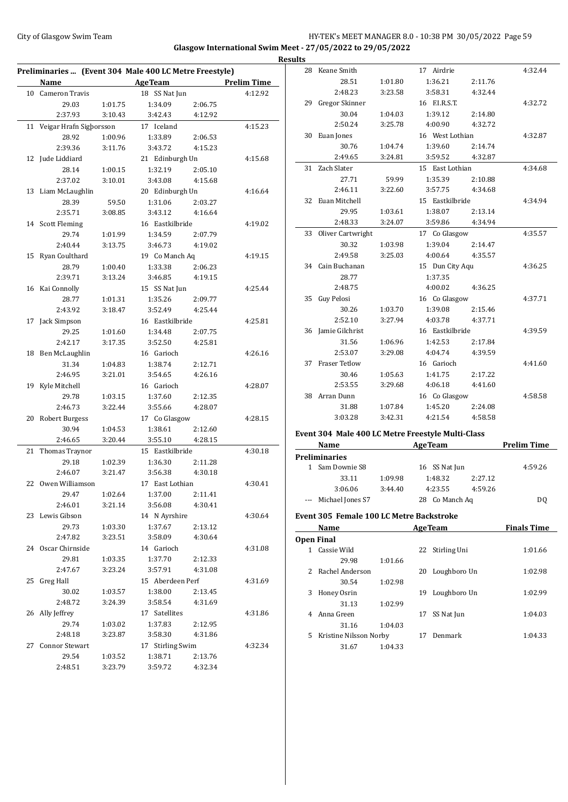## City of Glasgow Swim Team Team Team Fermic Management of the HY-TEK's MEET MANAGER 8.0 - 10:38 PM 30/05/2022 Page 59 **Glasgow International Swim Meet - 27/05/2022 to 29/05/2022**

| Preliminaries  (Event 304 Male 400 LC Metre Freestyle) |                         |                    |                  |                    |                    |  |  |  |
|--------------------------------------------------------|-------------------------|--------------------|------------------|--------------------|--------------------|--|--|--|
|                                                        | Name                    |                    | <b>AgeTeam</b>   |                    | <b>Prelim Time</b> |  |  |  |
|                                                        | 10 Cameron Travis       |                    | 18 SS Nat Jun    |                    | 4:12.92            |  |  |  |
|                                                        | 29.03                   | 1:01.75            | 1:34.09          | 2:06.75            |                    |  |  |  |
|                                                        | 2:37.93                 | 3:10.43            | 3:42.43          | 4:12.92            |                    |  |  |  |
| 11                                                     | Veigar Hrafn Sigborsson |                    | 17 Iceland       |                    | 4:15.23            |  |  |  |
|                                                        | 28.92                   | 1:00.96            | 1:33.89          | 2:06.53            |                    |  |  |  |
|                                                        | 2:39.36                 | 3:11.76            | 3:43.72          | 4:15.23            |                    |  |  |  |
|                                                        | 12 Jude Liddiard        |                    | 21 Edinburgh Un  |                    | 4:15.68            |  |  |  |
|                                                        | 28.14                   | 1:00.15            | 1:32.19          | 2:05.10            |                    |  |  |  |
|                                                        | 2:37.02                 | 3:10.01            | 3:43.08          | 4:15.68            |                    |  |  |  |
|                                                        | 13 Liam McLaughlin      |                    | 20 Edinburgh Un  |                    | 4:16.64            |  |  |  |
|                                                        | 28.39                   | 59.50              | 1:31.06          | 2:03.27            |                    |  |  |  |
|                                                        | 2:35.71                 | 3:08.85            | 3:43.12          | 4:16.64            |                    |  |  |  |
|                                                        | 14 Scott Fleming        |                    | 16 Eastkilbride  |                    | 4:19.02            |  |  |  |
|                                                        | 29.74                   | 1:01.99            | 1:34.59          | 2:07.79            |                    |  |  |  |
|                                                        | 2:40.44                 | 3:13.75            | 3:46.73          | 4:19.02            |                    |  |  |  |
|                                                        | 15 Ryan Coulthard       |                    | 19 Co Manch Aq   |                    | 4:19.15            |  |  |  |
|                                                        | 28.79                   | 1:00.40            | 1:33.38          | 2:06.23            |                    |  |  |  |
|                                                        | 2:39.71                 | 3:13.24            | 3:46.85          | 4:19.15            |                    |  |  |  |
|                                                        | 16 Kai Connolly         |                    | 15 SS Nat Jun    |                    | 4:25.44            |  |  |  |
|                                                        | 28.77                   | 1:01.31            | 1:35.26          | 2:09.77            |                    |  |  |  |
|                                                        | 2:43.92                 | 3:18.47            | 3:52.49          | 4:25.44            |                    |  |  |  |
|                                                        | 17 Jack Simpson         |                    | 16 Eastkilbride  |                    | 4:25.81            |  |  |  |
|                                                        | 29.25                   | 1:01.60            | 1:34.48          | 2:07.75            |                    |  |  |  |
|                                                        | 2:42.17                 | 3:17.35            | 3:52.50          | 4:25.81            |                    |  |  |  |
|                                                        | 18 Ben McLaughlin       |                    | 16 Garioch       |                    | 4:26.16            |  |  |  |
|                                                        | 31.34                   | 1:04.83            | 1:38.74          | 2:12.71            |                    |  |  |  |
|                                                        | 2:46.95                 | 3:21.01            | 3:54.65          | 4:26.16            |                    |  |  |  |
| 19                                                     | Kyle Mitchell           |                    | 16 Garioch       |                    | 4:28.07            |  |  |  |
|                                                        | 29.78                   | 1:03.15            | 1:37.60          | 2:12.35            |                    |  |  |  |
|                                                        | 2:46.73                 | 3:22.44            | 3:55.66          | 4:28.07            |                    |  |  |  |
| 20                                                     | <b>Robert Burgess</b>   |                    | 17 Co Glasgow    |                    | 4:28.15            |  |  |  |
|                                                        | 30.94                   | 1:04.53            | 1:38.61          | 2:12.60            |                    |  |  |  |
|                                                        | 2:46.65                 | 3:20.44            | 3:55.10          | 4:28.15            |                    |  |  |  |
| 21                                                     | Thomas Traynor          |                    | 15 Eastkilbride  |                    | 4:30.18            |  |  |  |
|                                                        | 29.18                   | 1:02.39            | 1:36.30          | 2:11.28            |                    |  |  |  |
|                                                        | 2:46.07                 | 3:21.47            | 3:56.38          | 4:30.18            |                    |  |  |  |
|                                                        | 22 Owen Williamson      |                    | 17 East Lothian  |                    | 4:30.41            |  |  |  |
|                                                        | 29.47                   | 1:02.64            | 1:37.00          | 2:11.41            |                    |  |  |  |
|                                                        | 2:46.01                 | 3:21.14            | 3:56.08          | 4:30.41            |                    |  |  |  |
|                                                        | 23 Lewis Gibson         |                    | 14 N Ayrshire    |                    | 4:30.64            |  |  |  |
|                                                        | 29.73                   |                    | 1:37.67          |                    |                    |  |  |  |
|                                                        |                         | 1:03.30<br>3:23.51 |                  | 2:13.12<br>4:30.64 |                    |  |  |  |
|                                                        | 2:47.82                 |                    | 3:58.09          |                    |                    |  |  |  |
|                                                        | 24 Oscar Chirnside      |                    | 14 Garioch       |                    | 4:31.08            |  |  |  |
|                                                        | 29.81                   | 1:03.35            | 1:37.70          | 2:12.33            |                    |  |  |  |
|                                                        | 2:47.67                 | 3:23.24            | 3:57.91          | 4:31.08            |                    |  |  |  |
|                                                        | 25 Greg Hall            |                    | 15 Aberdeen Perf |                    | 4:31.69            |  |  |  |
|                                                        | 30.02                   | 1:03.57            | 1:38.00          | 2:13.45            |                    |  |  |  |
|                                                        | 2:48.72                 | 3:24.39            | 3:58.54          | 4:31.69            |                    |  |  |  |
|                                                        | 26 Ally Jeffrey         |                    | 17 Satellites    |                    | 4:31.86            |  |  |  |
|                                                        | 29.74                   | 1:03.02            | 1:37.83          | 2:12.95            |                    |  |  |  |
|                                                        | 2:48.18                 | 3:23.87            | 3:58.30          | 4:31.86            |                    |  |  |  |
|                                                        | 27 Connor Stewart       |                    | 17 Stirling Swim |                    | 4:32.34            |  |  |  |
|                                                        | 29.54                   | 1:03.52            | 1:38.71          | 2:13.76            |                    |  |  |  |
|                                                        | 2:48.51                 | 3:23.79            | 3:59.72          | 4:32.34            |                    |  |  |  |

| <b>Results</b> |                      |         |                 |         |         |
|----------------|----------------------|---------|-----------------|---------|---------|
|                | 28 Keane Smith       |         | 17 Airdrie      |         | 4:32.44 |
|                | 28.51                | 1:01.80 | 1:36.21         | 2:11.76 |         |
|                | 2:48.23              | 3:23.58 | 3:58.31         | 4:32.44 |         |
|                | 29 Gregor Skinner    |         | 16 F.I.R.S.T.   |         | 4:32.72 |
|                | 30.04                | 1:04.03 | 1:39.12         | 2:14.80 |         |
|                | 2:50.24              | 3:25.78 | 4:00.90         | 4:32.72 |         |
| 30             | Euan Jones           |         | 16 West Lothian |         | 4:32.87 |
|                | 30.76                | 1:04.74 | 1:39.60         | 2:14.74 |         |
|                | 2:49.65              | 3:24.81 | 3:59.52         | 4:32.87 |         |
|                | 31 Zach Slater       |         | 15 East Lothian |         | 4:34.68 |
|                | 27.71                | 59.99   | 1:35.39         | 2:10.88 |         |
|                | 2:46.11              | 3:22.60 | 3:57.75         | 4:34.68 |         |
| 32             | Euan Mitchell        |         | 15 Eastkilbride |         | 4:34.94 |
|                | 29.95                | 1:03.61 | 1:38.07         | 2:13.14 |         |
|                | 2:48.33              | 3:24.07 | 3:59.86         | 4:34.94 |         |
|                | 33 Oliver Cartwright |         | 17 Co Glasgow   |         | 4:35.57 |
|                | 30.32                | 1:03.98 | 1:39.04         | 2:14.47 |         |
|                | 2:49.58              | 3:25.03 | 4:00.64         | 4:35.57 |         |
|                | 34 Cain Buchanan     |         | 15 Dun City Aqu |         | 4:36.25 |
|                | 28.77                |         | 1:37.35         |         |         |
|                | 2:48.75              |         | 4:00.02         | 4:36.25 |         |
| 35             | Guy Pelosi           |         | 16 Co Glasgow   |         | 4:37.71 |
|                | 30.26                | 1:03.70 | 1:39.08         | 2:15.46 |         |
|                | 2:52.10              | 3:27.94 | 4:03.78         | 4:37.71 |         |
|                | 36 Jamie Gilchrist   |         | 16 Eastkilbride |         | 4:39.59 |
|                | 31.56                | 1:06.96 | 1:42.53         | 2:17.84 |         |
|                | 2:53.07              | 3:29.08 | 4:04.74         | 4:39.59 |         |
| 37             | <b>Fraser Tetlow</b> |         | 16 Garioch      |         | 4:41.60 |
|                | 30.46                | 1:05.63 | 1:41.75         | 2:17.22 |         |
|                | 2:53.55              | 3:29.68 | 4:06.18         | 4:41.60 |         |
|                | 38 Arran Dunn        |         | 16 Co Glasgow   |         | 4:58.58 |
|                | 31.88                | 1:07.84 | 1:45.20         | 2:24.08 |         |
|                | 3:03.28              | 3:42.31 | 4:21.54         | 4:58.58 |         |

#### **Event 304 Male 400 LC Metre Freestyle Multi-Class**

| Name                 |         | <b>Prelim Time</b> |         |         |
|----------------------|---------|--------------------|---------|---------|
| Preliminaries        |         |                    |         |         |
| 1 Sam Downie S8      |         | 16 SS Nat Jun      |         | 4:59.26 |
| 33.11                | 1:09.98 | 1:48.32            | 2:27.12 |         |
| 3:06.06              | 3:44.40 | 4:23.55            | 4:59.26 |         |
| --- Michael Jones S7 |         | Co Manch Ag<br>28  |         | D0      |

#### **Event 305 Female 100 LC Metre Backstroke**

|    | Name                   |         |    | <b>AgeTeam</b> | <b>Finals Time</b> |
|----|------------------------|---------|----|----------------|--------------------|
|    | <b>Open Final</b>      |         |    |                |                    |
|    | Cassie Wild            |         | 22 | Stirling Uni   | 1:01.66            |
|    | 29.98                  | 1:01.66 |    |                |                    |
| 2. | Rachel Anderson        |         | 20 | Loughboro Un   | 1:02.98            |
|    | 30.54                  | 1:02.98 |    |                |                    |
| 3  | Honey Osrin            |         | 19 | Loughboro Un   | 1:02.99            |
|    | 31.13                  | 1:02.99 |    |                |                    |
|    | Anna Green             |         | 17 | SS Nat Jun     | 1:04.03            |
|    | 31.16                  | 1:04.03 |    |                |                    |
| 5. | Kristine Nilsson Norby |         | 17 | Denmark        | 1:04.33            |
|    | 31.67                  | 1:04.33 |    |                |                    |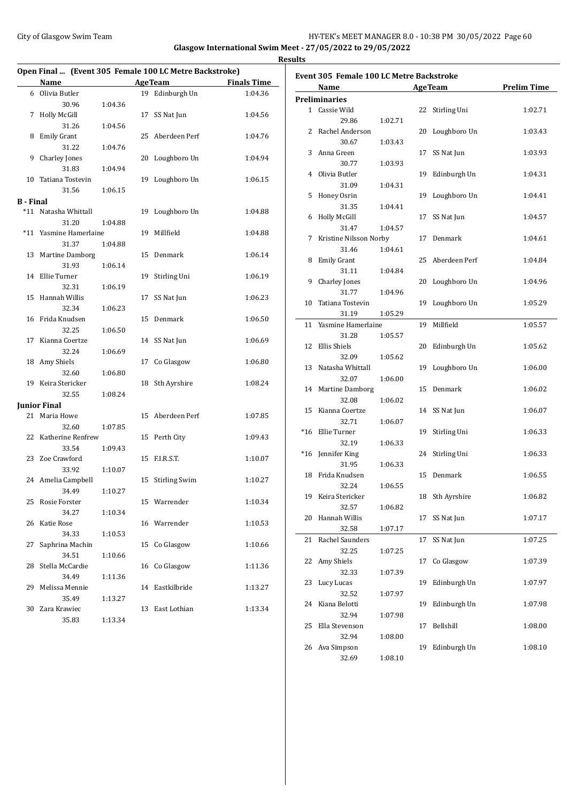## City of Glasgow Swim Team Team Team Fermic Management of the HY-TEK's MEET MANAGER 8.0 - 10:38 PM 30/05/2022 Page 60 **Glasgow International Swim Meet - 27/05/2022 to 29/05/2022**

**Results**

|                  | Open Final  (Event 305 Female 100 LC Metre Backstroke) |         |                  |                    | Event 305 Female 100 LC Metre Backstroke |         |                  |                    |
|------------------|--------------------------------------------------------|---------|------------------|--------------------|------------------------------------------|---------|------------------|--------------------|
|                  | Name                                                   |         | <b>AgeTeam</b>   | <b>Finals Time</b> | Name                                     |         | <b>AgeTeam</b>   | <b>Prelim Time</b> |
|                  | 6 Olivia Butler                                        |         | 19 Edinburgh Un  | 1:04.36            | <b>Preliminaries</b>                     |         |                  |                    |
|                  | 30.96                                                  | 1:04.36 |                  |                    | 1 Cassie Wild                            |         | 22 Stirling Uni  | 1:02.71            |
|                  | 7 Holly McGill                                         |         | 17 SS Nat Jun    | 1:04.56            | 29.86                                    | 1:02.71 |                  |                    |
|                  | 31.26                                                  | 1:04.56 |                  |                    | 2 Rachel Anderson                        |         | 20 Loughboro Un  | 1:03.43            |
|                  | 8 Emily Grant                                          |         | 25 Aberdeen Perf | 1:04.76            | 30.67                                    | 1:03.43 |                  |                    |
|                  | 31.22                                                  | 1:04.76 |                  |                    | 3 Anna Green                             |         | 17 SS Nat Jun    | 1:03.93            |
|                  | 9 Charley Jones                                        |         | 20 Loughboro Un  | 1:04.94            | 30.77                                    | 1:03.93 |                  |                    |
|                  | 31.83                                                  | 1:04.94 |                  |                    | 4 Olivia Butler                          |         | 19 Edinburgh Un  | 1:04.31            |
|                  | 10 Tatiana Tostevin                                    |         | 19 Loughboro Un  | 1:06.15            | 31.09                                    | 1:04.31 |                  |                    |
|                  | 31.56                                                  | 1:06.15 |                  |                    | 5 Honey Osrin                            |         | 19 Loughboro Un  | 1:04.41            |
| <b>B</b> - Final |                                                        |         |                  |                    | 31.35                                    | 1:04.41 |                  |                    |
|                  | *11 Natasha Whittall                                   |         | 19 Loughboro Un  | 1:04.88            | 6 Holly McGill                           |         | 17 SS Nat Jun    | 1:04.57            |
|                  | 31.20                                                  | 1:04.88 |                  |                    | 31.47                                    | 1:04.57 |                  |                    |
|                  | *11 Yasmine Hamerlaine                                 |         | 19 Millfield     | 1:04.88            | 7 Kristine Nilsson Norby                 |         | 17 Denmark       | 1:04.61            |
|                  | 31.37                                                  | 1:04.88 |                  |                    | 31.46                                    | 1:04.61 |                  |                    |
|                  | 13 Martine Damborg                                     |         | 15 Denmark       | 1:06.14            | 8 Emily Grant                            |         | 25 Aberdeen Perf | 1:04.84            |
|                  | 31.93                                                  | 1:06.14 |                  |                    | 31.11                                    | 1:04.84 |                  |                    |
|                  | 14 Ellie Turner                                        |         | 19 Stirling Uni  | 1:06.19            | 9 Charley Jones                          |         | 20 Loughboro Un  | 1:04.96            |
|                  | 32.31                                                  | 1:06.19 |                  |                    | 31.77                                    | 1:04.96 |                  |                    |
|                  | 15 Hannah Willis                                       |         | 17 SS Nat Jun    | 1:06.23            | 10 Tatiana Tostevin                      |         | 19 Loughboro Un  | 1:05.29            |
|                  | 32.34                                                  | 1:06.23 |                  |                    | 31.19                                    | 1:05.29 |                  |                    |
|                  | 16 Frida Knudsen                                       |         | 15 Denmark       | 1:06.50            | 11 Yasmine Hamerlaine                    |         | 19 Millfield     | 1:05.57            |
|                  | 32.25                                                  | 1:06.50 |                  |                    | 31.28                                    | 1:05.57 |                  |                    |
|                  | 17 Kianna Coertze                                      |         | 14 SS Nat Jun    | 1:06.69            | 12 Ellis Shiels                          |         | 20 Edinburgh Un  | 1:05.62            |
|                  | 32.24                                                  | 1:06.69 |                  |                    | 32.09                                    | 1:05.62 |                  |                    |
|                  | 18 Amy Shiels                                          |         | 17 Co Glasgow    | 1:06.80            | 13 Natasha Whittall                      |         | 19 Loughboro Un  | 1:06.00            |
|                  | 32.60                                                  | 1:06.80 |                  |                    | 32.07                                    | 1:06.00 |                  |                    |
|                  | 19 Keira Stericker                                     |         | 18 Sth Ayrshire  | 1:08.24            |                                          |         |                  |                    |
|                  | 32.55                                                  | 1:08.24 |                  |                    | 14 Martine Damborg                       |         | 15 Denmark       | 1:06.02            |
|                  | <b>Junior Final</b>                                    |         |                  |                    | 32.08                                    | 1:06.02 |                  |                    |
|                  | 21 Maria Howe                                          |         | 15 Aberdeen Perf | 1:07.85            | 15 Kianna Coertze                        |         | 14 SS Nat Jun    | 1:06.07            |
|                  | 32.60                                                  | 1:07.85 |                  |                    | 32.71                                    | 1:06.07 |                  |                    |
|                  | 22 Katherine Renfrew                                   |         | 15 Perth City    | 1:09.43            | *16 Ellie Turner                         |         | 19 Stirling Uni  | 1:06.33            |
|                  | 33.54                                                  | 1:09.43 |                  |                    | 32.19                                    | 1:06.33 |                  |                    |
|                  | 23 Zoe Crawford                                        |         | 15 F.I.R.S.T.    | 1:10.07            | *16 Jennifer King                        |         | 24 Stirling Uni  | 1:06.33            |
|                  | 33.92                                                  | 1:10.07 |                  |                    | 31.95                                    | 1:06.33 |                  |                    |
|                  | 24 Amelia Campbell                                     |         | 15 Stirling Swim | 1:10.27            | 18 Frida Knudsen                         |         | 15 Denmark       | 1:06.55            |
|                  | 34.49                                                  | 1:10.27 |                  |                    | 32.24                                    | 1:06.55 |                  |                    |
|                  | 25 Rosie Forster                                       |         | 15 Warrender     | 1:10.34            | 19 Keira Stericker                       |         | 18 Sth Ayrshire  | 1:06.82            |
|                  | 34.27                                                  | 1:10.34 |                  |                    | 32.57                                    | 1:06.82 |                  |                    |
|                  | 26 Katie Rose                                          |         | 16 Warrender     | 1:10.53            | 20 Hannah Willis                         |         | 17 SS Nat Jun    | 1:07.17            |
|                  | 34.33                                                  | 1:10.53 |                  |                    | 32.58                                    | 1:07.17 |                  |                    |
|                  | 27 Saphrina Machin                                     |         | 15 Co Glasgow    | 1:10.66            | 21 Rachel Saunders                       |         | 17 SS Nat Jun    | 1:07.25            |
|                  | 34.51                                                  | 1:10.66 |                  |                    | 32.25                                    | 1:07.25 |                  |                    |
|                  | 28 Stella McCardie                                     |         | 16 Co Glasgow    | 1:11.36            | 22 Amy Shiels                            |         | 17 Co Glasgow    | 1:07.39            |
|                  | 34.49                                                  | 1:11.36 |                  |                    | 32.33                                    | 1:07.39 |                  |                    |
|                  | 29 Melissa Mennie                                      |         | 14 Eastkilbride  | 1:13.27            | 23 Lucy Lucas                            |         | 19 Edinburgh Un  | 1:07.97            |
|                  | 35.49                                                  | 1:13.27 |                  |                    | 32.52                                    | 1:07.97 |                  |                    |
|                  | 30 Zara Krawiec                                        |         | 13 East Lothian  | 1:13.34            | 24 Kiana Belotti                         |         | 19 Edinburgh Un  | 1:07.98            |
|                  | 35.83                                                  | 1:13.34 |                  |                    | 32.94                                    | 1:07.98 |                  |                    |
|                  |                                                        |         |                  |                    | 25 Ella Stevenson                        |         | 17 Bellshill     | 1:08.00            |
|                  |                                                        |         |                  |                    | 32.94                                    | 1:08.00 |                  |                    |
|                  |                                                        |         |                  |                    | 26 Ava Simpson                           |         | 19 Edinburgh Un  | 1:08.10            |
|                  |                                                        |         |                  |                    | 32.69                                    | 1:08.10 |                  |                    |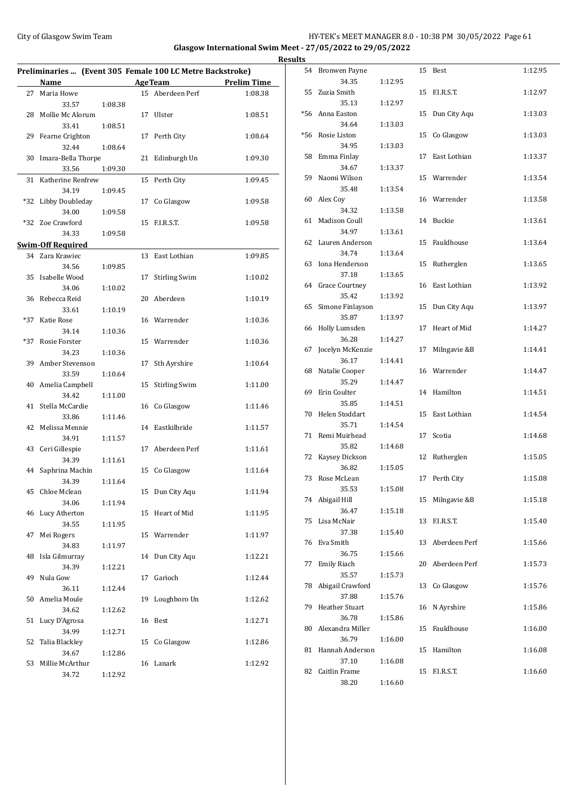## City of Glasgow Swim Team Team Team Fermic Management of the HY-TEK's MEET MANAGER 8.0 - 10:38 PM 30/05/2022 Page 61 **Glasgow International Swim Meet - 27/05/2022 to 29/05/2022**

|       | Preliminaries  (Event 305 Female 100 LC Metre Backstroke) |         |                |                      |                    |
|-------|-----------------------------------------------------------|---------|----------------|----------------------|--------------------|
|       | Name                                                      |         | <b>AgeTeam</b> |                      | <b>Prelim Time</b> |
| 27    | Maria Howe                                                |         |                | 15 Aberdeen Perf     | 1:08.38            |
|       | 33.57                                                     | 1:08.38 |                |                      |                    |
| 28    | Mollie Mc Alorum                                          |         | 17             | Ulster               | 1:08.51            |
|       | 33.41                                                     | 1:08.51 |                |                      |                    |
|       | 29 Fearne Crighton                                        |         | 17             | Perth City           | 1:08.64            |
|       | 32.44                                                     | 1:08.64 |                |                      |                    |
| 30    | Imara-Bella Thorpe                                        |         | 21             | Edinburgh Un         | 1:09.30            |
|       | 33.56                                                     | 1:09.30 |                |                      |                    |
| 31    | Katherine Renfrew                                         |         | 15             | Perth City           | 1:09.45            |
|       | 34.19                                                     | 1:09.45 |                |                      |                    |
| *32   | Libby Doubleday                                           |         | 17             | Co Glasgow           | 1:09.58            |
|       |                                                           |         |                |                      |                    |
|       | 34.00                                                     | 1:09.58 |                |                      |                    |
| *32   | Zoe Crawford                                              |         | 15             | F.I.R.S.T.           | 1:09.58            |
|       | 34.33                                                     | 1:09.58 |                |                      |                    |
|       | <u>Swim-Off Required</u>                                  |         |                |                      |                    |
| 34    | Zara Krawiec                                              |         | 13             | East Lothian         | 1:09.85            |
|       | 34.56                                                     | 1:09.85 |                |                      |                    |
| 35    | Isabelle Wood                                             |         | 17             | <b>Stirling Swim</b> | 1:10.02            |
|       | 34.06                                                     | 1:10.02 |                |                      |                    |
| 36    | Rebecca Reid                                              |         | 20             | Aberdeen             | 1:10.19            |
|       | 33.61                                                     | 1:10.19 |                |                      |                    |
| $*37$ | Katie Rose                                                |         |                | 16 Warrender         | 1:10.36            |
|       | 34.14                                                     | 1:10.36 |                |                      |                    |
| $*37$ | Rosie Forster                                             |         |                | 15 Warrender         | 1:10.36            |
|       | 34.23                                                     | 1:10.36 |                |                      |                    |
| 39    | Amber Stevenson                                           |         | 17             | Sth Ayrshire         | 1:10.64            |
|       | 33.59                                                     | 1:10.64 |                |                      |                    |
|       |                                                           |         |                |                      |                    |
| 40    | Amelia Campbell                                           |         | 15             | <b>Stirling Swim</b> | 1:11.00            |
|       | 34.42                                                     | 1:11.00 |                |                      |                    |
| 41    | Stella McCardie                                           |         | 16             | Co Glasgow           | 1:11.46            |
|       | 33.86                                                     | 1:11.46 |                |                      |                    |
| 42    | Melissa Mennie                                            |         | 14             | Eastkilbride         | 1:11.57            |
|       | 34.91                                                     | 1:11.57 |                |                      |                    |
| 43    | Ceri Gillespie                                            |         | 17             | Aberdeen Perf        | 1:11.61            |
|       | 34.39                                                     | 1:11.61 |                |                      |                    |
| 44    | Saphrina Machin                                           |         | 15             | Co Glasgow           | 1:11.64            |
|       | 34.39                                                     | 1:11.64 |                |                      |                    |
|       | 45 Chloe Mclean                                           |         | 15             | Dun City Aqu         | 1:11.94            |
|       | 34.06                                                     | 1:11.94 |                |                      |                    |
| 46    | Lucy Atherton                                             |         | 15             | Heart of Mid         | 1:11.95            |
|       | 34.55                                                     | 1:11.95 |                |                      |                    |
| 47    | Mei Rogers                                                |         | 15             | Warrender            | 1:11.97            |
|       | 34.83                                                     | 1:11.97 |                |                      |                    |
| 48    | Isla Gilmurray                                            |         | 14             | Dun City Aqu         | 1:12.21            |
|       | 34.39                                                     | 1:12.21 |                |                      |                    |
| 49    | Nula Gow                                                  |         | 17             | Garioch              | 1:12.44            |
|       | 36.11                                                     | 1:12.44 |                |                      |                    |
| 50    | Amelia Moule                                              |         | 19             | Loughboro Un         | 1:12.62            |
|       | 34.62                                                     | 1:12.62 |                |                      |                    |
| 51    | Lucy D'Agrosa                                             |         | 16             | Best                 | 1:12.71            |
|       |                                                           |         |                |                      |                    |
|       | 34.99                                                     | 1:12.71 |                |                      |                    |
| 52    | Talia Blackley                                            |         | 15             | Co Glasgow           | 1:12.86            |
|       | 34.67                                                     | 1:12.86 |                |                      |                    |
| 53    | Millie McArthur                                           |         | 16             | Lanark               | 1:12.92            |
|       | 34.72                                                     | 1:12.92 |                |                      |                    |

| <b>Results</b> |                            |         |    |                  |         |
|----------------|----------------------------|---------|----|------------------|---------|
|                | 54 Bronwen Payne           |         |    | 15 Best          | 1:12.95 |
|                | 34.35                      | 1:12.95 |    |                  |         |
|                | 55 Zuzia Smith             |         |    | 15 F.I.R.S.T.    | 1:12.97 |
|                | 35.13                      | 1:12.97 |    | Dun City Aqu     | 1:13.03 |
|                | *56 Anna Easton<br>34.64   | 1:13.03 | 15 |                  |         |
|                | *56 Rosie Liston           |         |    | 15 Co Glasgow    | 1:13.03 |
|                | 34.95                      | 1:13.03 |    |                  |         |
|                | 58 Emma Finlay             |         |    | 17 East Lothian  | 1:13.37 |
|                | 34.67                      | 1:13.37 |    |                  |         |
|                | 59 Naomi Wilson            |         |    | 15 Warrender     | 1:13.54 |
|                | 35.48                      | 1:13.54 |    |                  |         |
|                | 60 Alex Coy<br>34.32       | 1:13.58 |    | 16 Warrender     | 1:13.58 |
|                | 61 Madison Coull           |         |    | 14 Buckie        | 1:13.61 |
|                | 34.97                      | 1:13.61 |    |                  |         |
|                | 62 Lauren Anderson         |         |    | 15 Fauldhouse    | 1:13.64 |
|                | 34.74                      | 1:13.64 |    |                  |         |
|                | 63 Iona Henderson          |         |    | 15 Rutherglen    | 1:13.65 |
|                | 37.18                      | 1:13.65 |    |                  |         |
|                | 64 Grace Courtney<br>35.42 | 1:13.92 |    | 16 East Lothian  | 1:13.92 |
|                | 65 Simone Finlayson        |         |    | 15 Dun City Aqu  | 1:13.97 |
|                | 35.87                      | 1:13.97 |    |                  |         |
|                | 66 Holly Lumsden           |         |    | 17 Heart of Mid  | 1:14.27 |
|                | 36.28                      | 1:14.27 |    |                  |         |
|                | 67 Jocelyn McKenzie        |         |    | 17 Milngavie &B  | 1:14.41 |
|                | 36.17                      | 1:14.41 |    | 16 Warrender     | 1:14.47 |
|                | 68 Natalie Cooper<br>35.29 | 1:14.47 |    |                  |         |
|                | 69 Erin Coulter            |         |    | 14 Hamilton      | 1:14.51 |
|                | 35.85                      | 1:14.51 |    |                  |         |
|                | 70 Helen Stoddart          |         |    | 15 East Lothian  | 1:14.54 |
|                | 35.71                      | 1:14.54 |    |                  |         |
|                | 71 Remi Muirhead           |         |    | 17 Scotia        | 1:14.68 |
|                | 35.82<br>72 Kaysey Dickson | 1:14.68 |    | 12 Rutherglen    | 1:15.05 |
|                | 36.82                      | 1:15.05 |    |                  |         |
| 73             | Rose McLean                |         |    | 17 Perth City    | 1:15.08 |
|                | 35.53                      | 1:15.08 |    |                  |         |
|                | 74 Abigail Hill            |         |    | 15 Milngavie &B  | 1:15.18 |
|                | 36.47                      | 1:15.18 |    |                  |         |
|                | 75 Lisa McNair<br>37.38    | 1:15.40 |    | 13 F.I.R.S.T.    | 1:15.40 |
|                | 76 Eva Smith               |         |    | 13 Aberdeen Perf | 1:15.66 |
|                | 36.75                      | 1:15.66 |    |                  |         |
| 77             | <b>Emily Riach</b>         |         |    | 20 Aberdeen Perf | 1:15.73 |
|                | 35.57                      | 1:15.73 |    |                  |         |
|                | 78 Abigail Crawford        |         |    | 13 Co Glasgow    | 1:15.76 |
|                | 37.88<br>79 Heather Stuart | 1:15.76 |    | 16 N Ayrshire    | 1:15.86 |
|                | 36.78                      | 1:15.86 |    |                  |         |
|                | 80 Alexandra Miller        |         | 15 | Fauldhouse       | 1:16.00 |
|                | 36.79                      | 1:16.00 |    |                  |         |
|                | 81 Hannah Anderson         |         |    | 15 Hamilton      | 1:16.08 |
|                | 37.10                      | 1:16.08 |    |                  |         |
|                | 82 Caitlin Frame           |         |    | 15 F.I.R.S.T.    | 1:16.60 |
|                | 38.20                      | 1:16.60 |    |                  |         |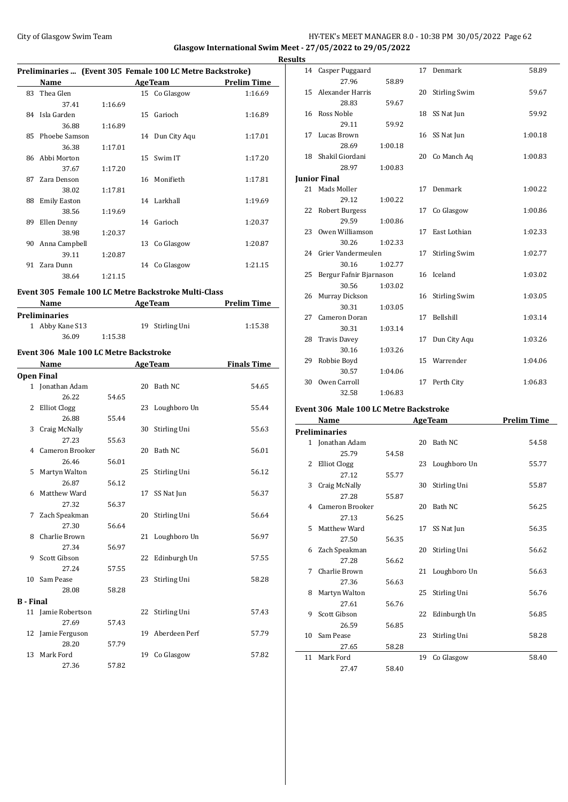## HY-TEK's MEET MANAGER 8.0 - 10:38 PM 30/05/2022 Page 62 **Glasgow International Swim Meet - 27/05/2022 to 29/05/2022**

**Results**

|                         | City of Glasgow Swim Team                                 |         |    |                 | <b>Glasgow International Swim Me</b><br><b>Res</b> |
|-------------------------|-----------------------------------------------------------|---------|----|-----------------|----------------------------------------------------|
|                         | Preliminaries  (Event 305 Female 100 LC Metre Backstroke) |         |    |                 |                                                    |
|                         |                                                           |         |    |                 | Name AgeTeam Prelim Time                           |
|                         | 83 Thea Glen                                              |         |    | 15 Co Glasgow   | 1:16.69                                            |
|                         | 37.41                                                     | 1:16.69 |    |                 |                                                    |
|                         | 84 Isla Garden                                            |         |    | 15 Garioch      | 1:16.89                                            |
|                         | 36.88                                                     | 1:16.89 |    |                 |                                                    |
|                         | 85 Phoebe Samson                                          |         |    | 14 Dun City Aqu | 1:17.01                                            |
|                         | 36.38                                                     | 1:17.01 |    |                 |                                                    |
|                         | 86 Abbi Morton                                            |         |    | 15 Swim IT      | 1:17.20                                            |
|                         | 37.67                                                     | 1:17.20 |    |                 |                                                    |
|                         | 87 Zara Denson                                            |         |    | 16 Monifieth    | 1:17.81                                            |
|                         | 38.02                                                     | 1:17.81 |    |                 |                                                    |
|                         | 88 Emily Easton                                           |         |    | 14 Larkhall     | 1:19.69                                            |
|                         | 38.56                                                     | 1:19.69 |    |                 |                                                    |
|                         | 89 Ellen Denny                                            |         |    | 14 Garioch      | 1:20.37                                            |
|                         | 38.98                                                     | 1:20.37 |    |                 |                                                    |
|                         | 90 Anna Campbell                                          |         |    | 13 Co Glasgow   | 1:20.87                                            |
|                         | 39.11                                                     | 1:20.87 |    |                 |                                                    |
|                         | 91 Zara Dunn                                              |         |    | 14 Co Glasgow   | 1:21.15                                            |
|                         | 38.64                                                     | 1:21.15 |    |                 |                                                    |
|                         |                                                           |         |    |                 |                                                    |
|                         | Event 305 Female 100 LC Metre Backstroke Multi-Class      |         |    |                 |                                                    |
|                         |                                                           |         |    |                 | Name AgeTeam Prelim Time                           |
|                         | <b>Preliminaries</b>                                      |         |    |                 |                                                    |
|                         | 1 Abby Kane S13                                           |         |    | 19 Stirling Uni | 1:15.38                                            |
|                         | 36.09                                                     | 1:15.38 |    |                 |                                                    |
|                         | Event 306 Male 100 LC Metre Backstroke                    |         |    |                 |                                                    |
|                         |                                                           |         |    |                 |                                                    |
|                         |                                                           |         |    |                 | <b>Name</b> AgeTeam Finals Time                    |
|                         | <b>Open Final</b>                                         |         |    |                 |                                                    |
|                         | 1 Jonathan Adam                                           |         |    | 20 Bath NC      | 54.65                                              |
|                         | 26.22                                                     | 54.65   |    |                 |                                                    |
|                         | 2 Elliot Clogg                                            |         |    | 23 Loughboro Un | 55.44                                              |
|                         | 26.88                                                     | 55.44   |    |                 |                                                    |
|                         | 3 Craig McNally                                           |         |    | 30 Stirling Uni | 55.63                                              |
|                         | 27.23                                                     | 55.63   |    |                 |                                                    |
| $\overline{\mathbf{4}}$ | Cameron Brooker                                           |         |    | 20 Bath NC      | 56.01                                              |
|                         | 26.46                                                     | 56.01   |    |                 |                                                    |
| 5                       | Martyn Walton                                             |         | 25 | Stirling Uni    | 56.12                                              |
|                         | 26.87                                                     | 56.12   |    |                 |                                                    |
| 6                       | Matthew Ward                                              |         | 17 | SS Nat Jun      | 56.37                                              |
|                         | 27.32                                                     | 56.37   |    |                 |                                                    |
| 7                       | Zach Speakman                                             |         | 20 | Stirling Uni    | 56.64                                              |
|                         | 27.30                                                     | 56.64   |    |                 |                                                    |
|                         | Charlie Brown                                             |         | 21 | Loughboro Un    | 56.97                                              |
| 8                       |                                                           |         |    |                 |                                                    |
|                         | 27.34                                                     | 56.97   |    |                 |                                                    |
| 9                       | Scott Gibson                                              |         | 22 | Edinburgh Un    | 57.55                                              |

10 Sam Pease 23 Stirling Uni 58.28

11 Jamie Robertson 22 Stirling Uni 57.43

12 Jamie Ferguson 19 Aberdeen Perf 57.79

13 Mark Ford 19 Co Glasgow 57.82

28.08 58.28

27.69 57.43

28.20 57.79

27.36 57.82

**B - Final**

| ults |                                        |         |    |                      |                    |
|------|----------------------------------------|---------|----|----------------------|--------------------|
|      | 14 Casper Puggaard                     |         |    | 17 Denmark           | 58.89              |
|      | 27.96                                  | 58.89   |    |                      |                    |
| 15   | Alexander Harris                       |         | 20 | <b>Stirling Swim</b> | 59.67              |
|      | 28.83                                  | 59.67   |    |                      |                    |
| 16   | Ross Noble                             |         | 18 | SS Nat Jun           | 59.92              |
|      | 29.11                                  | 59.92   |    |                      |                    |
| 17   | Lucas Brown                            |         |    | 16 SS Nat Jun        | 1:00.18            |
|      | 28.69                                  | 1:00.18 |    |                      |                    |
|      | 18 Shakil Giordani                     |         | 20 | Co Manch Aq          | 1:00.83            |
|      | 28.97                                  | 1:00.83 |    |                      |                    |
|      | <b>Junior Final</b>                    |         |    |                      |                    |
|      | 21 Mads Moller                         |         | 17 | Denmark              | 1:00.22            |
|      | 29.12                                  | 1:00.22 |    |                      |                    |
| 22   | Robert Burgess                         |         | 17 | Co Glasgow           | 1:00.86            |
|      | 29.59                                  | 1:00.86 |    |                      |                    |
| 23   | Owen Williamson                        |         | 17 | East Lothian         | 1:02.33            |
|      | 30.26                                  | 1:02.33 |    |                      |                    |
|      | 24 Grier Vandermeulen                  |         | 17 | <b>Stirling Swim</b> | 1:02.77            |
|      | 30.16                                  | 1:02.77 |    |                      |                    |
| 25   | Bergur Fafnir Bjarnason                |         |    | 16 Iceland           | 1:03.02            |
|      | 30.56                                  | 1:03.02 |    |                      |                    |
| 26   | Murray Dickson                         |         | 16 | <b>Stirling Swim</b> | 1:03.05            |
|      | 30.31                                  | 1:03.05 |    |                      |                    |
| 27   | Cameron Doran                          |         | 17 | Bellshill            | 1:03.14            |
|      | 30.31                                  | 1:03.14 |    |                      |                    |
|      | 28 Travis Davey                        |         | 17 | Dun City Aqu         | 1:03.26            |
|      | 30.16                                  | 1:03.26 |    |                      |                    |
|      | 29 Robbie Boyd                         |         |    | 15 Warrender         | 1:04.06            |
|      | 30.57                                  | 1:04.06 |    |                      |                    |
| 30   | Owen Carroll                           |         | 17 | Perth City           | 1:06.83            |
|      | 32.58                                  | 1:06.83 |    |                      |                    |
|      | Event 306 Male 100 LC Metre Backstroke |         |    |                      |                    |
|      | Name                                   |         |    | <b>AgeTeam</b>       | <b>Prelim Time</b> |
|      | <b>Preliminaries</b>                   |         |    |                      |                    |
| 1    | Jonathan Adam                          |         | 20 | Bath NC              | 54.58              |
|      |                                        |         |    |                      |                    |

|    | Prenminaries      |       |    |                 |       |
|----|-------------------|-------|----|-----------------|-------|
|    | 1 Jonathan Adam   |       |    | 20 Bath NC      | 54.58 |
|    | 25.79             | 54.58 |    |                 |       |
| 2  | Elliot Clogg      |       |    | 23 Loughboro Un | 55.77 |
|    | 27.12             | 55.77 |    |                 |       |
| 3  | Craig McNally     |       |    | 30 Stirling Uni | 55.87 |
|    | 27.28             | 55.87 |    |                 |       |
|    | 4 Cameron Brooker |       | 20 | Bath NC         | 56.25 |
|    | 27.13             | 56.25 |    |                 |       |
|    | 5 Matthew Ward    |       | 17 | SS Nat Jun      | 56.35 |
|    | 27.50             | 56.35 |    |                 |       |
| 6  | Zach Speakman     |       |    | 20 Stirling Uni | 56.62 |
|    | 27.28             | 56.62 |    |                 |       |
| 7  | Charlie Brown     |       |    | 21 Loughboro Un | 56.63 |
|    | 27.36             | 56.63 |    |                 |       |
| 8  | Martyn Walton     |       | 25 | Stirling Uni    | 56.76 |
|    | 27.61             | 56.76 |    |                 |       |
| 9  | Scott Gibson      |       |    | 22 Edinburgh Un | 56.85 |
|    | 26.59             | 56.85 |    |                 |       |
| 10 | Sam Pease         |       | 23 | Stirling Uni    | 58.28 |
|    | 27.65             | 58.28 |    |                 |       |
| 11 | Mark Ford         |       | 19 | Co Glasgow      | 58.40 |
|    | 27.47             | 58.40 |    |                 |       |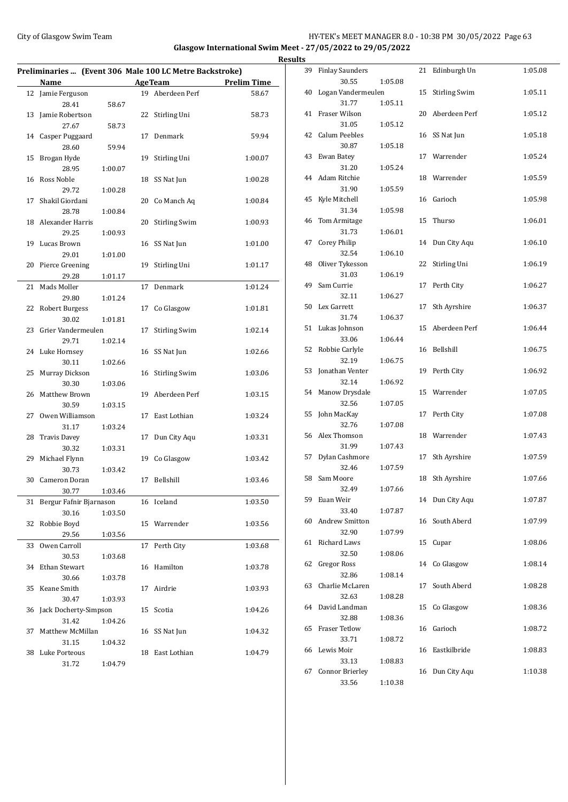## City of Glasgow Swim Team Team Team Fermic Management of the HY-TEK's MEET MANAGER 8.0 - 10:38 PM 30/05/2022 Page 63 **Glasgow International Swim Meet - 27/05/2022 to 29/05/2022**

|    |                                                         |         |    |                      |                    | <b>Results</b> |
|----|---------------------------------------------------------|---------|----|----------------------|--------------------|----------------|
|    | Preliminaries  (Event 306 Male 100 LC Metre Backstroke) |         |    |                      |                    |                |
|    | <b>Name</b>                                             |         |    | AgeTeam              | <b>Prelim Time</b> |                |
|    | 12 Jamie Ferguson                                       |         |    | 19 Aberdeen Perf     | 58.67              |                |
|    | 28.41                                                   | 58.67   |    | 22 Stirling Uni      |                    |                |
|    | 13 Jamie Robertson<br>27.67                             | 58.73   |    |                      | 58.73              |                |
|    | 14 Casper Puggaard                                      |         |    | 17 Denmark           | 59.94              |                |
|    | 28.60                                                   | 59.94   |    |                      |                    |                |
|    | 15 Brogan Hyde                                          |         | 19 | Stirling Uni         | 1:00.07            |                |
|    | 28.95                                                   | 1:00.07 |    |                      |                    |                |
|    | 16 Ross Noble                                           |         | 18 | SS Nat Jun           | 1:00.28            |                |
|    | 29.72                                                   | 1:00.28 |    |                      |                    |                |
| 17 | Shakil Giordani                                         |         |    | 20 Co Manch Aq       | 1:00.84            |                |
|    | 28.78                                                   | 1:00.84 |    |                      |                    |                |
|    | 18 Alexander Harris                                     |         | 20 | <b>Stirling Swim</b> | 1:00.93            |                |
|    | 29.25                                                   | 1:00.93 |    |                      |                    |                |
|    | 19 Lucas Brown                                          |         |    | 16 SS Nat Jun        | 1:01.00            |                |
|    | 29.01                                                   | 1:01.00 |    |                      |                    |                |
|    | 20 Pierce Greening                                      |         | 19 | Stirling Uni         | 1:01.17            |                |
|    | 29.28                                                   | 1:01.17 |    |                      |                    |                |
| 21 | Mads Moller                                             |         |    | 17 Denmark           | 1:01.24            |                |
|    | 29.80                                                   | 1:01.24 |    |                      |                    |                |
|    | 22 Robert Burgess                                       |         | 17 | Co Glasgow           | 1:01.81            |                |
|    | 30.02                                                   | 1:01.81 |    |                      |                    |                |
|    | 23 Grier Vandermeulen                                   |         | 17 | <b>Stirling Swim</b> | 1:02.14            |                |
|    | 29.71                                                   | 1:02.14 |    |                      |                    |                |
|    | 24 Luke Hornsey                                         |         |    | 16 SS Nat Jun        | 1:02.66            |                |
|    | 30.11                                                   | 1:02.66 |    |                      |                    |                |
|    | 25 Murray Dickson                                       |         |    | 16 Stirling Swim     | 1:03.06            |                |
|    | 30.30                                                   | 1:03.06 |    |                      |                    |                |
|    | 26 Matthew Brown                                        |         | 19 | Aberdeen Perf        | 1:03.15            |                |
|    | 30.59                                                   | 1:03.15 |    |                      |                    |                |
|    | 27 Owen Williamson                                      |         |    | 17 East Lothian      | 1:03.24            |                |
|    | 31.17                                                   | 1:03.24 |    |                      |                    |                |
|    | 28 Travis Davey                                         |         |    | 17 Dun City Aqu      | 1:03.31            |                |
|    | 30.32                                                   | 1:03.31 |    |                      |                    |                |
|    | 29 Michael Flynn                                        |         |    | 19 Co Glasgow        | 1:03.42            |                |
|    | 30.73                                                   | 1:03.42 |    |                      |                    |                |
|    | 30 Cameron Doran                                        |         |    | 17 Bellshill         | 1:03.46            |                |
|    | 30.77                                                   | 1:03.46 |    |                      |                    |                |
|    | 31 Bergur Fafnir Bjarnason                              |         |    | 16 Iceland           | 1:03.50            |                |
|    | 30.16                                                   | 1:03.50 |    |                      |                    |                |
| 32 | Robbie Boyd<br>29.56                                    |         |    | 15 Warrender         | 1:03.56            |                |
| 33 | Owen Carroll                                            | 1:03.56 |    |                      |                    |                |
|    | 30.53                                                   |         |    | 17 Perth City        | 1:03.68            |                |
|    | 34 Ethan Stewart                                        | 1:03.68 |    | 16 Hamilton          | 1:03.78            |                |
|    | 30.66                                                   | 1:03.78 |    |                      |                    |                |
|    | 35 Keane Smith                                          |         |    | 17 Airdrie           | 1:03.93            |                |
|    | 30.47                                                   | 1:03.93 |    |                      |                    |                |
|    | 36 Jack Docherty-Simpson                                |         |    | 15 Scotia            | 1:04.26            |                |
|    | 31.42                                                   | 1:04.26 |    |                      |                    |                |
| 37 | Matthew McMillan                                        |         | 16 | SS Nat Jun           | 1:04.32            |                |
|    | 31.15                                                   | 1:04.32 |    |                      |                    |                |
|    | 38 Luke Porteous                                        |         |    | 18 East Lothian      | 1:04.79            |                |
|    | 31.72                                                   | 1:04.79 |    |                      |                    |                |
|    |                                                         |         |    |                      |                    |                |

| 39 | <b>Finlay Saunders</b>        |         | 21 | Edinburgh Un         | 1:05.08 |
|----|-------------------------------|---------|----|----------------------|---------|
| 40 | 30.55<br>Logan Vandermeulen   | 1:05.08 | 15 | <b>Stirling Swim</b> | 1:05.11 |
|    | 31.77                         | 1:05.11 |    |                      |         |
| 41 | Fraser Wilson                 |         | 20 | Aberdeen Perf        | 1:05.12 |
|    | 31.05                         | 1:05.12 |    |                      |         |
| 42 | Calum Peebles<br>30.87        | 1:05.18 | 16 | SS Nat Jun           | 1:05.18 |
| 43 | Ewan Batey                    |         | 17 | Warrender            | 1:05.24 |
|    | 31.20                         | 1:05.24 |    |                      |         |
| 44 | Adam Ritchie                  |         | 18 | Warrender            | 1:05.59 |
|    | 31.90                         | 1:05.59 |    |                      |         |
| 45 | Kyle Mitchell                 |         | 16 | Garioch              | 1:05.98 |
|    | 31.34                         | 1:05.98 |    |                      |         |
| 46 | Tom Armitage                  |         | 15 | Thurso               | 1:06.01 |
|    | 31.73                         | 1:06.01 |    |                      |         |
| 47 | Corey Philip                  |         | 14 | Dun City Aqu         | 1:06.10 |
|    | 32.54                         | 1:06.10 |    |                      |         |
| 48 | Oliver Tykesson               |         | 22 | Stirling Uni         | 1:06.19 |
|    | 31.03                         | 1:06.19 |    |                      |         |
| 49 | Sam Currie                    |         | 17 | Perth City           | 1:06.27 |
|    | 32.11                         | 1:06.27 |    |                      |         |
| 50 | Lex Garrett<br>31.74          |         | 17 | Sth Ayrshire         | 1:06.37 |
| 51 | Lukas Johnson                 | 1:06.37 | 15 | Aberdeen Perf        | 1:06.44 |
|    | 33.06                         | 1:06.44 |    |                      |         |
| 52 | Robbie Carlyle                |         | 16 | Bellshill            | 1:06.75 |
|    | 32.19                         | 1:06.75 |    |                      |         |
| 53 | Jonathan Venter               |         | 19 | Perth City           | 1:06.92 |
|    | 32.14                         | 1:06.92 |    |                      |         |
| 54 | Manow Drysdale                |         | 15 | Warrender            | 1:07.05 |
|    | 32.56                         | 1:07.05 |    |                      |         |
| 55 | John MacKay                   |         | 17 | Perth City           | 1:07.08 |
|    | 32.76                         | 1:07.08 |    |                      |         |
| 56 | Alex Thomson                  |         | 18 | Warrender            | 1:07.43 |
|    | 31.99                         | 1:07.43 |    |                      |         |
| 57 | Dylan Cashmore<br>32.46       |         | 17 | Sth Ayrshire         | 1:07.59 |
| 58 | Sam Moore                     | 1:07.59 | 18 | Sth Ayrshire         | 1:07.66 |
|    | 32.49                         | 1:07.66 |    |                      |         |
| 59 | Euan Weir                     |         | 14 | Dun City Aqu         | 1:07.87 |
|    | 33.40                         | 1:07.87 |    |                      |         |
| 60 | <b>Andrew Smitton</b>         |         | 16 | South Aberd          | 1:07.99 |
|    | 32.90                         | 1:07.99 |    |                      |         |
| 61 | Richard Laws                  |         | 15 | Cupar                | 1:08.06 |
|    | 32.50                         | 1:08.06 |    |                      |         |
| 62 | Gregor Ross                   |         | 14 | Co Glasgow           | 1:08.14 |
|    | 32.86                         | 1:08.14 |    |                      |         |
| 63 | Charlie McLaren               |         | 17 | South Aberd          | 1:08.28 |
|    | 32.63                         | 1:08.28 |    |                      |         |
| 64 | David Landman                 |         | 15 | Co Glasgow           | 1:08.36 |
| 65 | 32.88<br><b>Fraser Tetlow</b> | 1:08.36 | 16 | Garioch              | 1:08.72 |
|    | 33.71                         | 1:08.72 |    |                      |         |
| 66 | Lewis Moir                    |         | 16 | Eastkilbride         | 1:08.83 |
|    | 33.13                         | 1:08.83 |    |                      |         |
| 67 | Connor Brierley               |         | 16 | Dun City Aqu         | 1:10.38 |
|    | 33.56                         | 1:10.38 |    |                      |         |
|    |                               |         |    |                      |         |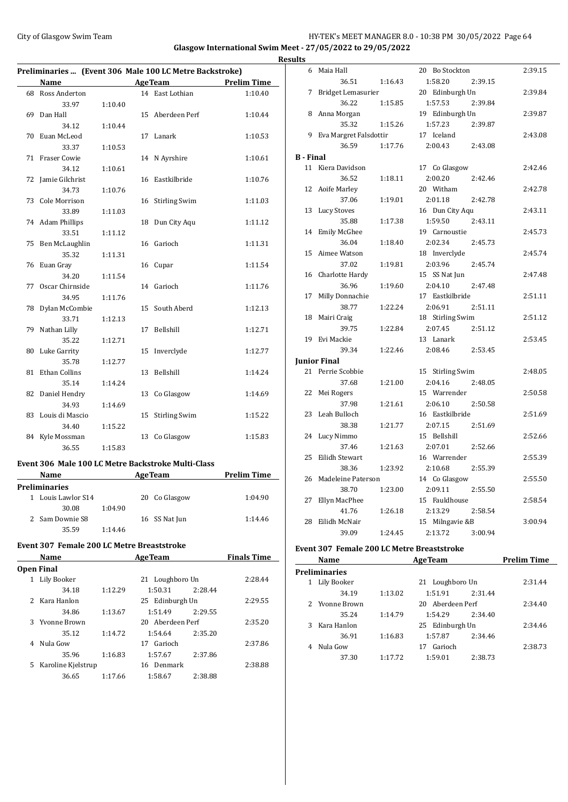#### City of Glasgow Swim Team HY-TEK's MEET MANAGER 8.0 - 10:38 PM 30/05/2022 Page 64 **Glasgow International Swim Meet - 27/05/2022 to 29/05/2022**

**Results Preliminaries ... (Event 306 Male 100 LC Metre Backstroke) Name Age Team Prelim Time** 68 Ross Anderton 14 East Lothian 1:10.40 33.97 1:10.40 69 Dan Hall 15 Aberdeen Perf 1:10.44 34.12 1:10.44 70 Euan McLeod 17 Lanark 1:10.53 33.37 1:10.53 71 Fraser Cowie 14 N Ayrshire 1:10.61 34.12 1:10.61 72 Jamie Gilchrist 16 Eastkilbride 1:10.76 34.73 1:10.76 73 Cole Morrison 16 Stirling Swim 1:11.03 33.89 1:11.03 74 Adam Phillips 18 Dun City Aqu 1:11.12 33.51 1:11.12 75 Ben McLaughlin 16 Garioch 1:11.31 35.32 1:11.31 76 Euan Gray 16 Cupar 1:11.54 34.20 1:11.54 77 Oscar Chirnside 14 Garioch 1:11.76 34.95 1:11.76 78 Dylan McCombie 15 South Aberd 1:12.13 33.71 1:12.13 79 Nathan Lilly 17 Bellshill 1:12.71 35.22 1:12.71 80 Luke Garrity 15 Inverclyde 1:12.77 35.78 1:12.77 81 Ethan Collins 13 Bellshill 1:14.24 35.14 1:14.24 82 Daniel Hendry 13 Co Glasgow 1:14.69 34.93 1:14.69 83 Louis di Mascio 15 Stirling Swim 1:15.22 34.40 1:15.22 84 Kyle Mossman 13 Co Glasgow 1:15.83 36.55 1:15.83

#### **Event 306 Male 100 LC Metre Backstroke Multi-Class**

| <b>Name</b>      |         | <b>AgeTeam</b> | <b>Prelim Time</b> |  |
|------------------|---------|----------------|--------------------|--|
| Preliminaries    |         |                |                    |  |
| Louis Lawlor S14 |         | 20 Co Glasgow  | 1:04.90            |  |
| 30.08            | 1:04.90 |                |                    |  |
| 2 Sam Downie S8  |         | 16 SS Nat Jun  | 1:14.46            |  |
| 35.59            | 1:14.46 |                |                    |  |

#### **Event 307 Female 200 LC Metre Breaststroke**

|    | Name               |         | <b>AgeTeam</b>   |         | <b>Finals Time</b> |
|----|--------------------|---------|------------------|---------|--------------------|
|    | Open Final         |         |                  |         |                    |
|    | Lily Booker        |         | 21 Loughboro Un  |         | 2:28.44            |
|    | 34.18              | 1:12.29 | 1:50.31          | 2:28.44 |                    |
| 2. | Kara Hanlon        |         | 25 Edinburgh Un  |         | 2:29.55            |
|    | 34.86              | 1:13.67 | 1:51.49          | 2:29.55 |                    |
| 3. | Yvonne Brown       |         | 20 Aberdeen Perf |         | 2:35.20            |
|    | 35.12              | 1:14.72 | 1:54.64          | 2:35.20 |                    |
| 4  | Nula Gow           |         | Garioch<br>17    |         | 2:37.86            |
|    | 35.96              | 1:16.83 | 1:57.67          | 2:37.86 |                    |
| 5. | Karoline Kjelstrup |         | 16 Denmark       |         | 2:38.88            |
|    | 36.65              | 1:17.66 | 1:58.67          | 2:38.88 |                    |
|    |                    |         |                  |         |                    |

|                  | 6 Maia Hall              |         | 20 Bo Stockton     | 2:39.15 |
|------------------|--------------------------|---------|--------------------|---------|
|                  | 36.51                    | 1:16.43 | 1:58.20<br>2:39.15 |         |
| 7                | Bridget Lemasurier       |         | 20 Edinburgh Un    | 2:39.84 |
|                  | 36.22                    | 1:15.85 | 1:57.53<br>2:39.84 |         |
|                  | 8 Anna Morgan            |         | 19 Edinburgh Un    | 2:39.87 |
|                  | 35.32                    | 1:15.26 | 1:57.23<br>2:39.87 |         |
|                  | 9 Eva Margret Falsdottir |         | 17 Iceland         | 2:43.08 |
|                  | 36.59                    | 1:17.76 | 2:00.43<br>2:43.08 |         |
| <b>B</b> - Final |                          |         |                    |         |
|                  | 11 Kiera Davidson        |         | 17 Co Glasgow      | 2:42.46 |
|                  | 36.52                    | 1:18.11 | 2:00.20<br>2:42.46 |         |
|                  | 12 Aoife Marley          |         | 20 Witham          | 2:42.78 |
|                  | 37.06                    | 1:19.01 | 2:01.18<br>2:42.78 |         |
| 13               | Lucy Stoves              |         | 16 Dun City Aqu    | 2:43.11 |
|                  | 35.88                    | 1:17.38 | 1:59.50<br>2:43.11 |         |
| 14               | <b>Emily McGhee</b>      |         | 19 Carnoustie      | 2:45.73 |
|                  | 36.04                    | 1:18.40 | 2:02.34<br>2:45.73 |         |
| 15               | Aimee Watson             |         | 18 Inverclyde      | 2:45.74 |
|                  | 37.02                    | 1:19.81 | 2:03.96<br>2:45.74 |         |
| 16               | Charlotte Hardy          |         | 15 SS Nat Jun      | 2:47.48 |
|                  | 36.96                    | 1:19.60 | 2:04.10<br>2:47.48 |         |
| 17               | Milly Donnachie          |         | 17 Eastkilbride    | 2:51.11 |
|                  | 38.77                    | 1:22.24 | 2:06.91<br>2:51.11 |         |
| 18               | Mairi Craig              |         | 18 Stirling Swim   | 2:51.12 |
|                  | 39.75                    | 1:22.84 | 2:07.45<br>2:51.12 |         |
|                  | 19 Evi Mackie            |         | 13 Lanark          | 2:53.45 |
|                  | 39.34                    | 1:22.46 | 2:08.46<br>2:53.45 |         |
|                  | <b>Junior Final</b>      |         |                    |         |
|                  | 21 Perrie Scobbie        |         | 15 Stirling Swim   | 2:48.05 |
|                  | 37.68                    | 1:21.00 | 2:04.16<br>2:48.05 |         |
|                  | 22 Mei Rogers            |         | 15 Warrender       | 2:50.58 |
|                  | 37.98                    | 1:21.61 | 2:06.10<br>2:50.58 |         |
| 23               | Leah Bulloch             |         | 16 Eastkilbride    | 2:51.69 |
|                  | 38.38                    | 1:21.77 | 2:07.15<br>2:51.69 |         |
|                  | 24 Lucy Nimmo            |         | 15 Bellshill       | 2:52.66 |
|                  | 37.46                    | 1:21.63 | 2:07.01<br>2:52.66 |         |
| 25               | Eilidh Stewart           |         | 16 Warrender       | 2:55.39 |
|                  | 38.36                    | 1:23.92 | 2:10.68<br>2:55.39 |         |
|                  | 26 Madeleine Paterson    |         | 14 Co Glasgow      | 2:55.50 |
|                  | 38.70                    | 1:23.00 | 2:09.11<br>2:55.50 |         |
| 27               | Ellyn MacPhee            |         | 15 Fauldhouse      | 2:58.54 |
|                  | 41.76                    | 1:26.18 | 2:13.29<br>2:58.54 |         |
| 28               | Eilidh McNair            |         | 15 Milngavie &B    | 3:00.94 |
|                  | 39.09                    | 1:24.45 | 2:13.72<br>3:00.94 |         |

## **Event 307 Female 200 LC Metre Breaststroke**

|   | Name                 |         | <b>AgeTeam</b>     |         | <b>Prelim Time</b> |
|---|----------------------|---------|--------------------|---------|--------------------|
|   | <b>Preliminaries</b> |         |                    |         |                    |
| 1 | Lily Booker          |         | Loughboro Un<br>21 |         | 2:31.44            |
|   | 34.19                | 1:13.02 | 1:51.91            | 2:31.44 |                    |
|   | 2 Yvonne Brown       |         | 20 Aberdeen Perf   |         | 2:34.40            |
|   | 35.24                | 1:14.79 | 1:54.29            | 2:34.40 |                    |
| 3 | Kara Hanlon          |         | 25 Edinburgh Un    |         | 2:34.46            |
|   | 36.91                | 1:16.83 | 1:57.87            | 2:34.46 |                    |
| 4 | Nula Gow             |         | Garioch<br>17      |         | 2:38.73            |
|   | 37.30                | 1:17.72 | 1:59.01            | 2:38.73 |                    |
|   |                      |         |                    |         |                    |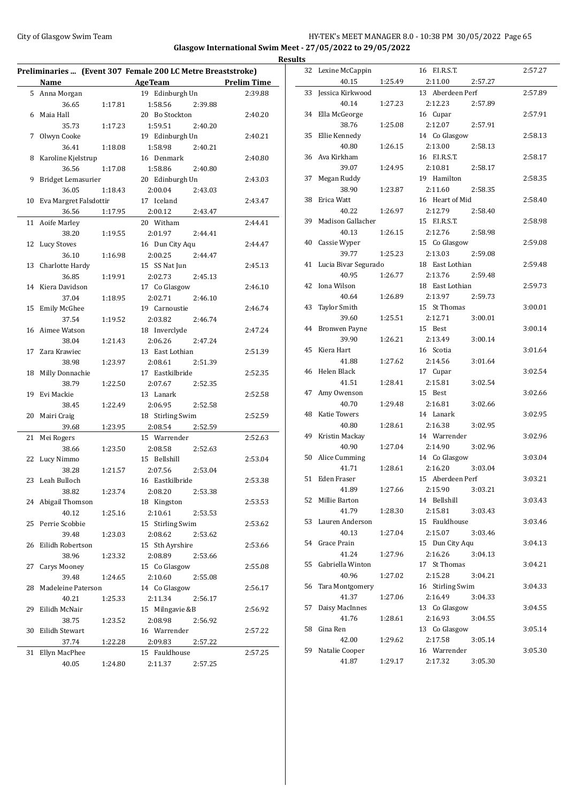## City of Glasgow Swim Team Team Feam Fermic Management of the HY-TEK's MEET MANAGER 8.0 - 10:38 PM 30/05/2022 Page 65 **Glasgow International Swim Meet - 27/05/2022 to 29/05/2022**

| Preliminaries  (Event 307 Female 200 LC Metre Breaststroke) |                        |         |                    |                    |  |  |
|-------------------------------------------------------------|------------------------|---------|--------------------|--------------------|--|--|
|                                                             | <b>Name</b>            |         | <b>AgeTeam</b>     | <b>Prelim Time</b> |  |  |
| 5                                                           | Anna Morgan            |         | 19 Edinburgh Un    | 2:39.88            |  |  |
|                                                             | 36.65                  | 1:17.81 | 1:58.56<br>2:39.88 |                    |  |  |
| 6                                                           | Maia Hall              |         | 20 Bo Stockton     | 2:40.20            |  |  |
|                                                             | 35.73                  | 1:17.23 | 1:59.51<br>2:40.20 |                    |  |  |
| 7                                                           | Olwyn Cooke            |         | 19 Edinburgh Un    | 2:40.21            |  |  |
|                                                             | 36.41                  | 1:18.08 | 1:58.98<br>2:40.21 |                    |  |  |
| 8                                                           | Karoline Kjelstrup     |         | 16 Denmark         | 2:40.80            |  |  |
|                                                             | 36.56                  | 1:17.08 | 1:58.86<br>2:40.80 |                    |  |  |
| 9                                                           | Bridget Lemasurier     |         | 20 Edinburgh Un    | 2:43.03            |  |  |
|                                                             | 36.05                  | 1:18.43 | 2:00.04<br>2:43.03 |                    |  |  |
| 10                                                          | Eva Margret Falsdottir |         | 17 Iceland         | 2:43.47            |  |  |
|                                                             | 36.56                  | 1:17.95 | 2:00.12<br>2:43.47 |                    |  |  |
| 11                                                          | Aoife Marley           |         | 20 Witham          | 2:44.41            |  |  |
|                                                             | 38.20                  | 1:19.55 | 2:01.97<br>2:44.41 |                    |  |  |
| 12                                                          | <b>Lucy Stoves</b>     |         | 16 Dun City Aqu    | 2:44.47            |  |  |
|                                                             | 36.10                  | 1:16.98 | 2:00.25<br>2:44.47 |                    |  |  |
| 13                                                          | Charlotte Hardy        |         | 15 SS Nat Jun      | 2:45.13            |  |  |
|                                                             | 36.85                  | 1:19.91 | 2:02.73<br>2:45.13 |                    |  |  |
| 14                                                          | Kiera Davidson         |         | 17 Co Glasgow      | 2:46.10            |  |  |
|                                                             | 37.04                  | 1:18.95 | 2:02.71<br>2:46.10 |                    |  |  |
| 15                                                          | Emily McGhee           |         | 19 Carnoustie      | 2:46.74            |  |  |
|                                                             | 37.54                  | 1:19.52 | 2:03.82<br>2:46.74 |                    |  |  |
| 16                                                          | Aimee Watson           |         | 18 Inverclyde      | 2:47.24            |  |  |
|                                                             | 38.04                  | 1:21.43 | 2:06.26<br>2:47.24 |                    |  |  |
| 17                                                          | Zara Krawiec           |         | 13 East Lothian    | 2:51.39            |  |  |
|                                                             | 38.98                  | 1:23.97 | 2:08.61<br>2:51.39 |                    |  |  |
| 18                                                          | Milly Donnachie        |         | 17 Eastkilbride    | 2:52.35            |  |  |
|                                                             | 38.79                  | 1:22.50 | 2:07.67<br>2:52.35 |                    |  |  |
| 19                                                          | Evi Mackie             |         | 13 Lanark          | 2:52.58            |  |  |
|                                                             | 38.45                  | 1:22.49 | 2:06.95<br>2:52.58 |                    |  |  |
| 20                                                          | Mairi Craig            |         | 18 Stirling Swim   | 2:52.59            |  |  |
|                                                             | 39.68                  | 1:23.95 | 2:08.54<br>2:52.59 |                    |  |  |
| 21                                                          | Mei Rogers             |         | 15 Warrender       | 2:52.63            |  |  |
|                                                             | 38.66                  | 1:23.50 | 2:08.58<br>2:52.63 |                    |  |  |
| 22                                                          | Lucy Nimmo             |         | 15 Bellshill       | 2:53.04            |  |  |
|                                                             | 38.28                  | 1:21.57 | 2:07.56<br>2:53.04 |                    |  |  |
| 23                                                          | Leah Bulloch           |         | 16 Eastkilbride    | 2:53.38            |  |  |
|                                                             | 38.82                  | 1:23.74 | 2:08.20<br>2:53.38 |                    |  |  |
|                                                             | 24 Abigail Thomson     |         | 18 Kingston        | 2:53.53            |  |  |
|                                                             | 40.12                  | 1:25.16 | 2:10.61<br>2:53.53 |                    |  |  |
| 25                                                          | Perrie Scobbie         |         | 15 Stirling Swim   | 2:53.62            |  |  |
|                                                             | 39.48                  | 1:23.03 | 2:08.62<br>2:53.62 |                    |  |  |
| 26                                                          | Eilidh Robertson       |         | 15 Sth Ayrshire    | 2:53.66            |  |  |
|                                                             | 38.96                  | 1:23.32 | 2:08.89<br>2:53.66 |                    |  |  |
| 27                                                          | Carys Mooney           |         | 15 Co Glasgow      | 2:55.08            |  |  |
|                                                             | 39.48                  | 1:24.65 | 2:10.60<br>2:55.08 |                    |  |  |
| 28                                                          | Madeleine Paterson     |         | 14 Co Glasgow      | 2:56.17            |  |  |
|                                                             | 40.21                  | 1:25.33 | 2:11.34<br>2:56.17 |                    |  |  |
| 29                                                          | Eilidh McNair          |         | 15 Milngavie &B    | 2:56.92            |  |  |
|                                                             | 38.75                  | 1:23.52 | 2:08.98<br>2:56.92 |                    |  |  |
| 30                                                          | Eilidh Stewart         |         | 16 Warrender       | 2:57.22            |  |  |
|                                                             | 37.74                  | 1:22.28 | 2:09.83<br>2:57.22 |                    |  |  |
| 31                                                          | Ellyn MacPhee          |         | 15 Fauldhouse      | 2:57.25            |  |  |
|                                                             | 40.05                  | 1:24.80 | 2:11.37<br>2:57.25 |                    |  |  |

| <b>Results</b> |                      |         |                  |         |         |
|----------------|----------------------|---------|------------------|---------|---------|
|                | 32 Lexine McCappin   |         | 16 F.I.R.S.T.    |         | 2:57.27 |
|                | 40.15                | 1:25.49 | 2:11.00          | 2:57.27 |         |
|                | 33 Jessica Kirkwood  |         | 13 Aberdeen Perf |         | 2:57.89 |
|                | 40.14                | 1:27.23 | 2:12.23          | 2:57.89 |         |
|                | 34 Ella McGeorge     |         | 16 Cupar         |         | 2:57.91 |
|                | 38.76                | 1:25.08 | 2:12.07          | 2:57.91 |         |
|                | 35 Ellie Kennedy     |         | 14 Co Glasgow    |         | 2:58.13 |
|                | 40.80                | 1:26.15 | 2:13.00          | 2:58.13 |         |
|                | 36 Ava Kirkham       |         | 16 F.I.R.S.T.    |         | 2:58.17 |
|                | 39.07                | 1:24.95 | 2:10.81          | 2:58.17 |         |
| 37             | Megan Ruddy          |         | 19 Hamilton      |         | 2:58.35 |
|                | 38.90                | 1:23.87 | 2:11.60          | 2:58.35 |         |
| 38             | Erica Watt           |         | 16 Heart of Mid  |         | 2:58.40 |
|                | 40.22                | 1:26.97 | 2:12.79          | 2:58.40 |         |
|                | 39 Madison Gallacher |         | 15 F.I.R.S.T.    |         | 2:58.98 |
|                | 40.13                | 1:26.15 | 2:12.76          | 2:58.98 |         |
|                | 40 Cassie Wyper      |         | 15 Co Glasgow    |         | 2:59.08 |
|                | 39.77                | 1:25.23 | 2:13.03          | 2:59.08 |         |
| 41             | Lucia Bivar Segurado |         | 18 East Lothian  |         | 2:59.48 |
|                | 40.95                | 1:26.77 | 2:13.76          | 2:59.48 |         |
|                | 42 Iona Wilson       |         | 18 East Lothian  |         | 2:59.73 |
|                | 40.64                | 1:26.89 | 2:13.97          | 2:59.73 |         |
|                | 43 Taylor Smith      |         | 15 St Thomas     |         | 3:00.01 |
|                | 39.60                | 1:25.51 | 2:12.71          | 3:00.01 |         |
| 44             | <b>Bronwen Payne</b> |         | 15 Best          |         | 3:00.14 |
|                | 39.90                | 1:26.21 | 2:13.49          | 3:00.14 |         |
| 45             | Kiera Hart           |         | 16 Scotia        |         | 3:01.64 |
|                | 41.88                | 1:27.62 | 2:14.56          | 3:01.64 |         |
| 46             | Helen Black          |         | 17 Cupar         |         | 3:02.54 |
|                | 41.51                | 1:28.41 | 2:15.81          | 3:02.54 |         |
| 47             | Amy Owenson          |         | 15 Best          |         | 3:02.66 |
|                | 40.70                | 1:29.48 | 2:16.81          | 3:02.66 |         |
| 48             | Katie Towers         |         | 14 Lanark        |         | 3:02.95 |
|                | 40.80                | 1:28.61 | 2:16.38          | 3:02.95 |         |
|                | 49 Kristin Mackay    |         | 14 Warrender     |         | 3:02.96 |
|                | 40.90                | 1:27.04 | 2:14.90          | 3:02.96 |         |
|                | 50 Alice Cumming     |         | 14 Co Glasgow    |         | 3:03.04 |
|                | 41.71                | 1:28.61 | 2:16.20          | 3:03.04 |         |
| 51             | Eden Fraser          |         | 15 Aberdeen Perf |         | 3:03.21 |
|                | 41.89                | 1:27.66 | 2:15.90          | 3:03.21 |         |
|                | 52 Millie Barton     |         | 14 Bellshill     |         | 3:03.43 |
|                | 41.79                | 1:28.30 | 2:15.81          | 3:03.43 |         |
|                | 53 Lauren Anderson   |         | 15 Fauldhouse    |         | 3:03.46 |
|                | 40.13                | 1:27.04 | 2:15.07          | 3:03.46 |         |
|                | 54 Grace Prain       |         | 15 Dun City Aqu  |         | 3:04.13 |
|                | 41.24                | 1:27.96 | 2:16.26          | 3:04.13 |         |
|                | 55 Gabriella Winton  |         | 17 St Thomas     |         | 3:04.21 |
|                | 40.96                | 1:27.02 | 2:15.28          | 3:04.21 |         |
|                | 56 Tara Montgomery   |         | 16 Stirling Swim |         | 3:04.33 |
|                | 41.37                | 1:27.06 | 2:16.49          | 3:04.33 |         |
| 57             | Daisy MacInnes       |         | 13 Co Glasgow    |         | 3:04.55 |
|                | 41.76                | 1:28.61 | 2:16.93          | 3:04.55 |         |
|                | 58 Gina Ren          |         | 13 Co Glasgow    |         | 3:05.14 |
|                | 42.00                | 1:29.62 | 2:17.58          | 3:05.14 |         |
|                | 59 Natalie Cooper    |         | 16 Warrender     |         | 3:05.30 |
|                | 41.87                | 1:29.17 | 2:17.32          | 3:05.30 |         |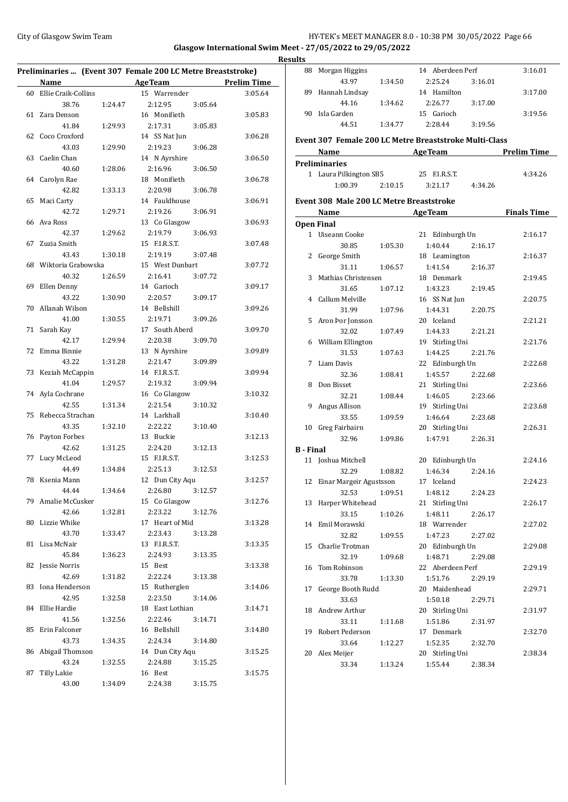## City of Glasgow Swim Team Team Feam Fermic Management of the HY-TEK's MEET MANAGER 8.0 - 10:38 PM 30/05/2022 Page 66 **Glasgow International Swim Meet - 27/05/2022 to 29/05/2022 Results**

|    |                             |         | Preliminaries  (Event 307 Female 200 LC Metre Breaststroke) |         |                    |
|----|-----------------------------|---------|-------------------------------------------------------------|---------|--------------------|
|    | Name                        |         | <b>AgeTeam</b>                                              |         | <b>Prelim Time</b> |
| 60 | Ellie Craik-Collins         |         | 15 Warrender                                                |         | 3:05.64            |
|    | 38.76                       | 1:24.47 | 2:12.95                                                     | 3:05.64 |                    |
| 61 | Zara Denson                 |         | 16 Monifieth                                                |         | 3:05.83            |
|    | 41.84                       | 1:29.93 | 2:17.31                                                     | 3:05.83 |                    |
| 62 | Coco Croxford               |         | 14 SS Nat Jun                                               |         | 3:06.28            |
|    | 43.03                       | 1:29.90 | 2:19.23                                                     | 3:06.28 |                    |
| 63 | Caelin Chan                 |         | 14 N Ayrshire                                               |         | 3:06.50            |
|    | 40.60                       | 1:28.06 | 2:16.96                                                     | 3:06.50 |                    |
| 64 | Carolyn Rae                 |         | 18 Monifieth                                                |         | 3:06.78            |
|    | 42.82                       | 1:33.13 | 2:20.98                                                     | 3:06.78 |                    |
| 65 | Maci Carty                  |         | 14 Fauldhouse                                               |         | 3:06.91            |
|    | 42.72                       | 1:29.71 | 2:19.26                                                     | 3:06.91 |                    |
| 66 | Ava Ross                    |         | 13 Co Glasgow                                               |         | 3:06.93            |
|    | 42.37                       | 1:29.62 | 2:19.79                                                     | 3:06.93 |                    |
| 67 | Zuzia Smith                 |         | 15 F.I.R.S.T.                                               |         | 3:07.48            |
|    | 43.43                       | 1:30.18 | 2:19.19                                                     | 3:07.48 |                    |
| 68 | Wiktoria Grabowska          |         | 15 West Dunbart                                             |         | 3:07.72            |
|    | 40.32                       | 1:26.59 | 2:16.41                                                     | 3:07.72 |                    |
| 69 | Ellen Denny                 |         | 14 Garioch                                                  |         | 3:09.17            |
|    | 43.22                       | 1:30.90 | 2:20.57                                                     | 3:09.17 |                    |
| 70 | Allanah Wilson              |         | 14 Bellshill                                                |         | 3:09.26            |
|    | 41.00                       | 1:30.55 | 2:19.71                                                     | 3:09.26 |                    |
| 71 | Sarah Kay                   |         | 17 South Aberd                                              |         | 3:09.70            |
|    | 42.17                       | 1:29.94 | 2:20.38                                                     | 3:09.70 |                    |
| 72 | Emma Binnie                 |         | 13 N Ayrshire                                               |         | 3:09.89            |
|    | 43.22                       | 1:31.28 | 2:21.47                                                     | 3:09.89 |                    |
| 73 | Keziah McCappin             |         | 14 F.I.R.S.T.                                               |         | 3:09.94            |
|    | 41.04                       | 1:29.57 | 2:19.32                                                     | 3:09.94 |                    |
| 74 | Ayla Cochrane               |         | 16 Co Glasgow                                               |         | 3:10.32            |
|    | 42.55                       | 1:31.34 | 2:21.54                                                     | 3:10.32 |                    |
| 75 | Rebecca Strachan            |         | 14 Larkhall                                                 |         | 3:10.40            |
|    | 43.35                       | 1:32.10 | 2:22.22                                                     | 3:10.40 |                    |
| 76 | Payton Forbes               |         | 13 Buckie                                                   |         | 3:12.13            |
|    | 42.62                       | 1:31.25 | 2:24.20                                                     | 3:12.13 |                    |
| 77 | Lucy McLeod                 |         | 15 F.I.R.S.T.                                               |         | 3:12.53            |
|    | 44.49                       | 1:34.84 | 2:25.13                                                     | 3:12.53 |                    |
| 78 | Ksenia Mann                 |         | 12 Dun City Aqu                                             |         | 3:12.57            |
|    |                             | 1:34.64 |                                                             | 3:12.57 |                    |
|    | 44.44<br>79 Amalie McCusker |         | 2:26.80<br>15 Co Glasgow                                    |         | 3:12.76            |
|    | 42.66                       | 1:32.81 | 2:23.22                                                     |         |                    |
| 80 | Lizzie Whike                |         | 17 Heart of Mid                                             | 3:12.76 | 3:13.28            |
|    | 43.70                       |         | 2:23.43                                                     |         |                    |
|    | Lisa McNair                 | 1:33.47 | 13 F.I.R.S.T.                                               | 3:13.28 |                    |
| 81 |                             |         |                                                             |         | 3:13.35            |
|    | 45.84                       | 1:36.23 | 2:24.93                                                     | 3:13.35 |                    |
| 82 | Jessie Norris               |         | 15 Best<br>2:22.24                                          |         | 3:13.38            |
|    | 42.69                       | 1:31.82 |                                                             | 3:13.38 |                    |
| 83 | Iona Henderson              |         | 15 Rutherglen                                               |         | 3:14.06            |
|    | 42.95                       | 1:32.58 | 2:23.50                                                     | 3:14.06 |                    |
| 84 | Ellie Hardie                |         | 18 East Lothian                                             |         | 3:14.71            |
|    | 41.56                       | 1:32.56 | 2:22.46                                                     | 3:14.71 |                    |
| 85 | Erin Falconer               |         | 16 Bellshill                                                |         | 3:14.80            |
|    | 43.73                       | 1:34.35 | 2:24.34                                                     | 3:14.80 |                    |
| 86 | Abigail Thomson             |         | 14 Dun City Aqu                                             |         | 3:15.25            |
|    | 43.24                       | 1:32.55 | 2:24.88                                                     | 3:15.25 |                    |
| 87 | Tilly Lakie                 |         | 16 Best                                                     |         | 3:15.75            |
|    | 43.00                       | 1:34.09 | 2:24.38                                                     | 3:15.75 |                    |

| <u>ulus</u>      |                                                        |         |                  |         |                    |
|------------------|--------------------------------------------------------|---------|------------------|---------|--------------------|
|                  | 88 Morgan Higgins                                      |         | 14 Aberdeen Perf |         | 3:16.01            |
|                  | 43.97                                                  | 1:34.50 | 2:25.24          | 3:16.01 |                    |
|                  | 89 Hannah Lindsay                                      |         | 14 Hamilton      |         | 3:17.00            |
|                  | 44.16                                                  | 1:34.62 | 2:26.77          | 3:17.00 |                    |
|                  | 90 Isla Garden                                         |         | 15 Garioch       |         | 3:19.56            |
|                  | 44.51                                                  | 1:34.77 | 2:28.44          | 3:19.56 |                    |
|                  |                                                        |         |                  |         |                    |
|                  | Event 307 Female 200 LC Metre Breaststroke Multi-Class |         |                  |         |                    |
|                  | Name<br>the control of the control of the control of   |         | <b>AgeTeam</b>   |         | <b>Prelim Time</b> |
|                  | <b>Preliminaries</b>                                   |         |                  |         |                    |
|                  | 1 Laura Pilkington SB5                                 |         | 25 F.I.R.S.T.    |         | 4:34.26            |
|                  | 1:00.39                                                | 2:10.15 | 3:21.17          | 4:34.26 |                    |
|                  | <b>Event 308 Male 200 LC Metre Breaststroke</b>        |         |                  |         |                    |
|                  |                                                        |         | Name AgeTeam     |         | <b>Finals Time</b> |
|                  | <b>Open Final</b>                                      |         |                  |         |                    |
|                  | 1 Uiseann Cooke                                        |         | 21 Edinburgh Un  |         | 2:16.17            |
|                  | 30.85                                                  | 1:05.30 | 1:40.44          | 2:16.17 |                    |
|                  | 2 George Smith                                         |         | 18 Leamington    |         | 2:16.37            |
|                  | 31.11                                                  | 1:06.57 | 1:41.54          | 2:16.37 |                    |
|                  | 3 Mathias Christensen                                  |         | 18 Denmark       |         | 2:19.45            |
|                  | 31.65                                                  | 1:07.12 | 1:43.23          | 2:19.45 |                    |
|                  | 4 Callum Melville                                      |         | 16 SS Nat Jun    |         | 2:20.75            |
|                  | 31.99                                                  | 1:07.96 | 1:44.31          | 2:20.75 |                    |
|                  | 5 Aron Þor Jonsson                                     |         | 20 Iceland       |         | 2:21.21            |
|                  | 32.02                                                  | 1:07.49 | 1:44.33          | 2:21.21 |                    |
|                  | 6 William Ellington                                    |         | 19 Stirling Uni  |         | 2:21.76            |
|                  | 31.53                                                  | 1:07.63 | 1:44.25          | 2:21.76 |                    |
| 7                | Liam Davis                                             |         | 22 Edinburgh Un  |         | 2:22.68            |
|                  | 32.36                                                  | 1:08.41 | 1:45.57          | 2:22.68 |                    |
|                  | 8 Don Bisset                                           |         | 21 Stirling Uni  |         | 2:23.66            |
|                  | 32.21                                                  | 1:08.44 | 1:46.05          | 2:23.66 |                    |
|                  | 9 Angus Allison                                        |         | 19 Stirling Uni  |         | 2:23.68            |
|                  | 33.55                                                  | 1:09.59 | 1:46.64          | 2:23.68 |                    |
|                  | 10 Greg Fairbairn                                      |         | 20 Stirling Uni  |         | 2:26.31            |
|                  | 32.96                                                  | 1:09.86 | 1:47.91          | 2:26.31 |                    |
| <b>B</b> - Final |                                                        |         |                  |         |                    |
|                  | 11 Joshua Mitchell                                     |         | 20 Edinburgh Un  |         | 2:24.16            |
|                  | 32.29                                                  | 1:08.82 | 1:46.34          | 2:24.16 |                    |
|                  | 12 Einar Margeir Agustsson                             |         | 17 Iceland       |         | 2:24.23            |
|                  | 32.53                                                  | 1:09.51 | 1:48.12          | 2:24.23 |                    |
|                  | 13 Harper Whitehead                                    |         | 21 Stirling Uni  |         | 2:26.17            |
|                  | 33.15                                                  | 1:10.26 | 1:48.11          | 2:26.17 |                    |
|                  | 14 Emil Morawski                                       |         | 18 Warrender     |         | 2:27.02            |
|                  | 32.82                                                  | 1:09.55 | 1:47.23          | 2:27.02 |                    |
|                  | 15 Charlie Trotman                                     |         | 20 Edinburgh Un  |         | 2:29.08            |
|                  | 32.19                                                  | 1:09.68 | 1:48.71          | 2:29.08 |                    |
|                  | 16 Tom Robinson                                        |         | 22 Aberdeen Perf |         | 2:29.19            |
|                  | 33.78                                                  | 1:13.30 | 1:51.76          | 2:29.19 |                    |
| 17               | George Booth Rudd                                      |         | 20 Maidenhead    |         | 2:29.71            |
|                  | 33.63                                                  |         | 1:50.18          | 2:29.71 |                    |
|                  | 18 Andrew Arthur                                       |         | 20 Stirling Uni  |         | 2:31.97            |
|                  | 33.11                                                  | 1:11.68 | 1:51.86          | 2:31.97 |                    |
|                  | 19 Robert Pederson                                     |         | 17 Denmark       |         | 2:32.70            |
|                  | 33.64                                                  | 1:12.27 | 1:52.35          | 2:32.70 |                    |
|                  | 20 Alex Meijer                                         |         | 20 Stirling Uni  |         | 2:38.34            |
|                  | 33.34                                                  | 1:13.24 | 1:55.44          | 2:38.34 |                    |
|                  |                                                        |         |                  |         |                    |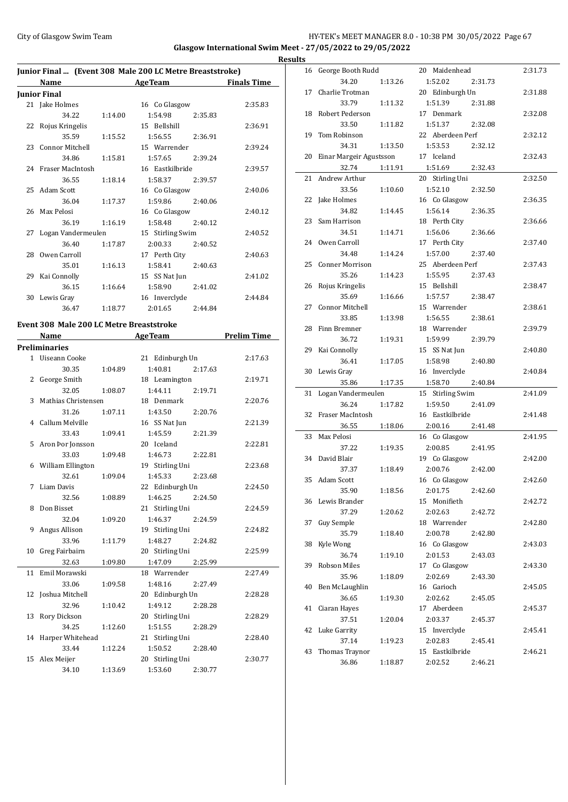## City of Glasgow Swim Team Team Team Fermic Management of the HY-TEK's MEET MANAGER 8.0 - 10:38 PM 30/05/2022 Page 67 **Glasgow International Swim Meet - 27/05/2022 to 29/05/2022**

|    |                       |         | Junior Final  (Event 308 Male 200 LC Metre Breaststroke) |                    |
|----|-----------------------|---------|----------------------------------------------------------|--------------------|
|    | Name                  |         | <b>AgeTeam</b>                                           | <b>Finals Time</b> |
|    | Junior Final          |         |                                                          |                    |
|    | 21 Jake Holmes        |         | 16 Co Glasgow                                            | 2:35.83            |
|    | 34.22                 | 1:14.00 | 1:54.98<br>2:35.83                                       |                    |
|    | 22 Rojus Kringelis    |         | 15 Bellshill                                             | 2:36.91            |
|    | 35.59                 | 1:15.52 | 1:56.55<br>2:36.91                                       |                    |
|    | 23 Connor Mitchell    |         | 15 Warrender                                             | 2:39.24            |
|    | 34.86                 | 1:15.81 | 1:57.65<br>2:39.24                                       |                    |
|    | 24 Fraser MacIntosh   |         | 16 Eastkilbride                                          | 2:39.57            |
|    | 36.55                 | 1:18.14 | 1:58.37<br>2:39.57                                       |                    |
|    | 25 Adam Scott         |         | 16 Co Glasgow                                            | 2:40.06            |
|    | 36.04                 | 1:17.37 | 1:59.86 2:40.06                                          |                    |
|    | 26 Max Pelosi         |         | 16 Co Glasgow                                            | 2:40.12            |
|    | 36.19                 | 1:16.19 | 1:58.48<br>2:40.12                                       |                    |
|    | 27 Logan Vandermeulen |         | 15 Stirling Swim                                         | 2:40.52            |
|    | 36.40                 | 1:17.87 | 2:00.33<br>2:40.52                                       |                    |
| 28 | Owen Carroll          |         | 17 Perth City                                            | 2:40.63            |
|    | 35.01                 | 1:16.13 | 1:58.41<br>2:40.63                                       |                    |
|    | 29 Kai Connolly       |         | 15 SS Nat Jun                                            | 2:41.02            |
|    | 36.15                 | 1:16.64 | 1:58.90<br>2:41.02                                       |                    |
|    | 30 Lewis Gray         |         | 16 Inverclyde                                            | 2:44.84            |
|    | 36.47                 | 1:18.77 | 2:01.65<br>2:44.84                                       |                    |

# **Event 308 Male 200 LC Metre Breaststroke**

 $\overline{a}$ 

|                | Name                 |         | <b>AgeTeam</b>     | <b>Prelim Time</b> |
|----------------|----------------------|---------|--------------------|--------------------|
|                | <b>Preliminaries</b> |         |                    |                    |
|                | 1 Uiseann Cooke      |         | 21 Edinburgh Un    | 2:17.63            |
|                | 30.35                | 1:04.89 | 1:40.81<br>2:17.63 |                    |
| $\overline{2}$ | George Smith         |         | 18 Leamington      | 2:19.71            |
|                | 32.05                | 1:08.07 | 1:44.11<br>2:19.71 |                    |
| 3              | Mathias Christensen  |         | 18 Denmark         | 2:20.76            |
|                | 31.26                | 1:07.11 | 1:43.50<br>2:20.76 |                    |
|                | 4 Callum Melville    |         | 16 SS Nat Jun      | 2:21.39            |
|                | 33.43                | 1:09.41 | 1:45.59<br>2:21.39 |                    |
| 5.             | Aron Þor Jonsson     |         | 20 Iceland         | 2:22.81            |
|                | 33.03                | 1:09.48 | 1:46.73<br>2:22.81 |                    |
| 6              | William Ellington    |         | 19 Stirling Uni    | 2:23.68            |
|                | 32.61                | 1:09.04 | 1:45.33<br>2:23.68 |                    |
| 7              | Liam Davis           |         | 22 Edinburgh Un    | 2:24.50            |
|                | 32.56                | 1:08.89 | 1:46.25<br>2:24.50 |                    |
| 8              | Don Bisset           |         | 21 Stirling Uni    | 2:24.59            |
|                | 32.04                | 1:09.20 | 1:46.37<br>2:24.59 |                    |
| 9              | Angus Allison        |         | 19 Stirling Uni    | 2:24.82            |
|                | 33.96                | 1:11.79 | 1:48.27<br>2:24.82 |                    |
| 10             | Greg Fairbairn       |         | 20 Stirling Uni    | 2:25.99            |
|                | 32.63                | 1:09.80 | 1:47.09<br>2:25.99 |                    |
| 11             | Emil Morawski        |         | 18 Warrender       | 2:27.49            |
|                | 33.06                | 1:09.58 | 1:48.16<br>2:27.49 |                    |
| 12             | Joshua Mitchell      |         | 20 Edinburgh Un    | 2:28.28            |
|                | 32.96                | 1:10.42 | 1:49.12<br>2:28.28 |                    |
| 13             | Rory Dickson         |         | 20 Stirling Uni    | 2:28.29            |
|                | 34.25                | 1:12.60 | 1:51.55<br>2:28.29 |                    |
| 14             | Harper Whitehead     |         | 21 Stirling Uni    | 2:28.40            |
|                | 33.44                | 1:12.24 | 1:50.52<br>2:28.40 |                    |
|                | 15 Alex Meijer       |         | 20 Stirling Uni    | 2:30.77            |
|                | 34.10                | 1:13.69 | 1:53.60<br>2:30.77 |                    |

| <b>Results</b> |                         |         |                  |         |         |
|----------------|-------------------------|---------|------------------|---------|---------|
|                | 16 George Booth Rudd    |         | 20 Maidenhead    |         | 2:31.73 |
|                | 34.20                   | 1:13.26 | 1:52.02          | 2:31.73 |         |
| 17             | Charlie Trotman         |         | 20 Edinburgh Un  |         | 2:31.88 |
|                | 33.79                   | 1:11.32 | 1:51.39          | 2:31.88 |         |
| 18             | Robert Pederson         |         | 17 Denmark       |         | 2:32.08 |
|                | 33.50                   | 1:11.82 | 1:51.37          | 2:32.08 |         |
| 19             | Tom Robinson            |         | 22 Aberdeen Perf |         | 2:32.12 |
|                | 34.31                   | 1:13.50 | 1:53.53          | 2:32.12 |         |
| 20             | Einar Margeir Agustsson |         | 17 Iceland       |         | 2:32.43 |
|                | 32.74                   | 1:11.91 | 1:51.69          | 2:32.43 |         |
| 21             | Andrew Arthur           |         | 20 Stirling Uni  |         | 2:32.50 |
|                | 33.56                   | 1:10.60 | 1:52.10          | 2:32.50 |         |
|                | 22 Jake Holmes          |         | 16 Co Glasgow    |         | 2:36.35 |
|                | 34.82                   | 1:14.45 | 1:56.14          | 2:36.35 |         |
| 23             | Sam Harrison            |         | 18 Perth City    |         | 2:36.66 |
|                | 34.51                   | 1:14.71 | 1:56.06          | 2:36.66 |         |
|                | 24 Owen Carroll         |         | 17 Perth City    |         | 2:37.40 |
|                | 34.48                   | 1:14.24 | 1:57.00          | 2:37.40 |         |
| 25             | Conner Morrison         |         | 25 Aberdeen Perf |         | 2:37.43 |
|                | 35.26                   | 1:14.23 | 1:55.95          | 2:37.43 |         |
|                | 26 Rojus Kringelis      |         | 15 Bellshill     |         | 2:38.47 |
|                | 35.69                   | 1:16.66 | 1:57.57          | 2:38.47 |         |
| 27             | <b>Connor Mitchell</b>  |         | 15 Warrender     |         | 2:38.61 |
|                | 33.85                   | 1:13.98 | 1:56.55          | 2:38.61 |         |
| 28             | Finn Bremner            |         | 18 Warrender     |         | 2:39.79 |
|                | 36.72                   | 1:19.31 | 1:59.99          | 2:39.79 |         |
|                | 29 Kai Connolly         |         | 15 SS Nat Jun    |         | 2:40.80 |
|                | 36.41                   | 1:17.05 | 1:58.98          | 2:40.80 |         |
|                | 30 Lewis Gray           |         | 16 Inverclyde    |         | 2:40.84 |
|                | 35.86                   | 1:17.35 | 1:58.70          | 2:40.84 |         |
| 31             | Logan Vandermeulen      |         | 15 Stirling Swim |         | 2:41.09 |
|                | 36.24                   | 1:17.82 | 1:59.50          | 2:41.09 |         |
| 32             | Fraser MacIntosh        |         | 16 Eastkilbride  |         | 2:41.48 |
|                | 36.55                   | 1:18.06 | 2:00.16          | 2:41.48 |         |
| 33             | Max Pelosi              |         | 16 Co Glasgow    |         | 2:41.95 |
|                | 37.22                   | 1:19.35 | 2:00.85          | 2:41.95 |         |
|                | 34 David Blair          |         | 19 Co Glasgow    |         | 2:42.00 |
|                | 37.37                   | 1:18.49 | 2:00.76          | 2:42.00 |         |
|                | 35 Adam Scott           |         | 16 Co Glasgow    |         | 2:42.60 |
|                | 35.90                   | 1:18.56 | 2:01.75          | 2:42.60 |         |
|                | 36 Lewis Brander        |         | 15 Monifieth     |         | 2:42.72 |
|                | 37.29                   | 1:20.62 | 2:02.63          | 2:42.72 |         |
| 37             | Guy Semple              |         | 18 Warrender     |         | 2:42.80 |
|                | 35.79                   | 1:18.40 | 2:00.78          | 2:42.80 |         |
| 38             | Kyle Wong               |         | 16 Co Glasgow    |         | 2:43.03 |
|                | 36.74                   | 1:19.10 | 2:01.53          | 2:43.03 |         |
| 39             | Robson Miles            |         | 17 Co Glasgow    |         | 2:43.30 |
|                | 35.96                   | 1:18.09 | 2:02.69          | 2:43.30 |         |
| 40             | Ben McLaughlin          |         | 16 Garioch       |         | 2:45.05 |
|                | 36.65                   | 1:19.30 | 2:02.62          | 2:45.05 |         |
| 41             | Ciaran Hayes            |         | 17 Aberdeen      |         | 2:45.37 |
|                | 37.51                   | 1:20.04 | 2:03.37          | 2:45.37 |         |
| 42             | Luke Garrity            |         | 15 Inverclyde    |         | 2:45.41 |
|                | 37.14                   | 1:19.23 | 2:02.83          | 2:45.41 |         |
| 43             | Thomas Traynor          |         | 15 Eastkilbride  |         | 2:46.21 |
|                | 36.86                   | 1:18.87 | 2:02.52          | 2:46.21 |         |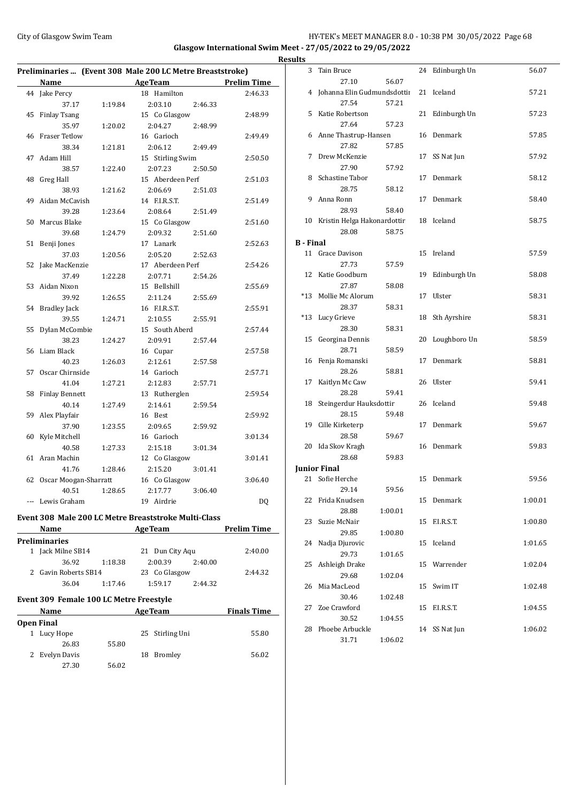## City of Glasgow Swim Team Team Feam Fermic Management of the HY-TEK's MEET MANAGER 8.0 - 10:38 PM 30/05/2022 Page 68

**Glasgow International Swim Meet - 27/05/2022 to 29/05/2022**

|                   |                                         |                                              | Preliminaries  (Event 308 Male 200 LC Metre Breaststroke) |         |                    |
|-------------------|-----------------------------------------|----------------------------------------------|-----------------------------------------------------------|---------|--------------------|
|                   | <b>Name</b>                             |                                              | AgeTeam Prelim Time                                       |         |                    |
|                   | 44 Jake Percy                           |                                              | 18 Hamilton                                               |         | 2:46.33            |
|                   | 37.17                                   | 1:19.84                                      | 2:03.10                                                   | 2:46.33 |                    |
| 45                | <b>Finlay Tsang</b>                     |                                              | 15 Co Glasgow                                             |         | 2:48.99            |
|                   | 35.97                                   | 1:20.02                                      | 2:04.27                                                   | 2:48.99 |                    |
| 46                | <b>Fraser Tetlow</b>                    |                                              | 16 Garioch                                                |         | 2:49.49            |
|                   | 38.34                                   | 1:21.81                                      | 2:06.12                                                   | 2:49.49 |                    |
| 47                | Adam Hill                               |                                              | 15 Stirling Swim                                          |         | 2:50.50            |
|                   | 38.57                                   | 1:22.40                                      | 2:07.23                                                   | 2:50.50 |                    |
| 48                | <b>Greg Hall</b>                        |                                              | 15 Aberdeen Perf                                          |         | 2:51.03            |
|                   | 38.93                                   | 1:21.62                                      | 2:06.69                                                   | 2:51.03 |                    |
| 49                | Aidan McCavish                          |                                              | 14 F.I.R.S.T.                                             |         | 2:51.49            |
|                   | 39.28                                   | 1:23.64                                      | 2:08.64                                                   | 2:51.49 |                    |
| 50                | Marcus Blake                            |                                              | 15 Co Glasgow                                             |         | 2:51.60            |
|                   | 39.68                                   | 1:24.79                                      | 2:09.32                                                   | 2:51.60 |                    |
| 51                | Benji Jones                             |                                              | 17 Lanark                                                 |         | 2:52.63            |
|                   | 37.03                                   | 1:20.56                                      | 2:05.20                                                   | 2:52.63 |                    |
| 52                | Jake MacKenzie                          |                                              | 17 Aberdeen Perf                                          |         | 2:54.26            |
|                   | 37.49                                   | 1:22.28                                      | 2:07.71                                                   | 2:54.26 |                    |
| 53                | Aidan Nixon                             |                                              | 15 Bellshill                                              |         | 2:55.69            |
|                   | 39.92                                   | 1:26.55                                      | 2:11.24                                                   | 2:55.69 |                    |
| 54                | <b>Bradley Jack</b>                     |                                              | 16 F.I.R.S.T.                                             |         | 2:55.91            |
|                   | 39.55                                   | 1:24.71                                      | 2:10.55                                                   | 2:55.91 |                    |
| 55                | Dylan McCombie                          |                                              | 15 South Aberd                                            |         | 2:57.44            |
|                   | 38.23                                   | 1:24.27                                      | 2:09.91                                                   | 2:57.44 |                    |
| 56                | Liam Black                              |                                              | 16 Cupar                                                  |         | 2:57.58            |
|                   | 40.23                                   | 1:26.03                                      | 2:12.61                                                   | 2:57.58 |                    |
| 57                | Oscar Chirnside                         |                                              | 14 Garioch                                                |         | 2:57.71            |
|                   | 41.04                                   | 1:27.21                                      | 2:12.83                                                   | 2:57.71 |                    |
| 58                | <b>Finlay Bennett</b>                   |                                              | 13 Rutherglen                                             |         | 2:59.54            |
|                   | 40.14                                   | 1:27.49                                      | 2:14.61                                                   | 2:59.54 |                    |
| 59                | Alex Playfair                           |                                              | 16 Best                                                   |         | 2:59.92            |
|                   | 37.90                                   | 1:23.55                                      | 2:09.65                                                   | 2:59.92 |                    |
| 60                | Kyle Mitchell                           |                                              | 16 Garioch                                                |         | 3:01.34            |
|                   | 40.58                                   | 1:27.33                                      | 2:15.18                                                   | 3:01.34 |                    |
| 61                | Aran Machin                             |                                              | 12 Co Glasgow                                             |         | 3:01.41            |
|                   | 41.76                                   | 1:28.46                                      | 2:15.20                                                   | 3:01.41 |                    |
| 62                | Oscar Moogan-Sharratt                   |                                              | 16 Co Glasgow                                             |         | 3:06.40            |
|                   | 40.51                                   | 1:28.65                                      | 2:17.77                                                   | 3:06.40 |                    |
|                   | --- Lewis Graham                        |                                              | 19 Airdrie                                                |         | DQ                 |
|                   |                                         |                                              |                                                           |         |                    |
|                   |                                         |                                              | Event 308 Male 200 LC Metre Breaststroke Multi-Class      |         |                    |
|                   | Name                                    | the control of the control of the control of | <b>AgeTeam</b>                                            |         | <b>Prelim Time</b> |
|                   | Preliminaries                           |                                              |                                                           |         |                    |
|                   | 1 Jack Milne SB14                       |                                              | 21 Dun City Aqu                                           |         | 2:40.00            |
|                   | 36.92                                   | 1:18.38                                      | 2:00.39                                                   | 2:40.00 |                    |
|                   | 2 Gavin Roberts SB14                    |                                              | 23 Co Glasgow                                             |         | 2:44.32            |
|                   | 36.04                                   | 1:17.46                                      | 1:59.17                                                   | 2:44.32 |                    |
|                   | Event 309 Female 100 LC Metre Freestyle |                                              |                                                           |         |                    |
|                   |                                         |                                              |                                                           |         |                    |
|                   | Name                                    |                                              | <b>AgeTeam</b>                                            |         | <b>Finals Time</b> |
| <b>Open Final</b> |                                         |                                              |                                                           |         |                    |
|                   | 1 Lucy Hope                             |                                              | 25 Stirling Uni                                           |         | 55.80              |
|                   | 26.83                                   | 55.80                                        |                                                           |         |                    |
|                   | 2 Evelyn Davis                          |                                              | 18 Bromley                                                |         | 56.02              |
|                   | 27.30                                   | 56.02                                        |                                                           |         |                    |

|                | <b>Results</b>   |                                |         |    |                 |         |
|----------------|------------------|--------------------------------|---------|----|-----------------|---------|
|                |                  | 3 Tain Bruce                   |         |    | 24 Edinburgh Un | 56.07   |
| $\overline{a}$ |                  | 27.10                          | 56.07   |    |                 |         |
|                |                  | 4 Johanna Elin Gudmundsdottii  |         |    | 21 Iceland      | 57.21   |
|                |                  | 27.54                          | 57.21   |    |                 |         |
|                |                  | 5 Katie Robertson              |         |    | 21 Edinburgh Un | 57.23   |
|                |                  | 27.64                          | 57.23   |    |                 |         |
|                |                  | 6 Anne Thastrup-Hansen         |         |    | 16 Denmark      | 57.85   |
|                |                  | 27.82                          | 57.85   |    |                 |         |
|                | 7                | Drew McKenzie                  |         | 17 | SS Nat Jun      | 57.92   |
|                |                  | 27.90                          | 57.92   |    |                 |         |
|                |                  | 8 Schastine Tabor              |         |    | 17 Denmark      | 58.12   |
|                |                  | 28.75                          | 58.12   |    |                 |         |
|                |                  | 9 Anna Ronn                    |         |    | 17 Denmark      | 58.40   |
|                |                  | 28.93                          | 58.40   |    |                 |         |
|                |                  | 10 Kristin Helga Hakonardottir |         |    | 18 Iceland      | 58.75   |
|                |                  | 28.08                          | 58.75   |    |                 |         |
|                | <b>B</b> - Final |                                |         |    |                 |         |
|                |                  | 11 Grace Davison               |         |    | 15 Ireland      | 57.59   |
|                |                  | 27.73                          | 57.59   |    |                 |         |
|                |                  | 12 Katie Goodburn              |         |    | 19 Edinburgh Un | 58.08   |
|                |                  | 27.87                          | 58.08   |    |                 |         |
|                |                  | *13 Mollie Mc Alorum           |         |    | 17 Ulster       | 58.31   |
|                |                  | 28.37                          | 58.31   |    |                 |         |
|                |                  | *13 Lucy Grieve                |         |    | 18 Sth Ayrshire | 58.31   |
|                |                  | 28.30                          | 58.31   |    |                 |         |
|                | 15               | Georgina Dennis                |         |    | 20 Loughboro Un | 58.59   |
|                |                  | 28.71                          | 58.59   |    |                 |         |
|                |                  | 16 Fenja Romanski              |         |    | 17 Denmark      | 58.81   |
|                |                  | 28.26                          | 58.81   |    |                 |         |
|                | 17               | Kaitlyn Mc Caw                 |         |    | 26 Ulster       | 59.41   |
|                |                  | 28.28                          | 59.41   |    |                 |         |
|                |                  | 18 Steingerdur Hauksdottir     |         |    | 26 Iceland      | 59.48   |
|                |                  | 28.15                          | 59.48   |    |                 |         |
|                |                  | 19 Cille Kirketerp             |         |    | 17 Denmark      | 59.67   |
|                |                  | 28.58                          | 59.67   |    |                 |         |
|                |                  | 20 Ida Skov Kragh              |         |    | 16 Denmark      | 59.83   |
|                |                  | 28.68                          | 59.83   |    |                 |         |
|                |                  | <b>Iunior Final</b>            |         |    |                 |         |
|                |                  | 21 Sofie Herche                |         |    | 15 Denmark      | 59.56   |
|                |                  | 29.14                          | 59.56   |    |                 |         |
|                | 22               | Frida Knudsen                  |         |    | 15 Denmark      | 1:00.01 |
|                |                  | 28.88                          | 1:00.01 |    |                 |         |
|                | 23               | Suzie McNair                   |         | 15 | F.I.R.S.T.      | 1:00.80 |
|                |                  | 29.85                          | 1:00.80 |    |                 |         |
|                | 24               | Nadja Djurovic                 |         | 15 | Iceland         | 1:01.65 |
|                |                  | 29.73                          | 1:01.65 |    |                 |         |
|                | 25               | Ashleigh Drake                 |         | 15 | Warrender       | 1:02.04 |
|                |                  | 29.68                          | 1:02.04 |    |                 |         |
|                | 26               | Mia MacLeod                    |         | 15 | Swim IT         | 1:02.48 |
|                |                  | 30.46                          | 1:02.48 |    |                 |         |
|                | 27               | Zoe Crawford                   |         | 15 | F.I.R.S.T.      | 1:04.55 |
|                |                  | 30.52                          | 1:04.55 |    |                 |         |
|                | 28               | Phoebe Arbuckle                |         | 14 | SS Nat Jun      | 1:06.02 |
|                |                  | 31.71                          | 1:06.02 |    |                 |         |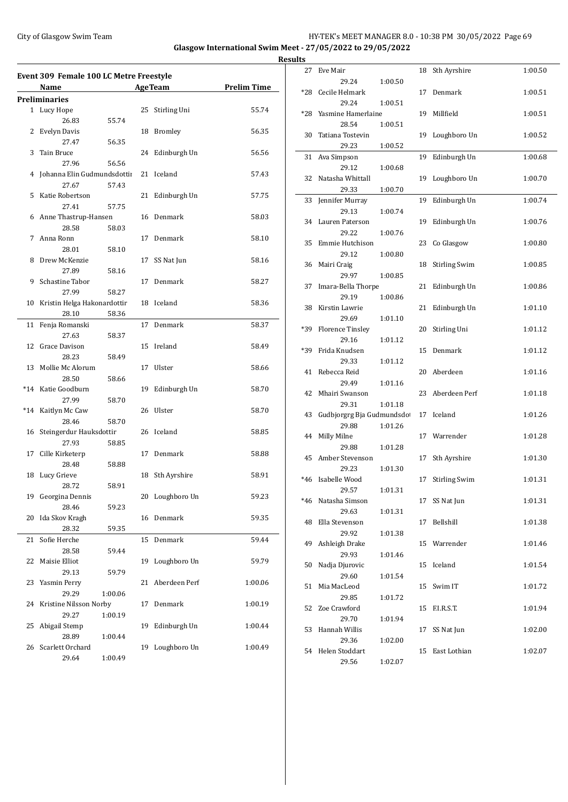## City of Glasgow Swim Team Team Frameters Music City of Glasgow Swim Team Frameters Music City of Glasgow Swim Team Frameters Music City of Glasgow Swim Team Frameters Music City of Glasgow Swim Team Frameters Music City of **Glasgow International Swim Meet - 27/05/2022 to 29/05/2022**

**Results**

|                                              | <b>Event 309 Female 100 LC Metre Freestyle</b> |         |    |                 |         |  |  |  |
|----------------------------------------------|------------------------------------------------|---------|----|-----------------|---------|--|--|--|
| <b>AgeTeam</b><br><b>Prelim Time</b><br>Name |                                                |         |    |                 |         |  |  |  |
|                                              | Preliminaries                                  |         |    |                 |         |  |  |  |
|                                              | 1 Lucy Hope                                    |         |    | 25 Stirling Uni | 55.74   |  |  |  |
|                                              | 26.83                                          | 55.74   |    |                 |         |  |  |  |
| 2                                            | Evelyn Davis                                   |         |    | 18 Bromley      | 56.35   |  |  |  |
|                                              | 27.47                                          | 56.35   |    |                 |         |  |  |  |
| 3                                            | Tain Bruce                                     |         | 24 | Edinburgh Un    | 56.56   |  |  |  |
|                                              | 27.96                                          | 56.56   |    |                 |         |  |  |  |
| 4                                            | Johanna Elin Gudmundsdottii                    |         | 21 | Iceland         | 57.43   |  |  |  |
|                                              | 27.67                                          | 57.43   |    |                 |         |  |  |  |
| 5                                            | Katie Robertson                                |         | 21 | Edinburgh Un    | 57.75   |  |  |  |
|                                              | 27.41                                          | 57.75   |    |                 |         |  |  |  |
|                                              | 6 Anne Thastrup-Hansen                         |         |    | 16 Denmark      | 58.03   |  |  |  |
|                                              | 28.58                                          | 58.03   |    |                 |         |  |  |  |
| 7                                            | Anna Ronn                                      |         | 17 | Denmark         | 58.10   |  |  |  |
|                                              | 28.01                                          | 58.10   |    |                 |         |  |  |  |
| 8                                            | Drew McKenzie                                  |         | 17 | SS Nat Jun      | 58.16   |  |  |  |
|                                              | 27.89                                          | 58.16   |    |                 |         |  |  |  |
| 9                                            | Schastine Tabor                                |         | 17 | Denmark         | 58.27   |  |  |  |
|                                              | 27.99                                          | 58.27   |    |                 |         |  |  |  |
|                                              | 10 Kristin Helga Hakonardottir                 |         |    | 18 Iceland      | 58.36   |  |  |  |
|                                              | 28.10                                          | 58.36   |    |                 |         |  |  |  |
| 11                                           | Fenja Romanski                                 |         | 17 | Denmark         | 58.37   |  |  |  |
|                                              | 27.63                                          | 58.37   |    |                 |         |  |  |  |
| 12                                           | Grace Davison                                  |         |    | 15 Ireland      | 58.49   |  |  |  |
|                                              | 28.23                                          | 58.49   |    |                 |         |  |  |  |
|                                              | 13 Mollie Mc Alorum                            |         | 17 | Ulster          | 58.66   |  |  |  |
|                                              | 28.50                                          | 58.66   |    |                 |         |  |  |  |
|                                              | *14 Katie Goodburn                             |         | 19 | Edinburgh Un    | 58.70   |  |  |  |
|                                              | 27.99                                          | 58.70   |    |                 |         |  |  |  |
|                                              | *14 Kaitlyn Mc Caw                             |         | 26 | Ulster          | 58.70   |  |  |  |
|                                              | 28.46                                          | 58.70   |    |                 |         |  |  |  |
| 16                                           | Steingerdur Hauksdottir                        |         |    | 26 Iceland      | 58.85   |  |  |  |
|                                              | 27.93                                          | 58.85   |    |                 |         |  |  |  |
| 17                                           | Cille Kirketerp                                |         | 17 | Denmark         | 58.88   |  |  |  |
|                                              | 28.48                                          | 58.88   |    |                 |         |  |  |  |
| 18                                           | Lucy Grieve                                    |         | 18 | Sth Ayrshire    | 58.91   |  |  |  |
|                                              | 28.72                                          | 58.91   |    |                 |         |  |  |  |
| 19                                           | Georgina Dennis                                |         | 20 | Loughboro Un    | 59.23   |  |  |  |
|                                              | 28.46                                          | 59.23   |    |                 |         |  |  |  |
| 20                                           | Ida Skov Kragh                                 |         | 16 | Denmark         | 59.35   |  |  |  |
|                                              | 28.32                                          | 59.35   |    |                 |         |  |  |  |
| 21                                           | Sofie Herche                                   |         | 15 | Denmark         | 59.44   |  |  |  |
|                                              | 28.58                                          | 59.44   |    |                 |         |  |  |  |
| 22                                           | Maisie Elliot                                  |         | 19 | Loughboro Un    | 59.79   |  |  |  |
|                                              | 29.13                                          | 59.79   |    |                 |         |  |  |  |
| 23                                           | Yasmin Perry                                   |         | 21 | Aberdeen Perf   | 1:00.06 |  |  |  |
|                                              | 29.29                                          | 1:00.06 |    |                 |         |  |  |  |
| 24                                           | Kristine Nilsson Norby                         |         | 17 | Denmark         | 1:00.19 |  |  |  |
|                                              | 29.27                                          | 1:00.19 |    |                 |         |  |  |  |
| 25                                           | Abigail Stemp                                  |         | 19 | Edinburgh Un    | 1:00.44 |  |  |  |
|                                              | 28.89                                          |         |    |                 |         |  |  |  |
| 26                                           | Scarlett Orchard                               | 1:00.44 | 19 | Loughboro Un    | 1:00.49 |  |  |  |
|                                              | 29.64                                          | 1:00.49 |    |                 |         |  |  |  |
|                                              |                                                |         |    |                 |         |  |  |  |

| 27    | Eve Mair                    |         | 18 | Sth Ayrshire         | 1:00.50 |
|-------|-----------------------------|---------|----|----------------------|---------|
|       | 29.24                       | 1:00.50 |    |                      |         |
| *28   | Cecile Helmark              |         | 17 | Denmark              | 1:00.51 |
|       | 29.24                       | 1:00.51 |    |                      |         |
| *28   | Yasmine Hamerlaine<br>28.54 | 1:00.51 | 19 | Millfield            | 1:00.51 |
| 30    | Tatiana Tostevin            |         | 19 | Loughboro Un         | 1:00.52 |
|       | 29.23                       | 1:00.52 |    |                      |         |
| 31    | Ava Simpson                 |         | 19 | Edinburgh Un         | 1:00.68 |
|       | 29.12                       | 1:00.68 |    |                      |         |
| 32    | Natasha Whittall            |         | 19 | Loughboro Un         | 1:00.70 |
|       | 29.33                       | 1:00.70 |    |                      |         |
| 33    | Jennifer Murray             |         | 19 | Edinburgh Un         | 1:00.74 |
|       | 29.13                       | 1:00.74 |    |                      |         |
| 34    | Lauren Paterson             |         | 19 | Edinburgh Un         | 1:00.76 |
|       | 29.22                       | 1:00.76 |    |                      |         |
| 35    | Emmie Hutchison<br>29.12    | 1:00.80 | 23 | Co Glasgow           | 1:00.80 |
| 36    | Mairi Craig                 |         | 18 | Stirling Swim        | 1:00.85 |
|       | 29.97                       | 1:00.85 |    |                      |         |
| 37    | Imara-Bella Thorpe          |         | 21 | Edinburgh Un         | 1:00.86 |
|       | 29.19                       | 1:00.86 |    |                      |         |
| 38    | Kirstin Lawrie              |         | 21 | Edinburgh Un         | 1:01.10 |
|       | 29.69                       | 1:01.10 |    |                      |         |
| *39   | <b>Florence Tinsley</b>     |         | 20 | Stirling Uni         | 1:01.12 |
|       | 29.16                       | 1:01.12 |    |                      |         |
| *39   | Frida Knudsen               |         | 15 | Denmark              | 1:01.12 |
|       | 29.33<br>Rebecca Reid       | 1:01.12 |    | Aberdeen             |         |
| 41    | 29.49                       | 1:01.16 | 20 |                      | 1:01.16 |
| 42    | Mhairi Swanson              |         | 23 | Aberdeen Perf        | 1:01.18 |
|       | 29.31                       | 1:01.18 |    |                      |         |
| 43    | Gudbjorgrg Bja Gudmundsdo   |         | 17 | Iceland              | 1:01.26 |
|       | 29.88                       | 1:01.26 |    |                      |         |
| 44    | Milly Milne                 |         | 17 | Warrender            | 1:01.28 |
|       | 29.88                       | 1:01.28 |    |                      |         |
| 45    | Amber Stevenson             |         | 17 | Sth Ayrshire         | 1:01.30 |
|       | 29.23                       | 1:01.30 |    |                      |         |
| $*46$ | Isabelle Wood               |         | 17 | <b>Stirling Swim</b> | 1:01.31 |
| $*46$ | 29.57<br>Natasha Simson     | 1:01.31 | 17 | SS Nat Jun           | 1:01.31 |
|       | 29.63                       | 1:01.31 |    |                      |         |
| 48    | Ella Stevenson              |         | 17 | Bellshill            | 1:01.38 |
|       | 29.92                       | 1:01.38 |    |                      |         |
| 49    | Ashleigh Drake              |         | 15 | Warrender            | 1:01.46 |
|       | 29.93                       | 1:01.46 |    |                      |         |
| 50    | Nadja Djurovic              |         | 15 | Iceland              | 1:01.54 |
|       | 29.60                       | 1:01.54 |    |                      |         |
| 51    | Mia MacLeod                 |         | 15 | Swim IT              | 1:01.72 |
|       | 29.85                       | 1:01.72 |    |                      |         |
| 52    | Zoe Crawford<br>29.70       | 1:01.94 | 15 | F.I.R.S.T.           | 1:01.94 |
| 53    | Hannah Willis               |         | 17 | SS Nat Jun           | 1:02.00 |
|       | 29.36                       | 1:02.00 |    |                      |         |
| 54    | Helen Stoddart              |         | 15 | East Lothian         | 1:02.07 |
|       | 29.56                       | 1:02.07 |    |                      |         |
|       |                             |         |    |                      |         |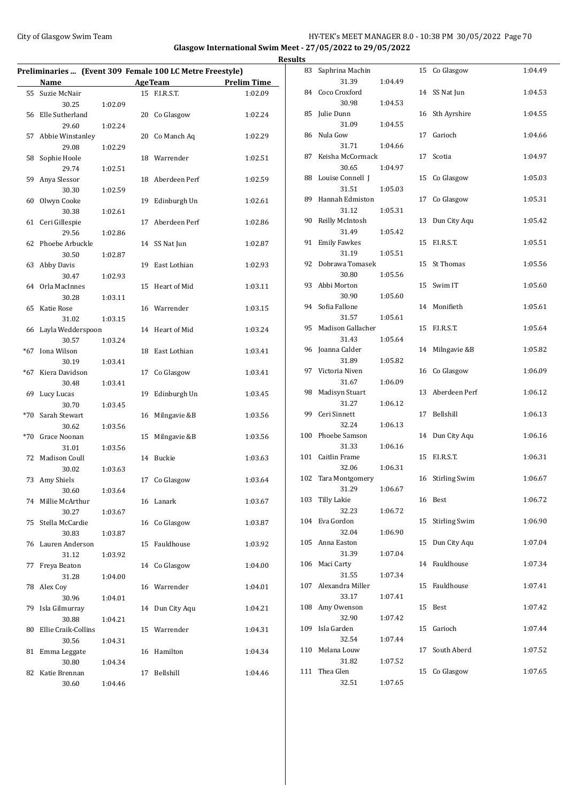## City of Glasgow Swim Team Team Frameters Music City of Glasgow Swim Team Frameters Music City of Glasgow Swim Team Frameters Music City of Glasgow Swim Team Frameters Music City of Glasgow Swim Team Frameters Music City of **Glasgow International Swim Meet - 27/05/2022 to 29/05/2022**

|                                                          |         |                |                  |                    | <b>Results</b> |                               |         |                  |         |
|----------------------------------------------------------|---------|----------------|------------------|--------------------|----------------|-------------------------------|---------|------------------|---------|
| Preliminaries  (Event 309 Female 100 LC Metre Freestyle) |         |                |                  |                    |                | 83 Saphrina Machin            |         | 15 Co Glasgow    | 1:04.49 |
| Name                                                     |         | <b>AgeTeam</b> |                  | <b>Prelim Time</b> |                | 31.39                         | 1:04.49 |                  |         |
| 55 Suzie McNair<br>30.25                                 | 1:02.09 |                | 15 F.I.R.S.T.    | 1:02.09            |                | 84 Coco Croxford<br>30.98     | 1:04.53 | 14 SS Nat Jun    | 1:04.53 |
| 56 Elle Sutherland<br>29.60                              | 1:02.24 |                | 20 Co Glasgow    | 1:02.24            |                | 85 Julie Dunn<br>31.09        | 1:04.55 | 16 Sth Ayrshire  | 1:04.55 |
| 57 Abbie Winstanley                                      |         |                | 20 Co Manch Aq   | 1:02.29            |                | 86 Nula Gow<br>31.71          | 1:04.66 | 17 Garioch       | 1:04.66 |
| 29.08<br>58 Sophie Hoole                                 | 1:02.29 |                | 18 Warrender     | 1:02.51            |                | 87 Keisha McCormack           |         | 17 Scotia        | 1:04.97 |
| 29.74<br>59 Anya Slessor                                 | 1:02.51 |                | 18 Aberdeen Perf | 1:02.59            |                | 30.65<br>88 Louise Connell J  | 1:04.97 | 15 Co Glasgow    | 1:05.03 |
| 30.30<br>60 Olwyn Cooke                                  | 1:02.59 |                | 19 Edinburgh Un  | 1:02.61            |                | 31.51<br>89 Hannah Edmiston   | 1:05.03 | 17 Co Glasgow    | 1:05.31 |
| 30.38<br>61 Ceri Gillespie                               | 1:02.61 |                | 17 Aberdeen Perf | 1:02.86            |                | 31.12<br>90 Reilly McIntosh   | 1:05.31 | 13 Dun City Aqu  | 1:05.42 |
| 29.56<br>62 Phoebe Arbuckle                              | 1:02.86 |                | 14 SS Nat Jun    | 1:02.87            |                | 31.49<br>91 Emily Fawkes      | 1:05.42 | 15 F.I.R.S.T.    | 1:05.51 |
| 30.50<br>63 Abby Davis                                   | 1:02.87 |                | 19 East Lothian  | 1:02.93            |                | 31.19<br>92 Dobrawa Tomasek   | 1:05.51 | 15 St Thomas     | 1:05.56 |
| 30.47<br>64 Orla MacInnes                                | 1:02.93 |                | 15 Heart of Mid  | 1:03.11            |                | 30.80<br>93 Abbi Morton       | 1:05.56 | 15 Swim IT       | 1:05.60 |
| 30.28<br>65 Katie Rose                                   | 1:03.11 |                | 16 Warrender     | 1:03.15            |                | 30.90<br>94 Sofia Fallone     | 1:05.60 | 14 Monifieth     | 1:05.61 |
| 31.02<br>66 Layla Wedderspoon                            | 1:03.15 |                | 14 Heart of Mid  | 1:03.24            |                | 31.57<br>95 Madison Gallacher | 1:05.61 | 15 F.I.R.S.T.    | 1:05.64 |
| 30.57<br>*67 Iona Wilson                                 | 1:03.24 |                | 18 East Lothian  | 1:03.41            |                | 31.43<br>96 Joanna Calder     | 1:05.64 | 14 Milngavie &B  | 1:05.82 |
| 30.19<br>*67 Kiera Davidson                              | 1:03.41 |                | 17 Co Glasgow    | 1:03.41            |                | 31.89<br>97 Victoria Niven    | 1:05.82 | 16 Co Glasgow    | 1:06.09 |
| 30.48<br>69 Lucy Lucas                                   | 1:03.41 |                | 19 Edinburgh Un  | 1:03.45            |                | 31.67<br>98 Madisyn Stuart    | 1:06.09 | 13 Aberdeen Perf | 1:06.12 |
| 30.70<br>*70 Sarah Stewart                               | 1:03.45 |                | 16 Milngavie &B  | 1:03.56            |                | 31.27<br>99 Ceri Sinnett      | 1:06.12 | 17 Bellshill     | 1:06.13 |
| 30.62                                                    | 1:03.56 |                |                  |                    |                | 32.24<br>100 Phoebe Samson    | 1:06.13 | 14 Dun City Aqu  | 1:06.16 |
| *70 Grace Noonan<br>31.01                                | 1:03.56 |                | 15 Milngavie &B  | 1:03.56            |                | 31.33                         | 1:06.16 |                  |         |
| 72 Madison Coull<br>30.02                                | 1:03.63 |                | 14 Buckie        | 1:03.63            |                | 101 Caitlin Frame<br>32.06    | 1:06.31 | 15 F.I.R.S.T.    | 1:06.31 |
| 73 Amy Shiels<br>30.60                                   | 1:03.64 |                | 17 Co Glasgow    | 1:03.64            |                | 102 Tara Montgomery<br>31.29  | 1:06.67 | 16 Stirling Swim | 1:06.67 |
| 74 Millie McArthur<br>30.27                              | 1:03.67 |                | 16 Lanark        | 1:03.67            |                | 103 Tilly Lakie<br>32.23      | 1:06.72 | 16 Best          | 1:06.72 |
| 75 Stella McCardie<br>30.83                              | 1:03.87 |                | 16 Co Glasgow    | 1:03.87            |                | 104 Eva Gordon<br>32.04       | 1:06.90 | 15 Stirling Swim | 1:06.90 |
| 76 Lauren Anderson<br>31.12                              | 1:03.92 |                | 15 Fauldhouse    | 1:03.92            |                | 105 Anna Easton<br>31.39      | 1:07.04 | 15 Dun City Aqu  | 1:07.04 |
| 77 Freya Beaton<br>31.28                                 | 1:04.00 |                | 14 Co Glasgow    | 1:04.00            |                | 106 Maci Carty<br>31.55       | 1:07.34 | 14 Fauldhouse    | 1:07.34 |
| 78 Alex Coy<br>30.96                                     | 1:04.01 |                | 16 Warrender     | 1:04.01            |                | 107 Alexandra Miller<br>33.17 | 1:07.41 | 15 Fauldhouse    | 1:07.41 |
| 79 Isla Gilmurray<br>30.88                               | 1:04.21 |                | 14 Dun City Aqu  | 1:04.21            |                | 108 Amy Owenson<br>32.90      | 1:07.42 | 15 Best          | 1:07.42 |
| 80 Ellie Craik-Collins<br>30.56                          | 1:04.31 |                | 15 Warrender     | 1:04.31            |                | 109 Isla Garden<br>32.54      | 1:07.44 | 15 Garioch       | 1:07.44 |
| 81 Emma Leggate<br>30.80                                 | 1:04.34 |                | 16 Hamilton      | 1:04.34            |                | 110 Melana Louw<br>31.82      | 1:07.52 | 17 South Aberd   | 1:07.52 |
| 82 Katie Brennan<br>30.60                                | 1:04.46 |                | 17 Bellshill     | 1:04.46            |                | 111 Thea Glen<br>32.51        | 1:07.65 | 15 Co Glasgow    | 1:07.65 |
|                                                          |         |                |                  |                    |                |                               |         |                  |         |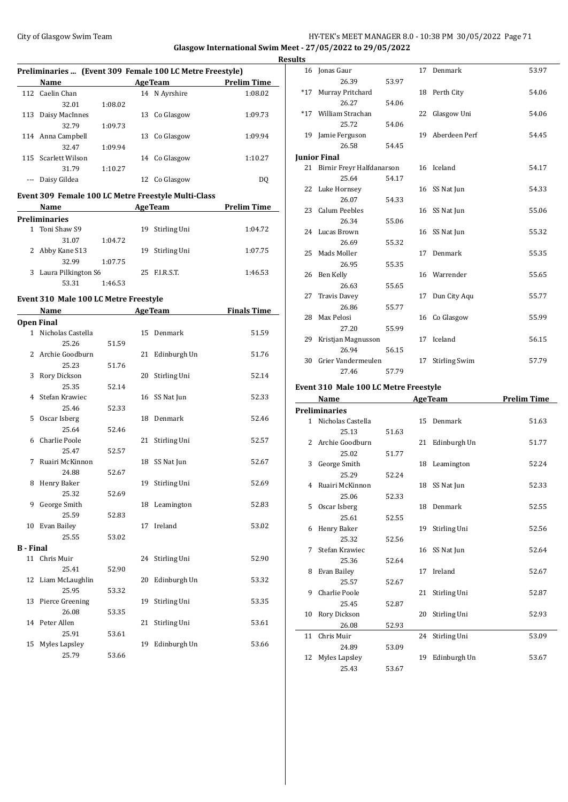## City of Glasgow Swim Team **HY-TEK's MEET MANAGER 8.0 - 10:38 PM 30/05/2022** Page 71 **Glasgow International Swim Meet - 27/05/2022 to 29/05/2022**

|                  |                                       |         |    | Preliminaries  (Event 309 Female 100 LC Metre Freestyle) |                    |
|------------------|---------------------------------------|---------|----|----------------------------------------------------------|--------------------|
|                  | Name                                  |         |    | <b>AgeTeam</b>                                           | <b>Prelim Time</b> |
|                  | 112 Caelin Chan                       |         |    | 14 N Ayrshire                                            | 1:08.02            |
|                  | 32.01                                 | 1:08.02 |    |                                                          |                    |
|                  | 113 Daisy MacInnes                    |         |    | 13 Co Glasgow                                            | 1:09.73            |
|                  | 32.79                                 | 1:09.73 |    |                                                          |                    |
|                  | 114 Anna Campbell                     |         |    | 13 Co Glasgow                                            | 1:09.94            |
|                  | 32.47                                 | 1:09.94 |    |                                                          |                    |
|                  | 115 Scarlett Wilson                   |         |    | 14 Co Glasgow                                            | 1:10.27            |
|                  | 31.79                                 | 1:10.27 |    |                                                          |                    |
|                  | --- Daisy Gildea                      |         |    | 12 Co Glasgow                                            | DQ                 |
|                  |                                       |         |    | Event 309 Female 100 LC Metre Freestyle Multi-Class      |                    |
|                  | Name                                  |         |    | <b>AgeTeam</b>                                           | <b>Prelim Time</b> |
|                  | <b>Preliminaries</b>                  |         |    |                                                          |                    |
|                  | 1 Toni Shaw S9                        |         |    | 19 Stirling Uni                                          | 1:04.72            |
|                  | 31.07                                 | 1:04.72 |    |                                                          |                    |
|                  | 2 Abby Kane S13                       |         | 19 | Stirling Uni                                             | 1:07.75            |
|                  | 32.99                                 | 1:07.75 |    |                                                          |                    |
|                  | 3 Laura Pilkington S6                 |         |    | 25 F.I.R.S.T.                                            | 1:46.53            |
|                  | 53.31                                 | 1:46.53 |    |                                                          |                    |
|                  |                                       |         |    |                                                          |                    |
|                  | Event 310 Male 100 LC Metre Freestyle |         |    |                                                          |                    |
|                  | Name                                  |         |    | AgeTeam                                                  | <b>Finals Time</b> |
|                  | <b>Open Final</b>                     |         |    |                                                          |                    |
|                  | 1 Nicholas Castella                   |         |    | 15 Denmark                                               | 51.59              |
|                  | 25.26                                 | 51.59   |    |                                                          |                    |
|                  | 2 Archie Goodburn                     |         |    | 21 Edinburgh Un                                          | 51.76              |
|                  | 25.23                                 | 51.76   |    |                                                          |                    |
| 3                | Rory Dickson                          |         |    | 20 Stirling Uni                                          | 52.14              |
|                  | 25.35                                 | 52.14   |    |                                                          |                    |
|                  | 4 Stefan Krawiec                      |         |    | 16 SS Nat Jun                                            | 52.33              |
|                  | 25.46                                 | 52.33   |    |                                                          |                    |
|                  | 5 Oscar Isberg                        |         |    | 18 Denmark                                               | 52.46              |
|                  | 25.64                                 | 52.46   |    |                                                          |                    |
|                  | 6 Charlie Poole                       |         |    | 21 Stirling Uni                                          | 52.57              |
|                  | 25.47                                 | 52.57   |    |                                                          |                    |
| 7                | Ruairi McKinnon                       |         |    | 18 SS Nat Jun                                            | 52.67              |
|                  | 24.88                                 | 52.67   |    |                                                          | 52.69              |
| 8                | Henry Baker                           |         |    | 19 Stirling Uni                                          |                    |
|                  | 25.32<br>9 George Smith               | 52.69   | 18 | Leamington                                               | 52.83              |
|                  | 25.59                                 |         |    |                                                          |                    |
| 10               | Evan Bailey                           | 52.83   | 17 | Ireland                                                  | 53.02              |
|                  | 25.55                                 | 53.02   |    |                                                          |                    |
| <b>B</b> - Final |                                       |         |    |                                                          |                    |
| 11               | Chris Muir                            |         | 24 | Stirling Uni                                             | 52.90              |
|                  | 25.41                                 | 52.90   |    |                                                          |                    |
| 12               | Liam McLaughlin                       |         | 20 | Edinburgh Un                                             | 53.32              |
|                  | 25.95                                 | 53.32   |    |                                                          |                    |
| 13               | Pierce Greening                       |         | 19 | Stirling Uni                                             | 53.35              |
|                  | 26.08                                 | 53.35   |    |                                                          |                    |
| 14               | Peter Allen                           |         | 21 | Stirling Uni                                             | 53.61              |
|                  | 25.91                                 | 53.61   |    |                                                          |                    |
| 15               | Myles Lapsley                         |         | 19 | Edinburgh Un                                             | 53.66              |
|                  | 25.79                                 | 53.66   |    |                                                          |                    |
|                  |                                       |         |    |                                                          |                    |

| <b>Results</b> |                                |       |    |                      |       |
|----------------|--------------------------------|-------|----|----------------------|-------|
|                | 16 Jonas Gaur                  |       |    | 17 Denmark           | 53.97 |
|                | 26.39                          | 53.97 |    |                      |       |
|                | *17 Murray Pritchard           |       |    | 18 Perth City        | 54.06 |
|                | 26.27                          | 54.06 |    |                      |       |
|                | *17 William Strachan           |       |    | 22 Glasgow Uni       | 54.06 |
|                | 25.72                          | 54.06 |    |                      |       |
|                | 19 Jamie Ferguson              |       |    | 19 Aberdeen Perf     | 54.45 |
|                | 26.58                          | 54.45 |    |                      |       |
|                | <b>Junior Final</b>            |       |    |                      |       |
|                | 21 Birnir Freyr Halfdanarson   |       |    | 16 Iceland           | 54.17 |
|                | 25.64                          | 54.17 |    |                      |       |
|                | 22 Luke Hornsey                |       |    | 16 SS Nat Jun        | 54.33 |
|                | 26.07                          | 54.33 |    |                      |       |
|                | 23 Calum Peebles               |       |    | 16 SS Nat Jun        | 55.06 |
|                | 26.34                          | 55.06 |    |                      |       |
|                | 24 Lucas Brown                 |       |    | 16 SS Nat Jun        | 55.32 |
|                | 26.69                          | 55.32 |    |                      |       |
|                | 25 Mads Moller                 |       |    | 17 Denmark           | 55.35 |
|                | 26.95                          | 55.35 |    |                      |       |
|                | 26 Ben Kelly                   |       |    | 16 Warrender         | 55.65 |
|                | 26.63                          | 55.65 |    |                      |       |
|                | 27 Travis Davey                |       |    | 17 Dun City Aqu      | 55.77 |
|                | 26.86                          | 55.77 |    |                      |       |
|                | 28 Max Pelosi<br>27.20         | 55.99 |    | 16 Co Glasgow        | 55.99 |
|                |                                |       |    | 17 Iceland           | 56.15 |
|                | 29 Kristjan Magnusson<br>26.94 | 56.15 |    |                      |       |
|                | 30 Grier Vandermeulen          |       | 17 | <b>Stirling Swim</b> | 57.79 |
|                | 27.46                          | 57.79 |    |                      |       |
|                |                                |       |    |                      |       |

#### **Event 310 Male 100 LC Metre Freestyle**

|                      | Name                |       |    | <b>AgeTeam</b>  | <b>Prelim Time</b> |  |  |  |
|----------------------|---------------------|-------|----|-----------------|--------------------|--|--|--|
| <b>Preliminaries</b> |                     |       |    |                 |                    |  |  |  |
|                      | 1 Nicholas Castella |       |    | 15 Denmark      | 51.63              |  |  |  |
|                      | 25.13               | 51.63 |    |                 |                    |  |  |  |
|                      | 2 Archie Goodburn   |       |    | 21 Edinburgh Un | 51.77              |  |  |  |
|                      | 25.02               | 51.77 |    |                 |                    |  |  |  |
| 3                    | George Smith        |       |    | 18 Leamington   | 52.24              |  |  |  |
|                      | 25.29               | 52.24 |    |                 |                    |  |  |  |
|                      | 4 Ruairi McKinnon   |       |    | 18 SS Nat Jun   | 52.33              |  |  |  |
|                      | 25.06               | 52.33 |    |                 |                    |  |  |  |
|                      | 5 Oscar Isberg      |       |    | 18 Denmark      | 52.55              |  |  |  |
|                      | 25.61               | 52.55 |    |                 |                    |  |  |  |
| 6                    | Henry Baker         |       |    | 19 Stirling Uni | 52.56              |  |  |  |
|                      | 25.32               | 52.56 |    |                 |                    |  |  |  |
| 7                    | Stefan Krawiec      |       |    | 16 SS Nat Jun   | 52.64              |  |  |  |
|                      | 25.36               | 52.64 |    |                 |                    |  |  |  |
| 8                    | Evan Bailey         |       |    | 17 Ireland      | 52.67              |  |  |  |
|                      | 25.57               | 52.67 |    |                 |                    |  |  |  |
| 9                    | Charlie Poole       |       |    | 21 Stirling Uni | 52.87              |  |  |  |
|                      | 25.45               | 52.87 |    |                 |                    |  |  |  |
| 10                   | Rory Dickson        |       | 20 | Stirling Uni    | 52.93              |  |  |  |
|                      | 26.08               | 52.93 |    |                 |                    |  |  |  |
|                      | 11 Chris Muir       |       |    | 24 Stirling Uni | 53.09              |  |  |  |
|                      | 24.89               | 53.09 |    |                 |                    |  |  |  |
| 12                   | Myles Lapsley       |       | 19 | Edinburgh Un    | 53.67              |  |  |  |
|                      | 25.43               | 53.67 |    |                 |                    |  |  |  |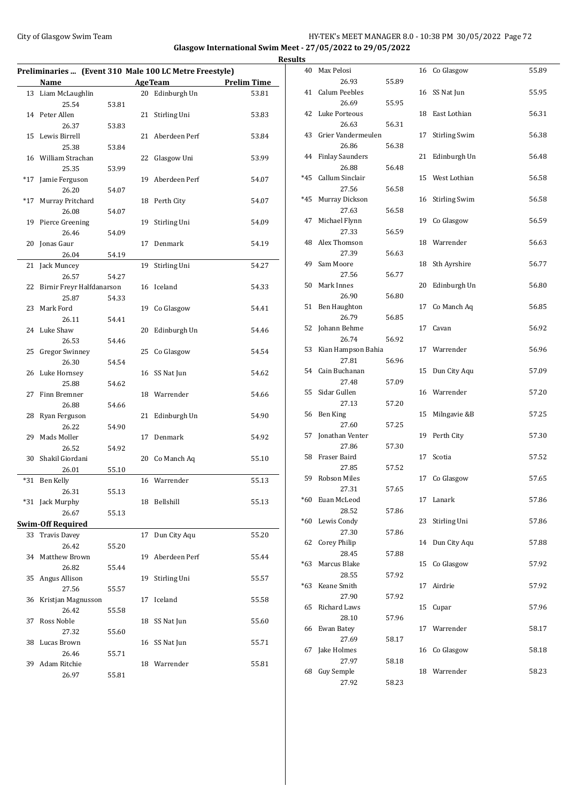## City of Glasgow Swim Team **HY-TEK's MEET MANAGER 8.0 - 10:38 PM 30/05/2022** Page 72 **Glasgow International Swim Meet - 27/05/2022 to 29/05/2022 Results**

|       |                           |       |    | Preliminaries  (Event 310 Male 100 LC Metre Freestyle) |                    |
|-------|---------------------------|-------|----|--------------------------------------------------------|--------------------|
|       | Name                      |       |    | <b>AgeTeam</b>                                         | <b>Prelim Time</b> |
| 13    | Liam McLaughlin           |       |    | 20 Edinburgh Un                                        | 53.81              |
|       | 25.54                     | 53.81 |    |                                                        |                    |
| 14    | Peter Allen               |       | 21 | Stirling Uni                                           | 53.83              |
|       | 26.37                     | 53.83 |    |                                                        |                    |
| 15    | Lewis Birrell             |       |    | 21 Aberdeen Perf                                       | 53.84              |
|       | 25.38                     | 53.84 |    |                                                        |                    |
|       | 16 William Strachan       |       | 22 | Glasgow Uni                                            | 53.99              |
|       | 25.35                     | 53.99 |    |                                                        |                    |
| $*17$ | Jamie Ferguson            |       | 19 | Aberdeen Perf                                          | 54.07              |
|       | 26.20                     | 54.07 |    |                                                        |                    |
| $*17$ | Murray Pritchard          |       |    | 18 Perth City                                          | 54.07              |
|       | 26.08                     | 54.07 |    |                                                        |                    |
| 19    | Pierce Greening           |       | 19 | Stirling Uni                                           | 54.09              |
|       | 26.46                     | 54.09 |    |                                                        |                    |
| 20    | Jonas Gaur                |       | 17 | Denmark                                                | 54.19              |
|       | 26.04                     | 54.19 |    |                                                        |                    |
| 21    | Jack Muncey               |       | 19 | Stirling Uni                                           | 54.27              |
|       | 26.57                     | 54.27 |    |                                                        |                    |
| 22    | Birnir Freyr Halfdanarson |       |    | 16 Iceland                                             | 54.33              |
|       | 25.87                     | 54.33 |    |                                                        |                    |
| 23    | Mark Ford                 |       |    | 19 Co Glasgow                                          | 54.41              |
|       | 26.11                     | 54.41 |    |                                                        |                    |
| 24    | Luke Shaw                 |       | 20 | Edinburgh Un                                           | 54.46              |
|       | 26.53                     | 54.46 |    |                                                        |                    |
| 25    | <b>Gregor Swinney</b>     |       |    | 25 Co Glasgow                                          | 54.54              |
|       | 26.30                     | 54.54 |    |                                                        |                    |
| 26    | Luke Hornsey              |       |    | 16 SS Nat Jun                                          | 54.62              |
|       | 25.88                     | 54.62 |    |                                                        |                    |
| 27    | Finn Bremner              |       |    | 18 Warrender                                           | 54.66              |
|       | 26.88                     | 54.66 |    |                                                        |                    |
| 28    | Ryan Ferguson             |       |    | 21 Edinburgh Un                                        | 54.90              |
|       | 26.22                     | 54.90 |    |                                                        |                    |
| 29    | Mads Moller               |       | 17 | Denmark                                                | 54.92              |
|       | 26.52                     | 54.92 |    |                                                        |                    |
| 30    | Shakil Giordani           |       | 20 | Co Manch Aq                                            | 55.10              |
|       | 26.01                     | 55.10 |    |                                                        |                    |
| $*31$ | Ben Kelly                 |       |    | 16 Warrender                                           | 55.13              |
|       | 26.31                     | 55.13 |    |                                                        |                    |
|       | *31 Jack Murphy           |       |    | 18 Bellshill                                           | 55.13              |
|       | 26.67                     | 55.13 |    |                                                        |                    |
|       | <b>Swim-Off Required</b>  |       |    |                                                        |                    |
| 33    | <b>Travis Davey</b>       |       | 17 | Dun City Aqu                                           | 55.20              |
|       | 26.42                     | 55.20 |    |                                                        |                    |
| 34    | Matthew Brown             |       | 19 | Aberdeen Perf                                          | 55.44              |
|       | 26.82                     | 55.44 |    |                                                        |                    |
| 35    | Angus Allison             |       | 19 | Stirling Uni                                           | 55.57              |
|       | 27.56                     | 55.57 |    |                                                        |                    |
| 36    | Kristjan Magnusson        |       | 17 | Iceland                                                | 55.58              |
|       | 26.42                     | 55.58 |    |                                                        |                    |
| 37    | Ross Noble                |       | 18 | SS Nat Jun                                             | 55.60              |
|       | 27.32                     | 55.60 |    |                                                        |                    |
| 38    | Lucas Brown               |       | 16 | SS Nat Jun                                             | 55.71              |
|       | 26.46                     | 55.71 |    |                                                        |                    |
| 39    | Adam Ritchie              |       |    | 18 Warrender                                           | 55.81              |
|       | 26.97                     | 55.81 |    |                                                        |                    |
|       |                           |       |    |                                                        |                    |

| S     |                         |       |    |                      |       |
|-------|-------------------------|-------|----|----------------------|-------|
| 40    | Max Pelosi              |       |    | 16 Co Glasgow        | 55.89 |
|       | 26.93                   | 55.89 |    |                      |       |
| 41    | <b>Calum Peebles</b>    |       | 16 | SS Nat Jun           | 55.95 |
| 42    | 26.69<br>Luke Porteous  | 55.95 | 18 | East Lothian         | 56.31 |
|       | 26.63                   | 56.31 |    |                      |       |
| 43    | Grier Vandermeulen      |       | 17 | Stirling Swim        | 56.38 |
|       | 26.86                   | 56.38 |    |                      |       |
| 44    | <b>Finlay Saunders</b>  |       | 21 | Edinburgh Un         | 56.48 |
|       | 26.88                   | 56.48 |    |                      |       |
| *45   | Callum Sinclair         |       | 15 | West Lothian         | 56.58 |
| *45   | 27.56<br>Murray Dickson | 56.58 | 16 | <b>Stirling Swim</b> | 56.58 |
|       | 27.63                   | 56.58 |    |                      |       |
| 47    | Michael Flynn           |       | 19 | Co Glasgow           | 56.59 |
|       | 27.33                   | 56.59 |    |                      |       |
| 48    | Alex Thomson            |       | 18 | Warrender            | 56.63 |
|       | 27.39                   | 56.63 |    |                      |       |
| 49    | Sam Moore               |       | 18 | Sth Ayrshire         | 56.77 |
|       | 27.56                   | 56.77 |    |                      |       |
| 50    | Mark Innes              |       | 20 | Edinburgh Un         | 56.80 |
| 51    | 26.90<br>Ben Haughton   | 56.80 | 17 | Co Manch Aq          | 56.85 |
|       | 26.79                   | 56.85 |    |                      |       |
| 52    | Johann Behme            |       | 17 | Cavan                | 56.92 |
|       | 26.74                   | 56.92 |    |                      |       |
| 53    | Kian Hampson Bahia      |       | 17 | Warrender            | 56.96 |
|       | 27.81                   | 56.96 |    |                      |       |
| 54    | Cain Buchanan           |       | 15 | Dun City Aqu         | 57.09 |
|       | 27.48                   | 57.09 |    |                      |       |
| 55    | Sidar Gullen            |       | 16 | Warrender            | 57.20 |
| 56    | 27.13<br>Ben King       | 57.20 | 15 | Milngavie &B         | 57.25 |
|       | 27.60                   | 57.25 |    |                      |       |
| 57    | Jonathan Venter         |       | 19 | Perth City           | 57.30 |
|       | 27.86                   | 57.30 |    |                      |       |
| 58    | Fraser Baird            |       | 17 | Scotia               | 57.52 |
|       | 27.85                   | 57.52 |    |                      |       |
| 59    | <b>Robson Miles</b>     |       | 17 | Co Glasgow           | 57.65 |
|       | 27.31                   | 57.65 |    |                      |       |
| *60   | Euan McLeod<br>28.52    | 57.86 | 17 | Lanark               | 57.86 |
| *60   | Lewis Condy             |       | 23 | Stirling Uni         | 57.86 |
|       | 27.30                   | 57.86 |    |                      |       |
| 62    | <b>Corey Philip</b>     |       | 14 | Dun City Aqu         | 57.88 |
|       | 28.45                   | 57.88 |    |                      |       |
| *63   | Marcus Blake            |       | 15 | Co Glasgow           | 57.92 |
|       | 28.55                   | 57.92 |    |                      |       |
| $*63$ | Keane Smith             |       | 17 | Airdrie              | 57.92 |
|       | 27.90<br>Richard Laws   | 57.92 |    |                      |       |
| 65    | 28.10                   | 57.96 | 15 | Cupar                | 57.96 |
| 66    | Ewan Batey              |       | 17 | Warrender            | 58.17 |
|       | 27.69                   | 58.17 |    |                      |       |
| 67    | Jake Holmes             |       | 16 | Co Glasgow           | 58.18 |
|       | 27.97                   | 58.18 |    |                      |       |
| 68    | Guy Semple              |       | 18 | Warrender            | 58.23 |
|       | 27.92                   | 58.23 |    |                      |       |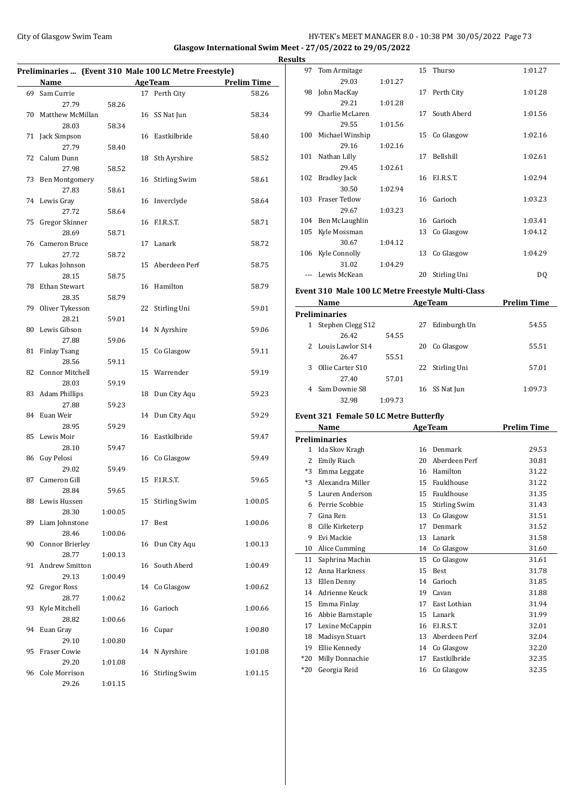#### City of Glasgow Swim Team **HY-TEK's MEET MANAGER 8.0 - 10:38 PM 30/05/2022** Page 73 **Glasgow International Swim Meet - 27/05/2022 to 29/05/2022 Results**

| Preliminaries  (Event 310 Male 100 LC Metre Freestyle) |                        |         |    |                      |                    |
|--------------------------------------------------------|------------------------|---------|----|----------------------|--------------------|
|                                                        | Name                   |         |    | <b>AgeTeam</b>       | <b>Prelim Time</b> |
| 69                                                     | Sam Currie             |         |    | 17 Perth City        | 58.26              |
|                                                        | 27.79                  | 58.26   |    |                      |                    |
| 70                                                     | Matthew McMillan       |         | 16 | SS Nat Jun           | 58.34              |
|                                                        | 28.03                  | 58.34   |    |                      |                    |
| 71                                                     | Jack Simpson           |         |    | 16 Eastkilbride      | 58.40              |
|                                                        | 27.79                  | 58.40   |    |                      |                    |
| 72                                                     | Calum Dunn             |         | 18 | Sth Ayrshire         | 58.52              |
|                                                        | 27.98                  | 58.52   |    |                      |                    |
| 73                                                     | <b>Ben Montgomery</b>  |         | 16 | <b>Stirling Swim</b> | 58.61              |
|                                                        | 27.83                  | 58.61   |    |                      |                    |
| 74                                                     | Lewis Gray             |         |    | 16 Inverclyde        | 58.64              |
|                                                        | 27.72                  | 58.64   |    |                      |                    |
| 75                                                     | Gregor Skinner         |         |    | 16 F.I.R.S.T.        | 58.71              |
|                                                        | 28.69                  | 58.71   |    |                      |                    |
| 76                                                     | Cameron Bruce          |         | 17 | Lanark               | 58.72              |
|                                                        | 27.72                  | 58.72   |    |                      |                    |
| 77                                                     | Lukas Johnson          |         | 15 | Aberdeen Perf        | 58.75              |
|                                                        | 28.15                  | 58.75   |    |                      |                    |
| 78                                                     | Ethan Stewart          |         |    | 16 Hamilton          | 58.79              |
|                                                        | 28.35                  | 58.79   |    |                      |                    |
| 79                                                     | Oliver Tykesson        |         | 22 | Stirling Uni         | 59.01              |
|                                                        | 28.21                  | 59.01   |    |                      |                    |
| 80                                                     | Lewis Gibson           |         | 14 | N Ayrshire           | 59.06              |
|                                                        | 27.88                  | 59.06   |    |                      |                    |
| 81                                                     | <b>Finlay Tsang</b>    |         | 15 | Co Glasgow           | 59.11              |
|                                                        | 28.56                  | 59.11   |    |                      |                    |
| 82                                                     | Connor Mitchell        |         |    | 15 Warrender         | 59.19              |
|                                                        | 28.03                  | 59.19   |    |                      |                    |
| 83                                                     | <b>Adam Phillips</b>   |         | 18 | Dun City Aqu         | 59.23              |
|                                                        | 27.88                  | 59.23   |    |                      |                    |
| 84                                                     | Euan Weir              |         | 14 | Dun City Aqu         | 59.29              |
|                                                        | 28.95                  | 59.29   |    |                      |                    |
| 85                                                     | Lewis Moir             |         |    | 16 Eastkilbride      | 59.47              |
|                                                        | 28.10                  | 59.47   |    |                      |                    |
| 86                                                     | Guy Pelosi             |         |    | 16 Co Glasgow        | 59.49              |
|                                                        | 29.02                  | 59.49   |    |                      |                    |
| 87                                                     | Cameron Gill           |         |    | 15 F.I.R.S.T.        | 59.65              |
|                                                        | 28.84                  | 59.65   |    |                      |                    |
| 88                                                     | Lewis Hussen           |         | 15 | <b>Stirling Swim</b> | 1:00.05            |
|                                                        | 28.30                  | 1:00.05 |    |                      |                    |
| 89                                                     | Liam Johnstone         |         | 17 | Best                 | 1:00.06            |
|                                                        | 28.46                  | 1:00.06 |    |                      |                    |
| 90                                                     | <b>Connor Brierley</b> |         | 16 | Dun City Aqu         | 1:00.13            |
|                                                        | 28.77                  | 1:00.13 |    |                      |                    |
| 91                                                     | <b>Andrew Smitton</b>  |         | 16 | South Aberd          | 1:00.49            |
|                                                        | 29.13                  | 1:00.49 |    |                      |                    |
| 92                                                     | Gregor Ross            |         | 14 | Co Glasgow           | 1:00.62            |
|                                                        | 28.77                  | 1:00.62 |    |                      |                    |
| 93                                                     | Kyle Mitchell          |         | 16 | Garioch              | 1:00.66            |
|                                                        | 28.82                  | 1:00.66 |    |                      |                    |
| 94                                                     | Euan Gray              |         | 16 | Cupar                | 1:00.80            |
|                                                        | 29.10                  | 1:00.80 |    |                      |                    |
| 95                                                     | Fraser Cowie           |         | 14 | N Ayrshire           | 1:01.08            |
|                                                        | 29.20                  | 1:01.08 |    |                      |                    |
| 96                                                     | Cole Morrison          |         | 16 | Stirling Swim        | 1:01.15            |
|                                                        | 29.26                  | 1:01.15 |    |                      |                    |

|       | 29.03                                             | 1:01.27 |    |                  |                    |
|-------|---------------------------------------------------|---------|----|------------------|--------------------|
|       | 98 John MacKay                                    |         |    | 17 Perth City    | 1:01.28            |
|       | 29.21                                             | 1:01.28 |    |                  |                    |
|       | 99 Charlie McLaren                                |         |    | 17 South Aberd   | 1:01.56            |
|       | 29.55                                             | 1:01.56 |    |                  |                    |
| 100   | Michael Winship                                   |         |    | 15 Co Glasgow    | 1:02.16            |
|       | 29.16                                             | 1:02.16 |    |                  |                    |
|       | 101 Nathan Lilly                                  |         | 17 | Bellshill        | 1:02.61            |
|       | 29.45                                             | 1:02.61 |    |                  |                    |
|       | 102 Bradley Jack                                  |         |    | 16 F.I.R.S.T.    | 1:02.94            |
|       | 30.50                                             | 1:02.94 |    |                  |                    |
| 103   | Fraser Tetlow                                     |         |    | 16 Garioch       |                    |
|       |                                                   |         |    |                  | 1:03.23            |
|       | 29.67                                             | 1:03.23 |    |                  |                    |
|       | 104 Ben McLaughlin                                |         |    | 16 Garioch       | 1:03.41            |
|       | 105 Kyle Mossman                                  |         |    | 13 Co Glasgow    | 1:04.12            |
|       | 30.67                                             | 1:04.12 |    |                  |                    |
|       | 106 Kyle Connolly                                 |         |    | 13 Co Glasgow    | 1:04.29            |
|       | 31.02                                             | 1:04.29 |    |                  |                    |
|       | --- Lewis McKean                                  |         | 20 | Stirling Uni     | DQ                 |
|       | Event 310 Male 100 LC Metre Freestyle Multi-Class |         |    |                  |                    |
|       |                                                   |         |    |                  |                    |
|       | Name                                              |         |    | <b>AgeTeam</b>   | <b>Prelim Time</b> |
|       | <b>Preliminaries</b>                              |         |    |                  |                    |
|       | 1 Stephen Clegg S12                               |         | 27 | Edinburgh Un     | 54.55              |
|       | 26.42                                             | 54.55   |    |                  |                    |
|       | 2 Louis Lawlor S14                                |         |    | 20 Co Glasgow    | 55.51              |
|       | 26.47                                             | 55.51   |    |                  |                    |
|       | 3 Ollie Carter S10                                |         |    | 22 Stirling Uni  | 57.01              |
|       | 27.40                                             | 57.01   |    |                  |                    |
|       |                                                   |         |    |                  |                    |
|       | 4 Sam Downie S8                                   |         |    | 16 SS Nat Jun    | 1:09.73            |
|       | 32.98                                             | 1:09.73 |    |                  |                    |
|       |                                                   |         |    |                  |                    |
|       | <b>Event 321 Female 50 LC Metre Butterfly</b>     |         |    |                  |                    |
|       | Name                                              |         |    | AgeTeam          | <b>Prelim Time</b> |
|       | <b>Preliminaries</b>                              |         |    |                  |                    |
|       | 1 Ida Skov Kragh                                  |         |    | 16 Denmark       | 29.53              |
|       | 2 Emily Riach                                     |         |    | 20 Aberdeen Perf | 30.81              |
|       | *3 Emma Leggate                                   |         |    | 16 Hamilton      | 31.22              |
|       | *3 Alexandra Miller                               |         |    | 15 Fauldhouse    | 31.22              |
|       | 5 Lauren Anderson                                 |         |    | 15 Fauldhouse    | 31.35              |
|       | 6 Perrie Scobbie                                  |         |    | 15 Stirling Swim | 31.43              |
| 7     | Gina Ren                                          |         |    | 13 Co Glasgow    | 31.51              |
| 8     |                                                   |         | 17 | Denmark          | 31.52              |
| 9     | Cille Kirketerp                                   |         |    |                  |                    |
|       | Evi Mackie                                        |         | 13 | Lanark           | 31.58              |
|       | 10 Alice Cumming                                  |         | 14 | Co Glasgow       | 31.60              |
| 11    | Saphrina Machin                                   |         | 15 | Co Glasgow       | 31.61              |
| 12    | Anna Harkness                                     |         | 15 | Best             | 31.78              |
|       | 13 Ellen Denny                                    |         | 14 | Garioch          | 31.85              |
|       | 14 Adrienne Keuck                                 |         | 19 | Cavan            | 31.88              |
|       | 15 Emma Finlay                                    |         | 17 | East Lothian     | 31.94              |
|       | 16 Abbie Barnstaple                               |         | 15 | Lanark           | 31.99              |
|       | 17 Lexine McCappin                                |         |    | 16 F.I.R.S.T.    | 32.01              |
|       | 18 Madisyn Stuart                                 |         |    | 13 Aberdeen Perf | 32.04              |
|       | 19 Ellie Kennedy                                  |         |    | 14 Co Glasgow    | 32.20              |
| $*20$ | Milly Donnachie                                   |         | 17 | Eastkilbride     | 32.35              |
| *20   | Georgia Reid                                      |         | 16 | Co Glasgow       | 32.35              |

97 Tom Armitage 15 Thurso 1:01.27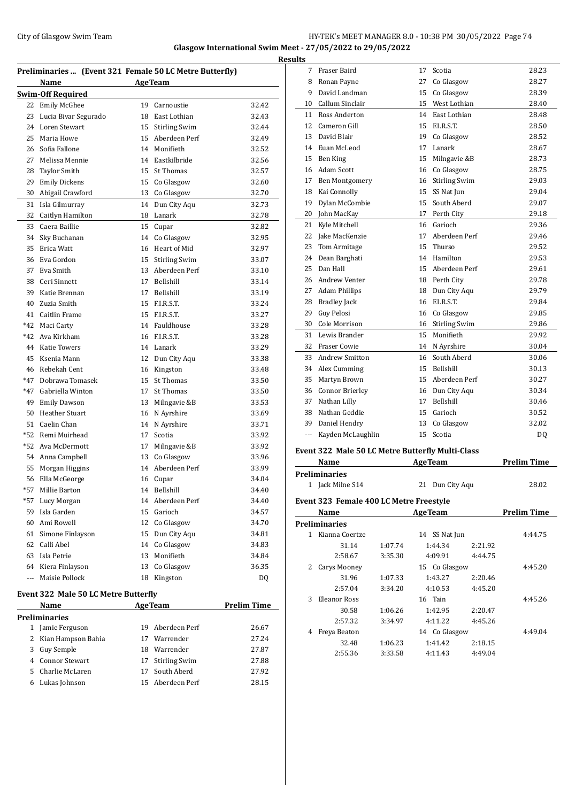#### City of Glasgow Swim Team HY-TEK's MEET MANAGER 8.0 - 10:38 PM 30/05/2022 Page 74 **Glasgow International Swim Meet - 27/05/2022 to 29/05/2022 Results**

|       | Preliminaries  (Event 321 Female 50 LC Metre Butterfly) |    |                      |       |
|-------|---------------------------------------------------------|----|----------------------|-------|
|       | Name<br><b>Example 2</b> Age Team                       |    |                      |       |
|       | <b>Swim-Off Required</b>                                |    |                      |       |
| 22    | Emily McGhee                                            | 19 | Carnoustie           | 32.42 |
| 23    | Lucia Bivar Segurado                                    |    | 18 East Lothian      | 32.43 |
| 24    | Loren Stewart                                           |    | 15 Stirling Swim     | 32.44 |
| 25    | Maria Howe                                              |    | 15 Aberdeen Perf     | 32.49 |
| 26    | Sofia Fallone                                           |    | 14 Monifieth         | 32.52 |
| 27    | Melissa Mennie                                          |    | 14 Eastkilbride      | 32.56 |
| 28    | <b>Taylor Smith</b>                                     |    | 15 St Thomas         | 32.57 |
| 29    | <b>Emily Dickens</b>                                    |    | 15 Co Glasgow        | 32.60 |
| 30    | Abigail Crawford                                        |    | 13 Co Glasgow        | 32.70 |
| 31    | Isla Gilmurray                                          | 14 | Dun City Aqu         | 32.73 |
| 32    | Caitlyn Hamilton                                        | 18 | Lanark               | 32.78 |
| 33    | Caera Baillie                                           |    | 15 Cupar             | 32.82 |
| 34    | Sky Buchanan                                            | 14 | Co Glasgow           | 32.95 |
| 35    | Erica Watt                                              |    | 16 Heart of Mid      | 32.97 |
| 36    | Eva Gordon                                              | 15 | <b>Stirling Swim</b> | 33.07 |
| 37    | Eva Smith                                               |    | 13 Aberdeen Perf     | 33.10 |
| 38    | Ceri Sinnett                                            |    | 17 Bellshill         | 33.14 |
| 39    | Katie Brennan                                           | 17 | Bellshill            | 33.19 |
| 40    | Zuzia Smith                                             | 15 | F.I.R.S.T.           | 33.24 |
| 41    | Caitlin Frame                                           |    | 15 F.I.R.S.T.        | 33.27 |
| $*42$ | Maci Carty                                              |    | 14 Fauldhouse        | 33.28 |
| $*42$ | Ava Kirkham                                             |    | 16 F.I.R.S.T.        | 33.28 |
| 44    | <b>Katie Towers</b>                                     |    | 14 Lanark            | 33.29 |
| 45    | Ksenia Mann                                             |    | 12 Dun City Aqu      | 33.38 |
| 46    | Rebekah Cent                                            | 16 | Kingston             | 33.48 |
| $*47$ | Dobrawa Tomasek                                         | 15 | St Thomas            | 33.50 |
| $*47$ | Gabriella Winton                                        | 17 | St Thomas            | 33.50 |
| 49    | <b>Emily Dawson</b>                                     |    | 13 Milngavie &B      | 33.53 |
| 50    | <b>Heather Stuart</b>                                   |    | 16 N Ayrshire        | 33.69 |
| 51    | Caelin Chan                                             | 14 | N Ayrshire           | 33.71 |
| $*52$ | Remi Muirhead                                           | 17 | Scotia               | 33.92 |
| $*52$ | Ava McDermott                                           | 17 | Milngavie &B         | 33.92 |
| 54    | Anna Campbell                                           |    | 13 Co Glasgow        | 33.96 |
| 55    | Morgan Higgins                                          | 14 | Aberdeen Perf        | 33.99 |
| 56    | Ella McGeorge                                           | 16 | Cupar                | 34.04 |
| $*57$ | Millie Barton                                           | 14 | Bellshill            | 34.40 |
| *57   | Lucy Morgan                                             | 14 | Aberdeen Perf        | 34.40 |
| 59    | Isla Garden                                             | 15 | Garioch              | 34.57 |
| 60    | Ami Rowell                                              | 12 | Co Glasgow           | 34.70 |
| 61    | Simone Finlayson                                        | 15 | Dun City Aqu         | 34.81 |
| 62    | Calli Abel                                              | 14 | Co Glasgow           | 34.83 |
| 63    | Isla Petrie                                             | 13 | Monifieth            | 34.84 |
| 64    | Kiera Finlayson                                         | 13 | Co Glasgow           | 36.35 |
| ---   | Maisie Pollock                                          | 18 | Kingston             | DQ    |
|       |                                                         |    |                      |       |

# **Event 322 Male 50 LC Metre Butterfly**

| Name                 |                      |    | <b>AgeTeam</b>   | <b>Prelim Time</b> |  |  |  |  |
|----------------------|----------------------|----|------------------|--------------------|--|--|--|--|
| <b>Preliminaries</b> |                      |    |                  |                    |  |  |  |  |
|                      | 1 Jamie Ferguson     |    | 19 Aberdeen Perf | 26.67              |  |  |  |  |
|                      | 2 Kian Hampson Bahia | 17 | Warrender        | 27.24              |  |  |  |  |
|                      | 3 Guy Semple         | 18 | Warrender        | 27.87              |  |  |  |  |
|                      | 4 Connor Stewart     |    | 17 Stirling Swim | 27.88              |  |  |  |  |
|                      | 5 Charlie McLaren    |    | 17 South Aberd   | 27.92              |  |  |  |  |
| 6                    | Lukas Johnson        |    | 15 Aberdeen Perf | 28.15              |  |  |  |  |

| ults |     |                        |                 |                      |       |
|------|-----|------------------------|-----------------|----------------------|-------|
|      | 7   | Fraser Baird           | 17              | Scotia               | 28.23 |
|      | 8   | Ronan Payne            | 27              | Co Glasgow           | 28.27 |
|      | 9   | David Landman          | 15              | Co Glasgow           | 28.39 |
|      | 10  | Callum Sinclair        | 15 <sup>7</sup> | West Lothian         | 28.40 |
|      | 11  | Ross Anderton          | 14              | East Lothian         | 28.48 |
|      | 12  | Cameron Gill           | 15              | F.I.R.S.T.           | 28.50 |
|      | 13  | David Blair            | 19              | Co Glasgow           | 28.52 |
|      | 14  | Euan McLeod            | 17              | Lanark               | 28.67 |
|      | 15  | Ben King               | 15              | Milngavie &B         | 28.73 |
|      | 16  | <b>Adam Scott</b>      | 16              | Co Glasgow           | 28.75 |
|      | 17  | Ben Montgomery         |                 | 16 Stirling Swim     | 29.03 |
|      | 18  | Kai Connolly           | 15              | SS Nat Jun           | 29.04 |
|      | 19  | Dylan McCombie         | 15 <sup>7</sup> | South Aberd          | 29.07 |
|      | 20  | John MacKay            | 17              | Perth City           | 29.18 |
|      | 21  | Kyle Mitchell          | 16              | Garioch              | 29.36 |
|      | 22  | Jake MacKenzie         | 17              | Aberdeen Perf        | 29.46 |
|      | 23  | Tom Armitage           | 15              | Thurso               | 29.52 |
|      | 24  | Dean Barghati          |                 | 14 Hamilton          | 29.53 |
|      | 25  | Dan Hall               |                 | 15 Aberdeen Perf     | 29.61 |
|      | 26  | <b>Andrew Venter</b>   |                 | 18 Perth City        | 29.78 |
|      | 27  | <b>Adam Phillips</b>   | 18              | Dun City Aqu         | 29.79 |
|      | 28  | <b>Bradley Jack</b>    | 16              | ELR.S.T.             | 29.84 |
|      | 29  | Guy Pelosi             | 16              | Co Glasgow           | 29.85 |
|      | 30  | Cole Morrison          | 16              | <b>Stirling Swim</b> | 29.86 |
|      | 31  | Lewis Brander          | 15              | Monifieth            | 29.92 |
|      | 32  | Fraser Cowie           | 14              | N Ayrshire           | 30.04 |
|      | 33  | Andrew Smitton         | 16              | South Aberd          | 30.06 |
|      | 34  | Alex Cumming           | 15              | <b>Bellshill</b>     | 30.13 |
|      | 35  | Martyn Brown           | 15              | Aberdeen Perf        | 30.27 |
|      | 36  | <b>Connor Brierley</b> | 16              | Dun City Aqu         | 30.34 |
|      | 37  | Nathan Lilly           | 17              | <b>Bellshill</b>     | 30.46 |
|      | 38  | Nathan Geddie          | 15              | Garioch              | 30.52 |
|      | 39  | Daniel Hendry          | 13              | Co Glasgow           | 32.02 |
|      | --- | Kayden McLaughlin      | 15              | Scotia               | DQ    |
|      |     |                        |                 |                      |       |

#### **Event 322 Male 50 LC Metre Butterfly Multi-Class**

|   | Name                                           | <b>AgeTeam</b> |                    |         | <b>Prelim Time</b> |  |  |  |
|---|------------------------------------------------|----------------|--------------------|---------|--------------------|--|--|--|
|   | Preliminaries                                  |                |                    |         |                    |  |  |  |
| 1 | Jack Milne S14                                 |                | Dun City Aqu<br>21 |         | 28.02              |  |  |  |
|   | <b>Event 323 Female 400 LC Metre Freestyle</b> |                |                    |         |                    |  |  |  |
|   | Name                                           |                | <b>AgeTeam</b>     |         | <b>Prelim Time</b> |  |  |  |
|   | Preliminaries                                  |                |                    |         |                    |  |  |  |
| 1 | Kianna Coertze                                 |                | 14 SS Nat Jun      |         | 4:44.75            |  |  |  |
|   | 31.14                                          | 1:07.74        | 1:44.34            | 2:21.92 |                    |  |  |  |
|   | 2:58.67                                        | 3:35.30        | 4:09.91            | 4:44.75 |                    |  |  |  |
| 2 | Carys Mooney                                   |                | 15 Co Glasgow      |         | 4:45.20            |  |  |  |
|   | 31.96                                          | 1:07.33        | 1:43.27            | 2:20.46 |                    |  |  |  |
|   | 2:57.04                                        | 3:34.20        | 4:10.53            | 4:45.20 |                    |  |  |  |
| 3 | Eleanor Ross                                   |                | 16 Tain            |         | 4:45.26            |  |  |  |
|   | 30.58                                          | 1:06.26        | 1:42.95            | 2:20.47 |                    |  |  |  |
|   | 2:57.32                                        | 3:34.97        | 4:11.22            | 4:45.26 |                    |  |  |  |
| 4 | Freya Beaton                                   |                | 14 Co Glasgow      |         | 4:49.04            |  |  |  |
|   | 32.48                                          | 1:06.23        | 1:41.42            | 2:18.15 |                    |  |  |  |
|   | 2:55.36                                        | 3:33.58        | 4:11.43            | 4:49.04 |                    |  |  |  |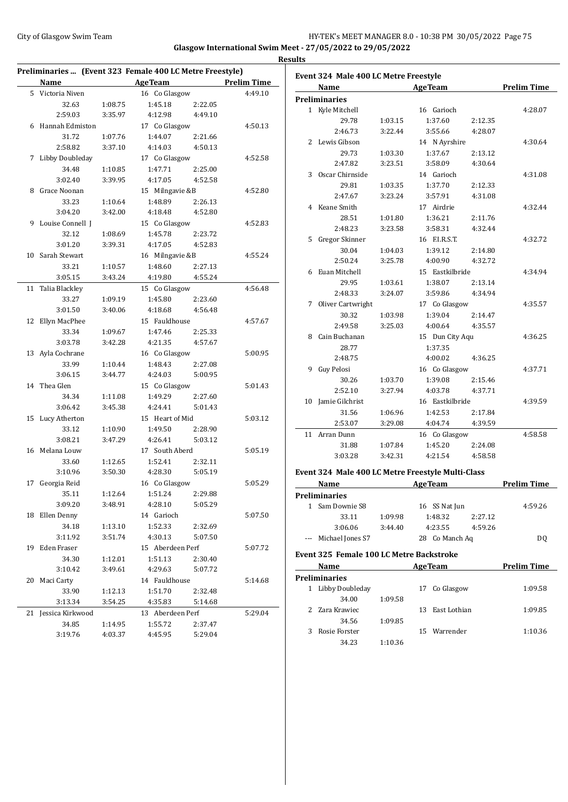#### City of Glasgow Swim Team **HY-TEK's MEET MANAGER 8.0 - 10:38 PM 30/05/2022** Page 75 **Glasgow International Swim Meet - 27/05/2022 to 29/05/2022**

| Preliminaries  (Event 323 Female 400 LC Metre Freestyle) |                    |         |                  |         |                    |  |
|----------------------------------------------------------|--------------------|---------|------------------|---------|--------------------|--|
|                                                          | <b>Name</b>        |         | <b>AgeTeam</b>   |         | <b>Prelim Time</b> |  |
|                                                          | 5 Victoria Niven   |         | 16 Co Glasgow    |         | 4:49.10            |  |
|                                                          | 32.63              | 1:08.75 | 1:45.18          | 2:22.05 |                    |  |
|                                                          | 2:59.03            | 3:35.97 | 4:12.98          | 4:49.10 |                    |  |
|                                                          | 6 Hannah Edmiston  |         | 17 Co Glasgow    |         | 4:50.13            |  |
|                                                          | 31.72              | 1:07.76 | 1:44.07          | 2:21.66 |                    |  |
|                                                          | 2:58.82            | 3:37.10 | 4:14.03          | 4:50.13 |                    |  |
| 7                                                        | Libby Doubleday    |         | 17 Co Glasgow    |         | 4:52.58            |  |
|                                                          | 34.48              | 1:10.85 | 1:47.71          | 2:25.00 |                    |  |
|                                                          | 3:02.40            | 3:39.95 | 4:17.05          | 4:52.58 |                    |  |
|                                                          | 8 Grace Noonan     |         | 15 Milngavie &B  |         | 4:52.80            |  |
|                                                          | 33.23              | 1:10.64 | 1:48.89          | 2:26.13 |                    |  |
|                                                          | 3:04.20            | 3:42.00 | 4:18.48          | 4:52.80 |                    |  |
|                                                          | 9 Louise Connell J |         | 15 Co Glasgow    |         | 4:52.83            |  |
|                                                          | 32.12              | 1:08.69 | 1:45.78          | 2:23.72 |                    |  |
|                                                          | 3:01.20            | 3:39.31 | 4:17.05          | 4:52.83 |                    |  |
|                                                          | 10 Sarah Stewart   |         | 16 Milngavie &B  |         | 4:55.24            |  |
|                                                          | 33.21              | 1:10.57 | 1:48.60          | 2:27.13 |                    |  |
|                                                          | 3:05.15            | 3:43.24 | 4:19.80          | 4:55.24 |                    |  |
|                                                          | 11 Talia Blackley  |         | 15 Co Glasgow    |         | 4:56.48            |  |
|                                                          | 33.27              | 1:09.19 | 1:45.80          | 2:23.60 |                    |  |
|                                                          | 3:01.50            | 3:40.06 | 4:18.68          | 4:56.48 |                    |  |
|                                                          | 12 Ellyn MacPhee   |         | 15 Fauldhouse    |         | 4:57.67            |  |
|                                                          | 33.34              | 1:09.67 | 1:47.46          | 2:25.33 |                    |  |
|                                                          | 3:03.78            | 3:42.28 | 4:21.35          | 4:57.67 |                    |  |
|                                                          | 13 Ayla Cochrane   |         | 16 Co Glasgow    |         | 5:00.95            |  |
|                                                          | 33.99              | 1:10.44 | 1:48.43          | 2:27.08 |                    |  |
|                                                          | 3:06.15            | 3:44.77 | 4:24.03          | 5:00.95 |                    |  |
|                                                          | 14 Thea Glen       |         | 15 Co Glasgow    |         | 5:01.43            |  |
|                                                          | 34.34              | 1:11.08 | 1:49.29          | 2:27.60 |                    |  |
|                                                          | 3:06.42            | 3:45.38 | 4:24.41          | 5:01.43 |                    |  |
|                                                          |                    |         |                  |         |                    |  |
|                                                          | 15 Lucy Atherton   |         | 15 Heart of Mid  |         | 5:03.12            |  |
|                                                          | 33.12              | 1:10.90 | 1:49.50          | 2:28.90 |                    |  |
|                                                          | 3:08.21            | 3:47.29 | 4:26.41          | 5:03.12 |                    |  |
|                                                          | 16 Melana Louw     |         | 17 South Aberd   |         | 5:05.19            |  |
|                                                          | 33.60              | 1:12.65 | 1:52.41          | 2:32.11 |                    |  |
|                                                          | 3:10.96            | 3:50.30 | 4:28.30          | 5:05.19 |                    |  |
|                                                          | 17 Georgia Reid    |         | 16 Co Glasgow    |         | 5:05.29            |  |
|                                                          | 35.11              | 1:12.64 | 1:51.24          | 2:29.88 |                    |  |
|                                                          | 3:09.20            | 3:48.91 | 4:28.10          | 5:05.29 |                    |  |
|                                                          | 18 Ellen Denny     |         | 14 Garioch       |         | 5:07.50            |  |
|                                                          | 34.18              | 1:13.10 | 1:52.33          | 2:32.69 |                    |  |
|                                                          | 3:11.92            | 3:51.74 | 4:30.13          | 5:07.50 |                    |  |
|                                                          | 19 Eden Fraser     |         | 15 Aberdeen Perf |         | 5:07.72            |  |
|                                                          | 34.30              | 1:12.01 | 1:51.13          | 2:30.40 |                    |  |
|                                                          | 3:10.42            | 3:49.61 | 4:29.63          | 5:07.72 |                    |  |
|                                                          | 20 Maci Carty      |         | 14 Fauldhouse    |         | 5:14.68            |  |
|                                                          | 33.90              | 1:12.13 | 1:51.70          | 2:32.48 |                    |  |
|                                                          | 3:13.34            | 3:54.25 | 4:35.83          | 5:14.68 |                    |  |
|                                                          |                    |         | 13 Aberdeen Perf |         | 5:29.04            |  |
| 21                                                       | Jessica Kirkwood   |         |                  |         |                    |  |
|                                                          | 34.85              | 1:14.95 | 1:55.72          | 2:37.47 |                    |  |

|    | Event 324 Male 400 LC Metre Freestyle |         |                    |                    |
|----|---------------------------------------|---------|--------------------|--------------------|
|    | Name                                  |         | <b>AgeTeam</b>     | <b>Prelim Time</b> |
|    | <b>Preliminaries</b>                  |         |                    |                    |
|    | 1 Kyle Mitchell                       |         | 16 Garioch         | 4:28.07            |
|    | 29.78                                 | 1:03.15 | 1:37.60<br>2:12.35 |                    |
|    | 2:46.73                               | 3:22.44 | 3:55.66<br>4:28.07 |                    |
| 2  | Lewis Gibson                          |         | 14 N Ayrshire      | 4:30.64            |
|    | 29.73                                 | 1:03.30 | 1:37.67<br>2:13.12 |                    |
|    | 2:47.82                               | 3:23.51 | 3:58.09<br>4:30.64 |                    |
| 3  | Oscar Chirnside                       |         | 14 Garioch         | 4:31.08            |
|    | 29.81                                 | 1:03.35 | 1:37.70<br>2:12.33 |                    |
|    | 2:47.67                               | 3:23.24 | 3:57.91<br>4:31.08 |                    |
| 4  | Keane Smith                           |         | 17 Airdrie         | 4:32.44            |
|    | 28.51                                 | 1:01.80 | 1:36.21<br>2:11.76 |                    |
|    | 2:48.23                               | 3:23.58 | 3:58.31<br>4:32.44 |                    |
| 5  | Gregor Skinner                        |         | 16 F.I.R.S.T.      | 4:32.72            |
|    | 30.04                                 | 1:04.03 | 1:39.12<br>2:14.80 |                    |
|    | 2:50.24                               | 3:25.78 | 4:00.90<br>4:32.72 |                    |
| 6  | Euan Mitchell                         |         | 15 Eastkilbride    | 4:34.94            |
|    | 29.95                                 | 1:03.61 | 1:38.07<br>2:13.14 |                    |
|    | 2:48.33                               | 3:24.07 | 3:59.86<br>4:34.94 |                    |
| 7  | Oliver Cartwright                     |         | 17 Co Glasgow      | 4:35.57            |
|    | 30.32                                 | 1:03.98 | 1:39.04<br>2:14.47 |                    |
|    | 2:49.58                               | 3:25.03 | 4:00.64<br>4:35.57 |                    |
| 8  | Cain Buchanan                         |         | 15 Dun City Aqu    | 4:36.25            |
|    | 28.77                                 |         | 1:37.35            |                    |
|    | 2:48.75                               |         | 4:36.25<br>4:00.02 |                    |
| 9  | Guy Pelosi                            |         | 16 Co Glasgow      | 4:37.71            |
|    | 30.26                                 | 1:03.70 | 1:39.08<br>2:15.46 |                    |
|    | 2:52.10                               | 3:27.94 | 4:37.71<br>4:03.78 |                    |
| 10 | Jamie Gilchrist                       |         | 16 Eastkilbride    | 4:39.59            |
|    | 31.56                                 | 1:06.96 | 1:42.53<br>2:17.84 |                    |
|    | 2:53.07                               | 3:29.08 | 4:04.74<br>4:39.59 |                    |
| 11 | Arran Dunn                            |         | 16 Co Glasgow      | 4:58.58            |
|    | 31.88                                 | 1:07.84 | 1:45.20<br>2:24.08 |                    |
|    | 3:03.28                               | 3:42.31 | 4:21.54<br>4:58.58 |                    |
|    |                                       |         |                    |                    |

#### **Event 324 Male 400 LC Metre Freestyle Multi-Class**

| Name |                      |         | <b>AgeTeam</b>     | <b>Prelim Time</b> |         |
|------|----------------------|---------|--------------------|--------------------|---------|
|      | Preliminaries        |         |                    |                    |         |
|      | Sam Downie S8        |         | 16 SS Nat Jun      |                    | 4:59.26 |
|      | 33.11                | 1:09.98 | 1:48.32            | 2:27.12            |         |
|      | 3:06.06              | 3:44.40 | 4:23.55            | 4:59.26            |         |
|      | --- Michael Jones S7 |         | Co Manch Ag<br>28. | DO                 |         |

#### **Event 325 Female 100 LC Metre Backstroke**

|                      | <b>Name</b>     | <b>AgeTeam</b> |     |              | <b>Prelim Time</b> |  |  |  |
|----------------------|-----------------|----------------|-----|--------------|--------------------|--|--|--|
| <b>Preliminaries</b> |                 |                |     |              |                    |  |  |  |
| 1                    | Libby Doubleday |                | 17  | Co Glasgow   | 1:09.58            |  |  |  |
|                      | 34.00           | 1:09.58        |     |              |                    |  |  |  |
|                      | 2 Zara Krawiec  |                | 13. | East Lothian | 1:09.85            |  |  |  |
|                      | 34.56           | 1:09.85        |     |              |                    |  |  |  |
| 3                    | Rosie Forster   |                | 15. | Warrender    | 1:10.36            |  |  |  |
|                      | 34.23           | 1:10.36        |     |              |                    |  |  |  |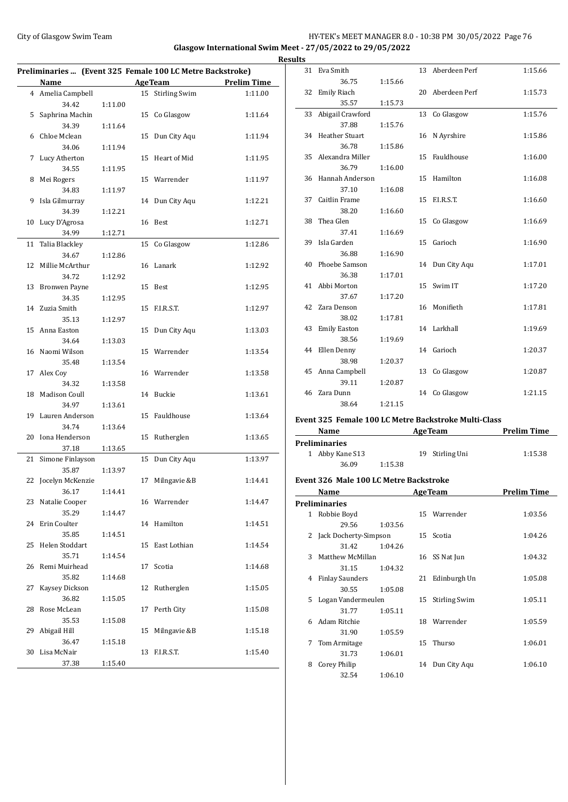#### City of Glasgow Swim Team Team Feam Fermi States of Glasgow Swim Team Feam Fermi States of Glasgow Swim Team Fermi States of Glasgow Swim Team Fermi States of Glasgow Swim Team Fermi States of Glasgow Swim Team Fermi State **Glasgow International Swim Meet - 27/05/2022 to 29/05/2022 Results**

| Preliminaries  (Event 325 Female 100 LC Metre Backstroke) |                      |         |    |                      |                    |
|-----------------------------------------------------------|----------------------|---------|----|----------------------|--------------------|
|                                                           | Name                 |         |    | <b>AgeTeam</b>       | <b>Prelim Time</b> |
|                                                           | 4 Amelia Campbell    |         | 15 | <b>Stirling Swim</b> | 1:11.00            |
|                                                           | 34.42                | 1:11.00 |    |                      |                    |
| 5                                                         | Saphrina Machin      |         | 15 | Co Glasgow           | 1:11.64            |
|                                                           | 34.39                | 1:11.64 |    |                      |                    |
| 6                                                         | Chloe Mclean         |         | 15 | Dun City Aqu         | 1:11.94            |
|                                                           | 34.06                | 1:11.94 |    |                      |                    |
| 7                                                         | Lucy Atherton        |         | 15 | Heart of Mid         | 1:11.95            |
|                                                           | 34.55                | 1:11.95 |    |                      |                    |
| 8                                                         | Mei Rogers           |         |    | 15 Warrender         | 1:11.97            |
|                                                           | 34.83                | 1:11.97 |    |                      |                    |
| 9                                                         | Isla Gilmurray       |         | 14 | Dun City Aqu         | 1:12.21            |
|                                                           | 34.39                | 1:12.21 |    |                      |                    |
| 10                                                        | Lucy D'Agrosa        |         |    | 16 Best              | 1:12.71            |
|                                                           | 34.99                | 1:12.71 |    |                      |                    |
| 11                                                        | Talia Blackley       |         | 15 | Co Glasgow           | 1:12.86            |
|                                                           | 34.67                | 1:12.86 |    |                      |                    |
| 12                                                        | Millie McArthur      |         | 16 | Lanark               | 1:12.92            |
|                                                           | 34.72                | 1:12.92 |    |                      |                    |
| 13                                                        | <b>Bronwen Payne</b> |         | 15 | Best                 | 1:12.95            |
|                                                           | 34.35<br>Zuzia Smith | 1:12.95 |    | F.I.R.S.T.           |                    |
| 14                                                        |                      |         | 15 |                      | 1:12.97            |
| 15                                                        | 35.13<br>Anna Easton | 1:12.97 | 15 | Dun City Aqu         | 1:13.03            |
|                                                           | 34.64                | 1:13.03 |    |                      |                    |
| 16                                                        | Naomi Wilson         |         |    | 15 Warrender         | 1:13.54            |
|                                                           | 35.48                | 1:13.54 |    |                      |                    |
| 17                                                        | Alex Coy             |         |    | 16 Warrender         | 1:13.58            |
|                                                           | 34.32                | 1:13.58 |    |                      |                    |
| 18                                                        | Madison Coull        |         | 14 | Buckie               | 1:13.61            |
|                                                           | 34.97                | 1:13.61 |    |                      |                    |
| 19                                                        | Lauren Anderson      |         | 15 | Fauldhouse           | 1:13.64            |
|                                                           | 34.74                | 1:13.64 |    |                      |                    |
| 20                                                        | Iona Henderson       |         | 15 | Rutherglen           | 1:13.65            |
|                                                           | 37.18                | 1:13.65 |    |                      |                    |
| 21                                                        | Simone Finlayson     |         | 15 | Dun City Aqu         | 1:13.97            |
|                                                           | 35.87                | 1:13.97 |    |                      |                    |
| 22                                                        | Jocelyn McKenzie     |         | 17 | Milngavie &B         | 1:14.41            |
|                                                           | 36.17                | 1:14.41 |    |                      |                    |
|                                                           | 23 Natalie Cooper    |         |    | 16 Warrender         | 1:14.47            |
|                                                           | 35.29                | 1:14.47 |    |                      |                    |
| 24                                                        | Erin Coulter         |         |    | 14 Hamilton          | 1:14.51            |
|                                                           | 35.85                | 1:14.51 |    |                      |                    |
| 25                                                        | Helen Stoddart       |         | 15 | East Lothian         | 1:14.54            |
|                                                           | 35.71                | 1:14.54 |    |                      |                    |
| 26                                                        | Remi Muirhead        |         | 17 | Scotia               | 1:14.68            |
|                                                           | 35.82                | 1:14.68 |    |                      |                    |
| 27                                                        | Kaysey Dickson       |         | 12 | Rutherglen           | 1:15.05            |
|                                                           | 36.82                | 1:15.05 |    |                      |                    |
| 28                                                        | Rose McLean          |         | 17 | Perth City           | 1:15.08            |
|                                                           | 35.53                | 1:15.08 |    |                      |                    |
| 29                                                        | Abigail Hill         |         | 15 | Milngavie &B         | 1:15.18            |
|                                                           | 36.47                | 1:15.18 |    |                      |                    |
| 30                                                        | Lisa McNair          |         | 13 | F.I.R.S.T.           | 1:15.40            |
|                                                           | 37.38                | 1:15.40 |    |                      |                    |

| IUS |                         |         |    |                                                |         |
|-----|-------------------------|---------|----|------------------------------------------------|---------|
|     | 31 Eva Smith            |         |    | 13 Aberdeen Perf                               | 1:15.66 |
|     | 36.75                   | 1:15.66 |    |                                                |         |
| 32  | <b>Emily Riach</b>      |         |    | 20 Aberdeen Perf                               | 1:15.73 |
|     | 35.57                   | 1:15.73 |    |                                                |         |
| 33  | Abigail Crawford        |         | 13 | Co Glasgow                                     | 1:15.76 |
|     | 37.88                   | 1:15.76 |    |                                                |         |
|     | 34 Heather Stuart       |         | 16 | N Ayrshire                                     | 1:15.86 |
|     | 36.78                   | 1:15.86 |    |                                                |         |
| 35  | Alexandra Miller        |         | 15 | Fauldhouse                                     | 1:16.00 |
|     | 36.79                   | 1:16.00 |    |                                                |         |
|     | 36 Hannah Anderson      |         | 15 | Hamilton                                       | 1:16.08 |
|     | 37.10                   | 1:16.08 |    |                                                |         |
|     | 37 Caitlin Frame        |         |    | 15 F.I.R.S.T.                                  | 1:16.60 |
|     | 38.20                   | 1:16.60 |    |                                                |         |
|     | 38 Thea Glen            |         |    | 15 Co Glasgow                                  | 1:16.69 |
|     | 37.41                   | 1:16.69 |    |                                                |         |
|     | 39 Isla Garden          |         | 15 | Garioch                                        | 1:16.90 |
|     | 36.88                   | 1:16.90 |    |                                                |         |
| 40  | Phoebe Samson           |         |    | 14 Dun City Aqu                                | 1:17.01 |
|     | 36.38                   | 1:17.01 |    |                                                |         |
|     | 41 Abbi Morton          |         |    | 15 Swim IT                                     | 1:17.20 |
|     | 37.67                   | 1:17.20 |    |                                                |         |
|     | 42 Zara Denson          |         |    | 16 Monifieth                                   | 1:17.81 |
|     | 38.02                   | 1:17.81 |    |                                                |         |
|     | 43 Emily Easton         |         |    | 14 Larkhall                                    | 1:19.69 |
|     | 38.56                   | 1:19.69 |    | 14 Garioch                                     |         |
|     | 44 Ellen Denny<br>38.98 | 1:20.37 |    |                                                | 1:20.37 |
|     | 45 Anna Campbell        |         |    | 13 Co Glasgow                                  | 1:20.87 |
|     | 39.11                   |         |    |                                                |         |
|     | 46 Zara Dunn            | 1:20.87 |    | 14 Co Glasgow                                  | 1:21.15 |
|     | 38.64                   | 1:21.15 |    |                                                |         |
|     |                         |         |    |                                                |         |
|     |                         |         |    | 225 Ecosela 100 LC Matus Daalastuslas Multi Cl |         |

#### **Event 325 Female 100 LC Metre Backstroke Multi-Class**

| Name                 |         | <b>AgeTeam</b>  | <b>Prelim Time</b> |
|----------------------|---------|-----------------|--------------------|
| <b>Preliminaries</b> |         |                 |                    |
| 1 Abby Kane S13      |         | 19 Stirling Uni | 1:15.38            |
| 36.09                | 1:15.38 |                 |                    |

#### **Event 326 Male 100 LC Metre Backstroke**

|              | Name                    |         |    | <b>AgeTeam</b>       | <b>Prelim Time</b> |
|--------------|-------------------------|---------|----|----------------------|--------------------|
|              | <b>Preliminaries</b>    |         |    |                      |                    |
| $\mathbf{1}$ | Robbie Boyd             |         |    | 15 Warrender         | 1:03.56            |
|              | 29.56                   | 1:03.56 |    |                      |                    |
|              | 2 Jack Docherty-Simpson |         |    | 15 Scotia            | 1:04.26            |
|              | 31.42                   | 1:04.26 |    |                      |                    |
| 3            | Matthew McMillan        |         |    | 16 SS Nat Jun        | 1:04.32            |
|              | 31.15                   | 1:04.32 |    |                      |                    |
| 4            | <b>Finlay Saunders</b>  |         | 21 | Edinburgh Un         | 1:05.08            |
|              | 30.55                   | 1:05.08 |    |                      |                    |
| 5.           | Logan Vandermeulen      |         | 15 | <b>Stirling Swim</b> | 1:05.11            |
|              | 31.77                   | 1:05.11 |    |                      |                    |
| 6            | Adam Ritchie            |         | 18 | Warrender            | 1:05.59            |
|              | 31.90                   | 1:05.59 |    |                      |                    |
| 7            | Tom Armitage            |         | 15 | Thurso               | 1:06.01            |
|              | 31.73                   | 1:06.01 |    |                      |                    |
| 8            | Corey Philip            |         | 14 | Dun City Aqu         | 1:06.10            |
|              | 32.54                   | 1:06.10 |    |                      |                    |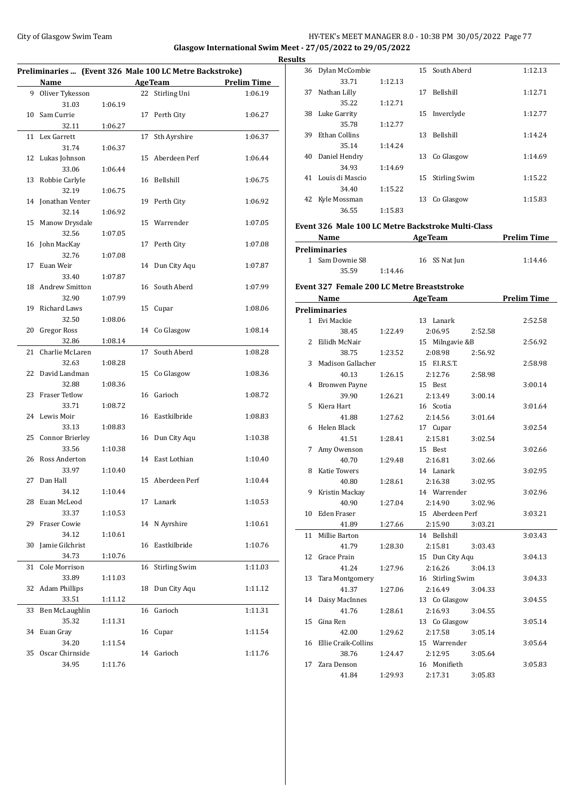#### City of Glasgow Swim Team HY-TEK's MEET MANAGER 8.0 - 10:38 PM 30/05/2022 Page 77 **Glasgow International Swim Meet - 27/05/2022 to 29/05/2022 Results**

| Name<br><b>AgeTeam</b><br><b>Prelim Time</b><br>Stirling Uni<br>1:06.19<br>9<br>Oliver Tykesson<br>22<br>31.03<br>1:06.19<br>Sam Currie<br>Perth City<br>10<br>17<br>1:06.27<br>32.11<br>1:06.27<br>Lex Garrett<br>Sth Ayrshire<br>11<br>17<br>1:06.37<br>31.74<br>1:06.37<br>Aberdeen Perf<br>12<br>Lukas Johnson<br>15<br>1:06.44<br>33.06<br>1:06.44<br>13<br>Robbie Carlyle<br>Bellshill<br>1:06.75<br>16<br>32.19<br>1:06.75<br>Jonathan Venter<br>Perth City<br>1:06.92<br>14<br>19<br>32.14<br>1:06.92<br>15<br>Manow Drysdale<br>15<br>Warrender<br>1:07.05<br>32.56<br>1:07.05<br>John MacKay<br>Perth City<br>16<br>17<br>1:07.08<br>32.76<br>1:07.08<br>Euan Weir<br>Dun City Aqu<br>17<br>14<br>1:07.87<br>33.40<br>1:07.87<br><b>Andrew Smitton</b><br>South Aberd<br>18<br>16<br>1:07.99<br>32.90<br>1:07.99<br>19<br><b>Richard Laws</b><br>15<br>Cupar<br>1:08.06<br>32.50<br>1:08.06<br><b>Gregor Ross</b><br>20<br>Co Glasgow<br>1:08.14<br>14<br>32.86<br>1:08.14<br>Charlie McLaren<br>South Aberd<br>21<br>17<br>1:08.28<br>32.63<br>1:08.28<br>22<br>David Landman<br>Co Glasgow<br>1:08.36<br>15<br>32.88<br>1:08.36<br><b>Fraser Tetlow</b><br>23<br>Garioch<br>16<br>1:08.72<br>33.71<br>1:08.72<br>24<br>Lewis Moir<br>Eastkilbride<br>16<br>1:08.83<br>33.13<br>1:08.83<br><b>Connor Brierley</b><br>Dun City Aqu<br>25<br>16<br>1:10.38<br>33.56<br>1:10.38<br>Ross Anderton<br>East Lothian<br>26<br>14<br>1:10.40<br>33.97<br>1:10.40<br>27<br>Dan Hall<br>15<br>Aberdeen Perf<br>1:10.44<br>34.12<br>1:10.44<br>17 Lanark<br>28 Euan McLeod<br>1:10.53<br>33.37<br>1:10.53<br>Fraser Cowie<br>N Ayrshire<br>29<br>1:10.61<br>14<br>34.12<br>1:10.61<br>Eastkilbride<br>30<br>Jamie Gilchrist<br>16<br>1:10.76<br>34.73<br>1:10.76<br>Cole Morrison<br><b>Stirling Swim</b><br>16<br>1:11.03<br>31<br>33.89<br>1:11.03<br><b>Adam Phillips</b><br>Dun City Aqu<br>1:11.12<br>32<br>18<br>33.51<br>1:11.12<br>Ben McLaughlin<br>16<br>Garioch<br>1:11.31<br>33<br>35.32<br>1:11.31<br>34<br>Euan Gray<br>Cupar<br>1:11.54<br>16<br>34.20<br>1:11.54<br>35<br>Oscar Chirnside<br>Garioch<br>1:11.76<br>14<br>34.95<br>1:11.76 | Preliminaries  (Event 326 Male 100 LC Metre Backstroke) |  |  |  |  |  |  |
|-----------------------------------------------------------------------------------------------------------------------------------------------------------------------------------------------------------------------------------------------------------------------------------------------------------------------------------------------------------------------------------------------------------------------------------------------------------------------------------------------------------------------------------------------------------------------------------------------------------------------------------------------------------------------------------------------------------------------------------------------------------------------------------------------------------------------------------------------------------------------------------------------------------------------------------------------------------------------------------------------------------------------------------------------------------------------------------------------------------------------------------------------------------------------------------------------------------------------------------------------------------------------------------------------------------------------------------------------------------------------------------------------------------------------------------------------------------------------------------------------------------------------------------------------------------------------------------------------------------------------------------------------------------------------------------------------------------------------------------------------------------------------------------------------------------------------------------------------------------------------------------------------------------------------------------------------------------------------------------------------------------------------------------------------------------------------------------------------------------------------------------------------------------|---------------------------------------------------------|--|--|--|--|--|--|
|                                                                                                                                                                                                                                                                                                                                                                                                                                                                                                                                                                                                                                                                                                                                                                                                                                                                                                                                                                                                                                                                                                                                                                                                                                                                                                                                                                                                                                                                                                                                                                                                                                                                                                                                                                                                                                                                                                                                                                                                                                                                                                                                                           |                                                         |  |  |  |  |  |  |
|                                                                                                                                                                                                                                                                                                                                                                                                                                                                                                                                                                                                                                                                                                                                                                                                                                                                                                                                                                                                                                                                                                                                                                                                                                                                                                                                                                                                                                                                                                                                                                                                                                                                                                                                                                                                                                                                                                                                                                                                                                                                                                                                                           |                                                         |  |  |  |  |  |  |
|                                                                                                                                                                                                                                                                                                                                                                                                                                                                                                                                                                                                                                                                                                                                                                                                                                                                                                                                                                                                                                                                                                                                                                                                                                                                                                                                                                                                                                                                                                                                                                                                                                                                                                                                                                                                                                                                                                                                                                                                                                                                                                                                                           |                                                         |  |  |  |  |  |  |
|                                                                                                                                                                                                                                                                                                                                                                                                                                                                                                                                                                                                                                                                                                                                                                                                                                                                                                                                                                                                                                                                                                                                                                                                                                                                                                                                                                                                                                                                                                                                                                                                                                                                                                                                                                                                                                                                                                                                                                                                                                                                                                                                                           |                                                         |  |  |  |  |  |  |
|                                                                                                                                                                                                                                                                                                                                                                                                                                                                                                                                                                                                                                                                                                                                                                                                                                                                                                                                                                                                                                                                                                                                                                                                                                                                                                                                                                                                                                                                                                                                                                                                                                                                                                                                                                                                                                                                                                                                                                                                                                                                                                                                                           |                                                         |  |  |  |  |  |  |
|                                                                                                                                                                                                                                                                                                                                                                                                                                                                                                                                                                                                                                                                                                                                                                                                                                                                                                                                                                                                                                                                                                                                                                                                                                                                                                                                                                                                                                                                                                                                                                                                                                                                                                                                                                                                                                                                                                                                                                                                                                                                                                                                                           |                                                         |  |  |  |  |  |  |
|                                                                                                                                                                                                                                                                                                                                                                                                                                                                                                                                                                                                                                                                                                                                                                                                                                                                                                                                                                                                                                                                                                                                                                                                                                                                                                                                                                                                                                                                                                                                                                                                                                                                                                                                                                                                                                                                                                                                                                                                                                                                                                                                                           |                                                         |  |  |  |  |  |  |
|                                                                                                                                                                                                                                                                                                                                                                                                                                                                                                                                                                                                                                                                                                                                                                                                                                                                                                                                                                                                                                                                                                                                                                                                                                                                                                                                                                                                                                                                                                                                                                                                                                                                                                                                                                                                                                                                                                                                                                                                                                                                                                                                                           |                                                         |  |  |  |  |  |  |
|                                                                                                                                                                                                                                                                                                                                                                                                                                                                                                                                                                                                                                                                                                                                                                                                                                                                                                                                                                                                                                                                                                                                                                                                                                                                                                                                                                                                                                                                                                                                                                                                                                                                                                                                                                                                                                                                                                                                                                                                                                                                                                                                                           |                                                         |  |  |  |  |  |  |
|                                                                                                                                                                                                                                                                                                                                                                                                                                                                                                                                                                                                                                                                                                                                                                                                                                                                                                                                                                                                                                                                                                                                                                                                                                                                                                                                                                                                                                                                                                                                                                                                                                                                                                                                                                                                                                                                                                                                                                                                                                                                                                                                                           |                                                         |  |  |  |  |  |  |
|                                                                                                                                                                                                                                                                                                                                                                                                                                                                                                                                                                                                                                                                                                                                                                                                                                                                                                                                                                                                                                                                                                                                                                                                                                                                                                                                                                                                                                                                                                                                                                                                                                                                                                                                                                                                                                                                                                                                                                                                                                                                                                                                                           |                                                         |  |  |  |  |  |  |
|                                                                                                                                                                                                                                                                                                                                                                                                                                                                                                                                                                                                                                                                                                                                                                                                                                                                                                                                                                                                                                                                                                                                                                                                                                                                                                                                                                                                                                                                                                                                                                                                                                                                                                                                                                                                                                                                                                                                                                                                                                                                                                                                                           |                                                         |  |  |  |  |  |  |
|                                                                                                                                                                                                                                                                                                                                                                                                                                                                                                                                                                                                                                                                                                                                                                                                                                                                                                                                                                                                                                                                                                                                                                                                                                                                                                                                                                                                                                                                                                                                                                                                                                                                                                                                                                                                                                                                                                                                                                                                                                                                                                                                                           |                                                         |  |  |  |  |  |  |
|                                                                                                                                                                                                                                                                                                                                                                                                                                                                                                                                                                                                                                                                                                                                                                                                                                                                                                                                                                                                                                                                                                                                                                                                                                                                                                                                                                                                                                                                                                                                                                                                                                                                                                                                                                                                                                                                                                                                                                                                                                                                                                                                                           |                                                         |  |  |  |  |  |  |
|                                                                                                                                                                                                                                                                                                                                                                                                                                                                                                                                                                                                                                                                                                                                                                                                                                                                                                                                                                                                                                                                                                                                                                                                                                                                                                                                                                                                                                                                                                                                                                                                                                                                                                                                                                                                                                                                                                                                                                                                                                                                                                                                                           |                                                         |  |  |  |  |  |  |
|                                                                                                                                                                                                                                                                                                                                                                                                                                                                                                                                                                                                                                                                                                                                                                                                                                                                                                                                                                                                                                                                                                                                                                                                                                                                                                                                                                                                                                                                                                                                                                                                                                                                                                                                                                                                                                                                                                                                                                                                                                                                                                                                                           |                                                         |  |  |  |  |  |  |
|                                                                                                                                                                                                                                                                                                                                                                                                                                                                                                                                                                                                                                                                                                                                                                                                                                                                                                                                                                                                                                                                                                                                                                                                                                                                                                                                                                                                                                                                                                                                                                                                                                                                                                                                                                                                                                                                                                                                                                                                                                                                                                                                                           |                                                         |  |  |  |  |  |  |
|                                                                                                                                                                                                                                                                                                                                                                                                                                                                                                                                                                                                                                                                                                                                                                                                                                                                                                                                                                                                                                                                                                                                                                                                                                                                                                                                                                                                                                                                                                                                                                                                                                                                                                                                                                                                                                                                                                                                                                                                                                                                                                                                                           |                                                         |  |  |  |  |  |  |
|                                                                                                                                                                                                                                                                                                                                                                                                                                                                                                                                                                                                                                                                                                                                                                                                                                                                                                                                                                                                                                                                                                                                                                                                                                                                                                                                                                                                                                                                                                                                                                                                                                                                                                                                                                                                                                                                                                                                                                                                                                                                                                                                                           |                                                         |  |  |  |  |  |  |
|                                                                                                                                                                                                                                                                                                                                                                                                                                                                                                                                                                                                                                                                                                                                                                                                                                                                                                                                                                                                                                                                                                                                                                                                                                                                                                                                                                                                                                                                                                                                                                                                                                                                                                                                                                                                                                                                                                                                                                                                                                                                                                                                                           |                                                         |  |  |  |  |  |  |
|                                                                                                                                                                                                                                                                                                                                                                                                                                                                                                                                                                                                                                                                                                                                                                                                                                                                                                                                                                                                                                                                                                                                                                                                                                                                                                                                                                                                                                                                                                                                                                                                                                                                                                                                                                                                                                                                                                                                                                                                                                                                                                                                                           |                                                         |  |  |  |  |  |  |
|                                                                                                                                                                                                                                                                                                                                                                                                                                                                                                                                                                                                                                                                                                                                                                                                                                                                                                                                                                                                                                                                                                                                                                                                                                                                                                                                                                                                                                                                                                                                                                                                                                                                                                                                                                                                                                                                                                                                                                                                                                                                                                                                                           |                                                         |  |  |  |  |  |  |
|                                                                                                                                                                                                                                                                                                                                                                                                                                                                                                                                                                                                                                                                                                                                                                                                                                                                                                                                                                                                                                                                                                                                                                                                                                                                                                                                                                                                                                                                                                                                                                                                                                                                                                                                                                                                                                                                                                                                                                                                                                                                                                                                                           |                                                         |  |  |  |  |  |  |
|                                                                                                                                                                                                                                                                                                                                                                                                                                                                                                                                                                                                                                                                                                                                                                                                                                                                                                                                                                                                                                                                                                                                                                                                                                                                                                                                                                                                                                                                                                                                                                                                                                                                                                                                                                                                                                                                                                                                                                                                                                                                                                                                                           |                                                         |  |  |  |  |  |  |
|                                                                                                                                                                                                                                                                                                                                                                                                                                                                                                                                                                                                                                                                                                                                                                                                                                                                                                                                                                                                                                                                                                                                                                                                                                                                                                                                                                                                                                                                                                                                                                                                                                                                                                                                                                                                                                                                                                                                                                                                                                                                                                                                                           |                                                         |  |  |  |  |  |  |
|                                                                                                                                                                                                                                                                                                                                                                                                                                                                                                                                                                                                                                                                                                                                                                                                                                                                                                                                                                                                                                                                                                                                                                                                                                                                                                                                                                                                                                                                                                                                                                                                                                                                                                                                                                                                                                                                                                                                                                                                                                                                                                                                                           |                                                         |  |  |  |  |  |  |
|                                                                                                                                                                                                                                                                                                                                                                                                                                                                                                                                                                                                                                                                                                                                                                                                                                                                                                                                                                                                                                                                                                                                                                                                                                                                                                                                                                                                                                                                                                                                                                                                                                                                                                                                                                                                                                                                                                                                                                                                                                                                                                                                                           |                                                         |  |  |  |  |  |  |
|                                                                                                                                                                                                                                                                                                                                                                                                                                                                                                                                                                                                                                                                                                                                                                                                                                                                                                                                                                                                                                                                                                                                                                                                                                                                                                                                                                                                                                                                                                                                                                                                                                                                                                                                                                                                                                                                                                                                                                                                                                                                                                                                                           |                                                         |  |  |  |  |  |  |
|                                                                                                                                                                                                                                                                                                                                                                                                                                                                                                                                                                                                                                                                                                                                                                                                                                                                                                                                                                                                                                                                                                                                                                                                                                                                                                                                                                                                                                                                                                                                                                                                                                                                                                                                                                                                                                                                                                                                                                                                                                                                                                                                                           |                                                         |  |  |  |  |  |  |
|                                                                                                                                                                                                                                                                                                                                                                                                                                                                                                                                                                                                                                                                                                                                                                                                                                                                                                                                                                                                                                                                                                                                                                                                                                                                                                                                                                                                                                                                                                                                                                                                                                                                                                                                                                                                                                                                                                                                                                                                                                                                                                                                                           |                                                         |  |  |  |  |  |  |
|                                                                                                                                                                                                                                                                                                                                                                                                                                                                                                                                                                                                                                                                                                                                                                                                                                                                                                                                                                                                                                                                                                                                                                                                                                                                                                                                                                                                                                                                                                                                                                                                                                                                                                                                                                                                                                                                                                                                                                                                                                                                                                                                                           |                                                         |  |  |  |  |  |  |
|                                                                                                                                                                                                                                                                                                                                                                                                                                                                                                                                                                                                                                                                                                                                                                                                                                                                                                                                                                                                                                                                                                                                                                                                                                                                                                                                                                                                                                                                                                                                                                                                                                                                                                                                                                                                                                                                                                                                                                                                                                                                                                                                                           |                                                         |  |  |  |  |  |  |
|                                                                                                                                                                                                                                                                                                                                                                                                                                                                                                                                                                                                                                                                                                                                                                                                                                                                                                                                                                                                                                                                                                                                                                                                                                                                                                                                                                                                                                                                                                                                                                                                                                                                                                                                                                                                                                                                                                                                                                                                                                                                                                                                                           |                                                         |  |  |  |  |  |  |
|                                                                                                                                                                                                                                                                                                                                                                                                                                                                                                                                                                                                                                                                                                                                                                                                                                                                                                                                                                                                                                                                                                                                                                                                                                                                                                                                                                                                                                                                                                                                                                                                                                                                                                                                                                                                                                                                                                                                                                                                                                                                                                                                                           |                                                         |  |  |  |  |  |  |
|                                                                                                                                                                                                                                                                                                                                                                                                                                                                                                                                                                                                                                                                                                                                                                                                                                                                                                                                                                                                                                                                                                                                                                                                                                                                                                                                                                                                                                                                                                                                                                                                                                                                                                                                                                                                                                                                                                                                                                                                                                                                                                                                                           |                                                         |  |  |  |  |  |  |
|                                                                                                                                                                                                                                                                                                                                                                                                                                                                                                                                                                                                                                                                                                                                                                                                                                                                                                                                                                                                                                                                                                                                                                                                                                                                                                                                                                                                                                                                                                                                                                                                                                                                                                                                                                                                                                                                                                                                                                                                                                                                                                                                                           |                                                         |  |  |  |  |  |  |
|                                                                                                                                                                                                                                                                                                                                                                                                                                                                                                                                                                                                                                                                                                                                                                                                                                                                                                                                                                                                                                                                                                                                                                                                                                                                                                                                                                                                                                                                                                                                                                                                                                                                                                                                                                                                                                                                                                                                                                                                                                                                                                                                                           |                                                         |  |  |  |  |  |  |
|                                                                                                                                                                                                                                                                                                                                                                                                                                                                                                                                                                                                                                                                                                                                                                                                                                                                                                                                                                                                                                                                                                                                                                                                                                                                                                                                                                                                                                                                                                                                                                                                                                                                                                                                                                                                                                                                                                                                                                                                                                                                                                                                                           |                                                         |  |  |  |  |  |  |
|                                                                                                                                                                                                                                                                                                                                                                                                                                                                                                                                                                                                                                                                                                                                                                                                                                                                                                                                                                                                                                                                                                                                                                                                                                                                                                                                                                                                                                                                                                                                                                                                                                                                                                                                                                                                                                                                                                                                                                                                                                                                                                                                                           |                                                         |  |  |  |  |  |  |
|                                                                                                                                                                                                                                                                                                                                                                                                                                                                                                                                                                                                                                                                                                                                                                                                                                                                                                                                                                                                                                                                                                                                                                                                                                                                                                                                                                                                                                                                                                                                                                                                                                                                                                                                                                                                                                                                                                                                                                                                                                                                                                                                                           |                                                         |  |  |  |  |  |  |
|                                                                                                                                                                                                                                                                                                                                                                                                                                                                                                                                                                                                                                                                                                                                                                                                                                                                                                                                                                                                                                                                                                                                                                                                                                                                                                                                                                                                                                                                                                                                                                                                                                                                                                                                                                                                                                                                                                                                                                                                                                                                                                                                                           |                                                         |  |  |  |  |  |  |
|                                                                                                                                                                                                                                                                                                                                                                                                                                                                                                                                                                                                                                                                                                                                                                                                                                                                                                                                                                                                                                                                                                                                                                                                                                                                                                                                                                                                                                                                                                                                                                                                                                                                                                                                                                                                                                                                                                                                                                                                                                                                                                                                                           |                                                         |  |  |  |  |  |  |
|                                                                                                                                                                                                                                                                                                                                                                                                                                                                                                                                                                                                                                                                                                                                                                                                                                                                                                                                                                                                                                                                                                                                                                                                                                                                                                                                                                                                                                                                                                                                                                                                                                                                                                                                                                                                                                                                                                                                                                                                                                                                                                                                                           |                                                         |  |  |  |  |  |  |
|                                                                                                                                                                                                                                                                                                                                                                                                                                                                                                                                                                                                                                                                                                                                                                                                                                                                                                                                                                                                                                                                                                                                                                                                                                                                                                                                                                                                                                                                                                                                                                                                                                                                                                                                                                                                                                                                                                                                                                                                                                                                                                                                                           |                                                         |  |  |  |  |  |  |
|                                                                                                                                                                                                                                                                                                                                                                                                                                                                                                                                                                                                                                                                                                                                                                                                                                                                                                                                                                                                                                                                                                                                                                                                                                                                                                                                                                                                                                                                                                                                                                                                                                                                                                                                                                                                                                                                                                                                                                                                                                                                                                                                                           |                                                         |  |  |  |  |  |  |
|                                                                                                                                                                                                                                                                                                                                                                                                                                                                                                                                                                                                                                                                                                                                                                                                                                                                                                                                                                                                                                                                                                                                                                                                                                                                                                                                                                                                                                                                                                                                                                                                                                                                                                                                                                                                                                                                                                                                                                                                                                                                                                                                                           |                                                         |  |  |  |  |  |  |
|                                                                                                                                                                                                                                                                                                                                                                                                                                                                                                                                                                                                                                                                                                                                                                                                                                                                                                                                                                                                                                                                                                                                                                                                                                                                                                                                                                                                                                                                                                                                                                                                                                                                                                                                                                                                                                                                                                                                                                                                                                                                                                                                                           |                                                         |  |  |  |  |  |  |
|                                                                                                                                                                                                                                                                                                                                                                                                                                                                                                                                                                                                                                                                                                                                                                                                                                                                                                                                                                                                                                                                                                                                                                                                                                                                                                                                                                                                                                                                                                                                                                                                                                                                                                                                                                                                                                                                                                                                                                                                                                                                                                                                                           |                                                         |  |  |  |  |  |  |
|                                                                                                                                                                                                                                                                                                                                                                                                                                                                                                                                                                                                                                                                                                                                                                                                                                                                                                                                                                                                                                                                                                                                                                                                                                                                                                                                                                                                                                                                                                                                                                                                                                                                                                                                                                                                                                                                                                                                                                                                                                                                                                                                                           |                                                         |  |  |  |  |  |  |
|                                                                                                                                                                                                                                                                                                                                                                                                                                                                                                                                                                                                                                                                                                                                                                                                                                                                                                                                                                                                                                                                                                                                                                                                                                                                                                                                                                                                                                                                                                                                                                                                                                                                                                                                                                                                                                                                                                                                                                                                                                                                                                                                                           |                                                         |  |  |  |  |  |  |
|                                                                                                                                                                                                                                                                                                                                                                                                                                                                                                                                                                                                                                                                                                                                                                                                                                                                                                                                                                                                                                                                                                                                                                                                                                                                                                                                                                                                                                                                                                                                                                                                                                                                                                                                                                                                                                                                                                                                                                                                                                                                                                                                                           |                                                         |  |  |  |  |  |  |
|                                                                                                                                                                                                                                                                                                                                                                                                                                                                                                                                                                                                                                                                                                                                                                                                                                                                                                                                                                                                                                                                                                                                                                                                                                                                                                                                                                                                                                                                                                                                                                                                                                                                                                                                                                                                                                                                                                                                                                                                                                                                                                                                                           |                                                         |  |  |  |  |  |  |
|                                                                                                                                                                                                                                                                                                                                                                                                                                                                                                                                                                                                                                                                                                                                                                                                                                                                                                                                                                                                                                                                                                                                                                                                                                                                                                                                                                                                                                                                                                                                                                                                                                                                                                                                                                                                                                                                                                                                                                                                                                                                                                                                                           |                                                         |  |  |  |  |  |  |
|                                                                                                                                                                                                                                                                                                                                                                                                                                                                                                                                                                                                                                                                                                                                                                                                                                                                                                                                                                                                                                                                                                                                                                                                                                                                                                                                                                                                                                                                                                                                                                                                                                                                                                                                                                                                                                                                                                                                                                                                                                                                                                                                                           |                                                         |  |  |  |  |  |  |

|    | 36 Dylan McCombie                          |         | 15 South Aberd                                     | 1:12.13 |
|----|--------------------------------------------|---------|----------------------------------------------------|---------|
|    | 33.71                                      | 1:12.13 |                                                    |         |
|    | 37 Nathan Lilly                            |         | 17 Bellshill                                       | 1:12.71 |
|    | 35.22                                      | 1:12.71 |                                                    |         |
|    | 38 Luke Garrity                            |         | 15 Inverclyde                                      | 1:12.77 |
|    | 35.78                                      | 1:12.77 |                                                    |         |
|    | 39 Ethan Collins                           |         | 13 Bellshill                                       | 1:14.24 |
|    | 35.14                                      | 1:14.24 |                                                    |         |
|    | 40 Daniel Hendry                           |         | 13 Co Glasgow                                      | 1:14.69 |
|    | 34.93                                      | 1:14.69 |                                                    |         |
|    | 41 Louis di Mascio                         |         | 15<br><b>Stirling Swim</b>                         | 1:15.22 |
|    | 34.40                                      | 1:15.22 |                                                    |         |
|    | 42 Kyle Mossman                            |         | Co Glasgow<br>13                                   | 1:15.83 |
|    | 36.55                                      | 1:15.83 |                                                    |         |
|    |                                            |         | Event 326 Male 100 LC Metre Backstroke Multi-Class |         |
|    | Name                                       |         | <b>Example 2 Second Age Team Prelim Time</b>       |         |
|    | Preliminaries                              |         |                                                    |         |
|    | 1 Sam Downie S8                            |         | 16 SS Nat Jun                                      | 1:14.46 |
|    | 35.59                                      | 1:14.46 |                                                    |         |
|    |                                            |         |                                                    |         |
|    | Event 327 Female 200 LC Metre Breaststroke |         |                                                    |         |
|    |                                            |         | Name AgeTeam Prelim Time                           |         |
|    | <b>Preliminaries</b>                       |         |                                                    |         |
|    | 1 Evi Mackie<br>38.45                      |         | 13 Lanark                                          | 2:52.58 |
|    |                                            | 1:22.49 | 2:06.95<br>2:52.58                                 |         |
|    | 2 Eilidh McNair                            |         | 15 Milngavie &B                                    | 2:56.92 |
|    | 38.75                                      | 1:23.52 | 2:08.98<br>2:56.92                                 |         |
|    | 3 Madison Gallacher                        |         | 15 F.I.R.S.T.                                      | 2:58.98 |
|    | 40.13                                      | 1:26.15 | 2:12.76<br>2:58.98                                 |         |
|    | 4 Bronwen Payne                            |         | 15 Best                                            | 3:00.14 |
|    | 39.90                                      | 1:26.21 | 2:13.49<br>3:00.14                                 |         |
|    | 5 Kiera Hart                               |         | 16 Scotia                                          | 3:01.64 |
|    | 41.88<br>6 Helen Black                     | 1:27.62 | 2:14.56<br>3:01.64                                 |         |
|    | 41.51                                      |         | 17 Cupar                                           | 3:02.54 |
|    |                                            | 1:28.41 | 2:15.81<br>3:02.54<br>15 Best                      | 3:02.66 |
| 7  | Amy Owenson<br>40.70                       | 1:29.48 | 2:16.81<br>3:02.66                                 |         |
|    | 8 Katie Towers                             |         | 14 Lanark                                          | 3:02.95 |
|    | 40.80                                      | 1:28.61 | 2:16.38<br>3:02.95                                 |         |
| 9  | Kristin Mackay                             |         | 14 Warrender                                       | 3:02.96 |
|    | 40.90                                      | 1:27.04 | 2:14.90<br>3:02.96                                 |         |
| 10 | Eden Fraser                                |         | 15 Aberdeen Perf                                   | 3:03.21 |
|    | 41.89                                      | 1:27.66 | 2:15.90<br>3:03.21                                 |         |
| 11 | Millie Barton                              |         | 14 Bellshill                                       | 3:03.43 |
|    | 41.79                                      | 1:28.30 | 2:15.81<br>3:03.43                                 |         |
| 12 | Grace Prain                                |         | 15 Dun City Aqu                                    | 3:04.13 |
|    | 41.24                                      | 1:27.96 | 2:16.26<br>3:04.13                                 |         |
| 13 | Tara Montgomery                            |         | 16 Stirling Swim                                   | 3:04.33 |
|    | 41.37                                      | 1:27.06 | 2:16.49<br>3:04.33                                 |         |
| 14 | Daisy MacInnes                             |         | 13 Co Glasgow                                      | 3:04.55 |
|    | 41.76                                      | 1:28.61 | 2:16.93<br>3:04.55                                 |         |
| 15 | Gina Ren                                   |         | 13 Co Glasgow                                      | 3:05.14 |
|    | 42.00                                      | 1:29.62 | 2:17.58<br>3:05.14                                 |         |
|    | 16 Ellie Craik-Collins                     |         | 15 Warrender                                       | 3:05.64 |
|    | 38.76                                      | 1:24.47 | 2:12.95<br>3:05.64                                 |         |
|    | 17 Zara Denson                             |         | 16 Monifieth                                       | 3:05.83 |
|    | 41.84                                      | 1:29.93 | 2:17.31<br>3:05.83                                 |         |
|    |                                            |         |                                                    |         |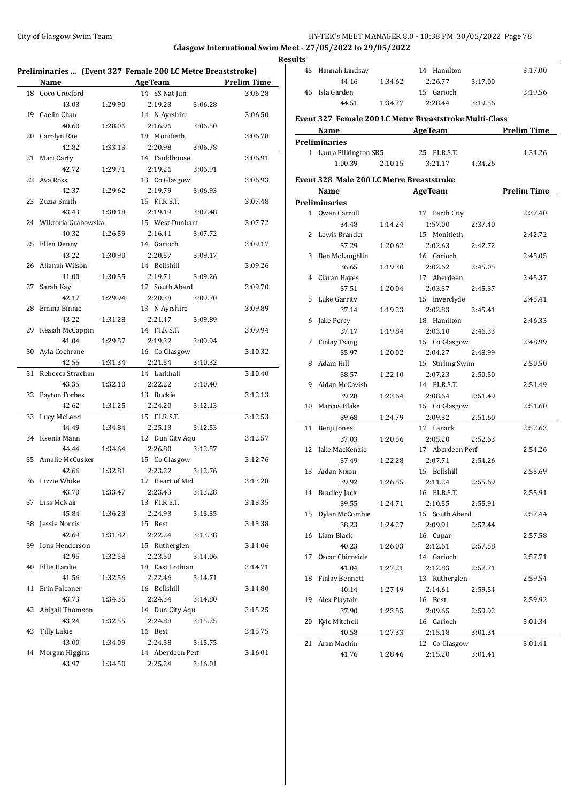## City of Glasgow Swim Team Team Frameters Music City of Glasgow Swim Team Frameters 10:38 PM 30/05/2022 Page 78 **Glasgow International Swim Meet - 27/05/2022 to 29/05/2022**

| Preliminaries  (Event 327 Female 200 LC Metre Breaststroke) |                       |         |                  |         |                    |  |  |  |
|-------------------------------------------------------------|-----------------------|---------|------------------|---------|--------------------|--|--|--|
|                                                             | Name                  |         | <b>AgeTeam</b>   |         | <b>Prelim Time</b> |  |  |  |
| 18                                                          | Coco Croxford         |         | 14 SS Nat Jun    |         | 3:06.28            |  |  |  |
|                                                             | 43.03                 | 1:29.90 | 2:19.23          | 3:06.28 |                    |  |  |  |
| 19                                                          | Caelin Chan           |         | 14 N Ayrshire    |         | 3:06.50            |  |  |  |
|                                                             | 40.60                 | 1:28.06 | 2:16.96          | 3:06.50 |                    |  |  |  |
| 20                                                          | Carolyn Rae           |         | 18 Monifieth     |         | 3:06.78            |  |  |  |
|                                                             | 42.82                 | 1:33.13 | 2:20.98          | 3:06.78 |                    |  |  |  |
| 21                                                          | Maci Carty            |         | 14 Fauldhouse    |         | 3:06.91            |  |  |  |
|                                                             | 42.72                 | 1:29.71 | 2:19.26          | 3:06.91 |                    |  |  |  |
| 22                                                          | Ava Ross              |         | 13 Co Glasgow    |         | 3:06.93            |  |  |  |
|                                                             | 42.37                 | 1:29.62 | 2:19.79          | 3:06.93 |                    |  |  |  |
| 23                                                          | Zuzia Smith           |         | 15 F.I.R.S.T.    |         | 3:07.48            |  |  |  |
|                                                             | 43.43                 | 1:30.18 | 2:19.19          | 3:07.48 |                    |  |  |  |
|                                                             | 24 Wiktoria Grabowska |         | 15 West Dunbart  |         | 3:07.72            |  |  |  |
|                                                             | 40.32                 | 1:26.59 | 2:16.41          | 3:07.72 |                    |  |  |  |
| 25                                                          | Ellen Denny           |         | 14 Garioch       |         | 3:09.17            |  |  |  |
|                                                             | 43.22                 | 1:30.90 | 2:20.57          | 3:09.17 |                    |  |  |  |
| 26                                                          | Allanah Wilson        |         | 14 Bellshill     |         | 3:09.26            |  |  |  |
|                                                             | 41.00                 | 1:30.55 | 2:19.71          | 3:09.26 |                    |  |  |  |
| 27                                                          | Sarah Kay             |         | 17 South Aberd   |         | 3:09.70            |  |  |  |
|                                                             | 42.17                 | 1:29.94 | 2:20.38          | 3:09.70 |                    |  |  |  |
| 28                                                          | Emma Binnie           |         | 13 N Ayrshire    |         | 3:09.89            |  |  |  |
|                                                             | 43.22                 | 1:31.28 | 2:21.47          | 3:09.89 |                    |  |  |  |
| 29                                                          | Keziah McCappin       |         | 14 F.I.R.S.T.    |         | 3:09.94            |  |  |  |
|                                                             | 41.04                 | 1:29.57 | 2:19.32          | 3:09.94 |                    |  |  |  |
| 30                                                          | Ayla Cochrane         |         | 16 Co Glasgow    |         | 3:10.32            |  |  |  |
|                                                             | 42.55                 | 1:31.34 | 2:21.54          | 3:10.32 |                    |  |  |  |
| 31                                                          | Rebecca Strachan      |         | 14 Larkhall      |         | 3:10.40            |  |  |  |
|                                                             | 43.35                 | 1:32.10 | 2:22.22          | 3:10.40 |                    |  |  |  |
| 32                                                          | Payton Forbes         |         | 13 Buckie        |         | 3:12.13            |  |  |  |
|                                                             | 42.62                 | 1:31.25 | 2:24.20          | 3:12.13 |                    |  |  |  |
| 33                                                          | Lucy McLeod           |         | 15 F.I.R.S.T.    |         | 3:12.53            |  |  |  |
|                                                             | 44.49                 | 1:34.84 | 2:25.13          | 3:12.53 |                    |  |  |  |
|                                                             | 34 Ksenia Mann        |         | 12 Dun City Aqu  |         | 3:12.57            |  |  |  |
|                                                             | 44.44                 | 1:34.64 | 2:26.80          | 3:12.57 |                    |  |  |  |
| 35                                                          | Amalie McCusker       |         | 15 Co Glasgow    |         | 3:12.76            |  |  |  |
|                                                             | 42.66                 | 1:32.81 | 2:23.22          | 3:12.76 |                    |  |  |  |
|                                                             | 36 Lizzie Whike       |         | 17 Heart of Mid  |         | 3:13.28            |  |  |  |
|                                                             | 43.70                 | 1:33.47 | 2:23.43          | 3:13.28 |                    |  |  |  |
|                                                             | 37 Lisa McNair        |         | 13 F.I.R.S.T.    |         | 3:13.35            |  |  |  |
|                                                             | 45.84                 | 1:36.23 | 2:24.93          | 3:13.35 |                    |  |  |  |
| 38                                                          | Jessie Norris         |         | 15 Best          |         | 3:13.38            |  |  |  |
|                                                             | 42.69                 | 1:31.82 | 2:22.24          | 3:13.38 |                    |  |  |  |
| 39                                                          | Iona Henderson        |         | 15 Rutherglen    |         | 3:14.06            |  |  |  |
|                                                             | 42.95                 | 1:32.58 | 2:23.50          | 3:14.06 |                    |  |  |  |
| 40                                                          | Ellie Hardie          |         | 18 East Lothian  |         | 3:14.71            |  |  |  |
|                                                             | 41.56                 | 1:32.56 | 2:22.46          | 3:14.71 |                    |  |  |  |
| 41                                                          | Erin Falconer         |         | 16 Bellshill     |         | 3:14.80            |  |  |  |
|                                                             | 43.73                 | 1:34.35 | 2:24.34          | 3:14.80 |                    |  |  |  |
| 42                                                          | Abigail Thomson       |         | 14 Dun City Aqu  |         | 3:15.25            |  |  |  |
|                                                             | 43.24                 | 1:32.55 | 2:24.88          | 3:15.25 |                    |  |  |  |
| 43                                                          | <b>Tilly Lakie</b>    |         | 16 Best          |         | 3:15.75            |  |  |  |
|                                                             | 43.00                 | 1:34.09 | 2:24.38          | 3:15.75 |                    |  |  |  |
| 44                                                          | Morgan Higgins        |         | 14 Aberdeen Perf |         | 3:16.01            |  |  |  |
|                                                             | 43.97                 | 1:34.50 | 2:25.24          | 3:16.01 |                    |  |  |  |
|                                                             |                       |         |                  |         |                    |  |  |  |

| <b>Results</b> |                                                                |         |                                                 |         |         |
|----------------|----------------------------------------------------------------|---------|-------------------------------------------------|---------|---------|
|                | 45 Hannah Lindsay                                              |         | 14 Hamilton                                     |         | 3:17.00 |
|                | 44.16                                                          | 1:34.62 | 2:26.77                                         | 3:17.00 |         |
|                | 46 Isla Garden                                                 |         | 15 Garioch                                      |         | 3:19.56 |
|                | 44.51                                                          | 1:34.77 | 2:28.44                                         | 3:19.56 |         |
|                |                                                                |         |                                                 |         |         |
|                | Event 327 Female 200 LC Metre Breaststroke Multi-Class<br>Name |         | <b>Example 2018</b> AgeTeam <b>Prelim Time</b>  |         |         |
|                | <b>Preliminaries</b>                                           |         |                                                 |         |         |
|                | 1 Laura Pilkington SB5                                         |         | 25 F.I.R.S.T.                                   |         | 4:34.26 |
|                | 1:00.39                                                        |         | $2:10.15$ $3:21.17$                             | 4:34.26 |         |
|                |                                                                |         |                                                 |         |         |
|                | Event 328 Male 200 LC Metre Breaststroke                       |         |                                                 |         |         |
|                | Name                                                           |         | <b>Example 2018</b> Age Team <b>Prelim Time</b> |         |         |
|                | <b>Preliminaries</b>                                           |         |                                                 |         |         |
|                | 1 Owen Carroll                                                 |         | 17 Perth City                                   |         | 2:37.40 |
|                | 34.48                                                          | 1:14.24 | 1:57.00                                         | 2:37.40 |         |
|                | 2 Lewis Brander                                                |         | 15 Monifieth                                    |         | 2:42.72 |
|                | 37.29                                                          | 1:20.62 | 2:02.63                                         | 2:42.72 |         |
|                | 3 Ben McLaughlin                                               |         | 16 Garioch                                      |         | 2:45.05 |
|                | 36.65                                                          | 1:19.30 | 2:02.62                                         | 2:45.05 |         |
|                | 4 Ciaran Hayes                                                 |         | 17 Aberdeen                                     |         | 2:45.37 |
|                | 37.51                                                          | 1:20.04 | 2:03.37                                         | 2:45.37 |         |
|                | 5 Luke Garrity                                                 |         | 15 Inverclyde                                   |         | 2:45.41 |
|                | 37.14                                                          | 1:19.23 | 2:02.83                                         | 2:45.41 |         |
|                | 6 Jake Percy                                                   |         | 18 Hamilton                                     |         | 2:46.33 |
|                | 37.17                                                          | 1:19.84 | 2:03.10                                         | 2:46.33 |         |
|                | 7 Finlay Tsang                                                 |         | 15 Co Glasgow                                   |         | 2:48.99 |
|                | 35.97                                                          | 1:20.02 | 2:04.27 2:48.99                                 |         |         |
|                | 8 Adam Hill                                                    |         | 15 Stirling Swim                                |         | 2:50.50 |
|                | 38.57                                                          | 1:22.40 | 2:07.23                                         | 2:50.50 |         |
|                | 9 Aidan McCavish                                               |         | 14 F.I.R.S.T.                                   |         | 2:51.49 |
|                | 39.28                                                          | 1:23.64 | 2:08.64                                         | 2:51.49 |         |
|                | 10 Marcus Blake                                                |         | 15 Co Glasgow                                   |         | 2:51.60 |
|                | 39.68                                                          | 1:24.79 | 2:09.32                                         | 2:51.60 |         |
|                | 11 Benji Jones                                                 |         | 17 Lanark                                       |         | 2:52.63 |
|                | 37.03                                                          | 1:20.56 | 2:05.20                                         | 2:52.63 |         |
|                | 12 Jake MacKenzie                                              |         | 17 Aberdeen Perf                                |         | 2:54.26 |
|                | 37.49                                                          | 1:22.28 | 2:07.71                                         | 2:54.26 |         |
|                | 13 Aidan Nixon                                                 |         | 15 Bellshill                                    |         | 2:55.69 |
|                | 39.92                                                          | 1:26.55 | 2:11.24                                         | 2:55.69 |         |
|                | 14 Bradley Jack                                                |         | 16 F.I.R.S.T.                                   |         | 2:55.91 |
|                | 39.55                                                          | 1:24.71 | 2:10.55                                         | 2:55.91 |         |
| 15             | Dylan McCombie                                                 |         | 15 South Aberd                                  |         | 2:57.44 |
|                | 38.23                                                          | 1:24.27 | 2:09.91                                         | 2:57.44 |         |
| 16             | Liam Black                                                     |         | 16 Cupar                                        |         | 2:57.58 |
|                | 40.23                                                          | 1:26.03 | 2:12.61                                         | 2:57.58 |         |
| 17             | Oscar Chirnside                                                |         | 14 Garioch                                      |         | 2:57.71 |
|                | 41.04                                                          | 1:27.21 | 2:12.83                                         | 2:57.71 |         |
| 18             | <b>Finlay Bennett</b>                                          |         | 13 Rutherglen                                   |         | 2:59.54 |
|                | 40.14                                                          | 1:27.49 | 2:14.61                                         | 2:59.54 |         |
| 19             | Alex Playfair                                                  |         | 16 Best                                         |         | 2:59.92 |
|                | 37.90                                                          | 1:23.55 | 2:09.65                                         | 2:59.92 |         |
| 20             | Kyle Mitchell                                                  |         | 16 Garioch                                      |         | 3:01.34 |
|                | 40.58                                                          | 1:27.33 | 2:15.18                                         | 3:01.34 |         |
| 21             | Aran Machin                                                    |         | 12 Co Glasgow                                   |         | 3:01.41 |
|                | 41.76                                                          | 1:28.46 | 2:15.20                                         | 3:01.41 |         |
|                |                                                                |         |                                                 |         |         |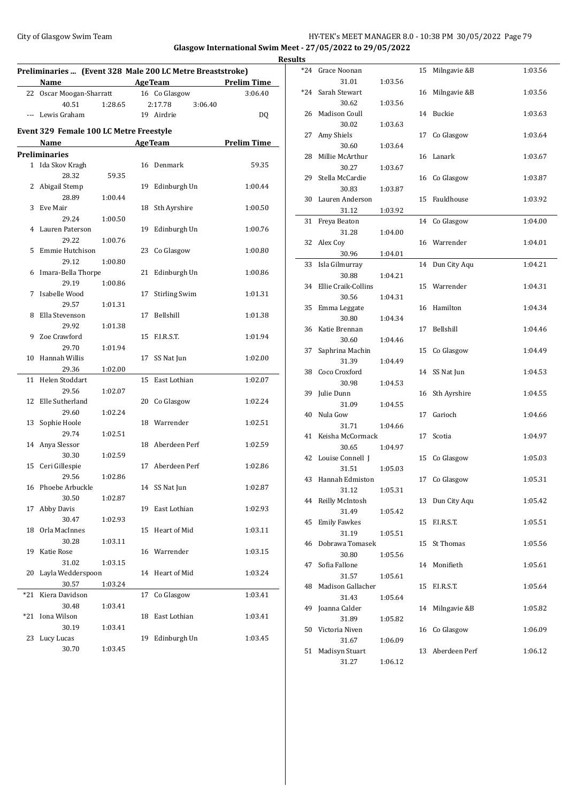## City of Glasgow Swim Team HY-TEK's MEET MANAGER 8.0 - 10:38 PM 30/05/2022 Page 79 **Glasgow International Swim Meet - 27/05/2022 to 29/05/2022**

| Preliminaries  (Event 328 Male 200 LC Metre Breaststroke)<br><b>Example 2018 Age Team</b><br><b>Prelim Time</b><br>Name |                                                |         |                |                      |                    |  |  |  |
|-------------------------------------------------------------------------------------------------------------------------|------------------------------------------------|---------|----------------|----------------------|--------------------|--|--|--|
|                                                                                                                         | 22 Oscar Moogan-Sharratt                       |         |                | 16 Co Glasgow        | 3:06.40            |  |  |  |
|                                                                                                                         | 40.51                                          | 1:28.65 |                | 2:17.78<br>3:06.40   |                    |  |  |  |
|                                                                                                                         | --- Lewis Graham                               |         |                | 19 Airdrie           | DQ                 |  |  |  |
|                                                                                                                         | <b>Event 329 Female 100 LC Metre Freestyle</b> |         |                |                      |                    |  |  |  |
|                                                                                                                         | Name                                           |         | <b>AgeTeam</b> |                      | <b>Prelim Time</b> |  |  |  |
|                                                                                                                         | <b>Preliminaries</b>                           |         |                |                      |                    |  |  |  |
|                                                                                                                         | 1 Ida Skov Kragh<br>28.32                      | 59.35   |                | 16 Denmark           | 59.35              |  |  |  |
|                                                                                                                         | 2 Abigail Stemp<br>28.89                       | 1:00.44 | 19             | Edinburgh Un         | 1:00.44            |  |  |  |
| 3                                                                                                                       | Eve Mair                                       |         | 18             | Sth Ayrshire         | 1:00.50            |  |  |  |
|                                                                                                                         | 29.24                                          | 1:00.50 |                |                      |                    |  |  |  |
| 4                                                                                                                       | Lauren Paterson<br>29.22                       | 1:00.76 | 19             | Edinburgh Un         | 1:00.76            |  |  |  |
| 5                                                                                                                       | Emmie Hutchison                                |         |                | 23 Co Glasgow        | 1:00.80            |  |  |  |
|                                                                                                                         | 29.12                                          | 1:00.80 |                |                      |                    |  |  |  |
|                                                                                                                         |                                                |         |                |                      |                    |  |  |  |
| 6                                                                                                                       | Imara-Bella Thorpe<br>29.19                    |         | 21             | Edinburgh Un         | 1:00.86            |  |  |  |
| 7                                                                                                                       |                                                | 1:00.86 |                |                      |                    |  |  |  |
|                                                                                                                         | Isabelle Wood                                  |         | 17             | <b>Stirling Swim</b> | 1:01.31            |  |  |  |
|                                                                                                                         | 29.57                                          | 1:01.31 |                |                      |                    |  |  |  |
| 8                                                                                                                       | Ella Stevenson                                 |         | 17             | Bellshill            | 1:01.38            |  |  |  |
|                                                                                                                         | 29.92                                          | 1:01.38 |                |                      |                    |  |  |  |
| 9                                                                                                                       | Zoe Crawford                                   |         | 15             | F.I.R.S.T.           | 1:01.94            |  |  |  |
|                                                                                                                         | 29.70                                          | 1:01.94 |                |                      |                    |  |  |  |
| 10                                                                                                                      | Hannah Willis                                  |         | 17             | SS Nat Jun           | 1:02.00            |  |  |  |
|                                                                                                                         | 29.36                                          | 1:02.00 |                |                      |                    |  |  |  |
| 11                                                                                                                      | Helen Stoddart                                 |         |                | 15 East Lothian      | 1:02.07            |  |  |  |
|                                                                                                                         | 29.56                                          | 1:02.07 |                |                      |                    |  |  |  |
| 12                                                                                                                      | Elle Sutherland                                |         | 20             | Co Glasgow           | 1:02.24            |  |  |  |
|                                                                                                                         | 29.60                                          | 1:02.24 |                |                      |                    |  |  |  |
| 13                                                                                                                      | Sophie Hoole                                   |         |                | 18 Warrender         | 1:02.51            |  |  |  |
|                                                                                                                         | 29.74                                          | 1:02.51 |                |                      |                    |  |  |  |
| 14                                                                                                                      | Anya Slessor                                   |         | 18             | Aberdeen Perf        | 1:02.59            |  |  |  |
|                                                                                                                         | 30.30                                          | 1:02.59 |                |                      |                    |  |  |  |
|                                                                                                                         | 15 Ceri Gillespie                              |         | 17             | Aberdeen Perf        | 1:02.86            |  |  |  |
|                                                                                                                         | 29.56                                          | 1:02.86 |                |                      |                    |  |  |  |
|                                                                                                                         | 16 Phoebe Arbuckle                             |         |                | 14 SS Nat Jun        | 1:02.87            |  |  |  |
|                                                                                                                         | 30.50                                          | 1:02.87 |                |                      |                    |  |  |  |
| 17                                                                                                                      | Abby Davis                                     |         | 19             | East Lothian         | 1:02.93            |  |  |  |
|                                                                                                                         | 30.47                                          | 1:02.93 |                |                      |                    |  |  |  |
| 18                                                                                                                      | Orla MacInnes                                  |         | 15             | Heart of Mid         | 1:03.11            |  |  |  |
|                                                                                                                         | 30.28                                          | 1:03.11 |                |                      |                    |  |  |  |
| 19                                                                                                                      | Katie Rose                                     |         | 16             | Warrender            | 1:03.15            |  |  |  |
|                                                                                                                         | 31.02                                          | 1:03.15 |                |                      |                    |  |  |  |
| 20                                                                                                                      | Layla Wedderspoon                              |         | 14             | Heart of Mid         | 1:03.24            |  |  |  |
|                                                                                                                         | 30.57                                          | 1:03.24 |                |                      |                    |  |  |  |
| $*21$                                                                                                                   | Kiera Davidson                                 |         | 17             | Co Glasgow           | 1:03.41            |  |  |  |
|                                                                                                                         | 30.48                                          | 1:03.41 |                |                      |                    |  |  |  |
| *21                                                                                                                     | Iona Wilson                                    |         | 18             | East Lothian         | 1:03.41            |  |  |  |
|                                                                                                                         | 30.19                                          | 1:03.41 |                |                      |                    |  |  |  |
| 23                                                                                                                      | Lucy Lucas                                     |         | 19             | Edinburgh Un         | 1:03.45            |  |  |  |
|                                                                                                                         | 30.70                                          | 1:03.45 |                |                      |                    |  |  |  |

| <b>Results</b> |                          |         |    |                 |         |
|----------------|--------------------------|---------|----|-----------------|---------|
|                | *24 Grace Noonan         |         | 15 | Milngavie &B    | 1:03.56 |
|                | 31.01                    | 1:03.56 |    |                 |         |
|                | *24 Sarah Stewart        |         |    | 16 Milngavie &B | 1:03.56 |
|                | 30.62                    | 1:03.56 |    |                 |         |
|                | 26 Madison Coull         |         |    | 14 Buckie       | 1:03.63 |
|                | 30.02                    | 1:03.63 |    |                 |         |
|                | 27 Amy Shiels            |         | 17 | Co Glasgow      | 1:03.64 |
|                | 30.60                    | 1:03.64 |    |                 |         |
| 28             | Millie McArthur          |         | 16 | Lanark          | 1:03.67 |
|                | 30.27                    | 1:03.67 |    |                 |         |
| 29             | Stella McCardie          |         |    | 16 Co Glasgow   | 1:03.87 |
|                | 30.83                    | 1:03.87 |    |                 |         |
|                | 30 Lauren Anderson       |         | 15 | Fauldhouse      | 1:03.92 |
|                | 31.12                    | 1:03.92 |    |                 |         |
| 31             | Freya Beaton             |         | 14 | Co Glasgow      | 1:04.00 |
|                | 31.28                    | 1:04.00 |    |                 |         |
|                | 32 Alex Coy              |         |    | 16 Warrender    | 1:04.01 |
|                | 30.96                    | 1:04.01 |    |                 |         |
| 33             | Isla Gilmurray           |         | 14 | Dun City Aqu    | 1:04.21 |
|                | 30.88                    | 1:04.21 |    |                 |         |
| 34             | Ellie Craik-Collins      |         |    | 15 Warrender    | 1:04.31 |
|                | 30.56                    | 1:04.31 |    |                 |         |
|                | 35 Emma Leggate<br>30.80 |         | 16 | Hamilton        | 1:04.34 |
| 36             | Katie Brennan            | 1:04.34 | 17 | Bellshill       | 1:04.46 |
|                | 30.60                    | 1:04.46 |    |                 |         |
| 37             | Saphrina Machin          |         |    | 15 Co Glasgow   | 1:04.49 |
|                | 31.39                    | 1:04.49 |    |                 |         |
| 38             | Coco Croxford            |         | 14 | SS Nat Jun      | 1:04.53 |
|                | 30.98                    | 1:04.53 |    |                 |         |
| 39             | Julie Dunn               |         | 16 | Sth Ayrshire    | 1:04.55 |
|                | 31.09                    | 1:04.55 |    |                 |         |
| 40             | Nula Gow                 |         | 17 | Garioch         | 1:04.66 |
|                | 31.71                    | 1:04.66 |    |                 |         |
|                | 41 Keisha McCormack      |         | 17 | Scotia          | 1:04.97 |
|                | 30.65                    | 1:04.97 |    |                 |         |
|                | 42 Louise Connell J      |         |    | 15 Co Glasgow   | 1:05.03 |
|                | 31.51                    | 1:05.03 |    |                 |         |
|                | 43 Hannah Edmiston       |         |    | 17 Co Glasgow   | 1:05.31 |
|                | 31.12                    | 1:05.31 |    |                 |         |
|                | 44 Reilly McIntosh       |         |    | 13 Dun City Aqu | 1:05.42 |
|                | 31.49                    | 1:05.42 |    |                 |         |
| 45             | <b>Emily Fawkes</b>      |         | 15 | F.I.R.S.T.      | 1:05.51 |
|                | 31.19                    | 1:05.51 |    |                 |         |
| 46             | Dobrawa Tomasek          | 1:05.56 | 15 | St Thomas       | 1:05.56 |
| 47             | 30.80<br>Sofia Fallone   |         | 14 | Monifieth       | 1:05.61 |
|                | 31.57                    | 1:05.61 |    |                 |         |
| 48             | Madison Gallacher        |         | 15 | F.I.R.S.T.      | 1:05.64 |
|                | 31.43                    | 1:05.64 |    |                 |         |
| 49             | Joanna Calder            |         | 14 | Milngavie &B    | 1:05.82 |
|                | 31.89                    | 1:05.82 |    |                 |         |
| 50             | Victoria Niven           |         | 16 | Co Glasgow      | 1:06.09 |
|                | 31.67                    | 1:06.09 |    |                 |         |
| 51             | Madisyn Stuart           |         | 13 | Aberdeen Perf   | 1:06.12 |
|                | 31.27                    | 1:06.12 |    |                 |         |
|                |                          |         |    |                 |         |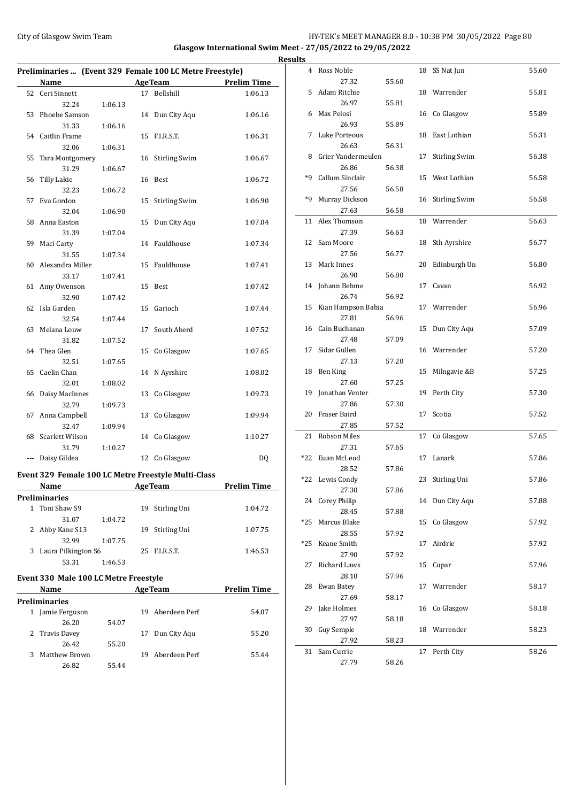## City of Glasgow Swim Team Team Team Fermic Management of the HY-TEK's MEET MANAGER 8.0 - 10:38 PM 30/05/2022 Page 80 **Glasgow International Swim Meet - 27/05/2022 to 29/05/2022**

|              | Preliminaries  (Event 329 Female 100 LC Metre Freestyle) |         |         |                      |                    |
|--------------|----------------------------------------------------------|---------|---------|----------------------|--------------------|
|              | Name                                                     |         |         | <b>AgeTeam</b>       | <b>Prelim Time</b> |
| 52           | Ceri Sinnett                                             |         | 17      | Bellshill            | 1:06.13            |
|              | 32.24                                                    | 1:06.13 |         |                      |                    |
| 53           | Phoebe Samson                                            |         | 14      | Dun City Aqu         | 1:06.16            |
|              | 31.33                                                    | 1:06.16 |         |                      |                    |
|              | 54 Caitlin Frame                                         |         | 15      | F.I.R.S.T.           | 1:06.31            |
|              | 32.06                                                    | 1:06.31 |         |                      |                    |
| 55           | Tara Montgomery                                          |         | 16      | <b>Stirling Swim</b> | 1:06.67            |
|              | 31.29                                                    | 1:06.67 |         |                      |                    |
| 56           | Tilly Lakie                                              |         | 16      | Best                 | 1:06.72            |
|              | 32.23                                                    | 1:06.72 |         |                      |                    |
| 57           | Eva Gordon                                               |         | 15      | <b>Stirling Swim</b> | 1:06.90            |
|              | 32.04                                                    | 1:06.90 |         |                      |                    |
| 58           | Anna Easton                                              |         | 15      | Dun City Aqu         | 1:07.04            |
|              | 31.39                                                    | 1:07.04 |         |                      |                    |
| 59           | Maci Carty                                               |         | 14      | Fauldhouse           | 1:07.34            |
|              | 31.55                                                    | 1:07.34 |         |                      |                    |
| 60           | Alexandra Miller                                         |         | 15      | Fauldhouse           | 1:07.41            |
|              | 33.17                                                    | 1:07.41 |         |                      |                    |
| 61           | Amy Owenson                                              |         | 15      | Best                 | 1:07.42            |
|              | 32.90                                                    | 1:07.42 |         |                      |                    |
| 62           | Isla Garden                                              |         | 15      | Garioch              | 1:07.44            |
|              | 32.54                                                    | 1:07.44 |         |                      |                    |
| 63           | Melana Louw                                              |         | 17      | South Aberd          | 1:07.52            |
|              | 31.82                                                    | 1:07.52 |         |                      |                    |
| 64           | Thea Glen<br>32.51                                       |         | 15      | Co Glasgow           | 1:07.65            |
| 65           | Caelin Chan                                              | 1:07.65 | 14      | N Ayrshire           |                    |
|              | 32.01                                                    | 1:08.02 |         |                      | 1:08.02            |
| 66           | Daisy MacInnes                                           |         | 13      | Co Glasgow           | 1:09.73            |
|              | 32.79                                                    | 1:09.73 |         |                      |                    |
| 67           | Anna Campbell                                            |         | 13      | Co Glasgow           | 1:09.94            |
|              | 32.47                                                    | 1:09.94 |         |                      |                    |
| 68           | <b>Scarlett Wilson</b>                                   |         | 14      | Co Glasgow           | 1:10.27            |
|              | 31.79                                                    | 1:10.27 |         |                      |                    |
| ---          | Daisy Gildea                                             |         | 12      | Co Glasgow           | DQ                 |
|              |                                                          |         |         |                      |                    |
|              | Event 329 Female 100 LC Metre Freestyle Multi-Class      |         |         |                      |                    |
|              | <b>Name</b>                                              |         | AgeTeam |                      | <b>Prelim Time</b> |
|              | Preliminaries                                            |         |         |                      |                    |
| $\mathbf{1}$ | Toni Shaw S9                                             |         |         | 19 Stirling Uni      | 1:04.72            |
|              | 31.07                                                    | 1:04.72 |         |                      |                    |
| 2            | Abby Kane S13                                            |         | 19      | Stirling Uni         | 1:07.75            |
|              | 32.99                                                    | 1:07.75 |         |                      |                    |
|              | 3 Laura Pilkington S6                                    |         |         | 25 F.I.R.S.T.        | 1:46.53            |
|              | 53.31                                                    | 1:46.53 |         |                      |                    |
|              | Event 330 Male 100 LC Metre Freestyle                    |         |         |                      |                    |
|              | <b>Name</b>                                              |         |         | <b>AgeTeam</b>       | <b>Prelim Time</b> |
|              | Preliminaries                                            |         |         |                      |                    |
|              | 1 Jamie Ferguson                                         |         |         | 19 Aberdeen Perf     | 54.07              |
|              | 26.20                                                    | 54.07   |         |                      |                    |
| 2            | Travis Davey                                             |         | 17      | Dun City Aqu         | 55.20              |
|              | 26.42                                                    | 55.20   |         |                      |                    |
| 3            | Matthew Brown                                            |         | 19      | Aberdeen Perf        | 55.44              |
|              | 26.82                                                    | 55.44   |         |                      |                    |

| <b>Results</b> |                       |       |    |                      |       |
|----------------|-----------------------|-------|----|----------------------|-------|
|                | 4 Ross Noble          |       |    | 18 SS Nat Jun        | 55.60 |
|                | 27.32                 | 55.60 |    |                      |       |
|                | 5 Adam Ritchie        |       |    | 18 Warrender         | 55.81 |
|                | 26.97                 | 55.81 |    |                      |       |
|                | 6 Max Pelosi          |       |    | 16 Co Glasgow        | 55.89 |
|                | 26.93                 | 55.89 |    |                      |       |
| 7              | Luke Porteous         |       |    | 18 East Lothian      | 56.31 |
|                | 26.63                 | 56.31 |    |                      |       |
|                | 8 Grier Vandermeulen  |       | 17 | <b>Stirling Swim</b> | 56.38 |
|                | 26.86                 | 56.38 |    |                      |       |
|                | *9 Callum Sinclair    |       |    | 15 West Lothian      | 56.58 |
|                | 27.56                 |       |    |                      |       |
| *9             | Murray Dickson        | 56.58 |    |                      | 56.58 |
|                |                       |       |    | 16 Stirling Swim     |       |
|                | 27.63                 | 56.58 |    |                      |       |
|                | 11 Alex Thomson       |       |    | 18 Warrender         | 56.63 |
|                | 27.39                 | 56.63 |    |                      |       |
|                | 12 Sam Moore          |       |    | 18 Sth Ayrshire      | 56.77 |
|                | 27.56                 | 56.77 |    |                      |       |
|                | 13 Mark Innes         |       |    | 20 Edinburgh Un      | 56.80 |
|                | 26.90                 | 56.80 |    |                      |       |
|                | 14 Johann Behme       |       |    | 17 Cavan             | 56.92 |
|                | 26.74                 | 56.92 |    |                      |       |
|                | 15 Kian Hampson Bahia |       |    | 17 Warrender         | 56.96 |
|                | 27.81                 | 56.96 |    |                      |       |
|                | 16 Cain Buchanan      |       |    | 15 Dun City Aqu      | 57.09 |
|                | 27.48                 | 57.09 |    |                      |       |
|                | 17 Sidar Gullen       |       |    | 16 Warrender         | 57.20 |
|                | 27.13                 | 57.20 |    |                      |       |
|                | 18 Ben King           |       | 15 | Milngavie &B         | 57.25 |
|                | 27.60                 | 57.25 |    |                      |       |
|                | 19 Jonathan Venter    |       |    | 19 Perth City        | 57.30 |
|                | 27.86                 | 57.30 |    |                      |       |
|                | 20 Fraser Baird       |       | 17 | Scotia               | 57.52 |
|                | 27.85                 | 57.52 |    |                      |       |
|                | 21 Robson Miles       |       | 17 | Co Glasgow           | 57.65 |
|                | 27.31                 | 57.65 |    |                      |       |
|                | *22 Euan McLeod       |       |    | 17 Lanark            | 57.86 |
|                | 28.52                 | 57.86 |    |                      |       |
|                | *22 Lewis Condy       |       |    | 23 Stirling Uni      | 57.86 |
|                | 27.30                 | 57.86 |    |                      |       |
|                | 24 Corey Philip       |       |    | 14 Dun City Aqu      | 57.88 |
|                | 28.45                 | 57.88 |    |                      |       |
| *25            | Marcus Blake          |       | 15 | Co Glasgow           | 57.92 |
|                | 28.55                 | 57.92 |    |                      |       |
| *25            | Keane Smith           |       | 17 | Airdrie              | 57.92 |
|                | 27.90                 | 57.92 |    |                      |       |
| 27             | Richard Laws          |       | 15 | Cupar                | 57.96 |
|                | 28.10                 | 57.96 |    |                      |       |
| 28             | Ewan Batey            |       | 17 | Warrender            | 58.17 |
|                | 27.69                 | 58.17 |    |                      |       |
| 29             | Jake Holmes           |       | 16 | Co Glasgow           | 58.18 |
|                | 27.97                 | 58.18 |    |                      |       |
| 30             | Guy Semple            |       | 18 | Warrender            | 58.23 |
|                | 27.92                 | 58.23 |    |                      |       |
| 31             | Sam Currie            |       | 17 | Perth City           | 58.26 |
|                | 27.79                 |       |    |                      |       |
|                |                       | 58.26 |    |                      |       |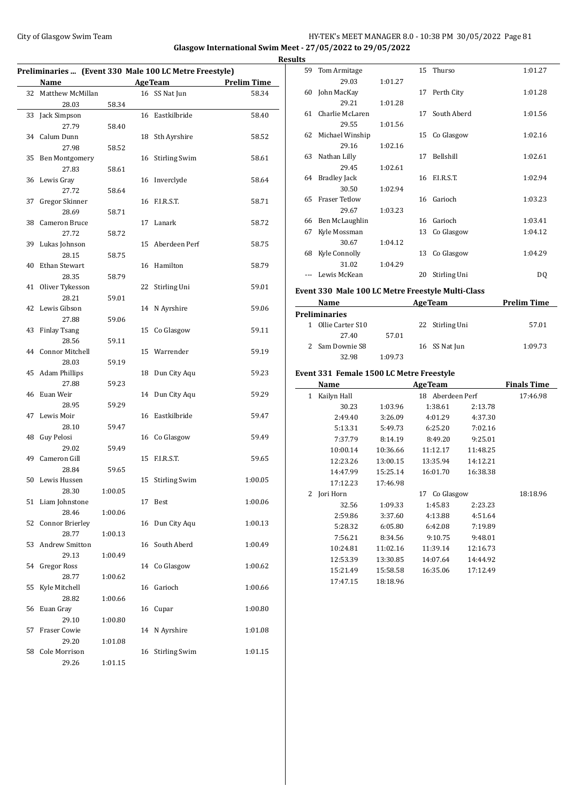#### City of Glasgow Swim Team HY-TEK's MEET MANAGER 8.0 - 10:38 PM 30/05/2022 Page 81 **Glasgow International Swim Meet - 27/05/2022 to 29/05/2022**

**Preliminaries ... (Event 330 Male 100 LC Metre Freestyle) Name Age Team Prelim Time** 32 Matthew McMillan 16 SS Nat Jun 58.34 28.03 58.34 33 Jack Simpson 16 Eastkilbride 58.40 27.79 58.40 34 Calum Dunn 18 Sth Ayrshire 58.52 27.98 58.52 35 Ben Montgomery 16 Stirling Swim 58.61 27.83 58.61 36 Lewis Gray 16 Inverclyde 58.64 27.72 58.64 37 Gregor Skinner 16 F.I.R.S.T. 58.71 28.69 58.71 38 Cameron Bruce 17 Lanark 58.72 27.72 58.72 39 Lukas Johnson 15 Aberdeen Perf 58.75 28.15 58.75 40 Ethan Stewart 16 Hamilton 58.79 28.35 58.79 41 Oliver Tykesson 22 Stirling Uni 59.01 28.21 59.01 42 Lewis Gibson 14 N Ayrshire 59.06 27.88 59.06 43 Finlay Tsang 15 Co Glasgow 59.11 28.56 59.11 44 Connor Mitchell 15 Warrender 59.19 28.03 59.19 45 Adam Phillips 18 Dun City Aqu 59.23 27.88 59.23 46 Euan Weir 14 Dun City Aqu 59.29 28.95 59.29 47 Lewis Moir 16 Eastkilbride 59.47 28.10 59.47 48 Guy Pelosi 16 Co Glasgow 59.49 29.02 59.49 49 Cameron Gill 15 F.I.R.S.T. 59.65 28.84 59.65 50 Lewis Hussen 15 Stirling Swim 1:00.05 28.30 1:00.05 51 Liam Johnstone 17 Best 1:00.06 28.46 1:00.06 52 Connor Brierley 16 Dun City Aqu 1:00.13 28.77 1:00.13 53 Andrew Smitton 16 South Aberd 1:00.49 29.13 1:00.49 54 Gregor Ross 14 Co Glasgow 1:00.62 28.77 1:00.62 55 Kyle Mitchell 16 Garioch 1:00.66 28.82 1:00.66 56 Euan Gray 16 Cupar 1:00.80 29.10 1:00.80 57 Fraser Cowie 14 N Ayrshire 1:01.08 29.20 1:01.08 58 Cole Morrison 16 Stirling Swim 1:01.15 29.26 1:01.15

|   | <b>Results</b> |                    |         |    |               |         |
|---|----------------|--------------------|---------|----|---------------|---------|
|   | 59             | Tom Armitage       |         |    | 15 Thurso     | 1:01.27 |
| - |                | 29.03              | 1:01.27 |    |               |         |
|   | 60             | John MacKay        |         |    | 17 Perth City | 1:01.28 |
|   |                | 29.21              | 1:01.28 |    |               |         |
| ۰ |                | 61 Charlie McLaren |         | 17 | South Aberd   | 1:01.56 |
|   |                | 29.55              | 1:01.56 |    |               |         |
|   |                | 62 Michael Winship |         |    | 15 Co Glasgow | 1:02.16 |
|   |                | 29.16              | 1:02.16 |    |               |         |
|   |                | 63 Nathan Lilly    |         | 17 | Bellshill     | 1:02.61 |
|   |                | 29.45              | 1:02.61 |    |               |         |
|   |                | 64 Bradley Jack    |         |    | 16 F.I.R.S.T. | 1:02.94 |
|   |                | 30.50              | 1:02.94 |    |               |         |
|   | 65             | Fraser Tetlow      |         | 16 | Garioch       | 1:03.23 |
|   |                | 29.67              | 1:03.23 |    |               |         |
|   | 66             | Ben McLaughlin     |         | 16 | Garioch       | 1:03.41 |
|   | 67             | Kyle Mossman       |         | 13 | Co Glasgow    | 1:04.12 |
|   |                | 30.67              | 1:04.12 |    |               |         |
|   | 68             | Kyle Connolly      |         | 13 | Co Glasgow    | 1:04.29 |
|   |                | 31.02              | 1:04.29 |    |               |         |
|   |                | Lewis McKean       |         | 20 | Stirling Uni  | DQ      |

#### **Event 330 Male 100 LC Metre Freestyle Multi-Class**

| Name |                      |         | <b>AgeTeam</b>  | <b>Prelim Time</b> |  |
|------|----------------------|---------|-----------------|--------------------|--|
|      | <b>Preliminaries</b> |         |                 |                    |  |
|      | Ollie Carter S10     |         | 22 Stirling Uni | 57.01              |  |
|      | 27.40                | 57.01   |                 |                    |  |
|      | 2 Sam Downie S8      |         | 16 SS Nat Jun   | 1:09.73            |  |
|      | 32.98                | 1:09.73 |                 |                    |  |

#### **Event 331 Female 1500 LC Metre Freestyle**

 $\overline{a}$ 

| Name             |                     | <b>AgeTeam</b> |          | <b>Finals Time</b> |
|------------------|---------------------|----------------|----------|--------------------|
| Kailyn Hall<br>1 | Aberdeen Perf<br>18 |                |          | 17:46.98           |
| 30.23            | 1:03.96             | 1:38.61        | 2:13.78  |                    |
| 2:49.40          | 3:26.09             | 4:01.29        | 4:37.30  |                    |
| 5:13.31          | 5:49.73             | 6:25.20        | 7:02.16  |                    |
| 7:37.79          | 8:14.19             | 8:49.20        | 9:25.01  |                    |
| 10:00.14         | 10:36.66            | 11:12.17       | 11:48.25 |                    |
| 12:23.26         | 13:00.15            | 13:35.94       | 14:12.21 |                    |
| 14:47.99         | 15:25.14            | 16:01.70       | 16:38.38 |                    |
| 17:12.23         | 17:46.98            |                |          |                    |
| Jori Horn<br>2   | Co Glasgow<br>17    |                |          | 18:18.96           |
| 32.56            | 1:09.33             | 1:45.83        | 2:23.23  |                    |
| 2:59.86          | 3:37.60             | 4:13.88        | 4:51.64  |                    |
| 5:28.32          | 6:05.80             | 6:42.08        | 7:19.89  |                    |
| 7:56.21          | 8:34.56             | 9:10.75        | 9:48.01  |                    |
| 10:24.81         | 11:02.16            | 11:39.14       | 12:16.73 |                    |
| 12:53.39         | 13:30.85            | 14:07.64       | 14:44.92 |                    |
| 15:21.49         | 15:58.58            | 16:35.06       | 17:12.49 |                    |
| 17:47.15         | 18:18.96            |                |          |                    |
|                  |                     |                |          |                    |